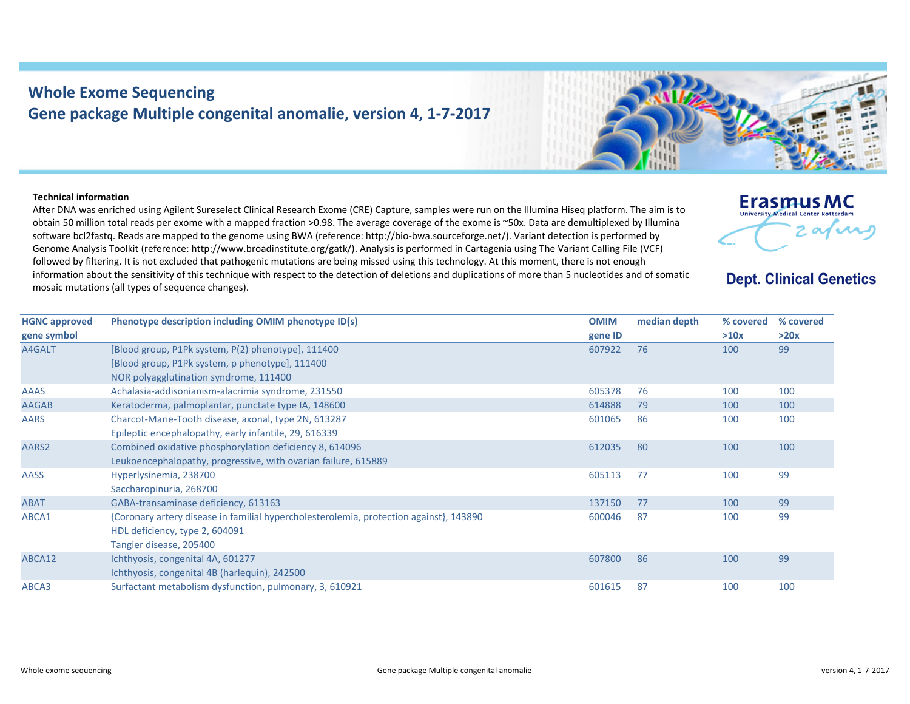## **Whole Exome Sequencing Gene package Multiple congenital anomalie, version 4, 1‐7‐2017**

## **Technical information**

**HGNC approved gene symbol**

After DNA was enriched using Agilent Sureselect Clinical Research Exome (CRE) Capture, samples were run on the Illumina Hiseq platform. The aim is to obtain 50 million total reads per exome with <sup>a</sup> mapped fraction >0.98. The average coverage of the exome is ~50x. Data are demultiplexed by Illumina software bcl2fastq. Reads are mapped to the genome using BWA (reference: http://bio‐bwa.sourceforge.net/). Variant detection is performed by Genome Analysis Toolkit (reference: http://www.broadinstitute.org/gatk/). Analysis is performed in Cartagenia using The Variant Calling File (VCF) followed by filtering. It is not excluded that pathogenic mutations are being missed using this technology. At this moment, there is not enough information about the sensitivity of this technique with respect to the detection of deletions and duplications of more than 5 nucleotides and of somatic mosaic mutations (all types of sequence changes).



HDL deficiency, type 2, 604091 Tangier disease, 205400

Ichthyosis, congenital 4B (harlequin), 242500

ABCA12 Ichthyosis, congenital 4A, 601277

ABCA3 Surfactant metabolism dysfunction, pulmonary, 3, 610921 601615 87 100 100



**Erasmus MC University Medical Center Rotterdar** 

2 avril

607800 86 100 99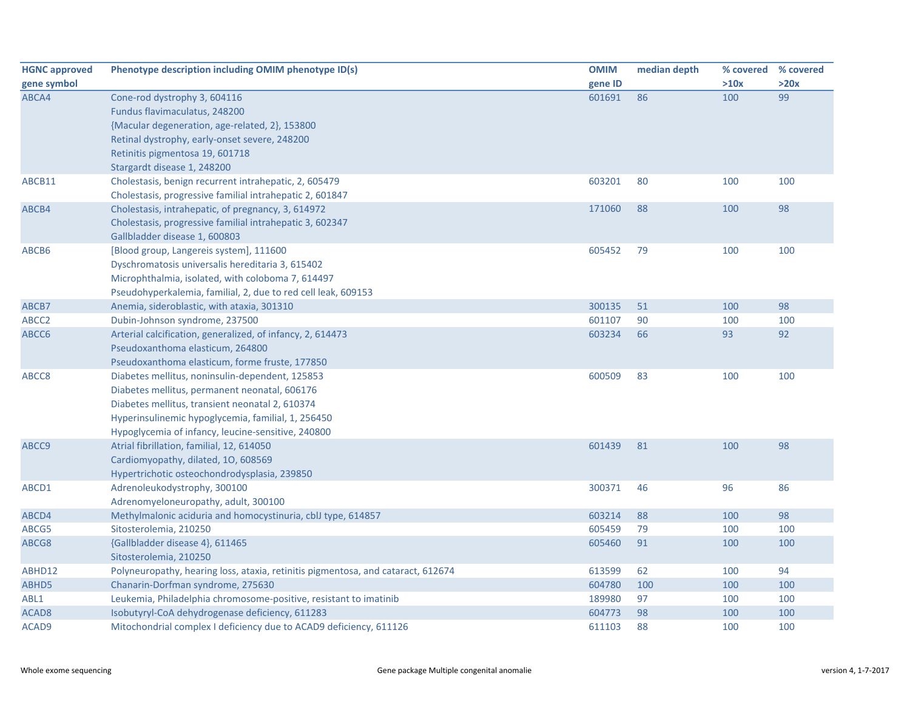| <b>HGNC approved</b> | Phenotype description including OMIM phenotype ID(s)                                                   | <b>OMIM</b>      | median depth | % covered  | % covered |
|----------------------|--------------------------------------------------------------------------------------------------------|------------------|--------------|------------|-----------|
| gene symbol          |                                                                                                        | gene ID          |              | >10x       | >20x      |
| ABCA4                | Cone-rod dystrophy 3, 604116                                                                           | 601691           | 86           | 100        | 99        |
|                      | Fundus flavimaculatus, 248200                                                                          |                  |              |            |           |
|                      | {Macular degeneration, age-related, 2}, 153800                                                         |                  |              |            |           |
|                      | Retinal dystrophy, early-onset severe, 248200                                                          |                  |              |            |           |
|                      | Retinitis pigmentosa 19, 601718                                                                        |                  |              |            |           |
|                      | Stargardt disease 1, 248200                                                                            |                  |              |            |           |
| ABCB11               | Cholestasis, benign recurrent intrahepatic, 2, 605479                                                  | 603201           | 80           | 100        | 100       |
|                      | Cholestasis, progressive familial intrahepatic 2, 601847                                               |                  |              |            |           |
| ABCB4                | Cholestasis, intrahepatic, of pregnancy, 3, 614972                                                     | 171060           | 88           | 100        | 98        |
|                      | Cholestasis, progressive familial intrahepatic 3, 602347                                               |                  |              |            |           |
|                      | Gallbladder disease 1, 600803                                                                          |                  |              |            |           |
| ABCB6                | [Blood group, Langereis system], 111600                                                                | 605452           | 79           | 100        | 100       |
|                      | Dyschromatosis universalis hereditaria 3, 615402                                                       |                  |              |            |           |
|                      | Microphthalmia, isolated, with coloboma 7, 614497                                                      |                  |              |            |           |
|                      | Pseudohyperkalemia, familial, 2, due to red cell leak, 609153                                          |                  |              |            |           |
| ABCB7                | Anemia, sideroblastic, with ataxia, 301310                                                             | 300135           | 51           | 100        | 98        |
| ABCC <sub>2</sub>    | Dubin-Johnson syndrome, 237500                                                                         | 601107           | 90           | 100        | 100       |
| ABCC6                | Arterial calcification, generalized, of infancy, 2, 614473                                             | 603234           | 66           | 93         | 92        |
|                      | Pseudoxanthoma elasticum, 264800                                                                       |                  |              |            |           |
|                      | Pseudoxanthoma elasticum, forme fruste, 177850                                                         |                  |              |            |           |
| ABCC8                | Diabetes mellitus, noninsulin-dependent, 125853                                                        | 600509           | 83           | 100        | 100       |
|                      | Diabetes mellitus, permanent neonatal, 606176                                                          |                  |              |            |           |
|                      | Diabetes mellitus, transient neonatal 2, 610374                                                        |                  |              |            |           |
|                      | Hyperinsulinemic hypoglycemia, familial, 1, 256450                                                     |                  |              |            |           |
|                      | Hypoglycemia of infancy, leucine-sensitive, 240800                                                     |                  |              |            |           |
| ABCC9                | Atrial fibrillation, familial, 12, 614050                                                              | 601439           | 81           | 100        | 98        |
|                      | Cardiomyopathy, dilated, 10, 608569                                                                    |                  |              |            |           |
|                      | Hypertrichotic osteochondrodysplasia, 239850                                                           |                  |              |            |           |
| ABCD1                | Adrenoleukodystrophy, 300100                                                                           | 300371           | 46           | 96         | 86        |
|                      | Adrenomyeloneuropathy, adult, 300100                                                                   |                  |              |            |           |
| ABCD4                | Methylmalonic aciduria and homocystinuria, cblJ type, 614857                                           | 603214           | 88           | 100        | 98        |
| ABCG5                | Sitosterolemia, 210250                                                                                 | 605459           | 79           | 100        | 100       |
| ABCG8                | {Gallbladder disease 4}, 611465                                                                        | 605460           | 91           | 100        | 100       |
|                      | Sitosterolemia, 210250                                                                                 |                  | 62           |            | 94        |
| ABHD12               | Polyneuropathy, hearing loss, ataxia, retinitis pigmentosa, and cataract, 612674                       | 613599<br>604780 | 100          | 100        | 100       |
| ABHD5<br>ABL1        | Chanarin-Dorfman syndrome, 275630<br>Leukemia, Philadelphia chromosome-positive, resistant to imatinib | 189980           | 97           | 100<br>100 | 100       |
| ACAD <sub>8</sub>    | Isobutyryl-CoA dehydrogenase deficiency, 611283                                                        | 604773           | 98           | 100        | 100       |
|                      | Mitochondrial complex I deficiency due to ACAD9 deficiency, 611126                                     | 611103           | 88           | 100        | 100       |
| ACAD9                |                                                                                                        |                  |              |            |           |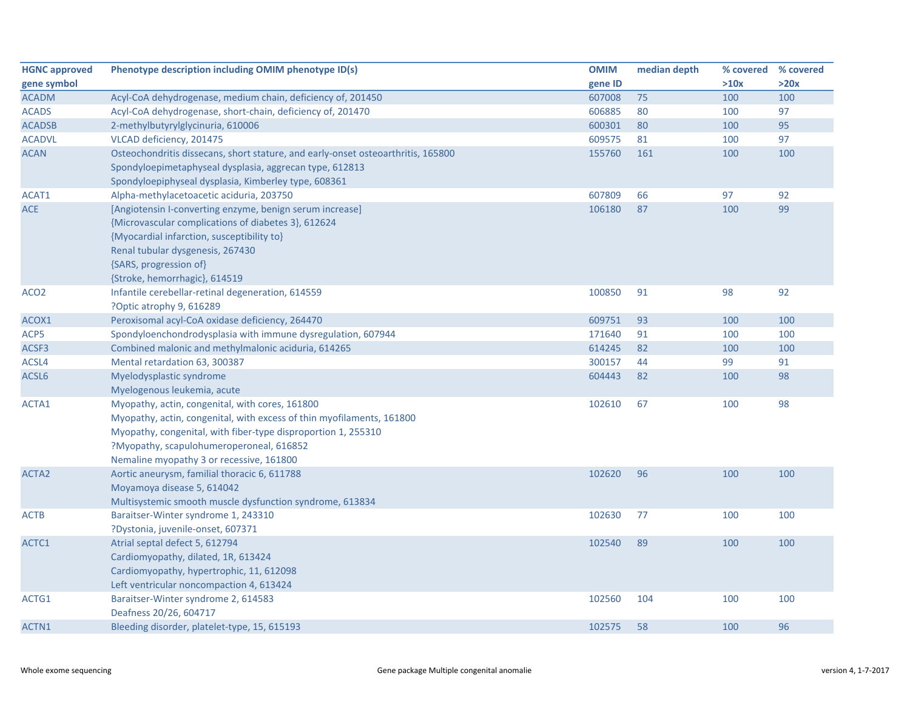| <b>HGNC approved</b> | Phenotype description including OMIM phenotype ID(s)                             | <b>OMIM</b> | median depth | % covered % covered |      |
|----------------------|----------------------------------------------------------------------------------|-------------|--------------|---------------------|------|
| gene symbol          |                                                                                  | gene ID     |              | >10x                | >20x |
| <b>ACADM</b>         | Acyl-CoA dehydrogenase, medium chain, deficiency of, 201450                      | 607008      | 75           | 100                 | 100  |
| <b>ACADS</b>         | Acyl-CoA dehydrogenase, short-chain, deficiency of, 201470                       | 606885      | 80           | 100                 | 97   |
| <b>ACADSB</b>        | 2-methylbutyrylglycinuria, 610006                                                | 600301      | 80           | 100                 | 95   |
| <b>ACADVL</b>        | VLCAD deficiency, 201475                                                         | 609575      | 81           | 100                 | 97   |
| <b>ACAN</b>          | Osteochondritis dissecans, short stature, and early-onset osteoarthritis, 165800 | 155760      | 161          | 100                 | 100  |
|                      | Spondyloepimetaphyseal dysplasia, aggrecan type, 612813                          |             |              |                     |      |
|                      | Spondyloepiphyseal dysplasia, Kimberley type, 608361                             |             |              |                     |      |
| ACAT1                | Alpha-methylacetoacetic aciduria, 203750                                         | 607809      | 66           | 97                  | 92   |
| <b>ACE</b>           | [Angiotensin I-converting enzyme, benign serum increase]                         | 106180      | 87           | 100                 | 99   |
|                      | {Microvascular complications of diabetes 3}, 612624                              |             |              |                     |      |
|                      | {Myocardial infarction, susceptibility to}                                       |             |              |                     |      |
|                      | Renal tubular dysgenesis, 267430                                                 |             |              |                     |      |
|                      | {SARS, progression of}                                                           |             |              |                     |      |
|                      | {Stroke, hemorrhagic}, 614519                                                    |             |              |                     |      |
| ACO <sub>2</sub>     | Infantile cerebellar-retinal degeneration, 614559                                | 100850      | 91           | 98                  | 92   |
|                      | ?Optic atrophy 9, 616289                                                         |             |              |                     |      |
| ACOX1                | Peroxisomal acyl-CoA oxidase deficiency, 264470                                  | 609751      | 93           | 100                 | 100  |
| ACP5                 | Spondyloenchondrodysplasia with immune dysregulation, 607944                     | 171640      | 91           | 100                 | 100  |
| ACSF3                | Combined malonic and methylmalonic aciduria, 614265                              | 614245      | 82           | 100                 | 100  |
| ACSL4                | Mental retardation 63, 300387                                                    | 300157      | 44           | 99                  | 91   |
| ACSL6                | Myelodysplastic syndrome                                                         | 604443      | 82           | 100                 | 98   |
|                      | Myelogenous leukemia, acute                                                      |             |              |                     |      |
| ACTA1                | Myopathy, actin, congenital, with cores, 161800                                  | 102610      | 67           | 100                 | 98   |
|                      | Myopathy, actin, congenital, with excess of thin myofilaments, 161800            |             |              |                     |      |
|                      | Myopathy, congenital, with fiber-type disproportion 1, 255310                    |             |              |                     |      |
|                      | ?Myopathy, scapulohumeroperoneal, 616852                                         |             |              |                     |      |
|                      | Nemaline myopathy 3 or recessive, 161800                                         |             |              |                     |      |
| ACTA <sub>2</sub>    | Aortic aneurysm, familial thoracic 6, 611788                                     | 102620      | 96           | 100                 | 100  |
|                      | Moyamoya disease 5, 614042                                                       |             |              |                     |      |
|                      | Multisystemic smooth muscle dysfunction syndrome, 613834                         |             |              |                     |      |
| <b>ACTB</b>          | Baraitser-Winter syndrome 1, 243310                                              | 102630      | 77           | 100                 | 100  |
|                      | ?Dystonia, juvenile-onset, 607371                                                |             |              |                     |      |
| ACTC1                | Atrial septal defect 5, 612794                                                   | 102540      | 89           | 100                 | 100  |
|                      | Cardiomyopathy, dilated, 1R, 613424                                              |             |              |                     |      |
|                      | Cardiomyopathy, hypertrophic, 11, 612098                                         |             |              |                     |      |
|                      | Left ventricular noncompaction 4, 613424                                         |             |              |                     |      |
| ACTG1                | Baraitser-Winter syndrome 2, 614583                                              | 102560      | 104          | 100                 | 100  |
|                      | Deafness 20/26, 604717                                                           |             |              |                     |      |
| ACTN1                | Bleeding disorder, platelet-type, 15, 615193                                     | 102575      | 58           | 100                 | 96   |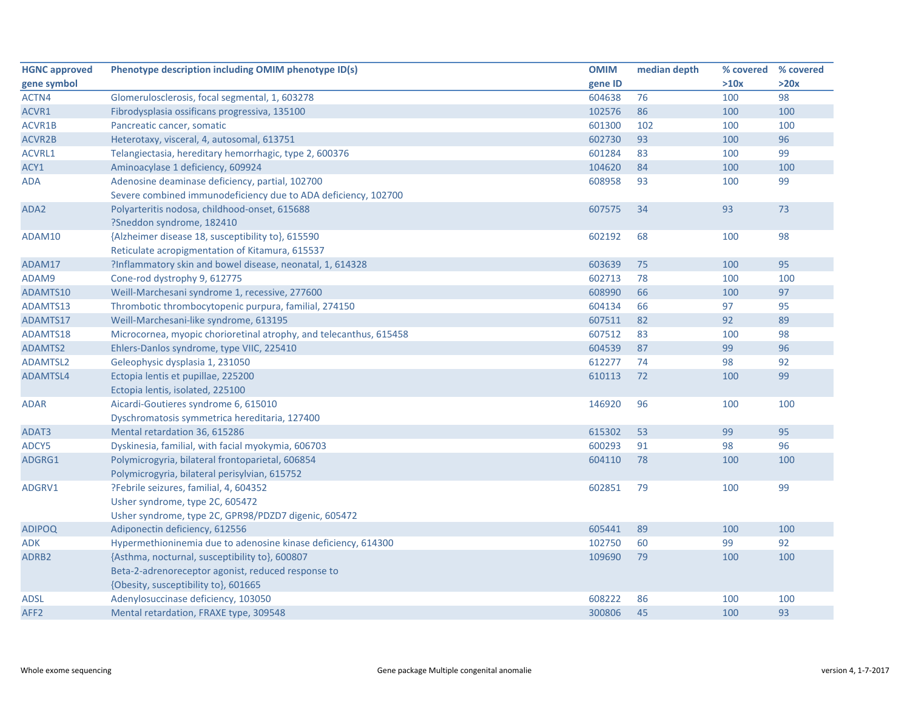| <b>HGNC approved</b> | Phenotype description including OMIM phenotype ID(s)               | <b>OMIM</b> | median depth | % covered | % covered |
|----------------------|--------------------------------------------------------------------|-------------|--------------|-----------|-----------|
| gene symbol          |                                                                    | gene ID     |              | >10x      | >20x      |
| ACTN4                | Glomerulosclerosis, focal segmental, 1, 603278                     | 604638      | 76           | 100       | 98        |
| ACVR1                | Fibrodysplasia ossificans progressiva, 135100                      | 102576      | 86           | 100       | 100       |
| ACVR1B               | Pancreatic cancer, somatic                                         | 601300      | 102          | 100       | 100       |
| ACVR2B               | Heterotaxy, visceral, 4, autosomal, 613751                         | 602730      | 93           | 100       | 96        |
| ACVRL1               | Telangiectasia, hereditary hemorrhagic, type 2, 600376             | 601284      | 83           | 100       | 99        |
| ACY1                 | Aminoacylase 1 deficiency, 609924                                  | 104620      | 84           | 100       | 100       |
| <b>ADA</b>           | Adenosine deaminase deficiency, partial, 102700                    | 608958      | 93           | 100       | 99        |
|                      | Severe combined immunodeficiency due to ADA deficiency, 102700     |             |              |           |           |
| ADA2                 | Polyarteritis nodosa, childhood-onset, 615688                      | 607575      | 34           | 93        | 73        |
|                      | ?Sneddon syndrome, 182410                                          |             |              |           |           |
| ADAM10               | {Alzheimer disease 18, susceptibility to}, 615590                  | 602192      | 68           | 100       | 98        |
|                      | Reticulate acropigmentation of Kitamura, 615537                    |             |              |           |           |
| ADAM17               | ?Inflammatory skin and bowel disease, neonatal, 1, 614328          | 603639      | 75           | 100       | 95        |
| ADAM9                | Cone-rod dystrophy 9, 612775                                       | 602713      | 78           | 100       | 100       |
| ADAMTS10             | Weill-Marchesani syndrome 1, recessive, 277600                     | 608990      | 66           | 100       | 97        |
| ADAMTS13             | Thrombotic thrombocytopenic purpura, familial, 274150              | 604134      | 66           | 97        | 95        |
| ADAMTS17             | Weill-Marchesani-like syndrome, 613195                             | 607511      | 82           | 92        | 89        |
| ADAMTS18             | Microcornea, myopic chorioretinal atrophy, and telecanthus, 615458 | 607512      | 83           | 100       | 98        |
| ADAMTS2              | Ehlers-Danlos syndrome, type VIIC, 225410                          | 604539      | 87           | 99        | 96        |
| <b>ADAMTSL2</b>      | Geleophysic dysplasia 1, 231050                                    | 612277      | 74           | 98        | 92        |
| ADAMTSL4             | Ectopia lentis et pupillae, 225200                                 | 610113      | 72           | 100       | 99        |
|                      | Ectopia lentis, isolated, 225100                                   |             |              |           |           |
| <b>ADAR</b>          | Aicardi-Goutieres syndrome 6, 615010                               | 146920      | 96           | 100       | 100       |
|                      | Dyschromatosis symmetrica hereditaria, 127400                      |             |              |           |           |
| ADAT3                | Mental retardation 36, 615286                                      | 615302      | 53           | 99        | 95        |
| ADCY5                | Dyskinesia, familial, with facial myokymia, 606703                 | 600293      | 91           | 98        | 96        |
| ADGRG1               | Polymicrogyria, bilateral frontoparietal, 606854                   | 604110      | 78           | 100       | 100       |
|                      | Polymicrogyria, bilateral perisylvian, 615752                      |             |              |           |           |
| ADGRV1               | ?Febrile seizures, familial, 4, 604352                             | 602851      | 79           | 100       | 99        |
|                      | Usher syndrome, type 2C, 605472                                    |             |              |           |           |
|                      | Usher syndrome, type 2C, GPR98/PDZD7 digenic, 605472               |             |              |           |           |
| <b>ADIPOQ</b>        | Adiponectin deficiency, 612556                                     | 605441      | 89           | 100       | 100       |
| <b>ADK</b>           | Hypermethioninemia due to adenosine kinase deficiency, 614300      | 102750      | 60           | 99        | 92        |
| ADRB <sub>2</sub>    | {Asthma, nocturnal, susceptibility to}, 600807                     | 109690      | 79           | 100       | 100       |
|                      | Beta-2-adrenoreceptor agonist, reduced response to                 |             |              |           |           |
|                      | {Obesity, susceptibility to}, 601665                               |             |              |           |           |
| <b>ADSL</b>          | Adenylosuccinase deficiency, 103050                                | 608222      | 86           | 100       | 100       |
| AFF <sub>2</sub>     | Mental retardation, FRAXE type, 309548                             | 300806      | 45           | 100       | 93        |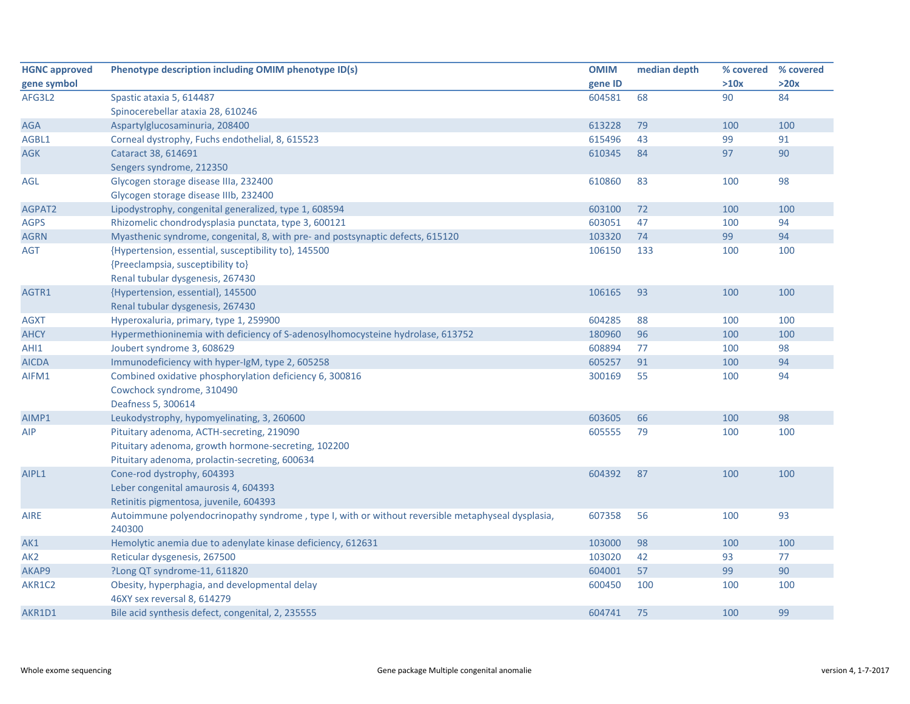| <b>HGNC approved</b> | Phenotype description including OMIM phenotype ID(s)                                              | <b>OMIM</b> | median depth |      | % covered % covered |
|----------------------|---------------------------------------------------------------------------------------------------|-------------|--------------|------|---------------------|
| gene symbol          |                                                                                                   | gene ID     |              | >10x | >20x                |
| AFG3L2               | Spastic ataxia 5, 614487                                                                          | 604581      | 68           | 90   | 84                  |
|                      | Spinocerebellar ataxia 28, 610246                                                                 |             |              |      |                     |
| <b>AGA</b>           | Aspartylglucosaminuria, 208400                                                                    | 613228      | 79           | 100  | 100                 |
| AGBL1                | Corneal dystrophy, Fuchs endothelial, 8, 615523                                                   | 615496      | 43           | 99   | 91                  |
| <b>AGK</b>           | Cataract 38, 614691                                                                               | 610345      | 84           | 97   | 90                  |
|                      | Sengers syndrome, 212350                                                                          |             |              |      |                     |
| AGL                  | Glycogen storage disease IIIa, 232400                                                             | 610860      | 83           | 100  | 98                  |
|                      | Glycogen storage disease IIIb, 232400                                                             |             |              |      |                     |
| AGPAT2               | Lipodystrophy, congenital generalized, type 1, 608594                                             | 603100      | 72           | 100  | 100                 |
| <b>AGPS</b>          | Rhizomelic chondrodysplasia punctata, type 3, 600121                                              | 603051      | 47           | 100  | 94                  |
| <b>AGRN</b>          | Myasthenic syndrome, congenital, 8, with pre- and postsynaptic defects, 615120                    | 103320      | 74           | 99   | 94                  |
| <b>AGT</b>           | {Hypertension, essential, susceptibility to}, 145500                                              | 106150      | 133          | 100  | 100                 |
|                      | {Preeclampsia, susceptibility to}                                                                 |             |              |      |                     |
|                      | Renal tubular dysgenesis, 267430                                                                  |             |              |      |                     |
| AGTR1                | {Hypertension, essential}, 145500                                                                 | 106165      | 93           | 100  | 100                 |
|                      | Renal tubular dysgenesis, 267430                                                                  |             |              |      |                     |
| <b>AGXT</b>          | Hyperoxaluria, primary, type 1, 259900                                                            | 604285      | 88           | 100  | 100                 |
| <b>AHCY</b>          | Hypermethioninemia with deficiency of S-adenosylhomocysteine hydrolase, 613752                    | 180960      | 96           | 100  | 100                 |
| AHI1                 | Joubert syndrome 3, 608629                                                                        | 608894      | 77           | 100  | 98                  |
| <b>AICDA</b>         | Immunodeficiency with hyper-IgM, type 2, 605258                                                   | 605257      | 91           | 100  | 94                  |
| AIFM1                | Combined oxidative phosphorylation deficiency 6, 300816                                           | 300169      | 55           | 100  | 94                  |
|                      | Cowchock syndrome, 310490                                                                         |             |              |      |                     |
|                      | Deafness 5, 300614                                                                                |             |              |      |                     |
| AIMP1                | Leukodystrophy, hypomyelinating, 3, 260600                                                        | 603605      | 66           | 100  | 98                  |
| AIP                  | Pituitary adenoma, ACTH-secreting, 219090                                                         | 605555      | 79           | 100  | 100                 |
|                      | Pituitary adenoma, growth hormone-secreting, 102200                                               |             |              |      |                     |
|                      | Pituitary adenoma, prolactin-secreting, 600634                                                    |             |              |      |                     |
| AIPL1                | Cone-rod dystrophy, 604393                                                                        | 604392      | 87           | 100  | 100                 |
|                      | Leber congenital amaurosis 4, 604393                                                              |             |              |      |                     |
|                      | Retinitis pigmentosa, juvenile, 604393                                                            |             |              |      |                     |
| <b>AIRE</b>          | Autoimmune polyendocrinopathy syndrome, type I, with or without reversible metaphyseal dysplasia, | 607358      | 56           | 100  | 93                  |
|                      | 240300                                                                                            |             |              |      |                     |
| AK1                  | Hemolytic anemia due to adenylate kinase deficiency, 612631                                       | 103000      | 98           | 100  | 100                 |
| AK <sub>2</sub>      | Reticular dysgenesis, 267500                                                                      | 103020      | 42           | 93   | 77                  |
| AKAP9                | ?Long QT syndrome-11, 611820                                                                      | 604001      | 57           | 99   | 90                  |
| AKR1C2               | Obesity, hyperphagia, and developmental delay                                                     | 600450      | 100          | 100  | 100                 |
|                      | 46XY sex reversal 8, 614279                                                                       |             |              |      |                     |
| AKR1D1               | Bile acid synthesis defect, congenital, 2, 235555                                                 | 604741      | 75           | 100  | 99                  |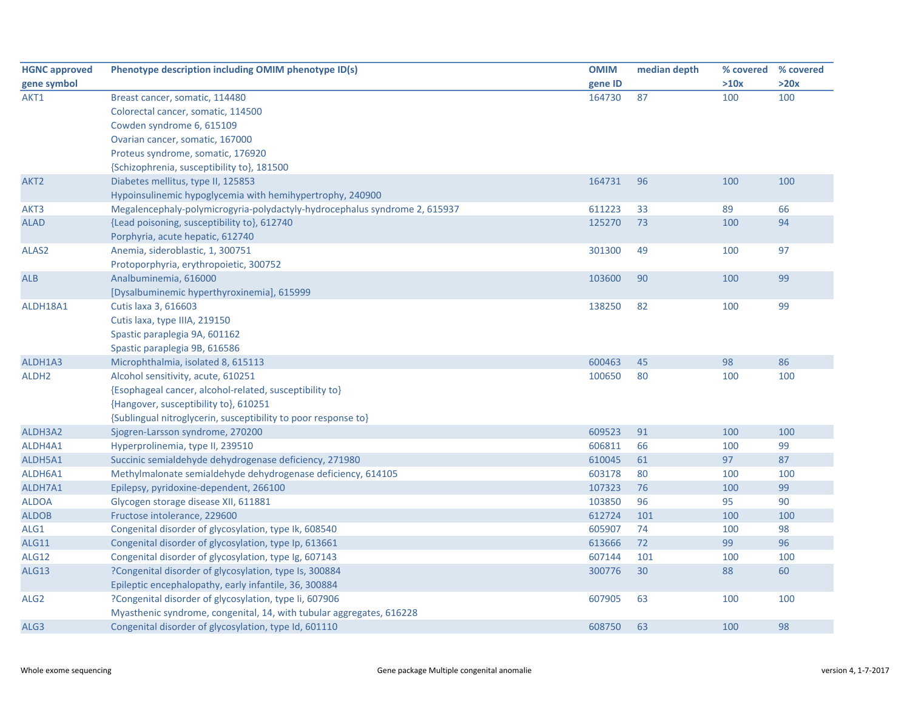| <b>HGNC approved</b> | Phenotype description including OMIM phenotype ID(s)                       | <b>OMIM</b> | median depth | % covered | % covered |
|----------------------|----------------------------------------------------------------------------|-------------|--------------|-----------|-----------|
| gene symbol          |                                                                            | gene ID     |              | >10x      | >20x      |
| AKT1                 | Breast cancer, somatic, 114480                                             | 164730      | 87           | 100       | 100       |
|                      | Colorectal cancer, somatic, 114500                                         |             |              |           |           |
|                      | Cowden syndrome 6, 615109                                                  |             |              |           |           |
|                      | Ovarian cancer, somatic, 167000                                            |             |              |           |           |
|                      | Proteus syndrome, somatic, 176920                                          |             |              |           |           |
|                      | {Schizophrenia, susceptibility to}, 181500                                 |             |              |           |           |
| AKT <sub>2</sub>     | Diabetes mellitus, type II, 125853                                         | 164731      | 96           | 100       | 100       |
|                      | Hypoinsulinemic hypoglycemia with hemihypertrophy, 240900                  |             |              |           |           |
| AKT3                 | Megalencephaly-polymicrogyria-polydactyly-hydrocephalus syndrome 2, 615937 | 611223      | 33           | 89        | 66        |
| <b>ALAD</b>          | {Lead poisoning, susceptibility to}, 612740                                | 125270      | 73           | 100       | 94        |
|                      | Porphyria, acute hepatic, 612740                                           |             |              |           |           |
| ALAS2                | Anemia, sideroblastic, 1, 300751                                           | 301300      | 49           | 100       | 97        |
|                      | Protoporphyria, erythropoietic, 300752                                     |             |              |           |           |
| <b>ALB</b>           | Analbuminemia, 616000                                                      | 103600      | 90           | 100       | 99        |
|                      | [Dysalbuminemic hyperthyroxinemia], 615999                                 |             |              |           |           |
| ALDH18A1             | Cutis laxa 3, 616603                                                       | 138250      | 82           | 100       | 99        |
|                      | Cutis laxa, type IIIA, 219150                                              |             |              |           |           |
|                      | Spastic paraplegia 9A, 601162                                              |             |              |           |           |
|                      | Spastic paraplegia 9B, 616586                                              |             |              |           |           |
| ALDH1A3              | Microphthalmia, isolated 8, 615113                                         | 600463      | 45           | 98        | 86        |
| ALDH <sub>2</sub>    | Alcohol sensitivity, acute, 610251                                         | 100650      | 80           | 100       | 100       |
|                      | {Esophageal cancer, alcohol-related, susceptibility to}                    |             |              |           |           |
|                      | {Hangover, susceptibility to}, 610251                                      |             |              |           |           |
|                      | {Sublingual nitroglycerin, susceptibility to poor response to}             |             |              |           |           |
| ALDH3A2              | Sjogren-Larsson syndrome, 270200                                           | 609523      | 91           | 100       | 100       |
| ALDH4A1              | Hyperprolinemia, type II, 239510                                           | 606811      | 66           | 100       | 99        |
| ALDH5A1              | Succinic semialdehyde dehydrogenase deficiency, 271980                     | 610045      | 61           | 97        | 87        |
| ALDH6A1              | Methylmalonate semialdehyde dehydrogenase deficiency, 614105               | 603178      | 80           | 100       | 100       |
| ALDH7A1              | Epilepsy, pyridoxine-dependent, 266100                                     | 107323      | 76           | 100       | 99        |
| <b>ALDOA</b>         | Glycogen storage disease XII, 611881                                       | 103850      | 96           | 95        | 90        |
| <b>ALDOB</b>         | Fructose intolerance, 229600                                               | 612724      | 101          | 100       | 100       |
| ALG1                 | Congenital disorder of glycosylation, type Ik, 608540                      | 605907      | 74           | 100       | 98        |
| ALG11                | Congenital disorder of glycosylation, type Ip, 613661                      | 613666      | 72           | 99        | 96        |
| <b>ALG12</b>         | Congenital disorder of glycosylation, type Ig, 607143                      | 607144      | 101          | 100       | 100       |
| ALG13                | ?Congenital disorder of glycosylation, type Is, 300884                     | 300776      | 30           | 88        | 60        |
|                      | Epileptic encephalopathy, early infantile, 36, 300884                      |             |              |           |           |
| ALG <sub>2</sub>     | ?Congenital disorder of glycosylation, type Ii, 607906                     | 607905      | 63           | 100       | 100       |
|                      | Myasthenic syndrome, congenital, 14, with tubular aggregates, 616228       |             |              |           |           |
| ALG3                 | Congenital disorder of glycosylation, type Id, 601110                      | 608750      | 63           | 100       | 98        |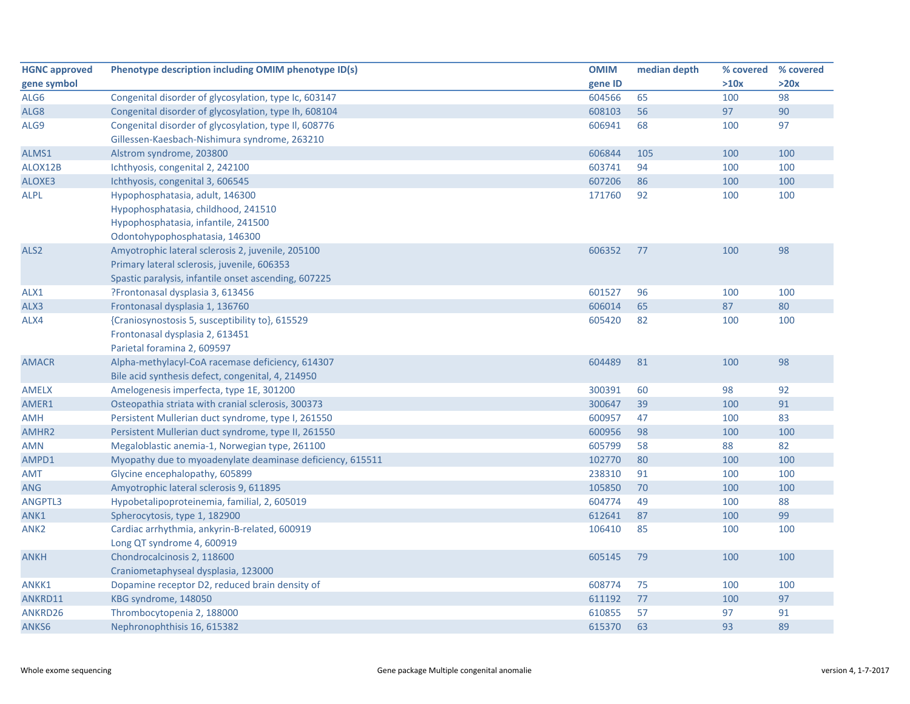| <b>HGNC approved</b> | Phenotype description including OMIM phenotype ID(s)      | <b>OMIM</b> | median depth | % covered % covered |      |
|----------------------|-----------------------------------------------------------|-------------|--------------|---------------------|------|
| gene symbol          |                                                           | gene ID     |              | >10x                | >20x |
| ALG6                 | Congenital disorder of glycosylation, type Ic, 603147     | 604566      | 65           | 100                 | 98   |
| ALG8                 | Congenital disorder of glycosylation, type Ih, 608104     | 608103      | 56           | 97                  | 90   |
| ALG9                 | Congenital disorder of glycosylation, type II, 608776     | 606941      | 68           | 100                 | 97   |
|                      | Gillessen-Kaesbach-Nishimura syndrome, 263210             |             |              |                     |      |
| ALMS1                | Alstrom syndrome, 203800                                  | 606844      | 105          | 100                 | 100  |
| ALOX12B              | Ichthyosis, congenital 2, 242100                          | 603741      | 94           | 100                 | 100  |
| ALOXE3               | Ichthyosis, congenital 3, 606545                          | 607206      | 86           | 100                 | 100  |
| <b>ALPL</b>          | Hypophosphatasia, adult, 146300                           | 171760      | 92           | 100                 | 100  |
|                      | Hypophosphatasia, childhood, 241510                       |             |              |                     |      |
|                      | Hypophosphatasia, infantile, 241500                       |             |              |                     |      |
|                      | Odontohypophosphatasia, 146300                            |             |              |                     |      |
| ALS <sub>2</sub>     | Amyotrophic lateral sclerosis 2, juvenile, 205100         | 606352      | 77           | 100                 | 98   |
|                      | Primary lateral sclerosis, juvenile, 606353               |             |              |                     |      |
|                      | Spastic paralysis, infantile onset ascending, 607225      |             |              |                     |      |
| ALX1                 | ?Frontonasal dysplasia 3, 613456                          | 601527      | 96           | 100                 | 100  |
| ALX3                 | Frontonasal dysplasia 1, 136760                           | 606014      | 65           | 87                  | 80   |
| ALX4                 | {Craniosynostosis 5, susceptibility to}, 615529           | 605420      | 82           | 100                 | 100  |
|                      | Frontonasal dysplasia 2, 613451                           |             |              |                     |      |
|                      | Parietal foramina 2, 609597                               |             |              |                     |      |
| <b>AMACR</b>         | Alpha-methylacyl-CoA racemase deficiency, 614307          | 604489      | 81           | 100                 | 98   |
|                      | Bile acid synthesis defect, congenital, 4, 214950         |             |              |                     |      |
| <b>AMELX</b>         | Amelogenesis imperfecta, type 1E, 301200                  | 300391      | 60           | 98                  | 92   |
| AMER1                | Osteopathia striata with cranial sclerosis, 300373        | 300647      | 39           | 100                 | 91   |
| AMH                  | Persistent Mullerian duct syndrome, type I, 261550        | 600957      | 47           | 100                 | 83   |
| AMHR2                | Persistent Mullerian duct syndrome, type II, 261550       | 600956      | 98           | 100                 | 100  |
| AMN                  | Megaloblastic anemia-1, Norwegian type, 261100            | 605799      | 58           | 88                  | 82   |
| AMPD1                | Myopathy due to myoadenylate deaminase deficiency, 615511 | 102770      | 80           | 100                 | 100  |
| <b>AMT</b>           | Glycine encephalopathy, 605899                            | 238310      | 91           | 100                 | 100  |
| ANG                  | Amyotrophic lateral sclerosis 9, 611895                   | 105850      | 70           | 100                 | 100  |
| ANGPTL3              | Hypobetalipoproteinemia, familial, 2, 605019              | 604774      | 49           | 100                 | 88   |
| ANK1                 | Spherocytosis, type 1, 182900                             | 612641      | 87           | 100                 | 99   |
| ANK <sub>2</sub>     | Cardiac arrhythmia, ankyrin-B-related, 600919             | 106410      | 85           | 100                 | 100  |
|                      | Long QT syndrome 4, 600919                                |             |              |                     |      |
| <b>ANKH</b>          | Chondrocalcinosis 2, 118600                               | 605145      | 79           | 100                 | 100  |
|                      | Craniometaphyseal dysplasia, 123000                       |             |              |                     |      |
| ANKK1                | Dopamine receptor D2, reduced brain density of            | 608774      | 75           | 100                 | 100  |
| ANKRD11              | KBG syndrome, 148050                                      | 611192      | 77           | 100                 | 97   |
| ANKRD26              | Thrombocytopenia 2, 188000                                | 610855      | 57           | 97                  | 91   |
| ANKS6                | Nephronophthisis 16, 615382                               | 615370      | 63           | 93                  | 89   |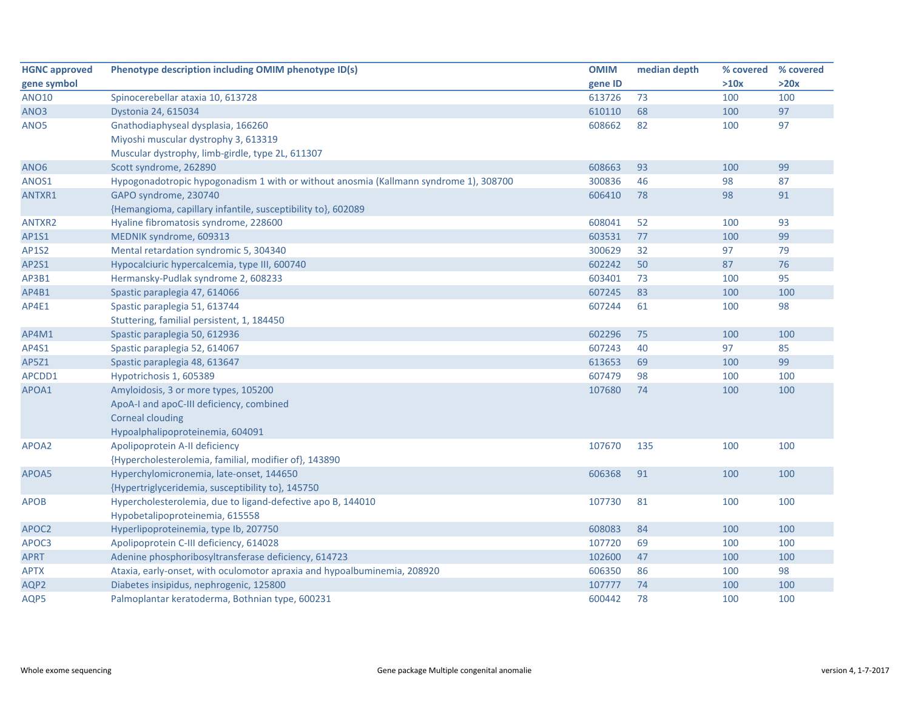| <b>HGNC approved</b> | Phenotype description including OMIM phenotype ID(s)                                  | <b>OMIM</b> | median depth | % covered | % covered |
|----------------------|---------------------------------------------------------------------------------------|-------------|--------------|-----------|-----------|
| gene symbol          |                                                                                       | gene ID     |              | >10x      | >20x      |
| <b>ANO10</b>         | Spinocerebellar ataxia 10, 613728                                                     | 613726      | 73           | 100       | 100       |
| ANO <sub>3</sub>     | Dystonia 24, 615034                                                                   | 610110      | 68           | 100       | 97        |
| ANO5                 | Gnathodiaphyseal dysplasia, 166260                                                    | 608662      | 82           | 100       | 97        |
|                      | Miyoshi muscular dystrophy 3, 613319                                                  |             |              |           |           |
|                      | Muscular dystrophy, limb-girdle, type 2L, 611307                                      |             |              |           |           |
| ANO <sub>6</sub>     | Scott syndrome, 262890                                                                | 608663      | 93           | 100       | 99        |
| ANOS1                | Hypogonadotropic hypogonadism 1 with or without anosmia (Kallmann syndrome 1), 308700 | 300836      | 46           | 98        | 87        |
| ANTXR1               | GAPO syndrome, 230740                                                                 | 606410      | 78           | 98        | 91        |
|                      | {Hemangioma, capillary infantile, susceptibility to}, 602089                          |             |              |           |           |
| ANTXR2               | Hyaline fibromatosis syndrome, 228600                                                 | 608041      | 52           | 100       | 93        |
| AP1S1                | MEDNIK syndrome, 609313                                                               | 603531      | 77           | 100       | 99        |
| <b>AP1S2</b>         | Mental retardation syndromic 5, 304340                                                | 300629      | 32           | 97        | 79        |
| AP2S1                | Hypocalciuric hypercalcemia, type III, 600740                                         | 602242      | 50           | 87        | 76        |
| AP3B1                | Hermansky-Pudlak syndrome 2, 608233                                                   | 603401      | 73           | 100       | 95        |
| AP4B1                | Spastic paraplegia 47, 614066                                                         | 607245      | 83           | 100       | 100       |
| AP4E1                | Spastic paraplegia 51, 613744                                                         | 607244      | 61           | 100       | 98        |
|                      | Stuttering, familial persistent, 1, 184450                                            |             |              |           |           |
| AP4M1                | Spastic paraplegia 50, 612936                                                         | 602296      | 75           | 100       | 100       |
| AP4S1                | Spastic paraplegia 52, 614067                                                         | 607243      | 40           | 97        | 85        |
| AP5Z1                | Spastic paraplegia 48, 613647                                                         | 613653      | 69           | 100       | 99        |
| APCDD1               | Hypotrichosis 1, 605389                                                               | 607479      | 98           | 100       | 100       |
| APOA1                | Amyloidosis, 3 or more types, 105200                                                  | 107680      | 74           | 100       | 100       |
|                      | ApoA-I and apoC-III deficiency, combined                                              |             |              |           |           |
|                      | <b>Corneal clouding</b>                                                               |             |              |           |           |
|                      | Hypoalphalipoproteinemia, 604091                                                      |             |              |           |           |
| APOA2                | Apolipoprotein A-II deficiency                                                        | 107670      | 135          | 100       | 100       |
|                      | {Hypercholesterolemia, familial, modifier of}, 143890                                 |             |              |           |           |
| APOA5                | Hyperchylomicronemia, late-onset, 144650                                              | 606368      | 91           | 100       | 100       |
|                      | {Hypertriglyceridemia, susceptibility to}, 145750                                     |             |              |           |           |
| <b>APOB</b>          | Hypercholesterolemia, due to ligand-defective apo B, 144010                           | 107730      | 81           | 100       | 100       |
|                      | Hypobetalipoproteinemia, 615558                                                       |             |              |           |           |
| APOC2                | Hyperlipoproteinemia, type Ib, 207750                                                 | 608083      | 84           | 100       | 100       |
| APOC3                | Apolipoprotein C-III deficiency, 614028                                               | 107720      | 69           | 100       | 100       |
| <b>APRT</b>          | Adenine phosphoribosyltransferase deficiency, 614723                                  | 102600      | 47           | 100       | 100       |
| <b>APTX</b>          | Ataxia, early-onset, with oculomotor apraxia and hypoalbuminemia, 208920              | 606350      | 86           | 100       | 98        |
| AQP2                 | Diabetes insipidus, nephrogenic, 125800                                               | 107777      | 74           | 100       | 100       |
| AQP5                 | Palmoplantar keratoderma, Bothnian type, 600231                                       | 600442      | 78           | 100       | 100       |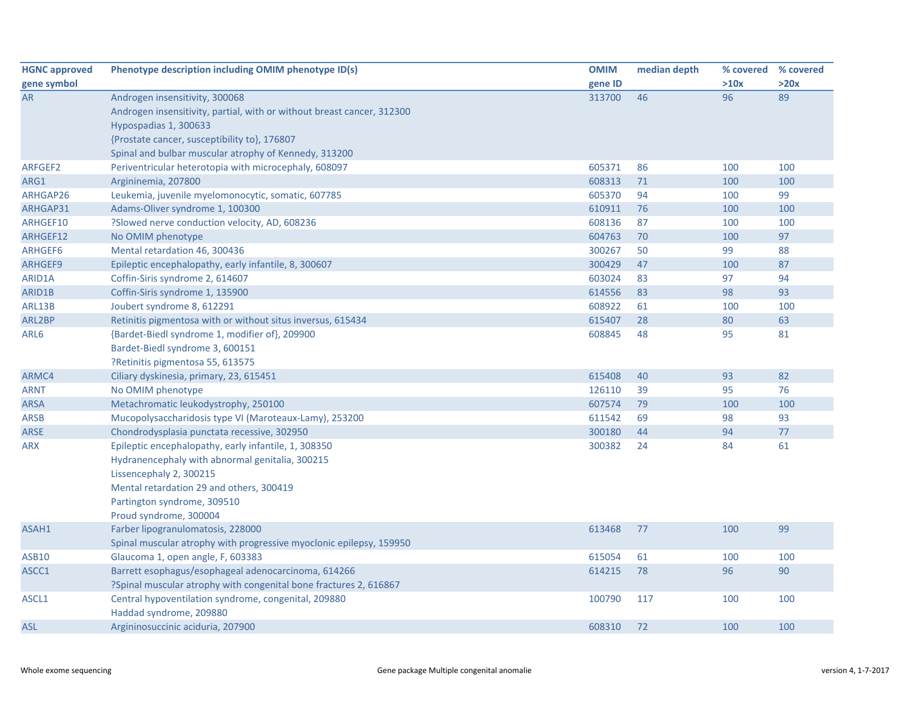| <b>HGNC approved</b> | Phenotype description including OMIM phenotype ID(s)                   | <b>OMIM</b> | median depth | % covered | % covered |
|----------------------|------------------------------------------------------------------------|-------------|--------------|-----------|-----------|
| gene symbol          |                                                                        | gene ID     |              | >10x      | >20x      |
| <b>AR</b>            | Androgen insensitivity, 300068                                         | 313700      | 46           | 96        | 89        |
|                      | Androgen insensitivity, partial, with or without breast cancer, 312300 |             |              |           |           |
|                      | Hypospadias 1, 300633                                                  |             |              |           |           |
|                      | {Prostate cancer, susceptibility to}, 176807                           |             |              |           |           |
|                      | Spinal and bulbar muscular atrophy of Kennedy, 313200                  |             |              |           |           |
| ARFGEF2              | Periventricular heterotopia with microcephaly, 608097                  | 605371      | 86           | 100       | 100       |
| ARG1                 | Argininemia, 207800                                                    | 608313      | 71           | 100       | 100       |
| ARHGAP26             | Leukemia, juvenile myelomonocytic, somatic, 607785                     | 605370      | 94           | 100       | 99        |
| ARHGAP31             | Adams-Oliver syndrome 1, 100300                                        | 610911      | 76           | 100       | 100       |
| ARHGEF10             | ?Slowed nerve conduction velocity, AD, 608236                          | 608136      | 87           | 100       | 100       |
| ARHGEF12             | No OMIM phenotype                                                      | 604763      | 70           | 100       | 97        |
| ARHGEF6              | Mental retardation 46, 300436                                          | 300267      | 50           | 99        | 88        |
| ARHGEF9              | Epileptic encephalopathy, early infantile, 8, 300607                   | 300429      | 47           | 100       | 87        |
| ARID1A               | Coffin-Siris syndrome 2, 614607                                        | 603024      | 83           | 97        | 94        |
| ARID1B               | Coffin-Siris syndrome 1, 135900                                        | 614556      | 83           | 98        | 93        |
| ARL13B               | Joubert syndrome 8, 612291                                             | 608922      | 61           | 100       | 100       |
| ARL2BP               | Retinitis pigmentosa with or without situs inversus, 615434            | 615407      | 28           | 80        | 63        |
| ARL6                 | {Bardet-Biedl syndrome 1, modifier of}, 209900                         | 608845      | 48           | 95        | 81        |
|                      | Bardet-Biedl syndrome 3, 600151                                        |             |              |           |           |
|                      | ?Retinitis pigmentosa 55, 613575                                       |             |              |           |           |
| ARMC4                | Ciliary dyskinesia, primary, 23, 615451                                | 615408      | 40           | 93        | 82        |
| <b>ARNT</b>          | No OMIM phenotype                                                      | 126110      | 39           | 95        | 76        |
| <b>ARSA</b>          | Metachromatic leukodystrophy, 250100                                   | 607574      | 79           | 100       | 100       |
| <b>ARSB</b>          | Mucopolysaccharidosis type VI (Maroteaux-Lamy), 253200                 | 611542      | 69           | 98        | 93        |
| <b>ARSE</b>          | Chondrodysplasia punctata recessive, 302950                            | 300180      | 44           | 94        | 77        |
| ARX                  | Epileptic encephalopathy, early infantile, 1, 308350                   | 300382      | 24           | 84        | 61        |
|                      | Hydranencephaly with abnormal genitalia, 300215                        |             |              |           |           |
|                      | Lissencephaly 2, 300215                                                |             |              |           |           |
|                      | Mental retardation 29 and others, 300419                               |             |              |           |           |
|                      | Partington syndrome, 309510                                            |             |              |           |           |
|                      | Proud syndrome, 300004                                                 |             |              |           |           |
| ASAH1                | Farber lipogranulomatosis, 228000                                      | 613468      | 77           | 100       | 99        |
|                      | Spinal muscular atrophy with progressive myoclonic epilepsy, 159950    |             |              |           |           |
| <b>ASB10</b>         | Glaucoma 1, open angle, F, 603383                                      | 615054      | 61           | 100       | 100       |
| ASCC1                | Barrett esophagus/esophageal adenocarcinoma, 614266                    | 614215      | 78           | 96        | 90        |
|                      | ?Spinal muscular atrophy with congenital bone fractures 2, 616867      |             |              |           |           |
| ASCL1                | Central hypoventilation syndrome, congenital, 209880                   | 100790      | 117          | 100       | 100       |
|                      | Haddad syndrome, 209880                                                |             |              |           |           |
| <b>ASL</b>           | Argininosuccinic aciduria, 207900                                      | 608310      | 72           | 100       | 100       |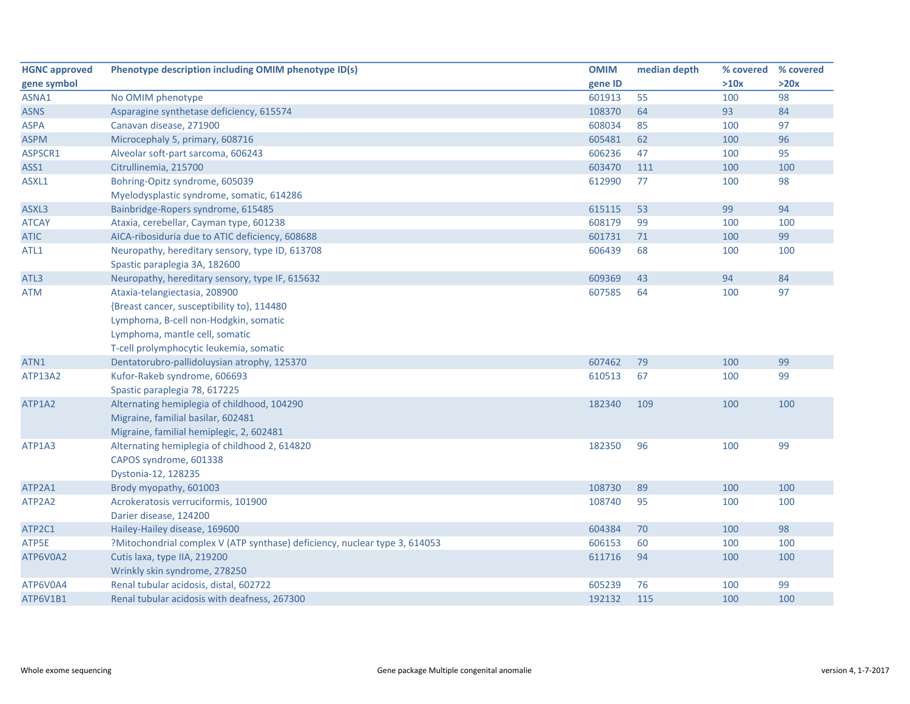| <b>HGNC approved</b> | Phenotype description including OMIM phenotype ID(s)                       | <b>OMIM</b> | median depth | % covered | % covered |
|----------------------|----------------------------------------------------------------------------|-------------|--------------|-----------|-----------|
| gene symbol          |                                                                            | gene ID     |              | >10x      | >20x      |
| ASNA1                | No OMIM phenotype                                                          | 601913      | 55           | 100       | 98        |
| <b>ASNS</b>          | Asparagine synthetase deficiency, 615574                                   | 108370      | 64           | 93        | 84        |
| <b>ASPA</b>          | Canavan disease, 271900                                                    | 608034      | 85           | 100       | 97        |
| <b>ASPM</b>          | Microcephaly 5, primary, 608716                                            | 605481      | 62           | 100       | 96        |
| ASPSCR1              | Alveolar soft-part sarcoma, 606243                                         | 606236      | 47           | 100       | 95        |
| ASS1                 | Citrullinemia, 215700                                                      | 603470      | 111          | 100       | 100       |
| ASXL1                | Bohring-Opitz syndrome, 605039                                             | 612990      | 77           | 100       | 98        |
|                      | Myelodysplastic syndrome, somatic, 614286                                  |             |              |           |           |
| ASXL3                | Bainbridge-Ropers syndrome, 615485                                         | 615115      | 53           | 99        | 94        |
| <b>ATCAY</b>         | Ataxia, cerebellar, Cayman type, 601238                                    | 608179      | 99           | 100       | 100       |
| <b>ATIC</b>          | AICA-ribosiduria due to ATIC deficiency, 608688                            | 601731      | 71           | 100       | 99        |
| ATL1                 | Neuropathy, hereditary sensory, type ID, 613708                            | 606439      | 68           | 100       | 100       |
|                      | Spastic paraplegia 3A, 182600                                              |             |              |           |           |
| ATL3                 | Neuropathy, hereditary sensory, type IF, 615632                            | 609369      | 43           | 94        | 84        |
| <b>ATM</b>           | Ataxia-telangiectasia, 208900                                              | 607585      | 64           | 100       | 97        |
|                      | {Breast cancer, susceptibility to}, 114480                                 |             |              |           |           |
|                      | Lymphoma, B-cell non-Hodgkin, somatic                                      |             |              |           |           |
|                      | Lymphoma, mantle cell, somatic                                             |             |              |           |           |
|                      | T-cell prolymphocytic leukemia, somatic                                    |             |              |           |           |
| ATN1                 | Dentatorubro-pallidoluysian atrophy, 125370                                | 607462      | 79           | 100       | 99        |
| <b>ATP13A2</b>       | Kufor-Rakeb syndrome, 606693                                               | 610513      | 67           | 100       | 99        |
|                      | Spastic paraplegia 78, 617225                                              |             |              |           |           |
| ATP1A2               | Alternating hemiplegia of childhood, 104290                                | 182340      | 109          | 100       | 100       |
|                      | Migraine, familial basilar, 602481                                         |             |              |           |           |
|                      | Migraine, familial hemiplegic, 2, 602481                                   |             |              |           |           |
| ATP1A3               | Alternating hemiplegia of childhood 2, 614820                              | 182350      | 96           | 100       | 99        |
|                      | CAPOS syndrome, 601338                                                     |             |              |           |           |
|                      | Dystonia-12, 128235                                                        |             |              |           |           |
| ATP2A1               | Brody myopathy, 601003                                                     | 108730      | 89           | 100       | 100       |
| ATP2A2               | Acrokeratosis verruciformis, 101900                                        | 108740      | 95           | 100       | 100       |
|                      | Darier disease, 124200                                                     |             |              |           |           |
| ATP2C1               | Hailey-Hailey disease, 169600                                              | 604384      | 70           | 100       | 98        |
| ATP5E                | ?Mitochondrial complex V (ATP synthase) deficiency, nuclear type 3, 614053 | 606153      | 60           | 100       | 100       |
| ATP6V0A2             | Cutis laxa, type IIA, 219200                                               | 611716      | 94           | 100       | 100       |
|                      | Wrinkly skin syndrome, 278250                                              |             |              |           |           |
| ATP6V0A4             | Renal tubular acidosis, distal, 602722                                     | 605239      | 76           | 100       | 99        |
| <b>ATP6V1B1</b>      | Renal tubular acidosis with deafness, 267300                               | 192132      | 115          | 100       | 100       |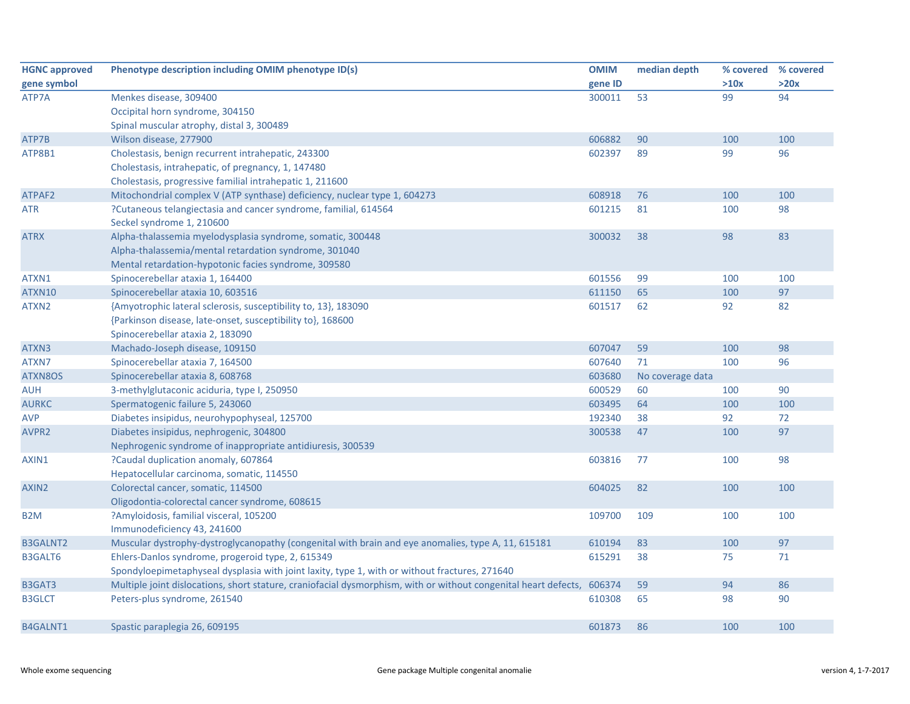| <b>HGNC approved</b> | Phenotype description including OMIM phenotype ID(s)                                                            | <b>OMIM</b> | median depth     | % covered | % covered |
|----------------------|-----------------------------------------------------------------------------------------------------------------|-------------|------------------|-----------|-----------|
| gene symbol          |                                                                                                                 | gene ID     |                  | >10x      | >20x      |
| ATP7A                | Menkes disease, 309400                                                                                          | 300011      | 53               | 99        | 94        |
|                      | Occipital horn syndrome, 304150                                                                                 |             |                  |           |           |
|                      | Spinal muscular atrophy, distal 3, 300489                                                                       |             |                  |           |           |
| ATP7B                | Wilson disease, 277900                                                                                          | 606882      | 90               | 100       | 100       |
| ATP8B1               | Cholestasis, benign recurrent intrahepatic, 243300                                                              | 602397      | 89               | 99        | 96        |
|                      | Cholestasis, intrahepatic, of pregnancy, 1, 147480                                                              |             |                  |           |           |
|                      | Cholestasis, progressive familial intrahepatic 1, 211600                                                        |             |                  |           |           |
| ATPAF2               | Mitochondrial complex V (ATP synthase) deficiency, nuclear type 1, 604273                                       | 608918      | 76               | 100       | 100       |
| <b>ATR</b>           | ?Cutaneous telangiectasia and cancer syndrome, familial, 614564                                                 | 601215      | 81               | 100       | 98        |
|                      | Seckel syndrome 1, 210600                                                                                       |             |                  |           |           |
| <b>ATRX</b>          | Alpha-thalassemia myelodysplasia syndrome, somatic, 300448                                                      | 300032      | 38               | 98        | 83        |
|                      | Alpha-thalassemia/mental retardation syndrome, 301040                                                           |             |                  |           |           |
|                      | Mental retardation-hypotonic facies syndrome, 309580                                                            |             |                  |           |           |
| ATXN1                | Spinocerebellar ataxia 1, 164400                                                                                | 601556      | 99               | 100       | 100       |
| ATXN10               | Spinocerebellar ataxia 10, 603516                                                                               | 611150      | 65               | 100       | 97        |
| ATXN2                | {Amyotrophic lateral sclerosis, susceptibility to, 13}, 183090                                                  | 601517      | 62               | 92        | 82        |
|                      | {Parkinson disease, late-onset, susceptibility to}, 168600                                                      |             |                  |           |           |
|                      | Spinocerebellar ataxia 2, 183090                                                                                |             |                  |           |           |
| ATXN3                | Machado-Joseph disease, 109150                                                                                  | 607047      | 59               | 100       | 98        |
| ATXN7                | Spinocerebellar ataxia 7, 164500                                                                                | 607640      | 71               | 100       | 96        |
| ATXN8OS              | Spinocerebellar ataxia 8, 608768                                                                                | 603680      | No coverage data |           |           |
| AUH                  | 3-methylglutaconic aciduria, type I, 250950                                                                     | 600529      | 60               | 100       | 90        |
| <b>AURKC</b>         | Spermatogenic failure 5, 243060                                                                                 | 603495      | 64               | 100       | 100       |
| <b>AVP</b>           | Diabetes insipidus, neurohypophyseal, 125700                                                                    | 192340      | 38               | 92        | 72        |
| AVPR2                | Diabetes insipidus, nephrogenic, 304800                                                                         | 300538      | 47               | 100       | 97        |
|                      | Nephrogenic syndrome of inappropriate antidiuresis, 300539                                                      |             |                  |           |           |
| AXIN1                | ?Caudal duplication anomaly, 607864                                                                             | 603816      | 77               | 100       | 98        |
|                      | Hepatocellular carcinoma, somatic, 114550                                                                       |             |                  |           |           |
| AXIN <sub>2</sub>    | Colorectal cancer, somatic, 114500                                                                              | 604025      | 82               | 100       | 100       |
|                      | Oligodontia-colorectal cancer syndrome, 608615                                                                  |             |                  |           |           |
| B <sub>2</sub> M     | ?Amyloidosis, familial visceral, 105200                                                                         | 109700      | 109              | 100       | 100       |
|                      | Immunodeficiency 43, 241600                                                                                     |             |                  |           |           |
| <b>B3GALNT2</b>      | Muscular dystrophy-dystroglycanopathy (congenital with brain and eye anomalies, type A, 11, 615181              | 610194      | 83               | 100       | 97        |
| <b>B3GALT6</b>       | Ehlers-Danlos syndrome, progeroid type, 2, 615349                                                               | 615291      | 38               | 75        | 71        |
|                      | Spondyloepimetaphyseal dysplasia with joint laxity, type 1, with or without fractures, 271640                   |             |                  |           |           |
| B3GAT3               | Multiple joint dislocations, short stature, craniofacial dysmorphism, with or without congenital heart defects, | 606374      | 59               | 94        | 86        |
| <b>B3GLCT</b>        | Peters-plus syndrome, 261540                                                                                    | 610308      | 65               | 98        | 90        |
| B4GALNT1             | Spastic paraplegia 26, 609195                                                                                   | 601873      | 86               | 100       | 100       |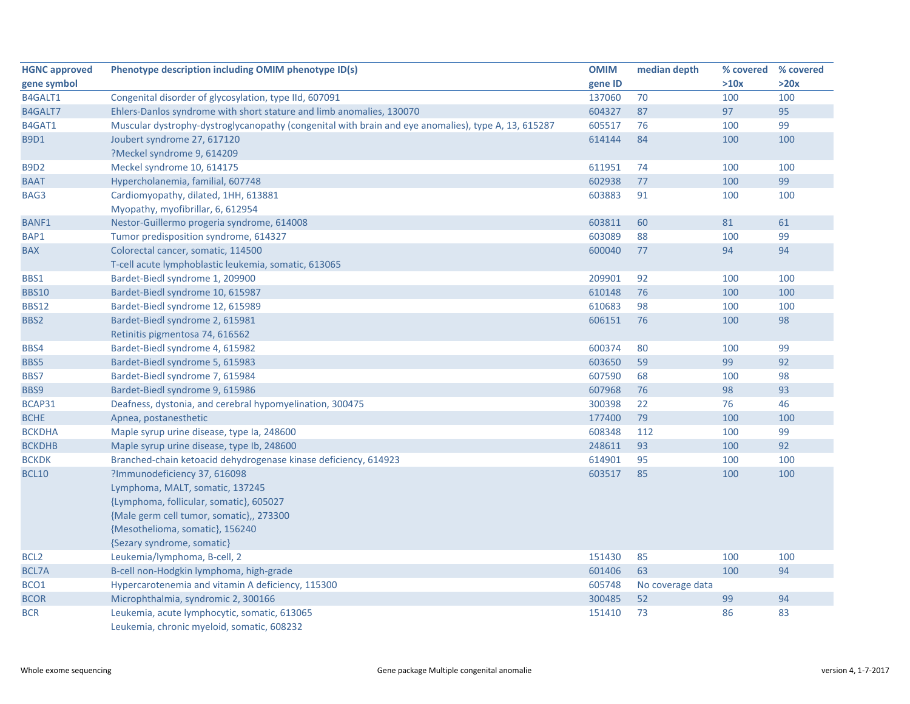| <b>HGNC approved</b> | Phenotype description including OMIM phenotype ID(s)                                                | <b>OMIM</b> | median depth     | % covered | % covered |
|----------------------|-----------------------------------------------------------------------------------------------------|-------------|------------------|-----------|-----------|
| gene symbol          |                                                                                                     | gene ID     |                  | >10x      | >20x      |
| B4GALT1              | Congenital disorder of glycosylation, type IId, 607091                                              | 137060      | 70               | 100       | 100       |
| B4GALT7              | Ehlers-Danlos syndrome with short stature and limb anomalies, 130070                                | 604327      | 87               | 97        | 95        |
| B4GAT1               | Muscular dystrophy-dystroglycanopathy (congenital with brain and eye anomalies), type A, 13, 615287 | 605517      | 76               | 100       | 99        |
| <b>B9D1</b>          | Joubert syndrome 27, 617120                                                                         | 614144      | 84               | 100       | 100       |
|                      | ?Meckel syndrome 9, 614209                                                                          |             |                  |           |           |
| <b>B9D2</b>          | Meckel syndrome 10, 614175                                                                          | 611951      | 74               | 100       | 100       |
| <b>BAAT</b>          | Hypercholanemia, familial, 607748                                                                   | 602938      | 77               | 100       | 99        |
| BAG3                 | Cardiomyopathy, dilated, 1HH, 613881                                                                | 603883      | 91               | 100       | 100       |
|                      | Myopathy, myofibrillar, 6, 612954                                                                   |             |                  |           |           |
| <b>BANF1</b>         | Nestor-Guillermo progeria syndrome, 614008                                                          | 603811      | 60               | 81        | 61        |
| BAP1                 | Tumor predisposition syndrome, 614327                                                               | 603089      | 88               | 100       | 99        |
| <b>BAX</b>           | Colorectal cancer, somatic, 114500                                                                  | 600040      | 77               | 94        | 94        |
|                      | T-cell acute lymphoblastic leukemia, somatic, 613065                                                |             |                  |           |           |
| BBS1                 | Bardet-Biedl syndrome 1, 209900                                                                     | 209901      | 92               | 100       | 100       |
| <b>BBS10</b>         | Bardet-Biedl syndrome 10, 615987                                                                    | 610148      | 76               | 100       | 100       |
| <b>BBS12</b>         | Bardet-Biedl syndrome 12, 615989                                                                    | 610683      | 98               | 100       | 100       |
| BBS2                 | Bardet-Biedl syndrome 2, 615981                                                                     | 606151      | 76               | 100       | 98        |
|                      | Retinitis pigmentosa 74, 616562                                                                     |             |                  |           |           |
| BBS4                 | Bardet-Biedl syndrome 4, 615982                                                                     | 600374      | 80               | 100       | 99        |
| <b>BBS5</b>          | Bardet-Biedl syndrome 5, 615983                                                                     | 603650      | 59               | 99        | 92        |
| BBS7                 | Bardet-Biedl syndrome 7, 615984                                                                     | 607590      | 68               | 100       | 98        |
| BBS9                 | Bardet-Biedl syndrome 9, 615986                                                                     | 607968      | 76               | 98        | 93        |
| BCAP31               | Deafness, dystonia, and cerebral hypomyelination, 300475                                            | 300398      | 22               | 76        | 46        |
| <b>BCHE</b>          | Apnea, postanesthetic                                                                               | 177400      | 79               | 100       | 100       |
| <b>BCKDHA</b>        | Maple syrup urine disease, type Ia, 248600                                                          | 608348      | 112              | 100       | 99        |
| <b>BCKDHB</b>        | Maple syrup urine disease, type lb, 248600                                                          | 248611      | 93               | 100       | 92        |
| <b>BCKDK</b>         | Branched-chain ketoacid dehydrogenase kinase deficiency, 614923                                     | 614901      | 95               | 100       | 100       |
| <b>BCL10</b>         | ?Immunodeficiency 37, 616098                                                                        | 603517      | 85               | 100       | 100       |
|                      | Lymphoma, MALT, somatic, 137245                                                                     |             |                  |           |           |
|                      | {Lymphoma, follicular, somatic}, 605027                                                             |             |                  |           |           |
|                      | {Male germ cell tumor, somatic},, 273300                                                            |             |                  |           |           |
|                      | {Mesothelioma, somatic}, 156240                                                                     |             |                  |           |           |
|                      | {Sezary syndrome, somatic}                                                                          |             |                  |           |           |
| BCL <sub>2</sub>     | Leukemia/lymphoma, B-cell, 2                                                                        | 151430      | 85               | 100       | 100       |
| <b>BCL7A</b>         | B-cell non-Hodgkin lymphoma, high-grade                                                             | 601406      | 63               | 100       | 94        |
| BCO1                 | Hypercarotenemia and vitamin A deficiency, 115300                                                   | 605748      | No coverage data |           |           |
| <b>BCOR</b>          | Microphthalmia, syndromic 2, 300166                                                                 | 300485      | 52               | 99        | 94        |
| <b>BCR</b>           | Leukemia, acute lymphocytic, somatic, 613065                                                        | 151410      | 73               | 86        | 83        |
|                      | Leukemia, chronic myeloid, somatic, 608232                                                          |             |                  |           |           |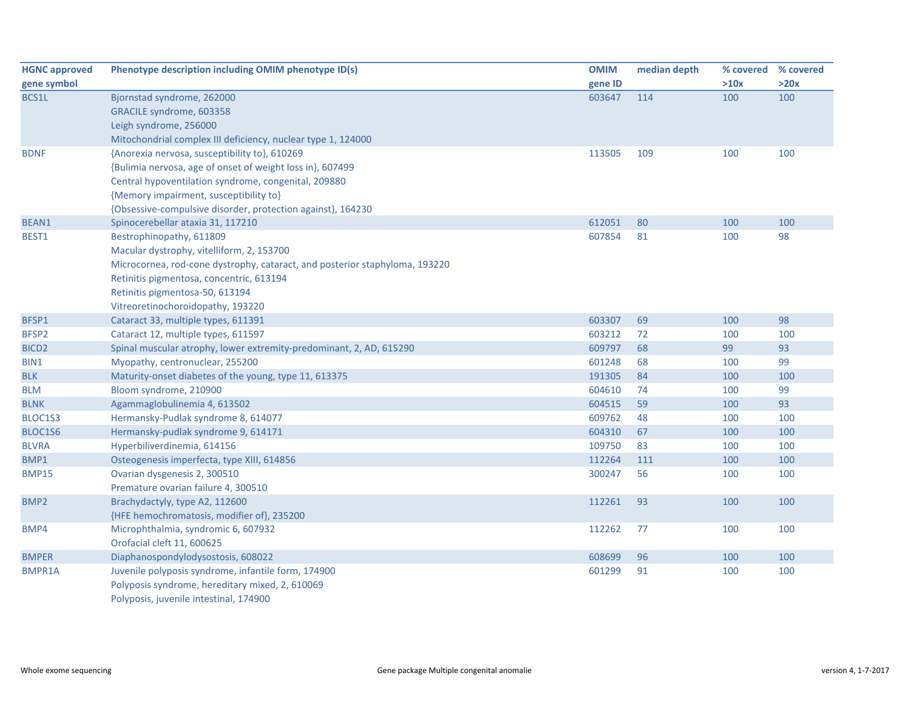| <b>HGNC approved</b> | Phenotype description including OMIM phenotype ID(s)                        | <b>OMIM</b> | median depth | % covered | % covered |
|----------------------|-----------------------------------------------------------------------------|-------------|--------------|-----------|-----------|
| gene symbol          |                                                                             | gene ID     |              | >10x      | >20x      |
| BCS1L                | Bjornstad syndrome, 262000                                                  | 603647      | 114          | 100       | 100       |
|                      | GRACILE syndrome, 603358                                                    |             |              |           |           |
|                      | Leigh syndrome, 256000                                                      |             |              |           |           |
|                      | Mitochondrial complex III deficiency, nuclear type 1, 124000                |             |              |           |           |
| <b>BDNF</b>          | {Anorexia nervosa, susceptibility to}, 610269                               | 113505      | 109          | 100       | 100       |
|                      | {Bulimia nervosa, age of onset of weight loss in}, 607499                   |             |              |           |           |
|                      | Central hypoventilation syndrome, congenital, 209880                        |             |              |           |           |
|                      | {Memory impairment, susceptibility to}                                      |             |              |           |           |
|                      | {Obsessive-compulsive disorder, protection against}, 164230                 |             |              |           |           |
| BEAN1                | Spinocerebellar ataxia 31, 117210                                           | 612051      | 80           | 100       | 100       |
| BEST1                | Bestrophinopathy, 611809                                                    | 607854      | 81           | 100       | 98        |
|                      | Macular dystrophy, vitelliform, 2, 153700                                   |             |              |           |           |
|                      | Microcornea, rod-cone dystrophy, cataract, and posterior staphyloma, 193220 |             |              |           |           |
|                      | Retinitis pigmentosa, concentric, 613194                                    |             |              |           |           |
|                      | Retinitis pigmentosa-50, 613194                                             |             |              |           |           |
|                      | Vitreoretinochoroidopathy, 193220                                           |             |              |           |           |
| BFSP1                | Cataract 33, multiple types, 611391                                         | 603307      | 69           | 100       | 98        |
| BFSP2                | Cataract 12, multiple types, 611597                                         | 603212      | 72           | 100       | 100       |
| BICD <sub>2</sub>    | Spinal muscular atrophy, lower extremity-predominant, 2, AD, 615290         | 609797      | 68           | 99        | 93        |
| BIN1                 | Myopathy, centronuclear, 255200                                             | 601248      | 68           | 100       | 99        |
| <b>BLK</b>           | Maturity-onset diabetes of the young, type 11, 613375                       | 191305      | 84           | 100       | 100       |
| <b>BLM</b>           | Bloom syndrome, 210900                                                      | 604610      | 74           | 100       | 99        |
| <b>BLNK</b>          | Agammaglobulinemia 4, 613502                                                | 604515      | 59           | 100       | 93        |
| BLOC1S3              | Hermansky-Pudlak syndrome 8, 614077                                         | 609762      | 48           | 100       | 100       |
| BLOC1S6              | Hermansky-pudlak syndrome 9, 614171                                         | 604310      | 67           | 100       | 100       |
| <b>BLVRA</b>         | Hyperbiliverdinemia, 614156                                                 | 109750      | 83           | 100       | 100       |
| BMP1                 | Osteogenesis imperfecta, type XIII, 614856                                  | 112264      | 111          | 100       | 100       |
| <b>BMP15</b>         | Ovarian dysgenesis 2, 300510                                                | 300247      | 56           | 100       | 100       |
|                      | Premature ovarian failure 4, 300510                                         |             |              |           |           |
| BMP <sub>2</sub>     | Brachydactyly, type A2, 112600                                              | 112261      | 93           | 100       | 100       |
|                      | {HFE hemochromatosis, modifier of}, 235200                                  |             |              |           |           |
| BMP4                 | Microphthalmia, syndromic 6, 607932                                         | 112262      | 77           | 100       | 100       |
|                      | Orofacial cleft 11, 600625                                                  |             |              |           |           |
| <b>BMPER</b>         | Diaphanospondylodysostosis, 608022                                          | 608699      | 96           | 100       | 100       |
| BMPR1A               | Juvenile polyposis syndrome, infantile form, 174900                         | 601299      | 91           | 100       | 100       |
|                      | Polyposis syndrome, hereditary mixed, 2, 610069                             |             |              |           |           |
|                      | Polyposis, juvenile intestinal, 174900                                      |             |              |           |           |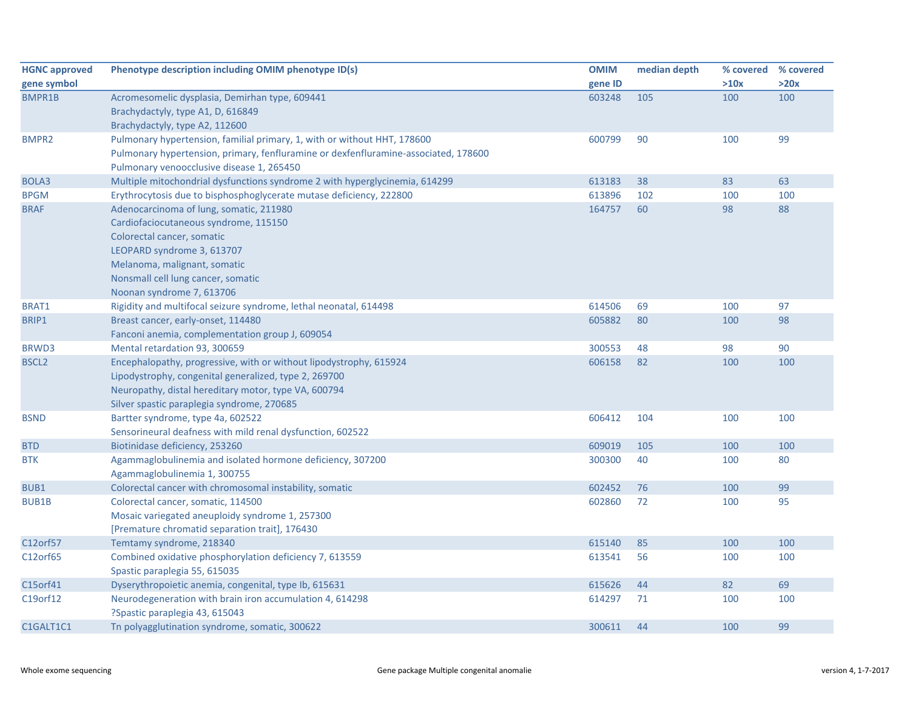| <b>HGNC approved</b> | Phenotype description including OMIM phenotype ID(s)                                | <b>OMIM</b> | median depth | % covered | % covered |
|----------------------|-------------------------------------------------------------------------------------|-------------|--------------|-----------|-----------|
| gene symbol          |                                                                                     | gene ID     |              | >10x      | >20x      |
| BMPR1B               | Acromesomelic dysplasia, Demirhan type, 609441                                      | 603248      | 105          | 100       | 100       |
|                      | Brachydactyly, type A1, D, 616849                                                   |             |              |           |           |
|                      | Brachydactyly, type A2, 112600                                                      |             |              |           |           |
| <b>BMPR2</b>         | Pulmonary hypertension, familial primary, 1, with or without HHT, 178600            | 600799      | 90           | 100       | 99        |
|                      | Pulmonary hypertension, primary, fenfluramine or dexfenfluramine-associated, 178600 |             |              |           |           |
|                      | Pulmonary venoocclusive disease 1, 265450                                           |             |              |           |           |
| BOLA3                | Multiple mitochondrial dysfunctions syndrome 2 with hyperglycinemia, 614299         | 613183      | 38           | 83        | 63        |
| <b>BPGM</b>          | Erythrocytosis due to bisphosphoglycerate mutase deficiency, 222800                 | 613896      | 102          | 100       | 100       |
| <b>BRAF</b>          | Adenocarcinoma of lung, somatic, 211980                                             | 164757      | 60           | 98        | 88        |
|                      | Cardiofaciocutaneous syndrome, 115150                                               |             |              |           |           |
|                      | Colorectal cancer, somatic                                                          |             |              |           |           |
|                      | LEOPARD syndrome 3, 613707                                                          |             |              |           |           |
|                      | Melanoma, malignant, somatic                                                        |             |              |           |           |
|                      | Nonsmall cell lung cancer, somatic                                                  |             |              |           |           |
|                      | Noonan syndrome 7, 613706                                                           |             |              |           |           |
| BRAT1                | Rigidity and multifocal seizure syndrome, lethal neonatal, 614498                   | 614506      | 69           | 100       | 97        |
| BRIP1                | Breast cancer, early-onset, 114480                                                  | 605882      | 80           | 100       | 98        |
|                      | Fanconi anemia, complementation group J, 609054                                     |             |              |           |           |
| <b>BRWD3</b>         | Mental retardation 93, 300659                                                       | 300553      | 48           | 98        | 90        |
| <b>BSCL2</b>         | Encephalopathy, progressive, with or without lipodystrophy, 615924                  | 606158      | 82           | 100       | 100       |
|                      | Lipodystrophy, congenital generalized, type 2, 269700                               |             |              |           |           |
|                      | Neuropathy, distal hereditary motor, type VA, 600794                                |             |              |           |           |
|                      | Silver spastic paraplegia syndrome, 270685                                          |             |              |           |           |
| <b>BSND</b>          | Bartter syndrome, type 4a, 602522                                                   | 606412      | 104          | 100       | 100       |
|                      | Sensorineural deafness with mild renal dysfunction, 602522                          |             |              |           |           |
| <b>BTD</b>           | Biotinidase deficiency, 253260                                                      | 609019      | 105          | 100       | 100       |
| <b>BTK</b>           | Agammaglobulinemia and isolated hormone deficiency, 307200                          | 300300      | 40           | 100       | 80        |
|                      | Agammaglobulinemia 1, 300755                                                        |             |              |           |           |
| BUB1                 | Colorectal cancer with chromosomal instability, somatic                             | 602452      | 76           | 100       | 99        |
| <b>BUB1B</b>         | Colorectal cancer, somatic, 114500                                                  | 602860      | 72           | 100       | 95        |
|                      | Mosaic variegated aneuploidy syndrome 1, 257300                                     |             |              |           |           |
|                      | [Premature chromatid separation trait], 176430                                      |             |              |           |           |
| C12orf57             | Temtamy syndrome, 218340                                                            | 615140      | 85           | 100       | 100       |
| C12orf65             | Combined oxidative phosphorylation deficiency 7, 613559                             | 613541      | 56           | 100       | 100       |
|                      | Spastic paraplegia 55, 615035                                                       |             |              |           |           |
| C15orf41             | Dyserythropoietic anemia, congenital, type Ib, 615631                               | 615626      | 44           | 82        | 69        |
| C19orf12             | Neurodegeneration with brain iron accumulation 4, 614298                            | 614297      | 71           | 100       | 100       |
|                      | ?Spastic paraplegia 43, 615043                                                      |             |              |           |           |
| C1GALT1C1            | Tn polyagglutination syndrome, somatic, 300622                                      | 300611      | 44           | 100       | 99        |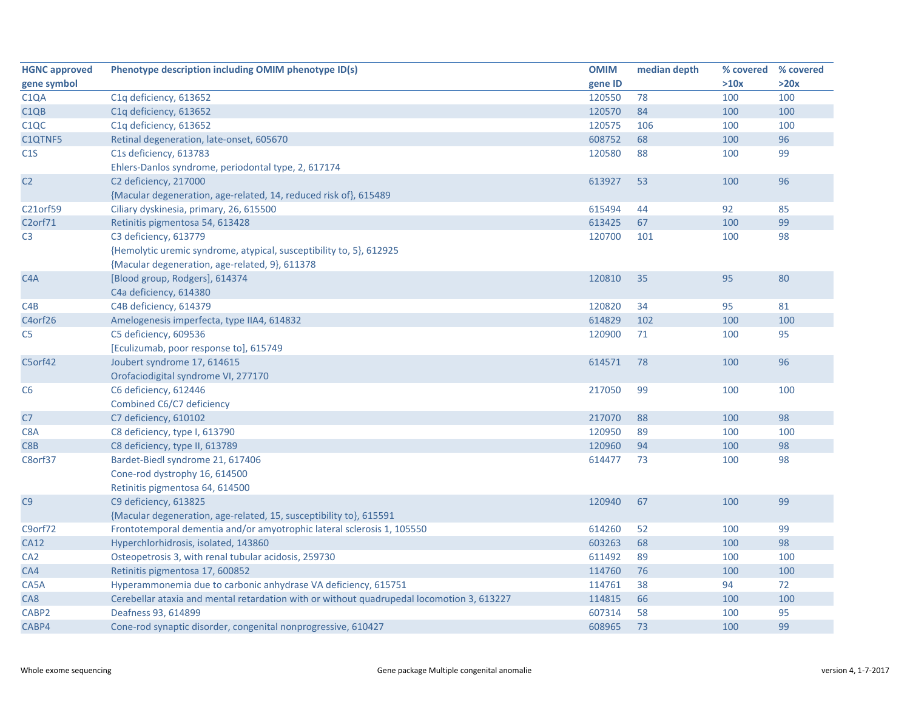| <b>HGNC approved</b> | Phenotype description including OMIM phenotype ID(s)                                      | <b>OMIM</b> | median depth | % covered % covered |      |
|----------------------|-------------------------------------------------------------------------------------------|-------------|--------------|---------------------|------|
| gene symbol          |                                                                                           | gene ID     |              | >10x                | >20x |
| C <sub>1</sub> QA    | C1q deficiency, 613652                                                                    | 120550      | 78           | 100                 | 100  |
| C1QB                 | C1q deficiency, 613652                                                                    | 120570      | 84           | 100                 | 100  |
| C <sub>1</sub> QC    | C1q deficiency, 613652                                                                    | 120575      | 106          | 100                 | 100  |
| C1QTNF5              | Retinal degeneration, late-onset, 605670                                                  | 608752      | 68           | 100                 | 96   |
| C1S                  | C1s deficiency, 613783                                                                    | 120580      | 88           | 100                 | 99   |
|                      | Ehlers-Danlos syndrome, periodontal type, 2, 617174                                       |             |              |                     |      |
| C <sub>2</sub>       | C2 deficiency, 217000                                                                     | 613927      | 53           | 100                 | 96   |
|                      | {Macular degeneration, age-related, 14, reduced risk of}, 615489                          |             |              |                     |      |
| C21orf59             | Ciliary dyskinesia, primary, 26, 615500                                                   | 615494      | 44           | 92                  | 85   |
| C <sub>2</sub> orf71 | Retinitis pigmentosa 54, 613428                                                           | 613425      | 67           | 100                 | 99   |
| C <sub>3</sub>       | C3 deficiency, 613779                                                                     | 120700      | 101          | 100                 | 98   |
|                      | {Hemolytic uremic syndrome, atypical, susceptibility to, 5}, 612925                       |             |              |                     |      |
|                      | {Macular degeneration, age-related, 9}, 611378                                            |             |              |                     |      |
| C <sub>4</sub> A     | [Blood group, Rodgers], 614374                                                            | 120810      | 35           | 95                  | 80   |
|                      | C4a deficiency, 614380                                                                    |             |              |                     |      |
| C4B                  | C4B deficiency, 614379                                                                    | 120820      | 34           | 95                  | 81   |
| C4orf26              | Amelogenesis imperfecta, type IIA4, 614832                                                | 614829      | 102          | 100                 | 100  |
| C <sub>5</sub>       | C5 deficiency, 609536                                                                     | 120900      | 71           | 100                 | 95   |
|                      | [Eculizumab, poor response to], 615749                                                    |             |              |                     |      |
| C5orf42              | Joubert syndrome 17, 614615                                                               | 614571      | 78           | 100                 | 96   |
|                      | Orofaciodigital syndrome VI, 277170                                                       |             |              |                     |      |
| C <sub>6</sub>       | C6 deficiency, 612446                                                                     | 217050      | 99           | 100                 | 100  |
|                      | Combined C6/C7 deficiency                                                                 |             |              |                     |      |
| C <sub>7</sub>       | C7 deficiency, 610102                                                                     | 217070      | 88           | 100                 | 98   |
| C8A                  | C8 deficiency, type I, 613790                                                             | 120950      | 89           | 100                 | 100  |
| C8B                  | C8 deficiency, type II, 613789                                                            | 120960      | 94           | 100                 | 98   |
| C8orf37              | Bardet-Biedl syndrome 21, 617406                                                          | 614477      | 73           | 100                 | 98   |
|                      | Cone-rod dystrophy 16, 614500                                                             |             |              |                     |      |
|                      | Retinitis pigmentosa 64, 614500                                                           |             |              |                     |      |
| C9                   | C9 deficiency, 613825                                                                     | 120940      | 67           | 100                 | 99   |
|                      | {Macular degeneration, age-related, 15, susceptibility to}, 615591                        |             |              |                     |      |
| C9orf72              | Frontotemporal dementia and/or amyotrophic lateral sclerosis 1, 105550                    | 614260      | 52           | 100                 | 99   |
| <b>CA12</b>          | Hyperchlorhidrosis, isolated, 143860                                                      | 603263      | 68           | 100                 | 98   |
| CA <sub>2</sub>      | Osteopetrosis 3, with renal tubular acidosis, 259730                                      | 611492      | 89           | 100                 | 100  |
| CA4                  | Retinitis pigmentosa 17, 600852                                                           | 114760      | 76           | 100                 | 100  |
| CA5A                 | Hyperammonemia due to carbonic anhydrase VA deficiency, 615751                            | 114761      | 38           | 94                  | 72   |
| CA8                  | Cerebellar ataxia and mental retardation with or without quadrupedal locomotion 3, 613227 | 114815      | 66           | 100                 | 100  |
| CABP <sub>2</sub>    | Deafness 93, 614899                                                                       | 607314      | 58           | 100                 | 95   |
| CABP4                | Cone-rod synaptic disorder, congenital nonprogressive, 610427                             | 608965      | 73           | 100                 | 99   |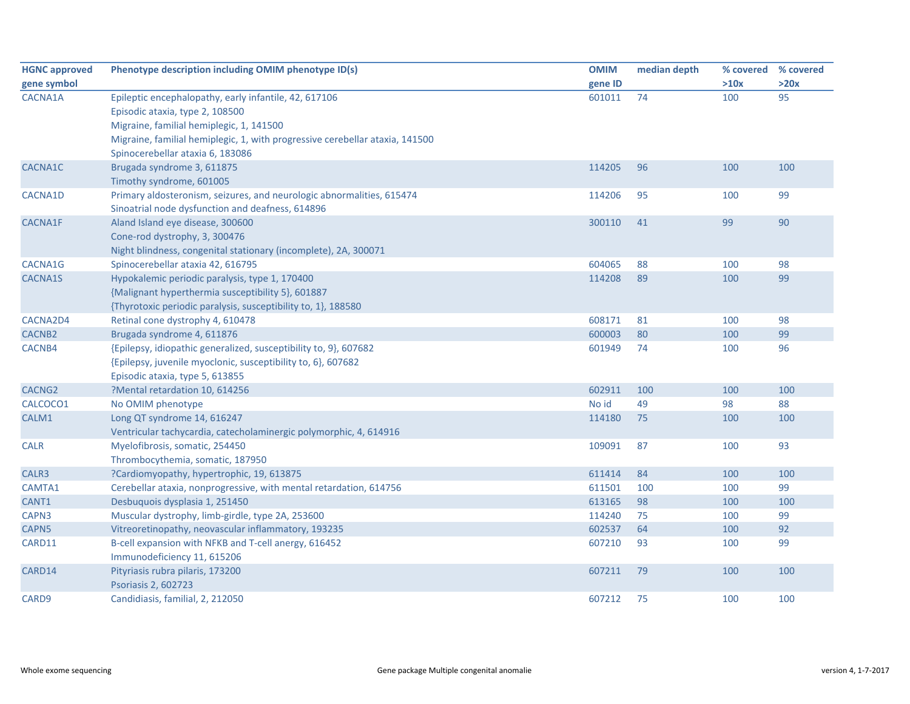| <b>HGNC approved</b> | Phenotype description including OMIM phenotype ID(s)                         | <b>OMIM</b> | median depth | % covered | % covered |
|----------------------|------------------------------------------------------------------------------|-------------|--------------|-----------|-----------|
| gene symbol          |                                                                              | gene ID     |              | >10x      | >20x      |
| CACNA1A              | Epileptic encephalopathy, early infantile, 42, 617106                        | 601011      | 74           | 100       | 95        |
|                      | Episodic ataxia, type 2, 108500                                              |             |              |           |           |
|                      | Migraine, familial hemiplegic, 1, 141500                                     |             |              |           |           |
|                      | Migraine, familial hemiplegic, 1, with progressive cerebellar ataxia, 141500 |             |              |           |           |
|                      | Spinocerebellar ataxia 6, 183086                                             |             |              |           |           |
| CACNA1C              | Brugada syndrome 3, 611875                                                   | 114205      | 96           | 100       | 100       |
|                      | Timothy syndrome, 601005                                                     |             |              |           |           |
| CACNA1D              | Primary aldosteronism, seizures, and neurologic abnormalities, 615474        | 114206      | 95           | 100       | 99        |
|                      | Sinoatrial node dysfunction and deafness, 614896                             |             |              |           |           |
| <b>CACNA1F</b>       | Aland Island eye disease, 300600                                             | 300110      | 41           | 99        | 90        |
|                      | Cone-rod dystrophy, 3, 300476                                                |             |              |           |           |
|                      | Night blindness, congenital stationary (incomplete), 2A, 300071              |             |              |           |           |
| CACNA1G              | Spinocerebellar ataxia 42, 616795                                            | 604065      | 88           | 100       | 98        |
| CACNA1S              | Hypokalemic periodic paralysis, type 1, 170400                               | 114208      | 89           | 100       | 99        |
|                      | {Malignant hyperthermia susceptibility 5}, 601887                            |             |              |           |           |
|                      | {Thyrotoxic periodic paralysis, susceptibility to, 1}, 188580                |             |              |           |           |
| CACNA2D4             | Retinal cone dystrophy 4, 610478                                             | 608171      | 81           | 100       | 98        |
| <b>CACNB2</b>        | Brugada syndrome 4, 611876                                                   | 600003      | 80           | 100       | 99        |
| CACNB4               | {Epilepsy, idiopathic generalized, susceptibility to, 9}, 607682             | 601949      | 74           | 100       | 96        |
|                      | {Epilepsy, juvenile myoclonic, susceptibility to, 6}, 607682                 |             |              |           |           |
|                      | Episodic ataxia, type 5, 613855                                              |             |              |           |           |
| CACNG <sub>2</sub>   | ?Mental retardation 10, 614256                                               | 602911      | 100          | 100       | 100       |
| CALCOCO1             | No OMIM phenotype                                                            | No id       | 49           | 98        | 88        |
| CALM1                | Long QT syndrome 14, 616247                                                  | 114180      | 75           | 100       | 100       |
|                      | Ventricular tachycardia, catecholaminergic polymorphic, 4, 614916            |             |              |           |           |
| <b>CALR</b>          | Myelofibrosis, somatic, 254450                                               | 109091      | 87           | 100       | 93        |
|                      | Thrombocythemia, somatic, 187950                                             |             |              |           |           |
| CALR3                | ?Cardiomyopathy, hypertrophic, 19, 613875                                    | 611414      | 84           | 100       | 100       |
| CAMTA1               | Cerebellar ataxia, nonprogressive, with mental retardation, 614756           | 611501      | 100          | 100       | 99        |
| CANT1                | Desbuquois dysplasia 1, 251450                                               | 613165      | 98           | 100       | 100       |
| CAPN3                | Muscular dystrophy, limb-girdle, type 2A, 253600                             | 114240      | 75           | 100       | 99        |
| CAPN5                | Vitreoretinopathy, neovascular inflammatory, 193235                          | 602537      | 64           | 100       | 92        |
| CARD11               | B-cell expansion with NFKB and T-cell anergy, 616452                         | 607210      | 93           | 100       | 99        |
|                      | Immunodeficiency 11, 615206                                                  |             |              |           |           |
| CARD14               | Pityriasis rubra pilaris, 173200                                             | 607211      | 79           | 100       | 100       |
|                      | Psoriasis 2, 602723                                                          |             |              |           |           |
| CARD9                | Candidiasis, familial, 2, 212050                                             | 607212      | 75           | 100       | 100       |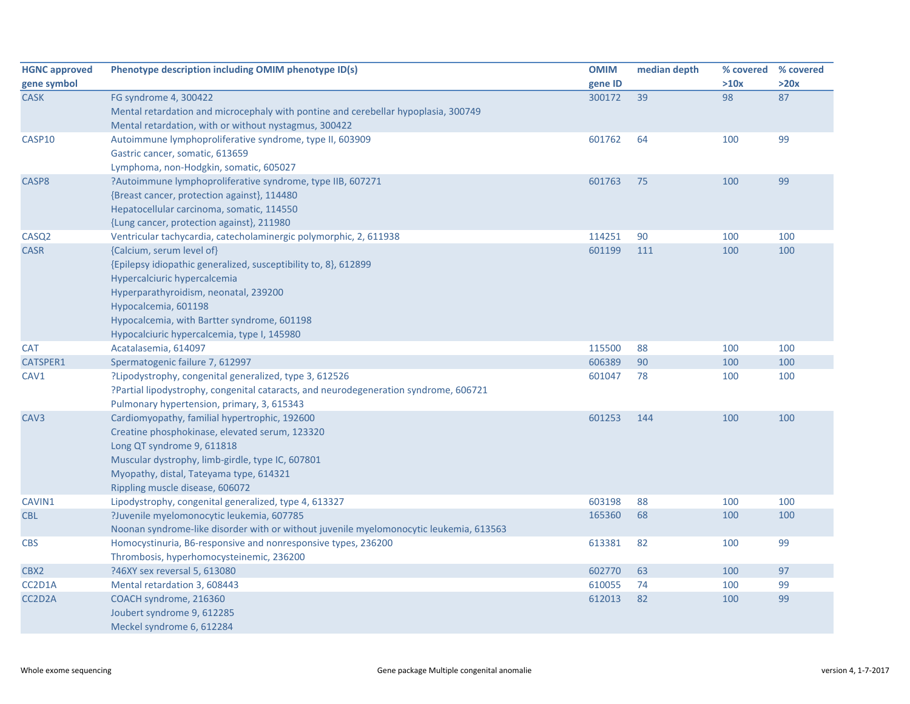| <b>HGNC approved</b> | Phenotype description including OMIM phenotype ID(s)                                        | <b>OMIM</b> | median depth | % covered % covered |      |
|----------------------|---------------------------------------------------------------------------------------------|-------------|--------------|---------------------|------|
| gene symbol          |                                                                                             | gene ID     |              | >10x                | >20x |
| <b>CASK</b>          | FG syndrome 4, 300422                                                                       | 300172      | 39           | 98                  | 87   |
|                      | Mental retardation and microcephaly with pontine and cerebellar hypoplasia, 300749          |             |              |                     |      |
|                      | Mental retardation, with or without nystagmus, 300422                                       |             |              |                     |      |
| CASP10               | Autoimmune lymphoproliferative syndrome, type II, 603909                                    | 601762      | 64           | 100                 | 99   |
|                      | Gastric cancer, somatic, 613659                                                             |             |              |                     |      |
|                      | Lymphoma, non-Hodgkin, somatic, 605027                                                      |             |              |                     |      |
| CASP8                | ?Autoimmune lymphoproliferative syndrome, type IIB, 607271                                  | 601763      | 75           | 100                 | 99   |
|                      | {Breast cancer, protection against}, 114480                                                 |             |              |                     |      |
|                      | Hepatocellular carcinoma, somatic, 114550                                                   |             |              |                     |      |
|                      | {Lung cancer, protection against}, 211980                                                   |             |              |                     |      |
| CASQ <sub>2</sub>    | Ventricular tachycardia, catecholaminergic polymorphic, 2, 611938                           | 114251      | 90           | 100                 | 100  |
| <b>CASR</b>          | {Calcium, serum level of}                                                                   | 601199      | 111          | 100                 | 100  |
|                      | {Epilepsy idiopathic generalized, susceptibility to, 8}, 612899                             |             |              |                     |      |
|                      | Hypercalciuric hypercalcemia                                                                |             |              |                     |      |
|                      | Hyperparathyroidism, neonatal, 239200                                                       |             |              |                     |      |
|                      | Hypocalcemia, 601198                                                                        |             |              |                     |      |
|                      | Hypocalcemia, with Bartter syndrome, 601198                                                 |             |              |                     |      |
|                      | Hypocalciuric hypercalcemia, type I, 145980                                                 |             |              |                     |      |
| <b>CAT</b>           | Acatalasemia, 614097                                                                        | 115500      | 88           | 100                 | 100  |
| CATSPER1             | Spermatogenic failure 7, 612997                                                             | 606389      | 90           | 100                 | 100  |
| CAV1                 | ?Lipodystrophy, congenital generalized, type 3, 612526                                      | 601047      | 78           | 100                 | 100  |
|                      | ?Partial lipodystrophy, congenital cataracts, and neurodegeneration syndrome, 606721        |             |              |                     |      |
|                      | Pulmonary hypertension, primary, 3, 615343                                                  |             |              |                     |      |
| CAV <sub>3</sub>     | Cardiomyopathy, familial hypertrophic, 192600                                               | 601253      | 144          | 100                 | 100  |
|                      | Creatine phosphokinase, elevated serum, 123320                                              |             |              |                     |      |
|                      | Long QT syndrome 9, 611818                                                                  |             |              |                     |      |
|                      | Muscular dystrophy, limb-girdle, type IC, 607801<br>Myopathy, distal, Tateyama type, 614321 |             |              |                     |      |
|                      | Rippling muscle disease, 606072                                                             |             |              |                     |      |
| CAVIN1               | Lipodystrophy, congenital generalized, type 4, 613327                                       | 603198      | 88           | 100                 | 100  |
| <b>CBL</b>           | ?Juvenile myelomonocytic leukemia, 607785                                                   | 165360      | 68           | 100                 | 100  |
|                      | Noonan syndrome-like disorder with or without juvenile myelomonocytic leukemia, 613563      |             |              |                     |      |
| <b>CBS</b>           | Homocystinuria, B6-responsive and nonresponsive types, 236200                               | 613381      | 82           | 100                 | 99   |
|                      | Thrombosis, hyperhomocysteinemic, 236200                                                    |             |              |                     |      |
| CBX2                 | ?46XY sex reversal 5, 613080                                                                | 602770      | 63           | 100                 | 97   |
| CC2D1A               | Mental retardation 3, 608443                                                                | 610055      | 74           | 100                 | 99   |
| CC2D2A               | COACH syndrome, 216360                                                                      | 612013      | 82           | 100                 | 99   |
|                      | Joubert syndrome 9, 612285                                                                  |             |              |                     |      |
|                      | Meckel syndrome 6, 612284                                                                   |             |              |                     |      |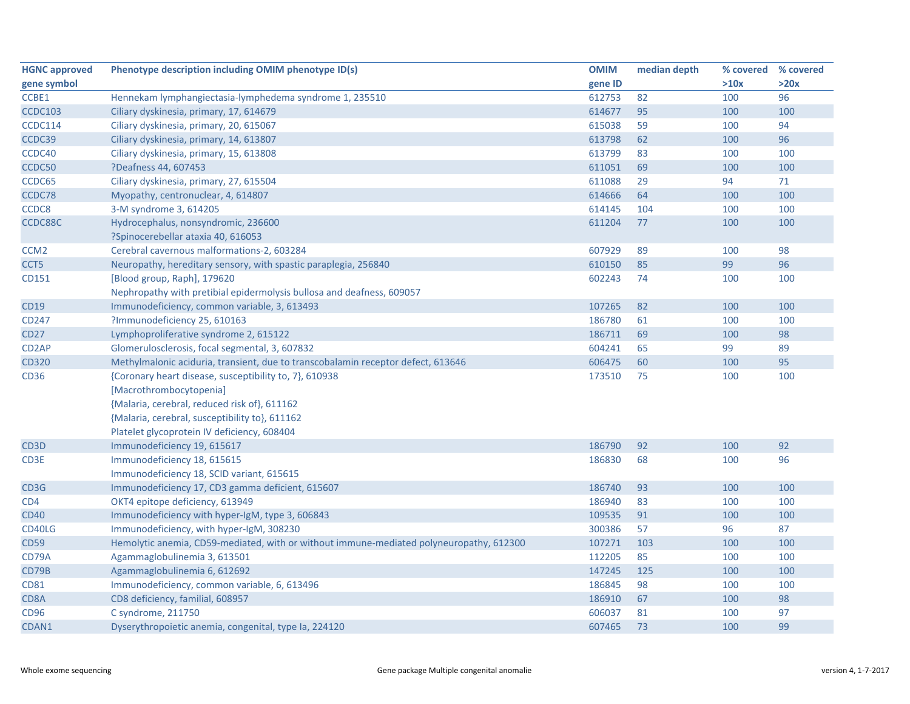| <b>HGNC approved</b> | Phenotype description including OMIM phenotype ID(s)                                    | <b>OMIM</b> | median depth | % covered % covered |      |
|----------------------|-----------------------------------------------------------------------------------------|-------------|--------------|---------------------|------|
| gene symbol          |                                                                                         | gene ID     |              | >10x                | >20x |
| CCBE1                | Hennekam lymphangiectasia-lymphedema syndrome 1, 235510                                 | 612753      | 82           | 100                 | 96   |
| <b>CCDC103</b>       | Ciliary dyskinesia, primary, 17, 614679                                                 | 614677      | 95           | 100                 | 100  |
| <b>CCDC114</b>       | Ciliary dyskinesia, primary, 20, 615067                                                 | 615038      | 59           | 100                 | 94   |
| CCDC39               | Ciliary dyskinesia, primary, 14, 613807                                                 | 613798      | 62           | 100                 | 96   |
| CCDC40               | Ciliary dyskinesia, primary, 15, 613808                                                 | 613799      | 83           | 100                 | 100  |
| CCDC50               | ?Deafness 44, 607453                                                                    | 611051      | 69           | 100                 | 100  |
| CCDC65               | Ciliary dyskinesia, primary, 27, 615504                                                 | 611088      | 29           | 94                  | 71   |
| CCDC78               | Myopathy, centronuclear, 4, 614807                                                      | 614666      | 64           | 100                 | 100  |
| CCDC8                | 3-M syndrome 3, 614205                                                                  | 614145      | 104          | 100                 | 100  |
| CCDC88C              | Hydrocephalus, nonsyndromic, 236600                                                     | 611204      | 77           | 100                 | 100  |
|                      | ?Spinocerebellar ataxia 40, 616053                                                      |             |              |                     |      |
| CCM <sub>2</sub>     | Cerebral cavernous malformations-2, 603284                                              | 607929      | 89           | 100                 | 98   |
| CCT <sub>5</sub>     | Neuropathy, hereditary sensory, with spastic paraplegia, 256840                         | 610150      | 85           | 99                  | 96   |
| CD151                | [Blood group, Raph], 179620                                                             | 602243      | 74           | 100                 | 100  |
|                      | Nephropathy with pretibial epidermolysis bullosa and deafness, 609057                   |             |              |                     |      |
| <b>CD19</b>          | Immunodeficiency, common variable, 3, 613493                                            | 107265      | 82           | 100                 | 100  |
| CD247                | ?Immunodeficiency 25, 610163                                                            | 186780      | 61           | 100                 | 100  |
| <b>CD27</b>          | Lymphoproliferative syndrome 2, 615122                                                  | 186711      | 69           | 100                 | 98   |
| CD <sub>2</sub> AP   | Glomerulosclerosis, focal segmental, 3, 607832                                          | 604241      | 65           | 99                  | 89   |
| <b>CD320</b>         | Methylmalonic aciduria, transient, due to transcobalamin receptor defect, 613646        | 606475      | 60           | 100                 | 95   |
| CD36                 | {Coronary heart disease, susceptibility to, 7}, 610938                                  | 173510      | 75           | 100                 | 100  |
|                      | [Macrothrombocytopenia]                                                                 |             |              |                     |      |
|                      | {Malaria, cerebral, reduced risk of}, 611162                                            |             |              |                     |      |
|                      | {Malaria, cerebral, susceptibility to}, 611162                                          |             |              |                     |      |
|                      | Platelet glycoprotein IV deficiency, 608404                                             |             |              |                     |      |
| CD <sub>3</sub> D    | Immunodeficiency 19, 615617                                                             | 186790      | 92           | 100                 | 92   |
| CD3E                 | Immunodeficiency 18, 615615                                                             | 186830      | 68           | 100                 | 96   |
|                      | Immunodeficiency 18, SCID variant, 615615                                               |             |              |                     |      |
| CD3G                 | Immunodeficiency 17, CD3 gamma deficient, 615607                                        | 186740      | 93           | 100                 | 100  |
| CD4                  | OKT4 epitope deficiency, 613949                                                         | 186940      | 83           | 100                 | 100  |
| <b>CD40</b>          | Immunodeficiency with hyper-IgM, type 3, 606843                                         | 109535      | 91           | 100                 | 100  |
| CD40LG               | Immunodeficiency, with hyper-IgM, 308230                                                | 300386      | 57           | 96                  | 87   |
| <b>CD59</b>          | Hemolytic anemia, CD59-mediated, with or without immune-mediated polyneuropathy, 612300 | 107271      | 103          | 100                 | 100  |
| CD79A                | Agammaglobulinemia 3, 613501                                                            | 112205      | 85           | 100                 | 100  |
| CD79B                | Agammaglobulinemia 6, 612692                                                            | 147245      | 125          | 100                 | 100  |
| <b>CD81</b>          | Immunodeficiency, common variable, 6, 613496                                            | 186845      | 98           | 100                 | 100  |
| CD8A                 | CD8 deficiency, familial, 608957                                                        | 186910      | 67           | 100                 | 98   |
| <b>CD96</b>          | C syndrome, 211750                                                                      | 606037      | 81           | 100                 | 97   |
| CDAN1                | Dyserythropoietic anemia, congenital, type Ia, 224120                                   | 607465      | 73           | 100                 | 99   |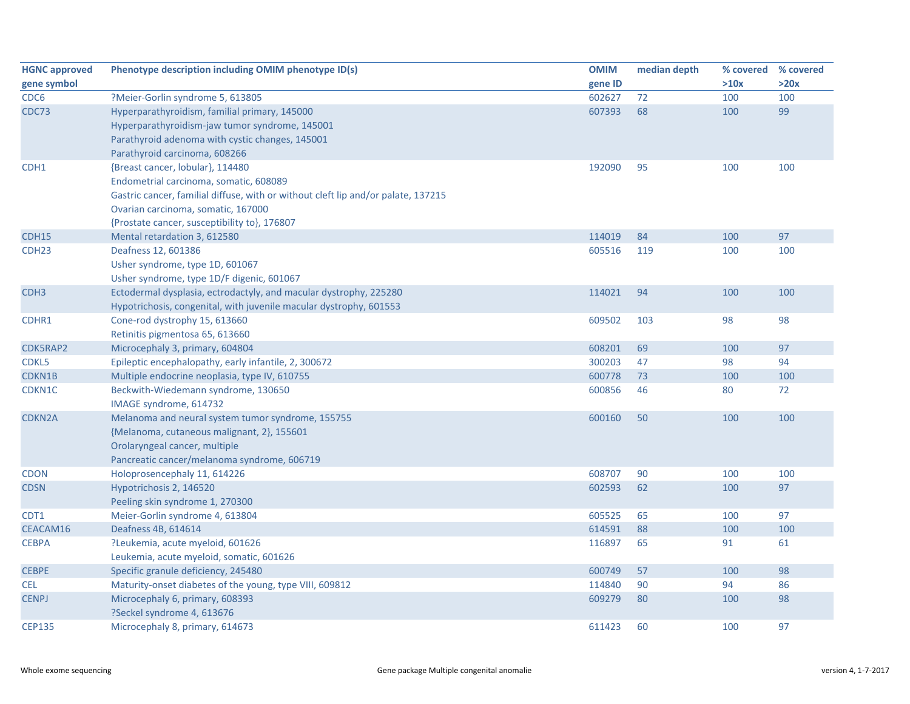| <b>HGNC approved</b> | Phenotype description including OMIM phenotype ID(s)                              | <b>OMIM</b> | median depth |      | % covered % covered |
|----------------------|-----------------------------------------------------------------------------------|-------------|--------------|------|---------------------|
| gene symbol          |                                                                                   | gene ID     |              | >10x | >20x                |
| CDC <sub>6</sub>     | ?Meier-Gorlin syndrome 5, 613805                                                  | 602627      | 72           | 100  | 100                 |
| CDC73                | Hyperparathyroidism, familial primary, 145000                                     | 607393      | 68           | 100  | 99                  |
|                      | Hyperparathyroidism-jaw tumor syndrome, 145001                                    |             |              |      |                     |
|                      | Parathyroid adenoma with cystic changes, 145001                                   |             |              |      |                     |
|                      | Parathyroid carcinoma, 608266                                                     |             |              |      |                     |
| CDH1                 | {Breast cancer, lobular}, 114480                                                  | 192090      | 95           | 100  | 100                 |
|                      | Endometrial carcinoma, somatic, 608089                                            |             |              |      |                     |
|                      | Gastric cancer, familial diffuse, with or without cleft lip and/or palate, 137215 |             |              |      |                     |
|                      | Ovarian carcinoma, somatic, 167000                                                |             |              |      |                     |
|                      | {Prostate cancer, susceptibility to}, 176807                                      |             |              |      |                     |
| CDH15                | Mental retardation 3, 612580                                                      | 114019      | 84           | 100  | 97                  |
| CDH <sub>23</sub>    | Deafness 12, 601386                                                               | 605516      | 119          | 100  | 100                 |
|                      | Usher syndrome, type 1D, 601067                                                   |             |              |      |                     |
|                      | Usher syndrome, type 1D/F digenic, 601067                                         |             |              |      |                     |
| CDH <sub>3</sub>     | Ectodermal dysplasia, ectrodactyly, and macular dystrophy, 225280                 | 114021      | 94           | 100  | 100                 |
|                      | Hypotrichosis, congenital, with juvenile macular dystrophy, 601553                |             |              |      |                     |
| CDHR1                | Cone-rod dystrophy 15, 613660                                                     | 609502      | 103          | 98   | 98                  |
|                      | Retinitis pigmentosa 65, 613660                                                   |             |              |      |                     |
| CDK5RAP2             | Microcephaly 3, primary, 604804                                                   | 608201      | 69           | 100  | 97                  |
| CDKL5                | Epileptic encephalopathy, early infantile, 2, 300672                              | 300203      | 47           | 98   | 94                  |
| CDKN1B               | Multiple endocrine neoplasia, type IV, 610755                                     | 600778      | 73           | 100  | 100                 |
| CDKN1C               | Beckwith-Wiedemann syndrome, 130650                                               | 600856      | 46           | 80   | 72                  |
|                      | IMAGE syndrome, 614732                                                            |             |              |      |                     |
| <b>CDKN2A</b>        | Melanoma and neural system tumor syndrome, 155755                                 | 600160      | 50           | 100  | 100                 |
|                      | {Melanoma, cutaneous malignant, 2}, 155601                                        |             |              |      |                     |
|                      | Orolaryngeal cancer, multiple                                                     |             |              |      |                     |
|                      | Pancreatic cancer/melanoma syndrome, 606719                                       |             |              |      |                     |
| <b>CDON</b>          | Holoprosencephaly 11, 614226                                                      | 608707      | 90           | 100  | 100                 |
| <b>CDSN</b>          | Hypotrichosis 2, 146520                                                           | 602593      | 62           | 100  | 97                  |
|                      | Peeling skin syndrome 1, 270300                                                   |             |              |      |                     |
| CDT1                 | Meier-Gorlin syndrome 4, 613804                                                   | 605525      | 65           | 100  | 97                  |
| CEACAM16             | Deafness 4B, 614614                                                               | 614591      | 88           | 100  | 100                 |
| <b>CEBPA</b>         | ?Leukemia, acute myeloid, 601626                                                  | 116897      | 65           | 91   | 61                  |
|                      | Leukemia, acute myeloid, somatic, 601626                                          |             |              |      |                     |
| <b>CEBPE</b>         | Specific granule deficiency, 245480                                               | 600749      | 57           | 100  | 98                  |
| <b>CEL</b>           | Maturity-onset diabetes of the young, type VIII, 609812                           | 114840      | 90           | 94   | 86                  |
| <b>CENPJ</b>         | Microcephaly 6, primary, 608393                                                   | 609279      | 80           | 100  | 98                  |
|                      | ?Seckel syndrome 4, 613676                                                        |             |              |      |                     |
| <b>CEP135</b>        | Microcephaly 8, primary, 614673                                                   | 611423      | 60           | 100  | 97                  |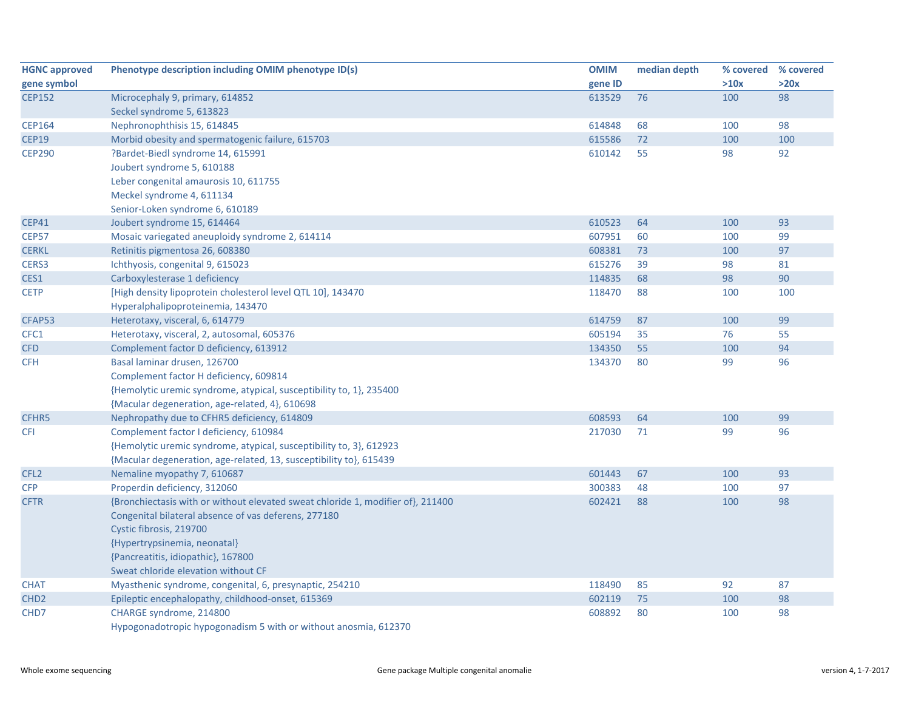| <b>HGNC approved</b> | Phenotype description including OMIM phenotype ID(s)                            | <b>OMIM</b> | median depth | % covered | % covered |
|----------------------|---------------------------------------------------------------------------------|-------------|--------------|-----------|-----------|
| gene symbol          |                                                                                 | gene ID     |              | >10x      | >20x      |
| <b>CEP152</b>        | Microcephaly 9, primary, 614852                                                 | 613529      | 76           | 100       | 98        |
|                      | Seckel syndrome 5, 613823                                                       |             |              |           |           |
| <b>CEP164</b>        | Nephronophthisis 15, 614845                                                     | 614848      | 68           | 100       | 98        |
| <b>CEP19</b>         | Morbid obesity and spermatogenic failure, 615703                                | 615586      | 72           | 100       | 100       |
| <b>CEP290</b>        | ?Bardet-Biedl syndrome 14, 615991                                               | 610142      | 55           | 98        | 92        |
|                      | Joubert syndrome 5, 610188                                                      |             |              |           |           |
|                      | Leber congenital amaurosis 10, 611755                                           |             |              |           |           |
|                      | Meckel syndrome 4, 611134                                                       |             |              |           |           |
|                      | Senior-Loken syndrome 6, 610189                                                 |             |              |           |           |
| <b>CEP41</b>         | Joubert syndrome 15, 614464                                                     | 610523      | 64           | 100       | 93        |
| <b>CEP57</b>         | Mosaic variegated aneuploidy syndrome 2, 614114                                 | 607951      | 60           | 100       | 99        |
| <b>CERKL</b>         | Retinitis pigmentosa 26, 608380                                                 | 608381      | 73           | 100       | 97        |
| CERS3                | Ichthyosis, congenital 9, 615023                                                | 615276      | 39           | 98        | 81        |
| CES1                 | Carboxylesterase 1 deficiency                                                   | 114835      | 68           | 98        | 90        |
| <b>CETP</b>          | [High density lipoprotein cholesterol level QTL 10], 143470                     | 118470      | 88           | 100       | 100       |
|                      | Hyperalphalipoproteinemia, 143470                                               |             |              |           |           |
| CFAP53               | Heterotaxy, visceral, 6, 614779                                                 | 614759      | 87           | 100       | 99        |
| CFC1                 | Heterotaxy, visceral, 2, autosomal, 605376                                      | 605194      | 35           | 76        | 55        |
| <b>CFD</b>           | Complement factor D deficiency, 613912                                          | 134350      | 55           | 100       | 94        |
| <b>CFH</b>           | Basal laminar drusen, 126700                                                    | 134370      | 80           | 99        | 96        |
|                      | Complement factor H deficiency, 609814                                          |             |              |           |           |
|                      | {Hemolytic uremic syndrome, atypical, susceptibility to, 1}, 235400             |             |              |           |           |
|                      | {Macular degeneration, age-related, 4}, 610698                                  |             |              |           |           |
| CFHR5                | Nephropathy due to CFHR5 deficiency, 614809                                     | 608593      | 64           | 100       | 99        |
| <b>CFI</b>           | Complement factor I deficiency, 610984                                          | 217030      | 71           | 99        | 96        |
|                      | {Hemolytic uremic syndrome, atypical, susceptibility to, 3}, 612923             |             |              |           |           |
|                      | {Macular degeneration, age-related, 13, susceptibility to}, 615439              |             |              |           |           |
| CFL <sub>2</sub>     | Nemaline myopathy 7, 610687                                                     | 601443      | 67           | 100       | 93        |
| <b>CFP</b>           | Properdin deficiency, 312060                                                    | 300383      | 48           | 100       | 97        |
| <b>CFTR</b>          | {Bronchiectasis with or without elevated sweat chloride 1, modifier of}, 211400 | 602421      | 88           | 100       | 98        |
|                      | Congenital bilateral absence of vas deferens, 277180                            |             |              |           |           |
|                      | Cystic fibrosis, 219700                                                         |             |              |           |           |
|                      | {Hypertrypsinemia, neonatal}                                                    |             |              |           |           |
|                      | {Pancreatitis, idiopathic}, 167800                                              |             |              |           |           |
|                      | Sweat chloride elevation without CF                                             |             |              |           |           |
| <b>CHAT</b>          | Myasthenic syndrome, congenital, 6, presynaptic, 254210                         | 118490      | 85           | 92        | 87        |
| CHD <sub>2</sub>     | Epileptic encephalopathy, childhood-onset, 615369                               | 602119      | 75           | 100       | 98        |
| CHD7                 | CHARGE syndrome, 214800                                                         | 608892      | 80           | 100       | 98        |
|                      | Hypogonadotropic hypogonadism 5 with or without anosmia, 612370                 |             |              |           |           |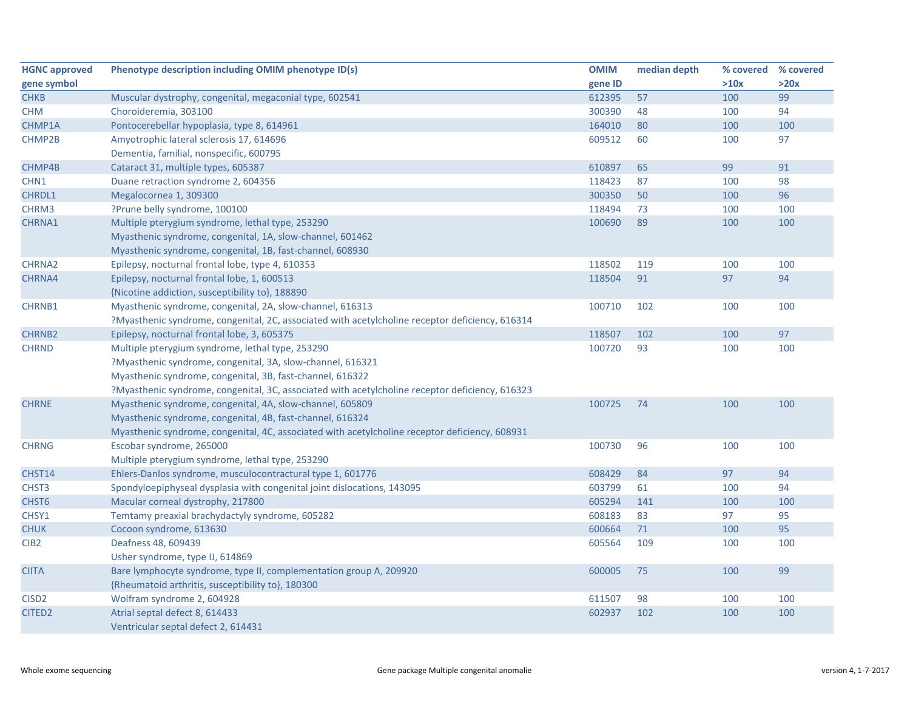| <b>HGNC approved</b> | Phenotype description including OMIM phenotype ID(s)                                            | <b>OMIM</b> | median depth | % covered % covered |      |
|----------------------|-------------------------------------------------------------------------------------------------|-------------|--------------|---------------------|------|
| gene symbol          |                                                                                                 | gene ID     |              | >10x                | >20x |
| <b>CHKB</b>          | Muscular dystrophy, congenital, megaconial type, 602541                                         | 612395      | 57           | 100                 | 99   |
| <b>CHM</b>           | Choroideremia, 303100                                                                           | 300390      | 48           | 100                 | 94   |
| CHMP1A               | Pontocerebellar hypoplasia, type 8, 614961                                                      | 164010      | 80           | 100                 | 100  |
| CHMP2B               | Amyotrophic lateral sclerosis 17, 614696                                                        | 609512      | 60           | 100                 | 97   |
|                      | Dementia, familial, nonspecific, 600795                                                         |             |              |                     |      |
| CHMP4B               | Cataract 31, multiple types, 605387                                                             | 610897      | 65           | 99                  | 91   |
| CHN1                 | Duane retraction syndrome 2, 604356                                                             | 118423      | 87           | 100                 | 98   |
| CHRDL1               | Megalocornea 1, 309300                                                                          | 300350      | 50           | 100                 | 96   |
| CHRM3                | ?Prune belly syndrome, 100100                                                                   | 118494      | 73           | 100                 | 100  |
| CHRNA1               | Multiple pterygium syndrome, lethal type, 253290                                                | 100690      | 89           | 100                 | 100  |
|                      | Myasthenic syndrome, congenital, 1A, slow-channel, 601462                                       |             |              |                     |      |
|                      | Myasthenic syndrome, congenital, 1B, fast-channel, 608930                                       |             |              |                     |      |
| CHRNA2               | Epilepsy, nocturnal frontal lobe, type 4, 610353                                                | 118502      | 119          | 100                 | 100  |
| CHRNA4               | Epilepsy, nocturnal frontal lobe, 1, 600513                                                     | 118504      | 91           | 97                  | 94   |
|                      | {Nicotine addiction, susceptibility to}, 188890                                                 |             |              |                     |      |
| <b>CHRNB1</b>        | Myasthenic syndrome, congenital, 2A, slow-channel, 616313                                       | 100710      | 102          | 100                 | 100  |
|                      | ?Myasthenic syndrome, congenital, 2C, associated with acetylcholine receptor deficiency, 616314 |             |              |                     |      |
| <b>CHRNB2</b>        | Epilepsy, nocturnal frontal lobe, 3, 605375                                                     | 118507      | 102          | 100                 | 97   |
| <b>CHRND</b>         | Multiple pterygium syndrome, lethal type, 253290                                                | 100720      | 93           | 100                 | 100  |
|                      | ?Myasthenic syndrome, congenital, 3A, slow-channel, 616321                                      |             |              |                     |      |
|                      | Myasthenic syndrome, congenital, 3B, fast-channel, 616322                                       |             |              |                     |      |
|                      | ?Myasthenic syndrome, congenital, 3C, associated with acetylcholine receptor deficiency, 616323 |             |              |                     |      |
| <b>CHRNE</b>         | Myasthenic syndrome, congenital, 4A, slow-channel, 605809                                       | 100725      | 74           | 100                 | 100  |
|                      | Myasthenic syndrome, congenital, 4B, fast-channel, 616324                                       |             |              |                     |      |
|                      | Myasthenic syndrome, congenital, 4C, associated with acetylcholine receptor deficiency, 608931  |             |              |                     |      |
| <b>CHRNG</b>         | Escobar syndrome, 265000                                                                        | 100730      | 96           | 100                 | 100  |
|                      | Multiple pterygium syndrome, lethal type, 253290                                                |             |              |                     |      |
| CHST14               | Ehlers-Danlos syndrome, musculocontractural type 1, 601776                                      | 608429      | 84           | 97                  | 94   |
| CHST3                | Spondyloepiphyseal dysplasia with congenital joint dislocations, 143095                         | 603799      | 61           | 100                 | 94   |
| CHST <sub>6</sub>    | Macular corneal dystrophy, 217800                                                               | 605294      | 141          | 100                 | 100  |
| CHSY1                | Temtamy preaxial brachydactyly syndrome, 605282                                                 | 608183      | 83           | 97                  | 95   |
| <b>CHUK</b>          | Cocoon syndrome, 613630                                                                         | 600664      | 71           | 100                 | 95   |
| CIB <sub>2</sub>     | Deafness 48, 609439                                                                             | 605564      | 109          | 100                 | 100  |
|                      | Usher syndrome, type IJ, 614869                                                                 |             |              |                     |      |
| <b>CIITA</b>         | Bare lymphocyte syndrome, type II, complementation group A, 209920                              | 600005      | 75           | 100                 | 99   |
|                      | {Rheumatoid arthritis, susceptibility to}, 180300                                               |             |              |                     |      |
| CISD <sub>2</sub>    | Wolfram syndrome 2, 604928                                                                      | 611507      | 98           | 100                 | 100  |
| <b>CITED2</b>        | Atrial septal defect 8, 614433                                                                  | 602937      | 102          | 100                 | 100  |
|                      | Ventricular septal defect 2, 614431                                                             |             |              |                     |      |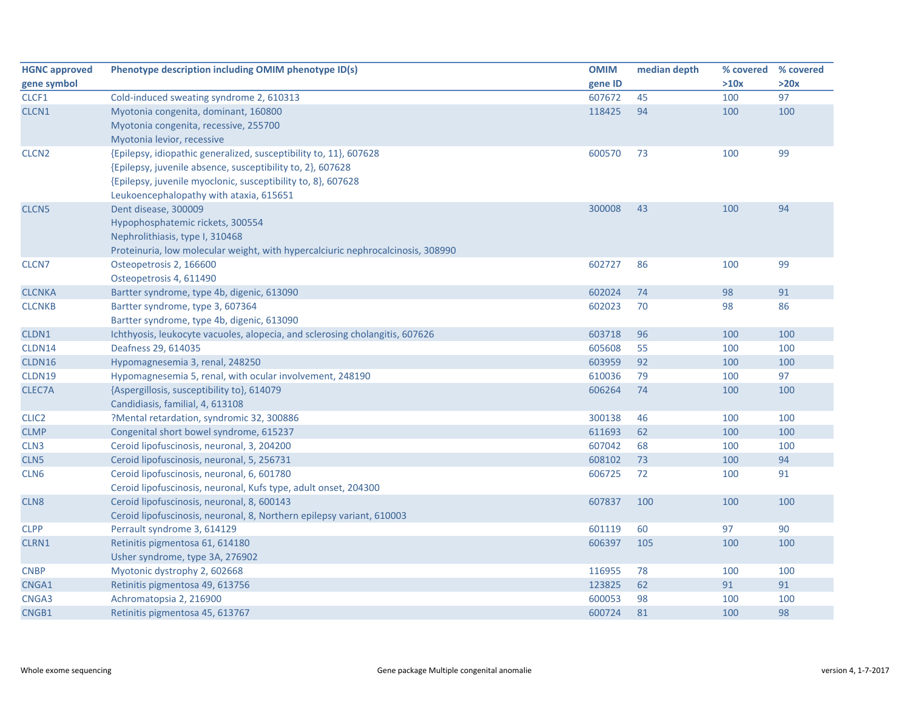| <b>HGNC approved</b> | Phenotype description including OMIM phenotype ID(s)                            | <b>OMIM</b> | median depth | % covered | % covered |
|----------------------|---------------------------------------------------------------------------------|-------------|--------------|-----------|-----------|
| gene symbol          |                                                                                 | gene ID     |              | >10x      | >20x      |
| CLCF1                | Cold-induced sweating syndrome 2, 610313                                        | 607672      | 45           | 100       | 97        |
| CLCN1                | Myotonia congenita, dominant, 160800                                            | 118425      | 94           | 100       | 100       |
|                      | Myotonia congenita, recessive, 255700                                           |             |              |           |           |
|                      | Myotonia levior, recessive                                                      |             |              |           |           |
| CLCN <sub>2</sub>    | {Epilepsy, idiopathic generalized, susceptibility to, 11}, 607628               | 600570      | 73           | 100       | 99        |
|                      | {Epilepsy, juvenile absence, susceptibility to, 2}, 607628                      |             |              |           |           |
|                      | {Epilepsy, juvenile myoclonic, susceptibility to, 8}, 607628                    |             |              |           |           |
|                      | Leukoencephalopathy with ataxia, 615651                                         |             |              |           |           |
| CLCN <sub>5</sub>    | Dent disease, 300009                                                            | 300008      | 43           | 100       | 94        |
|                      | Hypophosphatemic rickets, 300554                                                |             |              |           |           |
|                      | Nephrolithiasis, type I, 310468                                                 |             |              |           |           |
|                      | Proteinuria, low molecular weight, with hypercalciuric nephrocalcinosis, 308990 |             |              |           |           |
| CLCN7                | Osteopetrosis 2, 166600                                                         | 602727      | 86           | 100       | 99        |
|                      | Osteopetrosis 4, 611490                                                         |             |              |           |           |
| <b>CLCNKA</b>        | Bartter syndrome, type 4b, digenic, 613090                                      | 602024      | 74           | 98        | 91        |
| <b>CLCNKB</b>        | Bartter syndrome, type 3, 607364                                                | 602023      | 70           | 98        | 86        |
|                      | Bartter syndrome, type 4b, digenic, 613090                                      |             |              |           |           |
| CLDN1                | Ichthyosis, leukocyte vacuoles, alopecia, and sclerosing cholangitis, 607626    | 603718      | 96           | 100       | 100       |
| CLDN14               | Deafness 29, 614035                                                             | 605608      | 55           | 100       | 100       |
| CLDN16               | Hypomagnesemia 3, renal, 248250                                                 | 603959      | 92           | 100       | 100       |
| CLDN19               | Hypomagnesemia 5, renal, with ocular involvement, 248190                        | 610036      | 79           | 100       | 97        |
| CLEC7A               | {Aspergillosis, susceptibility to}, 614079                                      | 606264      | 74           | 100       | 100       |
|                      | Candidiasis, familial, 4, 613108                                                |             |              |           |           |
| CLIC <sub>2</sub>    | ?Mental retardation, syndromic 32, 300886                                       | 300138      | 46           | 100       | 100       |
| <b>CLMP</b>          | Congenital short bowel syndrome, 615237                                         | 611693      | 62           | 100       | 100       |
| CLN <sub>3</sub>     | Ceroid lipofuscinosis, neuronal, 3, 204200                                      | 607042      | 68           | 100       | 100       |
| CLN5                 | Ceroid lipofuscinosis, neuronal, 5, 256731                                      | 608102      | 73           | 100       | 94        |
| CLN <sub>6</sub>     | Ceroid lipofuscinosis, neuronal, 6, 601780                                      | 606725      | 72           | 100       | 91        |
|                      | Ceroid lipofuscinosis, neuronal, Kufs type, adult onset, 204300                 |             |              |           |           |
| CLN <sub>8</sub>     | Ceroid lipofuscinosis, neuronal, 8, 600143                                      | 607837      | 100          | 100       | 100       |
|                      | Ceroid lipofuscinosis, neuronal, 8, Northern epilepsy variant, 610003           |             |              |           |           |
| <b>CLPP</b>          | Perrault syndrome 3, 614129                                                     | 601119      | 60           | 97        | 90        |
| CLRN1                | Retinitis pigmentosa 61, 614180                                                 | 606397      | 105          | 100       | 100       |
|                      | Usher syndrome, type 3A, 276902                                                 |             |              |           |           |
| <b>CNBP</b>          | Myotonic dystrophy 2, 602668                                                    | 116955      | 78           | 100       | 100       |
| CNGA1                | Retinitis pigmentosa 49, 613756                                                 | 123825      | 62           | 91        | 91        |
| CNGA3                | Achromatopsia 2, 216900                                                         | 600053      | 98           | 100       | 100       |
| CNGB1                | Retinitis pigmentosa 45, 613767                                                 | 600724      | 81           | 100       | 98        |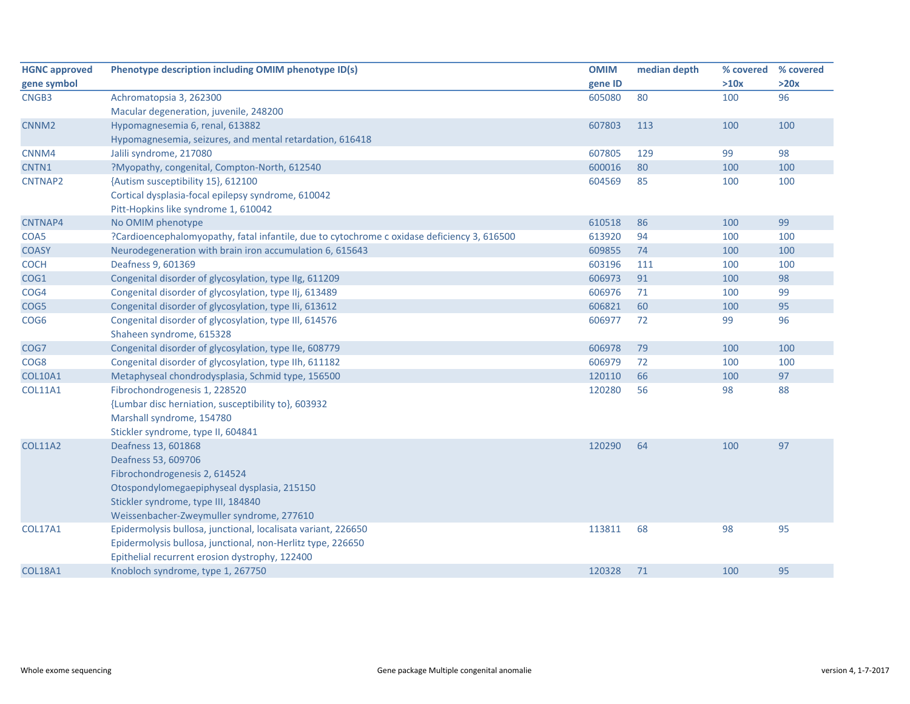| <b>HGNC approved</b> | Phenotype description including OMIM phenotype ID(s)                                        | <b>OMIM</b> | median depth | % covered | % covered |
|----------------------|---------------------------------------------------------------------------------------------|-------------|--------------|-----------|-----------|
| gene symbol          |                                                                                             | gene ID     |              | >10x      | >20x      |
| CNGB3                | Achromatopsia 3, 262300                                                                     | 605080      | 80           | 100       | 96        |
|                      | Macular degeneration, juvenile, 248200                                                      |             |              |           |           |
| CNNM <sub>2</sub>    | Hypomagnesemia 6, renal, 613882                                                             | 607803      | 113          | 100       | 100       |
|                      | Hypomagnesemia, seizures, and mental retardation, 616418                                    |             |              |           |           |
| CNNM4                | Jalili syndrome, 217080                                                                     | 607805      | 129          | 99        | 98        |
| CNTN1                | ?Myopathy, congenital, Compton-North, 612540                                                | 600016      | 80           | 100       | 100       |
| CNTNAP2              | {Autism susceptibility 15}, 612100                                                          | 604569      | 85           | 100       | 100       |
|                      | Cortical dysplasia-focal epilepsy syndrome, 610042                                          |             |              |           |           |
|                      | Pitt-Hopkins like syndrome 1, 610042                                                        |             |              |           |           |
| CNTNAP4              | No OMIM phenotype                                                                           | 610518      | 86           | 100       | 99        |
| COA5                 | ?Cardioencephalomyopathy, fatal infantile, due to cytochrome c oxidase deficiency 3, 616500 | 613920      | 94           | 100       | 100       |
| <b>COASY</b>         | Neurodegeneration with brain iron accumulation 6, 615643                                    | 609855      | 74           | 100       | 100       |
| <b>COCH</b>          | Deafness 9, 601369                                                                          | 603196      | 111          | 100       | 100       |
| COG1                 | Congenital disorder of glycosylation, type IIg, 611209                                      | 606973      | 91           | 100       | 98        |
| COG4                 | Congenital disorder of glycosylation, type IIj, 613489                                      | 606976      | 71           | 100       | 99        |
| COG5                 | Congenital disorder of glycosylation, type IIi, 613612                                      | 606821      | 60           | 100       | 95        |
| COG <sub>6</sub>     | Congenital disorder of glycosylation, type III, 614576                                      | 606977      | 72           | 99        | 96        |
|                      | Shaheen syndrome, 615328                                                                    |             |              |           |           |
| COG7                 | Congenital disorder of glycosylation, type IIe, 608779                                      | 606978      | 79           | 100       | 100       |
| COG8                 | Congenital disorder of glycosylation, type IIh, 611182                                      | 606979      | 72           | 100       | 100       |
| <b>COL10A1</b>       | Metaphyseal chondrodysplasia, Schmid type, 156500                                           | 120110      | 66           | 100       | 97        |
| <b>COL11A1</b>       | Fibrochondrogenesis 1, 228520                                                               | 120280      | 56           | 98        | 88        |
|                      | {Lumbar disc herniation, susceptibility to}, 603932                                         |             |              |           |           |
|                      | Marshall syndrome, 154780                                                                   |             |              |           |           |
|                      | Stickler syndrome, type II, 604841                                                          |             |              |           |           |
| <b>COL11A2</b>       | Deafness 13, 601868                                                                         | 120290      | 64           | 100       | 97        |
|                      | Deafness 53, 609706                                                                         |             |              |           |           |
|                      | Fibrochondrogenesis 2, 614524                                                               |             |              |           |           |
|                      | Otospondylomegaepiphyseal dysplasia, 215150                                                 |             |              |           |           |
|                      | Stickler syndrome, type III, 184840                                                         |             |              |           |           |
|                      | Weissenbacher-Zweymuller syndrome, 277610                                                   |             |              |           |           |
| <b>COL17A1</b>       | Epidermolysis bullosa, junctional, localisata variant, 226650                               | 113811      | 68           | 98        | 95        |
|                      | Epidermolysis bullosa, junctional, non-Herlitz type, 226650                                 |             |              |           |           |
|                      | Epithelial recurrent erosion dystrophy, 122400                                              |             |              |           |           |
| <b>COL18A1</b>       | Knobloch syndrome, type 1, 267750                                                           | 120328      | 71           | 100       | 95        |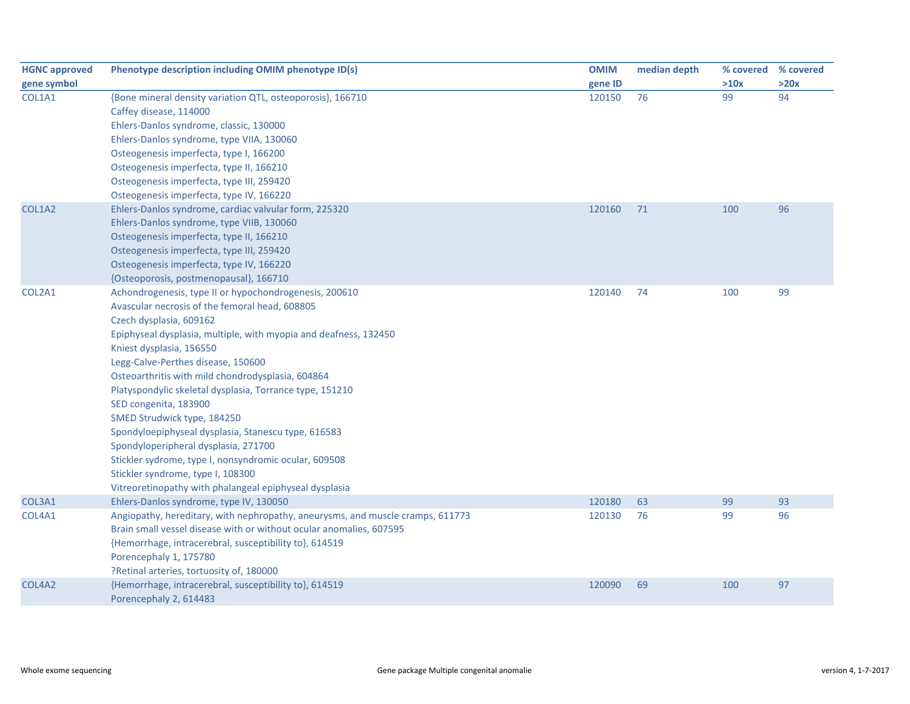| <b>HGNC approved</b> | Phenotype description including OMIM phenotype ID(s)                           | <b>OMIM</b> | median depth |      | % covered % covered |
|----------------------|--------------------------------------------------------------------------------|-------------|--------------|------|---------------------|
| gene symbol          |                                                                                | gene ID     |              | >10x | >20x                |
| COL1A1               | {Bone mineral density variation QTL, osteoporosis}, 166710                     | 120150      | 76           | 99   | 94                  |
|                      | Caffey disease, 114000                                                         |             |              |      |                     |
|                      | Ehlers-Danlos syndrome, classic, 130000                                        |             |              |      |                     |
|                      | Ehlers-Danlos syndrome, type VIIA, 130060                                      |             |              |      |                     |
|                      | Osteogenesis imperfecta, type I, 166200                                        |             |              |      |                     |
|                      | Osteogenesis imperfecta, type II, 166210                                       |             |              |      |                     |
|                      | Osteogenesis imperfecta, type III, 259420                                      |             |              |      |                     |
|                      | Osteogenesis imperfecta, type IV, 166220                                       |             |              |      |                     |
| COL1A2               | Ehlers-Danlos syndrome, cardiac valvular form, 225320                          | 120160      | 71           | 100  | 96                  |
|                      | Ehlers-Danlos syndrome, type VIIB, 130060                                      |             |              |      |                     |
|                      | Osteogenesis imperfecta, type II, 166210                                       |             |              |      |                     |
|                      | Osteogenesis imperfecta, type III, 259420                                      |             |              |      |                     |
|                      | Osteogenesis imperfecta, type IV, 166220                                       |             |              |      |                     |
|                      | {Osteoporosis, postmenopausal}, 166710                                         |             |              |      |                     |
| COL2A1               | Achondrogenesis, type II or hypochondrogenesis, 200610                         | 120140      | 74           | 100  | 99                  |
|                      | Avascular necrosis of the femoral head, 608805                                 |             |              |      |                     |
|                      | Czech dysplasia, 609162                                                        |             |              |      |                     |
|                      | Epiphyseal dysplasia, multiple, with myopia and deafness, 132450               |             |              |      |                     |
|                      | Kniest dysplasia, 156550                                                       |             |              |      |                     |
|                      | Legg-Calve-Perthes disease, 150600                                             |             |              |      |                     |
|                      | Osteoarthritis with mild chondrodysplasia, 604864                              |             |              |      |                     |
|                      | Platyspondylic skeletal dysplasia, Torrance type, 151210                       |             |              |      |                     |
|                      | SED congenita, 183900                                                          |             |              |      |                     |
|                      | SMED Strudwick type, 184250                                                    |             |              |      |                     |
|                      | Spondyloepiphyseal dysplasia, Stanescu type, 616583                            |             |              |      |                     |
|                      | Spondyloperipheral dysplasia, 271700                                           |             |              |      |                     |
|                      | Stickler sydrome, type I, nonsyndromic ocular, 609508                          |             |              |      |                     |
|                      | Stickler syndrome, type I, 108300                                              |             |              |      |                     |
|                      | Vitreoretinopathy with phalangeal epiphyseal dysplasia                         |             |              |      |                     |
| COL3A1               | Ehlers-Danlos syndrome, type IV, 130050                                        | 120180      | 63           | 99   | 93                  |
| COL4A1               | Angiopathy, hereditary, with nephropathy, aneurysms, and muscle cramps, 611773 | 120130      | 76           | 99   | 96                  |
|                      | Brain small vessel disease with or without ocular anomalies, 607595            |             |              |      |                     |
|                      | {Hemorrhage, intracerebral, susceptibility to}, 614519                         |             |              |      |                     |
|                      | Porencephaly 1, 175780                                                         |             |              |      |                     |
|                      | ?Retinal arteries, tortuosity of, 180000                                       |             |              |      |                     |
| COL4A2               | {Hemorrhage, intracerebral, susceptibility to}, 614519                         | 120090      | 69           | 100  | 97                  |
|                      | Porencephaly 2, 614483                                                         |             |              |      |                     |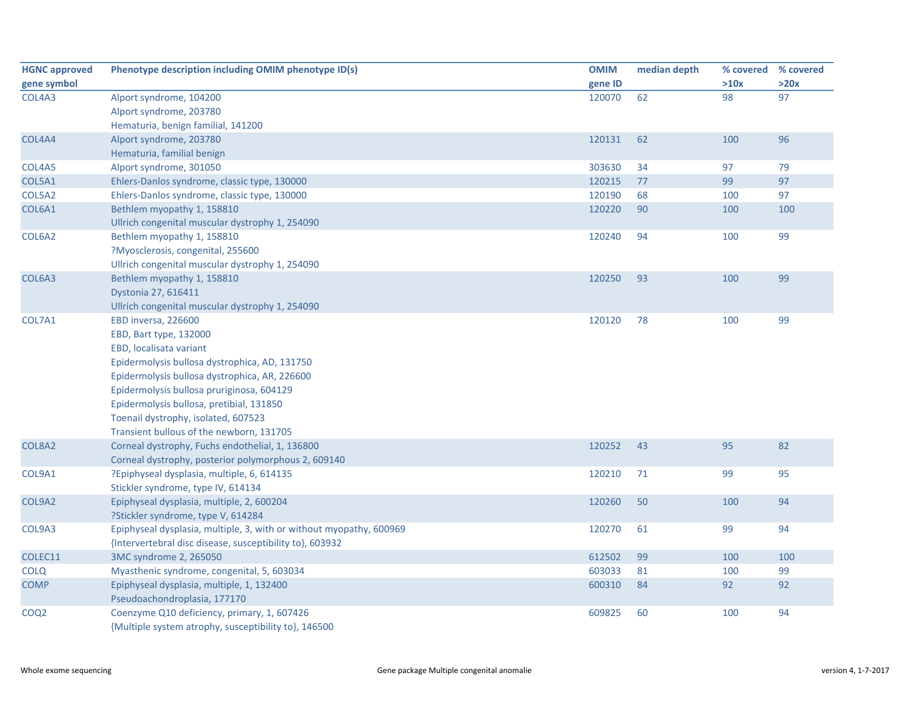| <b>HGNC approved</b> | Phenotype description including OMIM phenotype ID(s)                | <b>OMIM</b> | median depth |      | % covered % covered |
|----------------------|---------------------------------------------------------------------|-------------|--------------|------|---------------------|
| gene symbol          |                                                                     | gene ID     |              | >10x | >20x                |
| COL4A3               | Alport syndrome, 104200                                             | 120070      | 62           | 98   | 97                  |
|                      | Alport syndrome, 203780                                             |             |              |      |                     |
|                      | Hematuria, benign familial, 141200                                  |             |              |      |                     |
| COL4A4               | Alport syndrome, 203780                                             | 120131      | 62           | 100  | 96                  |
|                      | Hematuria, familial benign                                          |             |              |      |                     |
| COL4A5               | Alport syndrome, 301050                                             | 303630      | 34           | 97   | 79                  |
| COL5A1               | Ehlers-Danlos syndrome, classic type, 130000                        | 120215      | 77           | 99   | 97                  |
| COL5A2               | Ehlers-Danlos syndrome, classic type, 130000                        | 120190      | 68           | 100  | 97                  |
| COL6A1               | Bethlem myopathy 1, 158810                                          | 120220      | 90           | 100  | 100                 |
|                      | Ullrich congenital muscular dystrophy 1, 254090                     |             |              |      |                     |
| COL6A2               | Bethlem myopathy 1, 158810                                          | 120240      | 94           | 100  | 99                  |
|                      | ?Myosclerosis, congenital, 255600                                   |             |              |      |                     |
|                      | Ullrich congenital muscular dystrophy 1, 254090                     |             |              |      |                     |
| COL6A3               | Bethlem myopathy 1, 158810                                          | 120250      | 93           | 100  | 99                  |
|                      | Dystonia 27, 616411                                                 |             |              |      |                     |
|                      | Ullrich congenital muscular dystrophy 1, 254090                     |             |              |      |                     |
| COL7A1               | EBD inversa, 226600                                                 | 120120      | 78           | 100  | 99                  |
|                      | EBD, Bart type, 132000                                              |             |              |      |                     |
|                      | EBD, localisata variant                                             |             |              |      |                     |
|                      | Epidermolysis bullosa dystrophica, AD, 131750                       |             |              |      |                     |
|                      | Epidermolysis bullosa dystrophica, AR, 226600                       |             |              |      |                     |
|                      | Epidermolysis bullosa pruriginosa, 604129                           |             |              |      |                     |
|                      | Epidermolysis bullosa, pretibial, 131850                            |             |              |      |                     |
|                      | Toenail dystrophy, isolated, 607523                                 |             |              |      |                     |
|                      | Transient bullous of the newborn, 131705                            |             |              |      |                     |
| COL8A2               | Corneal dystrophy, Fuchs endothelial, 1, 136800                     | 120252      | 43           | 95   | 82                  |
|                      | Corneal dystrophy, posterior polymorphous 2, 609140                 |             |              |      |                     |
| COL9A1               | ?Epiphyseal dysplasia, multiple, 6, 614135                          | 120210      | 71           | 99   | 95                  |
|                      | Stickler syndrome, type IV, 614134                                  |             |              |      |                     |
| COL9A2               | Epiphyseal dysplasia, multiple, 2, 600204                           | 120260      | 50           | 100  | 94                  |
|                      | ?Stickler syndrome, type V, 614284                                  |             |              |      |                     |
| COL9A3               | Epiphyseal dysplasia, multiple, 3, with or without myopathy, 600969 | 120270      | 61           | 99   | 94                  |
|                      | {Intervertebral disc disease, susceptibility to}, 603932            |             |              |      |                     |
| COLEC11              | 3MC syndrome 2, 265050                                              | 612502      | 99           | 100  | 100                 |
| <b>COLQ</b>          | Myasthenic syndrome, congenital, 5, 603034                          | 603033      | 81           | 100  | 99                  |
| <b>COMP</b>          | Epiphyseal dysplasia, multiple, 1, 132400                           | 600310      | 84           | 92   | 92                  |
|                      | Pseudoachondroplasia, 177170                                        |             |              |      |                     |
| COQ <sub>2</sub>     | Coenzyme Q10 deficiency, primary, 1, 607426                         | 609825      | 60           | 100  | 94                  |
|                      | {Multiple system atrophy, susceptibility to}, 146500                |             |              |      |                     |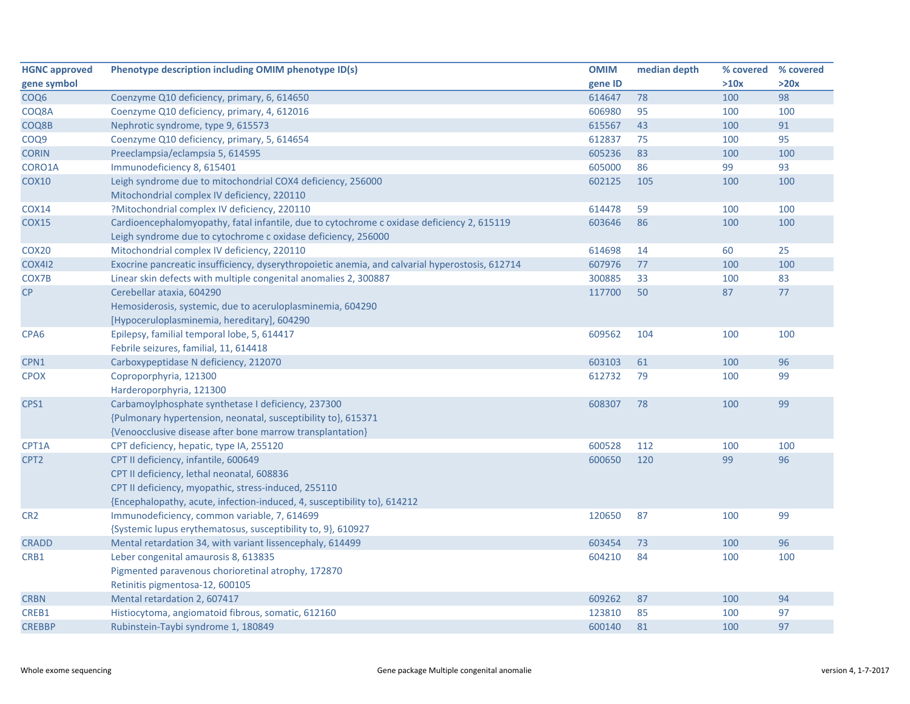| <b>HGNC approved</b> | Phenotype description including OMIM phenotype ID(s)                                            | <b>OMIM</b> | median depth | % covered | % covered |
|----------------------|-------------------------------------------------------------------------------------------------|-------------|--------------|-----------|-----------|
| gene symbol          |                                                                                                 | gene ID     |              | >10x      | >20x      |
| COQ6                 | Coenzyme Q10 deficiency, primary, 6, 614650                                                     | 614647      | 78           | 100       | 98        |
| COQ8A                | Coenzyme Q10 deficiency, primary, 4, 612016                                                     | 606980      | 95           | 100       | 100       |
| COQ8B                | Nephrotic syndrome, type 9, 615573                                                              | 615567      | 43           | 100       | 91        |
| COQ9                 | Coenzyme Q10 deficiency, primary, 5, 614654                                                     | 612837      | 75           | 100       | 95        |
| <b>CORIN</b>         | Preeclampsia/eclampsia 5, 614595                                                                | 605236      | 83           | 100       | 100       |
| CORO1A               | Immunodeficiency 8, 615401                                                                      | 605000      | 86           | 99        | 93        |
| <b>COX10</b>         | Leigh syndrome due to mitochondrial COX4 deficiency, 256000                                     | 602125      | 105          | 100       | 100       |
|                      | Mitochondrial complex IV deficiency, 220110                                                     |             |              |           |           |
| <b>COX14</b>         | ?Mitochondrial complex IV deficiency, 220110                                                    | 614478      | 59           | 100       | 100       |
| <b>COX15</b>         | Cardioencephalomyopathy, fatal infantile, due to cytochrome c oxidase deficiency 2, 615119      | 603646      | 86           | 100       | 100       |
|                      | Leigh syndrome due to cytochrome c oxidase deficiency, 256000                                   |             |              |           |           |
| COX <sub>20</sub>    | Mitochondrial complex IV deficiency, 220110                                                     | 614698      | 14           | 60        | 25        |
| <b>COX412</b>        | Exocrine pancreatic insufficiency, dyserythropoietic anemia, and calvarial hyperostosis, 612714 | 607976      | 77           | 100       | 100       |
| COX7B                | Linear skin defects with multiple congenital anomalies 2, 300887                                | 300885      | 33           | 100       | 83        |
| CP                   | Cerebellar ataxia, 604290                                                                       | 117700      | 50           | 87        | 77        |
|                      | Hemosiderosis, systemic, due to aceruloplasminemia, 604290                                      |             |              |           |           |
|                      | [Hypoceruloplasminemia, hereditary], 604290                                                     |             |              |           |           |
| CPA <sub>6</sub>     | Epilepsy, familial temporal lobe, 5, 614417                                                     | 609562      | 104          | 100       | 100       |
|                      | Febrile seizures, familial, 11, 614418                                                          |             |              |           |           |
| CPN1                 | Carboxypeptidase N deficiency, 212070                                                           | 603103      | 61           | 100       | 96        |
| <b>CPOX</b>          | Coproporphyria, 121300                                                                          | 612732      | 79           | 100       | 99        |
|                      | Harderoporphyria, 121300                                                                        |             |              |           |           |
| CPS1                 | Carbamoylphosphate synthetase I deficiency, 237300                                              | 608307      | 78           | 100       | 99        |
|                      | {Pulmonary hypertension, neonatal, susceptibility to}, 615371                                   |             |              |           |           |
|                      | {Venoocclusive disease after bone marrow transplantation}                                       |             |              |           |           |
| CPT1A                | CPT deficiency, hepatic, type IA, 255120                                                        | 600528      | 112          | 100       | 100       |
| CPT <sub>2</sub>     | CPT II deficiency, infantile, 600649                                                            | 600650      | 120          | 99        | 96        |
|                      | CPT II deficiency, lethal neonatal, 608836                                                      |             |              |           |           |
|                      | CPT II deficiency, myopathic, stress-induced, 255110                                            |             |              |           |           |
|                      | {Encephalopathy, acute, infection-induced, 4, susceptibility to}, 614212                        |             |              |           |           |
| CR <sub>2</sub>      | Immunodeficiency, common variable, 7, 614699                                                    | 120650      | 87           | 100       | 99        |
|                      | {Systemic lupus erythematosus, susceptibility to, 9}, 610927                                    |             |              |           |           |
| <b>CRADD</b>         | Mental retardation 34, with variant lissencephaly, 614499                                       | 603454      | 73           | 100       | 96        |
| CRB1                 | Leber congenital amaurosis 8, 613835                                                            | 604210      | 84           | 100       | 100       |
|                      | Pigmented paravenous chorioretinal atrophy, 172870                                              |             |              |           |           |
|                      | Retinitis pigmentosa-12, 600105                                                                 |             |              |           |           |
| <b>CRBN</b>          | Mental retardation 2, 607417                                                                    | 609262      | 87           | 100       | 94        |
| CREB1                | Histiocytoma, angiomatoid fibrous, somatic, 612160                                              | 123810      | 85           | 100       | 97        |
| <b>CREBBP</b>        | Rubinstein-Taybi syndrome 1, 180849                                                             | 600140      | 81           | 100       | 97        |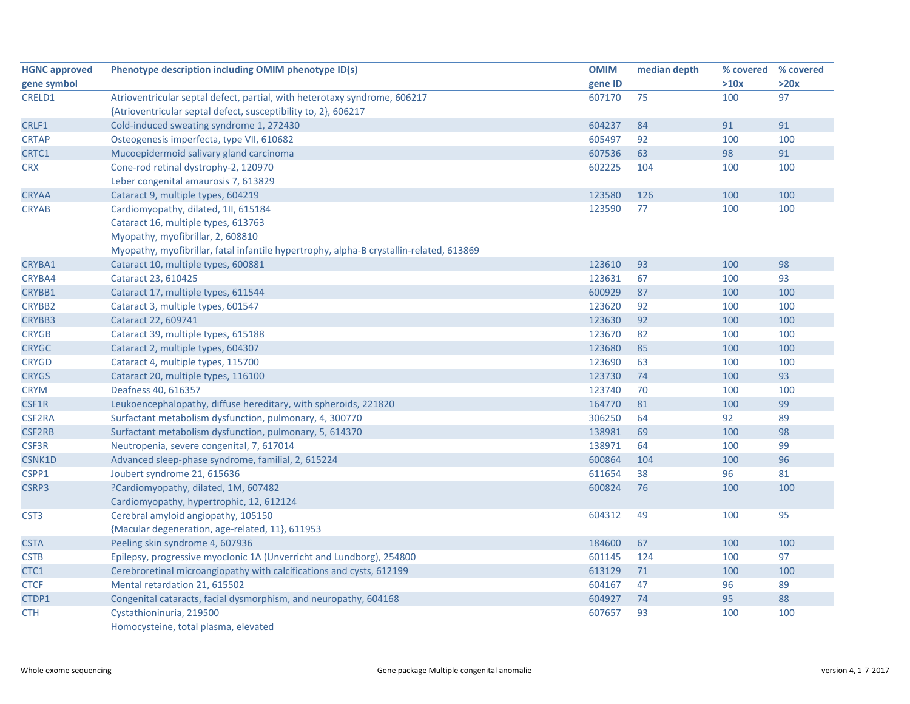| <b>HGNC approved</b> | Phenotype description including OMIM phenotype ID(s)                                    | <b>OMIM</b> | median depth | % covered | % covered |
|----------------------|-----------------------------------------------------------------------------------------|-------------|--------------|-----------|-----------|
| gene symbol          |                                                                                         | gene ID     |              | >10x      | >20x      |
| CRELD1               | Atrioventricular septal defect, partial, with heterotaxy syndrome, 606217               | 607170      | 75           | 100       | 97        |
|                      | {Atrioventricular septal defect, susceptibility to, 2}, 606217                          |             |              |           |           |
| CRLF1                | Cold-induced sweating syndrome 1, 272430                                                | 604237      | 84           | 91        | 91        |
| <b>CRTAP</b>         | Osteogenesis imperfecta, type VII, 610682                                               | 605497      | 92           | 100       | 100       |
| CRTC1                | Mucoepidermoid salivary gland carcinoma                                                 | 607536      | 63           | 98        | 91        |
| <b>CRX</b>           | Cone-rod retinal dystrophy-2, 120970                                                    | 602225      | 104          | 100       | 100       |
|                      | Leber congenital amaurosis 7, 613829                                                    |             |              |           |           |
| <b>CRYAA</b>         | Cataract 9, multiple types, 604219                                                      | 123580      | 126          | 100       | 100       |
| <b>CRYAB</b>         | Cardiomyopathy, dilated, 1II, 615184                                                    | 123590      | 77           | 100       | 100       |
|                      | Cataract 16, multiple types, 613763                                                     |             |              |           |           |
|                      | Myopathy, myofibrillar, 2, 608810                                                       |             |              |           |           |
|                      | Myopathy, myofibrillar, fatal infantile hypertrophy, alpha-B crystallin-related, 613869 |             |              |           |           |
| CRYBA1               | Cataract 10, multiple types, 600881                                                     | 123610      | 93           | 100       | 98        |
| CRYBA4               | Cataract 23, 610425                                                                     | 123631      | 67           | 100       | 93        |
| CRYBB1               | Cataract 17, multiple types, 611544                                                     | 600929      | 87           | 100       | 100       |
| CRYBB2               | Cataract 3, multiple types, 601547                                                      | 123620      | 92           | 100       | 100       |
| CRYBB3               | Cataract 22, 609741                                                                     | 123630      | 92           | 100       | 100       |
| <b>CRYGB</b>         | Cataract 39, multiple types, 615188                                                     | 123670      | 82           | 100       | 100       |
| <b>CRYGC</b>         | Cataract 2, multiple types, 604307                                                      | 123680      | 85           | 100       | 100       |
| <b>CRYGD</b>         | Cataract 4, multiple types, 115700                                                      | 123690      | 63           | 100       | 100       |
| <b>CRYGS</b>         | Cataract 20, multiple types, 116100                                                     | 123730      | 74           | 100       | 93        |
| <b>CRYM</b>          | Deafness 40, 616357                                                                     | 123740      | 70           | 100       | 100       |
| CSF1R                | Leukoencephalopathy, diffuse hereditary, with spheroids, 221820                         | 164770      | 81           | 100       | 99        |
| CSF2RA               | Surfactant metabolism dysfunction, pulmonary, 4, 300770                                 | 306250      | 64           | 92        | 89        |
| <b>CSF2RB</b>        | Surfactant metabolism dysfunction, pulmonary, 5, 614370                                 | 138981      | 69           | 100       | 98        |
| CSF3R                | Neutropenia, severe congenital, 7, 617014                                               | 138971      | 64           | 100       | 99        |
| CSNK1D               | Advanced sleep-phase syndrome, familial, 2, 615224                                      | 600864      | 104          | 100       | 96        |
| CSPP1                | Joubert syndrome 21, 615636                                                             | 611654      | 38           | 96        | 81        |
| CSRP3                | ?Cardiomyopathy, dilated, 1M, 607482                                                    | 600824      | 76           | 100       | 100       |
|                      | Cardiomyopathy, hypertrophic, 12, 612124                                                |             |              |           |           |
| CST <sub>3</sub>     | Cerebral amyloid angiopathy, 105150                                                     | 604312      | 49           | 100       | 95        |
|                      | {Macular degeneration, age-related, 11}, 611953                                         |             |              |           |           |
| <b>CSTA</b>          | Peeling skin syndrome 4, 607936                                                         | 184600      | 67           | 100       | 100       |
| <b>CSTB</b>          | Epilepsy, progressive myoclonic 1A (Unverricht and Lundborg), 254800                    | 601145      | 124          | 100       | 97        |
| CTC1                 | Cerebroretinal microangiopathy with calcifications and cysts, 612199                    | 613129      | 71           | 100       | 100       |
| <b>CTCF</b>          | Mental retardation 21, 615502                                                           | 604167      | 47           | 96        | 89        |
| CTDP1                | Congenital cataracts, facial dysmorphism, and neuropathy, 604168                        | 604927      | 74           | 95        | 88        |
| <b>CTH</b>           | Cystathioninuria, 219500                                                                | 607657      | 93           | 100       | 100       |
|                      | Homocysteine, total plasma, elevated                                                    |             |              |           |           |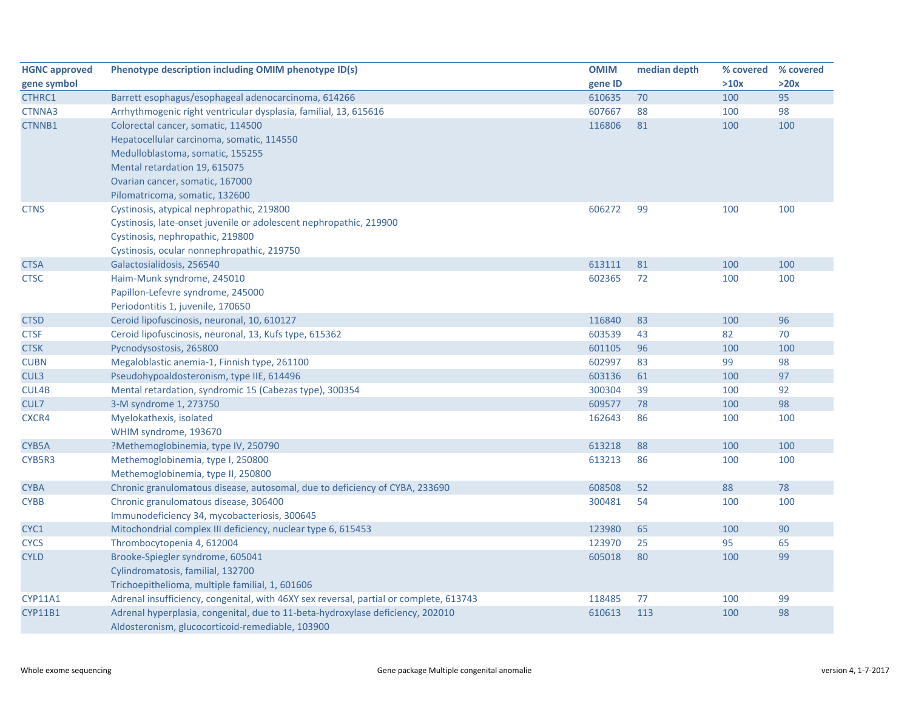| <b>HGNC approved</b> | Phenotype description including OMIM phenotype ID(s)                                   | <b>OMIM</b> | median depth | % covered % covered |      |
|----------------------|----------------------------------------------------------------------------------------|-------------|--------------|---------------------|------|
| gene symbol          |                                                                                        | gene ID     |              | >10x                | >20x |
| CTHRC1               | Barrett esophagus/esophageal adenocarcinoma, 614266                                    | 610635      | 70           | 100                 | 95   |
| CTNNA3               | Arrhythmogenic right ventricular dysplasia, familial, 13, 615616                       | 607667      | 88           | 100                 | 98   |
| CTNNB1               | Colorectal cancer, somatic, 114500                                                     | 116806      | 81           | 100                 | 100  |
|                      | Hepatocellular carcinoma, somatic, 114550                                              |             |              |                     |      |
|                      | Medulloblastoma, somatic, 155255                                                       |             |              |                     |      |
|                      | Mental retardation 19, 615075                                                          |             |              |                     |      |
|                      | Ovarian cancer, somatic, 167000                                                        |             |              |                     |      |
|                      | Pilomatricoma, somatic, 132600                                                         |             |              |                     |      |
| <b>CTNS</b>          | Cystinosis, atypical nephropathic, 219800                                              | 606272      | 99           | 100                 | 100  |
|                      | Cystinosis, late-onset juvenile or adolescent nephropathic, 219900                     |             |              |                     |      |
|                      | Cystinosis, nephropathic, 219800                                                       |             |              |                     |      |
|                      | Cystinosis, ocular nonnephropathic, 219750                                             |             |              |                     |      |
| <b>CTSA</b>          | Galactosialidosis, 256540                                                              | 613111      | 81           | 100                 | 100  |
| <b>CTSC</b>          | Haim-Munk syndrome, 245010                                                             | 602365      | 72           | 100                 | 100  |
|                      | Papillon-Lefevre syndrome, 245000                                                      |             |              |                     |      |
|                      | Periodontitis 1, juvenile, 170650                                                      |             |              |                     |      |
| <b>CTSD</b>          | Ceroid lipofuscinosis, neuronal, 10, 610127                                            | 116840      | 83           | 100                 | 96   |
| <b>CTSF</b>          | Ceroid lipofuscinosis, neuronal, 13, Kufs type, 615362                                 | 603539      | 43           | 82                  | 70   |
| <b>CTSK</b>          | Pycnodysostosis, 265800                                                                | 601105      | 96           | 100                 | 100  |
| <b>CUBN</b>          | Megaloblastic anemia-1, Finnish type, 261100                                           | 602997      | 83           | 99                  | 98   |
| CUL <sub>3</sub>     | Pseudohypoaldosteronism, type IIE, 614496                                              | 603136      | 61           | 100                 | 97   |
| CUL4B                | Mental retardation, syndromic 15 (Cabezas type), 300354                                | 300304      | 39           | 100                 | 92   |
| CUL7                 | 3-M syndrome 1, 273750                                                                 | 609577      | 78           | 100                 | 98   |
| CXCR4                | Myelokathexis, isolated                                                                | 162643      | 86           | 100                 | 100  |
|                      | WHIM syndrome, 193670                                                                  |             |              |                     |      |
| CYB5A                | ?Methemoglobinemia, type IV, 250790                                                    | 613218      | 88           | 100                 | 100  |
| CYB5R3               | Methemoglobinemia, type I, 250800                                                      | 613213      | 86           | 100                 | 100  |
|                      | Methemoglobinemia, type II, 250800                                                     |             |              |                     |      |
| <b>CYBA</b>          | Chronic granulomatous disease, autosomal, due to deficiency of CYBA, 233690            | 608508      | 52           | 88                  | 78   |
| <b>CYBB</b>          | Chronic granulomatous disease, 306400                                                  | 300481      | 54           | 100                 | 100  |
|                      | Immunodeficiency 34, mycobacteriosis, 300645                                           |             |              |                     |      |
| CYC <sub>1</sub>     | Mitochondrial complex III deficiency, nuclear type 6, 615453                           | 123980      | 65           | 100                 | 90   |
| <b>CYCS</b>          | Thrombocytopenia 4, 612004                                                             | 123970      | 25           | 95                  | 65   |
| <b>CYLD</b>          | Brooke-Spiegler syndrome, 605041                                                       | 605018      | 80           | 100                 | 99   |
|                      | Cylindromatosis, familial, 132700                                                      |             |              |                     |      |
|                      | Trichoepithelioma, multiple familial, 1, 601606                                        |             |              |                     |      |
| <b>CYP11A1</b>       | Adrenal insufficiency, congenital, with 46XY sex reversal, partial or complete, 613743 | 118485      | 77           | 100                 | 99   |
| <b>CYP11B1</b>       | Adrenal hyperplasia, congenital, due to 11-beta-hydroxylase deficiency, 202010         | 610613      | 113          | 100                 | 98   |
|                      | Aldosteronism, glucocorticoid-remediable, 103900                                       |             |              |                     |      |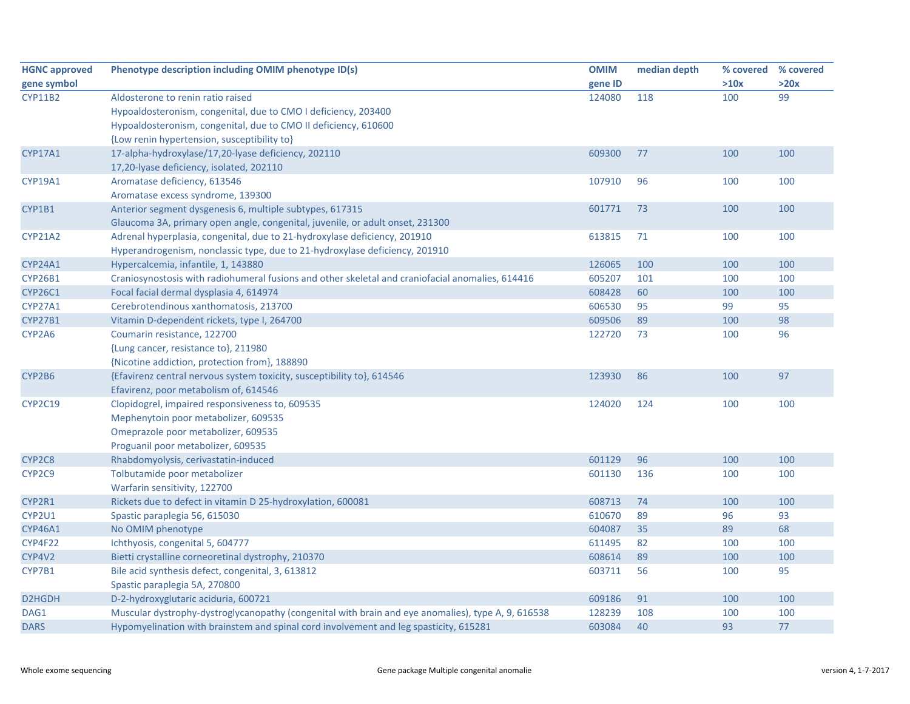| <b>HGNC approved</b> | Phenotype description including OMIM phenotype ID(s)                                               | <b>OMIM</b> | median depth | % covered | % covered |
|----------------------|----------------------------------------------------------------------------------------------------|-------------|--------------|-----------|-----------|
| gene symbol          |                                                                                                    | gene ID     |              | >10x      | >20x      |
| <b>CYP11B2</b>       | Aldosterone to renin ratio raised                                                                  | 124080      | 118          | 100       | 99        |
|                      | Hypoaldosteronism, congenital, due to CMO I deficiency, 203400                                     |             |              |           |           |
|                      | Hypoaldosteronism, congenital, due to CMO II deficiency, 610600                                    |             |              |           |           |
|                      | {Low renin hypertension, susceptibility to}                                                        |             |              |           |           |
| <b>CYP17A1</b>       | 17-alpha-hydroxylase/17,20-lyase deficiency, 202110                                                | 609300      | 77           | 100       | 100       |
|                      | 17,20-lyase deficiency, isolated, 202110                                                           |             |              |           |           |
| CYP19A1              | Aromatase deficiency, 613546                                                                       | 107910      | 96           | 100       | 100       |
|                      | Aromatase excess syndrome, 139300                                                                  |             |              |           |           |
| CYP1B1               | Anterior segment dysgenesis 6, multiple subtypes, 617315                                           | 601771      | 73           | 100       | 100       |
|                      | Glaucoma 3A, primary open angle, congenital, juvenile, or adult onset, 231300                      |             |              |           |           |
| <b>CYP21A2</b>       | Adrenal hyperplasia, congenital, due to 21-hydroxylase deficiency, 201910                          | 613815      | 71           | 100       | 100       |
|                      | Hyperandrogenism, nonclassic type, due to 21-hydroxylase deficiency, 201910                        |             |              |           |           |
| CYP24A1              | Hypercalcemia, infantile, 1, 143880                                                                | 126065      | 100          | 100       | 100       |
| <b>CYP26B1</b>       | Craniosynostosis with radiohumeral fusions and other skeletal and craniofacial anomalies, 614416   | 605207      | 101          | 100       | 100       |
| <b>CYP26C1</b>       | Focal facial dermal dysplasia 4, 614974                                                            | 608428      | 60           | 100       | 100       |
| CYP27A1              | Cerebrotendinous xanthomatosis, 213700                                                             | 606530      | 95           | 99        | 95        |
| CYP27B1              | Vitamin D-dependent rickets, type I, 264700                                                        | 609506      | 89           | 100       | 98        |
| CYP2A6               | Coumarin resistance, 122700                                                                        | 122720      | 73           | 100       | 96        |
|                      | {Lung cancer, resistance to}, 211980                                                               |             |              |           |           |
|                      | {Nicotine addiction, protection from}, 188890                                                      |             |              |           |           |
| CYP2B6               | {Efavirenz central nervous system toxicity, susceptibility to}, 614546                             | 123930      | 86           | 100       | 97        |
|                      | Efavirenz, poor metabolism of, 614546                                                              |             |              |           |           |
| CYP2C19              | Clopidogrel, impaired responsiveness to, 609535                                                    | 124020      | 124          | 100       | 100       |
|                      | Mephenytoin poor metabolizer, 609535                                                               |             |              |           |           |
|                      | Omeprazole poor metabolizer, 609535                                                                |             |              |           |           |
|                      | Proguanil poor metabolizer, 609535                                                                 |             |              |           |           |
| CYP2C8               | Rhabdomyolysis, cerivastatin-induced                                                               | 601129      | 96           | 100       | 100       |
| CYP2C9               | Tolbutamide poor metabolizer                                                                       | 601130      | 136          | 100       | 100       |
|                      | Warfarin sensitivity, 122700                                                                       |             |              |           |           |
| CYP2R1               | Rickets due to defect in vitamin D 25-hydroxylation, 600081                                        | 608713      | 74           | 100       | 100       |
| CYP2U1               | Spastic paraplegia 56, 615030                                                                      | 610670      | 89           | 96        | 93        |
| <b>CYP46A1</b>       | No OMIM phenotype                                                                                  | 604087      | 35           | 89        | 68        |
| CYP4F22              | Ichthyosis, congenital 5, 604777                                                                   | 611495      | 82           | 100       | 100       |
| CYP4V2               | Bietti crystalline corneoretinal dystrophy, 210370                                                 | 608614      | 89           | 100       | 100       |
| CYP7B1               | Bile acid synthesis defect, congenital, 3, 613812                                                  | 603711      | 56           | 100       | 95        |
|                      | Spastic paraplegia 5A, 270800                                                                      |             |              |           |           |
| D2HGDH               | D-2-hydroxyglutaric aciduria, 600721                                                               | 609186      | 91           | 100       | 100       |
| DAG1                 | Muscular dystrophy-dystroglycanopathy (congenital with brain and eye anomalies), type A, 9, 616538 | 128239      | 108          | 100       | 100       |
| <b>DARS</b>          | Hypomyelination with brainstem and spinal cord involvement and leg spasticity, 615281              | 603084      | 40           | 93        | 77        |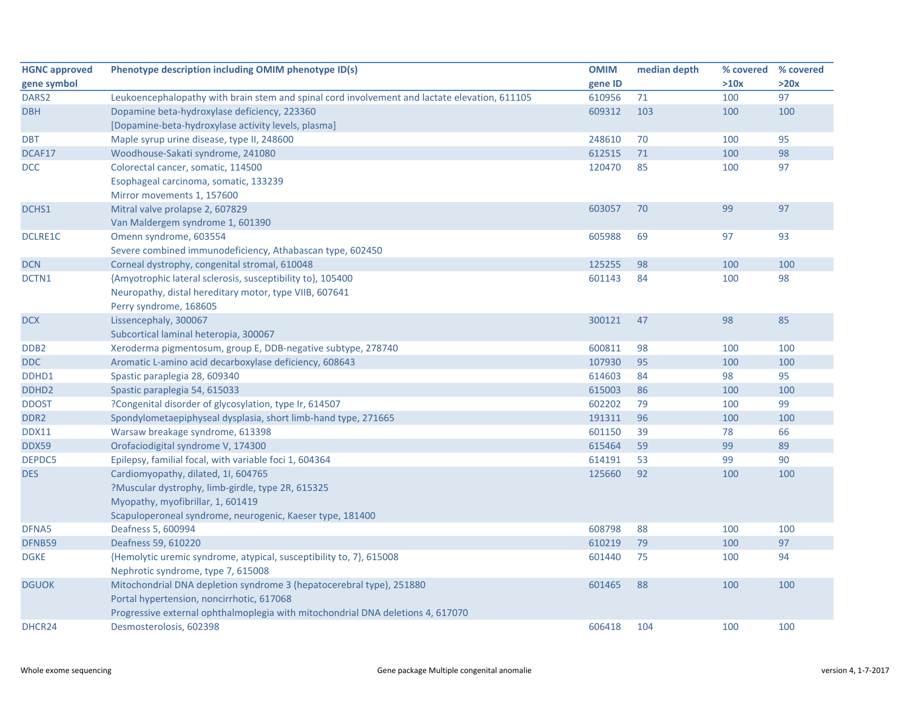| <b>HGNC approved</b> | Phenotype description including OMIM phenotype ID(s)                                          | <b>OMIM</b> | median depth | % covered | % covered |
|----------------------|-----------------------------------------------------------------------------------------------|-------------|--------------|-----------|-----------|
| gene symbol          |                                                                                               | gene ID     |              | >10x      | >20x      |
| DARS <sub>2</sub>    | Leukoencephalopathy with brain stem and spinal cord involvement and lactate elevation, 611105 | 610956      | 71           | 100       | 97        |
| <b>DBH</b>           | Dopamine beta-hydroxylase deficiency, 223360                                                  | 609312      | 103          | 100       | 100       |
|                      | [Dopamine-beta-hydroxylase activity levels, plasma]                                           |             |              |           |           |
| <b>DBT</b>           | Maple syrup urine disease, type II, 248600                                                    | 248610      | 70           | 100       | 95        |
| DCAF17               | Woodhouse-Sakati syndrome, 241080                                                             | 612515      | 71           | 100       | 98        |
| DCC                  | Colorectal cancer, somatic, 114500                                                            | 120470      | 85           | 100       | 97        |
|                      | Esophageal carcinoma, somatic, 133239                                                         |             |              |           |           |
|                      | Mirror movements 1, 157600                                                                    |             |              |           |           |
| DCHS1                | Mitral valve prolapse 2, 607829                                                               | 603057      | 70           | 99        | 97        |
|                      | Van Maldergem syndrome 1, 601390                                                              |             |              |           |           |
| DCLRE1C              | Omenn syndrome, 603554                                                                        | 605988      | 69           | 97        | 93        |
|                      | Severe combined immunodeficiency, Athabascan type, 602450                                     |             |              |           |           |
| <b>DCN</b>           | Corneal dystrophy, congenital stromal, 610048                                                 | 125255      | 98           | 100       | 100       |
| DCTN1                | {Amyotrophic lateral sclerosis, susceptibility to}, 105400                                    | 601143      | 84           | 100       | 98        |
|                      | Neuropathy, distal hereditary motor, type VIIB, 607641                                        |             |              |           |           |
|                      | Perry syndrome, 168605                                                                        |             |              |           |           |
| <b>DCX</b>           | Lissencephaly, 300067                                                                         | 300121      | 47           | 98        | 85        |
|                      | Subcortical laminal heteropia, 300067                                                         |             |              |           |           |
| DDB <sub>2</sub>     | Xeroderma pigmentosum, group E, DDB-negative subtype, 278740                                  | 600811      | 98           | 100       | 100       |
| <b>DDC</b>           | Aromatic L-amino acid decarboxylase deficiency, 608643                                        | 107930      | 95           | 100       | 100       |
| DDHD1                | Spastic paraplegia 28, 609340                                                                 | 614603      | 84           | 98        | 95        |
| DDHD <sub>2</sub>    | Spastic paraplegia 54, 615033                                                                 | 615003      | 86           | 100       | 100       |
| <b>DDOST</b>         | ?Congenital disorder of glycosylation, type Ir, 614507                                        | 602202      | 79           | 100       | 99        |
| DDR <sub>2</sub>     | Spondylometaepiphyseal dysplasia, short limb-hand type, 271665                                | 191311      | 96           | 100       | 100       |
| <b>DDX11</b>         | Warsaw breakage syndrome, 613398                                                              | 601150      | 39           | 78        | 66        |
| <b>DDX59</b>         | Orofaciodigital syndrome V, 174300                                                            | 615464      | 59           | 99        | 89        |
| DEPDC5               | Epilepsy, familial focal, with variable foci 1, 604364                                        | 614191      | 53           | 99        | 90        |
| <b>DES</b>           | Cardiomyopathy, dilated, 1I, 604765                                                           | 125660      | 92           | 100       | 100       |
|                      | ?Muscular dystrophy, limb-girdle, type 2R, 615325                                             |             |              |           |           |
|                      | Myopathy, myofibrillar, 1, 601419                                                             |             |              |           |           |
|                      | Scapuloperoneal syndrome, neurogenic, Kaeser type, 181400                                     |             |              |           |           |
| DFNA5                | Deafness 5, 600994                                                                            | 608798      | 88           | 100       | 100       |
| DFNB59               | Deafness 59, 610220                                                                           | 610219      | 79           | 100       | 97        |
| <b>DGKE</b>          | {Hemolytic uremic syndrome, atypical, susceptibility to, 7}, 615008                           | 601440      | 75           | 100       | 94        |
|                      | Nephrotic syndrome, type 7, 615008                                                            |             |              |           |           |
| <b>DGUOK</b>         | Mitochondrial DNA depletion syndrome 3 (hepatocerebral type), 251880                          | 601465      | 88           | 100       | 100       |
|                      | Portal hypertension, noncirrhotic, 617068                                                     |             |              |           |           |
|                      | Progressive external ophthalmoplegia with mitochondrial DNA deletions 4, 617070               |             |              |           |           |
| DHCR24               | Desmosterolosis, 602398                                                                       | 606418      | 104          | 100       | 100       |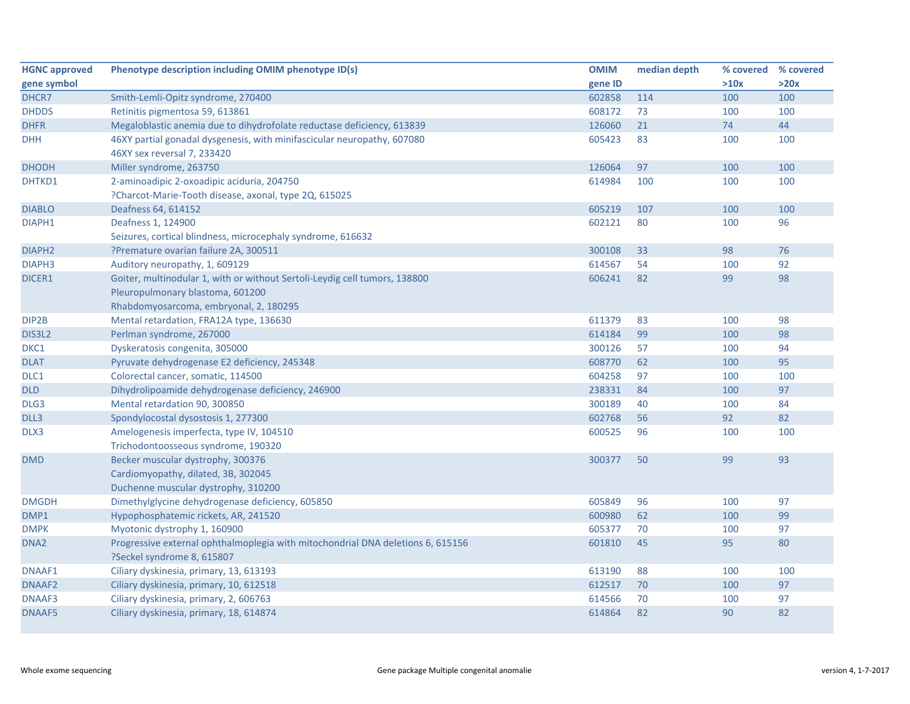| <b>HGNC approved</b> | Phenotype description including OMIM phenotype ID(s)                            | <b>OMIM</b> | median depth | % covered | % covered |
|----------------------|---------------------------------------------------------------------------------|-------------|--------------|-----------|-----------|
| gene symbol          |                                                                                 | gene ID     |              | >10x      | >20x      |
| DHCR7                | Smith-Lemli-Opitz syndrome, 270400                                              | 602858      | 114          | 100       | 100       |
| <b>DHDDS</b>         | Retinitis pigmentosa 59, 613861                                                 | 608172      | 73           | 100       | 100       |
| <b>DHFR</b>          | Megaloblastic anemia due to dihydrofolate reductase deficiency, 613839          | 126060      | 21           | 74        | 44        |
| <b>DHH</b>           | 46XY partial gonadal dysgenesis, with minifascicular neuropathy, 607080         | 605423      | 83           | 100       | 100       |
|                      | 46XY sex reversal 7, 233420                                                     |             |              |           |           |
| <b>DHODH</b>         | Miller syndrome, 263750                                                         | 126064      | 97           | 100       | 100       |
| DHTKD1               | 2-aminoadipic 2-oxoadipic aciduria, 204750                                      | 614984      | 100          | 100       | 100       |
|                      | ?Charcot-Marie-Tooth disease, axonal, type 2Q, 615025                           |             |              |           |           |
| <b>DIABLO</b>        | Deafness 64, 614152                                                             | 605219      | 107          | 100       | 100       |
| DIAPH1               | Deafness 1, 124900                                                              | 602121      | 80           | 100       | 96        |
|                      | Seizures, cortical blindness, microcephaly syndrome, 616632                     |             |              |           |           |
| DIAPH <sub>2</sub>   | ?Premature ovarian failure 2A, 300511                                           | 300108      | 33           | 98        | 76        |
| DIAPH <sub>3</sub>   | Auditory neuropathy, 1, 609129                                                  | 614567      | 54           | 100       | 92        |
| DICER1               | Goiter, multinodular 1, with or without Sertoli-Leydig cell tumors, 138800      | 606241      | 82           | 99        | 98        |
|                      | Pleuropulmonary blastoma, 601200                                                |             |              |           |           |
|                      | Rhabdomyosarcoma, embryonal, 2, 180295                                          |             |              |           |           |
| DIP2B                | Mental retardation, FRA12A type, 136630                                         | 611379      | 83           | 100       | 98        |
| DIS3L2               | Perlman syndrome, 267000                                                        | 614184      | 99           | 100       | 98        |
| DKC1                 | Dyskeratosis congenita, 305000                                                  | 300126      | 57           | 100       | 94        |
| <b>DLAT</b>          | Pyruvate dehydrogenase E2 deficiency, 245348                                    | 608770      | 62           | 100       | 95        |
| DLC1                 | Colorectal cancer, somatic, 114500                                              | 604258      | 97           | 100       | 100       |
| <b>DLD</b>           | Dihydrolipoamide dehydrogenase deficiency, 246900                               | 238331      | 84           | 100       | 97        |
| DLG3                 | Mental retardation 90, 300850                                                   | 300189      | 40           | 100       | 84        |
| DLL3                 | Spondylocostal dysostosis 1, 277300                                             | 602768      | 56           | 92        | 82        |
| DLX3                 | Amelogenesis imperfecta, type IV, 104510                                        | 600525      | 96           | 100       | 100       |
|                      | Trichodontoosseous syndrome, 190320                                             |             |              |           |           |
| <b>DMD</b>           | Becker muscular dystrophy, 300376                                               | 300377      | 50           | 99        | 93        |
|                      | Cardiomyopathy, dilated, 3B, 302045                                             |             |              |           |           |
|                      | Duchenne muscular dystrophy, 310200                                             |             |              |           |           |
| <b>DMGDH</b>         | Dimethylglycine dehydrogenase deficiency, 605850                                | 605849      | 96           | 100       | 97        |
| DMP1                 | Hypophosphatemic rickets, AR, 241520                                            | 600980      | 62           | 100       | 99        |
| <b>DMPK</b>          | Myotonic dystrophy 1, 160900                                                    | 605377      | 70           | 100       | 97        |
| DNA <sub>2</sub>     | Progressive external ophthalmoplegia with mitochondrial DNA deletions 6, 615156 | 601810      | 45           | 95        | 80        |
|                      | ?Seckel syndrome 8, 615807                                                      |             |              |           |           |
| DNAAF1               | Ciliary dyskinesia, primary, 13, 613193                                         | 613190      | 88           | 100       | 100       |
| DNAAF2               | Ciliary dyskinesia, primary, 10, 612518                                         | 612517      | 70           | 100       | 97        |
| DNAAF3               | Ciliary dyskinesia, primary, 2, 606763                                          | 614566      | 70           | 100       | 97        |
| <b>DNAAF5</b>        | Ciliary dyskinesia, primary, 18, 614874                                         | 614864      | 82           | 90        | 82        |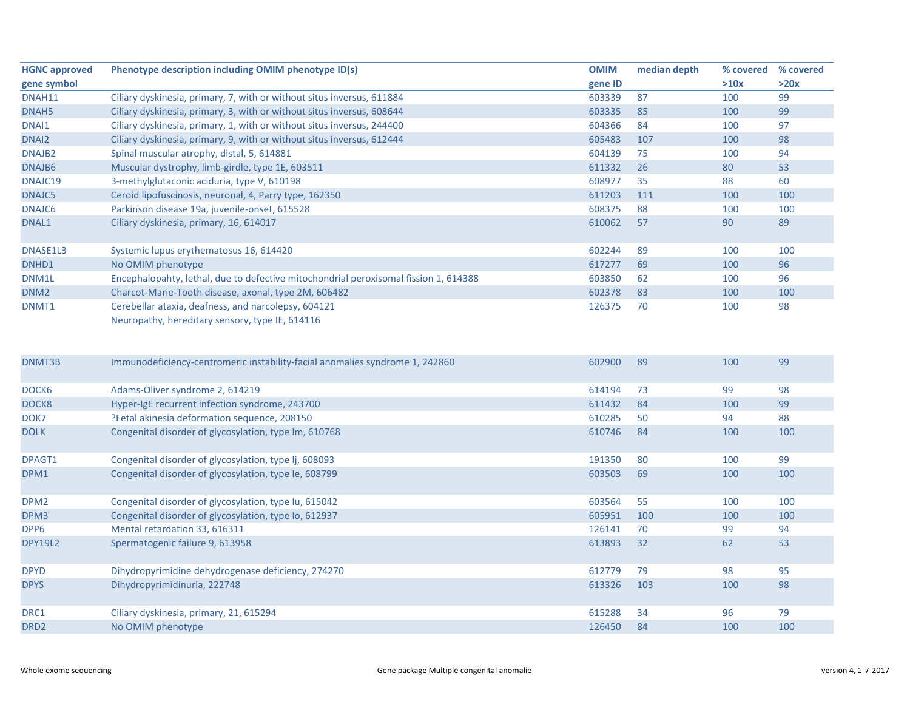| <b>HGNC approved</b> | Phenotype description including OMIM phenotype ID(s)                                                   | <b>OMIM</b> | median depth | % covered | % covered |
|----------------------|--------------------------------------------------------------------------------------------------------|-------------|--------------|-----------|-----------|
| gene symbol          |                                                                                                        | gene ID     |              | >10x      | >20x      |
| DNAH11               | Ciliary dyskinesia, primary, 7, with or without situs inversus, 611884                                 | 603339      | 87           | 100       | 99        |
| DNAH <sub>5</sub>    | Ciliary dyskinesia, primary, 3, with or without situs inversus, 608644                                 | 603335      | 85           | 100       | 99        |
| DNAI1                | Ciliary dyskinesia, primary, 1, with or without situs inversus, 244400                                 | 604366      | 84           | 100       | 97        |
| DNAI <sub>2</sub>    | Ciliary dyskinesia, primary, 9, with or without situs inversus, 612444                                 | 605483      | 107          | 100       | 98        |
| DNAJB <sub>2</sub>   | Spinal muscular atrophy, distal, 5, 614881                                                             | 604139      | 75           | 100       | 94        |
| DNAJB6               | Muscular dystrophy, limb-girdle, type 1E, 603511                                                       | 611332      | 26           | 80        | 53        |
| DNAJC19              | 3-methylglutaconic aciduria, type V, 610198                                                            | 608977      | 35           | 88        | 60        |
| DNAJC5               | Ceroid lipofuscinosis, neuronal, 4, Parry type, 162350                                                 | 611203      | 111          | 100       | 100       |
| DNAJC6               | Parkinson disease 19a, juvenile-onset, 615528                                                          | 608375      | 88           | 100       | 100       |
| DNAL1                | Ciliary dyskinesia, primary, 16, 614017                                                                | 610062      | 57           | 90        | 89        |
| DNASE1L3             | Systemic lupus erythematosus 16, 614420                                                                | 602244      | 89           | 100       | 100       |
| DNHD1                | No OMIM phenotype                                                                                      | 617277      | 69           | 100       | 96        |
| DNM1L                | Encephalopahty, lethal, due to defective mitochondrial peroxisomal fission 1, 614388                   | 603850      | 62           | 100       | 96        |
| DNM <sub>2</sub>     | Charcot-Marie-Tooth disease, axonal, type 2M, 606482                                                   | 602378      | 83           | 100       | 100       |
| DNMT1                | Cerebellar ataxia, deafness, and narcolepsy, 604121<br>Neuropathy, hereditary sensory, type IE, 614116 | 126375      | 70           | 100       | 98        |
| DNMT3B               | Immunodeficiency-centromeric instability-facial anomalies syndrome 1, 242860                           | 602900      | 89           | 100       | 99        |
| DOCK6                | Adams-Oliver syndrome 2, 614219                                                                        | 614194      | 73           | 99        | 98        |
| DOCK8                | Hyper-IgE recurrent infection syndrome, 243700                                                         | 611432      | 84           | 100       | 99        |
| DOK7                 | ?Fetal akinesia deformation sequence, 208150                                                           | 610285      | 50           | 94        | 88        |
| <b>DOLK</b>          | Congenital disorder of glycosylation, type Im, 610768                                                  | 610746      | 84           | 100       | 100       |
| DPAGT1               | Congenital disorder of glycosylation, type Ij, 608093                                                  | 191350      | 80           | 100       | 99        |
| DPM1                 | Congenital disorder of glycosylation, type le, 608799                                                  | 603503      | 69           | 100       | 100       |
| DPM <sub>2</sub>     | Congenital disorder of glycosylation, type Iu, 615042                                                  | 603564      | 55           | 100       | 100       |
| DPM3                 | Congenital disorder of glycosylation, type Io, 612937                                                  | 605951      | 100          | 100       | 100       |
| DPP6                 | Mental retardation 33, 616311                                                                          | 126141      | 70           | 99        | 94        |
| <b>DPY19L2</b>       | Spermatogenic failure 9, 613958                                                                        | 613893      | 32           | 62        | 53        |
| <b>DPYD</b>          | Dihydropyrimidine dehydrogenase deficiency, 274270                                                     | 612779      | 79           | 98        | 95        |
| <b>DPYS</b>          | Dihydropyrimidinuria, 222748                                                                           | 613326      | 103          | 100       | 98        |
| DRC1                 | Ciliary dyskinesia, primary, 21, 615294                                                                | 615288      | 34           | 96        | 79        |
| DRD <sub>2</sub>     | No OMIM phenotype                                                                                      | 126450      | 84           | 100       | 100       |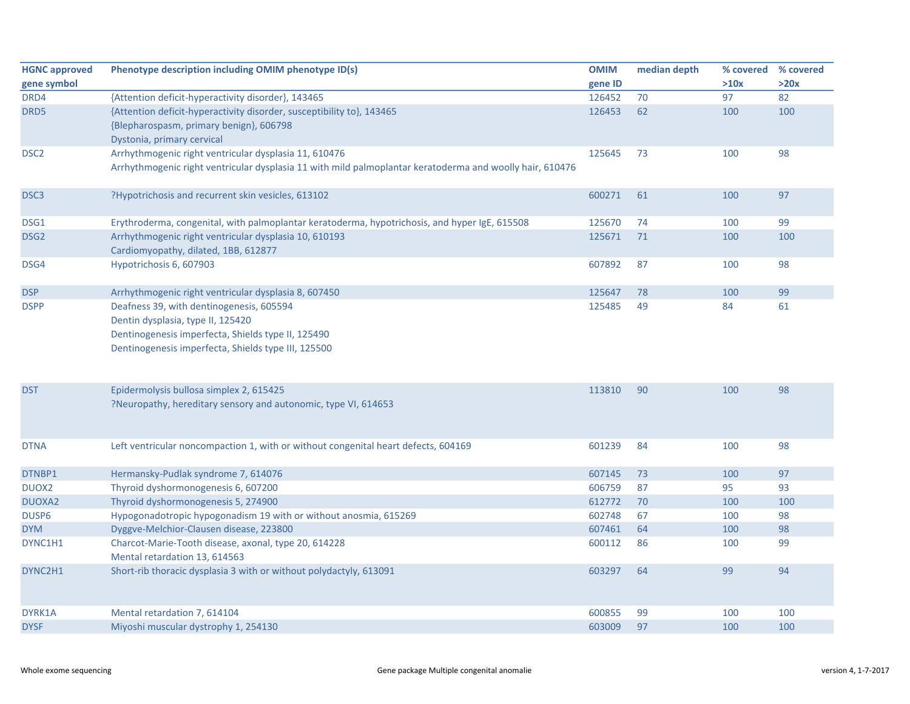| <b>HGNC approved</b> | Phenotype description including OMIM phenotype ID(s)                                                                                                                                       | <b>OMIM</b> | median depth | % covered | % covered |
|----------------------|--------------------------------------------------------------------------------------------------------------------------------------------------------------------------------------------|-------------|--------------|-----------|-----------|
| gene symbol          |                                                                                                                                                                                            | gene ID     |              | >10x      | >20x      |
| DRD4                 | {Attention deficit-hyperactivity disorder}, 143465                                                                                                                                         | 126452      | 70           | 97        | 82        |
| DRD5                 | {Attention deficit-hyperactivity disorder, susceptibility to}, 143465<br>{Blepharospasm, primary benign}, 606798<br>Dystonia, primary cervical                                             | 126453      | 62           | 100       | 100       |
| DSC <sub>2</sub>     | Arrhythmogenic right ventricular dysplasia 11, 610476<br>Arrhythmogenic right ventricular dysplasia 11 with mild palmoplantar keratoderma and woolly hair, 610476                          | 125645      | 73           | 100       | 98        |
| DSC <sub>3</sub>     | ?Hypotrichosis and recurrent skin vesicles, 613102                                                                                                                                         | 600271      | 61           | 100       | 97        |
| DSG1                 | Erythroderma, congenital, with palmoplantar keratoderma, hypotrichosis, and hyper IgE, 615508                                                                                              | 125670      | 74           | 100       | 99        |
| DSG <sub>2</sub>     | Arrhythmogenic right ventricular dysplasia 10, 610193<br>Cardiomyopathy, dilated, 1BB, 612877                                                                                              | 125671      | 71           | 100       | 100       |
| DSG4                 | Hypotrichosis 6, 607903                                                                                                                                                                    | 607892      | 87           | 100       | 98        |
| <b>DSP</b>           | Arrhythmogenic right ventricular dysplasia 8, 607450                                                                                                                                       | 125647      | 78           | 100       | 99        |
| <b>DSPP</b>          | Deafness 39, with dentinogenesis, 605594<br>Dentin dysplasia, type II, 125420<br>Dentinogenesis imperfecta, Shields type II, 125490<br>Dentinogenesis imperfecta, Shields type III, 125500 | 125485      | 49           | 84        | 61        |
| <b>DST</b>           | Epidermolysis bullosa simplex 2, 615425<br>?Neuropathy, hereditary sensory and autonomic, type VI, 614653                                                                                  | 113810      | 90           | 100       | 98        |
| <b>DTNA</b>          | Left ventricular noncompaction 1, with or without congenital heart defects, 604169                                                                                                         | 601239      | 84           | 100       | 98        |
| DTNBP1               | Hermansky-Pudlak syndrome 7, 614076                                                                                                                                                        | 607145      | 73           | 100       | 97        |
| DUOX2                | Thyroid dyshormonogenesis 6, 607200                                                                                                                                                        | 606759      | 87           | 95        | 93        |
| <b>DUOXA2</b>        | Thyroid dyshormonogenesis 5, 274900                                                                                                                                                        | 612772      | 70           | 100       | 100       |
| DUSP <sub>6</sub>    | Hypogonadotropic hypogonadism 19 with or without anosmia, 615269                                                                                                                           | 602748      | 67           | 100       | 98        |
| <b>DYM</b>           | Dyggve-Melchior-Clausen disease, 223800                                                                                                                                                    | 607461      | 64           | 100       | 98        |
| DYNC1H1              | Charcot-Marie-Tooth disease, axonal, type 20, 614228<br>Mental retardation 13, 614563                                                                                                      | 600112      | 86           | 100       | 99        |
| DYNC2H1              | Short-rib thoracic dysplasia 3 with or without polydactyly, 613091                                                                                                                         | 603297      | 64           | 99        | 94        |
| DYRK1A               | Mental retardation 7, 614104                                                                                                                                                               | 600855      | 99           | 100       | 100       |
| <b>DYSF</b>          | Miyoshi muscular dystrophy 1, 254130                                                                                                                                                       | 603009      | 97           | 100       | 100       |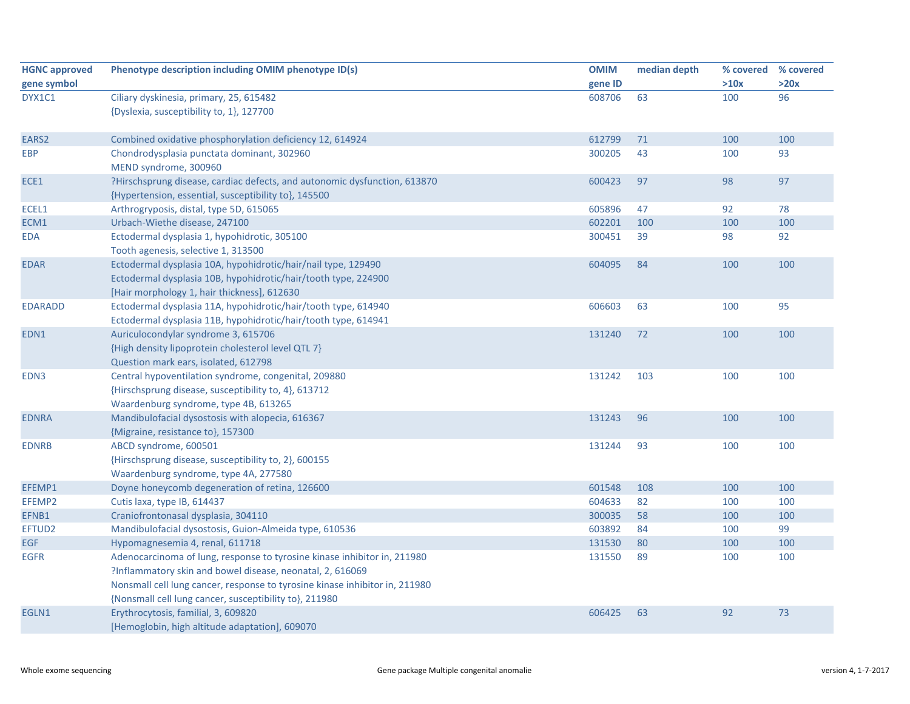| <b>HGNC approved</b> | Phenotype description including OMIM phenotype ID(s)                                                                                                                                                                                                                           | <b>OMIM</b> | median depth | % covered | % covered |
|----------------------|--------------------------------------------------------------------------------------------------------------------------------------------------------------------------------------------------------------------------------------------------------------------------------|-------------|--------------|-----------|-----------|
| gene symbol          |                                                                                                                                                                                                                                                                                | gene ID     |              | >10x      | >20x      |
| DYX1C1               | Ciliary dyskinesia, primary, 25, 615482                                                                                                                                                                                                                                        | 608706      | 63           | 100       | 96        |
|                      | {Dyslexia, susceptibility to, 1}, 127700                                                                                                                                                                                                                                       |             |              |           |           |
| EARS2                | Combined oxidative phosphorylation deficiency 12, 614924                                                                                                                                                                                                                       | 612799      | 71           | 100       | 100       |
| <b>EBP</b>           | Chondrodysplasia punctata dominant, 302960<br>MEND syndrome, 300960                                                                                                                                                                                                            | 300205      | 43           | 100       | 93        |
| ECE1                 | ?Hirschsprung disease, cardiac defects, and autonomic dysfunction, 613870<br>{Hypertension, essential, susceptibility to}, 145500                                                                                                                                              | 600423      | 97           | 98        | 97        |
| ECEL1                | Arthrogryposis, distal, type 5D, 615065                                                                                                                                                                                                                                        | 605896      | 47           | 92        | 78        |
| ECM1                 | Urbach-Wiethe disease, 247100                                                                                                                                                                                                                                                  | 602201      | 100          | 100       | 100       |
| <b>EDA</b>           | Ectodermal dysplasia 1, hypohidrotic, 305100<br>Tooth agenesis, selective 1, 313500                                                                                                                                                                                            | 300451      | 39           | 98        | 92        |
| <b>EDAR</b>          | Ectodermal dysplasia 10A, hypohidrotic/hair/nail type, 129490<br>Ectodermal dysplasia 10B, hypohidrotic/hair/tooth type, 224900<br>[Hair morphology 1, hair thickness], 612630                                                                                                 | 604095      | 84           | 100       | 100       |
| <b>EDARADD</b>       | Ectodermal dysplasia 11A, hypohidrotic/hair/tooth type, 614940<br>Ectodermal dysplasia 11B, hypohidrotic/hair/tooth type, 614941                                                                                                                                               | 606603      | 63           | 100       | 95        |
| EDN1                 | Auriculocondylar syndrome 3, 615706<br>{High density lipoprotein cholesterol level QTL 7}<br>Question mark ears, isolated, 612798                                                                                                                                              | 131240      | 72           | 100       | 100       |
| EDN3                 | Central hypoventilation syndrome, congenital, 209880<br>{Hirschsprung disease, susceptibility to, 4}, 613712<br>Waardenburg syndrome, type 4B, 613265                                                                                                                          | 131242      | 103          | 100       | 100       |
| <b>EDNRA</b>         | Mandibulofacial dysostosis with alopecia, 616367<br>{Migraine, resistance to}, 157300                                                                                                                                                                                          | 131243      | 96           | 100       | 100       |
| <b>EDNRB</b>         | ABCD syndrome, 600501<br>{Hirschsprung disease, susceptibility to, 2}, 600155<br>Waardenburg syndrome, type 4A, 277580                                                                                                                                                         | 131244      | 93           | 100       | 100       |
| EFEMP1               | Doyne honeycomb degeneration of retina, 126600                                                                                                                                                                                                                                 | 601548      | 108          | 100       | 100       |
| EFEMP2               | Cutis laxa, type IB, 614437                                                                                                                                                                                                                                                    | 604633      | 82           | 100       | 100       |
| EFNB1                | Craniofrontonasal dysplasia, 304110                                                                                                                                                                                                                                            | 300035      | 58           | 100       | 100       |
| EFTUD2               | Mandibulofacial dysostosis, Guion-Almeida type, 610536                                                                                                                                                                                                                         | 603892      | 84           | 100       | 99        |
| <b>EGF</b>           | Hypomagnesemia 4, renal, 611718                                                                                                                                                                                                                                                | 131530      | 80           | 100       | 100       |
| <b>EGFR</b>          | Adenocarcinoma of lung, response to tyrosine kinase inhibitor in, 211980<br>?Inflammatory skin and bowel disease, neonatal, 2, 616069<br>Nonsmall cell lung cancer, response to tyrosine kinase inhibitor in, 211980<br>{Nonsmall cell lung cancer, susceptibility to}, 211980 | 131550      | 89           | 100       | 100       |
| EGLN1                | Erythrocytosis, familial, 3, 609820<br>[Hemoglobin, high altitude adaptation], 609070                                                                                                                                                                                          | 606425      | 63           | 92        | 73        |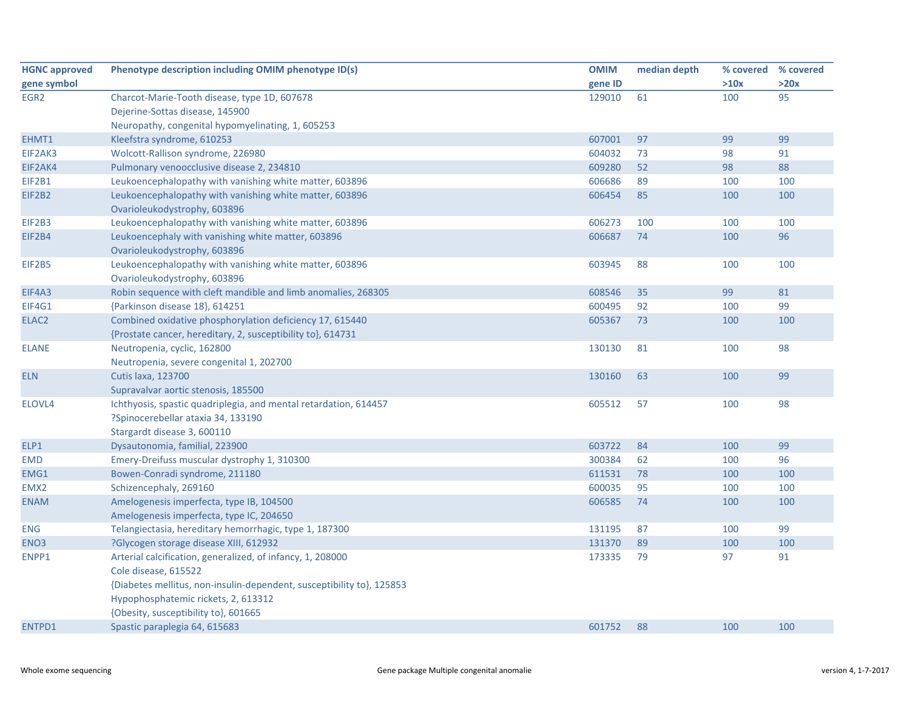| <b>HGNC approved</b> | Phenotype description including OMIM phenotype ID(s)                  | <b>OMIM</b> | median depth | % covered % covered |      |
|----------------------|-----------------------------------------------------------------------|-------------|--------------|---------------------|------|
| gene symbol          |                                                                       | gene ID     |              | >10x                | >20x |
| EGR <sub>2</sub>     | Charcot-Marie-Tooth disease, type 1D, 607678                          | 129010      | 61           | 100                 | 95   |
|                      | Dejerine-Sottas disease, 145900                                       |             |              |                     |      |
|                      | Neuropathy, congenital hypomyelinating, 1, 605253                     |             |              |                     |      |
| EHMT1                | Kleefstra syndrome, 610253                                            | 607001      | 97           | 99                  | 99   |
| EIF2AK3              | Wolcott-Rallison syndrome, 226980                                     | 604032      | 73           | 98                  | 91   |
| EIF2AK4              | Pulmonary venoocclusive disease 2, 234810                             | 609280      | 52           | 98                  | 88   |
| <b>EIF2B1</b>        | Leukoencephalopathy with vanishing white matter, 603896               | 606686      | 89           | 100                 | 100  |
| EIF2B2               | Leukoencephalopathy with vanishing white matter, 603896               | 606454      | 85           | 100                 | 100  |
|                      | Ovarioleukodystrophy, 603896                                          |             |              |                     |      |
| <b>EIF2B3</b>        | Leukoencephalopathy with vanishing white matter, 603896               | 606273      | 100          | 100                 | 100  |
| EIF2B4               | Leukoencephaly with vanishing white matter, 603896                    | 606687      | 74           | 100                 | 96   |
|                      | Ovarioleukodystrophy, 603896                                          |             |              |                     |      |
| <b>EIF2B5</b>        | Leukoencephalopathy with vanishing white matter, 603896               | 603945      | 88           | 100                 | 100  |
|                      | Ovarioleukodystrophy, 603896                                          |             |              |                     |      |
| EIF4A3               | Robin sequence with cleft mandible and limb anomalies, 268305         | 608546      | 35           | 99                  | 81   |
| EIF4G1               | {Parkinson disease 18}, 614251                                        | 600495      | 92           | 100                 | 99   |
| ELAC <sub>2</sub>    | Combined oxidative phosphorylation deficiency 17, 615440              | 605367      | 73           | 100                 | 100  |
|                      | {Prostate cancer, hereditary, 2, susceptibility to}, 614731           |             |              |                     |      |
| <b>ELANE</b>         | Neutropenia, cyclic, 162800                                           | 130130      | 81           | 100                 | 98   |
|                      | Neutropenia, severe congenital 1, 202700                              |             |              |                     |      |
| <b>ELN</b>           | <b>Cutis laxa, 123700</b>                                             | 130160      | 63           | 100                 | 99   |
|                      | Supravalvar aortic stenosis, 185500                                   |             |              |                     |      |
| ELOVL4               | Ichthyosis, spastic quadriplegia, and mental retardation, 614457      | 605512      | 57           | 100                 | 98   |
|                      | ?Spinocerebellar ataxia 34, 133190                                    |             |              |                     |      |
|                      | Stargardt disease 3, 600110                                           |             |              |                     |      |
| ELP1                 | Dysautonomia, familial, 223900                                        | 603722      | 84           | 100                 | 99   |
| <b>EMD</b>           | Emery-Dreifuss muscular dystrophy 1, 310300                           | 300384      | 62           | 100                 | 96   |
| EMG1                 | Bowen-Conradi syndrome, 211180                                        | 611531      | 78           | 100                 | 100  |
| EMX <sub>2</sub>     | Schizencephaly, 269160                                                | 600035      | 95           | 100                 | 100  |
| <b>ENAM</b>          | Amelogenesis imperfecta, type IB, 104500                              | 606585      | 74           | 100                 | 100  |
|                      | Amelogenesis imperfecta, type IC, 204650                              |             |              |                     |      |
| ENG                  | Telangiectasia, hereditary hemorrhagic, type 1, 187300                | 131195      | 87           | 100                 | 99   |
| ENO <sub>3</sub>     | ?Glycogen storage disease XIII, 612932                                | 131370      | 89           | 100                 | 100  |
| ENPP1                | Arterial calcification, generalized, of infancy, 1, 208000            | 173335      | 79           | 97                  | 91   |
|                      | Cole disease, 615522                                                  |             |              |                     |      |
|                      | {Diabetes mellitus, non-insulin-dependent, susceptibility to}, 125853 |             |              |                     |      |
|                      | Hypophosphatemic rickets, 2, 613312                                   |             |              |                     |      |
|                      | {Obesity, susceptibility to}, 601665                                  |             |              |                     |      |
| ENTPD1               | Spastic paraplegia 64, 615683                                         | 601752      | 88           | 100                 | 100  |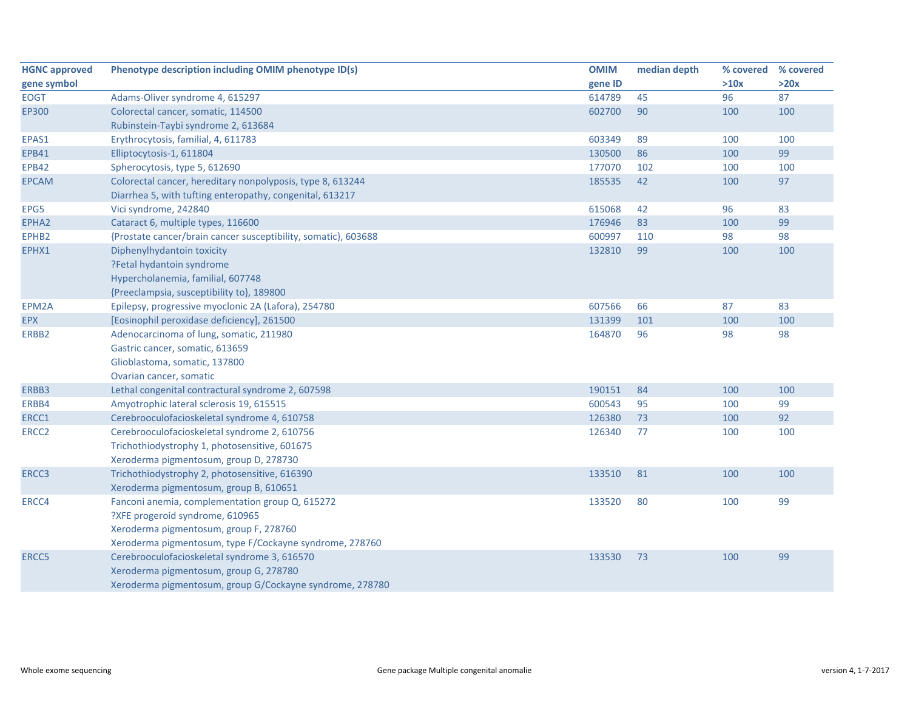| <b>HGNC approved</b> | Phenotype description including OMIM phenotype ID(s)           | <b>OMIM</b> | median depth | % covered | % covered |
|----------------------|----------------------------------------------------------------|-------------|--------------|-----------|-----------|
| gene symbol          |                                                                | gene ID     |              | >10x      | >20x      |
| <b>EOGT</b>          | Adams-Oliver syndrome 4, 615297                                | 614789      | 45           | 96        | 87        |
| EP300                | Colorectal cancer, somatic, 114500                             | 602700      | 90           | 100       | 100       |
|                      | Rubinstein-Taybi syndrome 2, 613684                            |             |              |           |           |
| EPAS1                | Erythrocytosis, familial, 4, 611783                            | 603349      | 89           | 100       | 100       |
| <b>EPB41</b>         | Elliptocytosis-1, 611804                                       | 130500      | 86           | 100       | 99        |
| <b>EPB42</b>         | Spherocytosis, type 5, 612690                                  | 177070      | 102          | 100       | 100       |
| <b>EPCAM</b>         | Colorectal cancer, hereditary nonpolyposis, type 8, 613244     | 185535      | 42           | 100       | 97        |
|                      | Diarrhea 5, with tufting enteropathy, congenital, 613217       |             |              |           |           |
| EPG5                 | Vici syndrome, 242840                                          | 615068      | 42           | 96        | 83        |
| EPHA2                | Cataract 6, multiple types, 116600                             | 176946      | 83           | 100       | 99        |
| EPHB2                | {Prostate cancer/brain cancer susceptibility, somatic}, 603688 | 600997      | 110          | 98        | 98        |
| EPHX1                | Diphenylhydantoin toxicity                                     | 132810      | 99           | 100       | 100       |
|                      | ?Fetal hydantoin syndrome                                      |             |              |           |           |
|                      | Hypercholanemia, familial, 607748                              |             |              |           |           |
|                      | {Preeclampsia, susceptibility to}, 189800                      |             |              |           |           |
| EPM2A                | Epilepsy, progressive myoclonic 2A (Lafora), 254780            | 607566      | 66           | 87        | 83        |
| <b>EPX</b>           | [Eosinophil peroxidase deficiency], 261500                     | 131399      | 101          | 100       | 100       |
| ERBB2                | Adenocarcinoma of lung, somatic, 211980                        | 164870      | 96           | 98        | 98        |
|                      | Gastric cancer, somatic, 613659                                |             |              |           |           |
|                      | Glioblastoma, somatic, 137800                                  |             |              |           |           |
|                      | Ovarian cancer, somatic                                        |             |              |           |           |
| ERBB3                | Lethal congenital contractural syndrome 2, 607598              | 190151      | 84           | 100       | 100       |
| ERBB4                | Amyotrophic lateral sclerosis 19, 615515                       | 600543      | 95           | 100       | 99        |
| ERCC1                | Cerebrooculofacioskeletal syndrome 4, 610758                   | 126380      | 73           | 100       | 92        |
| ERCC <sub>2</sub>    | Cerebrooculofacioskeletal syndrome 2, 610756                   | 126340      | 77           | 100       | 100       |
|                      | Trichothiodystrophy 1, photosensitive, 601675                  |             |              |           |           |
|                      | Xeroderma pigmentosum, group D, 278730                         |             |              |           |           |
| ERCC3                | Trichothiodystrophy 2, photosensitive, 616390                  | 133510      | 81           | 100       | 100       |
|                      | Xeroderma pigmentosum, group B, 610651                         |             |              |           |           |
| ERCC4                | Fanconi anemia, complementation group Q, 615272                | 133520      | 80           | 100       | 99        |
|                      | ?XFE progeroid syndrome, 610965                                |             |              |           |           |
|                      | Xeroderma pigmentosum, group F, 278760                         |             |              |           |           |
|                      | Xeroderma pigmentosum, type F/Cockayne syndrome, 278760        |             |              |           |           |
| ERCC5                | Cerebrooculofacioskeletal syndrome 3, 616570                   | 133530      | 73           | 100       | 99        |
|                      | Xeroderma pigmentosum, group G, 278780                         |             |              |           |           |
|                      | Xeroderma pigmentosum, group G/Cockayne syndrome, 278780       |             |              |           |           |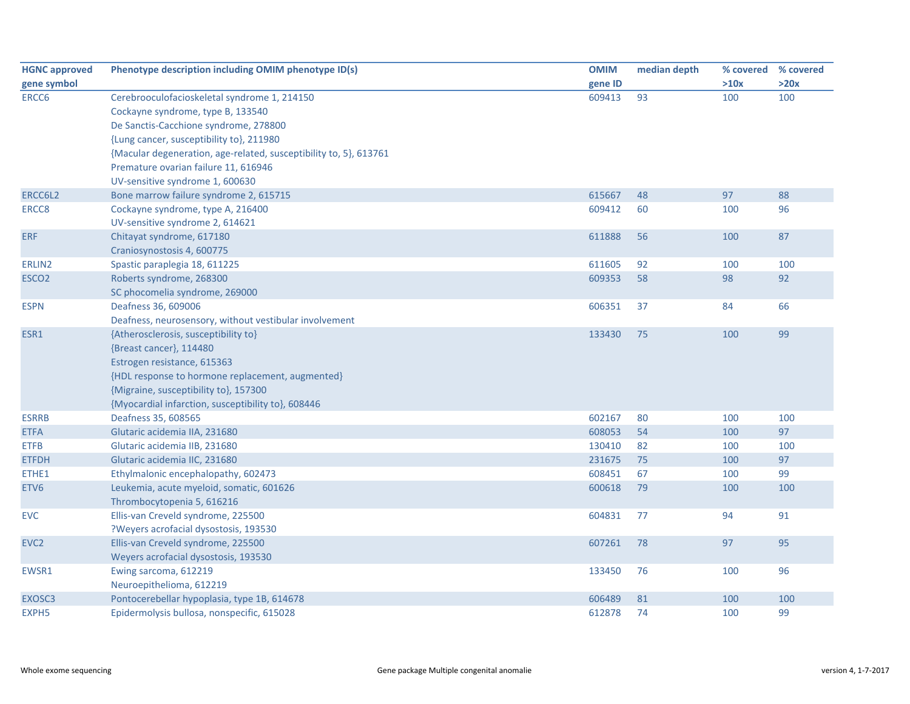| <b>HGNC approved</b> | Phenotype description including OMIM phenotype ID(s)              | <b>OMIM</b> | median depth | % covered | % covered |
|----------------------|-------------------------------------------------------------------|-------------|--------------|-----------|-----------|
| gene symbol          |                                                                   | gene ID     |              | >10x      | >20x      |
| ERCC6                | Cerebrooculofacioskeletal syndrome 1, 214150                      | 609413      | 93           | 100       | 100       |
|                      | Cockayne syndrome, type B, 133540                                 |             |              |           |           |
|                      | De Sanctis-Cacchione syndrome, 278800                             |             |              |           |           |
|                      | {Lung cancer, susceptibility to}, 211980                          |             |              |           |           |
|                      | {Macular degeneration, age-related, susceptibility to, 5}, 613761 |             |              |           |           |
|                      | Premature ovarian failure 11, 616946                              |             |              |           |           |
|                      | UV-sensitive syndrome 1, 600630                                   |             |              |           |           |
| ERCC6L2              | Bone marrow failure syndrome 2, 615715                            | 615667      | 48           | 97        | 88        |
| ERCC8                | Cockayne syndrome, type A, 216400                                 | 609412      | 60           | 100       | 96        |
|                      | UV-sensitive syndrome 2, 614621                                   |             |              |           |           |
| <b>ERF</b>           | Chitayat syndrome, 617180                                         | 611888      | 56           | 100       | 87        |
|                      | Craniosynostosis 4, 600775                                        |             |              |           |           |
| ERLIN2               | Spastic paraplegia 18, 611225                                     | 611605      | 92           | 100       | 100       |
| ESCO <sub>2</sub>    | Roberts syndrome, 268300                                          | 609353      | 58           | 98        | 92        |
|                      | SC phocomelia syndrome, 269000                                    |             |              |           |           |
| <b>ESPN</b>          | Deafness 36, 609006                                               | 606351      | 37           | 84        | 66        |
|                      | Deafness, neurosensory, without vestibular involvement            |             |              |           |           |
| ESR1                 | {Atherosclerosis, susceptibility to}                              | 133430      | 75           | 100       | 99        |
|                      | {Breast cancer}, 114480                                           |             |              |           |           |
|                      | Estrogen resistance, 615363                                       |             |              |           |           |
|                      | {HDL response to hormone replacement, augmented}                  |             |              |           |           |
|                      | {Migraine, susceptibility to}, 157300                             |             |              |           |           |
|                      | {Myocardial infarction, susceptibility to}, 608446                |             |              |           |           |
| <b>ESRRB</b>         | Deafness 35, 608565                                               | 602167      | 80           | 100       | 100       |
| <b>ETFA</b>          | Glutaric acidemia IIA, 231680                                     | 608053      | 54           | 100       | 97        |
| <b>ETFB</b>          | Glutaric acidemia IIB, 231680                                     | 130410      | 82           | 100       | 100       |
| <b>ETFDH</b>         | Glutaric acidemia IIC, 231680                                     | 231675      | 75           | 100       | 97        |
| ETHE1                | Ethylmalonic encephalopathy, 602473                               | 608451      | 67           | 100       | 99        |
| ETV <sub>6</sub>     | Leukemia, acute myeloid, somatic, 601626                          | 600618      | 79           | 100       | 100       |
|                      | Thrombocytopenia 5, 616216                                        |             |              |           |           |
| <b>EVC</b>           | Ellis-van Creveld syndrome, 225500                                | 604831      | 77           | 94        | 91        |
|                      | ?Weyers acrofacial dysostosis, 193530                             |             |              |           |           |
| EVC <sub>2</sub>     | Ellis-van Creveld syndrome, 225500                                | 607261      | 78           | 97        | 95        |
|                      | Weyers acrofacial dysostosis, 193530                              |             |              |           |           |
| EWSR1                | Ewing sarcoma, 612219                                             | 133450      | 76           | 100       | 96        |
|                      | Neuroepithelioma, 612219                                          |             |              |           |           |
| EXOSC3               | Pontocerebellar hypoplasia, type 1B, 614678                       | 606489      | 81           | 100       | 100       |
| EXPH <sub>5</sub>    | Epidermolysis bullosa, nonspecific, 615028                        | 612878      | 74           | 100       | 99        |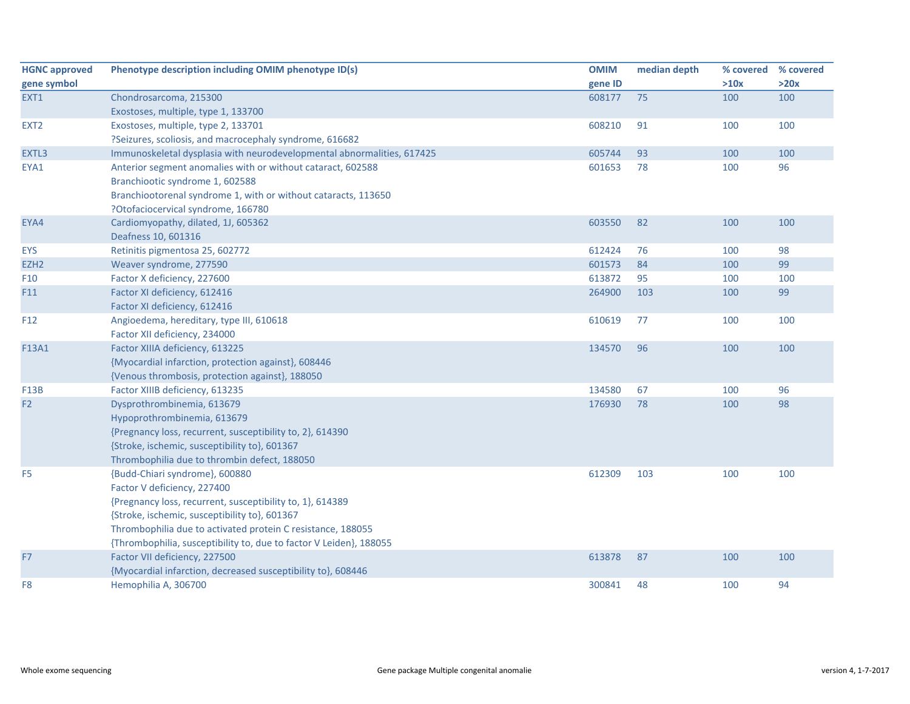| <b>HGNC approved</b> | Phenotype description including OMIM phenotype ID(s)                   | <b>OMIM</b> | median depth | % covered | % covered |
|----------------------|------------------------------------------------------------------------|-------------|--------------|-----------|-----------|
| gene symbol          |                                                                        | gene ID     |              | >10x      | >20x      |
| EXT1                 | Chondrosarcoma, 215300                                                 | 608177      | 75           | 100       | 100       |
|                      | Exostoses, multiple, type 1, 133700                                    |             |              |           |           |
| EXT <sub>2</sub>     | Exostoses, multiple, type 2, 133701                                    | 608210      | 91           | 100       | 100       |
|                      | ?Seizures, scoliosis, and macrocephaly syndrome, 616682                |             |              |           |           |
| EXTL3                | Immunoskeletal dysplasia with neurodevelopmental abnormalities, 617425 | 605744      | 93           | 100       | 100       |
| EYA1                 | Anterior segment anomalies with or without cataract, 602588            | 601653      | 78           | 100       | 96        |
|                      | Branchiootic syndrome 1, 602588                                        |             |              |           |           |
|                      | Branchiootorenal syndrome 1, with or without cataracts, 113650         |             |              |           |           |
|                      | ?Otofaciocervical syndrome, 166780                                     |             |              |           |           |
| EYA4                 | Cardiomyopathy, dilated, 1J, 605362                                    | 603550      | 82           | 100       | 100       |
|                      | Deafness 10, 601316                                                    |             |              |           |           |
| <b>EYS</b>           | Retinitis pigmentosa 25, 602772                                        | 612424      | 76           | 100       | 98        |
| EZH <sub>2</sub>     | Weaver syndrome, 277590                                                | 601573      | 84           | 100       | 99        |
| F <sub>10</sub>      | Factor X deficiency, 227600                                            | 613872      | 95           | 100       | 100       |
| F11                  | Factor XI deficiency, 612416                                           | 264900      | 103          | 100       | 99        |
|                      | Factor XI deficiency, 612416                                           |             |              |           |           |
| F <sub>12</sub>      | Angioedema, hereditary, type III, 610618                               | 610619      | 77           | 100       | 100       |
|                      | Factor XII deficiency, 234000                                          |             |              |           |           |
| F13A1                | Factor XIIIA deficiency, 613225                                        | 134570      | 96           | 100       | 100       |
|                      | {Myocardial infarction, protection against}, 608446                    |             |              |           |           |
|                      | {Venous thrombosis, protection against}, 188050                        |             |              |           |           |
| F13B                 | Factor XIIIB deficiency, 613235                                        | 134580      | 67           | 100       | 96        |
| F <sub>2</sub>       | Dysprothrombinemia, 613679                                             | 176930      | 78           | 100       | 98        |
|                      | Hypoprothrombinemia, 613679                                            |             |              |           |           |
|                      | {Pregnancy loss, recurrent, susceptibility to, 2}, 614390              |             |              |           |           |
|                      | {Stroke, ischemic, susceptibility to}, 601367                          |             |              |           |           |
|                      | Thrombophilia due to thrombin defect, 188050                           |             |              |           |           |
| F <sub>5</sub>       | {Budd-Chiari syndrome}, 600880                                         | 612309      | 103          | 100       | 100       |
|                      | Factor V deficiency, 227400                                            |             |              |           |           |
|                      | {Pregnancy loss, recurrent, susceptibility to, 1}, 614389              |             |              |           |           |
|                      | {Stroke, ischemic, susceptibility to}, 601367                          |             |              |           |           |
|                      | Thrombophilia due to activated protein C resistance, 188055            |             |              |           |           |
|                      | {Thrombophilia, susceptibility to, due to factor V Leiden}, 188055     |             |              |           |           |
| F7                   | Factor VII deficiency, 227500                                          | 613878      | 87           | 100       | 100       |
|                      | {Myocardial infarction, decreased susceptibility to}, 608446           |             |              |           |           |
| F8                   | Hemophilia A, 306700                                                   | 300841      | 48           | 100       | 94        |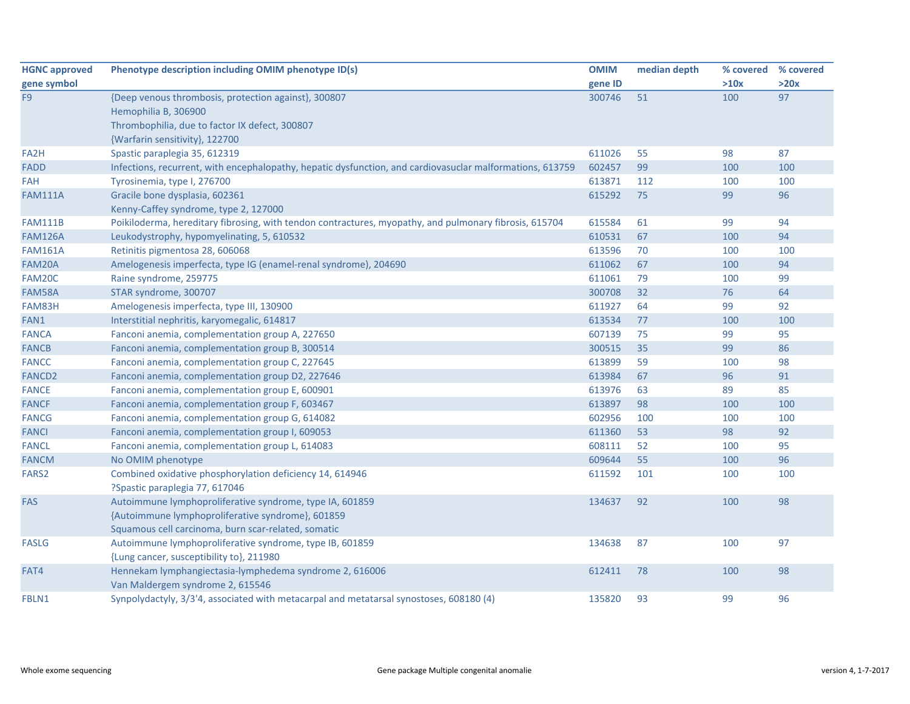| <b>HGNC approved</b> | Phenotype description including OMIM phenotype ID(s)                                                      | <b>OMIM</b> | median depth | % covered | % covered |
|----------------------|-----------------------------------------------------------------------------------------------------------|-------------|--------------|-----------|-----------|
| gene symbol          |                                                                                                           | gene ID     |              | >10x      | >20x      |
| F <sub>9</sub>       | {Deep venous thrombosis, protection against}, 300807                                                      | 300746      | 51           | 100       | 97        |
|                      | Hemophilia B, 306900                                                                                      |             |              |           |           |
|                      | Thrombophilia, due to factor IX defect, 300807                                                            |             |              |           |           |
|                      | {Warfarin sensitivity}, 122700                                                                            |             |              |           |           |
| FA2H                 | Spastic paraplegia 35, 612319                                                                             | 611026      | 55           | 98        | 87        |
| <b>FADD</b>          | Infections, recurrent, with encephalopathy, hepatic dysfunction, and cardiovasuclar malformations, 613759 | 602457      | 99           | 100       | 100       |
| <b>FAH</b>           | Tyrosinemia, type I, 276700                                                                               | 613871      | 112          | 100       | 100       |
| <b>FAM111A</b>       | Gracile bone dysplasia, 602361                                                                            | 615292      | 75           | 99        | 96        |
|                      | Kenny-Caffey syndrome, type 2, 127000                                                                     |             |              |           |           |
| <b>FAM111B</b>       | Poikiloderma, hereditary fibrosing, with tendon contractures, myopathy, and pulmonary fibrosis, 615704    | 615584      | 61           | 99        | 94        |
| <b>FAM126A</b>       | Leukodystrophy, hypomyelinating, 5, 610532                                                                | 610531      | 67           | 100       | 94        |
| <b>FAM161A</b>       | Retinitis pigmentosa 28, 606068                                                                           | 613596      | 70           | 100       | 100       |
| FAM20A               | Amelogenesis imperfecta, type IG (enamel-renal syndrome), 204690                                          | 611062      | 67           | 100       | 94        |
| FAM20C               | Raine syndrome, 259775                                                                                    | 611061      | 79           | 100       | 99        |
| FAM58A               | STAR syndrome, 300707                                                                                     | 300708      | 32           | 76        | 64        |
| FAM83H               | Amelogenesis imperfecta, type III, 130900                                                                 | 611927      | 64           | 99        | 92        |
| FAN1                 | Interstitial nephritis, karyomegalic, 614817                                                              | 613534      | 77           | 100       | 100       |
| <b>FANCA</b>         | Fanconi anemia, complementation group A, 227650                                                           | 607139      | 75           | 99        | 95        |
| <b>FANCB</b>         | Fanconi anemia, complementation group B, 300514                                                           | 300515      | 35           | 99        | 86        |
| <b>FANCC</b>         | Fanconi anemia, complementation group C, 227645                                                           | 613899      | 59           | 100       | 98        |
| <b>FANCD2</b>        | Fanconi anemia, complementation group D2, 227646                                                          | 613984      | 67           | 96        | 91        |
| <b>FANCE</b>         | Fanconi anemia, complementation group E, 600901                                                           | 613976      | 63           | 89        | 85        |
| <b>FANCF</b>         | Fanconi anemia, complementation group F, 603467                                                           | 613897      | 98           | 100       | 100       |
| <b>FANCG</b>         | Fanconi anemia, complementation group G, 614082                                                           | 602956      | 100          | 100       | 100       |
| <b>FANCI</b>         | Fanconi anemia, complementation group I, 609053                                                           | 611360      | 53           | 98        | 92        |
| <b>FANCL</b>         | Fanconi anemia, complementation group L, 614083                                                           | 608111      | 52           | 100       | 95        |
| <b>FANCM</b>         | No OMIM phenotype                                                                                         | 609644      | 55           | 100       | 96        |
| FARS2                | Combined oxidative phosphorylation deficiency 14, 614946                                                  | 611592      | 101          | 100       | 100       |
|                      | ?Spastic paraplegia 77, 617046                                                                            |             |              |           |           |
| FAS                  | Autoimmune lymphoproliferative syndrome, type IA, 601859                                                  | 134637      | 92           | 100       | 98        |
|                      | {Autoimmune lymphoproliferative syndrome}, 601859                                                         |             |              |           |           |
|                      | Squamous cell carcinoma, burn scar-related, somatic                                                       |             |              |           |           |
| <b>FASLG</b>         | Autoimmune lymphoproliferative syndrome, type IB, 601859                                                  | 134638      | 87           | 100       | 97        |
|                      | {Lung cancer, susceptibility to}, 211980                                                                  |             |              |           |           |
| FAT4                 | Hennekam lymphangiectasia-lymphedema syndrome 2, 616006                                                   | 612411      | 78           | 100       | 98        |
|                      | Van Maldergem syndrome 2, 615546                                                                          |             |              |           |           |
| FBLN1                | Synpolydactyly, 3/3'4, associated with metacarpal and metatarsal synostoses, 608180 (4)                   | 135820      | 93           | 99        | 96        |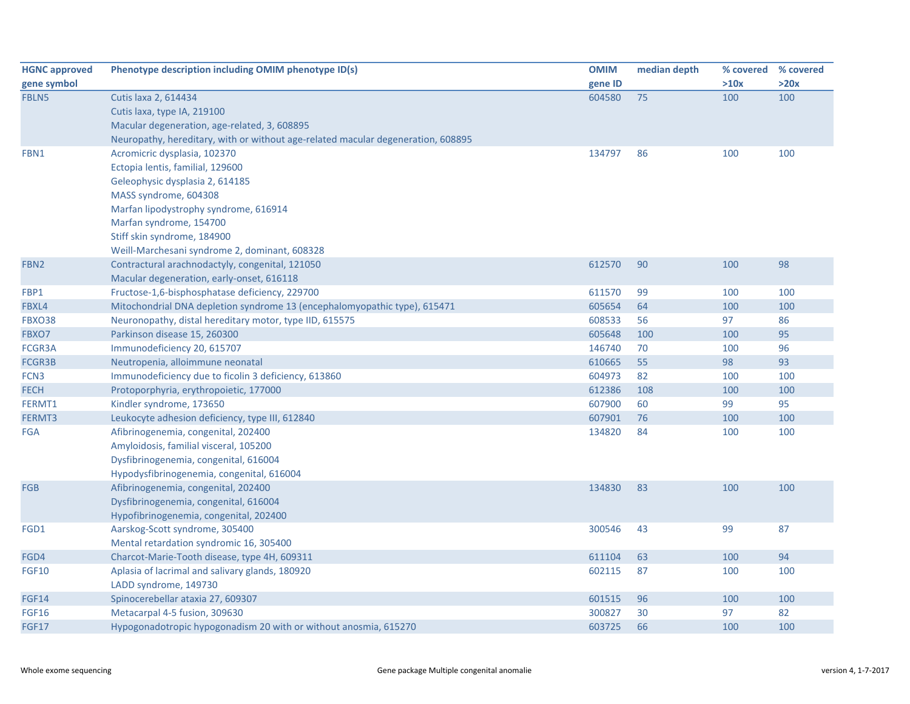| <b>HGNC approved</b> | Phenotype description including OMIM phenotype ID(s)                             | <b>OMIM</b> | median depth | % covered | % covered |
|----------------------|----------------------------------------------------------------------------------|-------------|--------------|-----------|-----------|
| gene symbol          |                                                                                  | gene ID     |              | >10x      | >20x      |
| FBLN5                | Cutis laxa 2, 614434                                                             | 604580      | 75           | 100       | 100       |
|                      | Cutis laxa, type IA, 219100                                                      |             |              |           |           |
|                      | Macular degeneration, age-related, 3, 608895                                     |             |              |           |           |
|                      | Neuropathy, hereditary, with or without age-related macular degeneration, 608895 |             |              |           |           |
| FBN1                 | Acromicric dysplasia, 102370                                                     | 134797      | 86           | 100       | 100       |
|                      | Ectopia lentis, familial, 129600                                                 |             |              |           |           |
|                      | Geleophysic dysplasia 2, 614185                                                  |             |              |           |           |
|                      | MASS syndrome, 604308                                                            |             |              |           |           |
|                      | Marfan lipodystrophy syndrome, 616914                                            |             |              |           |           |
|                      | Marfan syndrome, 154700                                                          |             |              |           |           |
|                      | Stiff skin syndrome, 184900                                                      |             |              |           |           |
|                      | Weill-Marchesani syndrome 2, dominant, 608328                                    |             |              |           |           |
| FBN <sub>2</sub>     | Contractural arachnodactyly, congenital, 121050                                  | 612570      | 90           | 100       | 98        |
|                      | Macular degeneration, early-onset, 616118                                        |             |              |           |           |
| FBP1                 | Fructose-1,6-bisphosphatase deficiency, 229700                                   | 611570      | 99           | 100       | 100       |
| FBXL4                | Mitochondrial DNA depletion syndrome 13 (encephalomyopathic type), 615471        | 605654      | 64           | 100       | 100       |
| <b>FBXO38</b>        | Neuronopathy, distal hereditary motor, type IID, 615575                          | 608533      | 56           | 97        | 86        |
| FBXO7                | Parkinson disease 15, 260300                                                     | 605648      | 100          | 100       | 95        |
| FCGR3A               | Immunodeficiency 20, 615707                                                      | 146740      | 70           | 100       | 96        |
| FCGR3B               | Neutropenia, alloimmune neonatal                                                 | 610665      | 55           | 98        | 93        |
| FCN <sub>3</sub>     | Immunodeficiency due to ficolin 3 deficiency, 613860                             | 604973      | 82           | 100       | 100       |
| <b>FECH</b>          | Protoporphyria, erythropoietic, 177000                                           | 612386      | 108          | 100       | 100       |
| FERMT1               | Kindler syndrome, 173650                                                         | 607900      | 60           | 99        | 95        |
| FERMT3               | Leukocyte adhesion deficiency, type III, 612840                                  | 607901      | 76           | 100       | 100       |
| <b>FGA</b>           | Afibrinogenemia, congenital, 202400                                              | 134820      | 84           | 100       | 100       |
|                      | Amyloidosis, familial visceral, 105200                                           |             |              |           |           |
|                      | Dysfibrinogenemia, congenital, 616004                                            |             |              |           |           |
|                      | Hypodysfibrinogenemia, congenital, 616004                                        |             |              |           |           |
| <b>FGB</b>           | Afibrinogenemia, congenital, 202400                                              | 134830      | 83           | 100       | 100       |
|                      | Dysfibrinogenemia, congenital, 616004                                            |             |              |           |           |
|                      | Hypofibrinogenemia, congenital, 202400                                           |             |              |           |           |
| FGD1                 | Aarskog-Scott syndrome, 305400                                                   | 300546      | 43           | 99        | 87        |
|                      | Mental retardation syndromic 16, 305400                                          |             |              |           |           |
| FGD4                 | Charcot-Marie-Tooth disease, type 4H, 609311                                     | 611104      | 63           | 100       | 94        |
| <b>FGF10</b>         | Aplasia of lacrimal and salivary glands, 180920                                  | 602115      | 87           | 100       | 100       |
|                      | LADD syndrome, 149730                                                            |             |              |           |           |
| <b>FGF14</b>         | Spinocerebellar ataxia 27, 609307                                                | 601515      | 96           | 100       | 100       |
| <b>FGF16</b>         | Metacarpal 4-5 fusion, 309630                                                    | 300827      | 30           | 97        | 82        |
| <b>FGF17</b>         | Hypogonadotropic hypogonadism 20 with or without anosmia, 615270                 | 603725      | 66           | 100       | 100       |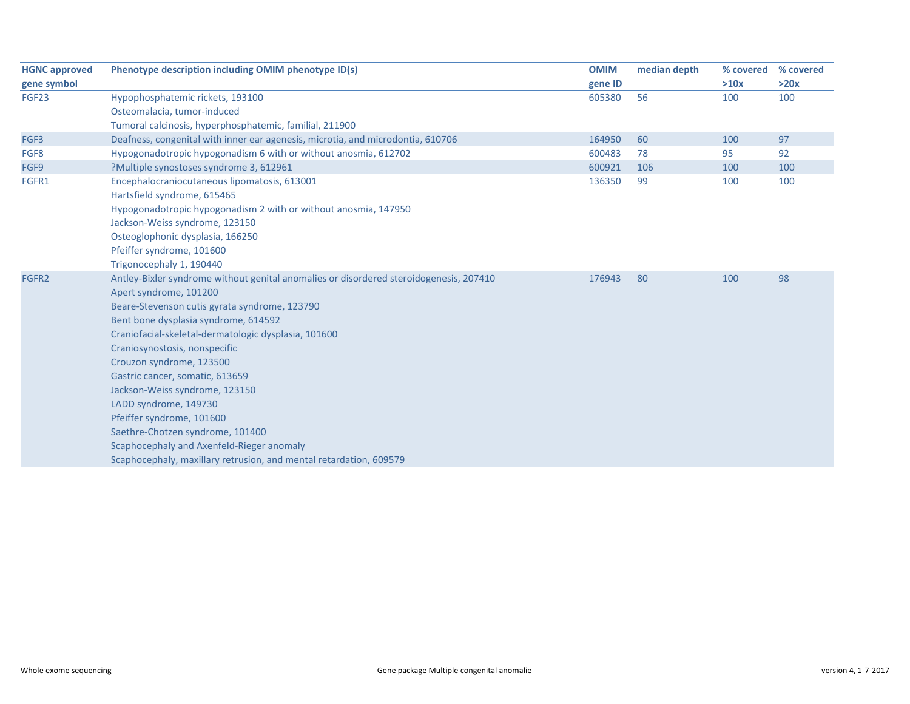| <b>HGNC approved</b> | Phenotype description including OMIM phenotype ID(s)                                   | <b>OMIM</b> | median depth | % covered | % covered |
|----------------------|----------------------------------------------------------------------------------------|-------------|--------------|-----------|-----------|
| gene symbol          |                                                                                        | gene ID     |              | >10x      | >20x      |
| FGF23                | Hypophosphatemic rickets, 193100                                                       | 605380      | 56           | 100       | 100       |
|                      | Osteomalacia, tumor-induced                                                            |             |              |           |           |
|                      | Tumoral calcinosis, hyperphosphatemic, familial, 211900                                |             |              |           |           |
| FGF3                 | Deafness, congenital with inner ear agenesis, microtia, and microdontia, 610706        | 164950      | 60           | 100       | 97        |
| FGF8                 | Hypogonadotropic hypogonadism 6 with or without anosmia, 612702                        | 600483      | 78           | 95        | 92        |
| FGF9                 | ?Multiple synostoses syndrome 3, 612961                                                | 600921      | 106          | 100       | 100       |
| FGFR1                | Encephalocraniocutaneous lipomatosis, 613001                                           | 136350      | 99           | 100       | 100       |
|                      | Hartsfield syndrome, 615465                                                            |             |              |           |           |
|                      | Hypogonadotropic hypogonadism 2 with or without anosmia, 147950                        |             |              |           |           |
|                      | Jackson-Weiss syndrome, 123150                                                         |             |              |           |           |
|                      | Osteoglophonic dysplasia, 166250                                                       |             |              |           |           |
|                      | Pfeiffer syndrome, 101600                                                              |             |              |           |           |
|                      | Trigonocephaly 1, 190440                                                               |             |              |           |           |
| FGFR <sub>2</sub>    | Antley-Bixler syndrome without genital anomalies or disordered steroidogenesis, 207410 | 176943      | 80           | 100       | 98        |
|                      | Apert syndrome, 101200                                                                 |             |              |           |           |
|                      | Beare-Stevenson cutis gyrata syndrome, 123790                                          |             |              |           |           |
|                      | Bent bone dysplasia syndrome, 614592                                                   |             |              |           |           |
|                      | Craniofacial-skeletal-dermatologic dysplasia, 101600                                   |             |              |           |           |
|                      | Craniosynostosis, nonspecific                                                          |             |              |           |           |
|                      | Crouzon syndrome, 123500                                                               |             |              |           |           |
|                      | Gastric cancer, somatic, 613659                                                        |             |              |           |           |
|                      | Jackson-Weiss syndrome, 123150                                                         |             |              |           |           |
|                      | LADD syndrome, 149730                                                                  |             |              |           |           |
|                      | Pfeiffer syndrome, 101600                                                              |             |              |           |           |
|                      | Saethre-Chotzen syndrome, 101400                                                       |             |              |           |           |
|                      | Scaphocephaly and Axenfeld-Rieger anomaly                                              |             |              |           |           |
|                      | Scaphocephaly, maxillary retrusion, and mental retardation, 609579                     |             |              |           |           |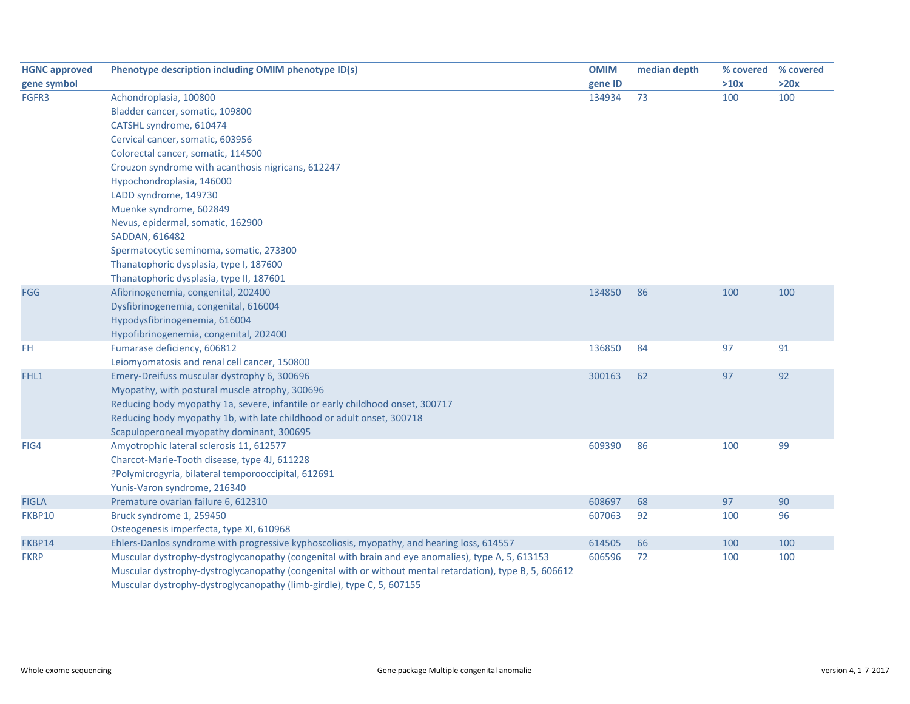| <b>HGNC approved</b> | Phenotype description including OMIM phenotype ID(s)                                                     | <b>OMIM</b> | median depth | % covered | % covered |
|----------------------|----------------------------------------------------------------------------------------------------------|-------------|--------------|-----------|-----------|
| gene symbol          |                                                                                                          | gene ID     |              | >10x      | >20x      |
| FGFR3                | Achondroplasia, 100800                                                                                   | 134934      | 73           | 100       | 100       |
|                      | Bladder cancer, somatic, 109800                                                                          |             |              |           |           |
|                      | CATSHL syndrome, 610474                                                                                  |             |              |           |           |
|                      | Cervical cancer, somatic, 603956                                                                         |             |              |           |           |
|                      | Colorectal cancer, somatic, 114500                                                                       |             |              |           |           |
|                      | Crouzon syndrome with acanthosis nigricans, 612247                                                       |             |              |           |           |
|                      | Hypochondroplasia, 146000                                                                                |             |              |           |           |
|                      | LADD syndrome, 149730                                                                                    |             |              |           |           |
|                      | Muenke syndrome, 602849                                                                                  |             |              |           |           |
|                      | Nevus, epidermal, somatic, 162900                                                                        |             |              |           |           |
|                      | SADDAN, 616482                                                                                           |             |              |           |           |
|                      | Spermatocytic seminoma, somatic, 273300                                                                  |             |              |           |           |
|                      | Thanatophoric dysplasia, type I, 187600                                                                  |             |              |           |           |
|                      | Thanatophoric dysplasia, type II, 187601                                                                 |             |              |           |           |
| <b>FGG</b>           | Afibrinogenemia, congenital, 202400                                                                      | 134850      | 86           | 100       | 100       |
|                      | Dysfibrinogenemia, congenital, 616004                                                                    |             |              |           |           |
|                      | Hypodysfibrinogenemia, 616004                                                                            |             |              |           |           |
|                      | Hypofibrinogenemia, congenital, 202400                                                                   |             |              |           |           |
| FH.                  | Fumarase deficiency, 606812                                                                              | 136850      | 84           | 97        | 91        |
|                      | Leiomyomatosis and renal cell cancer, 150800                                                             |             |              |           |           |
| FHL1                 | Emery-Dreifuss muscular dystrophy 6, 300696                                                              | 300163      | 62           | 97        | 92        |
|                      | Myopathy, with postural muscle atrophy, 300696                                                           |             |              |           |           |
|                      | Reducing body myopathy 1a, severe, infantile or early childhood onset, 300717                            |             |              |           |           |
|                      | Reducing body myopathy 1b, with late childhood or adult onset, 300718                                    |             |              |           |           |
|                      | Scapuloperoneal myopathy dominant, 300695                                                                |             |              |           |           |
| FIG4                 | Amyotrophic lateral sclerosis 11, 612577                                                                 | 609390      | 86           | 100       | 99        |
|                      | Charcot-Marie-Tooth disease, type 4J, 611228                                                             |             |              |           |           |
|                      | ?Polymicrogyria, bilateral temporooccipital, 612691                                                      |             |              |           |           |
|                      | Yunis-Varon syndrome, 216340                                                                             |             |              |           |           |
| <b>FIGLA</b>         | Premature ovarian failure 6, 612310                                                                      | 608697      | 68           | 97        | 90        |
| FKBP10               | Bruck syndrome 1, 259450                                                                                 | 607063      | 92           | 100       | 96        |
|                      | Osteogenesis imperfecta, type XI, 610968                                                                 |             |              |           |           |
| FKBP14               | Ehlers-Danlos syndrome with progressive kyphoscoliosis, myopathy, and hearing loss, 614557               | 614505      | 66           | 100       | 100       |
| <b>FKRP</b>          | Muscular dystrophy-dystroglycanopathy (congenital with brain and eye anomalies), type A, 5, 613153       | 606596      | 72           | 100       | 100       |
|                      | Muscular dystrophy-dystroglycanopathy (congenital with or without mental retardation), type B, 5, 606612 |             |              |           |           |
|                      | Muscular dystrophy-dystroglycanopathy (limb-girdle), type C, 5, 607155                                   |             |              |           |           |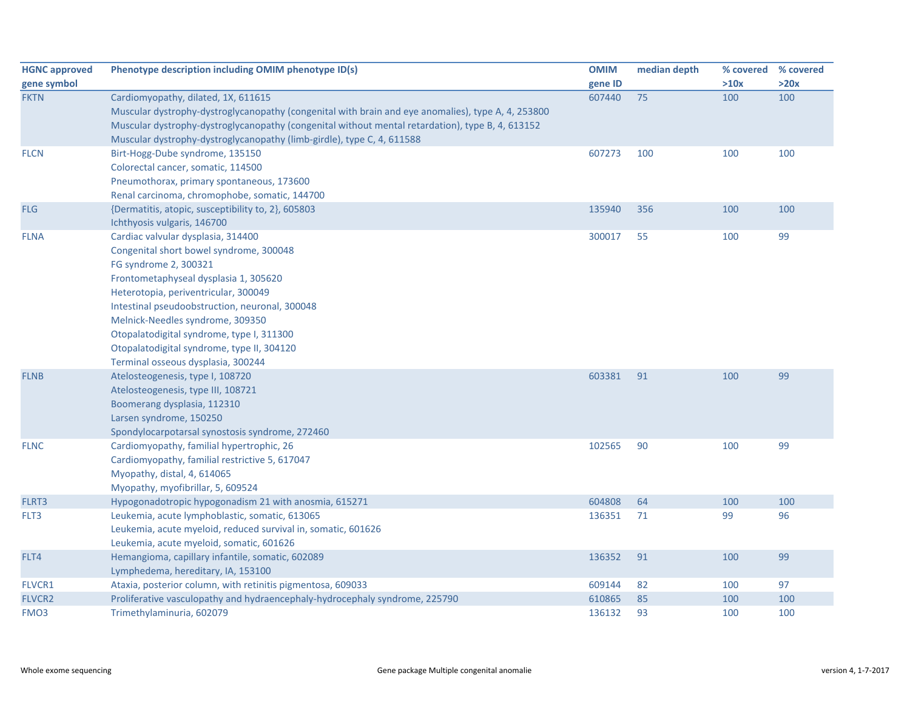| <b>HGNC approved</b> | Phenotype description including OMIM phenotype ID(s)                                               | <b>OMIM</b> | median depth | % covered | % covered |
|----------------------|----------------------------------------------------------------------------------------------------|-------------|--------------|-----------|-----------|
| gene symbol          |                                                                                                    | gene ID     |              | >10x      | >20x      |
| <b>FKTN</b>          | Cardiomyopathy, dilated, 1X, 611615                                                                | 607440      | 75           | 100       | 100       |
|                      | Muscular dystrophy-dystroglycanopathy (congenital with brain and eye anomalies), type A, 4, 253800 |             |              |           |           |
|                      | Muscular dystrophy-dystroglycanopathy (congenital without mental retardation), type B, 4, 613152   |             |              |           |           |
|                      | Muscular dystrophy-dystroglycanopathy (limb-girdle), type C, 4, 611588                             |             |              |           |           |
| <b>FLCN</b>          | Birt-Hogg-Dube syndrome, 135150                                                                    | 607273      | 100          | 100       | 100       |
|                      | Colorectal cancer, somatic, 114500                                                                 |             |              |           |           |
|                      | Pneumothorax, primary spontaneous, 173600                                                          |             |              |           |           |
|                      | Renal carcinoma, chromophobe, somatic, 144700                                                      |             |              |           |           |
| <b>FLG</b>           | {Dermatitis, atopic, susceptibility to, 2}, 605803                                                 | 135940      | 356          | 100       | 100       |
|                      | Ichthyosis vulgaris, 146700                                                                        |             |              |           |           |
| <b>FLNA</b>          | Cardiac valvular dysplasia, 314400                                                                 | 300017      | 55           | 100       | 99        |
|                      | Congenital short bowel syndrome, 300048                                                            |             |              |           |           |
|                      | FG syndrome 2, 300321                                                                              |             |              |           |           |
|                      | Frontometaphyseal dysplasia 1, 305620                                                              |             |              |           |           |
|                      | Heterotopia, periventricular, 300049                                                               |             |              |           |           |
|                      | Intestinal pseudoobstruction, neuronal, 300048                                                     |             |              |           |           |
|                      | Melnick-Needles syndrome, 309350                                                                   |             |              |           |           |
|                      | Otopalatodigital syndrome, type I, 311300                                                          |             |              |           |           |
|                      | Otopalatodigital syndrome, type II, 304120                                                         |             |              |           |           |
|                      | Terminal osseous dysplasia, 300244                                                                 |             |              |           |           |
| <b>FLNB</b>          | Atelosteogenesis, type I, 108720                                                                   | 603381      | 91           | 100       | 99        |
|                      | Atelosteogenesis, type III, 108721                                                                 |             |              |           |           |
|                      | Boomerang dysplasia, 112310                                                                        |             |              |           |           |
|                      | Larsen syndrome, 150250                                                                            |             |              |           |           |
|                      | Spondylocarpotarsal synostosis syndrome, 272460                                                    |             |              |           |           |
| <b>FLNC</b>          | Cardiomyopathy, familial hypertrophic, 26                                                          | 102565      | 90           | 100       | 99        |
|                      | Cardiomyopathy, familial restrictive 5, 617047                                                     |             |              |           |           |
|                      | Myopathy, distal, 4, 614065                                                                        |             |              |           |           |
|                      | Myopathy, myofibrillar, 5, 609524                                                                  |             |              |           |           |
| FLRT3                | Hypogonadotropic hypogonadism 21 with anosmia, 615271                                              | 604808      | 64           | 100       | 100       |
| FLT3                 | Leukemia, acute lymphoblastic, somatic, 613065                                                     | 136351      | 71           | 99        | 96        |
|                      | Leukemia, acute myeloid, reduced survival in, somatic, 601626                                      |             |              |           |           |
|                      | Leukemia, acute myeloid, somatic, 601626                                                           |             |              |           |           |
| FLT4                 | Hemangioma, capillary infantile, somatic, 602089                                                   | 136352      | 91           | 100       | 99        |
|                      | Lymphedema, hereditary, IA, 153100                                                                 |             |              |           |           |
| <b>FLVCR1</b>        | Ataxia, posterior column, with retinitis pigmentosa, 609033                                        | 609144      | 82           | 100       | 97        |
| <b>FLVCR2</b>        | Proliferative vasculopathy and hydraencephaly-hydrocephaly syndrome, 225790                        | 610865      | 85           | 100       | 100       |
| FMO <sub>3</sub>     | Trimethylaminuria, 602079                                                                          | 136132      | 93           | 100       | 100       |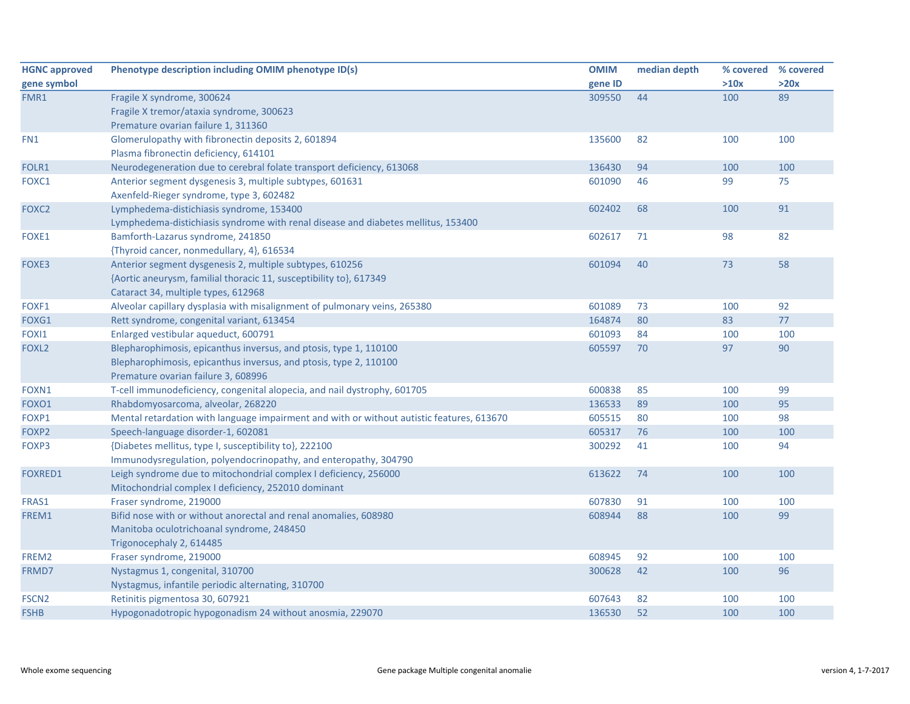| <b>HGNC approved</b> | Phenotype description including OMIM phenotype ID(s)                                      | <b>OMIM</b> | median depth | % covered % covered |      |
|----------------------|-------------------------------------------------------------------------------------------|-------------|--------------|---------------------|------|
| gene symbol          |                                                                                           | gene ID     |              | >10x                | >20x |
| FMR1                 | Fragile X syndrome, 300624                                                                | 309550      | 44           | 100                 | 89   |
|                      | Fragile X tremor/ataxia syndrome, 300623                                                  |             |              |                     |      |
|                      | Premature ovarian failure 1, 311360                                                       |             |              |                     |      |
| FN1                  | Glomerulopathy with fibronectin deposits 2, 601894                                        | 135600      | 82           | 100                 | 100  |
|                      | Plasma fibronectin deficiency, 614101                                                     |             |              |                     |      |
| FOLR1                | Neurodegeneration due to cerebral folate transport deficiency, 613068                     | 136430      | 94           | 100                 | 100  |
| FOXC1                | Anterior segment dysgenesis 3, multiple subtypes, 601631                                  | 601090      | 46           | 99                  | 75   |
|                      | Axenfeld-Rieger syndrome, type 3, 602482                                                  |             |              |                     |      |
| FOXC <sub>2</sub>    | Lymphedema-distichiasis syndrome, 153400                                                  | 602402      | 68           | 100                 | 91   |
|                      | Lymphedema-distichiasis syndrome with renal disease and diabetes mellitus, 153400         |             |              |                     |      |
| FOXE1                | Bamforth-Lazarus syndrome, 241850                                                         | 602617      | 71           | 98                  | 82   |
|                      | {Thyroid cancer, nonmedullary, 4}, 616534                                                 |             |              |                     |      |
| FOXE3                | Anterior segment dysgenesis 2, multiple subtypes, 610256                                  | 601094      | 40           | 73                  | 58   |
|                      | {Aortic aneurysm, familial thoracic 11, susceptibility to}, 617349                        |             |              |                     |      |
|                      | Cataract 34, multiple types, 612968                                                       |             |              |                     |      |
| FOXF1                | Alveolar capillary dysplasia with misalignment of pulmonary veins, 265380                 | 601089      | 73           | 100                 | 92   |
| FOXG1                | Rett syndrome, congenital variant, 613454                                                 | 164874      | 80           | 83                  | 77   |
| FOXI1                | Enlarged vestibular aqueduct, 600791                                                      | 601093      | 84           | 100                 | 100  |
| FOXL <sub>2</sub>    | Blepharophimosis, epicanthus inversus, and ptosis, type 1, 110100                         | 605597      | 70           | 97                  | 90   |
|                      | Blepharophimosis, epicanthus inversus, and ptosis, type 2, 110100                         |             |              |                     |      |
|                      | Premature ovarian failure 3, 608996                                                       |             |              |                     |      |
| FOXN1                | T-cell immunodeficiency, congenital alopecia, and nail dystrophy, 601705                  | 600838      | 85           | 100                 | 99   |
| FOXO1                | Rhabdomyosarcoma, alveolar, 268220                                                        | 136533      | 89           | 100                 | 95   |
| FOXP1                | Mental retardation with language impairment and with or without autistic features, 613670 | 605515      | 80           | 100                 | 98   |
| FOXP2                | Speech-language disorder-1, 602081                                                        | 605317      | 76           | 100                 | 100  |
| FOXP3                | {Diabetes mellitus, type I, susceptibility to}, 222100                                    | 300292      | 41           | 100                 | 94   |
|                      | Immunodysregulation, polyendocrinopathy, and enteropathy, 304790                          |             |              |                     |      |
| <b>FOXRED1</b>       | Leigh syndrome due to mitochondrial complex I deficiency, 256000                          | 613622      | 74           | 100                 | 100  |
|                      | Mitochondrial complex I deficiency, 252010 dominant                                       |             |              |                     |      |
| FRAS1                | Fraser syndrome, 219000                                                                   | 607830      | 91           | 100                 | 100  |
| FREM1                | Bifid nose with or without anorectal and renal anomalies, 608980                          | 608944      | 88           | 100                 | 99   |
|                      | Manitoba oculotrichoanal syndrome, 248450                                                 |             |              |                     |      |
|                      | Trigonocephaly 2, 614485                                                                  |             |              |                     |      |
| FREM2                | Fraser syndrome, 219000                                                                   | 608945      | 92           | 100                 | 100  |
| FRMD7                | Nystagmus 1, congenital, 310700                                                           | 300628      | 42           | 100                 | 96   |
|                      | Nystagmus, infantile periodic alternating, 310700                                         |             |              |                     |      |
| FSCN <sub>2</sub>    | Retinitis pigmentosa 30, 607921                                                           | 607643      | 82           | 100                 | 100  |
| <b>FSHB</b>          | Hypogonadotropic hypogonadism 24 without anosmia, 229070                                  | 136530      | 52           | 100                 | 100  |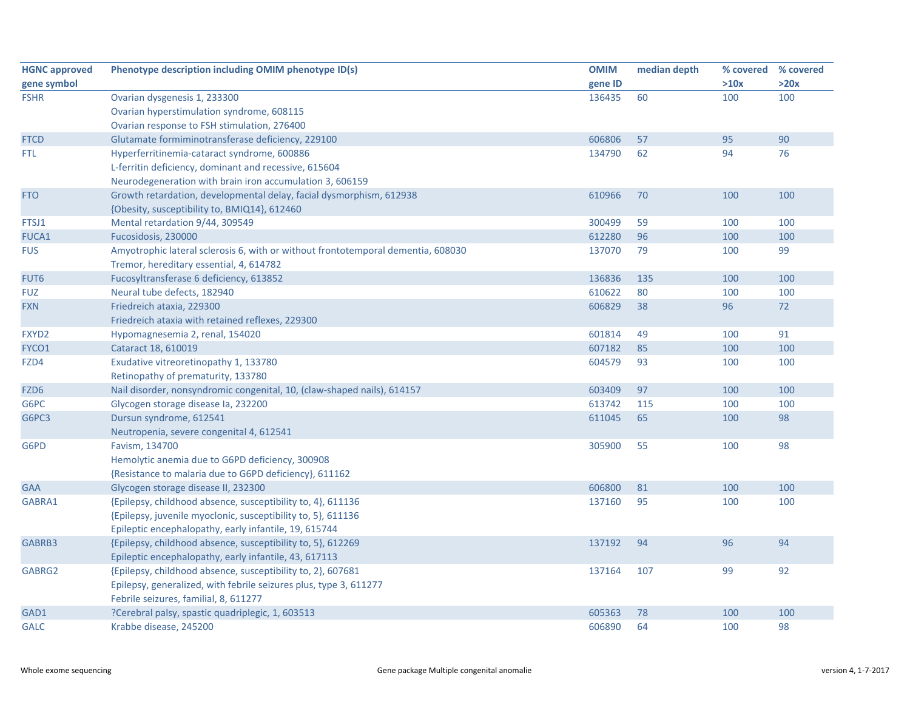| <b>HGNC approved</b> | Phenotype description including OMIM phenotype ID(s)                             | <b>OMIM</b> | median depth |      | % covered % covered |
|----------------------|----------------------------------------------------------------------------------|-------------|--------------|------|---------------------|
| gene symbol          |                                                                                  | gene ID     |              | >10x | >20x                |
| <b>FSHR</b>          | Ovarian dysgenesis 1, 233300                                                     | 136435      | 60           | 100  | 100                 |
|                      | Ovarian hyperstimulation syndrome, 608115                                        |             |              |      |                     |
|                      | Ovarian response to FSH stimulation, 276400                                      |             |              |      |                     |
| <b>FTCD</b>          | Glutamate formiminotransferase deficiency, 229100                                | 606806      | 57           | 95   | 90                  |
| FTL.                 | Hyperferritinemia-cataract syndrome, 600886                                      | 134790      | 62           | 94   | 76                  |
|                      | L-ferritin deficiency, dominant and recessive, 615604                            |             |              |      |                     |
|                      | Neurodegeneration with brain iron accumulation 3, 606159                         |             |              |      |                     |
| <b>FTO</b>           | Growth retardation, developmental delay, facial dysmorphism, 612938              | 610966      | 70           | 100  | 100                 |
|                      | {Obesity, susceptibility to, BMIQ14}, 612460                                     |             |              |      |                     |
| FTSJ1                | Mental retardation 9/44, 309549                                                  | 300499      | 59           | 100  | 100                 |
| <b>FUCA1</b>         | Fucosidosis, 230000                                                              | 612280      | 96           | 100  | 100                 |
| <b>FUS</b>           | Amyotrophic lateral sclerosis 6, with or without frontotemporal dementia, 608030 | 137070      | 79           | 100  | 99                  |
|                      | Tremor, hereditary essential, 4, 614782                                          |             |              |      |                     |
| FUT6                 | Fucosyltransferase 6 deficiency, 613852                                          | 136836      | 135          | 100  | 100                 |
| <b>FUZ</b>           | Neural tube defects, 182940                                                      | 610622      | 80           | 100  | 100                 |
| <b>FXN</b>           | Friedreich ataxia, 229300                                                        | 606829      | 38           | 96   | 72                  |
|                      | Friedreich ataxia with retained reflexes, 229300                                 |             |              |      |                     |
| FXYD2                | Hypomagnesemia 2, renal, 154020                                                  | 601814      | 49           | 100  | 91                  |
| FYCO1                | Cataract 18, 610019                                                              | 607182      | 85           | 100  | 100                 |
| FZD4                 | Exudative vitreoretinopathy 1, 133780                                            | 604579      | 93           | 100  | 100                 |
|                      | Retinopathy of prematurity, 133780                                               |             |              |      |                     |
| FZD6                 | Nail disorder, nonsyndromic congenital, 10, (claw-shaped nails), 614157          | 603409      | 97           | 100  | 100                 |
| G6PC                 | Glycogen storage disease Ia, 232200                                              | 613742      | 115          | 100  | 100                 |
| G6PC3                | Dursun syndrome, 612541                                                          | 611045      | 65           | 100  | 98                  |
|                      | Neutropenia, severe congenital 4, 612541                                         |             |              |      |                     |
| G6PD                 | Favism, 134700                                                                   | 305900      | 55           | 100  | 98                  |
|                      | Hemolytic anemia due to G6PD deficiency, 300908                                  |             |              |      |                     |
|                      | {Resistance to malaria due to G6PD deficiency}, 611162                           |             |              |      |                     |
| <b>GAA</b>           | Glycogen storage disease II, 232300                                              | 606800      | 81           | 100  | 100                 |
| GABRA1               | {Epilepsy, childhood absence, susceptibility to, 4}, 611136                      | 137160      | 95           | 100  | 100                 |
|                      | {Epilepsy, juvenile myoclonic, susceptibility to, 5}, 611136                     |             |              |      |                     |
|                      | Epileptic encephalopathy, early infantile, 19, 615744                            |             |              |      |                     |
| GABRB3               | {Epilepsy, childhood absence, susceptibility to, 5}, 612269                      | 137192      | 94           | 96   | 94                  |
|                      | Epileptic encephalopathy, early infantile, 43, 617113                            |             |              |      |                     |
| GABRG2               | {Epilepsy, childhood absence, susceptibility to, 2}, 607681                      | 137164      | 107          | 99   | 92                  |
|                      | Epilepsy, generalized, with febrile seizures plus, type 3, 611277                |             |              |      |                     |
|                      | Febrile seizures, familial, 8, 611277                                            |             |              |      |                     |
| GAD1                 | ?Cerebral palsy, spastic quadriplegic, 1, 603513                                 | 605363      | 78           | 100  | 100                 |
| <b>GALC</b>          | Krabbe disease, 245200                                                           | 606890      | 64           | 100  | 98                  |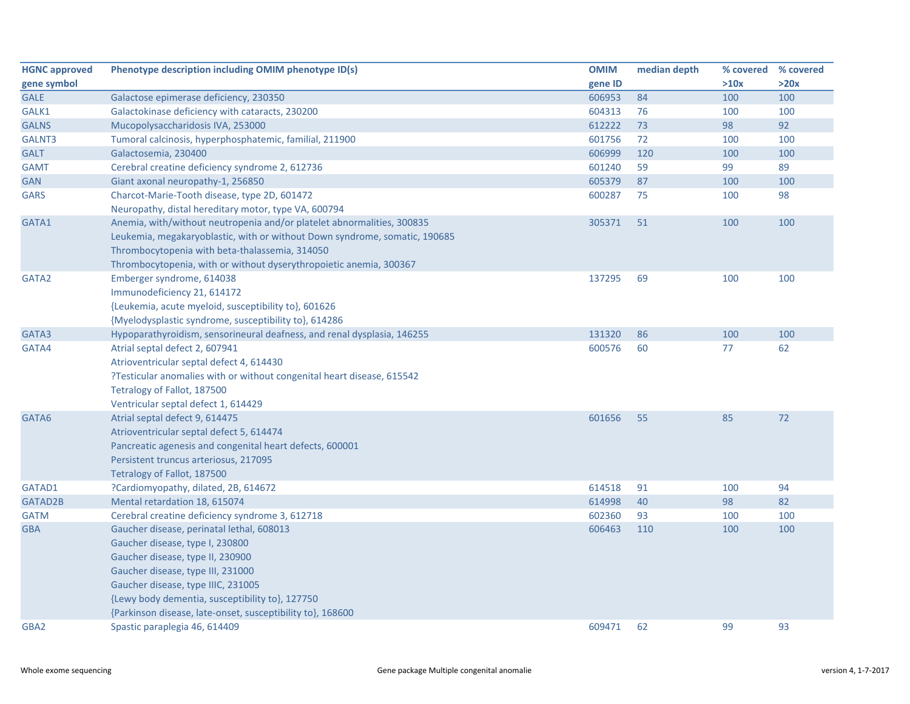| <b>HGNC approved</b> | Phenotype description including OMIM phenotype ID(s)                       | <b>OMIM</b> | median depth | % covered | % covered |
|----------------------|----------------------------------------------------------------------------|-------------|--------------|-----------|-----------|
| gene symbol          |                                                                            | gene ID     |              | >10x      | >20x      |
| <b>GALE</b>          | Galactose epimerase deficiency, 230350                                     | 606953      | 84           | 100       | 100       |
| GALK1                | Galactokinase deficiency with cataracts, 230200                            | 604313      | 76           | 100       | 100       |
| <b>GALNS</b>         | Mucopolysaccharidosis IVA, 253000                                          | 612222      | 73           | 98        | 92        |
| GALNT3               | Tumoral calcinosis, hyperphosphatemic, familial, 211900                    | 601756      | 72           | 100       | 100       |
| <b>GALT</b>          | Galactosemia, 230400                                                       | 606999      | 120          | 100       | 100       |
| <b>GAMT</b>          | Cerebral creatine deficiency syndrome 2, 612736                            | 601240      | 59           | 99        | 89        |
| <b>GAN</b>           | Giant axonal neuropathy-1, 256850                                          | 605379      | 87           | 100       | 100       |
| <b>GARS</b>          | Charcot-Marie-Tooth disease, type 2D, 601472                               | 600287      | 75           | 100       | 98        |
|                      | Neuropathy, distal hereditary motor, type VA, 600794                       |             |              |           |           |
| GATA1                | Anemia, with/without neutropenia and/or platelet abnormalities, 300835     | 305371      | 51           | 100       | 100       |
|                      | Leukemia, megakaryoblastic, with or without Down syndrome, somatic, 190685 |             |              |           |           |
|                      | Thrombocytopenia with beta-thalassemia, 314050                             |             |              |           |           |
|                      | Thrombocytopenia, with or without dyserythropoietic anemia, 300367         |             |              |           |           |
| GATA2                | Emberger syndrome, 614038                                                  | 137295      | 69           | 100       | 100       |
|                      | Immunodeficiency 21, 614172                                                |             |              |           |           |
|                      | {Leukemia, acute myeloid, susceptibility to}, 601626                       |             |              |           |           |
|                      | {Myelodysplastic syndrome, susceptibility to}, 614286                      |             |              |           |           |
| GATA3                | Hypoparathyroidism, sensorineural deafness, and renal dysplasia, 146255    | 131320      | 86           | 100       | 100       |
| GATA4                | Atrial septal defect 2, 607941                                             | 600576      | 60           | 77        | 62        |
|                      | Atrioventricular septal defect 4, 614430                                   |             |              |           |           |
|                      | ?Testicular anomalies with or without congenital heart disease, 615542     |             |              |           |           |
|                      | Tetralogy of Fallot, 187500                                                |             |              |           |           |
|                      | Ventricular septal defect 1, 614429                                        |             |              |           |           |
| GATA6                | Atrial septal defect 9, 614475                                             | 601656      | 55           | 85        | 72        |
|                      | Atrioventricular septal defect 5, 614474                                   |             |              |           |           |
|                      | Pancreatic agenesis and congenital heart defects, 600001                   |             |              |           |           |
|                      | Persistent truncus arteriosus, 217095                                      |             |              |           |           |
|                      | Tetralogy of Fallot, 187500                                                |             |              |           |           |
| GATAD1               | ?Cardiomyopathy, dilated, 2B, 614672                                       | 614518      | 91           | 100       | 94        |
| GATAD2B              | Mental retardation 18, 615074                                              | 614998      | 40           | 98        | 82        |
| <b>GATM</b>          | Cerebral creatine deficiency syndrome 3, 612718                            | 602360      | 93           | 100       | 100       |
| <b>GBA</b>           | Gaucher disease, perinatal lethal, 608013                                  | 606463      | 110          | 100       | 100       |
|                      | Gaucher disease, type I, 230800                                            |             |              |           |           |
|                      | Gaucher disease, type II, 230900                                           |             |              |           |           |
|                      | Gaucher disease, type III, 231000                                          |             |              |           |           |
|                      | Gaucher disease, type IIIC, 231005                                         |             |              |           |           |
|                      | {Lewy body dementia, susceptibility to}, 127750                            |             |              |           |           |
|                      | {Parkinson disease, late-onset, susceptibility to}, 168600                 |             |              |           |           |
| GBA2                 | Spastic paraplegia 46, 614409                                              | 609471      | 62           | 99        | 93        |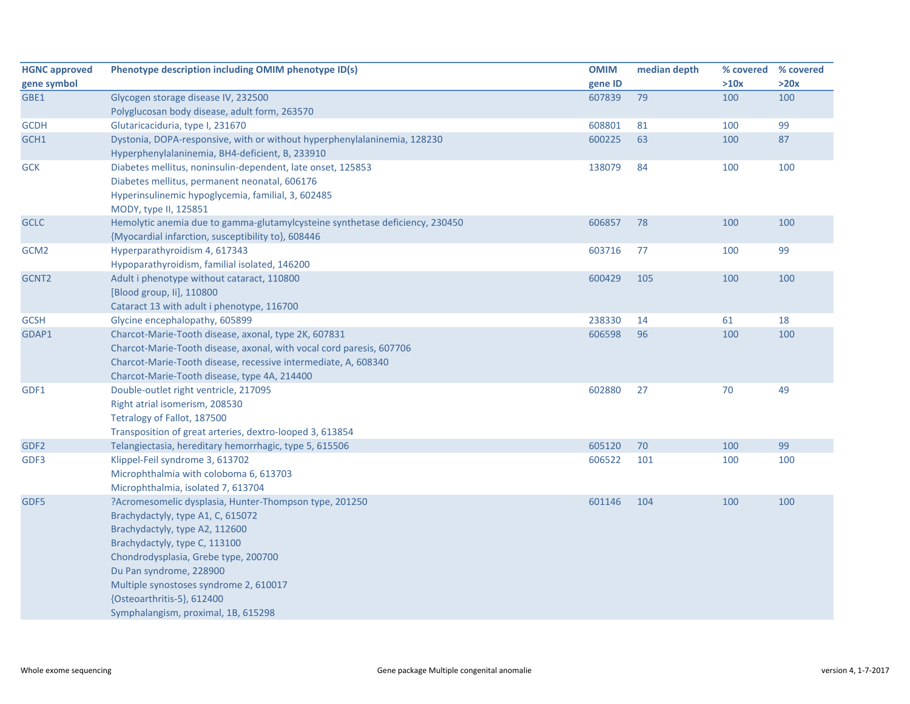| <b>HGNC approved</b> | Phenotype description including OMIM phenotype ID(s)                         | <b>OMIM</b> | median depth | % covered % covered |      |
|----------------------|------------------------------------------------------------------------------|-------------|--------------|---------------------|------|
| gene symbol          |                                                                              | gene ID     |              | >10x                | >20x |
| GBE1                 | Glycogen storage disease IV, 232500                                          | 607839      | 79           | 100                 | 100  |
|                      | Polyglucosan body disease, adult form, 263570                                |             |              |                     |      |
| <b>GCDH</b>          | Glutaricaciduria, type I, 231670                                             | 608801      | 81           | 100                 | 99   |
| GCH1                 | Dystonia, DOPA-responsive, with or without hyperphenylalaninemia, 128230     | 600225      | 63           | 100                 | 87   |
|                      | Hyperphenylalaninemia, BH4-deficient, B, 233910                              |             |              |                     |      |
| <b>GCK</b>           | Diabetes mellitus, noninsulin-dependent, late onset, 125853                  | 138079      | 84           | 100                 | 100  |
|                      | Diabetes mellitus, permanent neonatal, 606176                                |             |              |                     |      |
|                      | Hyperinsulinemic hypoglycemia, familial, 3, 602485                           |             |              |                     |      |
|                      | MODY, type II, 125851                                                        |             |              |                     |      |
| <b>GCLC</b>          | Hemolytic anemia due to gamma-glutamylcysteine synthetase deficiency, 230450 | 606857      | 78           | 100                 | 100  |
|                      | {Myocardial infarction, susceptibility to}, 608446                           |             |              |                     |      |
| GCM <sub>2</sub>     | Hyperparathyroidism 4, 617343                                                | 603716      | 77           | 100                 | 99   |
|                      | Hypoparathyroidism, familial isolated, 146200                                |             |              |                     |      |
| GCNT2                | Adult i phenotype without cataract, 110800                                   | 600429      | 105          | 100                 | 100  |
|                      | [Blood group, li], 110800                                                    |             |              |                     |      |
|                      | Cataract 13 with adult i phenotype, 116700                                   |             |              |                     |      |
| <b>GCSH</b>          | Glycine encephalopathy, 605899                                               | 238330      | 14           | 61                  | 18   |
| GDAP1                | Charcot-Marie-Tooth disease, axonal, type 2K, 607831                         | 606598      | 96           | 100                 | 100  |
|                      | Charcot-Marie-Tooth disease, axonal, with vocal cord paresis, 607706         |             |              |                     |      |
|                      | Charcot-Marie-Tooth disease, recessive intermediate, A, 608340               |             |              |                     |      |
|                      | Charcot-Marie-Tooth disease, type 4A, 214400                                 |             |              |                     |      |
| GDF1                 | Double-outlet right ventricle, 217095                                        | 602880      | 27           | 70                  | 49   |
|                      | Right atrial isomerism, 208530                                               |             |              |                     |      |
|                      | Tetralogy of Fallot, 187500                                                  |             |              |                     |      |
|                      | Transposition of great arteries, dextro-looped 3, 613854                     |             |              |                     |      |
| GDF <sub>2</sub>     | Telangiectasia, hereditary hemorrhagic, type 5, 615506                       | 605120      | 70           | 100                 | 99   |
| GDF3                 | Klippel-Feil syndrome 3, 613702                                              | 606522      | 101          | 100                 | 100  |
|                      | Microphthalmia with coloboma 6, 613703                                       |             |              |                     |      |
|                      | Microphthalmia, isolated 7, 613704                                           |             |              |                     |      |
| GDF5                 | ?Acromesomelic dysplasia, Hunter-Thompson type, 201250                       | 601146      | 104          | 100                 | 100  |
|                      | Brachydactyly, type A1, C, 615072                                            |             |              |                     |      |
|                      | Brachydactyly, type A2, 112600                                               |             |              |                     |      |
|                      | Brachydactyly, type C, 113100                                                |             |              |                     |      |
|                      | Chondrodysplasia, Grebe type, 200700                                         |             |              |                     |      |
|                      | Du Pan syndrome, 228900                                                      |             |              |                     |      |
|                      | Multiple synostoses syndrome 2, 610017                                       |             |              |                     |      |
|                      | {Osteoarthritis-5}, 612400                                                   |             |              |                     |      |
|                      | Symphalangism, proximal, 1B, 615298                                          |             |              |                     |      |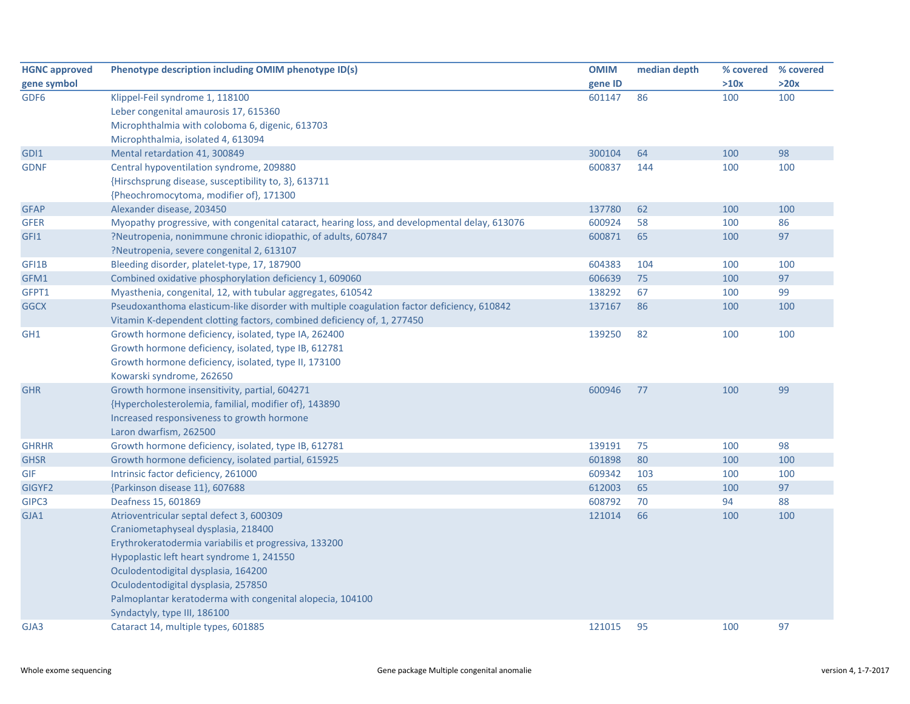| <b>HGNC approved</b> | Phenotype description including OMIM phenotype ID(s)                                          | <b>OMIM</b> | median depth | % covered | % covered |
|----------------------|-----------------------------------------------------------------------------------------------|-------------|--------------|-----------|-----------|
| gene symbol          |                                                                                               | gene ID     |              | >10x      | >20x      |
| GDF <sub>6</sub>     | Klippel-Feil syndrome 1, 118100                                                               | 601147      | 86           | 100       | 100       |
|                      | Leber congenital amaurosis 17, 615360                                                         |             |              |           |           |
|                      | Microphthalmia with coloboma 6, digenic, 613703                                               |             |              |           |           |
|                      | Microphthalmia, isolated 4, 613094                                                            |             |              |           |           |
| GDI1                 | Mental retardation 41, 300849                                                                 | 300104      | 64           | 100       | 98        |
| <b>GDNF</b>          | Central hypoventilation syndrome, 209880                                                      | 600837      | 144          | 100       | 100       |
|                      | {Hirschsprung disease, susceptibility to, 3}, 613711                                          |             |              |           |           |
|                      | {Pheochromocytoma, modifier of}, 171300                                                       |             |              |           |           |
| <b>GFAP</b>          | Alexander disease, 203450                                                                     | 137780      | 62           | 100       | 100       |
| <b>GFER</b>          | Myopathy progressive, with congenital cataract, hearing loss, and developmental delay, 613076 | 600924      | 58           | 100       | 86        |
| GFI1                 | ?Neutropenia, nonimmune chronic idiopathic, of adults, 607847                                 | 600871      | 65           | 100       | 97        |
|                      | ?Neutropenia, severe congenital 2, 613107                                                     |             |              |           |           |
| GFI1B                | Bleeding disorder, platelet-type, 17, 187900                                                  | 604383      | 104          | 100       | 100       |
| GFM1                 | Combined oxidative phosphorylation deficiency 1, 609060                                       | 606639      | 75           | 100       | 97        |
| GFPT1                | Myasthenia, congenital, 12, with tubular aggregates, 610542                                   | 138292      | 67           | 100       | 99        |
| <b>GGCX</b>          | Pseudoxanthoma elasticum-like disorder with multiple coagulation factor deficiency, 610842    | 137167      | 86           | 100       | 100       |
|                      | Vitamin K-dependent clotting factors, combined deficiency of, 1, 277450                       |             |              |           |           |
| GH <sub>1</sub>      | Growth hormone deficiency, isolated, type IA, 262400                                          | 139250      | 82           | 100       | 100       |
|                      | Growth hormone deficiency, isolated, type IB, 612781                                          |             |              |           |           |
|                      | Growth hormone deficiency, isolated, type II, 173100                                          |             |              |           |           |
|                      | Kowarski syndrome, 262650                                                                     |             |              |           |           |
| <b>GHR</b>           | Growth hormone insensitivity, partial, 604271                                                 | 600946      | 77           | 100       | 99        |
|                      | {Hypercholesterolemia, familial, modifier of}, 143890                                         |             |              |           |           |
|                      | Increased responsiveness to growth hormone                                                    |             |              |           |           |
|                      | Laron dwarfism, 262500                                                                        |             |              |           |           |
| <b>GHRHR</b>         | Growth hormone deficiency, isolated, type IB, 612781                                          | 139191      | 75           | 100       | 98        |
| <b>GHSR</b>          | Growth hormone deficiency, isolated partial, 615925                                           | 601898      | 80           | 100       | 100       |
| <b>GIF</b>           | Intrinsic factor deficiency, 261000                                                           | 609342      | 103          | 100       | 100       |
| GIGYF2               | {Parkinson disease 11}, 607688                                                                | 612003      | 65           | 100       | 97        |
| GIPC3                | Deafness 15, 601869                                                                           | 608792      | 70           | 94        | 88        |
| GJA1                 | Atrioventricular septal defect 3, 600309                                                      | 121014      | 66           | 100       | 100       |
|                      | Craniometaphyseal dysplasia, 218400                                                           |             |              |           |           |
|                      | Erythrokeratodermia variabilis et progressiva, 133200                                         |             |              |           |           |
|                      | Hypoplastic left heart syndrome 1, 241550                                                     |             |              |           |           |
|                      | Oculodentodigital dysplasia, 164200                                                           |             |              |           |           |
|                      | Oculodentodigital dysplasia, 257850                                                           |             |              |           |           |
|                      | Palmoplantar keratoderma with congenital alopecia, 104100                                     |             |              |           |           |
|                      | Syndactyly, type III, 186100                                                                  |             |              |           |           |
| GJA3                 | Cataract 14, multiple types, 601885                                                           | 121015      | 95           | 100       | 97        |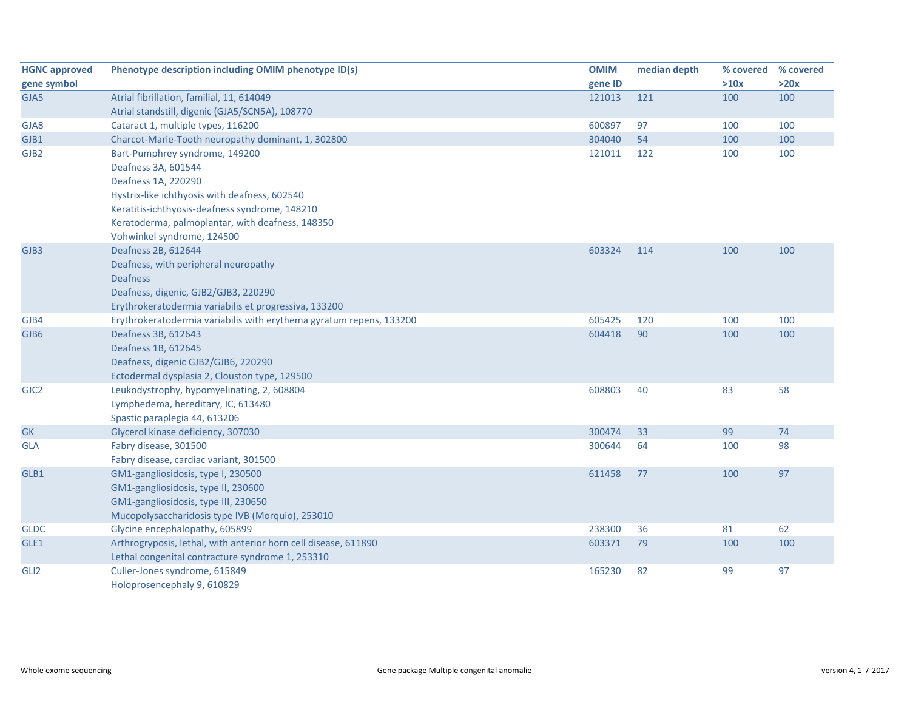| <b>HGNC approved</b> | Phenotype description including OMIM phenotype ID(s)                | <b>OMIM</b> | median depth | % covered | % covered |
|----------------------|---------------------------------------------------------------------|-------------|--------------|-----------|-----------|
| gene symbol          |                                                                     | gene ID     |              | >10x      | >20x      |
| GJA5                 | Atrial fibrillation, familial, 11, 614049                           | 121013      | 121          | 100       | 100       |
|                      | Atrial standstill, digenic (GJA5/SCN5A), 108770                     |             |              |           |           |
| GJA8                 | Cataract 1, multiple types, 116200                                  | 600897      | 97           | 100       | 100       |
| GJB1                 | Charcot-Marie-Tooth neuropathy dominant, 1, 302800                  | 304040      | 54           | 100       | 100       |
| GJB <sub>2</sub>     | Bart-Pumphrey syndrome, 149200                                      | 121011      | 122          | 100       | 100       |
|                      | Deafness 3A, 601544                                                 |             |              |           |           |
|                      | Deafness 1A, 220290                                                 |             |              |           |           |
|                      | Hystrix-like ichthyosis with deafness, 602540                       |             |              |           |           |
|                      | Keratitis-ichthyosis-deafness syndrome, 148210                      |             |              |           |           |
|                      | Keratoderma, palmoplantar, with deafness, 148350                    |             |              |           |           |
|                      | Vohwinkel syndrome, 124500                                          |             |              |           |           |
| GJB3                 | Deafness 2B, 612644                                                 | 603324      | 114          | 100       | 100       |
|                      | Deafness, with peripheral neuropathy                                |             |              |           |           |
|                      | <b>Deafness</b>                                                     |             |              |           |           |
|                      | Deafness, digenic, GJB2/GJB3, 220290                                |             |              |           |           |
|                      | Erythrokeratodermia variabilis et progressiva, 133200               |             |              |           |           |
| GJB4                 | Erythrokeratodermia variabilis with erythema gyratum repens, 133200 | 605425      | 120          | 100       | 100       |
| GJB6                 | Deafness 3B, 612643                                                 | 604418      | 90           | 100       | 100       |
|                      | Deafness 1B, 612645                                                 |             |              |           |           |
|                      | Deafness, digenic GJB2/GJB6, 220290                                 |             |              |           |           |
|                      | Ectodermal dysplasia 2, Clouston type, 129500                       |             |              |           |           |
| GJC <sub>2</sub>     | Leukodystrophy, hypomyelinating, 2, 608804                          | 608803      | 40           | 83        | 58        |
|                      | Lymphedema, hereditary, IC, 613480                                  |             |              |           |           |
|                      | Spastic paraplegia 44, 613206                                       |             |              |           |           |
| GK                   | Glycerol kinase deficiency, 307030                                  | 300474      | 33           | 99        | 74        |
| GLA                  | Fabry disease, 301500                                               | 300644      | 64           | 100       | 98        |
|                      | Fabry disease, cardiac variant, 301500                              |             |              |           |           |
| GLB1                 | GM1-gangliosidosis, type I, 230500                                  | 611458      | 77           | 100       | 97        |
|                      | GM1-gangliosidosis, type II, 230600                                 |             |              |           |           |
|                      | GM1-gangliosidosis, type III, 230650                                |             |              |           |           |
|                      | Mucopolysaccharidosis type IVB (Morquio), 253010                    |             |              |           |           |
| <b>GLDC</b>          | Glycine encephalopathy, 605899                                      | 238300      | 36           | 81        | 62        |
| GLE1                 | Arthrogryposis, lethal, with anterior horn cell disease, 611890     | 603371      | 79           | 100       | 100       |
|                      | Lethal congenital contracture syndrome 1, 253310                    |             |              |           |           |
| GLI <sub>2</sub>     | Culler-Jones syndrome, 615849                                       | 165230      | 82           | 99        | 97        |
|                      | Holoprosencephaly 9, 610829                                         |             |              |           |           |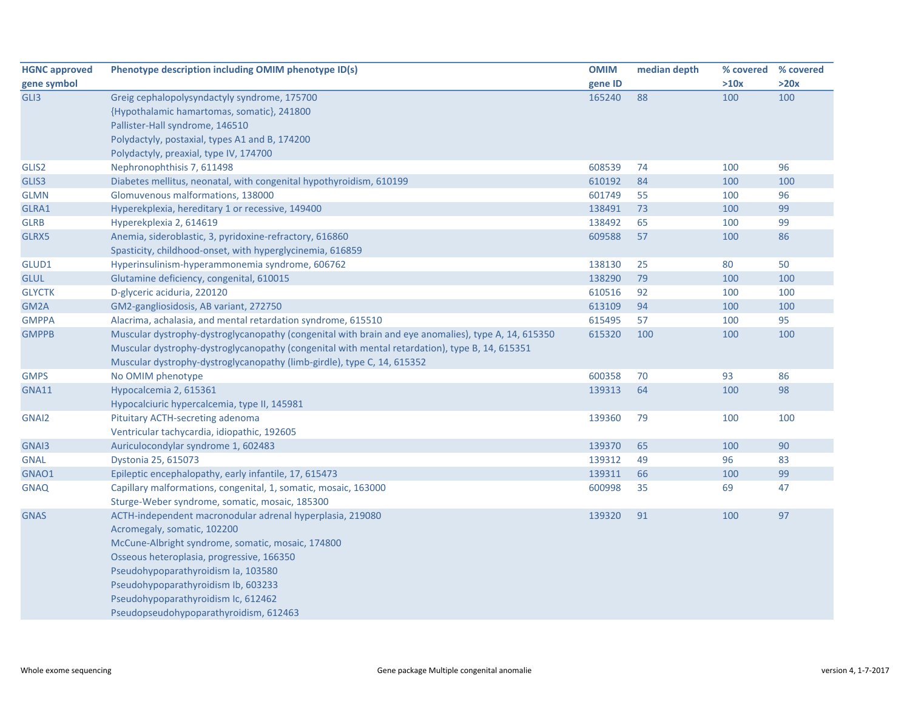| <b>HGNC approved</b> | Phenotype description including OMIM phenotype ID(s)                                                | <b>OMIM</b> | median depth | % covered % covered |      |
|----------------------|-----------------------------------------------------------------------------------------------------|-------------|--------------|---------------------|------|
| gene symbol          |                                                                                                     | gene ID     |              | >10x                | >20x |
| GLI3                 | Greig cephalopolysyndactyly syndrome, 175700                                                        | 165240      | 88           | 100                 | 100  |
|                      | {Hypothalamic hamartomas, somatic}, 241800                                                          |             |              |                     |      |
|                      | Pallister-Hall syndrome, 146510                                                                     |             |              |                     |      |
|                      | Polydactyly, postaxial, types A1 and B, 174200                                                      |             |              |                     |      |
|                      | Polydactyly, preaxial, type IV, 174700                                                              |             |              |                     |      |
| GLIS2                | Nephronophthisis 7, 611498                                                                          | 608539      | 74           | 100                 | 96   |
| GLIS3                | Diabetes mellitus, neonatal, with congenital hypothyroidism, 610199                                 | 610192      | 84           | 100                 | 100  |
| <b>GLMN</b>          | Glomuvenous malformations, 138000                                                                   | 601749      | 55           | 100                 | 96   |
| GLRA1                | Hyperekplexia, hereditary 1 or recessive, 149400                                                    | 138491      | 73           | 100                 | 99   |
| <b>GLRB</b>          | Hyperekplexia 2, 614619                                                                             | 138492      | 65           | 100                 | 99   |
| GLRX5                | Anemia, sideroblastic, 3, pyridoxine-refractory, 616860                                             | 609588      | 57           | 100                 | 86   |
|                      | Spasticity, childhood-onset, with hyperglycinemia, 616859                                           |             |              |                     |      |
| GLUD1                | Hyperinsulinism-hyperammonemia syndrome, 606762                                                     | 138130      | 25           | 80                  | 50   |
| <b>GLUL</b>          | Glutamine deficiency, congenital, 610015                                                            | 138290      | 79           | 100                 | 100  |
| <b>GLYCTK</b>        | D-glyceric aciduria, 220120                                                                         | 610516      | 92           | 100                 | 100  |
| GM2A                 | GM2-gangliosidosis, AB variant, 272750                                                              | 613109      | 94           | 100                 | 100  |
| <b>GMPPA</b>         | Alacrima, achalasia, and mental retardation syndrome, 615510                                        | 615495      | 57           | 100                 | 95   |
| <b>GMPPB</b>         | Muscular dystrophy-dystroglycanopathy (congenital with brain and eye anomalies), type A, 14, 615350 | 615320      | 100          | 100                 | 100  |
|                      | Muscular dystrophy-dystroglycanopathy (congenital with mental retardation), type B, 14, 615351      |             |              |                     |      |
|                      | Muscular dystrophy-dystroglycanopathy (limb-girdle), type C, 14, 615352                             |             |              |                     |      |
| <b>GMPS</b>          | No OMIM phenotype                                                                                   | 600358      | 70           | 93                  | 86   |
| <b>GNA11</b>         | Hypocalcemia 2, 615361                                                                              | 139313      | 64           | 100                 | 98   |
|                      | Hypocalciuric hypercalcemia, type II, 145981                                                        |             |              |                     |      |
| GNAI2                | Pituitary ACTH-secreting adenoma                                                                    | 139360      | 79           | 100                 | 100  |
|                      | Ventricular tachycardia, idiopathic, 192605                                                         |             |              |                     |      |
| GNAI3                | Auriculocondylar syndrome 1, 602483                                                                 | 139370      | 65           | 100                 | 90   |
| <b>GNAL</b>          | Dystonia 25, 615073                                                                                 | 139312      | 49           | 96                  | 83   |
| GNAO1                | Epileptic encephalopathy, early infantile, 17, 615473                                               | 139311      | 66           | 100                 | 99   |
| <b>GNAQ</b>          | Capillary malformations, congenital, 1, somatic, mosaic, 163000                                     | 600998      | 35           | 69                  | 47   |
|                      | Sturge-Weber syndrome, somatic, mosaic, 185300                                                      |             |              |                     |      |
| <b>GNAS</b>          | ACTH-independent macronodular adrenal hyperplasia, 219080                                           | 139320      | 91           | 100                 | 97   |
|                      | Acromegaly, somatic, 102200                                                                         |             |              |                     |      |
|                      | McCune-Albright syndrome, somatic, mosaic, 174800                                                   |             |              |                     |      |
|                      | Osseous heteroplasia, progressive, 166350                                                           |             |              |                     |      |
|                      | Pseudohypoparathyroidism la, 103580                                                                 |             |              |                     |      |
|                      | Pseudohypoparathyroidism Ib, 603233                                                                 |             |              |                     |      |
|                      | Pseudohypoparathyroidism Ic, 612462                                                                 |             |              |                     |      |
|                      | Pseudopseudohypoparathyroidism, 612463                                                              |             |              |                     |      |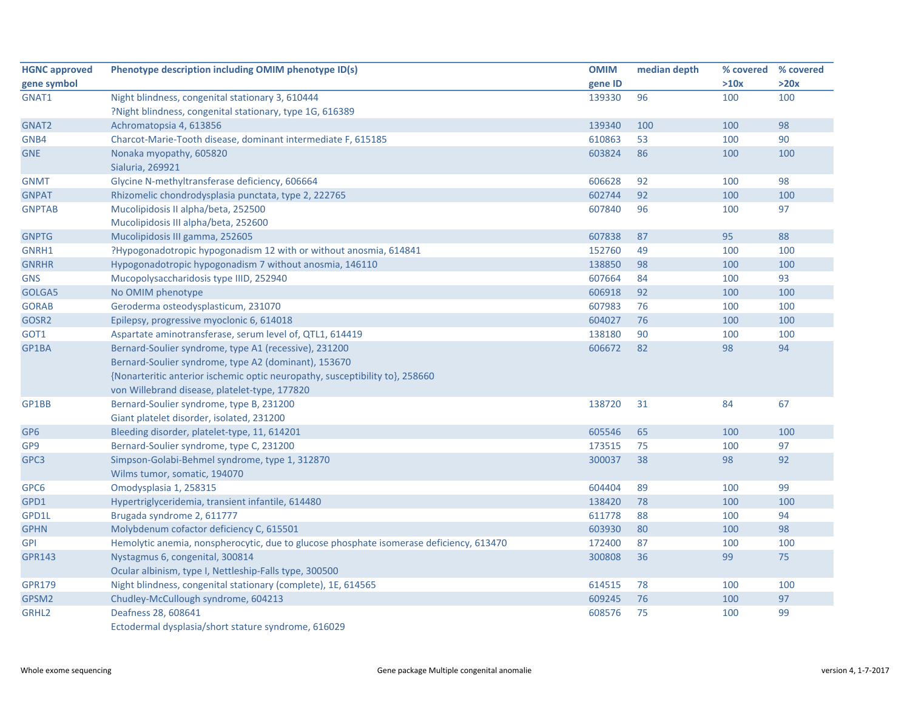| <b>HGNC approved</b> | Phenotype description including OMIM phenotype ID(s)                                    | <b>OMIM</b> | median depth | % covered | % covered |
|----------------------|-----------------------------------------------------------------------------------------|-------------|--------------|-----------|-----------|
| gene symbol          |                                                                                         | gene ID     |              | >10x      | >20x      |
| GNAT1                | Night blindness, congenital stationary 3, 610444                                        | 139330      | 96           | 100       | 100       |
|                      | ?Night blindness, congenital stationary, type 1G, 616389                                |             |              |           |           |
| GNAT2                | Achromatopsia 4, 613856                                                                 | 139340      | 100          | 100       | 98        |
| GNB4                 | Charcot-Marie-Tooth disease, dominant intermediate F, 615185                            | 610863      | 53           | 100       | 90        |
| <b>GNE</b>           | Nonaka myopathy, 605820<br>Sialuria, 269921                                             | 603824      | 86           | 100       | 100       |
| <b>GNMT</b>          | Glycine N-methyltransferase deficiency, 606664                                          | 606628      | 92           | 100       | 98        |
| <b>GNPAT</b>         | Rhizomelic chondrodysplasia punctata, type 2, 222765                                    | 602744      | 92           | 100       | 100       |
| <b>GNPTAB</b>        | Mucolipidosis II alpha/beta, 252500                                                     | 607840      | 96           | 100       | 97        |
|                      | Mucolipidosis III alpha/beta, 252600                                                    |             |              |           |           |
| <b>GNPTG</b>         | Mucolipidosis III gamma, 252605                                                         | 607838      | 87           | 95        | 88        |
| GNRH1                | ?Hypogonadotropic hypogonadism 12 with or without anosmia, 614841                       | 152760      | 49           | 100       | 100       |
| <b>GNRHR</b>         | Hypogonadotropic hypogonadism 7 without anosmia, 146110                                 | 138850      | 98           | 100       | 100       |
| <b>GNS</b>           | Mucopolysaccharidosis type IIID, 252940                                                 | 607664      | 84           | 100       | 93        |
| GOLGA5               | No OMIM phenotype                                                                       | 606918      | 92           | 100       | 100       |
| <b>GORAB</b>         | Geroderma osteodysplasticum, 231070                                                     | 607983      | 76           | 100       | 100       |
| GOSR2                | Epilepsy, progressive myoclonic 6, 614018                                               | 604027      | 76           | 100       | 100       |
| GOT1                 | Aspartate aminotransferase, serum level of, QTL1, 614419                                | 138180      | 90           | 100       | 100       |
| GP1BA                | Bernard-Soulier syndrome, type A1 (recessive), 231200                                   | 606672      | 82           | 98        | 94        |
|                      | Bernard-Soulier syndrome, type A2 (dominant), 153670                                    |             |              |           |           |
|                      | {Nonarteritic anterior ischemic optic neuropathy, susceptibility to}, 258660            |             |              |           |           |
|                      | von Willebrand disease, platelet-type, 177820                                           |             |              |           |           |
| GP1BB                | Bernard-Soulier syndrome, type B, 231200                                                | 138720      | 31           | 84        | 67        |
|                      | Giant platelet disorder, isolated, 231200                                               |             |              |           |           |
| GP <sub>6</sub>      | Bleeding disorder, platelet-type, 11, 614201                                            | 605546      | 65           | 100       | 100       |
| GP <sub>9</sub>      | Bernard-Soulier syndrome, type C, 231200                                                | 173515      | 75           | 100       | 97        |
| GPC3                 | Simpson-Golabi-Behmel syndrome, type 1, 312870                                          | 300037      | 38           | 98        | 92        |
|                      | Wilms tumor, somatic, 194070                                                            |             |              |           |           |
| GPC6                 | Omodysplasia 1, 258315                                                                  | 604404      | 89           | 100       | 99        |
| GPD1                 | Hypertriglyceridemia, transient infantile, 614480                                       | 138420      | 78           | 100       | 100       |
| GPD1L                | Brugada syndrome 2, 611777                                                              | 611778      | 88           | 100       | 94        |
| <b>GPHN</b>          | Molybdenum cofactor deficiency C, 615501                                                | 603930      | 80           | 100       | 98        |
| <b>GPI</b>           | Hemolytic anemia, nonspherocytic, due to glucose phosphate isomerase deficiency, 613470 | 172400      | 87           | 100       | 100       |
| <b>GPR143</b>        | Nystagmus 6, congenital, 300814                                                         | 300808      | 36           | 99        | 75        |
|                      | Ocular albinism, type I, Nettleship-Falls type, 300500                                  |             |              |           |           |
| <b>GPR179</b>        | Night blindness, congenital stationary (complete), 1E, 614565                           | 614515      | 78           | 100       | 100       |
| GPSM2                | Chudley-McCullough syndrome, 604213                                                     | 609245      | 76           | 100       | 97        |
| GRHL2                | Deafness 28, 608641                                                                     | 608576      | 75           | 100       | 99        |
|                      | Ectodermal dysplasia/short stature syndrome, 616029                                     |             |              |           |           |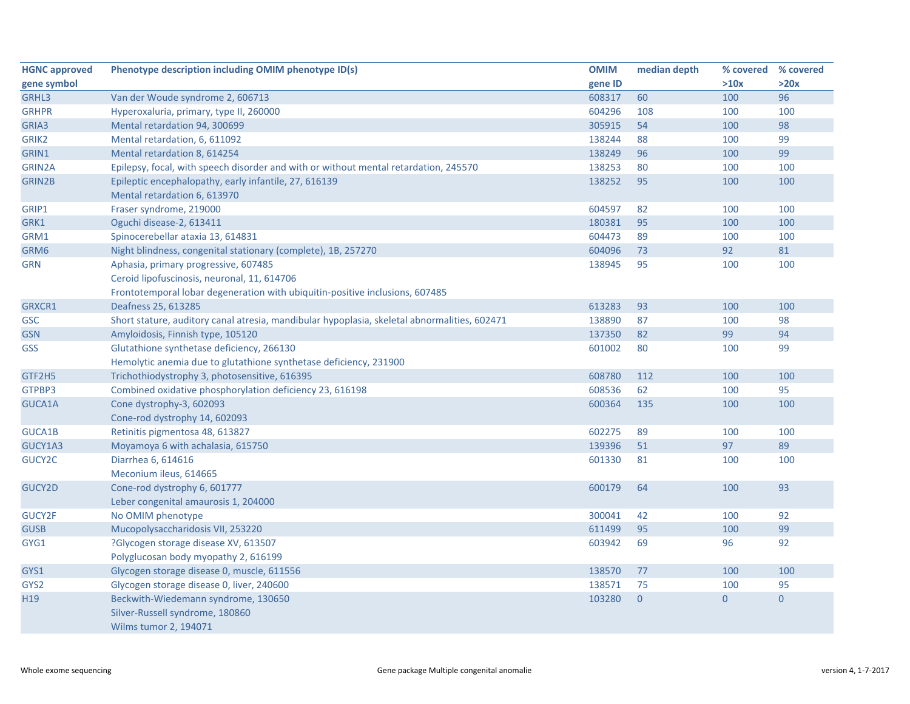| <b>HGNC approved</b> | Phenotype description including OMIM phenotype ID(s)                                         | <b>OMIM</b> | median depth   | % covered      | % covered      |
|----------------------|----------------------------------------------------------------------------------------------|-------------|----------------|----------------|----------------|
| gene symbol          |                                                                                              | gene ID     |                | >10x           | >20x           |
| GRHL3                | Van der Woude syndrome 2, 606713                                                             | 608317      | 60             | 100            | 96             |
| <b>GRHPR</b>         | Hyperoxaluria, primary, type II, 260000                                                      | 604296      | 108            | 100            | 100            |
| GRIA3                | Mental retardation 94, 300699                                                                | 305915      | 54             | 100            | 98             |
| GRIK2                | Mental retardation, 6, 611092                                                                | 138244      | 88             | 100            | 99             |
| GRIN1                | Mental retardation 8, 614254                                                                 | 138249      | 96             | 100            | 99             |
| GRIN2A               | Epilepsy, focal, with speech disorder and with or without mental retardation, 245570         | 138253      | 80             | 100            | 100            |
| GRIN2B               | Epileptic encephalopathy, early infantile, 27, 616139                                        | 138252      | 95             | 100            | 100            |
|                      | Mental retardation 6, 613970                                                                 |             |                |                |                |
| GRIP1                | Fraser syndrome, 219000                                                                      | 604597      | 82             | 100            | 100            |
| GRK1                 | Oguchi disease-2, 613411                                                                     | 180381      | 95             | 100            | 100            |
| GRM1                 | Spinocerebellar ataxia 13, 614831                                                            | 604473      | 89             | 100            | 100            |
| GRM6                 | Night blindness, congenital stationary (complete), 1B, 257270                                | 604096      | 73             | 92             | 81             |
| <b>GRN</b>           | Aphasia, primary progressive, 607485                                                         | 138945      | 95             | 100            | 100            |
|                      | Ceroid lipofuscinosis, neuronal, 11, 614706                                                  |             |                |                |                |
|                      | Frontotemporal lobar degeneration with ubiquitin-positive inclusions, 607485                 |             |                |                |                |
| GRXCR1               | Deafness 25, 613285                                                                          | 613283      | 93             | 100            | 100            |
| <b>GSC</b>           | Short stature, auditory canal atresia, mandibular hypoplasia, skeletal abnormalities, 602471 | 138890      | 87             | 100            | 98             |
| <b>GSN</b>           | Amyloidosis, Finnish type, 105120                                                            | 137350      | 82             | 99             | 94             |
| <b>GSS</b>           | Glutathione synthetase deficiency, 266130                                                    | 601002      | 80             | 100            | 99             |
|                      | Hemolytic anemia due to glutathione synthetase deficiency, 231900                            |             |                |                |                |
| GTF2H5               | Trichothiodystrophy 3, photosensitive, 616395                                                | 608780      | 112            | 100            | 100            |
| GTPBP3               | Combined oxidative phosphorylation deficiency 23, 616198                                     | 608536      | 62             | 100            | 95             |
| GUCA1A               | Cone dystrophy-3, 602093                                                                     | 600364      | 135            | 100            | 100            |
|                      | Cone-rod dystrophy 14, 602093                                                                |             |                |                |                |
| GUCA1B               | Retinitis pigmentosa 48, 613827                                                              | 602275      | 89             | 100            | 100            |
| GUCY1A3              | Moyamoya 6 with achalasia, 615750                                                            | 139396      | 51             | 97             | 89             |
| GUCY2C               | Diarrhea 6, 614616                                                                           | 601330      | 81             | 100            | 100            |
|                      | Meconium ileus, 614665                                                                       |             |                |                |                |
| <b>GUCY2D</b>        | Cone-rod dystrophy 6, 601777                                                                 | 600179      | 64             | 100            | 93             |
|                      | Leber congenital amaurosis 1, 204000                                                         |             |                |                |                |
| GUCY2F               | No OMIM phenotype                                                                            | 300041      | 42             | 100            | 92             |
| <b>GUSB</b>          | Mucopolysaccharidosis VII, 253220                                                            | 611499      | 95             | 100            | 99             |
| GYG1                 | ?Glycogen storage disease XV, 613507                                                         | 603942      | 69             | 96             | 92             |
|                      | Polyglucosan body myopathy 2, 616199                                                         |             |                |                |                |
| GYS1                 | Glycogen storage disease 0, muscle, 611556                                                   | 138570      | 77             | 100            | 100            |
| GYS2                 | Glycogen storage disease 0, liver, 240600                                                    | 138571      | 75             | 100            | 95             |
| H <sub>19</sub>      | Beckwith-Wiedemann syndrome, 130650                                                          | 103280      | $\overline{0}$ | $\overline{0}$ | $\overline{0}$ |
|                      | Silver-Russell syndrome, 180860                                                              |             |                |                |                |
|                      | Wilms tumor 2, 194071                                                                        |             |                |                |                |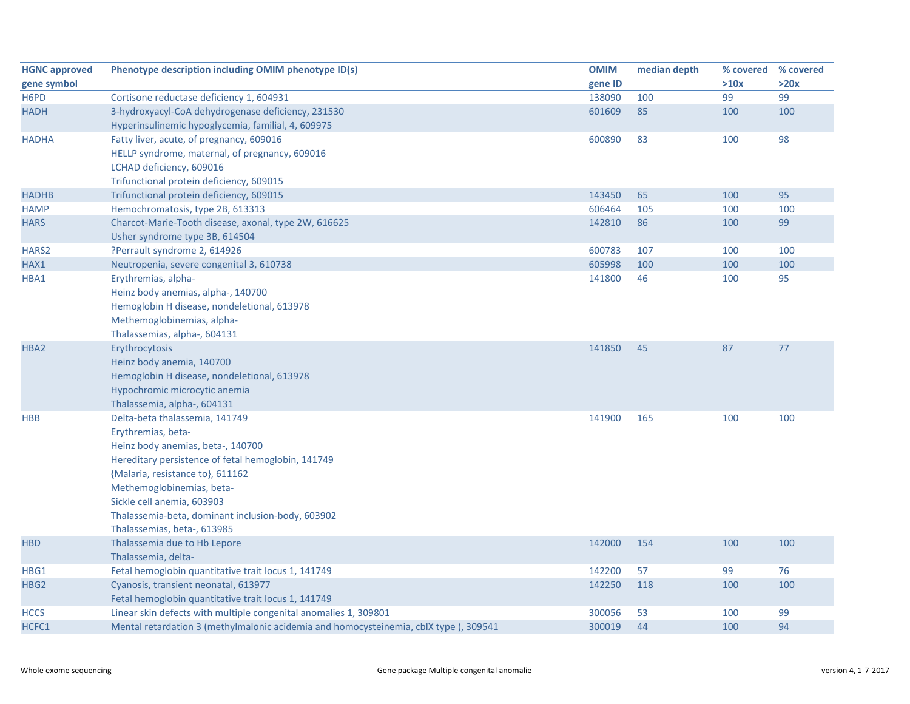| <b>HGNC approved</b> | Phenotype description including OMIM phenotype ID(s)                                 | <b>OMIM</b> | median depth | % covered | % covered |
|----------------------|--------------------------------------------------------------------------------------|-------------|--------------|-----------|-----------|
| gene symbol          |                                                                                      | gene ID     |              | >10x      | >20x      |
| H6PD                 | Cortisone reductase deficiency 1, 604931                                             | 138090      | 100          | 99        | 99        |
| <b>HADH</b>          | 3-hydroxyacyl-CoA dehydrogenase deficiency, 231530                                   | 601609      | 85           | 100       | 100       |
|                      | Hyperinsulinemic hypoglycemia, familial, 4, 609975                                   |             |              |           |           |
| <b>HADHA</b>         | Fatty liver, acute, of pregnancy, 609016                                             | 600890      | 83           | 100       | 98        |
|                      | HELLP syndrome, maternal, of pregnancy, 609016                                       |             |              |           |           |
|                      | LCHAD deficiency, 609016                                                             |             |              |           |           |
|                      | Trifunctional protein deficiency, 609015                                             |             |              |           |           |
| <b>HADHB</b>         | Trifunctional protein deficiency, 609015                                             | 143450      | 65           | 100       | 95        |
| <b>HAMP</b>          | Hemochromatosis, type 2B, 613313                                                     | 606464      | 105          | 100       | 100       |
| <b>HARS</b>          | Charcot-Marie-Tooth disease, axonal, type 2W, 616625                                 | 142810      | 86           | 100       | 99        |
|                      | Usher syndrome type 3B, 614504                                                       |             |              |           |           |
| HARS2                | ?Perrault syndrome 2, 614926                                                         | 600783      | 107          | 100       | 100       |
| HAX1                 | Neutropenia, severe congenital 3, 610738                                             | 605998      | 100          | 100       | 100       |
| HBA1                 | Erythremias, alpha-                                                                  | 141800      | 46           | 100       | 95        |
|                      | Heinz body anemias, alpha-, 140700                                                   |             |              |           |           |
|                      | Hemoglobin H disease, nondeletional, 613978                                          |             |              |           |           |
|                      | Methemoglobinemias, alpha-                                                           |             |              |           |           |
|                      | Thalassemias, alpha-, 604131                                                         |             |              |           |           |
| HBA2                 | Erythrocytosis                                                                       | 141850      | 45           | 87        | 77        |
|                      | Heinz body anemia, 140700                                                            |             |              |           |           |
|                      | Hemoglobin H disease, nondeletional, 613978                                          |             |              |           |           |
|                      | Hypochromic microcytic anemia                                                        |             |              |           |           |
|                      | Thalassemia, alpha-, 604131                                                          |             |              |           |           |
| <b>HBB</b>           | Delta-beta thalassemia, 141749                                                       | 141900      | 165          | 100       | 100       |
|                      | Erythremias, beta-                                                                   |             |              |           |           |
|                      | Heinz body anemias, beta-, 140700                                                    |             |              |           |           |
|                      | Hereditary persistence of fetal hemoglobin, 141749                                   |             |              |           |           |
|                      | {Malaria, resistance to}, 611162                                                     |             |              |           |           |
|                      | Methemoglobinemias, beta-                                                            |             |              |           |           |
|                      | Sickle cell anemia, 603903                                                           |             |              |           |           |
|                      | Thalassemia-beta, dominant inclusion-body, 603902                                    |             |              |           |           |
|                      | Thalassemias, beta-, 613985                                                          |             |              |           |           |
| <b>HBD</b>           | Thalassemia due to Hb Lepore                                                         | 142000      | 154          | 100       | 100       |
|                      | Thalassemia, delta-                                                                  |             |              |           |           |
| HBG1                 | Fetal hemoglobin quantitative trait locus 1, 141749                                  | 142200      | 57           | 99        | 76        |
| HBG <sub>2</sub>     | Cyanosis, transient neonatal, 613977                                                 | 142250      | 118          | 100       | 100       |
|                      | Fetal hemoglobin quantitative trait locus 1, 141749                                  |             |              |           |           |
| <b>HCCS</b>          | Linear skin defects with multiple congenital anomalies 1, 309801                     | 300056      | 53           | 100       | 99        |
| HCFC1                | Mental retardation 3 (methylmalonic acidemia and homocysteinemia, cblX type), 309541 | 300019      | 44           | 100       | 94        |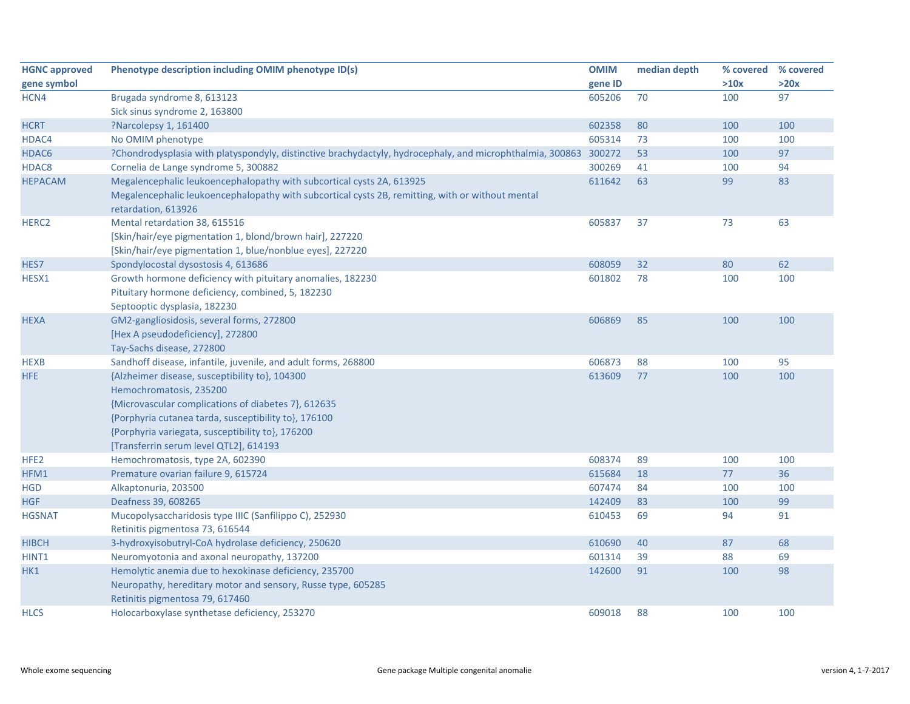| <b>HGNC approved</b> | Phenotype description including OMIM phenotype ID(s)                                                      | <b>OMIM</b> | median depth | % covered | % covered |
|----------------------|-----------------------------------------------------------------------------------------------------------|-------------|--------------|-----------|-----------|
| gene symbol          |                                                                                                           | gene ID     |              | >10x      | >20x      |
| HCN4                 | Brugada syndrome 8, 613123                                                                                | 605206      | 70           | 100       | 97        |
|                      | Sick sinus syndrome 2, 163800                                                                             |             |              |           |           |
| <b>HCRT</b>          | ?Narcolepsy 1, 161400                                                                                     | 602358      | 80           | 100       | 100       |
| HDAC4                | No OMIM phenotype                                                                                         | 605314      | 73           | 100       | 100       |
| HDAC6                | ?Chondrodysplasia with platyspondyly, distinctive brachydactyly, hydrocephaly, and microphthalmia, 300863 | 300272      | 53           | 100       | 97        |
| HDAC8                | Cornelia de Lange syndrome 5, 300882                                                                      | 300269      | 41           | 100       | 94        |
| <b>HEPACAM</b>       | Megalencephalic leukoencephalopathy with subcortical cysts 2A, 613925                                     | 611642      | 63           | 99        | 83        |
|                      | Megalencephalic leukoencephalopathy with subcortical cysts 2B, remitting, with or without mental          |             |              |           |           |
|                      | retardation, 613926                                                                                       |             |              |           |           |
| HERC <sub>2</sub>    | Mental retardation 38, 615516                                                                             | 605837      | 37           | 73        | 63        |
|                      | [Skin/hair/eye pigmentation 1, blond/brown hair], 227220                                                  |             |              |           |           |
|                      | [Skin/hair/eye pigmentation 1, blue/nonblue eyes], 227220                                                 |             |              |           |           |
| HES7                 | Spondylocostal dysostosis 4, 613686                                                                       | 608059      | 32           | 80        | 62        |
| HESX1                | Growth hormone deficiency with pituitary anomalies, 182230                                                | 601802      | 78           | 100       | 100       |
|                      | Pituitary hormone deficiency, combined, 5, 182230                                                         |             |              |           |           |
|                      | Septooptic dysplasia, 182230                                                                              |             |              |           |           |
| <b>HEXA</b>          | GM2-gangliosidosis, several forms, 272800                                                                 | 606869      | 85           | 100       | 100       |
|                      | [Hex A pseudodeficiency], 272800                                                                          |             |              |           |           |
|                      | Tay-Sachs disease, 272800                                                                                 |             |              |           |           |
| <b>HEXB</b>          | Sandhoff disease, infantile, juvenile, and adult forms, 268800                                            | 606873      | 88           | 100       | 95        |
| HFE                  | {Alzheimer disease, susceptibility to}, 104300                                                            | 613609      | 77           | 100       | 100       |
|                      | Hemochromatosis, 235200                                                                                   |             |              |           |           |
|                      | {Microvascular complications of diabetes 7}, 612635                                                       |             |              |           |           |
|                      | {Porphyria cutanea tarda, susceptibility to}, 176100                                                      |             |              |           |           |
|                      | {Porphyria variegata, susceptibility to}, 176200                                                          |             |              |           |           |
|                      | [Transferrin serum level QTL2], 614193                                                                    |             |              |           |           |
| HFE <sub>2</sub>     | Hemochromatosis, type 2A, 602390                                                                          | 608374      | 89           | 100       | 100       |
| HFM1                 | Premature ovarian failure 9, 615724                                                                       | 615684      | 18           | 77        | 36        |
| <b>HGD</b>           | Alkaptonuria, 203500                                                                                      | 607474      | 84           | 100       | 100       |
| <b>HGF</b>           | Deafness 39, 608265                                                                                       | 142409      | 83           | 100       | 99        |
| <b>HGSNAT</b>        | Mucopolysaccharidosis type IIIC (Sanfilippo C), 252930                                                    | 610453      | 69           | 94        | 91        |
|                      | Retinitis pigmentosa 73, 616544                                                                           |             |              |           |           |
| <b>HIBCH</b>         | 3-hydroxyisobutryl-CoA hydrolase deficiency, 250620                                                       | 610690      | 40           | 87        | 68        |
| HINT1                | Neuromyotonia and axonal neuropathy, 137200                                                               | 601314      | 39           | 88        | 69        |
| HK1                  | Hemolytic anemia due to hexokinase deficiency, 235700                                                     | 142600      | 91           | 100       | 98        |
|                      | Neuropathy, hereditary motor and sensory, Russe type, 605285                                              |             |              |           |           |
|                      | Retinitis pigmentosa 79, 617460                                                                           |             |              |           |           |
| <b>HLCS</b>          | Holocarboxylase synthetase deficiency, 253270                                                             | 609018      | 88           | 100       | 100       |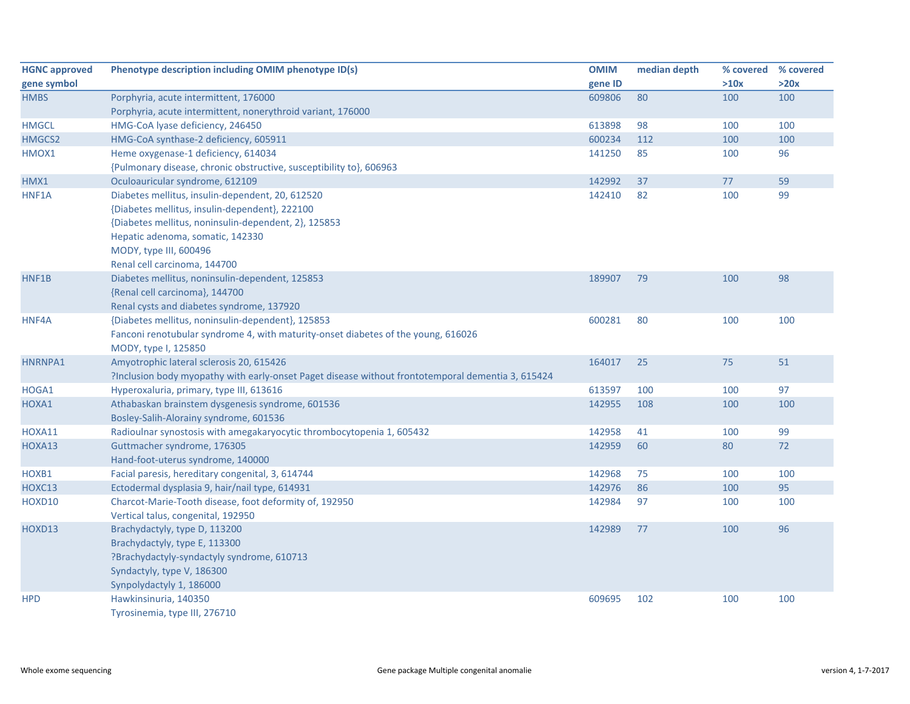| <b>HGNC approved</b> | Phenotype description including OMIM phenotype ID(s)                                              | <b>OMIM</b> | median depth |      | % covered % covered |
|----------------------|---------------------------------------------------------------------------------------------------|-------------|--------------|------|---------------------|
| gene symbol          |                                                                                                   | gene ID     |              | >10x | >20x                |
| <b>HMBS</b>          | Porphyria, acute intermittent, 176000                                                             | 609806      | 80           | 100  | 100                 |
|                      | Porphyria, acute intermittent, nonerythroid variant, 176000                                       |             |              |      |                     |
| <b>HMGCL</b>         | HMG-CoA lyase deficiency, 246450                                                                  | 613898      | 98           | 100  | 100                 |
| HMGCS2               | HMG-CoA synthase-2 deficiency, 605911                                                             | 600234      | 112          | 100  | 100                 |
| HMOX1                | Heme oxygenase-1 deficiency, 614034                                                               | 141250      | 85           | 100  | 96                  |
|                      | {Pulmonary disease, chronic obstructive, susceptibility to}, 606963                               |             |              |      |                     |
| HMX1                 | Oculoauricular syndrome, 612109                                                                   | 142992      | 37           | 77   | 59                  |
| HNF1A                | Diabetes mellitus, insulin-dependent, 20, 612520                                                  | 142410      | 82           | 100  | 99                  |
|                      | {Diabetes mellitus, insulin-dependent}, 222100                                                    |             |              |      |                     |
|                      | {Diabetes mellitus, noninsulin-dependent, 2}, 125853                                              |             |              |      |                     |
|                      | Hepatic adenoma, somatic, 142330                                                                  |             |              |      |                     |
|                      | MODY, type III, 600496                                                                            |             |              |      |                     |
|                      | Renal cell carcinoma, 144700                                                                      |             |              |      |                     |
| HNF1B                | Diabetes mellitus, noninsulin-dependent, 125853                                                   | 189907      | 79           | 100  | 98                  |
|                      | {Renal cell carcinoma}, 144700                                                                    |             |              |      |                     |
|                      | Renal cysts and diabetes syndrome, 137920                                                         |             |              |      |                     |
| HNF4A                | {Diabetes mellitus, noninsulin-dependent}, 125853                                                 | 600281      | 80           | 100  | 100                 |
|                      | Fanconi renotubular syndrome 4, with maturity-onset diabetes of the young, 616026                 |             |              |      |                     |
|                      | MODY, type I, 125850                                                                              |             |              |      |                     |
| HNRNPA1              | Amyotrophic lateral sclerosis 20, 615426                                                          | 164017      | 25           | 75   | 51                  |
|                      | ?Inclusion body myopathy with early-onset Paget disease without frontotemporal dementia 3, 615424 |             |              |      |                     |
| HOGA1                | Hyperoxaluria, primary, type III, 613616                                                          | 613597      | 100          | 100  | 97                  |
| HOXA1                | Athabaskan brainstem dysgenesis syndrome, 601536                                                  | 142955      | 108          | 100  | 100                 |
|                      | Bosley-Salih-Alorainy syndrome, 601536                                                            |             |              |      |                     |
| HOXA11               | Radioulnar synostosis with amegakaryocytic thrombocytopenia 1, 605432                             | 142958      | 41           | 100  | 99                  |
| HOXA13               | Guttmacher syndrome, 176305                                                                       | 142959      | 60           | 80   | 72                  |
|                      | Hand-foot-uterus syndrome, 140000                                                                 |             |              |      |                     |
| HOXB1                | Facial paresis, hereditary congenital, 3, 614744                                                  | 142968      | 75           | 100  | 100                 |
| HOXC13               | Ectodermal dysplasia 9, hair/nail type, 614931                                                    | 142976      | 86           | 100  | 95                  |
| HOXD10               | Charcot-Marie-Tooth disease, foot deformity of, 192950                                            | 142984      | 97           | 100  | 100                 |
|                      | Vertical talus, congenital, 192950                                                                |             |              |      |                     |
| HOXD13               | Brachydactyly, type D, 113200                                                                     | 142989      | 77           | 100  | 96                  |
|                      | Brachydactyly, type E, 113300                                                                     |             |              |      |                     |
|                      | ?Brachydactyly-syndactyly syndrome, 610713                                                        |             |              |      |                     |
|                      | Syndactyly, type V, 186300                                                                        |             |              |      |                     |
|                      | Synpolydactyly 1, 186000                                                                          |             |              |      |                     |
| <b>HPD</b>           | Hawkinsinuria, 140350                                                                             | 609695      | 102          | 100  | 100                 |
|                      | Tyrosinemia, type III, 276710                                                                     |             |              |      |                     |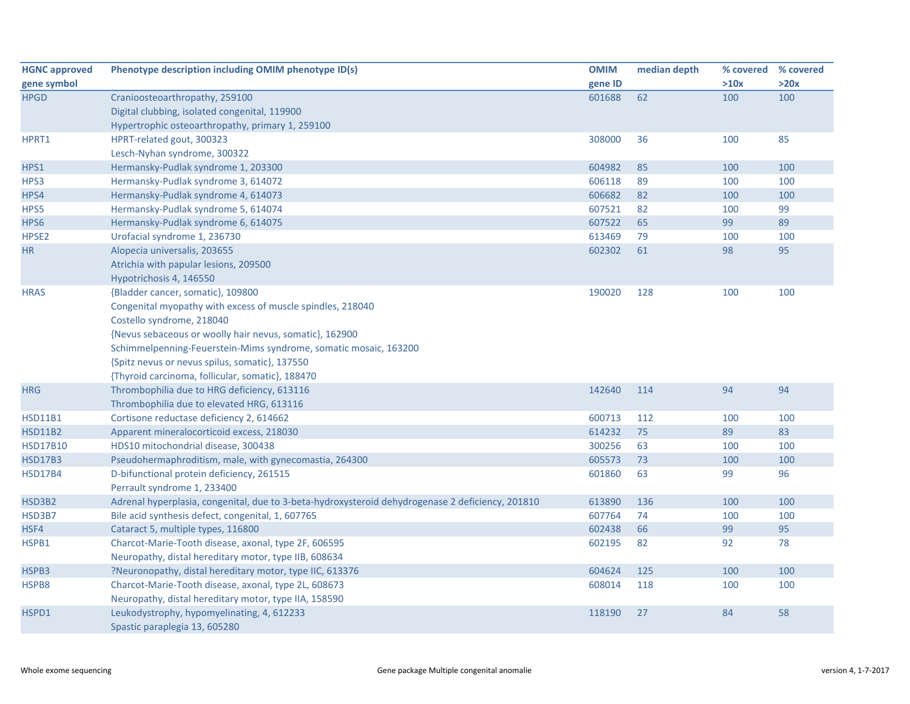| <b>HGNC approved</b> | Phenotype description including OMIM phenotype ID(s)                                             | <b>OMIM</b> | median depth |      | % covered % covered |
|----------------------|--------------------------------------------------------------------------------------------------|-------------|--------------|------|---------------------|
| gene symbol          |                                                                                                  | gene ID     |              | >10x | >20x                |
| <b>HPGD</b>          | Cranioosteoarthropathy, 259100                                                                   | 601688      | 62           | 100  | 100                 |
|                      | Digital clubbing, isolated congenital, 119900                                                    |             |              |      |                     |
|                      | Hypertrophic osteoarthropathy, primary 1, 259100                                                 |             |              |      |                     |
| HPRT1                | HPRT-related gout, 300323                                                                        | 308000      | 36           | 100  | 85                  |
|                      | Lesch-Nyhan syndrome, 300322                                                                     |             |              |      |                     |
| HPS1                 | Hermansky-Pudlak syndrome 1, 203300                                                              | 604982      | 85           | 100  | 100                 |
| HPS3                 | Hermansky-Pudlak syndrome 3, 614072                                                              | 606118      | 89           | 100  | 100                 |
| HPS4                 | Hermansky-Pudlak syndrome 4, 614073                                                              | 606682      | 82           | 100  | 100                 |
| HPS5                 | Hermansky-Pudlak syndrome 5, 614074                                                              | 607521      | 82           | 100  | 99                  |
| HPS6                 | Hermansky-Pudlak syndrome 6, 614075                                                              | 607522      | 65           | 99   | 89                  |
| HPSE <sub>2</sub>    | Urofacial syndrome 1, 236730                                                                     | 613469      | 79           | 100  | 100                 |
| HR                   | Alopecia universalis, 203655                                                                     | 602302      | 61           | 98   | 95                  |
|                      | Atrichia with papular lesions, 209500                                                            |             |              |      |                     |
|                      | Hypotrichosis 4, 146550                                                                          |             |              |      |                     |
| <b>HRAS</b>          | {Bladder cancer, somatic}, 109800                                                                | 190020      | 128          | 100  | 100                 |
|                      | Congenital myopathy with excess of muscle spindles, 218040                                       |             |              |      |                     |
|                      | Costello syndrome, 218040                                                                        |             |              |      |                     |
|                      | {Nevus sebaceous or woolly hair nevus, somatic}, 162900                                          |             |              |      |                     |
|                      | Schimmelpenning-Feuerstein-Mims syndrome, somatic mosaic, 163200                                 |             |              |      |                     |
|                      | {Spitz nevus or nevus spilus, somatic}, 137550                                                   |             |              |      |                     |
|                      | {Thyroid carcinoma, follicular, somatic}, 188470                                                 |             |              |      |                     |
| <b>HRG</b>           | Thrombophilia due to HRG deficiency, 613116                                                      | 142640      | 114          | 94   | 94                  |
|                      | Thrombophilia due to elevated HRG, 613116                                                        |             |              |      |                     |
| <b>HSD11B1</b>       | Cortisone reductase deficiency 2, 614662                                                         | 600713      | 112          | 100  | 100                 |
| <b>HSD11B2</b>       | Apparent mineralocorticoid excess, 218030                                                        | 614232      | 75           | 89   | 83                  |
| <b>HSD17B10</b>      | HDS10 mitochondrial disease, 300438                                                              | 300256      | 63           | 100  | 100                 |
| <b>HSD17B3</b>       | Pseudohermaphroditism, male, with gynecomastia, 264300                                           | 605573      | 73           | 100  | 100                 |
| <b>HSD17B4</b>       | D-bifunctional protein deficiency, 261515                                                        | 601860      | 63           | 99   | 96                  |
|                      | Perrault syndrome 1, 233400                                                                      |             |              |      |                     |
| HSD3B2               | Adrenal hyperplasia, congenital, due to 3-beta-hydroxysteroid dehydrogenase 2 deficiency, 201810 | 613890      | 136          | 100  | 100                 |
| HSD3B7               | Bile acid synthesis defect, congenital, 1, 607765                                                | 607764      | 74           | 100  | 100                 |
| HSF4                 | Cataract 5, multiple types, 116800                                                               | 602438      | 66           | 99   | 95                  |
| HSPB1                | Charcot-Marie-Tooth disease, axonal, type 2F, 606595                                             | 602195      | 82           | 92   | 78                  |
|                      | Neuropathy, distal hereditary motor, type IIB, 608634                                            |             |              |      |                     |
| HSPB3                | ?Neuronopathy, distal hereditary motor, type IIC, 613376                                         | 604624      | 125          | 100  | 100                 |
| HSPB8                | Charcot-Marie-Tooth disease, axonal, type 2L, 608673                                             | 608014      | 118          | 100  | 100                 |
|                      | Neuropathy, distal hereditary motor, type IIA, 158590                                            |             |              |      |                     |
| HSPD1                | Leukodystrophy, hypomyelinating, 4, 612233                                                       | 118190      | 27           | 84   | 58                  |
|                      | Spastic paraplegia 13, 605280                                                                    |             |              |      |                     |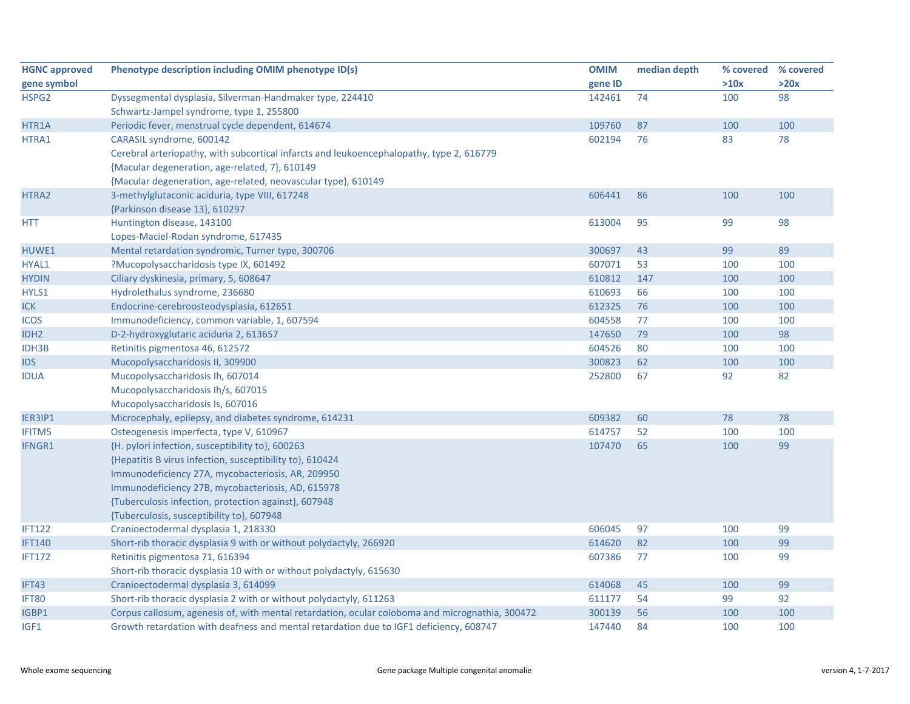| <b>HGNC approved</b> | Phenotype description including OMIM phenotype ID(s)                                            | <b>OMIM</b> | median depth | % covered % covered |      |
|----------------------|-------------------------------------------------------------------------------------------------|-------------|--------------|---------------------|------|
| gene symbol          |                                                                                                 | gene ID     |              | >10x                | >20x |
| HSPG2                | Dyssegmental dysplasia, Silverman-Handmaker type, 224410                                        | 142461      | 74           | 100                 | 98   |
|                      | Schwartz-Jampel syndrome, type 1, 255800                                                        |             |              |                     |      |
| HTR1A                | Periodic fever, menstrual cycle dependent, 614674                                               | 109760      | 87           | 100                 | 100  |
| HTRA1                | CARASIL syndrome, 600142                                                                        | 602194      | 76           | 83                  | 78   |
|                      | Cerebral arteriopathy, with subcortical infarcts and leukoencephalopathy, type 2, 616779        |             |              |                     |      |
|                      | {Macular degeneration, age-related, 7}, 610149                                                  |             |              |                     |      |
|                      | {Macular degeneration, age-related, neovascular type}, 610149                                   |             |              |                     |      |
| HTRA2                | 3-methylglutaconic aciduria, type VIII, 617248                                                  | 606441      | 86           | 100                 | 100  |
|                      | {Parkinson disease 13}, 610297                                                                  |             |              |                     |      |
| <b>HTT</b>           | Huntington disease, 143100                                                                      | 613004      | 95           | 99                  | 98   |
|                      | Lopes-Maciel-Rodan syndrome, 617435                                                             |             |              |                     |      |
| HUWE1                | Mental retardation syndromic, Turner type, 300706                                               | 300697      | 43           | 99                  | 89   |
| HYAL1                | ?Mucopolysaccharidosis type IX, 601492                                                          | 607071      | 53           | 100                 | 100  |
| <b>HYDIN</b>         | Ciliary dyskinesia, primary, 5, 608647                                                          | 610812      | 147          | 100                 | 100  |
| HYLS1                | Hydrolethalus syndrome, 236680                                                                  | 610693      | 66           | 100                 | 100  |
| <b>ICK</b>           | Endocrine-cerebroosteodysplasia, 612651                                                         | 612325      | 76           | 100                 | 100  |
| <b>ICOS</b>          | Immunodeficiency, common variable, 1, 607594                                                    | 604558      | 77           | 100                 | 100  |
| IDH <sub>2</sub>     | D-2-hydroxyglutaric aciduria 2, 613657                                                          | 147650      | 79           | 100                 | 98   |
| <b>IDH3B</b>         | Retinitis pigmentosa 46, 612572                                                                 | 604526      | 80           | 100                 | 100  |
| <b>IDS</b>           | Mucopolysaccharidosis II, 309900                                                                | 300823      | 62           | 100                 | 100  |
| <b>IDUA</b>          | Mucopolysaccharidosis Ih, 607014                                                                | 252800      | 67           | 92                  | 82   |
|                      | Mucopolysaccharidosis Ih/s, 607015                                                              |             |              |                     |      |
|                      | Mucopolysaccharidosis Is, 607016                                                                |             |              |                     |      |
| IER3IP1              | Microcephaly, epilepsy, and diabetes syndrome, 614231                                           | 609382      | 60           | 78                  | 78   |
| <b>IFITM5</b>        | Osteogenesis imperfecta, type V, 610967                                                         | 614757      | 52           | 100                 | 100  |
| IFNGR1               | {H. pylori infection, susceptibility to}, 600263                                                | 107470      | 65           | 100                 | 99   |
|                      | {Hepatitis B virus infection, susceptibility to}, 610424                                        |             |              |                     |      |
|                      | Immunodeficiency 27A, mycobacteriosis, AR, 209950                                               |             |              |                     |      |
|                      | Immunodeficiency 27B, mycobacteriosis, AD, 615978                                               |             |              |                     |      |
|                      | {Tuberculosis infection, protection against}, 607948                                            |             |              |                     |      |
|                      | {Tuberculosis, susceptibility to}, 607948                                                       |             |              |                     |      |
| <b>IFT122</b>        | Cranioectodermal dysplasia 1, 218330                                                            | 606045      | 97           | 100                 | 99   |
| <b>IFT140</b>        | Short-rib thoracic dysplasia 9 with or without polydactyly, 266920                              | 614620      | 82           | 100                 | 99   |
| <b>IFT172</b>        | Retinitis pigmentosa 71, 616394                                                                 | 607386      | 77           | 100                 | 99   |
|                      | Short-rib thoracic dysplasia 10 with or without polydactyly, 615630                             |             |              |                     |      |
| IFT43                | Cranioectodermal dysplasia 3, 614099                                                            | 614068      | 45           | 100                 | 99   |
| IFT80                | Short-rib thoracic dysplasia 2 with or without polydactyly, 611263                              | 611177      | 54           | 99                  | 92   |
| IGBP1                | Corpus callosum, agenesis of, with mental retardation, ocular coloboma and micrognathia, 300472 | 300139      | 56           | 100                 | 100  |
| IGF1                 | Growth retardation with deafness and mental retardation due to IGF1 deficiency, 608747          | 147440      | 84           | 100                 | 100  |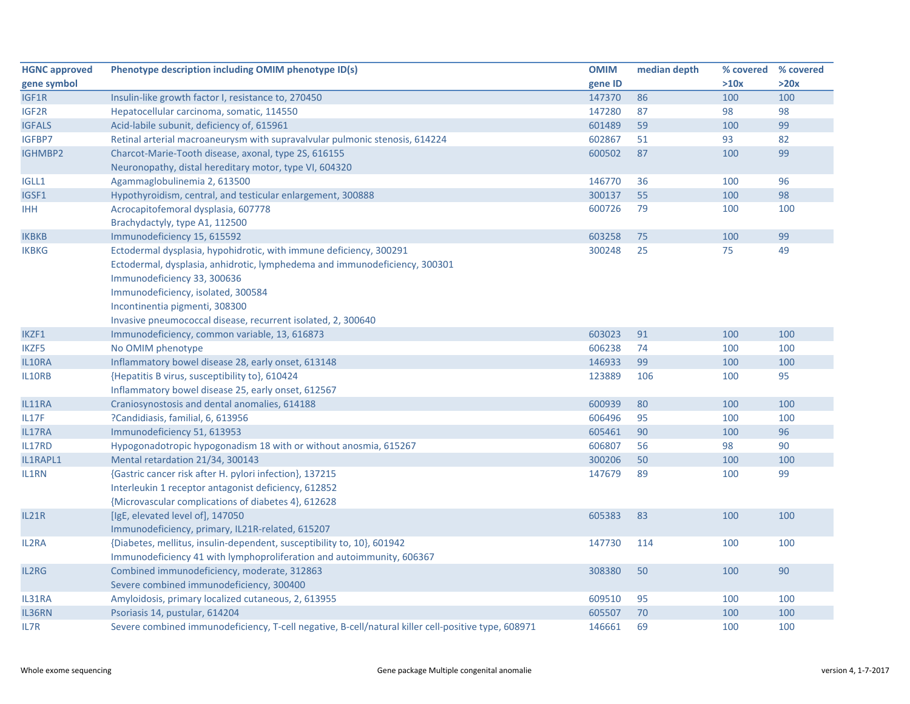| <b>HGNC approved</b> | Phenotype description including OMIM phenotype ID(s)                                                | <b>OMIM</b> | median depth | % covered | % covered |
|----------------------|-----------------------------------------------------------------------------------------------------|-------------|--------------|-----------|-----------|
| gene symbol          |                                                                                                     | gene ID     |              | >10x      | >20x      |
| IGF1R                | Insulin-like growth factor I, resistance to, 270450                                                 | 147370      | 86           | 100       | 100       |
| IGF2R                | Hepatocellular carcinoma, somatic, 114550                                                           | 147280      | 87           | 98        | 98        |
| <b>IGFALS</b>        | Acid-labile subunit, deficiency of, 615961                                                          | 601489      | 59           | 100       | 99        |
| IGFBP7               | Retinal arterial macroaneurysm with supravalvular pulmonic stenosis, 614224                         | 602867      | 51           | 93        | 82        |
| IGHMBP2              | Charcot-Marie-Tooth disease, axonal, type 2S, 616155                                                | 600502      | 87           | 100       | 99        |
|                      | Neuronopathy, distal hereditary motor, type VI, 604320                                              |             |              |           |           |
| <b>IGLL1</b>         | Agammaglobulinemia 2, 613500                                                                        | 146770      | 36           | 100       | 96        |
| IGSF1                | Hypothyroidism, central, and testicular enlargement, 300888                                         | 300137      | 55           | 100       | 98        |
| <b>IHH</b>           | Acrocapitofemoral dysplasia, 607778                                                                 | 600726      | 79           | 100       | 100       |
|                      | Brachydactyly, type A1, 112500                                                                      |             |              |           |           |
| <b>IKBKB</b>         | Immunodeficiency 15, 615592                                                                         | 603258      | 75           | 100       | 99        |
| <b>IKBKG</b>         | Ectodermal dysplasia, hypohidrotic, with immune deficiency, 300291                                  | 300248      | 25           | 75        | 49        |
|                      | Ectodermal, dysplasia, anhidrotic, lymphedema and immunodeficiency, 300301                          |             |              |           |           |
|                      | Immunodeficiency 33, 300636                                                                         |             |              |           |           |
|                      | Immunodeficiency, isolated, 300584                                                                  |             |              |           |           |
|                      | Incontinentia pigmenti, 308300                                                                      |             |              |           |           |
|                      | Invasive pneumococcal disease, recurrent isolated, 2, 300640                                        |             |              |           |           |
| IKZF1                | Immunodeficiency, common variable, 13, 616873                                                       | 603023      | 91           | 100       | 100       |
| IKZF5                | No OMIM phenotype                                                                                   | 606238      | 74           | 100       | 100       |
| IL10RA               | Inflammatory bowel disease 28, early onset, 613148                                                  | 146933      | 99           | 100       | 100       |
| IL10RB               | {Hepatitis B virus, susceptibility to}, 610424                                                      | 123889      | 106          | 100       | 95        |
|                      | Inflammatory bowel disease 25, early onset, 612567                                                  |             |              |           |           |
| IL11RA               | Craniosynostosis and dental anomalies, 614188                                                       | 600939      | 80           | 100       | 100       |
| IL17F                | ?Candidiasis, familial, 6, 613956                                                                   | 606496      | 95           | 100       | 100       |
| IL17RA               | Immunodeficiency 51, 613953                                                                         | 605461      | 90           | 100       | 96        |
| IL17RD               | Hypogonadotropic hypogonadism 18 with or without anosmia, 615267                                    | 606807      | 56           | 98        | 90        |
| IL1RAPL1             | Mental retardation 21/34, 300143                                                                    | 300206      | 50           | 100       | 100       |
| IL1RN                | {Gastric cancer risk after H. pylori infection}, 137215                                             | 147679      | 89           | 100       | 99        |
|                      | Interleukin 1 receptor antagonist deficiency, 612852                                                |             |              |           |           |
|                      | {Microvascular complications of diabetes 4}, 612628                                                 |             |              |           |           |
| IL21R                | [IgE, elevated level of], 147050                                                                    | 605383      | 83           | 100       | 100       |
|                      | Immunodeficiency, primary, IL21R-related, 615207                                                    |             |              |           |           |
| IL2RA                | {Diabetes, mellitus, insulin-dependent, susceptibility to, 10}, 601942                              | 147730      | 114          | 100       | 100       |
|                      | Immunodeficiency 41 with lymphoproliferation and autoimmunity, 606367                               |             |              |           |           |
| IL2RG                | Combined immunodeficiency, moderate, 312863                                                         | 308380      | 50           | 100       | 90        |
|                      | Severe combined immunodeficiency, 300400                                                            |             |              |           |           |
| IL31RA               | Amyloidosis, primary localized cutaneous, 2, 613955                                                 | 609510      | 95           | 100       | 100       |
| IL36RN               | Psoriasis 14, pustular, 614204                                                                      | 605507      | 70           | 100       | 100       |
| IL7R                 | Severe combined immunodeficiency, T-cell negative, B-cell/natural killer cell-positive type, 608971 | 146661      | 69           | 100       | 100       |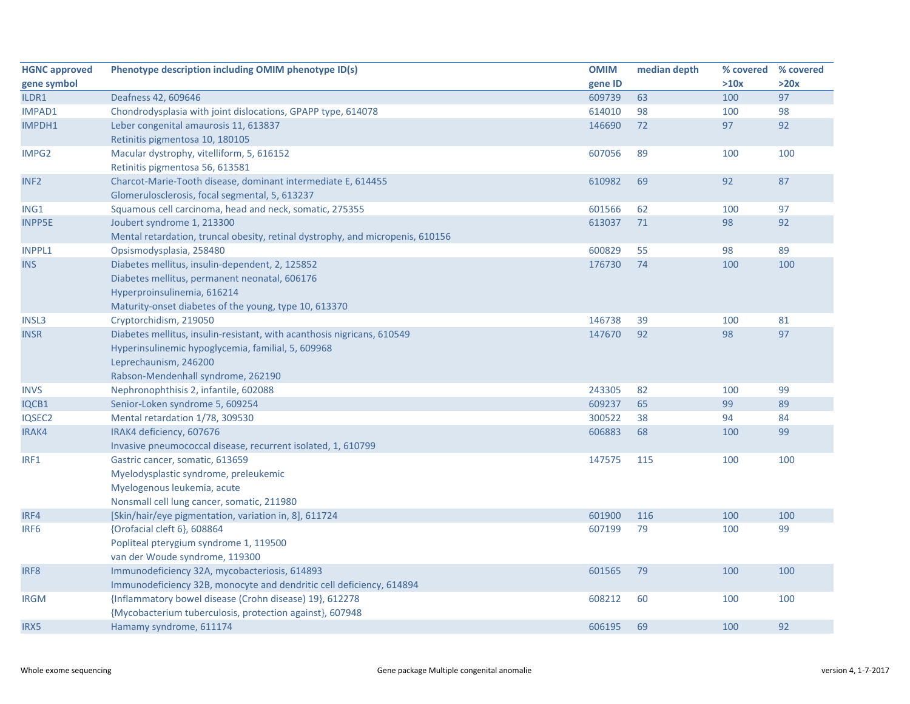| <b>HGNC approved</b> | Phenotype description including OMIM phenotype ID(s)                           | <b>OMIM</b> | median depth | % covered % covered |      |
|----------------------|--------------------------------------------------------------------------------|-------------|--------------|---------------------|------|
| gene symbol          |                                                                                | gene ID     |              | >10x                | >20x |
| ILDR1                | Deafness 42, 609646                                                            | 609739      | 63           | 100                 | 97   |
| <b>IMPAD1</b>        | Chondrodysplasia with joint dislocations, GPAPP type, 614078                   | 614010      | 98           | 100                 | 98   |
| IMPDH1               | Leber congenital amaurosis 11, 613837                                          | 146690      | 72           | 97                  | 92   |
|                      | Retinitis pigmentosa 10, 180105                                                |             |              |                     |      |
| IMPG2                | Macular dystrophy, vitelliform, 5, 616152                                      | 607056      | 89           | 100                 | 100  |
|                      | Retinitis pigmentosa 56, 613581                                                |             |              |                     |      |
| INF <sub>2</sub>     | Charcot-Marie-Tooth disease, dominant intermediate E, 614455                   | 610982      | 69           | 92                  | 87   |
|                      | Glomerulosclerosis, focal segmental, 5, 613237                                 |             |              |                     |      |
| ING1                 | Squamous cell carcinoma, head and neck, somatic, 275355                        | 601566      | 62           | 100                 | 97   |
| <b>INPP5E</b>        | Joubert syndrome 1, 213300                                                     | 613037      | 71           | 98                  | 92   |
|                      | Mental retardation, truncal obesity, retinal dystrophy, and micropenis, 610156 |             |              |                     |      |
| <b>INPPL1</b>        | Opsismodysplasia, 258480                                                       | 600829      | 55           | 98                  | 89   |
| <b>INS</b>           | Diabetes mellitus, insulin-dependent, 2, 125852                                | 176730      | 74           | 100                 | 100  |
|                      | Diabetes mellitus, permanent neonatal, 606176                                  |             |              |                     |      |
|                      | Hyperproinsulinemia, 616214                                                    |             |              |                     |      |
|                      | Maturity-onset diabetes of the young, type 10, 613370                          |             |              |                     |      |
| <b>INSL3</b>         | Cryptorchidism, 219050                                                         | 146738      | 39           | 100                 | 81   |
| <b>INSR</b>          | Diabetes mellitus, insulin-resistant, with acanthosis nigricans, 610549        | 147670      | 92           | 98                  | 97   |
|                      | Hyperinsulinemic hypoglycemia, familial, 5, 609968                             |             |              |                     |      |
|                      | Leprechaunism, 246200                                                          |             |              |                     |      |
|                      | Rabson-Mendenhall syndrome, 262190                                             |             |              |                     |      |
| <b>INVS</b>          | Nephronophthisis 2, infantile, 602088                                          | 243305      | 82           | 100                 | 99   |
| IQCB1                | Senior-Loken syndrome 5, 609254                                                | 609237      | 65           | 99                  | 89   |
| IQSEC2               | Mental retardation 1/78, 309530                                                | 300522      | 38           | 94                  | 84   |
| IRAK4                | IRAK4 deficiency, 607676                                                       | 606883      | 68           | 100                 | 99   |
|                      | Invasive pneumococcal disease, recurrent isolated, 1, 610799                   |             |              |                     |      |
| IRF1                 | Gastric cancer, somatic, 613659                                                | 147575      | 115          | 100                 | 100  |
|                      | Myelodysplastic syndrome, preleukemic                                          |             |              |                     |      |
|                      | Myelogenous leukemia, acute                                                    |             |              |                     |      |
|                      | Nonsmall cell lung cancer, somatic, 211980                                     |             |              |                     |      |
| IRF4                 | [Skin/hair/eye pigmentation, variation in, 8], 611724                          | 601900      | 116          | 100                 | 100  |
| IRF <sub>6</sub>     | {Orofacial cleft 6}, 608864                                                    | 607199      | 79           | 100                 | 99   |
|                      | Popliteal pterygium syndrome 1, 119500                                         |             |              |                     |      |
|                      | van der Woude syndrome, 119300                                                 |             |              |                     |      |
| IRF8                 | Immunodeficiency 32A, mycobacteriosis, 614893                                  | 601565      | 79           | 100                 | 100  |
|                      | Immunodeficiency 32B, monocyte and dendritic cell deficiency, 614894           |             |              |                     |      |
| <b>IRGM</b>          | {Inflammatory bowel disease (Crohn disease) 19}, 612278                        | 608212      | 60           | 100                 | 100  |
|                      | {Mycobacterium tuberculosis, protection against}, 607948                       |             |              |                     |      |
| IRX5                 | Hamamy syndrome, 611174                                                        | 606195      | 69           | 100                 | 92   |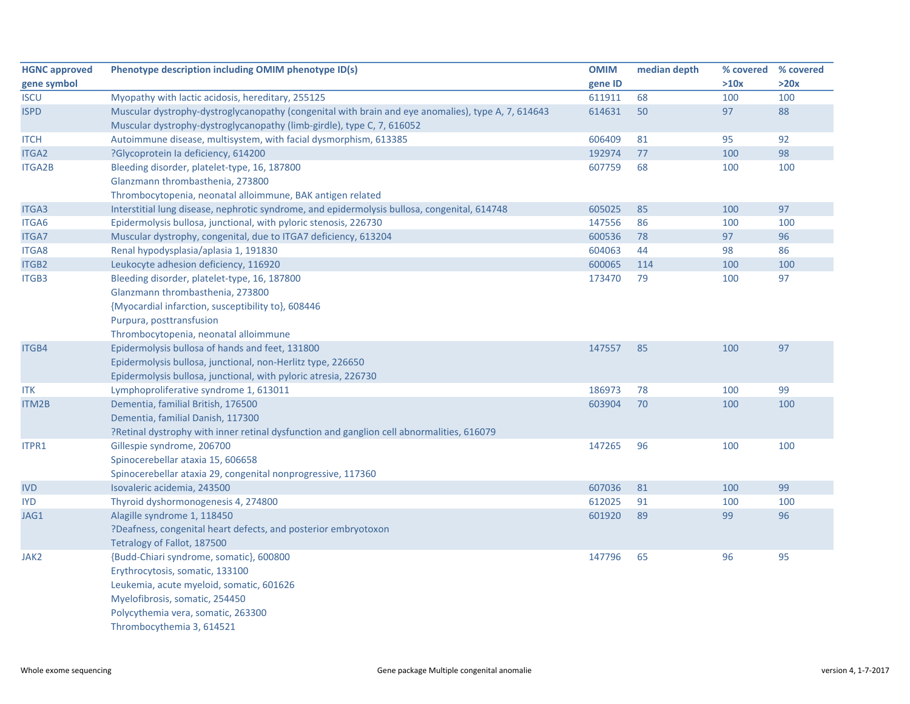| <b>HGNC approved</b> | Phenotype description including OMIM phenotype ID(s)                                                                                                                         | <b>OMIM</b> | median depth |      | % covered % covered |
|----------------------|------------------------------------------------------------------------------------------------------------------------------------------------------------------------------|-------------|--------------|------|---------------------|
| gene symbol          |                                                                                                                                                                              | gene ID     |              | >10x | >20x                |
| <b>ISCU</b>          | Myopathy with lactic acidosis, hereditary, 255125                                                                                                                            | 611911      | 68           | 100  | 100                 |
| <b>ISPD</b>          | Muscular dystrophy-dystroglycanopathy (congenital with brain and eye anomalies), type A, 7, 614643<br>Muscular dystrophy-dystroglycanopathy (limb-girdle), type C, 7, 616052 | 614631      | 50           | 97   | 88                  |
| <b>ITCH</b>          | Autoimmune disease, multisystem, with facial dysmorphism, 613385                                                                                                             | 606409      | 81           | 95   | 92                  |
| ITGA2                | ?Glycoprotein la deficiency, 614200                                                                                                                                          | 192974      | 77           | 100  | 98                  |
| <b>ITGA2B</b>        | Bleeding disorder, platelet-type, 16, 187800                                                                                                                                 | 607759      | 68           | 100  | 100                 |
|                      | Glanzmann thrombasthenia, 273800                                                                                                                                             |             |              |      |                     |
|                      | Thrombocytopenia, neonatal alloimmune, BAK antigen related                                                                                                                   |             |              |      |                     |
| ITGA3                | Interstitial lung disease, nephrotic syndrome, and epidermolysis bullosa, congenital, 614748                                                                                 | 605025      | 85           | 100  | 97                  |
| ITGA6                | Epidermolysis bullosa, junctional, with pyloric stenosis, 226730                                                                                                             | 147556      | 86           | 100  | 100                 |
| <b>ITGA7</b>         | Muscular dystrophy, congenital, due to ITGA7 deficiency, 613204                                                                                                              | 600536      | 78           | 97   | 96                  |
| <b>ITGA8</b>         | Renal hypodysplasia/aplasia 1, 191830                                                                                                                                        | 604063      | 44           | 98   | 86                  |
| ITGB2                | Leukocyte adhesion deficiency, 116920                                                                                                                                        | 600065      | 114          | 100  | 100                 |
| ITGB3                | Bleeding disorder, platelet-type, 16, 187800<br>Glanzmann thrombasthenia, 273800<br>{Myocardial infarction, susceptibility to}, 608446                                       | 173470      | 79           | 100  | 97                  |
|                      | Purpura, posttransfusion<br>Thrombocytopenia, neonatal alloimmune                                                                                                            |             |              |      |                     |
| ITGB4                | Epidermolysis bullosa of hands and feet, 131800                                                                                                                              | 147557      | 85           | 100  | 97                  |
|                      | Epidermolysis bullosa, junctional, non-Herlitz type, 226650                                                                                                                  |             |              |      |                     |
|                      | Epidermolysis bullosa, junctional, with pyloric atresia, 226730                                                                                                              |             |              |      |                     |
| <b>ITK</b>           | Lymphoproliferative syndrome 1, 613011                                                                                                                                       | 186973      | 78           | 100  | 99                  |
| ITM2B                | Dementia, familial British, 176500                                                                                                                                           | 603904      | 70           | 100  | 100                 |
|                      | Dementia, familial Danish, 117300                                                                                                                                            |             |              |      |                     |
|                      | ?Retinal dystrophy with inner retinal dysfunction and ganglion cell abnormalities, 616079                                                                                    |             |              |      |                     |
| ITPR1                | Gillespie syndrome, 206700                                                                                                                                                   | 147265      | 96           | 100  | 100                 |
|                      | Spinocerebellar ataxia 15, 606658                                                                                                                                            |             |              |      |                     |
|                      | Spinocerebellar ataxia 29, congenital nonprogressive, 117360                                                                                                                 |             |              |      |                     |
| <b>IVD</b>           | Isovaleric acidemia, 243500                                                                                                                                                  | 607036      | 81           | 100  | 99                  |
| <b>IYD</b>           | Thyroid dyshormonogenesis 4, 274800                                                                                                                                          | 612025      | 91           | 100  | 100                 |
| JAG1                 | Alagille syndrome 1, 118450                                                                                                                                                  | 601920      | 89           | 99   | 96                  |
|                      | ?Deafness, congenital heart defects, and posterior embryotoxon<br>Tetralogy of Fallot, 187500                                                                                |             |              |      |                     |
| JAK2                 | {Budd-Chiari syndrome, somatic}, 600800                                                                                                                                      | 147796      | 65           | 96   | 95                  |
|                      | Erythrocytosis, somatic, 133100                                                                                                                                              |             |              |      |                     |
|                      | Leukemia, acute myeloid, somatic, 601626                                                                                                                                     |             |              |      |                     |
|                      | Myelofibrosis, somatic, 254450                                                                                                                                               |             |              |      |                     |
|                      | Polycythemia vera, somatic, 263300                                                                                                                                           |             |              |      |                     |
|                      | Thrombocythemia 3, 614521                                                                                                                                                    |             |              |      |                     |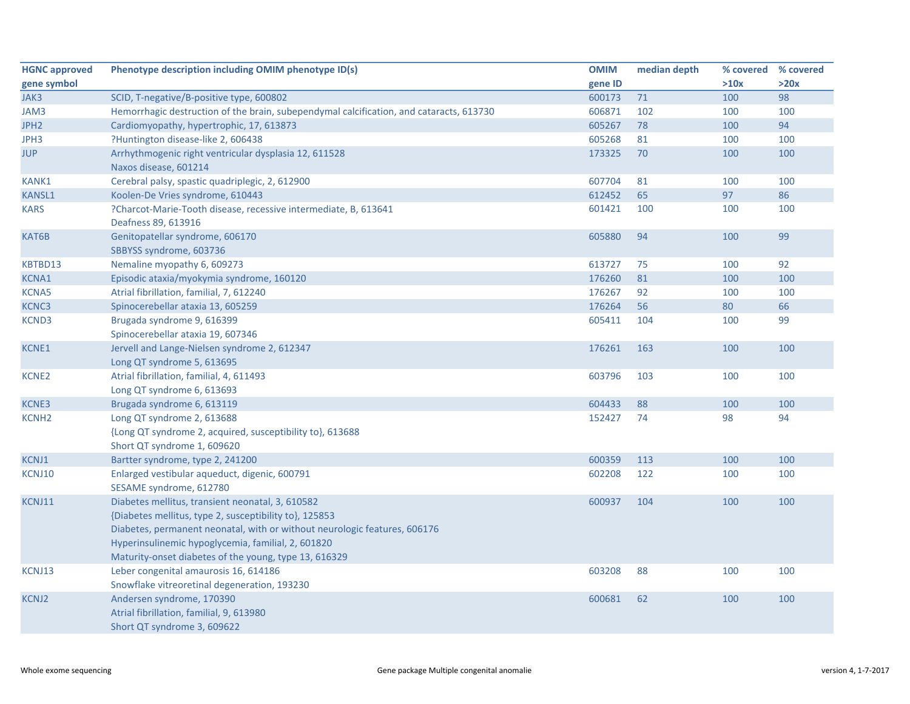| <b>HGNC approved</b> | Phenotype description including OMIM phenotype ID(s)                                                                                                                                                                                                                                                   | <b>OMIM</b> | median depth | % covered % covered |      |
|----------------------|--------------------------------------------------------------------------------------------------------------------------------------------------------------------------------------------------------------------------------------------------------------------------------------------------------|-------------|--------------|---------------------|------|
| gene symbol          |                                                                                                                                                                                                                                                                                                        | gene ID     |              | >10x                | >20x |
| JAK3                 | SCID, T-negative/B-positive type, 600802                                                                                                                                                                                                                                                               | 600173      | 71           | 100                 | 98   |
| JAM3                 | Hemorrhagic destruction of the brain, subependymal calcification, and cataracts, 613730                                                                                                                                                                                                                | 606871      | 102          | 100                 | 100  |
| JPH <sub>2</sub>     | Cardiomyopathy, hypertrophic, 17, 613873                                                                                                                                                                                                                                                               | 605267      | 78           | 100                 | 94   |
| JPH3                 | ?Huntington disease-like 2, 606438                                                                                                                                                                                                                                                                     | 605268      | 81           | 100                 | 100  |
| <b>JUP</b>           | Arrhythmogenic right ventricular dysplasia 12, 611528<br>Naxos disease, 601214                                                                                                                                                                                                                         | 173325      | 70           | 100                 | 100  |
| KANK1                | Cerebral palsy, spastic quadriplegic, 2, 612900                                                                                                                                                                                                                                                        | 607704      | 81           | 100                 | 100  |
| <b>KANSL1</b>        | Koolen-De Vries syndrome, 610443                                                                                                                                                                                                                                                                       | 612452      | 65           | 97                  | 86   |
| <b>KARS</b>          | ?Charcot-Marie-Tooth disease, recessive intermediate, B, 613641<br>Deafness 89, 613916                                                                                                                                                                                                                 | 601421      | 100          | 100                 | 100  |
| KAT6B                | Genitopatellar syndrome, 606170<br>SBBYSS syndrome, 603736                                                                                                                                                                                                                                             | 605880      | 94           | 100                 | 99   |
| KBTBD13              | Nemaline myopathy 6, 609273                                                                                                                                                                                                                                                                            | 613727      | 75           | 100                 | 92   |
| <b>KCNA1</b>         | Episodic ataxia/myokymia syndrome, 160120                                                                                                                                                                                                                                                              | 176260      | 81           | 100                 | 100  |
| <b>KCNA5</b>         | Atrial fibrillation, familial, 7, 612240                                                                                                                                                                                                                                                               | 176267      | 92           | 100                 | 100  |
| KCNC3                | Spinocerebellar ataxia 13, 605259                                                                                                                                                                                                                                                                      | 176264      | 56           | 80                  | 66   |
| KCND3                | Brugada syndrome 9, 616399<br>Spinocerebellar ataxia 19, 607346                                                                                                                                                                                                                                        | 605411      | 104          | 100                 | 99   |
| <b>KCNE1</b>         | Jervell and Lange-Nielsen syndrome 2, 612347<br>Long QT syndrome 5, 613695                                                                                                                                                                                                                             | 176261      | 163          | 100                 | 100  |
| <b>KCNE2</b>         | Atrial fibrillation, familial, 4, 611493<br>Long QT syndrome 6, 613693                                                                                                                                                                                                                                 | 603796      | 103          | 100                 | 100  |
| <b>KCNE3</b>         | Brugada syndrome 6, 613119                                                                                                                                                                                                                                                                             | 604433      | 88           | 100                 | 100  |
| <b>KCNH2</b>         | Long QT syndrome 2, 613688<br>{Long QT syndrome 2, acquired, susceptibility to}, 613688<br>Short QT syndrome 1, 609620                                                                                                                                                                                 | 152427      | 74           | 98                  | 94   |
| <b>KCNJ1</b>         | Bartter syndrome, type 2, 241200                                                                                                                                                                                                                                                                       | 600359      | 113          | 100                 | 100  |
| KCNJ10               | Enlarged vestibular aqueduct, digenic, 600791<br>SESAME syndrome, 612780                                                                                                                                                                                                                               | 602208      | 122          | 100                 | 100  |
| KCNJ11               | Diabetes mellitus, transient neonatal, 3, 610582<br>{Diabetes mellitus, type 2, susceptibility to}, 125853<br>Diabetes, permanent neonatal, with or without neurologic features, 606176<br>Hyperinsulinemic hypoglycemia, familial, 2, 601820<br>Maturity-onset diabetes of the young, type 13, 616329 | 600937      | 104          | 100                 | 100  |
| KCNJ13               | Leber congenital amaurosis 16, 614186<br>Snowflake vitreoretinal degeneration, 193230                                                                                                                                                                                                                  | 603208      | 88           | 100                 | 100  |
| <b>KCNJ2</b>         | Andersen syndrome, 170390<br>Atrial fibrillation, familial, 9, 613980<br>Short QT syndrome 3, 609622                                                                                                                                                                                                   | 600681      | 62           | 100                 | 100  |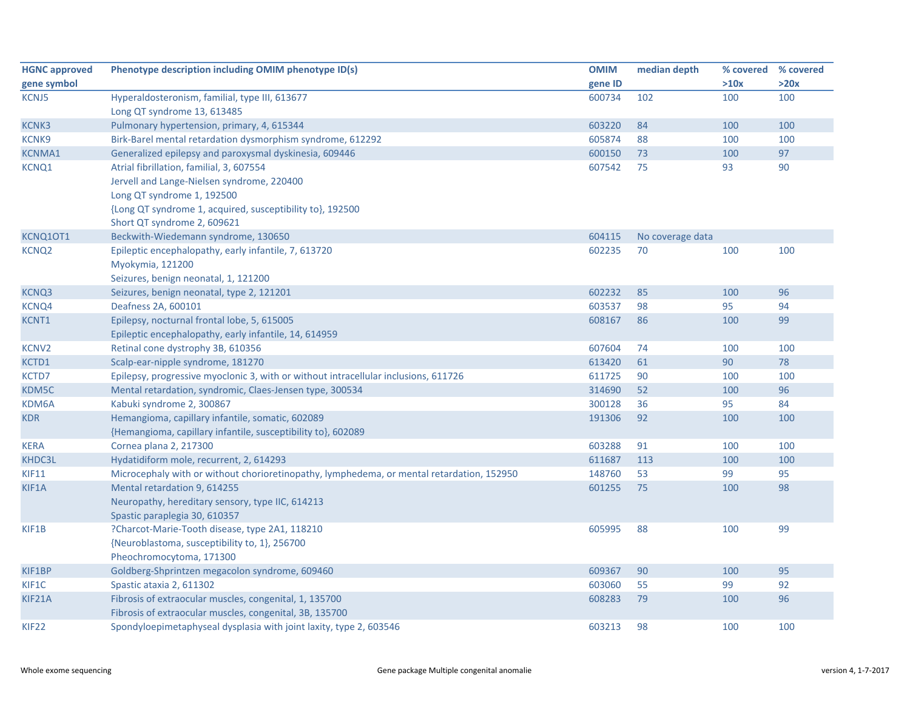| <b>HGNC approved</b> | Phenotype description including OMIM phenotype ID(s)                                      | <b>OMIM</b> | median depth     | % covered | % covered |
|----------------------|-------------------------------------------------------------------------------------------|-------------|------------------|-----------|-----------|
| gene symbol          |                                                                                           | gene ID     |                  | >10x      | >20x      |
| KCNJ5                | Hyperaldosteronism, familial, type III, 613677                                            | 600734      | 102              | 100       | 100       |
|                      | Long QT syndrome 13, 613485                                                               |             |                  |           |           |
| <b>KCNK3</b>         | Pulmonary hypertension, primary, 4, 615344                                                | 603220      | 84               | 100       | 100       |
| <b>KCNK9</b>         | Birk-Barel mental retardation dysmorphism syndrome, 612292                                | 605874      | 88               | 100       | 100       |
| <b>KCNMA1</b>        | Generalized epilepsy and paroxysmal dyskinesia, 609446                                    | 600150      | 73               | 100       | 97        |
| KCNQ1                | Atrial fibrillation, familial, 3, 607554                                                  | 607542      | 75               | 93        | 90        |
|                      | Jervell and Lange-Nielsen syndrome, 220400                                                |             |                  |           |           |
|                      | Long QT syndrome 1, 192500                                                                |             |                  |           |           |
|                      | {Long QT syndrome 1, acquired, susceptibility to}, 192500                                 |             |                  |           |           |
|                      | Short QT syndrome 2, 609621                                                               |             |                  |           |           |
| KCNQ10T1             | Beckwith-Wiedemann syndrome, 130650                                                       | 604115      | No coverage data |           |           |
| <b>KCNQ2</b>         | Epileptic encephalopathy, early infantile, 7, 613720                                      | 602235      | 70               | 100       | 100       |
|                      | Myokymia, 121200                                                                          |             |                  |           |           |
|                      | Seizures, benign neonatal, 1, 121200                                                      |             |                  |           |           |
| <b>KCNQ3</b>         | Seizures, benign neonatal, type 2, 121201                                                 | 602232      | 85               | 100       | 96        |
| <b>KCNQ4</b>         | Deafness 2A, 600101                                                                       | 603537      | 98               | 95        | 94        |
| KCNT1                | Epilepsy, nocturnal frontal lobe, 5, 615005                                               | 608167      | 86               | 100       | 99        |
|                      | Epileptic encephalopathy, early infantile, 14, 614959                                     |             |                  |           |           |
| <b>KCNV2</b>         | Retinal cone dystrophy 3B, 610356                                                         | 607604      | 74               | 100       | 100       |
| KCTD1                | Scalp-ear-nipple syndrome, 181270                                                         | 613420      | 61               | 90        | 78        |
| KCTD7                | Epilepsy, progressive myoclonic 3, with or without intracellular inclusions, 611726       | 611725      | 90               | 100       | 100       |
| KDM5C                | Mental retardation, syndromic, Claes-Jensen type, 300534                                  | 314690      | 52               | 100       | 96        |
| KDM6A                | Kabuki syndrome 2, 300867                                                                 | 300128      | 36               | 95        | 84        |
| <b>KDR</b>           | Hemangioma, capillary infantile, somatic, 602089                                          | 191306      | 92               | 100       | 100       |
|                      | {Hemangioma, capillary infantile, susceptibility to}, 602089                              |             |                  |           |           |
| <b>KERA</b>          | Cornea plana 2, 217300                                                                    | 603288      | 91               | 100       | 100       |
| KHDC3L               | Hydatidiform mole, recurrent, 2, 614293                                                   | 611687      | 113              | 100       | 100       |
| <b>KIF11</b>         | Microcephaly with or without chorioretinopathy, lymphedema, or mental retardation, 152950 | 148760      | 53               | 99        | 95        |
| KIF1A                | Mental retardation 9, 614255                                                              | 601255      | 75               | 100       | 98        |
|                      | Neuropathy, hereditary sensory, type IIC, 614213                                          |             |                  |           |           |
|                      | Spastic paraplegia 30, 610357                                                             |             |                  |           |           |
| KIF1B                | ?Charcot-Marie-Tooth disease, type 2A1, 118210                                            | 605995      | 88               | 100       | 99        |
|                      | {Neuroblastoma, susceptibility to, 1}, 256700                                             |             |                  |           |           |
|                      | Pheochromocytoma, 171300                                                                  |             |                  |           |           |
| KIF1BP               | Goldberg-Shprintzen megacolon syndrome, 609460                                            | 609367      | 90               | 100       | 95        |
| KIF1C                | Spastic ataxia 2, 611302                                                                  | 603060      | 55               | 99        | 92        |
| KIF21A               | Fibrosis of extraocular muscles, congenital, 1, 135700                                    | 608283      | 79               | 100       | 96        |
|                      | Fibrosis of extraocular muscles, congenital, 3B, 135700                                   |             |                  |           |           |
| <b>KIF22</b>         | Spondyloepimetaphyseal dysplasia with joint laxity, type 2, 603546                        | 603213      | 98               | 100       | 100       |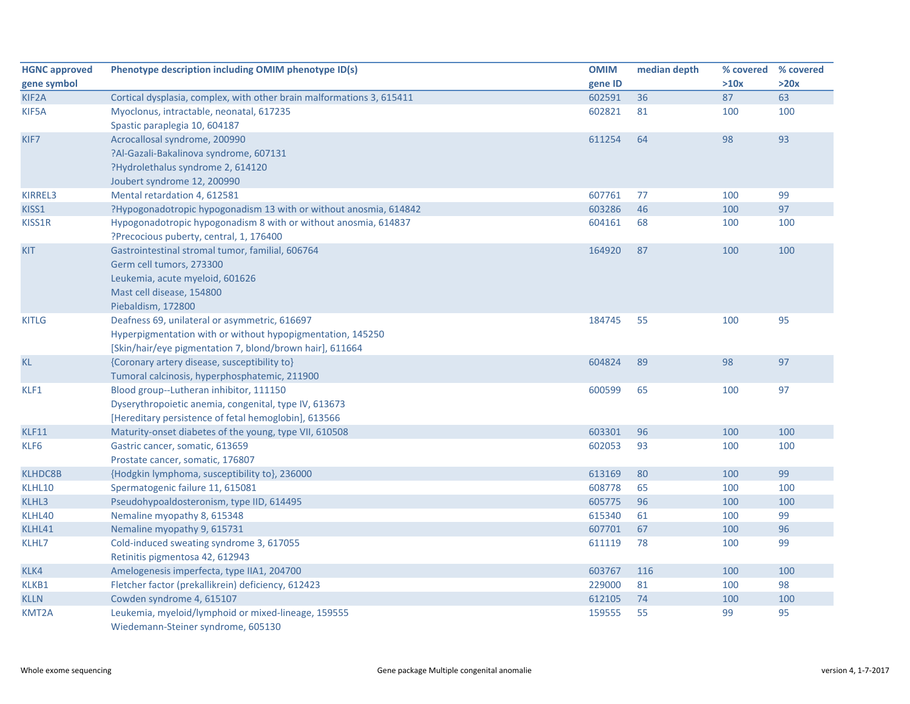| <b>HGNC approved</b> | Phenotype description including OMIM phenotype ID(s)                  | <b>OMIM</b> | median depth | % covered % covered |      |
|----------------------|-----------------------------------------------------------------------|-------------|--------------|---------------------|------|
| gene symbol          |                                                                       | gene ID     |              | >10x                | >20x |
| KIF <sub>2</sub> A   | Cortical dysplasia, complex, with other brain malformations 3, 615411 | 602591      | 36           | 87                  | 63   |
| KIF5A                | Myoclonus, intractable, neonatal, 617235                              | 602821      | 81           | 100                 | 100  |
|                      | Spastic paraplegia 10, 604187                                         |             |              |                     |      |
| KIF7                 | Acrocallosal syndrome, 200990                                         | 611254      | 64           | 98                  | 93   |
|                      | ?Al-Gazali-Bakalinova syndrome, 607131                                |             |              |                     |      |
|                      | ?Hydrolethalus syndrome 2, 614120                                     |             |              |                     |      |
|                      | Joubert syndrome 12, 200990                                           |             |              |                     |      |
| <b>KIRREL3</b>       | Mental retardation 4, 612581                                          | 607761      | 77           | 100                 | 99   |
| KISS1                | ?Hypogonadotropic hypogonadism 13 with or without anosmia, 614842     | 603286      | 46           | 100                 | 97   |
| KISS1R               | Hypogonadotropic hypogonadism 8 with or without anosmia, 614837       | 604161      | 68           | 100                 | 100  |
|                      | ?Precocious puberty, central, 1, 176400                               |             |              |                     |      |
| <b>KIT</b>           | Gastrointestinal stromal tumor, familial, 606764                      | 164920      | 87           | 100                 | 100  |
|                      | Germ cell tumors, 273300                                              |             |              |                     |      |
|                      | Leukemia, acute myeloid, 601626                                       |             |              |                     |      |
|                      | Mast cell disease, 154800                                             |             |              |                     |      |
|                      | Piebaldism, 172800                                                    |             |              |                     |      |
| <b>KITLG</b>         | Deafness 69, unilateral or asymmetric, 616697                         | 184745      | 55           | 100                 | 95   |
|                      | Hyperpigmentation with or without hypopigmentation, 145250            |             |              |                     |      |
|                      | [Skin/hair/eye pigmentation 7, blond/brown hair], 611664              |             |              |                     |      |
| <b>KL</b>            | {Coronary artery disease, susceptibility to}                          | 604824      | 89           | 98                  | 97   |
|                      | Tumoral calcinosis, hyperphosphatemic, 211900                         |             |              |                     |      |
| KLF1                 | Blood group--Lutheran inhibitor, 111150                               | 600599      | 65           | 100                 | 97   |
|                      | Dyserythropoietic anemia, congenital, type IV, 613673                 |             |              |                     |      |
|                      | [Hereditary persistence of fetal hemoglobin], 613566                  |             |              |                     |      |
| <b>KLF11</b>         | Maturity-onset diabetes of the young, type VII, 610508                | 603301      | 96           | 100                 | 100  |
| KLF6                 | Gastric cancer, somatic, 613659                                       | 602053      | 93           | 100                 | 100  |
|                      | Prostate cancer, somatic, 176807                                      |             |              |                     |      |
| <b>KLHDC8B</b>       | {Hodgkin lymphoma, susceptibility to}, 236000                         | 613169      | 80           | 100                 | 99   |
| KLHL10               | Spermatogenic failure 11, 615081                                      | 608778      | 65           | 100                 | 100  |
| KLHL3                | Pseudohypoaldosteronism, type IID, 614495                             | 605775      | 96           | 100                 | 100  |
| KLHL40               | Nemaline myopathy 8, 615348                                           | 615340      | 61           | 100                 | 99   |
| KLHL41               | Nemaline myopathy 9, 615731                                           | 607701      | 67           | 100                 | 96   |
| KLHL7                | Cold-induced sweating syndrome 3, 617055                              | 611119      | 78           | 100                 | 99   |
|                      | Retinitis pigmentosa 42, 612943                                       |             |              |                     |      |
| KLK4                 | Amelogenesis imperfecta, type IIA1, 204700                            | 603767      | 116          | 100                 | 100  |
| KLKB1                | Fletcher factor (prekallikrein) deficiency, 612423                    | 229000      | 81           | 100                 | 98   |
| <b>KLLN</b>          | Cowden syndrome 4, 615107                                             | 612105      | 74           | 100                 | 100  |
| KMT2A                | Leukemia, myeloid/lymphoid or mixed-lineage, 159555                   | 159555      | 55           | 99                  | 95   |
|                      | Wiedemann-Steiner syndrome, 605130                                    |             |              |                     |      |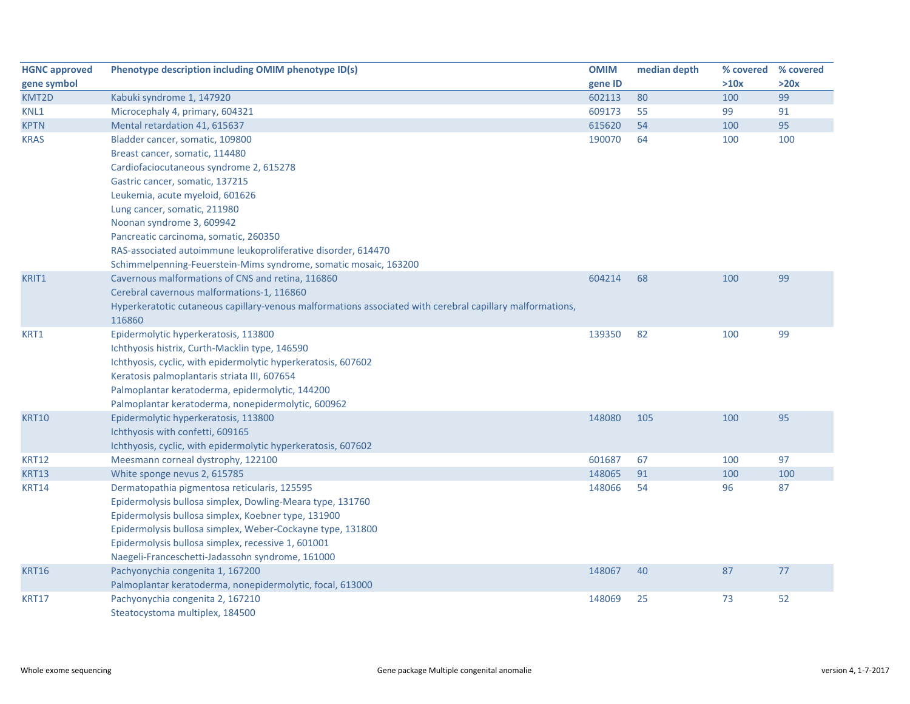| <b>HGNC approved</b> | Phenotype description including OMIM phenotype ID(s)                                                      | <b>OMIM</b> | median depth | % covered | % covered |
|----------------------|-----------------------------------------------------------------------------------------------------------|-------------|--------------|-----------|-----------|
| gene symbol          |                                                                                                           | gene ID     |              | >10x      | >20x      |
| KMT2D                | Kabuki syndrome 1, 147920                                                                                 | 602113      | 80           | 100       | 99        |
| KNL1                 | Microcephaly 4, primary, 604321                                                                           | 609173      | 55           | 99        | 91        |
| <b>KPTN</b>          | Mental retardation 41, 615637                                                                             | 615620      | 54           | 100       | 95        |
| <b>KRAS</b>          | Bladder cancer, somatic, 109800                                                                           | 190070      | 64           | 100       | 100       |
|                      | Breast cancer, somatic, 114480                                                                            |             |              |           |           |
|                      | Cardiofaciocutaneous syndrome 2, 615278                                                                   |             |              |           |           |
|                      | Gastric cancer, somatic, 137215                                                                           |             |              |           |           |
|                      | Leukemia, acute myeloid, 601626                                                                           |             |              |           |           |
|                      | Lung cancer, somatic, 211980                                                                              |             |              |           |           |
|                      | Noonan syndrome 3, 609942                                                                                 |             |              |           |           |
|                      | Pancreatic carcinoma, somatic, 260350                                                                     |             |              |           |           |
|                      | RAS-associated autoimmune leukoproliferative disorder, 614470                                             |             |              |           |           |
|                      | Schimmelpenning-Feuerstein-Mims syndrome, somatic mosaic, 163200                                          |             |              |           |           |
| KRIT1                | Cavernous malformations of CNS and retina, 116860                                                         | 604214      | 68           | 100       | 99        |
|                      | Cerebral cavernous malformations-1, 116860                                                                |             |              |           |           |
|                      | Hyperkeratotic cutaneous capillary-venous malformations associated with cerebral capillary malformations, |             |              |           |           |
|                      | 116860                                                                                                    |             |              |           |           |
| KRT1                 | Epidermolytic hyperkeratosis, 113800                                                                      | 139350      | 82           | 100       | 99        |
|                      | Ichthyosis histrix, Curth-Macklin type, 146590                                                            |             |              |           |           |
|                      | Ichthyosis, cyclic, with epidermolytic hyperkeratosis, 607602                                             |             |              |           |           |
|                      | Keratosis palmoplantaris striata III, 607654                                                              |             |              |           |           |
|                      | Palmoplantar keratoderma, epidermolytic, 144200                                                           |             |              |           |           |
|                      | Palmoplantar keratoderma, nonepidermolytic, 600962                                                        |             |              |           |           |
| <b>KRT10</b>         | Epidermolytic hyperkeratosis, 113800                                                                      | 148080      | 105          | 100       | 95        |
|                      | Ichthyosis with confetti, 609165                                                                          |             |              |           |           |
|                      | Ichthyosis, cyclic, with epidermolytic hyperkeratosis, 607602                                             |             |              |           |           |
| <b>KRT12</b>         | Meesmann corneal dystrophy, 122100                                                                        | 601687      | 67           | 100       | 97        |
| <b>KRT13</b>         | White sponge nevus 2, 615785                                                                              | 148065      | 91           | 100       | 100       |
| <b>KRT14</b>         | Dermatopathia pigmentosa reticularis, 125595                                                              | 148066      | 54           | 96        | 87        |
|                      | Epidermolysis bullosa simplex, Dowling-Meara type, 131760                                                 |             |              |           |           |
|                      | Epidermolysis bullosa simplex, Koebner type, 131900                                                       |             |              |           |           |
|                      | Epidermolysis bullosa simplex, Weber-Cockayne type, 131800                                                |             |              |           |           |
|                      | Epidermolysis bullosa simplex, recessive 1, 601001                                                        |             |              |           |           |
|                      | Naegeli-Franceschetti-Jadassohn syndrome, 161000                                                          |             |              |           |           |
| <b>KRT16</b>         | Pachyonychia congenita 1, 167200                                                                          | 148067      | 40           | 87        | 77        |
|                      | Palmoplantar keratoderma, nonepidermolytic, focal, 613000                                                 |             |              |           |           |
| <b>KRT17</b>         | Pachyonychia congenita 2, 167210                                                                          | 148069      | 25           | 73        | 52        |
|                      | Steatocystoma multiplex, 184500                                                                           |             |              |           |           |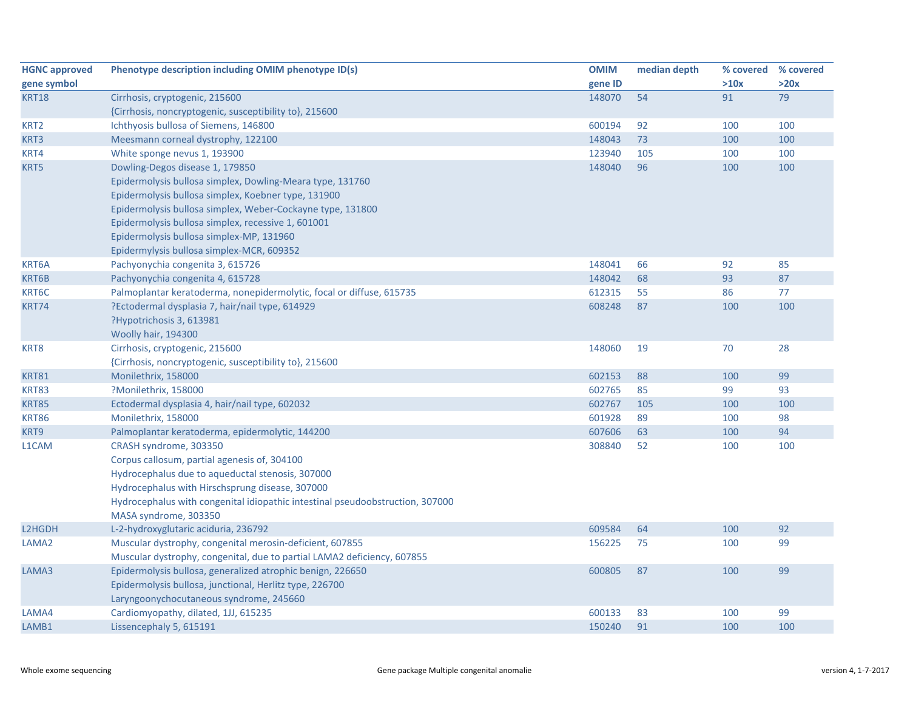| <b>HGNC approved</b> | Phenotype description including OMIM phenotype ID(s)                          | <b>OMIM</b> | median depth |      | % covered % covered |
|----------------------|-------------------------------------------------------------------------------|-------------|--------------|------|---------------------|
| gene symbol          |                                                                               | gene ID     |              | >10x | >20x                |
| <b>KRT18</b>         | Cirrhosis, cryptogenic, 215600                                                | 148070      | 54           | 91   | 79                  |
|                      | {Cirrhosis, noncryptogenic, susceptibility to}, 215600                        |             |              |      |                     |
| KRT <sub>2</sub>     | Ichthyosis bullosa of Siemens, 146800                                         | 600194      | 92           | 100  | 100                 |
| KRT3                 | Meesmann corneal dystrophy, 122100                                            | 148043      | 73           | 100  | 100                 |
| KRT4                 | White sponge nevus 1, 193900                                                  | 123940      | 105          | 100  | 100                 |
| KRT5                 | Dowling-Degos disease 1, 179850                                               | 148040      | 96           | 100  | 100                 |
|                      | Epidermolysis bullosa simplex, Dowling-Meara type, 131760                     |             |              |      |                     |
|                      | Epidermolysis bullosa simplex, Koebner type, 131900                           |             |              |      |                     |
|                      | Epidermolysis bullosa simplex, Weber-Cockayne type, 131800                    |             |              |      |                     |
|                      | Epidermolysis bullosa simplex, recessive 1, 601001                            |             |              |      |                     |
|                      | Epidermolysis bullosa simplex-MP, 131960                                      |             |              |      |                     |
|                      | Epidermylysis bullosa simplex-MCR, 609352                                     |             |              |      |                     |
| KRT6A                | Pachyonychia congenita 3, 615726                                              | 148041      | 66           | 92   | 85                  |
| KRT6B                | Pachyonychia congenita 4, 615728                                              | 148042      | 68           | 93   | 87                  |
| KRT6C                | Palmoplantar keratoderma, nonepidermolytic, focal or diffuse, 615735          | 612315      | 55           | 86   | 77                  |
| <b>KRT74</b>         | ?Ectodermal dysplasia 7, hair/nail type, 614929                               | 608248      | 87           | 100  | 100                 |
|                      | ?Hypotrichosis 3, 613981                                                      |             |              |      |                     |
|                      | Woolly hair, 194300                                                           |             |              |      |                     |
| KRT8                 | Cirrhosis, cryptogenic, 215600                                                | 148060      | 19           | 70   | 28                  |
|                      | {Cirrhosis, noncryptogenic, susceptibility to}, 215600                        |             |              |      |                     |
| <b>KRT81</b>         | Monilethrix, 158000                                                           | 602153      | 88           | 100  | 99                  |
| <b>KRT83</b>         | ?Monilethrix, 158000                                                          | 602765      | 85           | 99   | 93                  |
| <b>KRT85</b>         | Ectodermal dysplasia 4, hair/nail type, 602032                                | 602767      | 105          | 100  | 100                 |
| <b>KRT86</b>         | Monilethrix, 158000                                                           | 601928      | 89           | 100  | 98                  |
| KRT9                 | Palmoplantar keratoderma, epidermolytic, 144200                               | 607606      | 63           | 100  | 94                  |
| L1CAM                | CRASH syndrome, 303350                                                        | 308840      | 52           | 100  | 100                 |
|                      | Corpus callosum, partial agenesis of, 304100                                  |             |              |      |                     |
|                      | Hydrocephalus due to aqueductal stenosis, 307000                              |             |              |      |                     |
|                      | Hydrocephalus with Hirschsprung disease, 307000                               |             |              |      |                     |
|                      | Hydrocephalus with congenital idiopathic intestinal pseudoobstruction, 307000 |             |              |      |                     |
|                      | MASA syndrome, 303350                                                         |             |              |      |                     |
| L2HGDH               | L-2-hydroxyglutaric aciduria, 236792                                          | 609584      | 64           | 100  | 92                  |
| LAMA2                | Muscular dystrophy, congenital merosin-deficient, 607855                      | 156225      | 75           | 100  | 99                  |
|                      | Muscular dystrophy, congenital, due to partial LAMA2 deficiency, 607855       |             |              |      |                     |
| LAMA3                | Epidermolysis bullosa, generalized atrophic benign, 226650                    | 600805      | 87           | 100  | 99                  |
|                      | Epidermolysis bullosa, junctional, Herlitz type, 226700                       |             |              |      |                     |
|                      | Laryngoonychocutaneous syndrome, 245660                                       |             |              |      |                     |
| LAMA4                | Cardiomyopathy, dilated, 1JJ, 615235                                          | 600133      | 83           | 100  | 99                  |
| LAMB1                | Lissencephaly 5, 615191                                                       | 150240      | 91           | 100  | 100                 |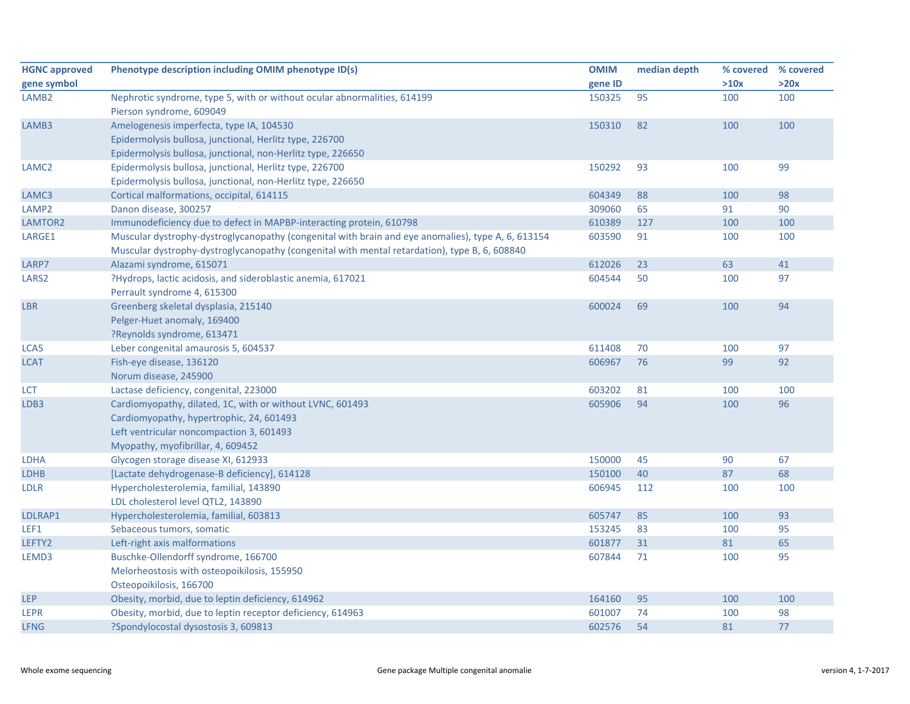| <b>HGNC approved</b> | Phenotype description including OMIM phenotype ID(s)                                               | <b>OMIM</b> | median depth | % covered | % covered |
|----------------------|----------------------------------------------------------------------------------------------------|-------------|--------------|-----------|-----------|
| gene symbol          |                                                                                                    | gene ID     |              | >10x      | >20x      |
| LAMB <sub>2</sub>    | Nephrotic syndrome, type 5, with or without ocular abnormalities, 614199                           | 150325      | 95           | 100       | 100       |
|                      | Pierson syndrome, 609049                                                                           |             |              |           |           |
| LAMB3                | Amelogenesis imperfecta, type IA, 104530                                                           | 150310      | 82           | 100       | 100       |
|                      | Epidermolysis bullosa, junctional, Herlitz type, 226700                                            |             |              |           |           |
|                      | Epidermolysis bullosa, junctional, non-Herlitz type, 226650                                        |             |              |           |           |
| LAMC <sub>2</sub>    | Epidermolysis bullosa, junctional, Herlitz type, 226700                                            | 150292      | 93           | 100       | 99        |
|                      | Epidermolysis bullosa, junctional, non-Herlitz type, 226650                                        |             |              |           |           |
| LAMC3                | Cortical malformations, occipital, 614115                                                          | 604349      | 88           | 100       | 98        |
| LAMP <sub>2</sub>    | Danon disease, 300257                                                                              | 309060      | 65           | 91        | 90        |
| LAMTOR2              | Immunodeficiency due to defect in MAPBP-interacting protein, 610798                                | 610389      | 127          | 100       | 100       |
| LARGE1               | Muscular dystrophy-dystroglycanopathy (congenital with brain and eye anomalies), type A, 6, 613154 | 603590      | 91           | 100       | 100       |
|                      | Muscular dystrophy-dystroglycanopathy (congenital with mental retardation), type B, 6, 608840      |             |              |           |           |
| LARP7                | Alazami syndrome, 615071                                                                           | 612026      | 23           | 63        | 41        |
| LARS <sub>2</sub>    | ?Hydrops, lactic acidosis, and sideroblastic anemia, 617021                                        | 604544      | 50           | 100       | 97        |
|                      | Perrault syndrome 4, 615300                                                                        |             |              |           |           |
| <b>LBR</b>           | Greenberg skeletal dysplasia, 215140                                                               | 600024      | 69           | 100       | 94        |
|                      | Pelger-Huet anomaly, 169400                                                                        |             |              |           |           |
|                      | ?Reynolds syndrome, 613471                                                                         |             |              |           |           |
| LCA5                 | Leber congenital amaurosis 5, 604537                                                               | 611408      | 70           | 100       | 97        |
| <b>LCAT</b>          | Fish-eye disease, 136120                                                                           | 606967      | 76           | 99        | 92        |
|                      | Norum disease, 245900                                                                              |             |              |           |           |
| LCT                  | Lactase deficiency, congenital, 223000                                                             | 603202      | 81           | 100       | 100       |
| LDB3                 | Cardiomyopathy, dilated, 1C, with or without LVNC, 601493                                          | 605906      | 94           | 100       | 96        |
|                      | Cardiomyopathy, hypertrophic, 24, 601493                                                           |             |              |           |           |
|                      | Left ventricular noncompaction 3, 601493                                                           |             |              |           |           |
|                      | Myopathy, myofibrillar, 4, 609452                                                                  |             |              |           |           |
| <b>LDHA</b>          | Glycogen storage disease XI, 612933                                                                | 150000      | 45           | 90        | 67        |
| <b>LDHB</b>          | [Lactate dehydrogenase-B deficiency], 614128                                                       | 150100      | 40           | 87        | 68        |
| <b>LDLR</b>          | Hypercholesterolemia, familial, 143890                                                             | 606945      | 112          | 100       | 100       |
|                      | LDL cholesterol level QTL2, 143890                                                                 |             |              |           |           |
| LDLRAP1              | Hypercholesterolemia, familial, 603813                                                             | 605747      | 85           | 100       | 93        |
| LEF1                 | Sebaceous tumors, somatic                                                                          | 153245      | 83           | 100       | 95        |
| LEFTY2               | Left-right axis malformations                                                                      | 601877      | 31           | 81        | 65        |
| LEMD3                | Buschke-Ollendorff syndrome, 166700                                                                | 607844      | 71           | 100       | 95        |
|                      | Melorheostosis with osteopoikilosis, 155950                                                        |             |              |           |           |
|                      | Osteopoikilosis, 166700                                                                            |             |              |           |           |
| <b>LEP</b>           | Obesity, morbid, due to leptin deficiency, 614962                                                  | 164160      | 95           | 100       | 100       |
| <b>LEPR</b>          | Obesity, morbid, due to leptin receptor deficiency, 614963                                         | 601007      | 74           | 100       | 98        |
| <b>LFNG</b>          | ?Spondylocostal dysostosis 3, 609813                                                               | 602576      | 54           | 81        | 77        |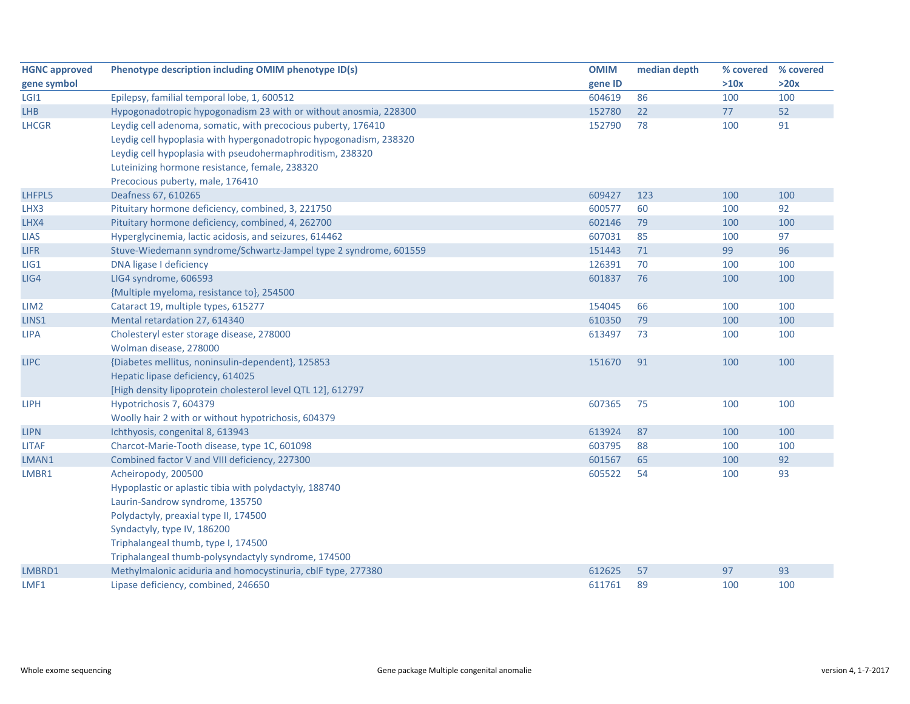| <b>HGNC approved</b> | Phenotype description including OMIM phenotype ID(s)               | <b>OMIM</b> | median depth | % covered | % covered |
|----------------------|--------------------------------------------------------------------|-------------|--------------|-----------|-----------|
| gene symbol          |                                                                    | gene ID     |              | >10x      | >20x      |
| LGI <sub>1</sub>     | Epilepsy, familial temporal lobe, 1, 600512                        | 604619      | 86           | 100       | 100       |
| <b>LHB</b>           | Hypogonadotropic hypogonadism 23 with or without anosmia, 228300   | 152780      | 22           | 77        | 52        |
| <b>LHCGR</b>         | Leydig cell adenoma, somatic, with precocious puberty, 176410      | 152790      | 78           | 100       | 91        |
|                      | Leydig cell hypoplasia with hypergonadotropic hypogonadism, 238320 |             |              |           |           |
|                      | Leydig cell hypoplasia with pseudohermaphroditism, 238320          |             |              |           |           |
|                      | Luteinizing hormone resistance, female, 238320                     |             |              |           |           |
|                      | Precocious puberty, male, 176410                                   |             |              |           |           |
| LHFPL5               | Deafness 67, 610265                                                | 609427      | 123          | 100       | 100       |
| LHX3                 | Pituitary hormone deficiency, combined, 3, 221750                  | 600577      | 60           | 100       | 92        |
| LHX4                 | Pituitary hormone deficiency, combined, 4, 262700                  | 602146      | 79           | 100       | 100       |
| <b>LIAS</b>          | Hyperglycinemia, lactic acidosis, and seizures, 614462             | 607031      | 85           | 100       | 97        |
| <b>LIFR</b>          | Stuve-Wiedemann syndrome/Schwartz-Jampel type 2 syndrome, 601559   | 151443      | 71           | 99        | 96        |
| LIG1                 | DNA ligase I deficiency                                            | 126391      | 70           | 100       | 100       |
| LIG4                 | LIG4 syndrome, 606593                                              | 601837      | 76           | 100       | 100       |
|                      | {Multiple myeloma, resistance to}, 254500                          |             |              |           |           |
| LIM <sub>2</sub>     | Cataract 19, multiple types, 615277                                | 154045      | 66           | 100       | 100       |
| LINS1                | Mental retardation 27, 614340                                      | 610350      | 79           | 100       | 100       |
| <b>LIPA</b>          | Cholesteryl ester storage disease, 278000                          | 613497      | 73           | 100       | 100       |
|                      | Wolman disease, 278000                                             |             |              |           |           |
| <b>LIPC</b>          | {Diabetes mellitus, noninsulin-dependent}, 125853                  | 151670      | 91           | 100       | 100       |
|                      | Hepatic lipase deficiency, 614025                                  |             |              |           |           |
|                      | [High density lipoprotein cholesterol level QTL 12], 612797        |             |              |           |           |
| <b>LIPH</b>          | Hypotrichosis 7, 604379                                            | 607365      | 75           | 100       | 100       |
|                      | Woolly hair 2 with or without hypotrichosis, 604379                |             |              |           |           |
| <b>LIPN</b>          | Ichthyosis, congenital 8, 613943                                   | 613924      | 87           | 100       | 100       |
| <b>LITAF</b>         | Charcot-Marie-Tooth disease, type 1C, 601098                       | 603795      | 88           | 100       | 100       |
| LMAN1                | Combined factor V and VIII deficiency, 227300                      | 601567      | 65           | 100       | 92        |
| LMBR1                | Acheiropody, 200500                                                | 605522      | 54           | 100       | 93        |
|                      | Hypoplastic or aplastic tibia with polydactyly, 188740             |             |              |           |           |
|                      | Laurin-Sandrow syndrome, 135750                                    |             |              |           |           |
|                      | Polydactyly, preaxial type II, 174500                              |             |              |           |           |
|                      | Syndactyly, type IV, 186200                                        |             |              |           |           |
|                      | Triphalangeal thumb, type I, 174500                                |             |              |           |           |
|                      | Triphalangeal thumb-polysyndactyly syndrome, 174500                |             |              |           |           |
| LMBRD1               | Methylmalonic aciduria and homocystinuria, cblF type, 277380       | 612625      | 57           | 97        | 93        |
| LMF1                 | Lipase deficiency, combined, 246650                                | 611761      | 89           | 100       | 100       |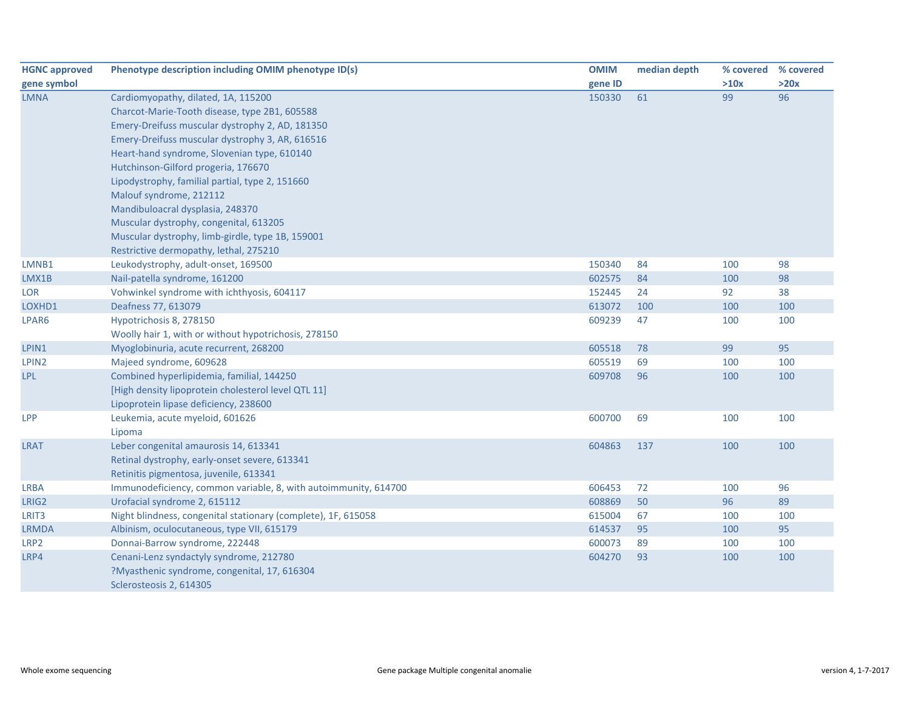| <b>HGNC approved</b> | Phenotype description including OMIM phenotype ID(s)            | <b>OMIM</b> | median depth | % covered % covered |      |
|----------------------|-----------------------------------------------------------------|-------------|--------------|---------------------|------|
| gene symbol          |                                                                 | gene ID     |              | >10x                | >20x |
| <b>LMNA</b>          | Cardiomyopathy, dilated, 1A, 115200                             | 150330      | 61           | 99                  | 96   |
|                      | Charcot-Marie-Tooth disease, type 2B1, 605588                   |             |              |                     |      |
|                      | Emery-Dreifuss muscular dystrophy 2, AD, 181350                 |             |              |                     |      |
|                      | Emery-Dreifuss muscular dystrophy 3, AR, 616516                 |             |              |                     |      |
|                      | Heart-hand syndrome, Slovenian type, 610140                     |             |              |                     |      |
|                      | Hutchinson-Gilford progeria, 176670                             |             |              |                     |      |
|                      | Lipodystrophy, familial partial, type 2, 151660                 |             |              |                     |      |
|                      | Malouf syndrome, 212112                                         |             |              |                     |      |
|                      | Mandibuloacral dysplasia, 248370                                |             |              |                     |      |
|                      | Muscular dystrophy, congenital, 613205                          |             |              |                     |      |
|                      | Muscular dystrophy, limb-girdle, type 1B, 159001                |             |              |                     |      |
|                      | Restrictive dermopathy, lethal, 275210                          |             |              |                     |      |
| LMNB1                | Leukodystrophy, adult-onset, 169500                             | 150340      | 84           | 100                 | 98   |
| LMX1B                | Nail-patella syndrome, 161200                                   | 602575      | 84           | 100                 | 98   |
| LOR                  | Vohwinkel syndrome with ichthyosis, 604117                      | 152445      | 24           | 92                  | 38   |
| LOXHD1               | Deafness 77, 613079                                             | 613072      | 100          | 100                 | 100  |
| LPAR6                | Hypotrichosis 8, 278150                                         | 609239      | 47           | 100                 | 100  |
|                      | Woolly hair 1, with or without hypotrichosis, 278150            |             |              |                     |      |
| LPIN1                | Myoglobinuria, acute recurrent, 268200                          | 605518      | 78           | 99                  | 95   |
| LPIN <sub>2</sub>    | Majeed syndrome, 609628                                         | 605519      | 69           | 100                 | 100  |
| <b>LPL</b>           | Combined hyperlipidemia, familial, 144250                       | 609708      | 96           | 100                 | 100  |
|                      | [High density lipoprotein cholesterol level QTL 11]             |             |              |                     |      |
|                      | Lipoprotein lipase deficiency, 238600                           |             |              |                     |      |
| <b>LPP</b>           | Leukemia, acute myeloid, 601626                                 | 600700      | 69           | 100                 | 100  |
|                      | Lipoma                                                          |             |              |                     |      |
| <b>LRAT</b>          | Leber congenital amaurosis 14, 613341                           | 604863      | 137          | 100                 | 100  |
|                      | Retinal dystrophy, early-onset severe, 613341                   |             |              |                     |      |
|                      | Retinitis pigmentosa, juvenile, 613341                          |             |              |                     |      |
| <b>LRBA</b>          | Immunodeficiency, common variable, 8, with autoimmunity, 614700 | 606453      | 72           | 100                 | 96   |
| LRIG2                | Urofacial syndrome 2, 615112                                    | 608869      | 50           | 96                  | 89   |
| LRIT <sub>3</sub>    | Night blindness, congenital stationary (complete), 1F, 615058   | 615004      | 67           | 100                 | 100  |
| <b>LRMDA</b>         | Albinism, oculocutaneous, type VII, 615179                      | 614537      | 95           | 100                 | 95   |
| LRP2                 | Donnai-Barrow syndrome, 222448                                  | 600073      | 89           | 100                 | 100  |
| LRP4                 | Cenani-Lenz syndactyly syndrome, 212780                         | 604270      | 93           | 100                 | 100  |
|                      | ?Myasthenic syndrome, congenital, 17, 616304                    |             |              |                     |      |
|                      | Sclerosteosis 2, 614305                                         |             |              |                     |      |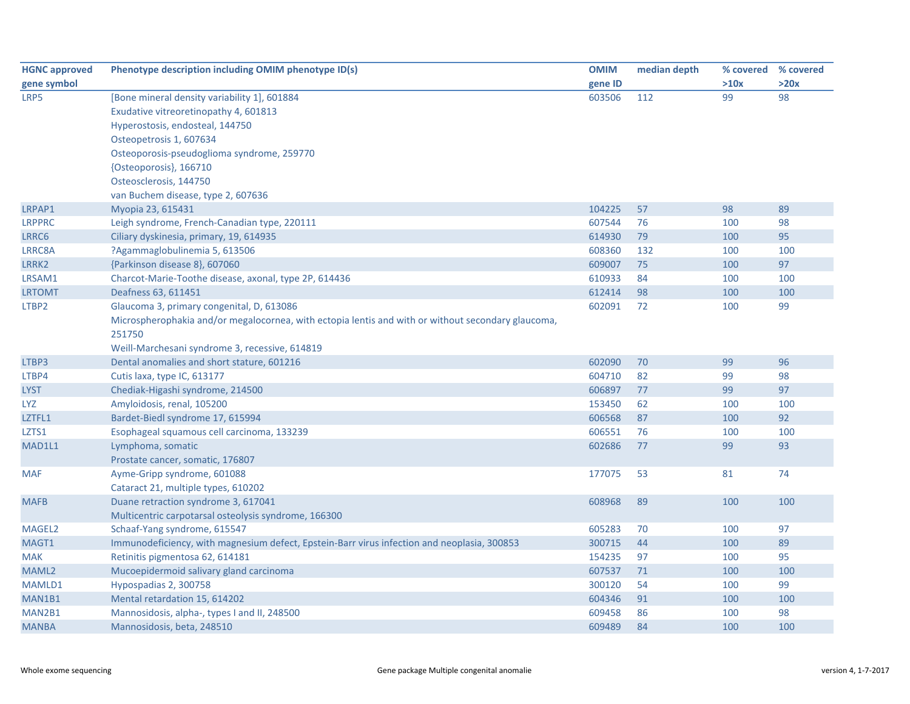| <b>HGNC approved</b> | Phenotype description including OMIM phenotype ID(s)                                               | <b>OMIM</b> | median depth | % covered | % covered |
|----------------------|----------------------------------------------------------------------------------------------------|-------------|--------------|-----------|-----------|
| gene symbol          |                                                                                                    | gene ID     |              | >10x      | >20x      |
| LRP5                 | [Bone mineral density variability 1], 601884                                                       | 603506      | 112          | 99        | 98        |
|                      | Exudative vitreoretinopathy 4, 601813                                                              |             |              |           |           |
|                      | Hyperostosis, endosteal, 144750                                                                    |             |              |           |           |
|                      | Osteopetrosis 1, 607634                                                                            |             |              |           |           |
|                      | Osteoporosis-pseudoglioma syndrome, 259770                                                         |             |              |           |           |
|                      | {Osteoporosis}, 166710                                                                             |             |              |           |           |
|                      | Osteosclerosis, 144750                                                                             |             |              |           |           |
|                      | van Buchem disease, type 2, 607636                                                                 |             |              |           |           |
| LRPAP1               | Myopia 23, 615431                                                                                  | 104225      | 57           | 98        | 89        |
| <b>LRPPRC</b>        | Leigh syndrome, French-Canadian type, 220111                                                       | 607544      | 76           | 100       | 98        |
| LRRC6                | Ciliary dyskinesia, primary, 19, 614935                                                            | 614930      | 79           | 100       | 95        |
| LRRC8A               | ?Agammaglobulinemia 5, 613506                                                                      | 608360      | 132          | 100       | 100       |
| LRRK2                | {Parkinson disease 8}, 607060                                                                      | 609007      | 75           | 100       | 97        |
| LRSAM1               | Charcot-Marie-Toothe disease, axonal, type 2P, 614436                                              | 610933      | 84           | 100       | 100       |
| <b>LRTOMT</b>        | Deafness 63, 611451                                                                                | 612414      | 98           | 100       | 100       |
| LTBP2                | Glaucoma 3, primary congenital, D, 613086                                                          | 602091      | 72           | 100       | 99        |
|                      | Microspherophakia and/or megalocornea, with ectopia lentis and with or without secondary glaucoma, |             |              |           |           |
|                      | 251750                                                                                             |             |              |           |           |
|                      | Weill-Marchesani syndrome 3, recessive, 614819                                                     |             |              |           |           |
| LTBP3                | Dental anomalies and short stature, 601216                                                         | 602090      | 70           | 99        | 96        |
| LTBP4                | Cutis laxa, type IC, 613177                                                                        | 604710      | 82           | 99        | 98        |
| <b>LYST</b>          | Chediak-Higashi syndrome, 214500                                                                   | 606897      | 77           | 99        | 97        |
| LYZ                  | Amyloidosis, renal, 105200                                                                         | 153450      | 62           | 100       | 100       |
| LZTFL1               | Bardet-Biedl syndrome 17, 615994                                                                   | 606568      | 87           | 100       | 92        |
| LZTS1                | Esophageal squamous cell carcinoma, 133239                                                         | 606551      | 76           | 100       | 100       |
| MAD1L1               | Lymphoma, somatic                                                                                  | 602686      | 77           | 99        | 93        |
|                      | Prostate cancer, somatic, 176807                                                                   |             |              |           |           |
| <b>MAF</b>           | Ayme-Gripp syndrome, 601088                                                                        | 177075      | 53           | 81        | 74        |
|                      | Cataract 21, multiple types, 610202                                                                |             |              |           |           |
| <b>MAFB</b>          | Duane retraction syndrome 3, 617041                                                                | 608968      | 89           | 100       | 100       |
|                      | Multicentric carpotarsal osteolysis syndrome, 166300                                               |             |              |           |           |
| MAGEL2               | Schaaf-Yang syndrome, 615547                                                                       | 605283      | 70           | 100       | 97        |
| MAGT1                | Immunodeficiency, with magnesium defect, Epstein-Barr virus infection and neoplasia, 300853        | 300715      | 44           | 100       | 89        |
| <b>MAK</b>           | Retinitis pigmentosa 62, 614181                                                                    | 154235      | 97           | 100       | 95        |
| MAML2                | Mucoepidermoid salivary gland carcinoma                                                            | 607537      | 71           | 100       | 100       |
| MAMLD1               | Hypospadias 2, 300758                                                                              | 300120      | 54           | 100       | 99        |
| MAN1B1               | Mental retardation 15, 614202                                                                      | 604346      | 91           | 100       | 100       |
| MAN2B1               | Mannosidosis, alpha-, types I and II, 248500                                                       | 609458      | 86           | 100       | 98        |
| <b>MANBA</b>         | Mannosidosis, beta, 248510                                                                         | 609489      | 84           | 100       | 100       |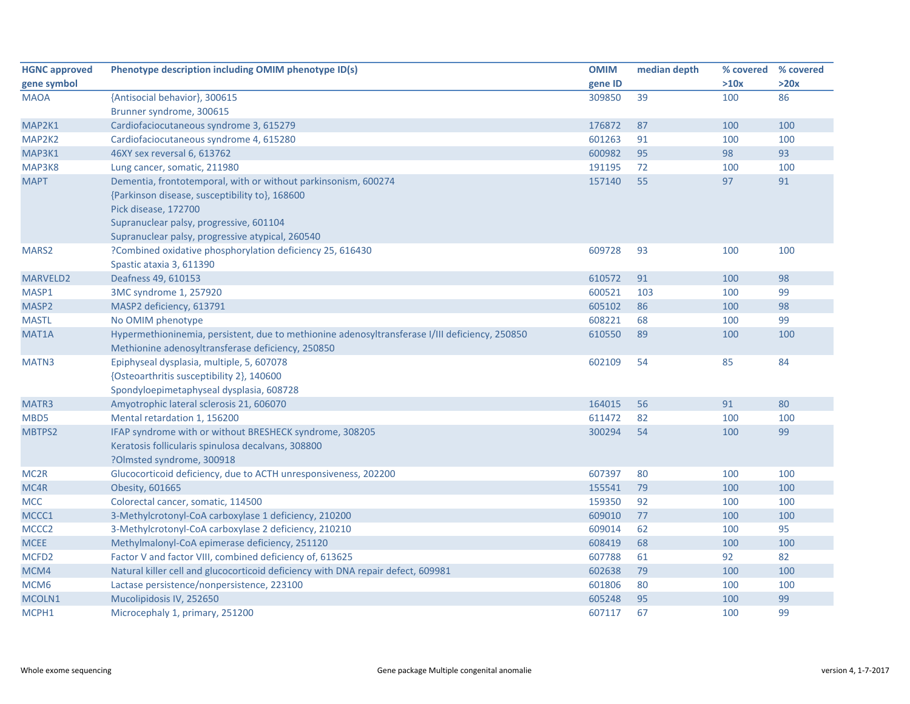| <b>HGNC approved</b> | Phenotype description including OMIM phenotype ID(s)                                           | <b>OMIM</b> | median depth |      | % covered % covered |
|----------------------|------------------------------------------------------------------------------------------------|-------------|--------------|------|---------------------|
| gene symbol          |                                                                                                | gene ID     |              | >10x | >20x                |
| <b>MAOA</b>          | {Antisocial behavior}, 300615                                                                  | 309850      | 39           | 100  | 86                  |
|                      | Brunner syndrome, 300615                                                                       |             |              |      |                     |
| MAP2K1               | Cardiofaciocutaneous syndrome 3, 615279                                                        | 176872      | 87           | 100  | 100                 |
| MAP2K2               | Cardiofaciocutaneous syndrome 4, 615280                                                        | 601263      | 91           | 100  | 100                 |
| MAP3K1               | 46XY sex reversal 6, 613762                                                                    | 600982      | 95           | 98   | 93                  |
| MAP3K8               | Lung cancer, somatic, 211980                                                                   | 191195      | 72           | 100  | 100                 |
| <b>MAPT</b>          | Dementia, frontotemporal, with or without parkinsonism, 600274                                 | 157140      | 55           | 97   | 91                  |
|                      | {Parkinson disease, susceptibility to}, 168600                                                 |             |              |      |                     |
|                      | Pick disease, 172700                                                                           |             |              |      |                     |
|                      | Supranuclear palsy, progressive, 601104                                                        |             |              |      |                     |
|                      | Supranuclear palsy, progressive atypical, 260540                                               |             |              |      |                     |
| MARS2                | ?Combined oxidative phosphorylation deficiency 25, 616430                                      | 609728      | 93           | 100  | 100                 |
|                      | Spastic ataxia 3, 611390                                                                       |             |              |      |                     |
| <b>MARVELD2</b>      | Deafness 49, 610153                                                                            | 610572      | 91           | 100  | 98                  |
| MASP1                | 3MC syndrome 1, 257920                                                                         | 600521      | 103          | 100  | 99                  |
| MASP2                | MASP2 deficiency, 613791                                                                       | 605102      | 86           | 100  | 98                  |
| <b>MASTL</b>         | No OMIM phenotype                                                                              | 608221      | 68           | 100  | 99                  |
| MAT <sub>1</sub> A   | Hypermethioninemia, persistent, due to methionine adenosyltransferase I/III deficiency, 250850 | 610550      | 89           | 100  | 100                 |
|                      | Methionine adenosyltransferase deficiency, 250850                                              |             |              |      |                     |
| MATN3                | Epiphyseal dysplasia, multiple, 5, 607078                                                      | 602109      | 54           | 85   | 84                  |
|                      | {Osteoarthritis susceptibility 2}, 140600                                                      |             |              |      |                     |
|                      | Spondyloepimetaphyseal dysplasia, 608728                                                       |             |              |      |                     |
| MATR3                | Amyotrophic lateral sclerosis 21, 606070                                                       | 164015      | 56           | 91   | 80                  |
| MBD5                 | Mental retardation 1, 156200                                                                   | 611472      | 82           | 100  | 100                 |
| MBTPS2               | IFAP syndrome with or without BRESHECK syndrome, 308205                                        | 300294      | 54           | 100  | 99                  |
|                      | Keratosis follicularis spinulosa decalvans, 308800                                             |             |              |      |                     |
|                      | ?Olmsted syndrome, 300918                                                                      |             |              |      |                     |
| MC <sub>2R</sub>     | Glucocorticoid deficiency, due to ACTH unresponsiveness, 202200                                | 607397      | 80           | 100  | 100                 |
| MC4R                 | Obesity, 601665                                                                                | 155541      | 79           | 100  | 100                 |
| <b>MCC</b>           | Colorectal cancer, somatic, 114500                                                             | 159350      | 92           | 100  | 100                 |
| MCCC1                | 3-Methylcrotonyl-CoA carboxylase 1 deficiency, 210200                                          | 609010      | 77           | 100  | 100                 |
| MCCC <sub>2</sub>    | 3-Methylcrotonyl-CoA carboxylase 2 deficiency, 210210                                          | 609014      | 62           | 100  | 95                  |
| <b>MCEE</b>          | Methylmalonyl-CoA epimerase deficiency, 251120                                                 | 608419      | 68           | 100  | 100                 |
| MCFD <sub>2</sub>    | Factor V and factor VIII, combined deficiency of, 613625                                       | 607788      | 61           | 92   | 82                  |
| MCM4                 | Natural killer cell and glucocorticoid deficiency with DNA repair defect, 609981               | 602638      | 79           | 100  | 100                 |
| MCM <sub>6</sub>     | Lactase persistence/nonpersistence, 223100                                                     | 601806      | 80           | 100  | 100                 |
| MCOLN1               | Mucolipidosis IV, 252650                                                                       | 605248      | 95           | 100  | 99                  |
| MCPH1                | Microcephaly 1, primary, 251200                                                                | 607117      | 67           | 100  | 99                  |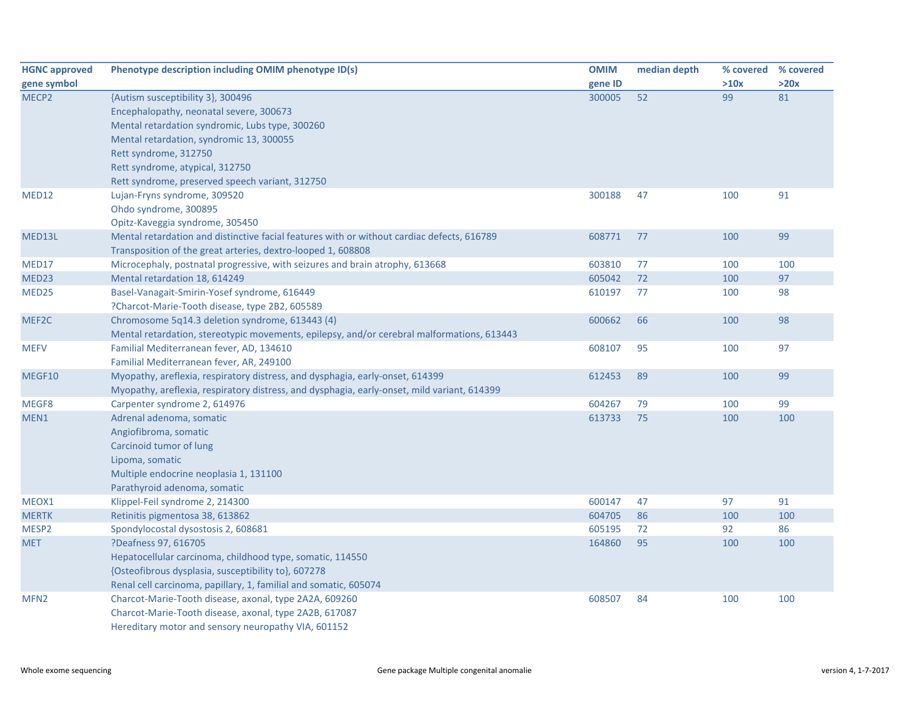| <b>HGNC approved</b> | Phenotype description including OMIM phenotype ID(s)                                        | <b>OMIM</b> | median depth | % covered | % covered |
|----------------------|---------------------------------------------------------------------------------------------|-------------|--------------|-----------|-----------|
| gene symbol          |                                                                                             | gene ID     |              | >10x      | >20x      |
| MECP <sub>2</sub>    | {Autism susceptibility 3}, 300496                                                           | 300005      | 52           | 99        | 81        |
|                      | Encephalopathy, neonatal severe, 300673                                                     |             |              |           |           |
|                      | Mental retardation syndromic, Lubs type, 300260                                             |             |              |           |           |
|                      | Mental retardation, syndromic 13, 300055                                                    |             |              |           |           |
|                      | Rett syndrome, 312750                                                                       |             |              |           |           |
|                      | Rett syndrome, atypical, 312750                                                             |             |              |           |           |
|                      | Rett syndrome, preserved speech variant, 312750                                             |             |              |           |           |
| MED12                | Lujan-Fryns syndrome, 309520                                                                | 300188      | 47           | 100       | 91        |
|                      | Ohdo syndrome, 300895                                                                       |             |              |           |           |
|                      | Opitz-Kaveggia syndrome, 305450                                                             |             |              |           |           |
| MED13L               | Mental retardation and distinctive facial features with or without cardiac defects, 616789  | 608771      | 77           | 100       | 99        |
|                      | Transposition of the great arteries, dextro-looped 1, 608808                                |             |              |           |           |
| MED17                | Microcephaly, postnatal progressive, with seizures and brain atrophy, 613668                | 603810      | 77           | 100       | 100       |
| MED <sub>23</sub>    | Mental retardation 18, 614249                                                               | 605042      | 72           | 100       | 97        |
| MED <sub>25</sub>    | Basel-Vanagait-Smirin-Yosef syndrome, 616449                                                | 610197      | 77           | 100       | 98        |
|                      | ?Charcot-Marie-Tooth disease, type 2B2, 605589                                              |             |              |           |           |
| MEF2C                | Chromosome 5q14.3 deletion syndrome, 613443 (4)                                             | 600662      | 66           | 100       | 98        |
|                      | Mental retardation, stereotypic movements, epilepsy, and/or cerebral malformations, 613443  |             |              |           |           |
| <b>MEFV</b>          | Familial Mediterranean fever, AD, 134610                                                    | 608107      | 95           | 100       | 97        |
|                      | Familial Mediterranean fever, AR, 249100                                                    |             |              |           |           |
| MEGF10               | Myopathy, areflexia, respiratory distress, and dysphagia, early-onset, 614399               | 612453      | 89           | 100       | 99        |
|                      | Myopathy, areflexia, respiratory distress, and dysphagia, early-onset, mild variant, 614399 |             |              |           |           |
| MEGF8                | Carpenter syndrome 2, 614976                                                                | 604267      | 79           | 100       | 99        |
| MEN1                 | Adrenal adenoma, somatic                                                                    | 613733      | 75           | 100       | 100       |
|                      | Angiofibroma, somatic                                                                       |             |              |           |           |
|                      | Carcinoid tumor of lung                                                                     |             |              |           |           |
|                      | Lipoma, somatic                                                                             |             |              |           |           |
|                      | Multiple endocrine neoplasia 1, 131100                                                      |             |              |           |           |
|                      | Parathyroid adenoma, somatic                                                                |             |              |           |           |
| MEOX1                | Klippel-Feil syndrome 2, 214300                                                             | 600147      | 47           | 97        | 91        |
| <b>MERTK</b>         | Retinitis pigmentosa 38, 613862                                                             | 604705      | 86           | 100       | 100       |
| MESP2                | Spondylocostal dysostosis 2, 608681                                                         | 605195      | 72           | 92        | 86        |
| <b>MET</b>           | ?Deafness 97, 616705                                                                        | 164860      | 95           | 100       | 100       |
|                      | Hepatocellular carcinoma, childhood type, somatic, 114550                                   |             |              |           |           |
|                      | {Osteofibrous dysplasia, susceptibility to}, 607278                                         |             |              |           |           |
|                      | Renal cell carcinoma, papillary, 1, familial and somatic, 605074                            |             |              |           |           |
| MFN <sub>2</sub>     | Charcot-Marie-Tooth disease, axonal, type 2A2A, 609260                                      | 608507      | 84           | 100       | 100       |
|                      | Charcot-Marie-Tooth disease, axonal, type 2A2B, 617087                                      |             |              |           |           |
|                      | Hereditary motor and sensory neuropathy VIA, 601152                                         |             |              |           |           |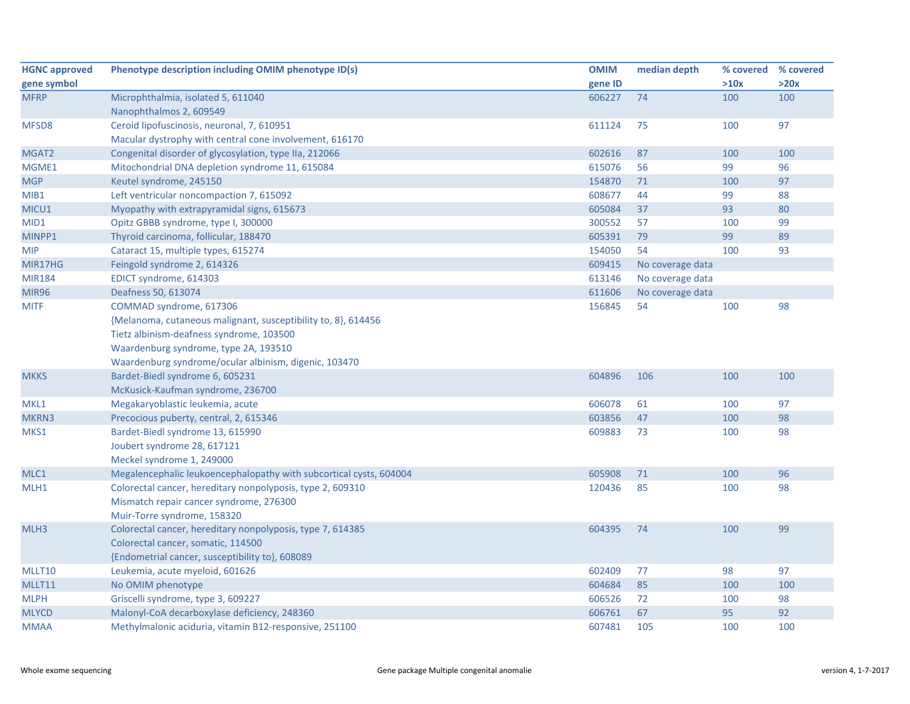| <b>HGNC approved</b> | Phenotype description including OMIM phenotype ID(s)               | <b>OMIM</b> | median depth     | % covered % covered |      |
|----------------------|--------------------------------------------------------------------|-------------|------------------|---------------------|------|
| gene symbol          |                                                                    | gene ID     |                  | >10x                | >20x |
| <b>MFRP</b>          | Microphthalmia, isolated 5, 611040                                 | 606227      | 74               | 100                 | 100  |
|                      | Nanophthalmos 2, 609549                                            |             |                  |                     |      |
| MFSD8                | Ceroid lipofuscinosis, neuronal, 7, 610951                         | 611124      | 75               | 100                 | 97   |
|                      | Macular dystrophy with central cone involvement, 616170            |             |                  |                     |      |
| MGAT <sub>2</sub>    | Congenital disorder of glycosylation, type IIa, 212066             | 602616      | 87               | 100                 | 100  |
| MGME1                | Mitochondrial DNA depletion syndrome 11, 615084                    | 615076      | 56               | 99                  | 96   |
| <b>MGP</b>           | Keutel syndrome, 245150                                            | 154870      | 71               | 100                 | 97   |
| MIB1                 | Left ventricular noncompaction 7, 615092                           | 608677      | 44               | 99                  | 88   |
| MICU1                | Myopathy with extrapyramidal signs, 615673                         | 605084      | 37               | 93                  | 80   |
| MID1                 | Opitz GBBB syndrome, type I, 300000                                | 300552      | 57               | 100                 | 99   |
| MINPP1               | Thyroid carcinoma, follicular, 188470                              | 605391      | 79               | 99                  | 89   |
| <b>MIP</b>           | Cataract 15, multiple types, 615274                                | 154050      | 54               | 100                 | 93   |
| MIR17HG              | Feingold syndrome 2, 614326                                        | 609415      | No coverage data |                     |      |
| <b>MIR184</b>        | EDICT syndrome, 614303                                             | 613146      | No coverage data |                     |      |
| <b>MIR96</b>         | Deafness 50, 613074                                                | 611606      | No coverage data |                     |      |
| <b>MITF</b>          | COMMAD syndrome, 617306                                            | 156845      | 54               | 100                 | 98   |
|                      | {Melanoma, cutaneous malignant, susceptibility to, 8}, 614456      |             |                  |                     |      |
|                      | Tietz albinism-deafness syndrome, 103500                           |             |                  |                     |      |
|                      | Waardenburg syndrome, type 2A, 193510                              |             |                  |                     |      |
|                      | Waardenburg syndrome/ocular albinism, digenic, 103470              |             |                  |                     |      |
| <b>MKKS</b>          | Bardet-Biedl syndrome 6, 605231                                    | 604896      | 106              | 100                 | 100  |
|                      | McKusick-Kaufman syndrome, 236700                                  |             |                  |                     |      |
| MKL1                 | Megakaryoblastic leukemia, acute                                   | 606078      | 61               | 100                 | 97   |
| MKRN3                | Precocious puberty, central, 2, 615346                             | 603856      | 47               | 100                 | 98   |
| MKS1                 | Bardet-Biedl syndrome 13, 615990                                   | 609883      | 73               | 100                 | 98   |
|                      | Joubert syndrome 28, 617121                                        |             |                  |                     |      |
|                      | Meckel syndrome 1, 249000                                          |             |                  |                     |      |
| MLC1                 | Megalencephalic leukoencephalopathy with subcortical cysts, 604004 | 605908      | 71               | 100                 | 96   |
| MLH1                 | Colorectal cancer, hereditary nonpolyposis, type 2, 609310         | 120436      | 85               | 100                 | 98   |
|                      | Mismatch repair cancer syndrome, 276300                            |             |                  |                     |      |
|                      | Muir-Torre syndrome, 158320                                        |             |                  |                     |      |
| MLH3                 | Colorectal cancer, hereditary nonpolyposis, type 7, 614385         | 604395      | 74               | 100                 | 99   |
|                      | Colorectal cancer, somatic, 114500                                 |             |                  |                     |      |
|                      | {Endometrial cancer, susceptibility to}, 608089                    |             |                  |                     |      |
| MLLT10               | Leukemia, acute myeloid, 601626                                    | 602409      | 77               | 98                  | 97   |
| MLLT11               | No OMIM phenotype                                                  | 604684      | 85               | 100                 | 100  |
| <b>MLPH</b>          | Griscelli syndrome, type 3, 609227                                 | 606526      | 72               | 100                 | 98   |
| <b>MLYCD</b>         | Malonyl-CoA decarboxylase deficiency, 248360                       | 606761      | 67               | 95                  | 92   |
| <b>MMAA</b>          | Methylmalonic aciduria, vitamin B12-responsive, 251100             | 607481      | 105              | 100                 | 100  |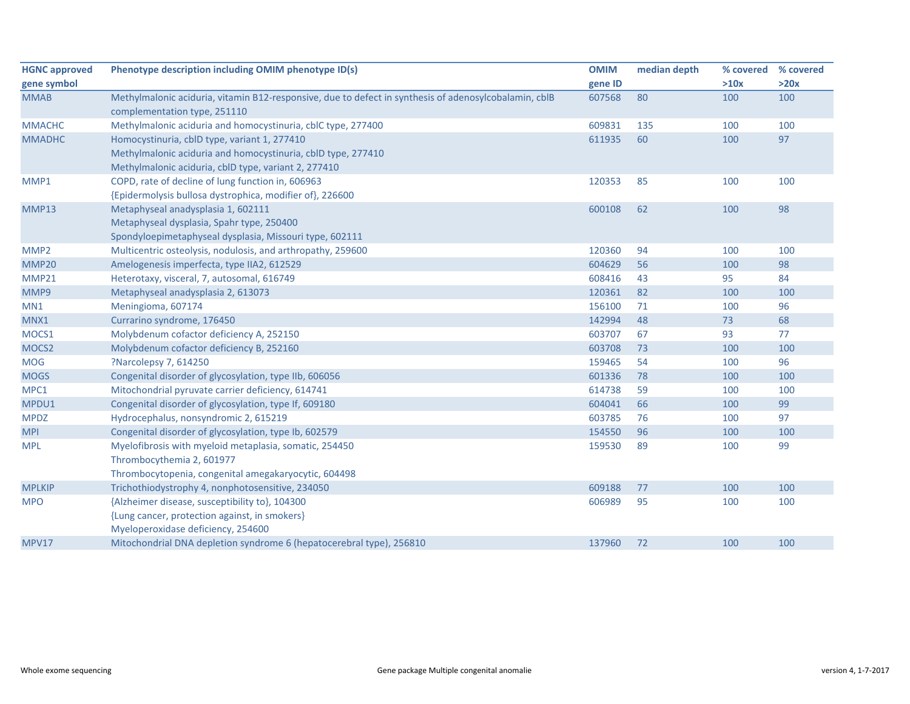| <b>HGNC approved</b> | Phenotype description including OMIM phenotype ID(s)                                                  | <b>OMIM</b> | median depth | % covered | % covered |
|----------------------|-------------------------------------------------------------------------------------------------------|-------------|--------------|-----------|-----------|
| gene symbol          |                                                                                                       | gene ID     |              | >10x      | >20x      |
| <b>MMAB</b>          | Methylmalonic aciduria, vitamin B12-responsive, due to defect in synthesis of adenosylcobalamin, cblB | 607568      | 80           | 100       | 100       |
|                      | complementation type, 251110                                                                          |             |              |           |           |
| <b>MMACHC</b>        | Methylmalonic aciduria and homocystinuria, cblC type, 277400                                          | 609831      | 135          | 100       | 100       |
| <b>MMADHC</b>        | Homocystinuria, cblD type, variant 1, 277410                                                          | 611935      | 60           | 100       | 97        |
|                      | Methylmalonic aciduria and homocystinuria, cbID type, 277410                                          |             |              |           |           |
|                      | Methylmalonic aciduria, cblD type, variant 2, 277410                                                  |             |              |           |           |
| MMP1                 | COPD, rate of decline of lung function in, 606963                                                     | 120353      | 85           | 100       | 100       |
|                      | {Epidermolysis bullosa dystrophica, modifier of}, 226600                                              |             |              |           |           |
| MMP13                | Metaphyseal anadysplasia 1, 602111                                                                    | 600108      | 62           | 100       | 98        |
|                      | Metaphyseal dysplasia, Spahr type, 250400                                                             |             |              |           |           |
|                      | Spondyloepimetaphyseal dysplasia, Missouri type, 602111                                               |             |              |           |           |
| MMP <sub>2</sub>     | Multicentric osteolysis, nodulosis, and arthropathy, 259600                                           | 120360      | 94           | 100       | 100       |
| MMP20                | Amelogenesis imperfecta, type IIA2, 612529                                                            | 604629      | 56           | 100       | 98        |
| <b>MMP21</b>         | Heterotaxy, visceral, 7, autosomal, 616749                                                            | 608416      | 43           | 95        | 84        |
| MMP9                 | Metaphyseal anadysplasia 2, 613073                                                                    | 120361      | 82           | 100       | 100       |
| MN1                  | Meningioma, 607174                                                                                    | 156100      | 71           | 100       | 96        |
| MNX1                 | Currarino syndrome, 176450                                                                            | 142994      | 48           | 73        | 68        |
| MOCS1                | Molybdenum cofactor deficiency A, 252150                                                              | 603707      | 67           | 93        | 77        |
| MOCS2                | Molybdenum cofactor deficiency B, 252160                                                              | 603708      | 73           | 100       | 100       |
| <b>MOG</b>           | ?Narcolepsy 7, 614250                                                                                 | 159465      | 54           | 100       | 96        |
| <b>MOGS</b>          | Congenital disorder of glycosylation, type IIb, 606056                                                | 601336      | 78           | 100       | 100       |
| MPC1                 | Mitochondrial pyruvate carrier deficiency, 614741                                                     | 614738      | 59           | 100       | 100       |
| MPDU1                | Congenital disorder of glycosylation, type If, 609180                                                 | 604041      | 66           | 100       | 99        |
| <b>MPDZ</b>          | Hydrocephalus, nonsyndromic 2, 615219                                                                 | 603785      | 76           | 100       | 97        |
| <b>MPI</b>           | Congenital disorder of glycosylation, type Ib, 602579                                                 | 154550      | 96           | 100       | 100       |
| <b>MPL</b>           | Myelofibrosis with myeloid metaplasia, somatic, 254450                                                | 159530      | 89           | 100       | 99        |
|                      | Thrombocythemia 2, 601977                                                                             |             |              |           |           |
|                      | Thrombocytopenia, congenital amegakaryocytic, 604498                                                  |             |              |           |           |
| <b>MPLKIP</b>        | Trichothiodystrophy 4, nonphotosensitive, 234050                                                      | 609188      | 77           | 100       | 100       |
| <b>MPO</b>           | {Alzheimer disease, susceptibility to}, 104300                                                        | 606989      | 95           | 100       | 100       |
|                      | {Lung cancer, protection against, in smokers}                                                         |             |              |           |           |
|                      | Myeloperoxidase deficiency, 254600                                                                    |             |              |           |           |
| <b>MPV17</b>         | Mitochondrial DNA depletion syndrome 6 (hepatocerebral type), 256810                                  | 137960      | 72           | 100       | 100       |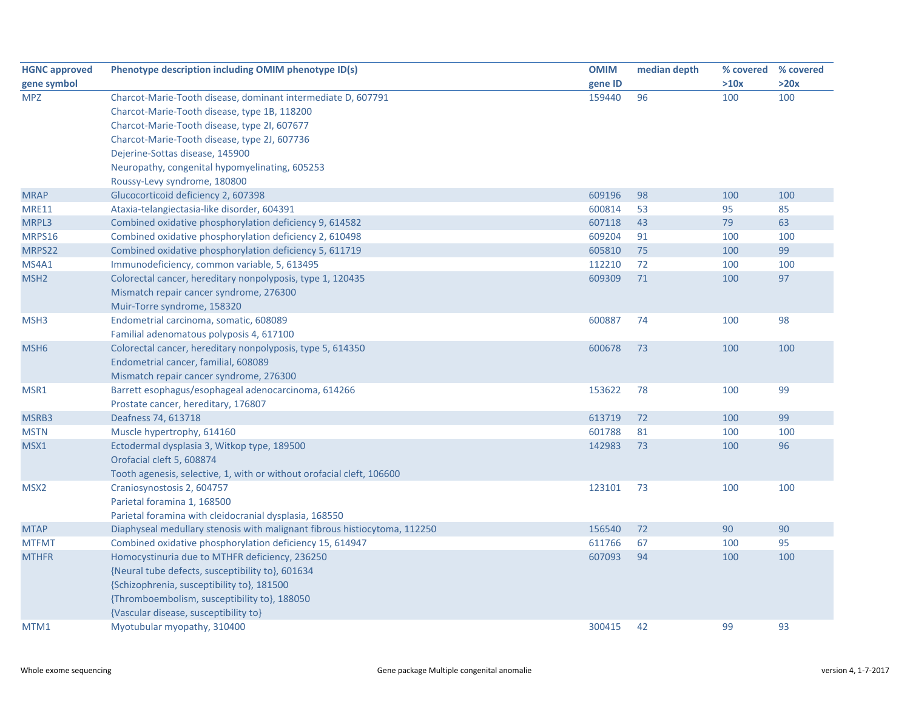| <b>HGNC approved</b> | Phenotype description including OMIM phenotype ID(s)                      | <b>OMIM</b> | median depth | % covered % covered |      |
|----------------------|---------------------------------------------------------------------------|-------------|--------------|---------------------|------|
| gene symbol          |                                                                           | gene ID     |              | >10x                | >20x |
| <b>MPZ</b>           | Charcot-Marie-Tooth disease, dominant intermediate D, 607791              | 159440      | 96           | 100                 | 100  |
|                      | Charcot-Marie-Tooth disease, type 1B, 118200                              |             |              |                     |      |
|                      | Charcot-Marie-Tooth disease, type 2I, 607677                              |             |              |                     |      |
|                      | Charcot-Marie-Tooth disease, type 2J, 607736                              |             |              |                     |      |
|                      | Dejerine-Sottas disease, 145900                                           |             |              |                     |      |
|                      | Neuropathy, congenital hypomyelinating, 605253                            |             |              |                     |      |
|                      | Roussy-Levy syndrome, 180800                                              |             |              |                     |      |
| <b>MRAP</b>          | Glucocorticoid deficiency 2, 607398                                       | 609196      | 98           | 100                 | 100  |
| <b>MRE11</b>         | Ataxia-telangiectasia-like disorder, 604391                               | 600814      | 53           | 95                  | 85   |
| MRPL3                | Combined oxidative phosphorylation deficiency 9, 614582                   | 607118      | 43           | 79                  | 63   |
| MRPS16               | Combined oxidative phosphorylation deficiency 2, 610498                   | 609204      | 91           | 100                 | 100  |
| MRPS22               | Combined oxidative phosphorylation deficiency 5, 611719                   | 605810      | 75           | 100                 | 99   |
| MS4A1                | Immunodeficiency, common variable, 5, 613495                              | 112210      | 72           | 100                 | 100  |
| MSH <sub>2</sub>     | Colorectal cancer, hereditary nonpolyposis, type 1, 120435                | 609309      | 71           | 100                 | 97   |
|                      | Mismatch repair cancer syndrome, 276300                                   |             |              |                     |      |
|                      | Muir-Torre syndrome, 158320                                               |             |              |                     |      |
| MSH3                 | Endometrial carcinoma, somatic, 608089                                    | 600887      | 74           | 100                 | 98   |
|                      | Familial adenomatous polyposis 4, 617100                                  |             |              |                     |      |
| MSH <sub>6</sub>     | Colorectal cancer, hereditary nonpolyposis, type 5, 614350                | 600678      | 73           | 100                 | 100  |
|                      | Endometrial cancer, familial, 608089                                      |             |              |                     |      |
|                      | Mismatch repair cancer syndrome, 276300                                   |             |              |                     |      |
| MSR1                 | Barrett esophagus/esophageal adenocarcinoma, 614266                       | 153622      | 78           | 100                 | 99   |
|                      | Prostate cancer, hereditary, 176807                                       |             |              |                     |      |
| MSRB3                | Deafness 74, 613718                                                       | 613719      | 72           | 100                 | 99   |
| <b>MSTN</b>          | Muscle hypertrophy, 614160                                                | 601788      | 81           | 100                 | 100  |
| MSX1                 | Ectodermal dysplasia 3, Witkop type, 189500                               | 142983      | 73           | 100                 | 96   |
|                      | Orofacial cleft 5, 608874                                                 |             |              |                     |      |
|                      | Tooth agenesis, selective, 1, with or without orofacial cleft, 106600     |             |              |                     |      |
| MSX <sub>2</sub>     | Craniosynostosis 2, 604757                                                | 123101      | 73           | 100                 | 100  |
|                      | Parietal foramina 1, 168500                                               |             |              |                     |      |
|                      | Parietal foramina with cleidocranial dysplasia, 168550                    |             |              |                     |      |
| <b>MTAP</b>          | Diaphyseal medullary stenosis with malignant fibrous histiocytoma, 112250 | 156540      | 72           | 90                  | 90   |
| <b>MTFMT</b>         | Combined oxidative phosphorylation deficiency 15, 614947                  | 611766      | 67           | 100                 | 95   |
| <b>MTHFR</b>         | Homocystinuria due to MTHFR deficiency, 236250                            | 607093      | 94           | 100                 | 100  |
|                      | {Neural tube defects, susceptibility to}, 601634                          |             |              |                     |      |
|                      | {Schizophrenia, susceptibility to}, 181500                                |             |              |                     |      |
|                      | {Thromboembolism, susceptibility to}, 188050                              |             |              |                     |      |
|                      | {Vascular disease, susceptibility to}                                     |             |              |                     |      |
| MTM1                 | Myotubular myopathy, 310400                                               | 300415      | 42           | 99                  | 93   |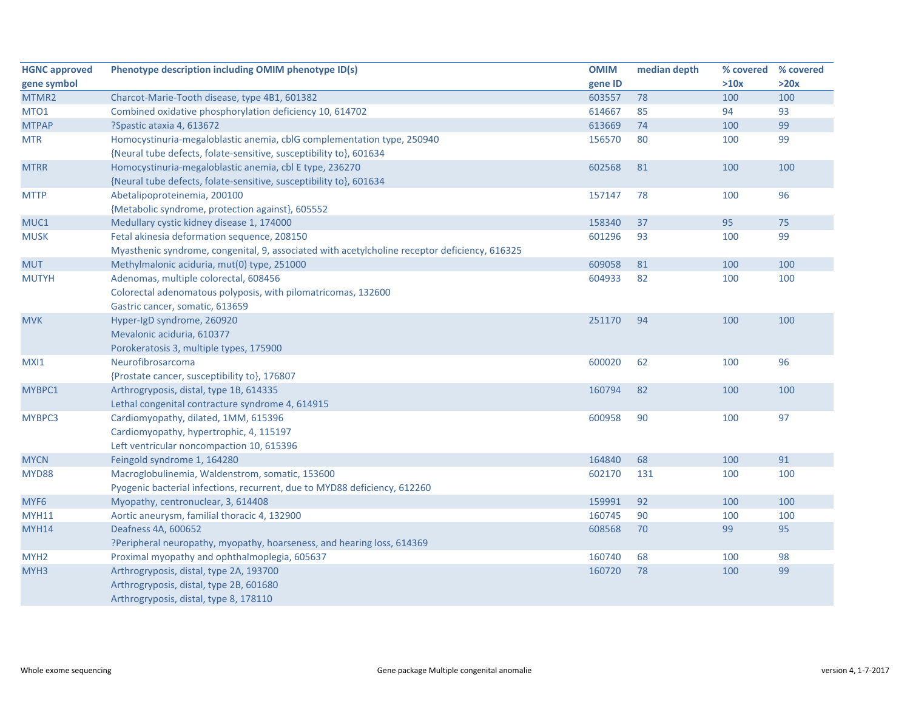| <b>HGNC approved</b> | Phenotype description including OMIM phenotype ID(s)                                          | <b>OMIM</b> | median depth | % covered | % covered |
|----------------------|-----------------------------------------------------------------------------------------------|-------------|--------------|-----------|-----------|
| gene symbol          |                                                                                               | gene ID     |              | >10x      | >20x      |
| MTMR2                | Charcot-Marie-Tooth disease, type 4B1, 601382                                                 | 603557      | 78           | 100       | 100       |
| MTO1                 | Combined oxidative phosphorylation deficiency 10, 614702                                      | 614667      | 85           | 94        | 93        |
| <b>MTPAP</b>         | ?Spastic ataxia 4, 613672                                                                     | 613669      | 74           | 100       | 99        |
| <b>MTR</b>           | Homocystinuria-megaloblastic anemia, cblG complementation type, 250940                        | 156570      | 80           | 100       | 99        |
|                      | {Neural tube defects, folate-sensitive, susceptibility to}, 601634                            |             |              |           |           |
| <b>MTRR</b>          | Homocystinuria-megaloblastic anemia, cbl E type, 236270                                       | 602568      | 81           | 100       | 100       |
|                      | {Neural tube defects, folate-sensitive, susceptibility to}, 601634                            |             |              |           |           |
| <b>MTTP</b>          | Abetalipoproteinemia, 200100                                                                  | 157147      | 78           | 100       | 96        |
|                      | {Metabolic syndrome, protection against}, 605552                                              |             |              |           |           |
| MUC1                 | Medullary cystic kidney disease 1, 174000                                                     | 158340      | 37           | 95        | 75        |
| <b>MUSK</b>          | Fetal akinesia deformation sequence, 208150                                                   | 601296      | 93           | 100       | 99        |
|                      | Myasthenic syndrome, congenital, 9, associated with acetylcholine receptor deficiency, 616325 |             |              |           |           |
| <b>MUT</b>           | Methylmalonic aciduria, mut(0) type, 251000                                                   | 609058      | 81           | 100       | 100       |
| <b>MUTYH</b>         | Adenomas, multiple colorectal, 608456                                                         | 604933      | 82           | 100       | 100       |
|                      | Colorectal adenomatous polyposis, with pilomatricomas, 132600                                 |             |              |           |           |
|                      | Gastric cancer, somatic, 613659                                                               |             |              |           |           |
| <b>MVK</b>           | Hyper-IgD syndrome, 260920                                                                    | 251170      | 94           | 100       | 100       |
|                      | Mevalonic aciduria, 610377                                                                    |             |              |           |           |
|                      | Porokeratosis 3, multiple types, 175900                                                       |             |              |           |           |
| MXI1                 | Neurofibrosarcoma                                                                             | 600020      | 62           | 100       | 96        |
|                      | {Prostate cancer, susceptibility to}, 176807                                                  |             |              |           |           |
| MYBPC1               | Arthrogryposis, distal, type 1B, 614335                                                       | 160794      | 82           | 100       | 100       |
|                      | Lethal congenital contracture syndrome 4, 614915                                              |             |              |           |           |
| MYBPC3               | Cardiomyopathy, dilated, 1MM, 615396                                                          | 600958      | 90           | 100       | 97        |
|                      | Cardiomyopathy, hypertrophic, 4, 115197                                                       |             |              |           |           |
|                      | Left ventricular noncompaction 10, 615396                                                     |             |              |           |           |
| <b>MYCN</b>          | Feingold syndrome 1, 164280                                                                   | 164840      | 68           | 100       | 91        |
| <b>MYD88</b>         | Macroglobulinemia, Waldenstrom, somatic, 153600                                               | 602170      | 131          | 100       | 100       |
|                      | Pyogenic bacterial infections, recurrent, due to MYD88 deficiency, 612260                     |             |              |           |           |
| MYF <sub>6</sub>     | Myopathy, centronuclear, 3, 614408                                                            | 159991      | 92           | 100       | 100       |
| <b>MYH11</b>         | Aortic aneurysm, familial thoracic 4, 132900                                                  | 160745      | 90           | 100       | 100       |
| MYH14                | Deafness 4A, 600652                                                                           | 608568      | 70           | 99        | 95        |
|                      | ?Peripheral neuropathy, myopathy, hoarseness, and hearing loss, 614369                        |             |              |           |           |
| MYH <sub>2</sub>     | Proximal myopathy and ophthalmoplegia, 605637                                                 | 160740      | 68           | 100       | 98        |
| MYH <sub>3</sub>     | Arthrogryposis, distal, type 2A, 193700                                                       | 160720      | 78           | 100       | 99        |
|                      | Arthrogryposis, distal, type 2B, 601680                                                       |             |              |           |           |
|                      | Arthrogryposis, distal, type 8, 178110                                                        |             |              |           |           |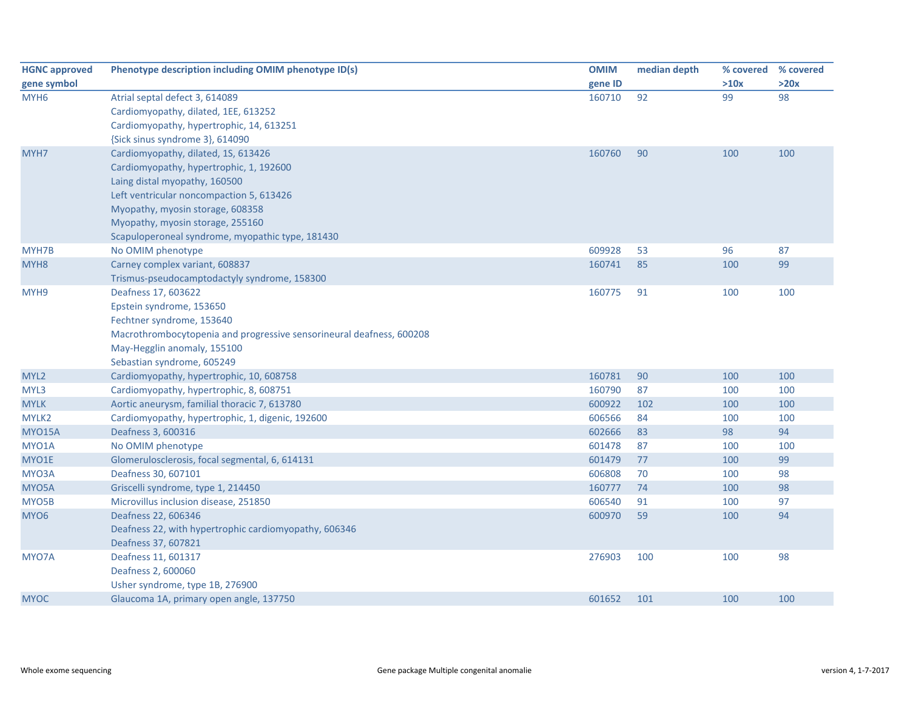| <b>HGNC approved</b> | Phenotype description including OMIM phenotype ID(s)                 | <b>OMIM</b> | median depth | % covered | % covered |
|----------------------|----------------------------------------------------------------------|-------------|--------------|-----------|-----------|
| gene symbol          |                                                                      | gene ID     |              | >10x      | >20x      |
| MYH <sub>6</sub>     | Atrial septal defect 3, 614089                                       | 160710      | 92           | 99        | 98        |
|                      | Cardiomyopathy, dilated, 1EE, 613252                                 |             |              |           |           |
|                      | Cardiomyopathy, hypertrophic, 14, 613251                             |             |              |           |           |
|                      | {Sick sinus syndrome 3}, 614090                                      |             |              |           |           |
| MYH7                 | Cardiomyopathy, dilated, 1S, 613426                                  | 160760      | 90           | 100       | 100       |
|                      | Cardiomyopathy, hypertrophic, 1, 192600                              |             |              |           |           |
|                      | Laing distal myopathy, 160500                                        |             |              |           |           |
|                      | Left ventricular noncompaction 5, 613426                             |             |              |           |           |
|                      | Myopathy, myosin storage, 608358                                     |             |              |           |           |
|                      | Myopathy, myosin storage, 255160                                     |             |              |           |           |
|                      | Scapuloperoneal syndrome, myopathic type, 181430                     |             |              |           |           |
| MYH7B                | No OMIM phenotype                                                    | 609928      | 53           | 96        | 87        |
| MYH <sub>8</sub>     | Carney complex variant, 608837                                       | 160741      | 85           | 100       | 99        |
|                      | Trismus-pseudocamptodactyly syndrome, 158300                         |             |              |           |           |
| MYH9                 | Deafness 17, 603622                                                  | 160775      | 91           | 100       | 100       |
|                      | Epstein syndrome, 153650                                             |             |              |           |           |
|                      | Fechtner syndrome, 153640                                            |             |              |           |           |
|                      | Macrothrombocytopenia and progressive sensorineural deafness, 600208 |             |              |           |           |
|                      | May-Hegglin anomaly, 155100                                          |             |              |           |           |
|                      | Sebastian syndrome, 605249                                           |             |              |           |           |
| MYL <sub>2</sub>     | Cardiomyopathy, hypertrophic, 10, 608758                             | 160781      | 90           | 100       | 100       |
| MYL3                 | Cardiomyopathy, hypertrophic, 8, 608751                              | 160790      | 87           | 100       | 100       |
| <b>MYLK</b>          | Aortic aneurysm, familial thoracic 7, 613780                         | 600922      | 102          | 100       | 100       |
| MYLK2                | Cardiomyopathy, hypertrophic, 1, digenic, 192600                     | 606566      | 84           | 100       | 100       |
| <b>MYO15A</b>        | Deafness 3, 600316                                                   | 602666      | 83           | 98        | 94        |
| MYO1A                | No OMIM phenotype                                                    | 601478      | 87           | 100       | 100       |
| MYO1E                | Glomerulosclerosis, focal segmental, 6, 614131                       | 601479      | 77           | 100       | 99        |
| MYO3A                | Deafness 30, 607101                                                  | 606808      | 70           | 100       | 98        |
| MYO5A                | Griscelli syndrome, type 1, 214450                                   | 160777      | 74           | 100       | 98        |
| MYO5B                | Microvillus inclusion disease, 251850                                | 606540      | 91           | 100       | 97        |
| MYO <sub>6</sub>     | Deafness 22, 606346                                                  | 600970      | 59           | 100       | 94        |
|                      | Deafness 22, with hypertrophic cardiomyopathy, 606346                |             |              |           |           |
|                      | Deafness 37, 607821                                                  |             |              |           |           |
| MYO7A                | Deafness 11, 601317                                                  | 276903      | 100          | 100       | 98        |
|                      | Deafness 2, 600060                                                   |             |              |           |           |
|                      | Usher syndrome, type 1B, 276900                                      |             |              |           |           |
| <b>MYOC</b>          | Glaucoma 1A, primary open angle, 137750                              | 601652      | 101          | 100       | 100       |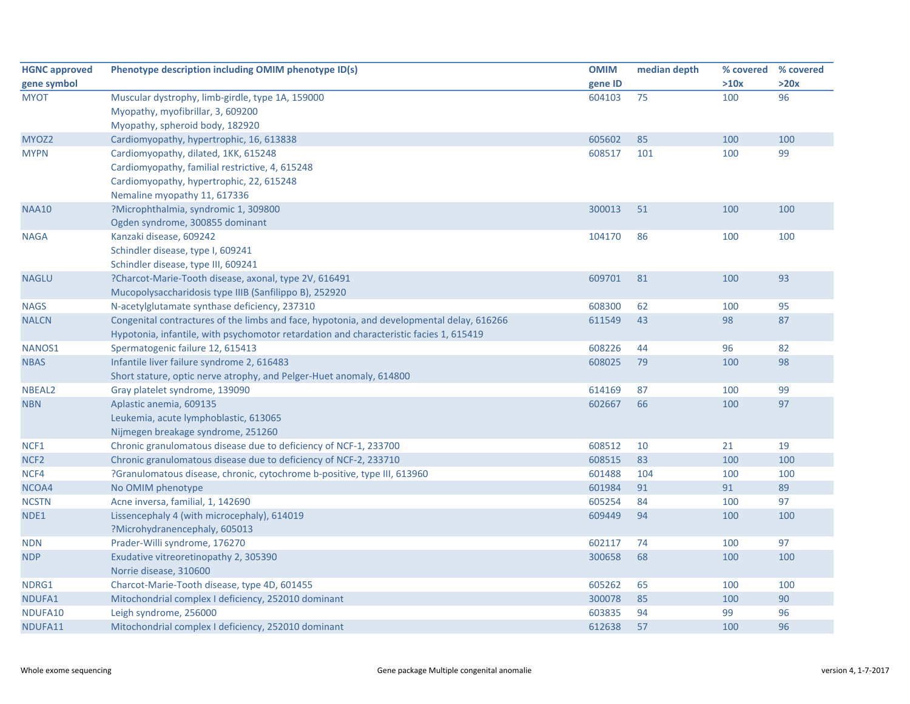| <b>HGNC approved</b> | Phenotype description including OMIM phenotype ID(s)                                      | <b>OMIM</b> | median depth | % covered | % covered |
|----------------------|-------------------------------------------------------------------------------------------|-------------|--------------|-----------|-----------|
| gene symbol          |                                                                                           | gene ID     |              | >10x      | >20x      |
| <b>MYOT</b>          | Muscular dystrophy, limb-girdle, type 1A, 159000                                          | 604103      | 75           | 100       | 96        |
|                      | Myopathy, myofibrillar, 3, 609200                                                         |             |              |           |           |
|                      | Myopathy, spheroid body, 182920                                                           |             |              |           |           |
| MYOZ2                | Cardiomyopathy, hypertrophic, 16, 613838                                                  | 605602      | 85           | 100       | 100       |
| <b>MYPN</b>          | Cardiomyopathy, dilated, 1KK, 615248                                                      | 608517      | 101          | 100       | 99        |
|                      | Cardiomyopathy, familial restrictive, 4, 615248                                           |             |              |           |           |
|                      | Cardiomyopathy, hypertrophic, 22, 615248                                                  |             |              |           |           |
|                      | Nemaline myopathy 11, 617336                                                              |             |              |           |           |
| <b>NAA10</b>         | ?Microphthalmia, syndromic 1, 309800                                                      | 300013      | 51           | 100       | 100       |
|                      | Ogden syndrome, 300855 dominant                                                           |             |              |           |           |
| <b>NAGA</b>          | Kanzaki disease, 609242                                                                   | 104170      | 86           | 100       | 100       |
|                      | Schindler disease, type I, 609241                                                         |             |              |           |           |
|                      | Schindler disease, type III, 609241                                                       |             |              |           |           |
| <b>NAGLU</b>         | ?Charcot-Marie-Tooth disease, axonal, type 2V, 616491                                     | 609701      | 81           | 100       | 93        |
|                      | Mucopolysaccharidosis type IIIB (Sanfilippo B), 252920                                    |             |              |           |           |
| <b>NAGS</b>          | N-acetylglutamate synthase deficiency, 237310                                             | 608300      | 62           | 100       | 95        |
| <b>NALCN</b>         | Congenital contractures of the limbs and face, hypotonia, and developmental delay, 616266 | 611549      | 43           | 98        | 87        |
|                      | Hypotonia, infantile, with psychomotor retardation and characteristic facies 1, 615419    |             |              |           |           |
| NANOS1               | Spermatogenic failure 12, 615413                                                          | 608226      | 44           | 96        | 82        |
| <b>NBAS</b>          | Infantile liver failure syndrome 2, 616483                                                | 608025      | 79           | 100       | 98        |
|                      | Short stature, optic nerve atrophy, and Pelger-Huet anomaly, 614800                       |             |              |           |           |
| NBEAL <sub>2</sub>   | Gray platelet syndrome, 139090                                                            | 614169      | 87           | 100       | 99        |
| <b>NBN</b>           | Aplastic anemia, 609135                                                                   | 602667      | 66           | 100       | 97        |
|                      | Leukemia, acute lymphoblastic, 613065                                                     |             |              |           |           |
|                      | Nijmegen breakage syndrome, 251260                                                        |             |              |           |           |
| NCF1                 | Chronic granulomatous disease due to deficiency of NCF-1, 233700                          | 608512      | 10           | 21        | 19        |
| NCF <sub>2</sub>     | Chronic granulomatous disease due to deficiency of NCF-2, 233710                          | 608515      | 83           | 100       | 100       |
| NCF4                 | ?Granulomatous disease, chronic, cytochrome b-positive, type III, 613960                  | 601488      | 104          | 100       | 100       |
| NCOA4                | No OMIM phenotype                                                                         | 601984      | 91           | 91        | 89        |
| <b>NCSTN</b>         | Acne inversa, familial, 1, 142690                                                         | 605254      | 84           | 100       | 97        |
| NDE1                 | Lissencephaly 4 (with microcephaly), 614019                                               | 609449      | 94           | 100       | 100       |
|                      | ?Microhydranencephaly, 605013                                                             |             |              |           |           |
| <b>NDN</b>           | Prader-Willi syndrome, 176270                                                             | 602117      | 74           | 100       | 97        |
| <b>NDP</b>           | Exudative vitreoretinopathy 2, 305390                                                     | 300658      | 68           | 100       | 100       |
|                      | Norrie disease, 310600                                                                    |             |              |           |           |
| NDRG1                | Charcot-Marie-Tooth disease, type 4D, 601455                                              | 605262      | 65           | 100       | 100       |
| NDUFA1               | Mitochondrial complex I deficiency, 252010 dominant                                       | 300078      | 85           | 100       | 90        |
| NDUFA10              | Leigh syndrome, 256000                                                                    | 603835      | 94           | 99        | 96        |
| NDUFA11              | Mitochondrial complex I deficiency, 252010 dominant                                       | 612638      | 57           | 100       | 96        |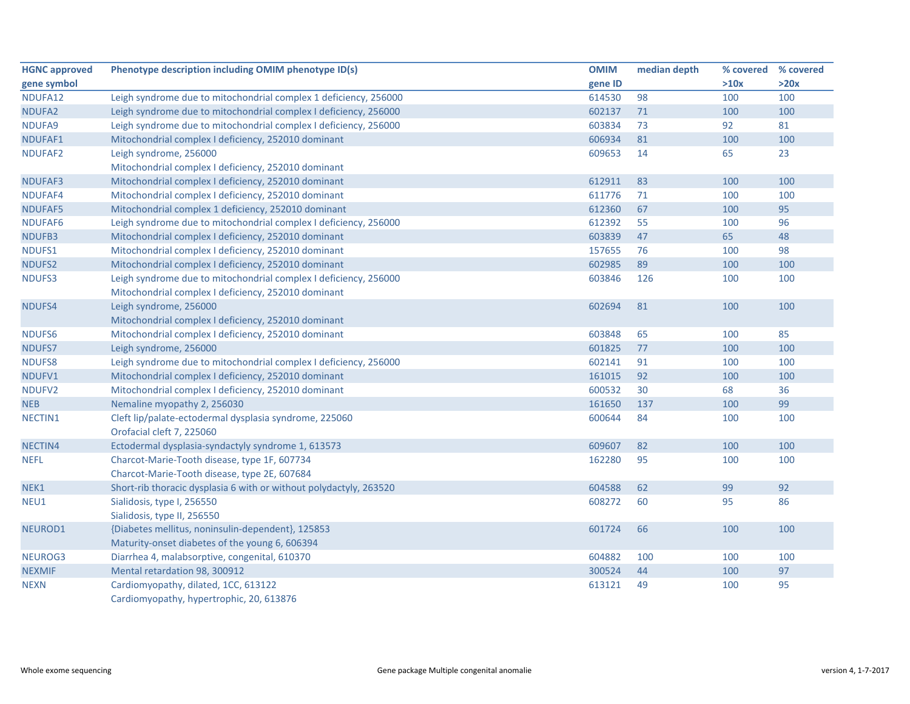| <b>HGNC approved</b> | Phenotype description including OMIM phenotype ID(s)               | <b>OMIM</b> | median depth | % covered % covered |      |
|----------------------|--------------------------------------------------------------------|-------------|--------------|---------------------|------|
| gene symbol          |                                                                    | gene ID     |              | >10x                | >20x |
| NDUFA12              | Leigh syndrome due to mitochondrial complex 1 deficiency, 256000   | 614530      | 98           | 100                 | 100  |
| NDUFA2               | Leigh syndrome due to mitochondrial complex I deficiency, 256000   | 602137      | 71           | 100                 | 100  |
| NDUFA9               | Leigh syndrome due to mitochondrial complex I deficiency, 256000   | 603834      | 73           | 92                  | 81   |
| NDUFAF1              | Mitochondrial complex I deficiency, 252010 dominant                | 606934      | 81           | 100                 | 100  |
| NDUFAF2              | Leigh syndrome, 256000                                             | 609653      | 14           | 65                  | 23   |
|                      | Mitochondrial complex I deficiency, 252010 dominant                |             |              |                     |      |
| NDUFAF3              | Mitochondrial complex I deficiency, 252010 dominant                | 612911      | 83           | 100                 | 100  |
| NDUFAF4              | Mitochondrial complex I deficiency, 252010 dominant                | 611776      | 71           | 100                 | 100  |
| NDUFAF5              | Mitochondrial complex 1 deficiency, 252010 dominant                | 612360      | 67           | 100                 | 95   |
| NDUFAF6              | Leigh syndrome due to mitochondrial complex I deficiency, 256000   | 612392      | 55           | 100                 | 96   |
| NDUFB3               | Mitochondrial complex I deficiency, 252010 dominant                | 603839      | 47           | 65                  | 48   |
| NDUFS1               | Mitochondrial complex I deficiency, 252010 dominant                | 157655      | 76           | 100                 | 98   |
| NDUFS2               | Mitochondrial complex I deficiency, 252010 dominant                | 602985      | 89           | 100                 | 100  |
| NDUFS3               | Leigh syndrome due to mitochondrial complex I deficiency, 256000   | 603846      | 126          | 100                 | 100  |
|                      | Mitochondrial complex I deficiency, 252010 dominant                |             |              |                     |      |
| NDUFS4               | Leigh syndrome, 256000                                             | 602694      | 81           | 100                 | 100  |
|                      | Mitochondrial complex I deficiency, 252010 dominant                |             |              |                     |      |
| NDUFS6               | Mitochondrial complex I deficiency, 252010 dominant                | 603848      | 65           | 100                 | 85   |
| NDUFS7               | Leigh syndrome, 256000                                             | 601825      | 77           | 100                 | 100  |
| NDUFS8               | Leigh syndrome due to mitochondrial complex I deficiency, 256000   | 602141      | 91           | 100                 | 100  |
| NDUFV1               | Mitochondrial complex I deficiency, 252010 dominant                | 161015      | 92           | 100                 | 100  |
| NDUFV2               | Mitochondrial complex I deficiency, 252010 dominant                | 600532      | 30           | 68                  | 36   |
| <b>NEB</b>           | Nemaline myopathy 2, 256030                                        | 161650      | 137          | 100                 | 99   |
| NECTIN1              | Cleft lip/palate-ectodermal dysplasia syndrome, 225060             | 600644      | 84           | 100                 | 100  |
|                      | Orofacial cleft 7, 225060                                          |             |              |                     |      |
| NECTIN4              | Ectodermal dysplasia-syndactyly syndrome 1, 613573                 | 609607      | 82           | 100                 | 100  |
| <b>NEFL</b>          | Charcot-Marie-Tooth disease, type 1F, 607734                       | 162280      | 95           | 100                 | 100  |
|                      | Charcot-Marie-Tooth disease, type 2E, 607684                       |             |              |                     |      |
| NEK1                 | Short-rib thoracic dysplasia 6 with or without polydactyly, 263520 | 604588      | 62           | 99                  | 92   |
| NEU1                 | Sialidosis, type I, 256550                                         | 608272      | 60           | 95                  | 86   |
|                      | Sialidosis, type II, 256550                                        |             |              |                     |      |
| NEUROD1              | {Diabetes mellitus, noninsulin-dependent}, 125853                  | 601724      | 66           | 100                 | 100  |
|                      | Maturity-onset diabetes of the young 6, 606394                     |             |              |                     |      |
| NEUROG3              | Diarrhea 4, malabsorptive, congenital, 610370                      | 604882      | 100          | 100                 | 100  |
| <b>NEXMIF</b>        | Mental retardation 98, 300912                                      | 300524      | 44           | 100                 | 97   |
| <b>NEXN</b>          | Cardiomyopathy, dilated, 1CC, 613122                               | 613121      | 49           | 100                 | 95   |
|                      | Cardiomyopathy, hypertrophic, 20, 613876                           |             |              |                     |      |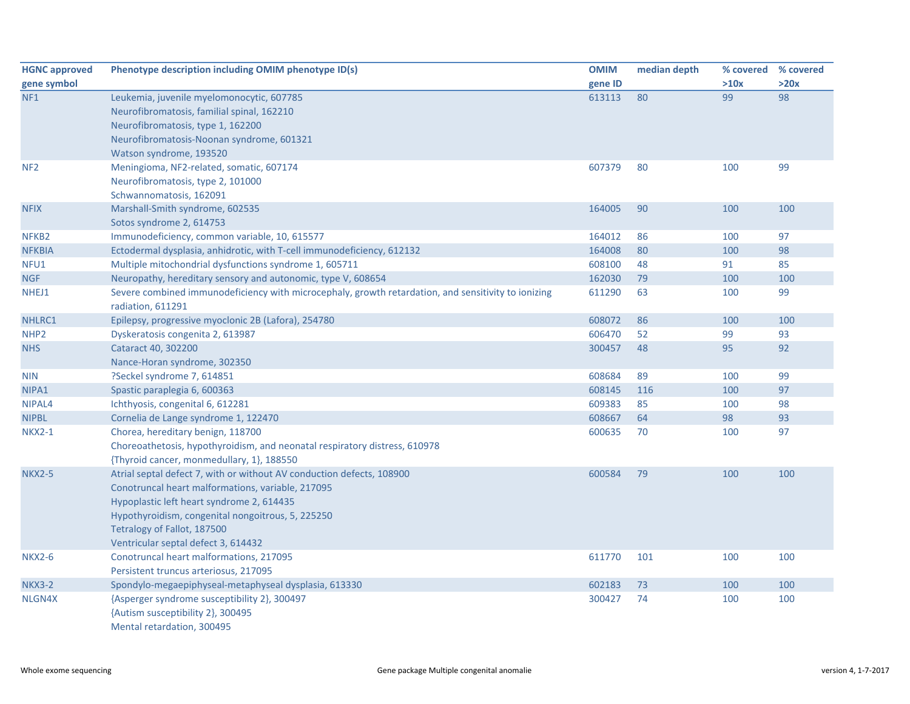| <b>HGNC approved</b> | Phenotype description including OMIM phenotype ID(s)                                                                     | <b>OMIM</b> | median depth | % covered | % covered |
|----------------------|--------------------------------------------------------------------------------------------------------------------------|-------------|--------------|-----------|-----------|
| gene symbol          |                                                                                                                          | gene ID     |              | >10x      | >20x      |
| NF <sub>1</sub>      | Leukemia, juvenile myelomonocytic, 607785                                                                                | 613113      | 80           | 99        | 98        |
|                      | Neurofibromatosis, familial spinal, 162210                                                                               |             |              |           |           |
|                      | Neurofibromatosis, type 1, 162200                                                                                        |             |              |           |           |
|                      | Neurofibromatosis-Noonan syndrome, 601321                                                                                |             |              |           |           |
|                      | Watson syndrome, 193520                                                                                                  |             |              |           |           |
| NF <sub>2</sub>      | Meningioma, NF2-related, somatic, 607174                                                                                 | 607379      | 80           | 100       | 99        |
|                      | Neurofibromatosis, type 2, 101000                                                                                        |             |              |           |           |
|                      | Schwannomatosis, 162091                                                                                                  |             |              |           |           |
| <b>NFIX</b>          | Marshall-Smith syndrome, 602535                                                                                          | 164005      | 90           | 100       | 100       |
|                      | Sotos syndrome 2, 614753                                                                                                 |             |              |           |           |
| NFKB <sub>2</sub>    | Immunodeficiency, common variable, 10, 615577                                                                            | 164012      | 86           | 100       | 97        |
| <b>NFKBIA</b>        | Ectodermal dysplasia, anhidrotic, with T-cell immunodeficiency, 612132                                                   | 164008      | 80           | 100       | 98        |
| NFU1                 | Multiple mitochondrial dysfunctions syndrome 1, 605711                                                                   | 608100      | 48           | 91        | 85        |
| <b>NGF</b>           | Neuropathy, hereditary sensory and autonomic, type V, 608654                                                             | 162030      | 79           | 100       | 100       |
| NHEJ1                | Severe combined immunodeficiency with microcephaly, growth retardation, and sensitivity to ionizing<br>radiation, 611291 | 611290      | 63           | 100       | 99        |
| NHLRC1               | Epilepsy, progressive myoclonic 2B (Lafora), 254780                                                                      | 608072      | 86           | 100       | 100       |
| NHP <sub>2</sub>     | Dyskeratosis congenita 2, 613987                                                                                         | 606470      | 52           | 99        | 93        |
| <b>NHS</b>           | Cataract 40, 302200                                                                                                      | 300457      | 48           | 95        | 92        |
|                      | Nance-Horan syndrome, 302350                                                                                             |             |              |           |           |
| <b>NIN</b>           | ?Seckel syndrome 7, 614851                                                                                               | 608684      | 89           | 100       | 99        |
| NIPA1                | Spastic paraplegia 6, 600363                                                                                             | 608145      | 116          | 100       | 97        |
| NIPAL4               | Ichthyosis, congenital 6, 612281                                                                                         | 609383      | 85           | 100       | 98        |
| <b>NIPBL</b>         | Cornelia de Lange syndrome 1, 122470                                                                                     | 608667      | 64           | 98        | 93        |
| <b>NKX2-1</b>        | Chorea, hereditary benign, 118700                                                                                        | 600635      | 70           | 100       | 97        |
|                      | Choreoathetosis, hypothyroidism, and neonatal respiratory distress, 610978                                               |             |              |           |           |
|                      | {Thyroid cancer, monmedullary, 1}, 188550                                                                                |             |              |           |           |
| <b>NKX2-5</b>        | Atrial septal defect 7, with or without AV conduction defects, 108900                                                    | 600584      | 79           | 100       | 100       |
|                      | Conotruncal heart malformations, variable, 217095                                                                        |             |              |           |           |
|                      | Hypoplastic left heart syndrome 2, 614435                                                                                |             |              |           |           |
|                      | Hypothyroidism, congenital nongoitrous, 5, 225250                                                                        |             |              |           |           |
|                      | Tetralogy of Fallot, 187500                                                                                              |             |              |           |           |
|                      | Ventricular septal defect 3, 614432                                                                                      |             |              |           |           |
| <b>NKX2-6</b>        | Conotruncal heart malformations, 217095                                                                                  | 611770      | 101          | 100       | 100       |
|                      | Persistent truncus arteriosus, 217095                                                                                    |             |              |           |           |
| <b>NKX3-2</b>        | Spondylo-megaepiphyseal-metaphyseal dysplasia, 613330                                                                    | 602183      | 73           | 100       | 100       |
| NLGN4X               | {Asperger syndrome susceptibility 2}, 300497                                                                             | 300427      | 74           | 100       | 100       |
|                      | {Autism susceptibility 2}, 300495                                                                                        |             |              |           |           |
|                      | Mental retardation, 300495                                                                                               |             |              |           |           |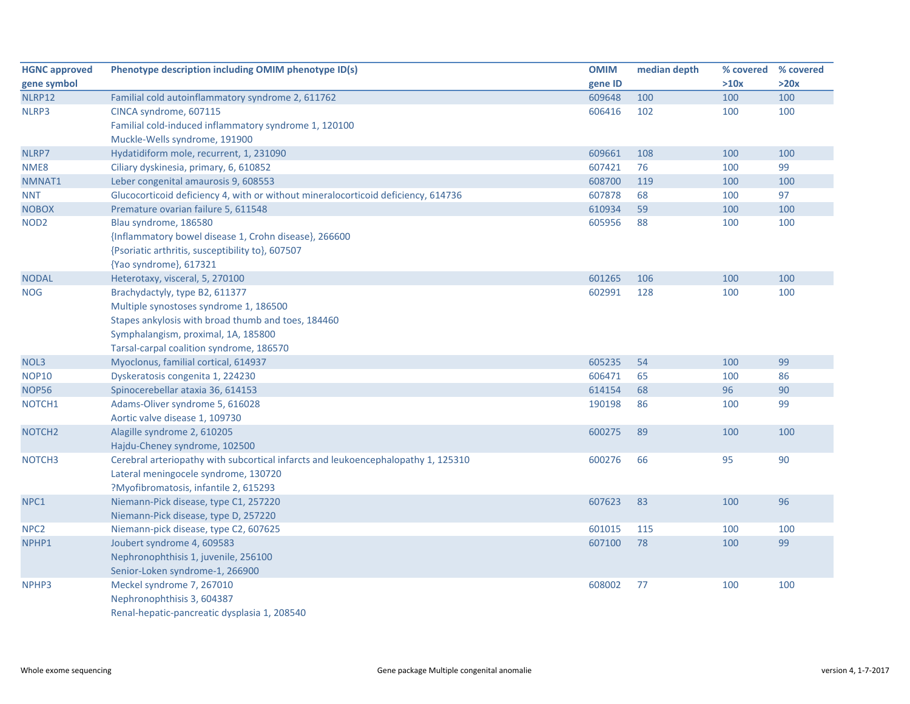| <b>HGNC approved</b> | Phenotype description including OMIM phenotype ID(s)                              | <b>OMIM</b> | median depth | % covered | % covered |
|----------------------|-----------------------------------------------------------------------------------|-------------|--------------|-----------|-----------|
| gene symbol          |                                                                                   | gene ID     |              | >10x      | >20x      |
| NLRP12               | Familial cold autoinflammatory syndrome 2, 611762                                 | 609648      | 100          | 100       | 100       |
| NLRP3                | CINCA syndrome, 607115                                                            | 606416      | 102          | 100       | 100       |
|                      | Familial cold-induced inflammatory syndrome 1, 120100                             |             |              |           |           |
|                      | Muckle-Wells syndrome, 191900                                                     |             |              |           |           |
| NLRP7                | Hydatidiform mole, recurrent, 1, 231090                                           | 609661      | 108          | 100       | 100       |
| NME8                 | Ciliary dyskinesia, primary, 6, 610852                                            | 607421      | 76           | 100       | 99        |
| NMNAT1               | Leber congenital amaurosis 9, 608553                                              | 608700      | 119          | 100       | 100       |
| <b>NNT</b>           | Glucocorticoid deficiency 4, with or without mineralocorticoid deficiency, 614736 | 607878      | 68           | 100       | 97        |
| <b>NOBOX</b>         | Premature ovarian failure 5, 611548                                               | 610934      | 59           | 100       | 100       |
| NOD <sub>2</sub>     | Blau syndrome, 186580                                                             | 605956      | 88           | 100       | 100       |
|                      | {Inflammatory bowel disease 1, Crohn disease}, 266600                             |             |              |           |           |
|                      | {Psoriatic arthritis, susceptibility to}, 607507                                  |             |              |           |           |
|                      | {Yao syndrome}, 617321                                                            |             |              |           |           |
| <b>NODAL</b>         | Heterotaxy, visceral, 5, 270100                                                   | 601265      | 106          | 100       | 100       |
| <b>NOG</b>           | Brachydactyly, type B2, 611377                                                    | 602991      | 128          | 100       | 100       |
|                      | Multiple synostoses syndrome 1, 186500                                            |             |              |           |           |
|                      | Stapes ankylosis with broad thumb and toes, 184460                                |             |              |           |           |
|                      | Symphalangism, proximal, 1A, 185800                                               |             |              |           |           |
|                      | Tarsal-carpal coalition syndrome, 186570                                          |             |              |           |           |
| NOL3                 | Myoclonus, familial cortical, 614937                                              | 605235      | 54           | 100       | 99        |
| <b>NOP10</b>         | Dyskeratosis congenita 1, 224230                                                  | 606471      | 65           | 100       | 86        |
| <b>NOP56</b>         | Spinocerebellar ataxia 36, 614153                                                 | 614154      | 68           | 96        | 90        |
| NOTCH1               | Adams-Oliver syndrome 5, 616028                                                   | 190198      | 86           | 100       | 99        |
|                      | Aortic valve disease 1, 109730                                                    |             |              |           |           |
| NOTCH <sub>2</sub>   | Alagille syndrome 2, 610205                                                       | 600275      | 89           | 100       | 100       |
|                      | Hajdu-Cheney syndrome, 102500                                                     |             |              |           |           |
| NOTCH <sub>3</sub>   | Cerebral arteriopathy with subcortical infarcts and leukoencephalopathy 1, 125310 | 600276      | 66           | 95        | 90        |
|                      | Lateral meningocele syndrome, 130720                                              |             |              |           |           |
|                      | ?Myofibromatosis, infantile 2, 615293                                             |             |              |           |           |
| NPC1                 | Niemann-Pick disease, type C1, 257220                                             | 607623      | 83           | 100       | 96        |
|                      | Niemann-Pick disease, type D, 257220                                              |             |              |           |           |
| NPC <sub>2</sub>     | Niemann-pick disease, type C2, 607625                                             | 601015      | 115          | 100       | 100       |
| NPHP1                | Joubert syndrome 4, 609583                                                        | 607100      | 78           | 100       | 99        |
|                      | Nephronophthisis 1, juvenile, 256100                                              |             |              |           |           |
|                      | Senior-Loken syndrome-1, 266900                                                   |             |              |           |           |
| NPHP3                | Meckel syndrome 7, 267010                                                         | 608002      | 77           | 100       | 100       |
|                      | Nephronophthisis 3, 604387                                                        |             |              |           |           |
|                      | Renal-hepatic-pancreatic dysplasia 1, 208540                                      |             |              |           |           |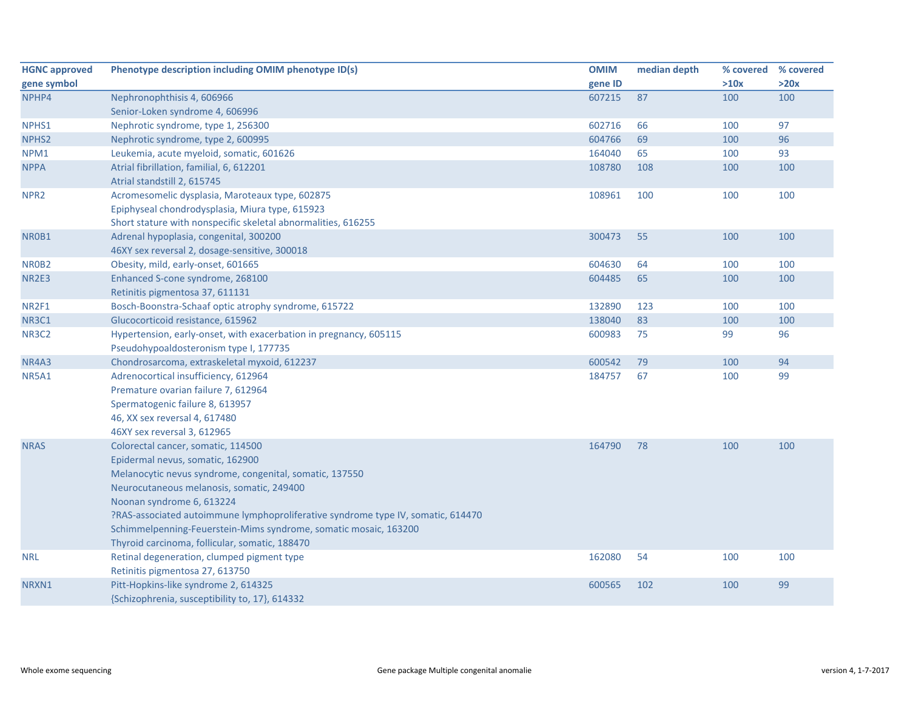| <b>HGNC approved</b> | Phenotype description including OMIM phenotype ID(s)                             | <b>OMIM</b> | median depth | % covered | % covered |
|----------------------|----------------------------------------------------------------------------------|-------------|--------------|-----------|-----------|
| gene symbol          |                                                                                  | gene ID     |              | >10x      | >20x      |
| NPHP4                | Nephronophthisis 4, 606966                                                       | 607215      | 87           | 100       | 100       |
|                      | Senior-Loken syndrome 4, 606996                                                  |             |              |           |           |
| NPHS1                | Nephrotic syndrome, type 1, 256300                                               | 602716      | 66           | 100       | 97        |
| NPHS <sub>2</sub>    | Nephrotic syndrome, type 2, 600995                                               | 604766      | 69           | 100       | 96        |
| NPM1                 | Leukemia, acute myeloid, somatic, 601626                                         | 164040      | 65           | 100       | 93        |
| <b>NPPA</b>          | Atrial fibrillation, familial, 6, 612201                                         | 108780      | 108          | 100       | 100       |
|                      | Atrial standstill 2, 615745                                                      |             |              |           |           |
| NPR <sub>2</sub>     | Acromesomelic dysplasia, Maroteaux type, 602875                                  | 108961      | 100          | 100       | 100       |
|                      | Epiphyseal chondrodysplasia, Miura type, 615923                                  |             |              |           |           |
|                      | Short stature with nonspecific skeletal abnormalities, 616255                    |             |              |           |           |
| NR0B1                | Adrenal hypoplasia, congenital, 300200                                           | 300473      | 55           | 100       | 100       |
|                      | 46XY sex reversal 2, dosage-sensitive, 300018                                    |             |              |           |           |
| NR0B2                | Obesity, mild, early-onset, 601665                                               | 604630      | 64           | 100       | 100       |
| <b>NR2E3</b>         | Enhanced S-cone syndrome, 268100                                                 | 604485      | 65           | 100       | 100       |
|                      | Retinitis pigmentosa 37, 611131                                                  |             |              |           |           |
| NR2F1                | Bosch-Boonstra-Schaaf optic atrophy syndrome, 615722                             | 132890      | 123          | 100       | 100       |
| NR3C1                | Glucocorticoid resistance, 615962                                                | 138040      | 83           | 100       | 100       |
| <b>NR3C2</b>         | Hypertension, early-onset, with exacerbation in pregnancy, 605115                | 600983      | 75           | 99        | 96        |
|                      | Pseudohypoaldosteronism type I, 177735                                           |             |              |           |           |
| NR4A3                | Chondrosarcoma, extraskeletal myxoid, 612237                                     | 600542      | 79           | 100       | 94        |
| <b>NR5A1</b>         | Adrenocortical insufficiency, 612964                                             | 184757      | 67           | 100       | 99        |
|                      | Premature ovarian failure 7, 612964                                              |             |              |           |           |
|                      | Spermatogenic failure 8, 613957                                                  |             |              |           |           |
|                      | 46, XX sex reversal 4, 617480                                                    |             |              |           |           |
|                      | 46XY sex reversal 3, 612965                                                      |             |              |           |           |
| <b>NRAS</b>          | Colorectal cancer, somatic, 114500                                               | 164790      | 78           | 100       | 100       |
|                      | Epidermal nevus, somatic, 162900                                                 |             |              |           |           |
|                      | Melanocytic nevus syndrome, congenital, somatic, 137550                          |             |              |           |           |
|                      | Neurocutaneous melanosis, somatic, 249400                                        |             |              |           |           |
|                      | Noonan syndrome 6, 613224                                                        |             |              |           |           |
|                      | ?RAS-associated autoimmune lymphoproliferative syndrome type IV, somatic, 614470 |             |              |           |           |
|                      | Schimmelpenning-Feuerstein-Mims syndrome, somatic mosaic, 163200                 |             |              |           |           |
|                      | Thyroid carcinoma, follicular, somatic, 188470                                   |             |              |           |           |
| <b>NRL</b>           | Retinal degeneration, clumped pigment type                                       | 162080      | 54           | 100       | 100       |
|                      | Retinitis pigmentosa 27, 613750                                                  |             |              |           |           |
| NRXN1                | Pitt-Hopkins-like syndrome 2, 614325                                             | 600565      | 102          | 100       | 99        |
|                      | {Schizophrenia, susceptibility to, 17}, 614332                                   |             |              |           |           |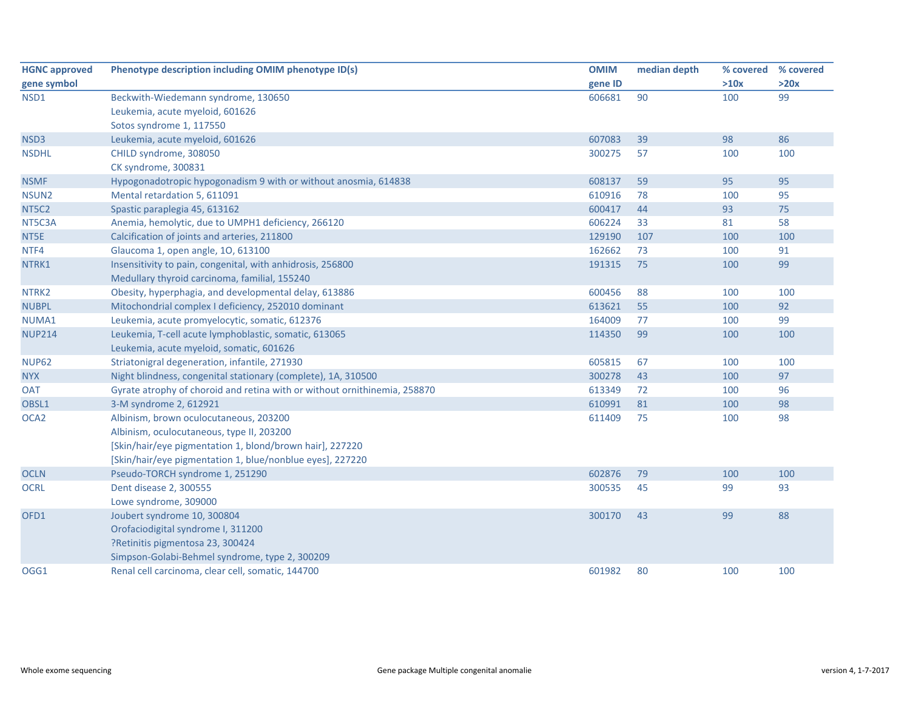| <b>HGNC approved</b> | Phenotype description including OMIM phenotype ID(s)                      | <b>OMIM</b> | median depth | % covered | % covered |
|----------------------|---------------------------------------------------------------------------|-------------|--------------|-----------|-----------|
| gene symbol          |                                                                           | gene ID     |              | >10x      | >20x      |
| NSD1                 | Beckwith-Wiedemann syndrome, 130650                                       | 606681      | 90           | 100       | 99        |
|                      | Leukemia, acute myeloid, 601626                                           |             |              |           |           |
|                      | Sotos syndrome 1, 117550                                                  |             |              |           |           |
| NSD3                 | Leukemia, acute myeloid, 601626                                           | 607083      | 39           | 98        | 86        |
| <b>NSDHL</b>         | CHILD syndrome, 308050                                                    | 300275      | 57           | 100       | 100       |
|                      | CK syndrome, 300831                                                       |             |              |           |           |
| <b>NSMF</b>          | Hypogonadotropic hypogonadism 9 with or without anosmia, 614838           | 608137      | 59           | 95        | 95        |
| NSUN <sub>2</sub>    | Mental retardation 5, 611091                                              | 610916      | 78           | 100       | 95        |
| NT5C2                | Spastic paraplegia 45, 613162                                             | 600417      | 44           | 93        | 75        |
| NT5C3A               | Anemia, hemolytic, due to UMPH1 deficiency, 266120                        | 606224      | 33           | 81        | 58        |
| NT5E                 | Calcification of joints and arteries, 211800                              | 129190      | 107          | 100       | 100       |
| NTF4                 | Glaucoma 1, open angle, 10, 613100                                        | 162662      | 73           | 100       | 91        |
| NTRK1                | Insensitivity to pain, congenital, with anhidrosis, 256800                | 191315      | 75           | 100       | 99        |
|                      | Medullary thyroid carcinoma, familial, 155240                             |             |              |           |           |
| NTRK2                | Obesity, hyperphagia, and developmental delay, 613886                     | 600456      | 88           | 100       | 100       |
| <b>NUBPL</b>         | Mitochondrial complex I deficiency, 252010 dominant                       | 613621      | 55           | 100       | 92        |
| NUMA1                | Leukemia, acute promyelocytic, somatic, 612376                            | 164009      | 77           | 100       | 99        |
| <b>NUP214</b>        | Leukemia, T-cell acute lymphoblastic, somatic, 613065                     | 114350      | 99           | 100       | 100       |
|                      | Leukemia, acute myeloid, somatic, 601626                                  |             |              |           |           |
| <b>NUP62</b>         | Striatonigral degeneration, infantile, 271930                             | 605815      | 67           | 100       | 100       |
| <b>NYX</b>           | Night blindness, congenital stationary (complete), 1A, 310500             | 300278      | 43           | 100       | 97        |
| <b>OAT</b>           | Gyrate atrophy of choroid and retina with or without ornithinemia, 258870 | 613349      | 72           | 100       | 96        |
| OBSL1                | 3-M syndrome 2, 612921                                                    | 610991      | 81           | 100       | 98        |
| OCA <sub>2</sub>     | Albinism, brown oculocutaneous, 203200                                    | 611409      | 75           | 100       | 98        |
|                      | Albinism, oculocutaneous, type II, 203200                                 |             |              |           |           |
|                      | [Skin/hair/eye pigmentation 1, blond/brown hair], 227220                  |             |              |           |           |
|                      | [Skin/hair/eye pigmentation 1, blue/nonblue eyes], 227220                 |             |              |           |           |
| <b>OCLN</b>          | Pseudo-TORCH syndrome 1, 251290                                           | 602876      | 79           | 100       | 100       |
| <b>OCRL</b>          | Dent disease 2, 300555                                                    | 300535      | 45           | 99        | 93        |
|                      | Lowe syndrome, 309000                                                     |             |              |           |           |
| OFD1                 | Joubert syndrome 10, 300804                                               | 300170      | 43           | 99        | 88        |
|                      | Orofaciodigital syndrome I, 311200                                        |             |              |           |           |
|                      | ?Retinitis pigmentosa 23, 300424                                          |             |              |           |           |
|                      | Simpson-Golabi-Behmel syndrome, type 2, 300209                            |             |              |           |           |
| OGG1                 | Renal cell carcinoma, clear cell, somatic, 144700                         | 601982      | 80           | 100       | 100       |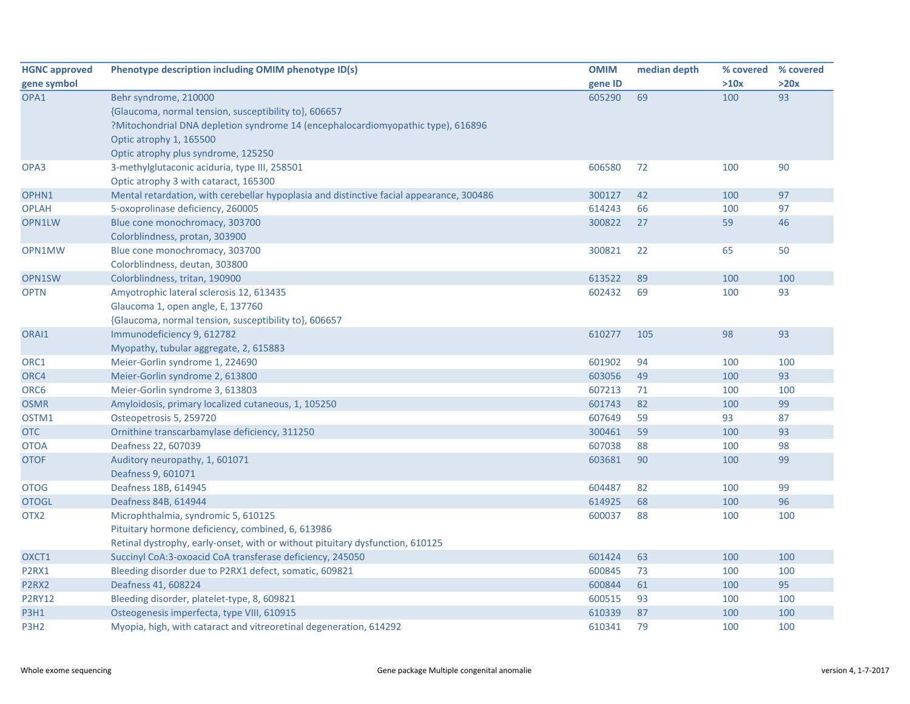| <b>HGNC approved</b> | Phenotype description including OMIM phenotype ID(s)                                     | <b>OMIM</b> | median depth |      | % covered % covered |
|----------------------|------------------------------------------------------------------------------------------|-------------|--------------|------|---------------------|
| gene symbol          |                                                                                          | gene ID     |              | >10x | >20x                |
| OPA1                 | Behr syndrome, 210000                                                                    | 605290      | 69           | 100  | 93                  |
|                      | {Glaucoma, normal tension, susceptibility to}, 606657                                    |             |              |      |                     |
|                      | ?Mitochondrial DNA depletion syndrome 14 (encephalocardiomyopathic type), 616896         |             |              |      |                     |
|                      | Optic atrophy 1, 165500                                                                  |             |              |      |                     |
|                      | Optic atrophy plus syndrome, 125250                                                      |             |              |      |                     |
| OPA3                 | 3-methylglutaconic aciduria, type III, 258501                                            | 606580      | 72           | 100  | 90                  |
|                      | Optic atrophy 3 with cataract, 165300                                                    |             |              |      |                     |
| OPHN1                | Mental retardation, with cerebellar hypoplasia and distinctive facial appearance, 300486 | 300127      | 42           | 100  | 97                  |
| <b>OPLAH</b>         | 5-oxoprolinase deficiency, 260005                                                        | 614243      | 66           | 100  | 97                  |
| OPN1LW               | Blue cone monochromacy, 303700                                                           | 300822      | 27           | 59   | 46                  |
|                      | Colorblindness, protan, 303900                                                           |             |              |      |                     |
| OPN1MW               | Blue cone monochromacy, 303700                                                           | 300821      | 22           | 65   | 50                  |
|                      | Colorblindness, deutan, 303800                                                           |             |              |      |                     |
| OPN1SW               | Colorblindness, tritan, 190900                                                           | 613522      | 89           | 100  | 100                 |
| <b>OPTN</b>          | Amyotrophic lateral sclerosis 12, 613435                                                 | 602432      | 69           | 100  | 93                  |
|                      | Glaucoma 1, open angle, E, 137760                                                        |             |              |      |                     |
|                      | {Glaucoma, normal tension, susceptibility to}, 606657                                    |             |              |      |                     |
| ORAI1                | Immunodeficiency 9, 612782                                                               | 610277      | 105          | 98   | 93                  |
|                      | Myopathy, tubular aggregate, 2, 615883                                                   |             |              |      |                     |
| ORC1                 | Meier-Gorlin syndrome 1, 224690                                                          | 601902      | 94           | 100  | 100                 |
| ORC4                 | Meier-Gorlin syndrome 2, 613800                                                          | 603056      | 49           | 100  | 93                  |
| ORC6                 | Meier-Gorlin syndrome 3, 613803                                                          | 607213      | 71           | 100  | 100                 |
| <b>OSMR</b>          | Amyloidosis, primary localized cutaneous, 1, 105250                                      | 601743      | 82           | 100  | 99                  |
| OSTM1                | Osteopetrosis 5, 259720                                                                  | 607649      | 59           | 93   | 87                  |
| <b>OTC</b>           | Ornithine transcarbamylase deficiency, 311250                                            | 300461      | 59           | 100  | 93                  |
| <b>OTOA</b>          | Deafness 22, 607039                                                                      | 607038      | 88           | 100  | 98                  |
| <b>OTOF</b>          | Auditory neuropathy, 1, 601071                                                           | 603681      | 90           | 100  | 99                  |
|                      | Deafness 9, 601071                                                                       |             |              |      |                     |
| <b>OTOG</b>          | Deafness 18B, 614945                                                                     | 604487      | 82           | 100  | 99                  |
| <b>OTOGL</b>         | Deafness 84B, 614944                                                                     | 614925      | 68           | 100  | 96                  |
| OTX <sub>2</sub>     | Microphthalmia, syndromic 5, 610125                                                      | 600037      | 88           | 100  | 100                 |
|                      | Pituitary hormone deficiency, combined, 6, 613986                                        |             |              |      |                     |
|                      | Retinal dystrophy, early-onset, with or without pituitary dysfunction, 610125            |             |              |      |                     |
| OXCT1                | Succinyl CoA:3-oxoacid CoA transferase deficiency, 245050                                | 601424      | 63           | 100  | 100                 |
| P2RX1                | Bleeding disorder due to P2RX1 defect, somatic, 609821                                   | 600845      | 73           | 100  | 100                 |
| P2RX2                | Deafness 41, 608224                                                                      | 600844      | 61           | 100  | 95                  |
| <b>P2RY12</b>        | Bleeding disorder, platelet-type, 8, 609821                                              | 600515      | 93           | 100  | 100                 |
| <b>P3H1</b>          | Osteogenesis imperfecta, type VIII, 610915                                               | 610339      | 87           | 100  | 100                 |
| P3H <sub>2</sub>     | Myopia, high, with cataract and vitreoretinal degeneration, 614292                       | 610341      | 79           | 100  | 100                 |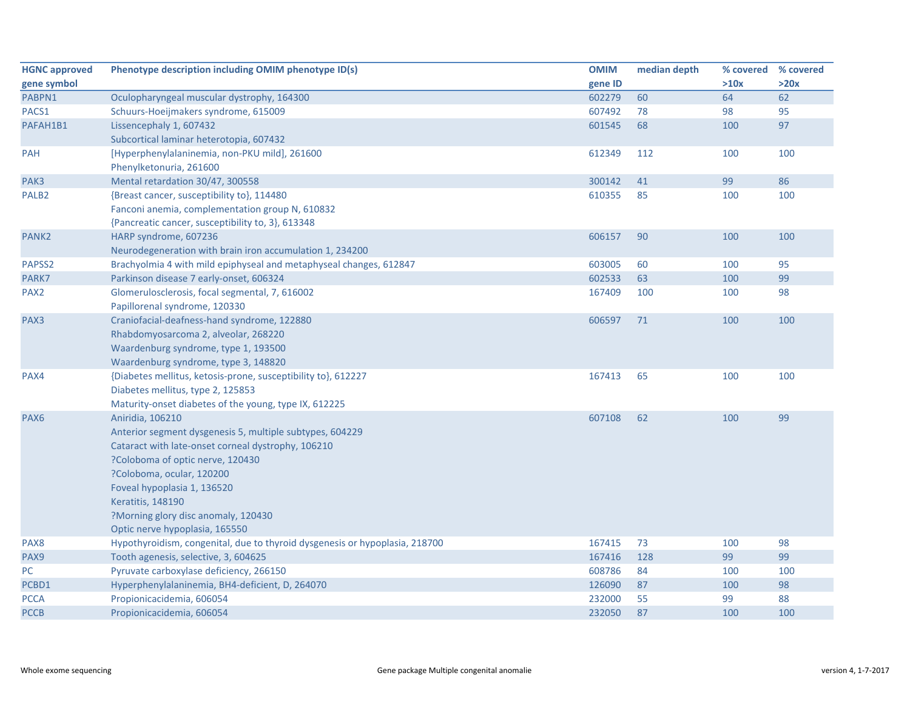| <b>HGNC approved</b> | Phenotype description including OMIM phenotype ID(s)                        | <b>OMIM</b> | median depth | % covered % covered |      |
|----------------------|-----------------------------------------------------------------------------|-------------|--------------|---------------------|------|
| gene symbol          |                                                                             | gene ID     |              | >10x                | >20x |
| PABPN1               | Oculopharyngeal muscular dystrophy, 164300                                  | 602279      | 60           | 64                  | 62   |
| PACS1                | Schuurs-Hoeijmakers syndrome, 615009                                        | 607492      | 78           | 98                  | 95   |
| PAFAH1B1             | Lissencephaly 1, 607432                                                     | 601545      | 68           | 100                 | 97   |
|                      | Subcortical laminar heterotopia, 607432                                     |             |              |                     |      |
| PAH                  | [Hyperphenylalaninemia, non-PKU mild], 261600                               | 612349      | 112          | 100                 | 100  |
|                      | Phenylketonuria, 261600                                                     |             |              |                     |      |
| PAK3                 | Mental retardation 30/47, 300558                                            | 300142      | 41           | 99                  | 86   |
| PALB <sub>2</sub>    | {Breast cancer, susceptibility to}, 114480                                  | 610355      | 85           | 100                 | 100  |
|                      | Fanconi anemia, complementation group N, 610832                             |             |              |                     |      |
|                      | {Pancreatic cancer, susceptibility to, 3}, 613348                           |             |              |                     |      |
| PANK <sub>2</sub>    | HARP syndrome, 607236                                                       | 606157      | 90           | 100                 | 100  |
|                      | Neurodegeneration with brain iron accumulation 1, 234200                    |             |              |                     |      |
| PAPSS2               | Brachyolmia 4 with mild epiphyseal and metaphyseal changes, 612847          | 603005      | 60           | 100                 | 95   |
| PARK7                | Parkinson disease 7 early-onset, 606324                                     | 602533      | 63           | 100                 | 99   |
| PAX <sub>2</sub>     | Glomerulosclerosis, focal segmental, 7, 616002                              | 167409      | 100          | 100                 | 98   |
|                      | Papillorenal syndrome, 120330                                               |             |              |                     |      |
| PAX3                 | Craniofacial-deafness-hand syndrome, 122880                                 | 606597      | 71           | 100                 | 100  |
|                      | Rhabdomyosarcoma 2, alveolar, 268220                                        |             |              |                     |      |
|                      | Waardenburg syndrome, type 1, 193500                                        |             |              |                     |      |
|                      | Waardenburg syndrome, type 3, 148820                                        |             |              |                     |      |
| PAX4                 | {Diabetes mellitus, ketosis-prone, susceptibility to}, 612227               | 167413      | 65           | 100                 | 100  |
|                      | Diabetes mellitus, type 2, 125853                                           |             |              |                     |      |
|                      | Maturity-onset diabetes of the young, type IX, 612225                       |             |              |                     |      |
| PAX <sub>6</sub>     | Aniridia, 106210                                                            | 607108      | 62           | 100                 | 99   |
|                      | Anterior segment dysgenesis 5, multiple subtypes, 604229                    |             |              |                     |      |
|                      | Cataract with late-onset corneal dystrophy, 106210                          |             |              |                     |      |
|                      | ?Coloboma of optic nerve, 120430                                            |             |              |                     |      |
|                      | ?Coloboma, ocular, 120200                                                   |             |              |                     |      |
|                      | Foveal hypoplasia 1, 136520                                                 |             |              |                     |      |
|                      | Keratitis, 148190                                                           |             |              |                     |      |
|                      | ?Morning glory disc anomaly, 120430                                         |             |              |                     |      |
|                      | Optic nerve hypoplasia, 165550                                              |             |              |                     |      |
| PAX8                 | Hypothyroidism, congenital, due to thyroid dysgenesis or hypoplasia, 218700 | 167415      | 73           | 100                 | 98   |
| PAX9                 | Tooth agenesis, selective, 3, 604625                                        | 167416      | 128          | 99                  | 99   |
| PC                   | Pyruvate carboxylase deficiency, 266150                                     | 608786      | 84           | 100                 | 100  |
| PCBD1                | Hyperphenylalaninemia, BH4-deficient, D, 264070                             | 126090      | 87           | 100                 | 98   |
| <b>PCCA</b>          | Propionicacidemia, 606054                                                   | 232000      | 55           | 99                  | 88   |
| <b>PCCB</b>          | Propionicacidemia, 606054                                                   | 232050      | 87           | 100                 | 100  |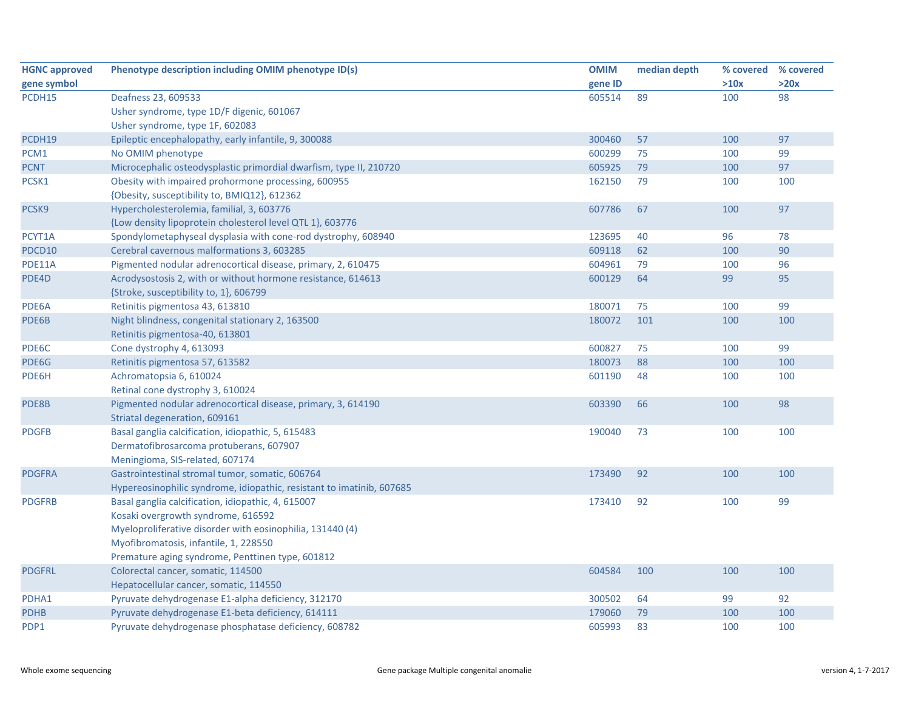| <b>HGNC approved</b> | Phenotype description including OMIM phenotype ID(s)                  | <b>OMIM</b> | median depth | % covered | % covered |
|----------------------|-----------------------------------------------------------------------|-------------|--------------|-----------|-----------|
| gene symbol          |                                                                       | gene ID     |              | >10x      | >20x      |
| PCDH15               | Deafness 23, 609533                                                   | 605514      | 89           | 100       | 98        |
|                      | Usher syndrome, type 1D/F digenic, 601067                             |             |              |           |           |
|                      | Usher syndrome, type 1F, 602083                                       |             |              |           |           |
| PCDH19               | Epileptic encephalopathy, early infantile, 9, 300088                  | 300460      | 57           | 100       | 97        |
| PCM1                 | No OMIM phenotype                                                     | 600299      | 75           | 100       | 99        |
| <b>PCNT</b>          | Microcephalic osteodysplastic primordial dwarfism, type II, 210720    | 605925      | 79           | 100       | 97        |
| PCSK1                | Obesity with impaired prohormone processing, 600955                   | 162150      | 79           | 100       | 100       |
|                      | {Obesity, susceptibility to, BMIQ12}, 612362                          |             |              |           |           |
| PCSK9                | Hypercholesterolemia, familial, 3, 603776                             | 607786      | 67           | 100       | 97        |
|                      | {Low density lipoprotein cholesterol level QTL 1}, 603776             |             |              |           |           |
| PCYT1A               | Spondylometaphyseal dysplasia with cone-rod dystrophy, 608940         | 123695      | 40           | 96        | 78        |
| PDCD10               | Cerebral cavernous malformations 3, 603285                            | 609118      | 62           | 100       | 90        |
| PDE11A               | Pigmented nodular adrenocortical disease, primary, 2, 610475          | 604961      | 79           | 100       | 96        |
| PDE4D                | Acrodysostosis 2, with or without hormone resistance, 614613          | 600129      | 64           | 99        | 95        |
|                      | {Stroke, susceptibility to, 1}, 606799                                |             |              |           |           |
| PDE6A                | Retinitis pigmentosa 43, 613810                                       | 180071      | 75           | 100       | 99        |
| PDE6B                | Night blindness, congenital stationary 2, 163500                      | 180072      | 101          | 100       | 100       |
|                      | Retinitis pigmentosa-40, 613801                                       |             |              |           |           |
| PDE6C                | Cone dystrophy 4, 613093                                              | 600827      | 75           | 100       | 99        |
| PDE6G                | Retinitis pigmentosa 57, 613582                                       | 180073      | 88           | 100       | 100       |
| PDE6H                | Achromatopsia 6, 610024                                               | 601190      | 48           | 100       | 100       |
|                      | Retinal cone dystrophy 3, 610024                                      |             |              |           |           |
| PDE8B                | Pigmented nodular adrenocortical disease, primary, 3, 614190          | 603390      | 66           | 100       | 98        |
|                      | Striatal degeneration, 609161                                         |             |              |           |           |
| <b>PDGFB</b>         | Basal ganglia calcification, idiopathic, 5, 615483                    | 190040      | 73           | 100       | 100       |
|                      | Dermatofibrosarcoma protuberans, 607907                               |             |              |           |           |
|                      | Meningioma, SIS-related, 607174                                       |             |              |           |           |
| <b>PDGFRA</b>        | Gastrointestinal stromal tumor, somatic, 606764                       | 173490      | 92           | 100       | 100       |
|                      | Hypereosinophilic syndrome, idiopathic, resistant to imatinib, 607685 |             |              |           |           |
| <b>PDGFRB</b>        | Basal ganglia calcification, idiopathic, 4, 615007                    | 173410      | 92           | 100       | 99        |
|                      | Kosaki overgrowth syndrome, 616592                                    |             |              |           |           |
|                      | Myeloproliferative disorder with eosinophilia, 131440 (4)             |             |              |           |           |
|                      | Myofibromatosis, infantile, 1, 228550                                 |             |              |           |           |
|                      | Premature aging syndrome, Penttinen type, 601812                      |             |              |           |           |
| <b>PDGFRL</b>        | Colorectal cancer, somatic, 114500                                    | 604584      | 100          | 100       | 100       |
|                      | Hepatocellular cancer, somatic, 114550                                |             |              |           |           |
| PDHA1                | Pyruvate dehydrogenase E1-alpha deficiency, 312170                    | 300502      | 64           | 99        | 92        |
| <b>PDHB</b>          | Pyruvate dehydrogenase E1-beta deficiency, 614111                     | 179060      | 79           | 100       | 100       |
| PDP1                 | Pyruvate dehydrogenase phosphatase deficiency, 608782                 | 605993      | 83           | 100       | 100       |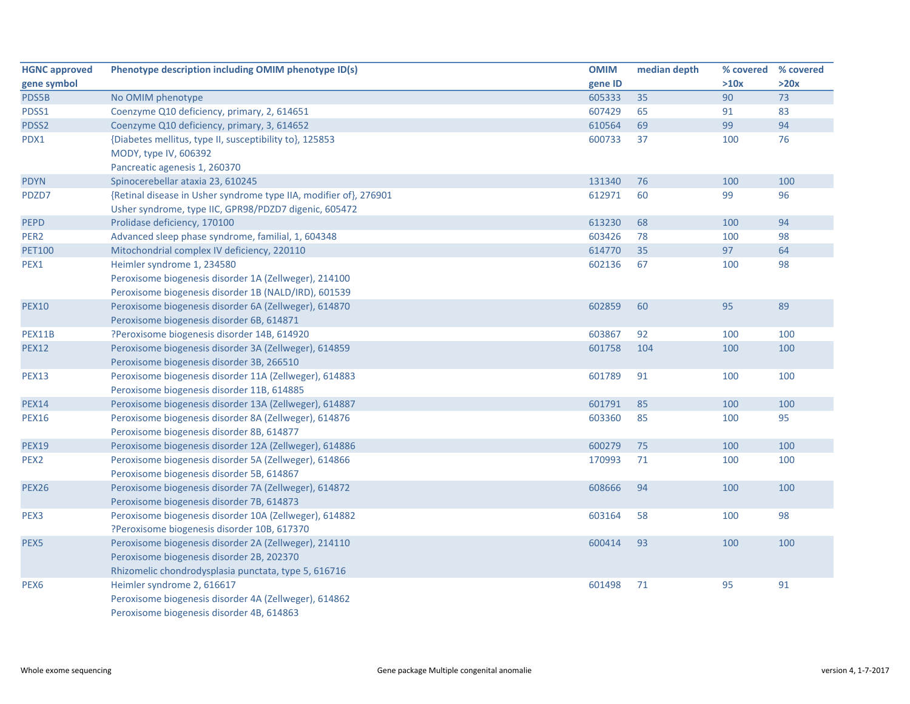| <b>HGNC approved</b> | Phenotype description including OMIM phenotype ID(s)              | <b>OMIM</b> | median depth | % covered % covered |      |
|----------------------|-------------------------------------------------------------------|-------------|--------------|---------------------|------|
| gene symbol          |                                                                   | gene ID     |              | >10x                | >20x |
| PDS5B                | No OMIM phenotype                                                 | 605333      | 35           | 90                  | 73   |
| PDSS1                | Coenzyme Q10 deficiency, primary, 2, 614651                       | 607429      | 65           | 91                  | 83   |
| PDSS2                | Coenzyme Q10 deficiency, primary, 3, 614652                       | 610564      | 69           | 99                  | 94   |
| PDX1                 | {Diabetes mellitus, type II, susceptibility to}, 125853           | 600733      | 37           | 100                 | 76   |
|                      | MODY, type IV, 606392                                             |             |              |                     |      |
|                      | Pancreatic agenesis 1, 260370                                     |             |              |                     |      |
| <b>PDYN</b>          | Spinocerebellar ataxia 23, 610245                                 | 131340      | 76           | 100                 | 100  |
| PDZD7                | {Retinal disease in Usher syndrome type IIA, modifier of}, 276901 | 612971      | 60           | 99                  | 96   |
|                      | Usher syndrome, type IIC, GPR98/PDZD7 digenic, 605472             |             |              |                     |      |
| <b>PEPD</b>          | Prolidase deficiency, 170100                                      | 613230      | 68           | 100                 | 94   |
| PER <sub>2</sub>     | Advanced sleep phase syndrome, familial, 1, 604348                | 603426      | 78           | 100                 | 98   |
| <b>PET100</b>        | Mitochondrial complex IV deficiency, 220110                       | 614770      | 35           | 97                  | 64   |
| PEX1                 | Heimler syndrome 1, 234580                                        | 602136      | 67           | 100                 | 98   |
|                      | Peroxisome biogenesis disorder 1A (Zellweger), 214100             |             |              |                     |      |
|                      | Peroxisome biogenesis disorder 1B (NALD/IRD), 601539              |             |              |                     |      |
| <b>PEX10</b>         | Peroxisome biogenesis disorder 6A (Zellweger), 614870             | 602859      | 60           | 95                  | 89   |
|                      | Peroxisome biogenesis disorder 6B, 614871                         |             |              |                     |      |
| <b>PEX11B</b>        | ?Peroxisome biogenesis disorder 14B, 614920                       | 603867      | 92           | 100                 | 100  |
| <b>PEX12</b>         | Peroxisome biogenesis disorder 3A (Zellweger), 614859             | 601758      | 104          | 100                 | 100  |
|                      | Peroxisome biogenesis disorder 3B, 266510                         |             |              |                     |      |
| <b>PEX13</b>         | Peroxisome biogenesis disorder 11A (Zellweger), 614883            | 601789      | 91           | 100                 | 100  |
|                      | Peroxisome biogenesis disorder 11B, 614885                        |             |              |                     |      |
| <b>PEX14</b>         | Peroxisome biogenesis disorder 13A (Zellweger), 614887            | 601791      | 85           | 100                 | 100  |
| <b>PEX16</b>         | Peroxisome biogenesis disorder 8A (Zellweger), 614876             | 603360      | 85           | 100                 | 95   |
|                      | Peroxisome biogenesis disorder 8B, 614877                         |             |              |                     |      |
| <b>PEX19</b>         | Peroxisome biogenesis disorder 12A (Zellweger), 614886            | 600279      | 75           | 100                 | 100  |
| PEX <sub>2</sub>     | Peroxisome biogenesis disorder 5A (Zellweger), 614866             | 170993      | 71           | 100                 | 100  |
|                      | Peroxisome biogenesis disorder 5B, 614867                         |             |              |                     |      |
| <b>PEX26</b>         | Peroxisome biogenesis disorder 7A (Zellweger), 614872             | 608666      | 94           | 100                 | 100  |
|                      | Peroxisome biogenesis disorder 7B, 614873                         |             |              |                     |      |
| PEX3                 | Peroxisome biogenesis disorder 10A (Zellweger), 614882            | 603164      | 58           | 100                 | 98   |
|                      | ?Peroxisome biogenesis disorder 10B, 617370                       |             |              |                     |      |
| PEX5                 | Peroxisome biogenesis disorder 2A (Zellweger), 214110             | 600414      | 93           | 100                 | 100  |
|                      | Peroxisome biogenesis disorder 2B, 202370                         |             |              |                     |      |
|                      | Rhizomelic chondrodysplasia punctata, type 5, 616716              |             |              |                     |      |
| PEX <sub>6</sub>     | Heimler syndrome 2, 616617                                        | 601498      | 71           | 95                  | 91   |
|                      | Peroxisome biogenesis disorder 4A (Zellweger), 614862             |             |              |                     |      |
|                      | Peroxisome biogenesis disorder 4B, 614863                         |             |              |                     |      |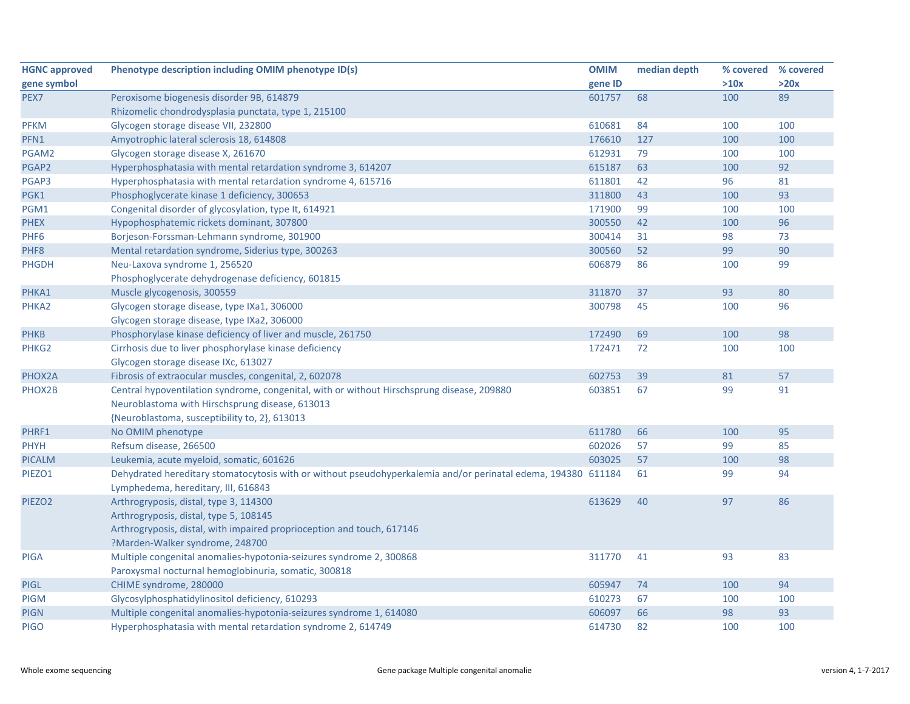| gene ID<br>>10x<br>>20x<br>601757<br>68<br>100<br>89<br>Peroxisome biogenesis disorder 9B, 614879<br>Rhizomelic chondrodysplasia punctata, type 1, 215100<br>610681<br>84<br>Glycogen storage disease VII, 232800<br>100<br>100<br>Amyotrophic lateral sclerosis 18, 614808<br>176610<br>127<br>100<br>100<br>Glycogen storage disease X, 261670<br>612931<br>79<br>100<br>100<br>615187<br>Hyperphosphatasia with mental retardation syndrome 3, 614207<br>63<br>100<br>92<br>Hyperphosphatasia with mental retardation syndrome 4, 615716<br>611801<br>42<br>96<br>81<br>93<br>Phosphoglycerate kinase 1 deficiency, 300653<br>311800<br>43<br>100<br>171900<br>99<br>100<br>Congenital disorder of glycosylation, type It, 614921<br>100<br>Hypophosphatemic rickets dominant, 307800<br>300550<br>42<br>100<br>96<br>Borjeson-Forssman-Lehmann syndrome, 301900<br>300414<br>31<br>98<br>73<br>300560<br>52<br>99<br>90<br>Mental retardation syndrome, Siderius type, 300263<br>Neu-Laxova syndrome 1, 256520<br>606879<br>86<br>99<br>100<br>Phosphoglycerate dehydrogenase deficiency, 601815<br>Muscle glycogenosis, 300559<br>93<br>80<br>311870<br>37<br>Glycogen storage disease, type IXa1, 306000<br>300798<br>45<br>100<br>96<br>Glycogen storage disease, type IXa2, 306000<br>Phosphorylase kinase deficiency of liver and muscle, 261750<br>172490<br>69<br>100<br>98<br>Cirrhosis due to liver phosphorylase kinase deficiency<br>172471<br>72<br>100<br>100<br>Glycogen storage disease IXc, 613027<br>Fibrosis of extraocular muscles, congenital, 2, 602078<br>602753<br>39<br>81<br>57<br>67<br>Central hypoventilation syndrome, congenital, with or without Hirschsprung disease, 209880<br>603851<br>99<br>91<br>Neuroblastoma with Hirschsprung disease, 613013<br>{Neuroblastoma, susceptibility to, 2}, 613013<br>No OMIM phenotype<br>611780<br>66<br>100<br>95<br>Refsum disease, 266500<br>602026<br>57<br>99<br>85<br>Leukemia, acute myeloid, somatic, 601626<br>603025<br>57<br>100<br>98<br>Dehydrated hereditary stomatocytosis with or without pseudohyperkalemia and/or perinatal edema, 194380 611184<br>61<br>99<br>94<br>Lymphedema, hereditary, III, 616843<br>Arthrogryposis, distal, type 3, 114300<br>97<br>86<br>PIEZO <sub>2</sub><br>613629<br>40<br>Arthrogryposis, distal, type 5, 108145<br>Arthrogryposis, distal, with impaired proprioception and touch, 617146<br>?Marden-Walker syndrome, 248700<br>93<br>Multiple congenital anomalies-hypotonia-seizures syndrome 2, 300868<br>311770<br>41<br>83<br><b>PIGA</b><br>Paroxysmal nocturnal hemoglobinuria, somatic, 300818<br>94<br>CHIME syndrome, 280000<br>605947<br>74<br>100<br><b>PIGL</b> | <b>HGNC approved</b> | Phenotype description including OMIM phenotype ID(s) | <b>OMIM</b> | median depth | % covered % covered |     |
|----------------------------------------------------------------------------------------------------------------------------------------------------------------------------------------------------------------------------------------------------------------------------------------------------------------------------------------------------------------------------------------------------------------------------------------------------------------------------------------------------------------------------------------------------------------------------------------------------------------------------------------------------------------------------------------------------------------------------------------------------------------------------------------------------------------------------------------------------------------------------------------------------------------------------------------------------------------------------------------------------------------------------------------------------------------------------------------------------------------------------------------------------------------------------------------------------------------------------------------------------------------------------------------------------------------------------------------------------------------------------------------------------------------------------------------------------------------------------------------------------------------------------------------------------------------------------------------------------------------------------------------------------------------------------------------------------------------------------------------------------------------------------------------------------------------------------------------------------------------------------------------------------------------------------------------------------------------------------------------------------------------------------------------------------------------------------------------------------------------------------------------------------------------------------------------------------------------------------------------------------------------------------------------------------------------------------------------------------------------------------------------------------------------------------------------------------------------------------------------------------------------------------------------------------------------------------------------------------------------------------------------------------------------------------------------------------------|----------------------|------------------------------------------------------|-------------|--------------|---------------------|-----|
|                                                                                                                                                                                                                                                                                                                                                                                                                                                                                                                                                                                                                                                                                                                                                                                                                                                                                                                                                                                                                                                                                                                                                                                                                                                                                                                                                                                                                                                                                                                                                                                                                                                                                                                                                                                                                                                                                                                                                                                                                                                                                                                                                                                                                                                                                                                                                                                                                                                                                                                                                                                                                                                                                                          | gene symbol          |                                                      |             |              |                     |     |
|                                                                                                                                                                                                                                                                                                                                                                                                                                                                                                                                                                                                                                                                                                                                                                                                                                                                                                                                                                                                                                                                                                                                                                                                                                                                                                                                                                                                                                                                                                                                                                                                                                                                                                                                                                                                                                                                                                                                                                                                                                                                                                                                                                                                                                                                                                                                                                                                                                                                                                                                                                                                                                                                                                          | PEX7                 |                                                      |             |              |                     |     |
|                                                                                                                                                                                                                                                                                                                                                                                                                                                                                                                                                                                                                                                                                                                                                                                                                                                                                                                                                                                                                                                                                                                                                                                                                                                                                                                                                                                                                                                                                                                                                                                                                                                                                                                                                                                                                                                                                                                                                                                                                                                                                                                                                                                                                                                                                                                                                                                                                                                                                                                                                                                                                                                                                                          |                      |                                                      |             |              |                     |     |
|                                                                                                                                                                                                                                                                                                                                                                                                                                                                                                                                                                                                                                                                                                                                                                                                                                                                                                                                                                                                                                                                                                                                                                                                                                                                                                                                                                                                                                                                                                                                                                                                                                                                                                                                                                                                                                                                                                                                                                                                                                                                                                                                                                                                                                                                                                                                                                                                                                                                                                                                                                                                                                                                                                          | <b>PFKM</b>          |                                                      |             |              |                     |     |
|                                                                                                                                                                                                                                                                                                                                                                                                                                                                                                                                                                                                                                                                                                                                                                                                                                                                                                                                                                                                                                                                                                                                                                                                                                                                                                                                                                                                                                                                                                                                                                                                                                                                                                                                                                                                                                                                                                                                                                                                                                                                                                                                                                                                                                                                                                                                                                                                                                                                                                                                                                                                                                                                                                          | PFN1                 |                                                      |             |              |                     |     |
|                                                                                                                                                                                                                                                                                                                                                                                                                                                                                                                                                                                                                                                                                                                                                                                                                                                                                                                                                                                                                                                                                                                                                                                                                                                                                                                                                                                                                                                                                                                                                                                                                                                                                                                                                                                                                                                                                                                                                                                                                                                                                                                                                                                                                                                                                                                                                                                                                                                                                                                                                                                                                                                                                                          | PGAM2                |                                                      |             |              |                     |     |
|                                                                                                                                                                                                                                                                                                                                                                                                                                                                                                                                                                                                                                                                                                                                                                                                                                                                                                                                                                                                                                                                                                                                                                                                                                                                                                                                                                                                                                                                                                                                                                                                                                                                                                                                                                                                                                                                                                                                                                                                                                                                                                                                                                                                                                                                                                                                                                                                                                                                                                                                                                                                                                                                                                          | PGAP2                |                                                      |             |              |                     |     |
|                                                                                                                                                                                                                                                                                                                                                                                                                                                                                                                                                                                                                                                                                                                                                                                                                                                                                                                                                                                                                                                                                                                                                                                                                                                                                                                                                                                                                                                                                                                                                                                                                                                                                                                                                                                                                                                                                                                                                                                                                                                                                                                                                                                                                                                                                                                                                                                                                                                                                                                                                                                                                                                                                                          | PGAP3                |                                                      |             |              |                     |     |
|                                                                                                                                                                                                                                                                                                                                                                                                                                                                                                                                                                                                                                                                                                                                                                                                                                                                                                                                                                                                                                                                                                                                                                                                                                                                                                                                                                                                                                                                                                                                                                                                                                                                                                                                                                                                                                                                                                                                                                                                                                                                                                                                                                                                                                                                                                                                                                                                                                                                                                                                                                                                                                                                                                          | PGK1                 |                                                      |             |              |                     |     |
|                                                                                                                                                                                                                                                                                                                                                                                                                                                                                                                                                                                                                                                                                                                                                                                                                                                                                                                                                                                                                                                                                                                                                                                                                                                                                                                                                                                                                                                                                                                                                                                                                                                                                                                                                                                                                                                                                                                                                                                                                                                                                                                                                                                                                                                                                                                                                                                                                                                                                                                                                                                                                                                                                                          | PGM1                 |                                                      |             |              |                     |     |
|                                                                                                                                                                                                                                                                                                                                                                                                                                                                                                                                                                                                                                                                                                                                                                                                                                                                                                                                                                                                                                                                                                                                                                                                                                                                                                                                                                                                                                                                                                                                                                                                                                                                                                                                                                                                                                                                                                                                                                                                                                                                                                                                                                                                                                                                                                                                                                                                                                                                                                                                                                                                                                                                                                          | <b>PHEX</b>          |                                                      |             |              |                     |     |
|                                                                                                                                                                                                                                                                                                                                                                                                                                                                                                                                                                                                                                                                                                                                                                                                                                                                                                                                                                                                                                                                                                                                                                                                                                                                                                                                                                                                                                                                                                                                                                                                                                                                                                                                                                                                                                                                                                                                                                                                                                                                                                                                                                                                                                                                                                                                                                                                                                                                                                                                                                                                                                                                                                          | PHF <sub>6</sub>     |                                                      |             |              |                     |     |
|                                                                                                                                                                                                                                                                                                                                                                                                                                                                                                                                                                                                                                                                                                                                                                                                                                                                                                                                                                                                                                                                                                                                                                                                                                                                                                                                                                                                                                                                                                                                                                                                                                                                                                                                                                                                                                                                                                                                                                                                                                                                                                                                                                                                                                                                                                                                                                                                                                                                                                                                                                                                                                                                                                          | PHF8                 |                                                      |             |              |                     |     |
|                                                                                                                                                                                                                                                                                                                                                                                                                                                                                                                                                                                                                                                                                                                                                                                                                                                                                                                                                                                                                                                                                                                                                                                                                                                                                                                                                                                                                                                                                                                                                                                                                                                                                                                                                                                                                                                                                                                                                                                                                                                                                                                                                                                                                                                                                                                                                                                                                                                                                                                                                                                                                                                                                                          | <b>PHGDH</b>         |                                                      |             |              |                     |     |
|                                                                                                                                                                                                                                                                                                                                                                                                                                                                                                                                                                                                                                                                                                                                                                                                                                                                                                                                                                                                                                                                                                                                                                                                                                                                                                                                                                                                                                                                                                                                                                                                                                                                                                                                                                                                                                                                                                                                                                                                                                                                                                                                                                                                                                                                                                                                                                                                                                                                                                                                                                                                                                                                                                          |                      |                                                      |             |              |                     |     |
|                                                                                                                                                                                                                                                                                                                                                                                                                                                                                                                                                                                                                                                                                                                                                                                                                                                                                                                                                                                                                                                                                                                                                                                                                                                                                                                                                                                                                                                                                                                                                                                                                                                                                                                                                                                                                                                                                                                                                                                                                                                                                                                                                                                                                                                                                                                                                                                                                                                                                                                                                                                                                                                                                                          | PHKA1                |                                                      |             |              |                     |     |
|                                                                                                                                                                                                                                                                                                                                                                                                                                                                                                                                                                                                                                                                                                                                                                                                                                                                                                                                                                                                                                                                                                                                                                                                                                                                                                                                                                                                                                                                                                                                                                                                                                                                                                                                                                                                                                                                                                                                                                                                                                                                                                                                                                                                                                                                                                                                                                                                                                                                                                                                                                                                                                                                                                          | PHKA2                |                                                      |             |              |                     |     |
|                                                                                                                                                                                                                                                                                                                                                                                                                                                                                                                                                                                                                                                                                                                                                                                                                                                                                                                                                                                                                                                                                                                                                                                                                                                                                                                                                                                                                                                                                                                                                                                                                                                                                                                                                                                                                                                                                                                                                                                                                                                                                                                                                                                                                                                                                                                                                                                                                                                                                                                                                                                                                                                                                                          |                      |                                                      |             |              |                     |     |
|                                                                                                                                                                                                                                                                                                                                                                                                                                                                                                                                                                                                                                                                                                                                                                                                                                                                                                                                                                                                                                                                                                                                                                                                                                                                                                                                                                                                                                                                                                                                                                                                                                                                                                                                                                                                                                                                                                                                                                                                                                                                                                                                                                                                                                                                                                                                                                                                                                                                                                                                                                                                                                                                                                          | <b>PHKB</b>          |                                                      |             |              |                     |     |
|                                                                                                                                                                                                                                                                                                                                                                                                                                                                                                                                                                                                                                                                                                                                                                                                                                                                                                                                                                                                                                                                                                                                                                                                                                                                                                                                                                                                                                                                                                                                                                                                                                                                                                                                                                                                                                                                                                                                                                                                                                                                                                                                                                                                                                                                                                                                                                                                                                                                                                                                                                                                                                                                                                          | PHKG2                |                                                      |             |              |                     |     |
|                                                                                                                                                                                                                                                                                                                                                                                                                                                                                                                                                                                                                                                                                                                                                                                                                                                                                                                                                                                                                                                                                                                                                                                                                                                                                                                                                                                                                                                                                                                                                                                                                                                                                                                                                                                                                                                                                                                                                                                                                                                                                                                                                                                                                                                                                                                                                                                                                                                                                                                                                                                                                                                                                                          |                      |                                                      |             |              |                     |     |
|                                                                                                                                                                                                                                                                                                                                                                                                                                                                                                                                                                                                                                                                                                                                                                                                                                                                                                                                                                                                                                                                                                                                                                                                                                                                                                                                                                                                                                                                                                                                                                                                                                                                                                                                                                                                                                                                                                                                                                                                                                                                                                                                                                                                                                                                                                                                                                                                                                                                                                                                                                                                                                                                                                          | PHOX2A               |                                                      |             |              |                     |     |
|                                                                                                                                                                                                                                                                                                                                                                                                                                                                                                                                                                                                                                                                                                                                                                                                                                                                                                                                                                                                                                                                                                                                                                                                                                                                                                                                                                                                                                                                                                                                                                                                                                                                                                                                                                                                                                                                                                                                                                                                                                                                                                                                                                                                                                                                                                                                                                                                                                                                                                                                                                                                                                                                                                          | PHOX2B               |                                                      |             |              |                     |     |
|                                                                                                                                                                                                                                                                                                                                                                                                                                                                                                                                                                                                                                                                                                                                                                                                                                                                                                                                                                                                                                                                                                                                                                                                                                                                                                                                                                                                                                                                                                                                                                                                                                                                                                                                                                                                                                                                                                                                                                                                                                                                                                                                                                                                                                                                                                                                                                                                                                                                                                                                                                                                                                                                                                          |                      |                                                      |             |              |                     |     |
|                                                                                                                                                                                                                                                                                                                                                                                                                                                                                                                                                                                                                                                                                                                                                                                                                                                                                                                                                                                                                                                                                                                                                                                                                                                                                                                                                                                                                                                                                                                                                                                                                                                                                                                                                                                                                                                                                                                                                                                                                                                                                                                                                                                                                                                                                                                                                                                                                                                                                                                                                                                                                                                                                                          |                      |                                                      |             |              |                     |     |
|                                                                                                                                                                                                                                                                                                                                                                                                                                                                                                                                                                                                                                                                                                                                                                                                                                                                                                                                                                                                                                                                                                                                                                                                                                                                                                                                                                                                                                                                                                                                                                                                                                                                                                                                                                                                                                                                                                                                                                                                                                                                                                                                                                                                                                                                                                                                                                                                                                                                                                                                                                                                                                                                                                          | PHRF1                |                                                      |             |              |                     |     |
|                                                                                                                                                                                                                                                                                                                                                                                                                                                                                                                                                                                                                                                                                                                                                                                                                                                                                                                                                                                                                                                                                                                                                                                                                                                                                                                                                                                                                                                                                                                                                                                                                                                                                                                                                                                                                                                                                                                                                                                                                                                                                                                                                                                                                                                                                                                                                                                                                                                                                                                                                                                                                                                                                                          | <b>PHYH</b>          |                                                      |             |              |                     |     |
|                                                                                                                                                                                                                                                                                                                                                                                                                                                                                                                                                                                                                                                                                                                                                                                                                                                                                                                                                                                                                                                                                                                                                                                                                                                                                                                                                                                                                                                                                                                                                                                                                                                                                                                                                                                                                                                                                                                                                                                                                                                                                                                                                                                                                                                                                                                                                                                                                                                                                                                                                                                                                                                                                                          | <b>PICALM</b>        |                                                      |             |              |                     |     |
|                                                                                                                                                                                                                                                                                                                                                                                                                                                                                                                                                                                                                                                                                                                                                                                                                                                                                                                                                                                                                                                                                                                                                                                                                                                                                                                                                                                                                                                                                                                                                                                                                                                                                                                                                                                                                                                                                                                                                                                                                                                                                                                                                                                                                                                                                                                                                                                                                                                                                                                                                                                                                                                                                                          | PIEZO1               |                                                      |             |              |                     |     |
|                                                                                                                                                                                                                                                                                                                                                                                                                                                                                                                                                                                                                                                                                                                                                                                                                                                                                                                                                                                                                                                                                                                                                                                                                                                                                                                                                                                                                                                                                                                                                                                                                                                                                                                                                                                                                                                                                                                                                                                                                                                                                                                                                                                                                                                                                                                                                                                                                                                                                                                                                                                                                                                                                                          |                      |                                                      |             |              |                     |     |
|                                                                                                                                                                                                                                                                                                                                                                                                                                                                                                                                                                                                                                                                                                                                                                                                                                                                                                                                                                                                                                                                                                                                                                                                                                                                                                                                                                                                                                                                                                                                                                                                                                                                                                                                                                                                                                                                                                                                                                                                                                                                                                                                                                                                                                                                                                                                                                                                                                                                                                                                                                                                                                                                                                          |                      |                                                      |             |              |                     |     |
|                                                                                                                                                                                                                                                                                                                                                                                                                                                                                                                                                                                                                                                                                                                                                                                                                                                                                                                                                                                                                                                                                                                                                                                                                                                                                                                                                                                                                                                                                                                                                                                                                                                                                                                                                                                                                                                                                                                                                                                                                                                                                                                                                                                                                                                                                                                                                                                                                                                                                                                                                                                                                                                                                                          |                      |                                                      |             |              |                     |     |
|                                                                                                                                                                                                                                                                                                                                                                                                                                                                                                                                                                                                                                                                                                                                                                                                                                                                                                                                                                                                                                                                                                                                                                                                                                                                                                                                                                                                                                                                                                                                                                                                                                                                                                                                                                                                                                                                                                                                                                                                                                                                                                                                                                                                                                                                                                                                                                                                                                                                                                                                                                                                                                                                                                          |                      |                                                      |             |              |                     |     |
|                                                                                                                                                                                                                                                                                                                                                                                                                                                                                                                                                                                                                                                                                                                                                                                                                                                                                                                                                                                                                                                                                                                                                                                                                                                                                                                                                                                                                                                                                                                                                                                                                                                                                                                                                                                                                                                                                                                                                                                                                                                                                                                                                                                                                                                                                                                                                                                                                                                                                                                                                                                                                                                                                                          |                      |                                                      |             |              |                     |     |
|                                                                                                                                                                                                                                                                                                                                                                                                                                                                                                                                                                                                                                                                                                                                                                                                                                                                                                                                                                                                                                                                                                                                                                                                                                                                                                                                                                                                                                                                                                                                                                                                                                                                                                                                                                                                                                                                                                                                                                                                                                                                                                                                                                                                                                                                                                                                                                                                                                                                                                                                                                                                                                                                                                          |                      |                                                      |             |              |                     |     |
|                                                                                                                                                                                                                                                                                                                                                                                                                                                                                                                                                                                                                                                                                                                                                                                                                                                                                                                                                                                                                                                                                                                                                                                                                                                                                                                                                                                                                                                                                                                                                                                                                                                                                                                                                                                                                                                                                                                                                                                                                                                                                                                                                                                                                                                                                                                                                                                                                                                                                                                                                                                                                                                                                                          |                      |                                                      |             |              |                     |     |
|                                                                                                                                                                                                                                                                                                                                                                                                                                                                                                                                                                                                                                                                                                                                                                                                                                                                                                                                                                                                                                                                                                                                                                                                                                                                                                                                                                                                                                                                                                                                                                                                                                                                                                                                                                                                                                                                                                                                                                                                                                                                                                                                                                                                                                                                                                                                                                                                                                                                                                                                                                                                                                                                                                          | <b>PIGM</b>          | Glycosylphosphatidylinositol deficiency, 610293      | 610273      | 67           | 100                 | 100 |
| Multiple congenital anomalies-hypotonia-seizures syndrome 1, 614080<br>606097<br>66<br>98<br>93                                                                                                                                                                                                                                                                                                                                                                                                                                                                                                                                                                                                                                                                                                                                                                                                                                                                                                                                                                                                                                                                                                                                                                                                                                                                                                                                                                                                                                                                                                                                                                                                                                                                                                                                                                                                                                                                                                                                                                                                                                                                                                                                                                                                                                                                                                                                                                                                                                                                                                                                                                                                          | <b>PIGN</b>          |                                                      |             |              |                     |     |
| Hyperphosphatasia with mental retardation syndrome 2, 614749<br>614730<br>82<br>100<br>100                                                                                                                                                                                                                                                                                                                                                                                                                                                                                                                                                                                                                                                                                                                                                                                                                                                                                                                                                                                                                                                                                                                                                                                                                                                                                                                                                                                                                                                                                                                                                                                                                                                                                                                                                                                                                                                                                                                                                                                                                                                                                                                                                                                                                                                                                                                                                                                                                                                                                                                                                                                                               | <b>PIGO</b>          |                                                      |             |              |                     |     |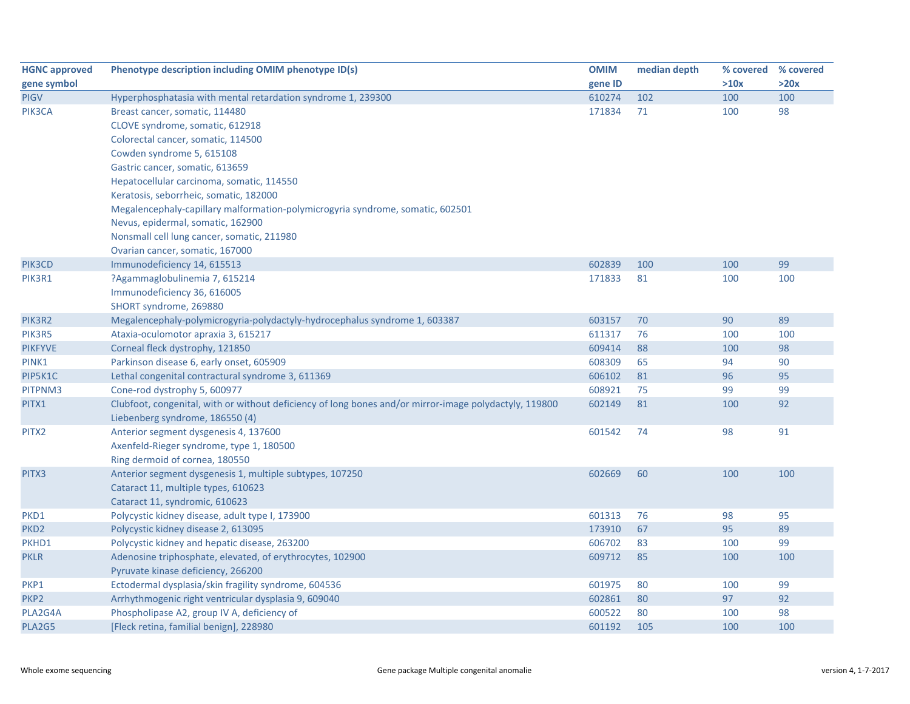| <b>HGNC approved</b> | Phenotype description including OMIM phenotype ID(s)                                                   | <b>OMIM</b> | median depth | % covered % covered |      |
|----------------------|--------------------------------------------------------------------------------------------------------|-------------|--------------|---------------------|------|
| gene symbol          |                                                                                                        | gene ID     |              | >10x                | >20x |
| <b>PIGV</b>          | Hyperphosphatasia with mental retardation syndrome 1, 239300                                           | 610274      | 102          | 100                 | 100  |
| PIK3CA               | Breast cancer, somatic, 114480                                                                         | 171834      | 71           | 100                 | 98   |
|                      | CLOVE syndrome, somatic, 612918                                                                        |             |              |                     |      |
|                      | Colorectal cancer, somatic, 114500                                                                     |             |              |                     |      |
|                      | Cowden syndrome 5, 615108                                                                              |             |              |                     |      |
|                      | Gastric cancer, somatic, 613659                                                                        |             |              |                     |      |
|                      | Hepatocellular carcinoma, somatic, 114550                                                              |             |              |                     |      |
|                      | Keratosis, seborrheic, somatic, 182000                                                                 |             |              |                     |      |
|                      | Megalencephaly-capillary malformation-polymicrogyria syndrome, somatic, 602501                         |             |              |                     |      |
|                      | Nevus, epidermal, somatic, 162900                                                                      |             |              |                     |      |
|                      | Nonsmall cell lung cancer, somatic, 211980                                                             |             |              |                     |      |
|                      | Ovarian cancer, somatic, 167000                                                                        |             |              |                     |      |
| PIK3CD               | Immunodeficiency 14, 615513                                                                            | 602839      | 100          | 100                 | 99   |
| PIK3R1               | ?Agammaglobulinemia 7, 615214                                                                          | 171833      | 81           | 100                 | 100  |
|                      | Immunodeficiency 36, 616005                                                                            |             |              |                     |      |
|                      | SHORT syndrome, 269880                                                                                 |             |              |                     |      |
| PIK3R2               | Megalencephaly-polymicrogyria-polydactyly-hydrocephalus syndrome 1, 603387                             | 603157      | 70           | 90                  | 89   |
| PIK3R5               | Ataxia-oculomotor apraxia 3, 615217                                                                    | 611317      | 76           | 100                 | 100  |
| <b>PIKFYVE</b>       | Corneal fleck dystrophy, 121850                                                                        | 609414      | 88           | 100                 | 98   |
| PINK1                | Parkinson disease 6, early onset, 605909                                                               | 608309      | 65           | 94                  | 90   |
| PIP5K1C              | Lethal congenital contractural syndrome 3, 611369                                                      | 606102      | 81           | 96                  | 95   |
| PITPNM3              | Cone-rod dystrophy 5, 600977                                                                           | 608921      | 75           | 99                  | 99   |
| PITX1                | Clubfoot, congenital, with or without deficiency of long bones and/or mirror-image polydactyly, 119800 | 602149      | 81           | 100                 | 92   |
|                      | Liebenberg syndrome, 186550 (4)                                                                        |             |              |                     |      |
| PITX2                | Anterior segment dysgenesis 4, 137600                                                                  | 601542      | 74           | 98                  | 91   |
|                      | Axenfeld-Rieger syndrome, type 1, 180500                                                               |             |              |                     |      |
|                      | Ring dermoid of cornea, 180550                                                                         |             |              |                     |      |
| PITX3                | Anterior segment dysgenesis 1, multiple subtypes, 107250                                               | 602669      | 60           | 100                 | 100  |
|                      | Cataract 11, multiple types, 610623                                                                    |             |              |                     |      |
|                      | Cataract 11, syndromic, 610623                                                                         |             |              |                     |      |
| PKD1                 | Polycystic kidney disease, adult type I, 173900                                                        | 601313      | 76           | 98                  | 95   |
| PKD <sub>2</sub>     | Polycystic kidney disease 2, 613095                                                                    | 173910      | 67           | 95                  | 89   |
| PKHD1                | Polycystic kidney and hepatic disease, 263200                                                          | 606702      | 83           | 100                 | 99   |
| <b>PKLR</b>          | Adenosine triphosphate, elevated, of erythrocytes, 102900                                              | 609712      | 85           | 100                 | 100  |
|                      | Pyruvate kinase deficiency, 266200                                                                     |             |              |                     |      |
| PKP1                 | Ectodermal dysplasia/skin fragility syndrome, 604536                                                   | 601975      | 80           | 100                 | 99   |
| PKP <sub>2</sub>     | Arrhythmogenic right ventricular dysplasia 9, 609040                                                   | 602861      | 80           | 97                  | 92   |
| PLA2G4A              | Phospholipase A2, group IV A, deficiency of                                                            | 600522      | 80           | 100                 | 98   |
| PLA2G5               | [Fleck retina, familial benign], 228980                                                                | 601192      | 105          | 100                 | 100  |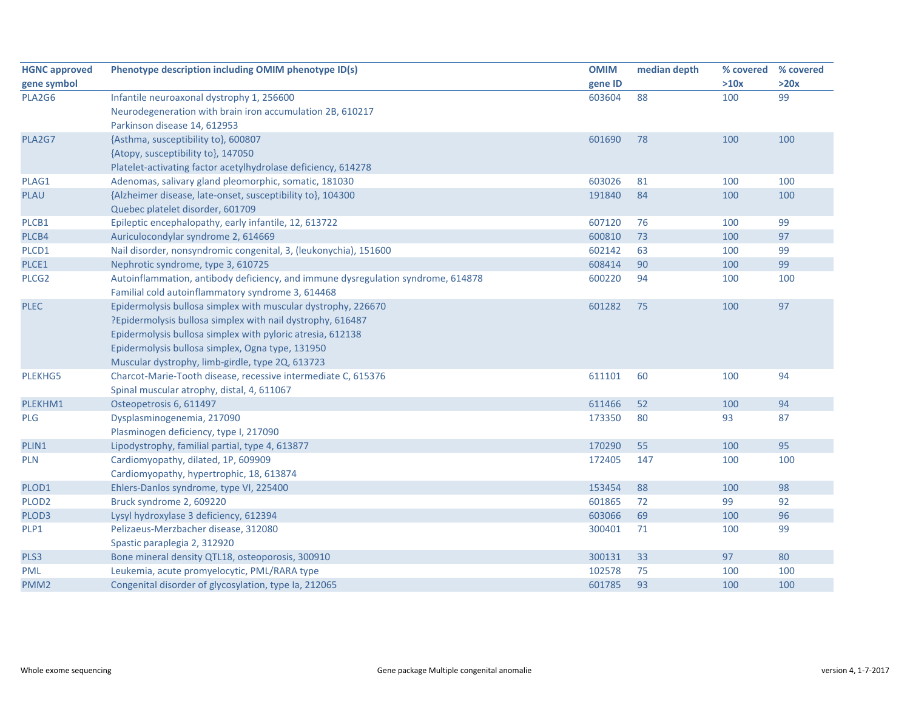| <b>HGNC approved</b> | Phenotype description including OMIM phenotype ID(s)                             | <b>OMIM</b> | median depth | % covered | % covered |
|----------------------|----------------------------------------------------------------------------------|-------------|--------------|-----------|-----------|
| gene symbol          |                                                                                  | gene ID     |              | >10x      | >20x      |
| PLA2G6               | Infantile neuroaxonal dystrophy 1, 256600                                        | 603604      | 88           | 100       | 99        |
|                      | Neurodegeneration with brain iron accumulation 2B, 610217                        |             |              |           |           |
|                      | Parkinson disease 14, 612953                                                     |             |              |           |           |
| PLA2G7               | {Asthma, susceptibility to}, 600807                                              | 601690      | 78           | 100       | 100       |
|                      | {Atopy, susceptibility to}, 147050                                               |             |              |           |           |
|                      | Platelet-activating factor acetylhydrolase deficiency, 614278                    |             |              |           |           |
| PLAG1                | Adenomas, salivary gland pleomorphic, somatic, 181030                            | 603026      | 81           | 100       | 100       |
| <b>PLAU</b>          | {Alzheimer disease, late-onset, susceptibility to}, 104300                       | 191840      | 84           | 100       | 100       |
|                      | Quebec platelet disorder, 601709                                                 |             |              |           |           |
| PLCB1                | Epileptic encephalopathy, early infantile, 12, 613722                            | 607120      | 76           | 100       | 99        |
| PLCB4                | Auriculocondylar syndrome 2, 614669                                              | 600810      | 73           | 100       | 97        |
| PLCD1                | Nail disorder, nonsyndromic congenital, 3, (leukonychia), 151600                 | 602142      | 63           | 100       | 99        |
| PLCE1                | Nephrotic syndrome, type 3, 610725                                               | 608414      | 90           | 100       | 99        |
| PLCG <sub>2</sub>    | Autoinflammation, antibody deficiency, and immune dysregulation syndrome, 614878 | 600220      | 94           | 100       | 100       |
|                      | Familial cold autoinflammatory syndrome 3, 614468                                |             |              |           |           |
| <b>PLEC</b>          | Epidermolysis bullosa simplex with muscular dystrophy, 226670                    | 601282      | 75           | 100       | 97        |
|                      | ?Epidermolysis bullosa simplex with nail dystrophy, 616487                       |             |              |           |           |
|                      | Epidermolysis bullosa simplex with pyloric atresia, 612138                       |             |              |           |           |
|                      | Epidermolysis bullosa simplex, Ogna type, 131950                                 |             |              |           |           |
|                      | Muscular dystrophy, limb-girdle, type 2Q, 613723                                 |             |              |           |           |
| PLEKHG5              | Charcot-Marie-Tooth disease, recessive intermediate C, 615376                    | 611101      | 60           | 100       | 94        |
|                      | Spinal muscular atrophy, distal, 4, 611067                                       |             |              |           |           |
| PLEKHM1              | Osteopetrosis 6, 611497                                                          | 611466      | 52           | 100       | 94        |
| PLG                  | Dysplasminogenemia, 217090                                                       | 173350      | 80           | 93        | 87        |
|                      | Plasminogen deficiency, type I, 217090                                           |             |              |           |           |
| PLIN1                | Lipodystrophy, familial partial, type 4, 613877                                  | 170290      | 55           | 100       | 95        |
| <b>PLN</b>           | Cardiomyopathy, dilated, 1P, 609909                                              | 172405      | 147          | 100       | 100       |
|                      | Cardiomyopathy, hypertrophic, 18, 613874                                         |             |              |           |           |
| PLOD1                | Ehlers-Danlos syndrome, type VI, 225400                                          | 153454      | 88           | 100       | 98        |
| PLOD <sub>2</sub>    | Bruck syndrome 2, 609220                                                         | 601865      | 72           | 99        | 92        |
| PLOD3                | Lysyl hydroxylase 3 deficiency, 612394                                           | 603066      | 69           | 100       | 96        |
| PLP1                 | Pelizaeus-Merzbacher disease, 312080                                             | 300401      | 71           | 100       | 99        |
|                      | Spastic paraplegia 2, 312920                                                     |             |              |           |           |
| PLS3                 | Bone mineral density QTL18, osteoporosis, 300910                                 | 300131      | 33           | 97        | 80        |
| <b>PML</b>           | Leukemia, acute promyelocytic, PML/RARA type                                     | 102578      | 75           | 100       | 100       |
| PMM <sub>2</sub>     | Congenital disorder of glycosylation, type Ia, 212065                            | 601785      | 93           | 100       | 100       |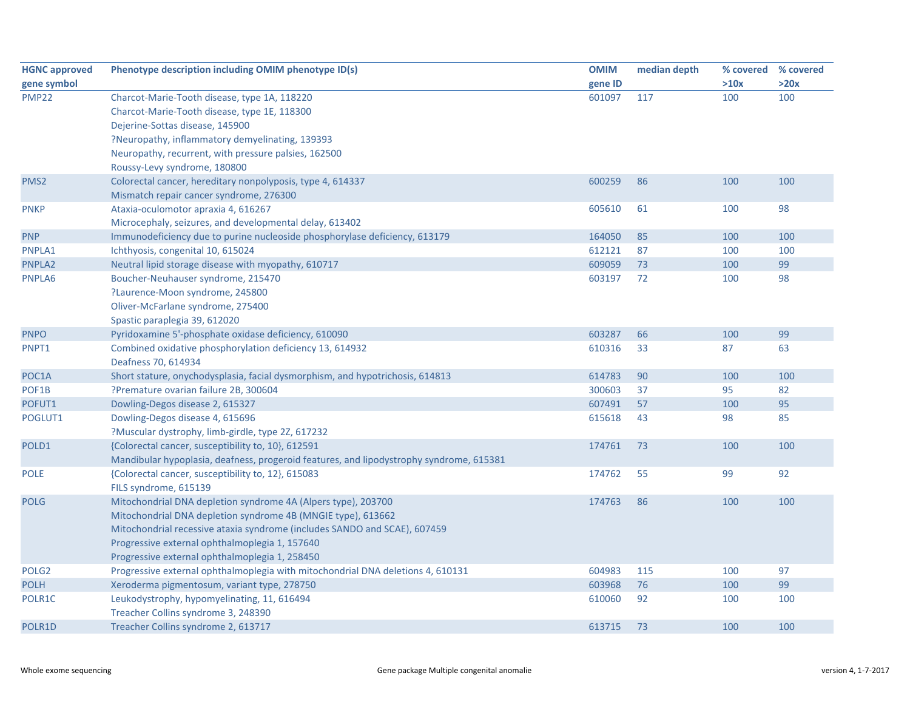| <b>HGNC approved</b> | Phenotype description including OMIM phenotype ID(s)                                    | <b>OMIM</b> | median depth |      | % covered % covered |
|----------------------|-----------------------------------------------------------------------------------------|-------------|--------------|------|---------------------|
| gene symbol          |                                                                                         | gene ID     |              | >10x | >20x                |
| <b>PMP22</b>         | Charcot-Marie-Tooth disease, type 1A, 118220                                            | 601097      | 117          | 100  | 100                 |
|                      | Charcot-Marie-Tooth disease, type 1E, 118300                                            |             |              |      |                     |
|                      | Dejerine-Sottas disease, 145900                                                         |             |              |      |                     |
|                      | ?Neuropathy, inflammatory demyelinating, 139393                                         |             |              |      |                     |
|                      | Neuropathy, recurrent, with pressure palsies, 162500                                    |             |              |      |                     |
|                      | Roussy-Levy syndrome, 180800                                                            |             |              |      |                     |
| PMS <sub>2</sub>     | Colorectal cancer, hereditary nonpolyposis, type 4, 614337                              | 600259      | 86           | 100  | 100                 |
|                      | Mismatch repair cancer syndrome, 276300                                                 |             |              |      |                     |
| <b>PNKP</b>          | Ataxia-oculomotor apraxia 4, 616267                                                     | 605610      | 61           | 100  | 98                  |
|                      | Microcephaly, seizures, and developmental delay, 613402                                 |             |              |      |                     |
| <b>PNP</b>           | Immunodeficiency due to purine nucleoside phosphorylase deficiency, 613179              | 164050      | 85           | 100  | 100                 |
| PNPLA1               | Ichthyosis, congenital 10, 615024                                                       | 612121      | 87           | 100  | 100                 |
| PNPLA2               | Neutral lipid storage disease with myopathy, 610717                                     | 609059      | 73           | 100  | 99                  |
| PNPLA6               | Boucher-Neuhauser syndrome, 215470                                                      | 603197      | 72           | 100  | 98                  |
|                      | ?Laurence-Moon syndrome, 245800                                                         |             |              |      |                     |
|                      | Oliver-McFarlane syndrome, 275400                                                       |             |              |      |                     |
|                      | Spastic paraplegia 39, 612020                                                           |             |              |      |                     |
| <b>PNPO</b>          | Pyridoxamine 5'-phosphate oxidase deficiency, 610090                                    | 603287      | 66           | 100  | 99                  |
| PNPT1                | Combined oxidative phosphorylation deficiency 13, 614932                                | 610316      | 33           | 87   | 63                  |
|                      | Deafness 70, 614934                                                                     |             |              |      |                     |
| POC1A                | Short stature, onychodysplasia, facial dysmorphism, and hypotrichosis, 614813           | 614783      | 90           | 100  | 100                 |
| POF1B                | ?Premature ovarian failure 2B, 300604                                                   | 300603      | 37           | 95   | 82                  |
| POFUT1               | Dowling-Degos disease 2, 615327                                                         | 607491      | 57           | 100  | 95                  |
| POGLUT1              | Dowling-Degos disease 4, 615696                                                         | 615618      | 43           | 98   | 85                  |
|                      | ?Muscular dystrophy, limb-girdle, type 2Z, 617232                                       |             |              |      |                     |
| POLD1                | {Colorectal cancer, susceptibility to, 10}, 612591                                      | 174761      | 73           | 100  | 100                 |
|                      | Mandibular hypoplasia, deafness, progeroid features, and lipodystrophy syndrome, 615381 |             |              |      |                     |
| <b>POLE</b>          | {Colorectal cancer, susceptibility to, 12}, 615083                                      | 174762      | 55           | 99   | 92                  |
|                      | FILS syndrome, 615139                                                                   |             |              |      |                     |
| <b>POLG</b>          | Mitochondrial DNA depletion syndrome 4A (Alpers type), 203700                           | 174763      | 86           | 100  | 100                 |
|                      | Mitochondrial DNA depletion syndrome 4B (MNGIE type), 613662                            |             |              |      |                     |
|                      | Mitochondrial recessive ataxia syndrome (includes SANDO and SCAE), 607459               |             |              |      |                     |
|                      | Progressive external ophthalmoplegia 1, 157640                                          |             |              |      |                     |
|                      | Progressive external ophthalmoplegia 1, 258450                                          |             |              |      |                     |
| POLG <sub>2</sub>    | Progressive external ophthalmoplegia with mitochondrial DNA deletions 4, 610131         | 604983      | 115          | 100  | 97                  |
| <b>POLH</b>          | Xeroderma pigmentosum, variant type, 278750                                             | 603968      | 76           | 100  | 99                  |
| POLR1C               | Leukodystrophy, hypomyelinating, 11, 616494                                             | 610060      | 92           | 100  | 100                 |
|                      | Treacher Collins syndrome 3, 248390                                                     |             |              |      |                     |
| POLR1D               | Treacher Collins syndrome 2, 613717                                                     | 613715      | 73           | 100  | 100                 |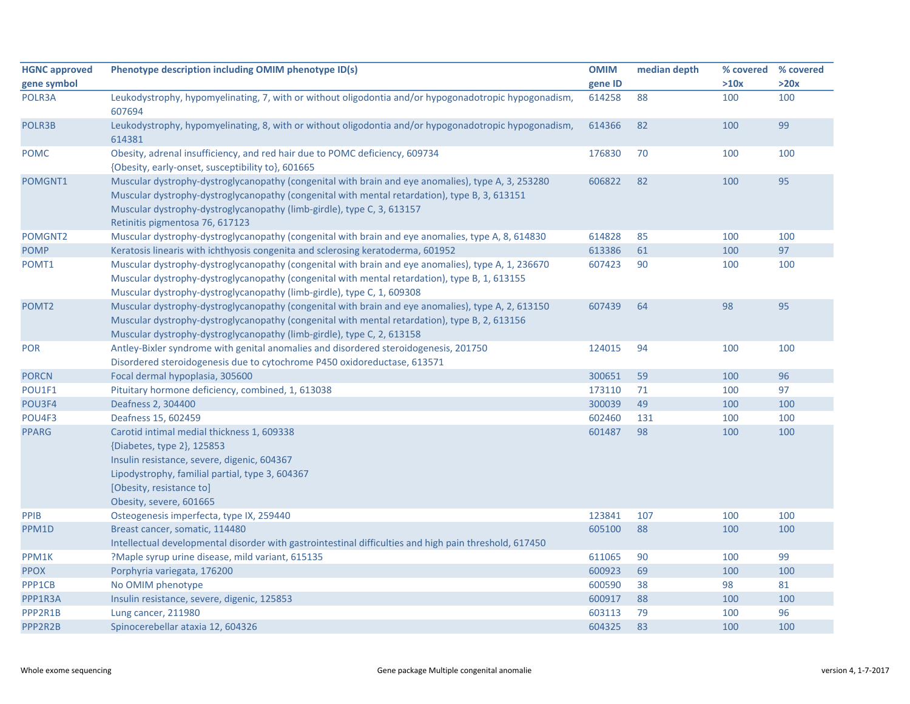| <b>HGNC approved</b> | Phenotype description including OMIM phenotype ID(s)                                                                                                                                                                                                                                                             | <b>OMIM</b> | median depth | % covered | % covered |
|----------------------|------------------------------------------------------------------------------------------------------------------------------------------------------------------------------------------------------------------------------------------------------------------------------------------------------------------|-------------|--------------|-----------|-----------|
| gene symbol          |                                                                                                                                                                                                                                                                                                                  | gene ID     |              | >10x      | >20x      |
| POLR3A               | Leukodystrophy, hypomyelinating, 7, with or without oligodontia and/or hypogonadotropic hypogonadism,<br>607694                                                                                                                                                                                                  | 614258      | 88           | 100       | 100       |
| POLR3B               | Leukodystrophy, hypomyelinating, 8, with or without oligodontia and/or hypogonadotropic hypogonadism,<br>614381                                                                                                                                                                                                  | 614366      | 82           | 100       | 99        |
| <b>POMC</b>          | Obesity, adrenal insufficiency, and red hair due to POMC deficiency, 609734<br>{Obesity, early-onset, susceptibility to}, 601665                                                                                                                                                                                 | 176830      | 70           | 100       | 100       |
| POMGNT1              | Muscular dystrophy-dystroglycanopathy (congenital with brain and eye anomalies), type A, 3, 253280<br>Muscular dystrophy-dystroglycanopathy (congenital with mental retardation), type B, 3, 613151<br>Muscular dystrophy-dystroglycanopathy (limb-girdle), type C, 3, 613157<br>Retinitis pigmentosa 76, 617123 | 606822      | 82           | 100       | 95        |
| POMGNT2              | Muscular dystrophy-dystroglycanopathy (congenital with brain and eye anomalies, type A, 8, 614830                                                                                                                                                                                                                | 614828      | 85           | 100       | 100       |
| <b>POMP</b>          | Keratosis linearis with ichthyosis congenita and sclerosing keratoderma, 601952                                                                                                                                                                                                                                  | 613386      | 61           | 100       | 97        |
| POMT1                | Muscular dystrophy-dystroglycanopathy (congenital with brain and eye anomalies), type A, 1, 236670<br>Muscular dystrophy-dystroglycanopathy (congenital with mental retardation), type B, 1, 613155<br>Muscular dystrophy-dystroglycanopathy (limb-girdle), type C, 1, 609308                                    | 607423      | 90           | 100       | 100       |
| POMT <sub>2</sub>    | Muscular dystrophy-dystroglycanopathy (congenital with brain and eye anomalies), type A, 2, 613150<br>Muscular dystrophy-dystroglycanopathy (congenital with mental retardation), type B, 2, 613156<br>Muscular dystrophy-dystroglycanopathy (limb-girdle), type C, 2, 613158                                    | 607439      | 64           | 98        | 95        |
| <b>POR</b>           | Antley-Bixler syndrome with genital anomalies and disordered steroidogenesis, 201750<br>Disordered steroidogenesis due to cytochrome P450 oxidoreductase, 613571                                                                                                                                                 | 124015      | 94           | 100       | 100       |
| <b>PORCN</b>         | Focal dermal hypoplasia, 305600                                                                                                                                                                                                                                                                                  | 300651      | 59           | 100       | 96        |
| POU1F1               | Pituitary hormone deficiency, combined, 1, 613038                                                                                                                                                                                                                                                                | 173110      | 71           | 100       | 97        |
| POU3F4               | Deafness 2, 304400                                                                                                                                                                                                                                                                                               | 300039      | 49           | 100       | 100       |
| POU4F3               | Deafness 15, 602459                                                                                                                                                                                                                                                                                              | 602460      | 131          | 100       | 100       |
| <b>PPARG</b>         | Carotid intimal medial thickness 1, 609338<br>{Diabetes, type 2}, 125853<br>Insulin resistance, severe, digenic, 604367<br>Lipodystrophy, familial partial, type 3, 604367<br>[Obesity, resistance to]<br>Obesity, severe, 601665                                                                                | 601487      | 98           | 100       | 100       |
| PPIB                 | Osteogenesis imperfecta, type IX, 259440                                                                                                                                                                                                                                                                         | 123841      | 107          | 100       | 100       |
| PPM1D                | Breast cancer, somatic, 114480<br>Intellectual developmental disorder with gastrointestinal difficulties and high pain threshold, 617450                                                                                                                                                                         | 605100      | 88           | 100       | 100       |
| PPM1K                | ?Maple syrup urine disease, mild variant, 615135                                                                                                                                                                                                                                                                 | 611065      | 90           | 100       | 99        |
| <b>PPOX</b>          | Porphyria variegata, 176200                                                                                                                                                                                                                                                                                      | 600923      | 69           | 100       | 100       |
| PPP1CB               | No OMIM phenotype                                                                                                                                                                                                                                                                                                | 600590      | 38           | 98        | 81        |
| PPP1R3A              | Insulin resistance, severe, digenic, 125853                                                                                                                                                                                                                                                                      | 600917      | 88           | 100       | 100       |
| PPP2R1B              | Lung cancer, 211980                                                                                                                                                                                                                                                                                              | 603113      | 79           | 100       | 96        |
| PPP2R2B              | Spinocerebellar ataxia 12, 604326                                                                                                                                                                                                                                                                                | 604325      | 83           | 100       | 100       |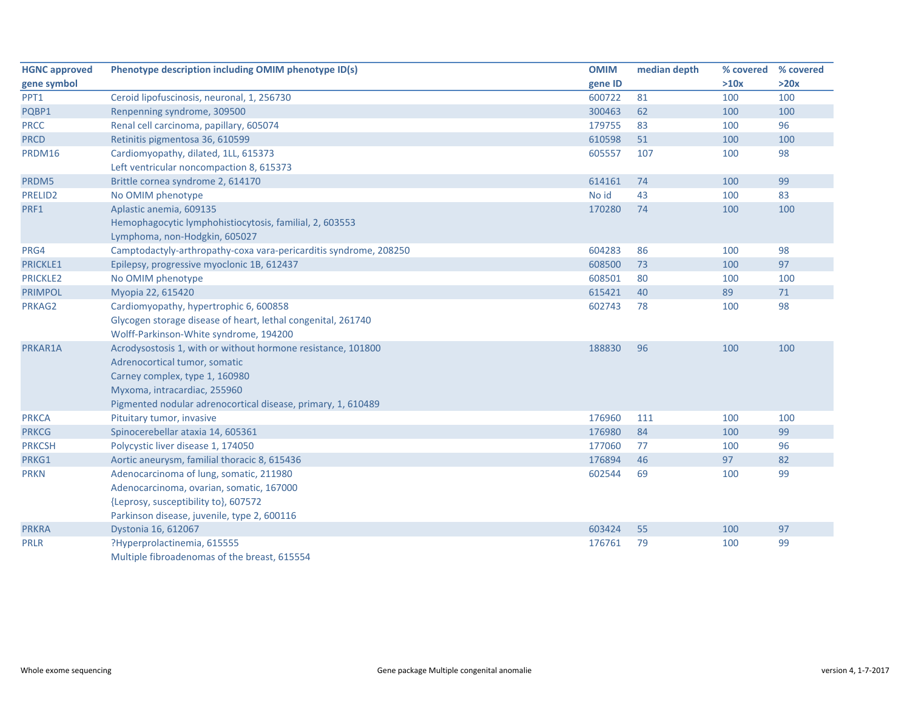| <b>HGNC approved</b> | Phenotype description including OMIM phenotype ID(s)              | <b>OMIM</b> | median depth | % covered | % covered |
|----------------------|-------------------------------------------------------------------|-------------|--------------|-----------|-----------|
| gene symbol          |                                                                   | gene ID     |              | >10x      | >20x      |
| PPT1                 | Ceroid lipofuscinosis, neuronal, 1, 256730                        | 600722      | 81           | 100       | 100       |
| PQBP1                | Renpenning syndrome, 309500                                       | 300463      | 62           | 100       | 100       |
| <b>PRCC</b>          | Renal cell carcinoma, papillary, 605074                           | 179755      | 83           | 100       | 96        |
| <b>PRCD</b>          | Retinitis pigmentosa 36, 610599                                   | 610598      | 51           | 100       | 100       |
| PRDM16               | Cardiomyopathy, dilated, 1LL, 615373                              | 605557      | 107          | 100       | 98        |
|                      | Left ventricular noncompaction 8, 615373                          |             |              |           |           |
| PRDM5                | Brittle cornea syndrome 2, 614170                                 | 614161      | 74           | 100       | 99        |
| PRELID2              | No OMIM phenotype                                                 | No id       | 43           | 100       | 83        |
| PRF1                 | Aplastic anemia, 609135                                           | 170280      | 74           | 100       | 100       |
|                      | Hemophagocytic lymphohistiocytosis, familial, 2, 603553           |             |              |           |           |
|                      | Lymphoma, non-Hodgkin, 605027                                     |             |              |           |           |
| PRG4                 | Camptodactyly-arthropathy-coxa vara-pericarditis syndrome, 208250 | 604283      | 86           | 100       | 98        |
| PRICKLE1             | Epilepsy, progressive myoclonic 1B, 612437                        | 608500      | 73           | 100       | 97        |
| <b>PRICKLE2</b>      | No OMIM phenotype                                                 | 608501      | 80           | 100       | 100       |
| <b>PRIMPOL</b>       | Myopia 22, 615420                                                 | 615421      | 40           | 89        | 71        |
| PRKAG2               | Cardiomyopathy, hypertrophic 6, 600858                            | 602743      | 78           | 100       | 98        |
|                      | Glycogen storage disease of heart, lethal congenital, 261740      |             |              |           |           |
|                      | Wolff-Parkinson-White syndrome, 194200                            |             |              |           |           |
| PRKAR1A              | Acrodysostosis 1, with or without hormone resistance, 101800      | 188830      | 96           | 100       | 100       |
|                      | Adrenocortical tumor, somatic                                     |             |              |           |           |
|                      | Carney complex, type 1, 160980                                    |             |              |           |           |
|                      | Myxoma, intracardiac, 255960                                      |             |              |           |           |
|                      | Pigmented nodular adrenocortical disease, primary, 1, 610489      |             |              |           |           |
| <b>PRKCA</b>         | Pituitary tumor, invasive                                         | 176960      | 111          | 100       | 100       |
| <b>PRKCG</b>         | Spinocerebellar ataxia 14, 605361                                 | 176980      | 84           | 100       | 99        |
| <b>PRKCSH</b>        | Polycystic liver disease 1, 174050                                | 177060      | 77           | 100       | 96        |
| PRKG1                | Aortic aneurysm, familial thoracic 8, 615436                      | 176894      | 46           | 97        | 82        |
| <b>PRKN</b>          | Adenocarcinoma of lung, somatic, 211980                           | 602544      | 69           | 100       | 99        |
|                      | Adenocarcinoma, ovarian, somatic, 167000                          |             |              |           |           |
|                      | {Leprosy, susceptibility to}, 607572                              |             |              |           |           |
|                      | Parkinson disease, juvenile, type 2, 600116                       |             |              |           |           |
| <b>PRKRA</b>         | Dystonia 16, 612067                                               | 603424      | 55           | 100       | 97        |
| <b>PRLR</b>          | ?Hyperprolactinemia, 615555                                       | 176761      | 79           | 100       | 99        |
|                      | Multiple fibroadenomas of the breast, 615554                      |             |              |           |           |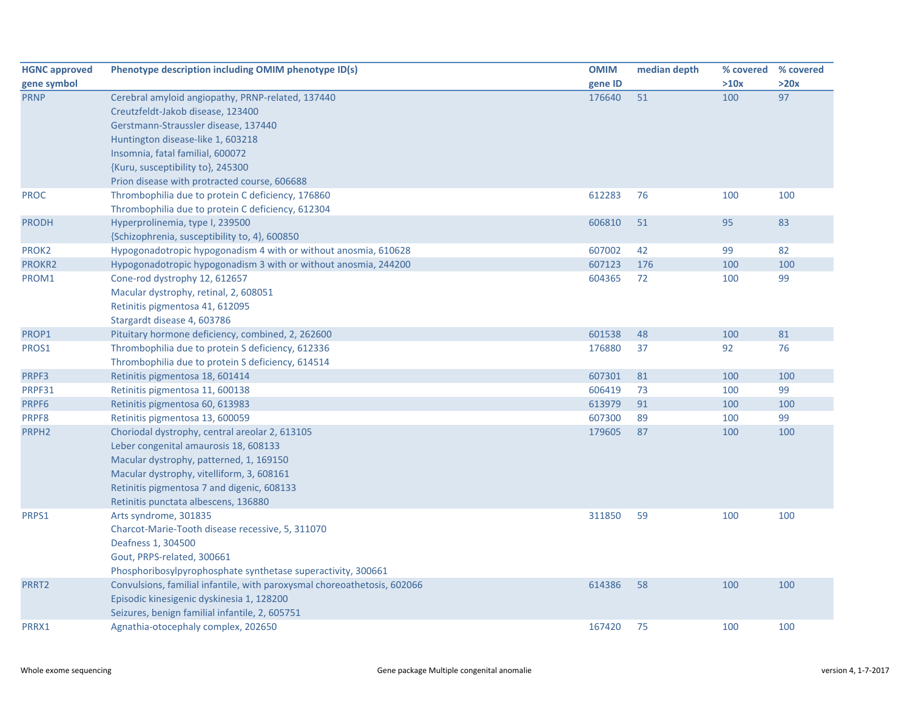| <b>HGNC approved</b> | Phenotype description including OMIM phenotype ID(s)                     | <b>OMIM</b> | median depth | % covered | % covered |
|----------------------|--------------------------------------------------------------------------|-------------|--------------|-----------|-----------|
| gene symbol          |                                                                          | gene ID     |              | >10x      | >20x      |
| <b>PRNP</b>          | Cerebral amyloid angiopathy, PRNP-related, 137440                        | 176640      | 51           | 100       | 97        |
|                      | Creutzfeldt-Jakob disease, 123400                                        |             |              |           |           |
|                      | Gerstmann-Straussler disease, 137440                                     |             |              |           |           |
|                      | Huntington disease-like 1, 603218                                        |             |              |           |           |
|                      | Insomnia, fatal familial, 600072                                         |             |              |           |           |
|                      | {Kuru, susceptibility to}, 245300                                        |             |              |           |           |
|                      | Prion disease with protracted course, 606688                             |             |              |           |           |
| <b>PROC</b>          | Thrombophilia due to protein C deficiency, 176860                        | 612283      | 76           | 100       | 100       |
|                      | Thrombophilia due to protein C deficiency, 612304                        |             |              |           |           |
| <b>PRODH</b>         | Hyperprolinemia, type I, 239500                                          | 606810      | 51           | 95        | 83        |
|                      | {Schizophrenia, susceptibility to, 4}, 600850                            |             |              |           |           |
| PROK2                | Hypogonadotropic hypogonadism 4 with or without anosmia, 610628          | 607002      | 42           | 99        | 82        |
| PROKR2               | Hypogonadotropic hypogonadism 3 with or without anosmia, 244200          | 607123      | 176          | 100       | 100       |
| PROM1                | Cone-rod dystrophy 12, 612657                                            | 604365      | 72           | 100       | 99        |
|                      | Macular dystrophy, retinal, 2, 608051                                    |             |              |           |           |
|                      | Retinitis pigmentosa 41, 612095                                          |             |              |           |           |
|                      | Stargardt disease 4, 603786                                              |             |              |           |           |
| PROP1                | Pituitary hormone deficiency, combined, 2, 262600                        | 601538      | 48           | 100       | 81        |
| PROS1                | Thrombophilia due to protein S deficiency, 612336                        | 176880      | 37           | 92        | 76        |
|                      | Thrombophilia due to protein S deficiency, 614514                        |             |              |           |           |
| PRPF3                | Retinitis pigmentosa 18, 601414                                          | 607301      | 81           | 100       | 100       |
| PRPF31               | Retinitis pigmentosa 11, 600138                                          | 606419      | 73           | 100       | 99        |
| PRPF6                | Retinitis pigmentosa 60, 613983                                          | 613979      | 91           | 100       | 100       |
| PRPF8                | Retinitis pigmentosa 13, 600059                                          | 607300      | 89           | 100       | 99        |
| PRPH <sub>2</sub>    | Choriodal dystrophy, central areolar 2, 613105                           | 179605      | 87           | 100       | 100       |
|                      | Leber congenital amaurosis 18, 608133                                    |             |              |           |           |
|                      | Macular dystrophy, patterned, 1, 169150                                  |             |              |           |           |
|                      | Macular dystrophy, vitelliform, 3, 608161                                |             |              |           |           |
|                      | Retinitis pigmentosa 7 and digenic, 608133                               |             |              |           |           |
|                      | Retinitis punctata albescens, 136880                                     |             |              |           |           |
| PRPS1                | Arts syndrome, 301835                                                    | 311850      | 59           | 100       | 100       |
|                      | Charcot-Marie-Tooth disease recessive, 5, 311070                         |             |              |           |           |
|                      | Deafness 1, 304500                                                       |             |              |           |           |
|                      | Gout, PRPS-related, 300661                                               |             |              |           |           |
|                      | Phosphoribosylpyrophosphate synthetase superactivity, 300661             |             |              |           |           |
| PRRT2                | Convulsions, familial infantile, with paroxysmal choreoathetosis, 602066 | 614386      | 58           | 100       | 100       |
|                      | Episodic kinesigenic dyskinesia 1, 128200                                |             |              |           |           |
|                      | Seizures, benign familial infantile, 2, 605751                           |             |              |           |           |
| PRRX1                | Agnathia-otocephaly complex, 202650                                      | 167420      | 75           | 100       | 100       |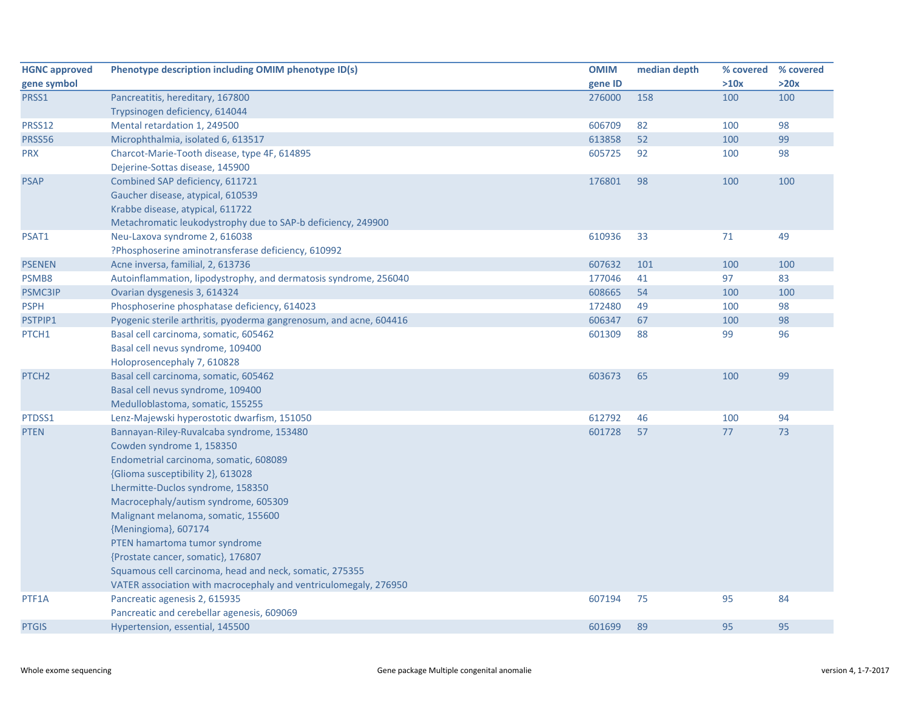| <b>HGNC approved</b> | Phenotype description including OMIM phenotype ID(s)               | <b>OMIM</b> | median depth |      | % covered % covered |
|----------------------|--------------------------------------------------------------------|-------------|--------------|------|---------------------|
| gene symbol          |                                                                    | gene ID     |              | >10x | >20x                |
| PRSS1                | Pancreatitis, hereditary, 167800                                   | 276000      | 158          | 100  | 100                 |
|                      | Trypsinogen deficiency, 614044                                     |             |              |      |                     |
| PRSS12               | Mental retardation 1, 249500                                       | 606709      | 82           | 100  | 98                  |
| PRSS56               | Microphthalmia, isolated 6, 613517                                 | 613858      | 52           | 100  | 99                  |
| <b>PRX</b>           | Charcot-Marie-Tooth disease, type 4F, 614895                       | 605725      | 92           | 100  | 98                  |
|                      | Dejerine-Sottas disease, 145900                                    |             |              |      |                     |
| <b>PSAP</b>          | Combined SAP deficiency, 611721                                    | 176801      | 98           | 100  | 100                 |
|                      | Gaucher disease, atypical, 610539                                  |             |              |      |                     |
|                      | Krabbe disease, atypical, 611722                                   |             |              |      |                     |
|                      | Metachromatic leukodystrophy due to SAP-b deficiency, 249900       |             |              |      |                     |
| PSAT1                | Neu-Laxova syndrome 2, 616038                                      | 610936      | 33           | 71   | 49                  |
|                      | ?Phosphoserine aminotransferase deficiency, 610992                 |             |              |      |                     |
| <b>PSENEN</b>        | Acne inversa, familial, 2, 613736                                  | 607632      | 101          | 100  | 100                 |
| PSMB8                | Autoinflammation, lipodystrophy, and dermatosis syndrome, 256040   | 177046      | 41           | 97   | 83                  |
| <b>PSMC3IP</b>       | Ovarian dysgenesis 3, 614324                                       | 608665      | 54           | 100  | 100                 |
| <b>PSPH</b>          | Phosphoserine phosphatase deficiency, 614023                       | 172480      | 49           | 100  | 98                  |
| PSTPIP1              | Pyogenic sterile arthritis, pyoderma gangrenosum, and acne, 604416 | 606347      | 67           | 100  | 98                  |
| PTCH1                | Basal cell carcinoma, somatic, 605462                              | 601309      | 88           | 99   | 96                  |
|                      | Basal cell nevus syndrome, 109400                                  |             |              |      |                     |
|                      | Holoprosencephaly 7, 610828                                        |             |              |      |                     |
| PTCH <sub>2</sub>    | Basal cell carcinoma, somatic, 605462                              | 603673      | 65           | 100  | 99                  |
|                      | Basal cell nevus syndrome, 109400                                  |             |              |      |                     |
|                      | Medulloblastoma, somatic, 155255                                   |             |              |      |                     |
| PTDSS1               | Lenz-Majewski hyperostotic dwarfism, 151050                        | 612792      | 46           | 100  | 94                  |
| <b>PTEN</b>          | Bannayan-Riley-Ruvalcaba syndrome, 153480                          | 601728      | 57           | 77   | 73                  |
|                      | Cowden syndrome 1, 158350                                          |             |              |      |                     |
|                      | Endometrial carcinoma, somatic, 608089                             |             |              |      |                     |
|                      | {Glioma susceptibility 2}, 613028                                  |             |              |      |                     |
|                      | Lhermitte-Duclos syndrome, 158350                                  |             |              |      |                     |
|                      | Macrocephaly/autism syndrome, 605309                               |             |              |      |                     |
|                      | Malignant melanoma, somatic, 155600                                |             |              |      |                     |
|                      | {Meningioma}, 607174                                               |             |              |      |                     |
|                      | PTEN hamartoma tumor syndrome                                      |             |              |      |                     |
|                      | {Prostate cancer, somatic}, 176807                                 |             |              |      |                     |
|                      | Squamous cell carcinoma, head and neck, somatic, 275355            |             |              |      |                     |
|                      | VATER association with macrocephaly and ventriculomegaly, 276950   |             |              |      |                     |
| PTF1A                | Pancreatic agenesis 2, 615935                                      | 607194      | 75           | 95   | 84                  |
|                      | Pancreatic and cerebellar agenesis, 609069                         |             |              |      |                     |
| <b>PTGIS</b>         | Hypertension, essential, 145500                                    | 601699      | 89           | 95   | 95                  |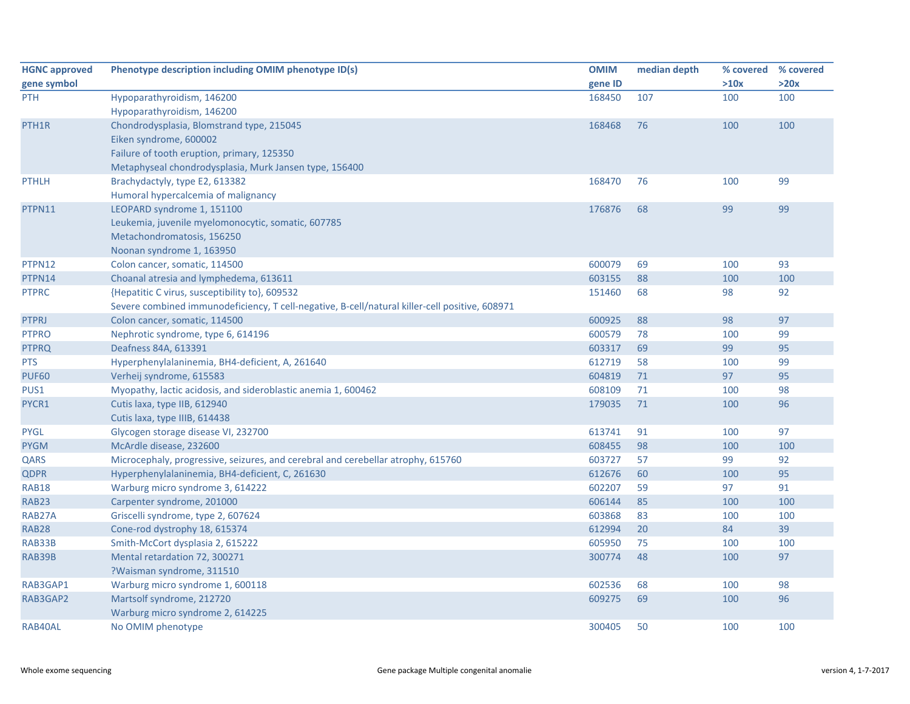| <b>HGNC approved</b> | Phenotype description including OMIM phenotype ID(s)                                           | <b>OMIM</b> | median depth | % covered % covered |      |
|----------------------|------------------------------------------------------------------------------------------------|-------------|--------------|---------------------|------|
| gene symbol          |                                                                                                | gene ID     |              | >10x                | >20x |
| <b>PTH</b>           | Hypoparathyroidism, 146200                                                                     | 168450      | 107          | 100                 | 100  |
|                      | Hypoparathyroidism, 146200                                                                     |             |              |                     |      |
| PTH <sub>1</sub> R   | Chondrodysplasia, Blomstrand type, 215045                                                      | 168468      | 76           | 100                 | 100  |
|                      | Eiken syndrome, 600002                                                                         |             |              |                     |      |
|                      | Failure of tooth eruption, primary, 125350                                                     |             |              |                     |      |
|                      | Metaphyseal chondrodysplasia, Murk Jansen type, 156400                                         |             |              |                     |      |
| <b>PTHLH</b>         | Brachydactyly, type E2, 613382                                                                 | 168470      | 76           | 100                 | 99   |
|                      | Humoral hypercalcemia of malignancy                                                            |             |              |                     |      |
| PTPN11               | LEOPARD syndrome 1, 151100                                                                     | 176876      | 68           | 99                  | 99   |
|                      | Leukemia, juvenile myelomonocytic, somatic, 607785                                             |             |              |                     |      |
|                      | Metachondromatosis, 156250                                                                     |             |              |                     |      |
|                      | Noonan syndrome 1, 163950                                                                      |             |              |                     |      |
| PTPN12               | Colon cancer, somatic, 114500                                                                  | 600079      | 69           | 100                 | 93   |
| PTPN14               | Choanal atresia and lymphedema, 613611                                                         | 603155      | 88           | 100                 | 100  |
| <b>PTPRC</b>         | {Hepatitic C virus, susceptibility to}, 609532                                                 | 151460      | 68           | 98                  | 92   |
|                      | Severe combined immunodeficiency, T cell-negative, B-cell/natural killer-cell positive, 608971 |             |              |                     |      |
| <b>PTPRJ</b>         | Colon cancer, somatic, 114500                                                                  | 600925      | 88           | 98                  | 97   |
| <b>PTPRO</b>         | Nephrotic syndrome, type 6, 614196                                                             | 600579      | 78           | 100                 | 99   |
| <b>PTPRQ</b>         | Deafness 84A, 613391                                                                           | 603317      | 69           | 99                  | 95   |
| <b>PTS</b>           | Hyperphenylalaninemia, BH4-deficient, A, 261640                                                | 612719      | 58           | 100                 | 99   |
| <b>PUF60</b>         | Verheij syndrome, 615583                                                                       | 604819      | 71           | 97                  | 95   |
| PUS1                 | Myopathy, lactic acidosis, and sideroblastic anemia 1, 600462                                  | 608109      | 71           | 100                 | 98   |
| PYCR1                | Cutis laxa, type IIB, 612940                                                                   | 179035      | 71           | 100                 | 96   |
|                      | Cutis laxa, type IIIB, 614438                                                                  |             |              |                     |      |
| <b>PYGL</b>          | Glycogen storage disease VI, 232700                                                            | 613741      | 91           | 100                 | 97   |
| <b>PYGM</b>          | McArdle disease, 232600                                                                        | 608455      | 98           | 100                 | 100  |
| QARS                 | Microcephaly, progressive, seizures, and cerebral and cerebellar atrophy, 615760               | 603727      | 57           | 99                  | 92   |
| <b>QDPR</b>          | Hyperphenylalaninemia, BH4-deficient, C, 261630                                                | 612676      | 60           | 100                 | 95   |
| <b>RAB18</b>         | Warburg micro syndrome 3, 614222                                                               | 602207      | 59           | 97                  | 91   |
| <b>RAB23</b>         | Carpenter syndrome, 201000                                                                     | 606144      | 85           | 100                 | 100  |
| RAB27A               | Griscelli syndrome, type 2, 607624                                                             | 603868      | 83           | 100                 | 100  |
| <b>RAB28</b>         | Cone-rod dystrophy 18, 615374                                                                  | 612994      | 20           | 84                  | 39   |
| RAB33B               | Smith-McCort dysplasia 2, 615222                                                               | 605950      | 75           | 100                 | 100  |
| RAB39B               | Mental retardation 72, 300271                                                                  | 300774      | 48           | 100                 | 97   |
|                      | ?Waisman syndrome, 311510                                                                      |             |              |                     |      |
| RAB3GAP1             | Warburg micro syndrome 1, 600118                                                               | 602536      | 68           | 100                 | 98   |
| RAB3GAP2             | Martsolf syndrome, 212720                                                                      | 609275      | 69           | 100                 | 96   |
|                      | Warburg micro syndrome 2, 614225                                                               |             |              |                     |      |
| RAB40AL              | No OMIM phenotype                                                                              | 300405      | 50           | 100                 | 100  |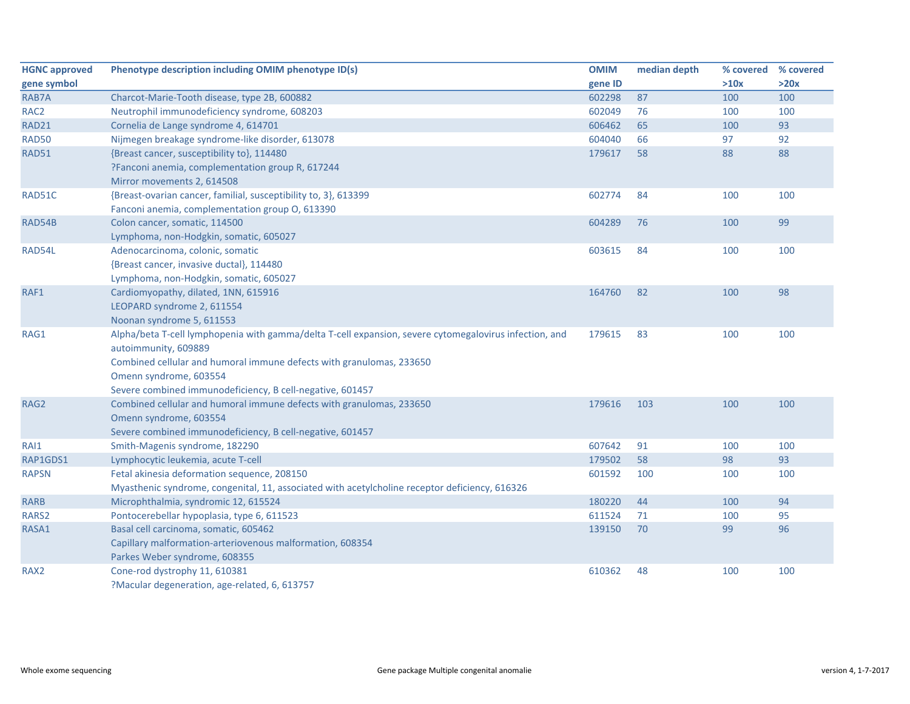| <b>HGNC approved</b> | Phenotype description including OMIM phenotype ID(s)                                                   | <b>OMIM</b> | median depth | % covered | % covered |
|----------------------|--------------------------------------------------------------------------------------------------------|-------------|--------------|-----------|-----------|
| gene symbol          |                                                                                                        | gene ID     |              | >10x      | >20x      |
| RAB7A                | Charcot-Marie-Tooth disease, type 2B, 600882                                                           | 602298      | 87           | 100       | 100       |
| RAC <sub>2</sub>     | Neutrophil immunodeficiency syndrome, 608203                                                           | 602049      | 76           | 100       | 100       |
| <b>RAD21</b>         | Cornelia de Lange syndrome 4, 614701                                                                   | 606462      | 65           | 100       | 93        |
| <b>RAD50</b>         | Nijmegen breakage syndrome-like disorder, 613078                                                       | 604040      | 66           | 97        | 92        |
| <b>RAD51</b>         | {Breast cancer, susceptibility to}, 114480                                                             | 179617      | 58           | 88        | 88        |
|                      | ?Fanconi anemia, complementation group R, 617244                                                       |             |              |           |           |
|                      | Mirror movements 2, 614508                                                                             |             |              |           |           |
| RAD51C               | {Breast-ovarian cancer, familial, susceptibility to, 3}, 613399                                        | 602774      | 84           | 100       | 100       |
|                      | Fanconi anemia, complementation group O, 613390                                                        |             |              |           |           |
| RAD54B               | Colon cancer, somatic, 114500                                                                          | 604289      | 76           | 100       | 99        |
|                      | Lymphoma, non-Hodgkin, somatic, 605027                                                                 |             |              |           |           |
| RAD54L               | Adenocarcinoma, colonic, somatic                                                                       | 603615      | 84           | 100       | 100       |
|                      | {Breast cancer, invasive ductal}, 114480                                                               |             |              |           |           |
|                      | Lymphoma, non-Hodgkin, somatic, 605027                                                                 |             |              |           |           |
| RAF1                 | Cardiomyopathy, dilated, 1NN, 615916                                                                   | 164760      | 82           | 100       | 98        |
|                      | LEOPARD syndrome 2, 611554                                                                             |             |              |           |           |
|                      | Noonan syndrome 5, 611553                                                                              |             |              |           |           |
| RAG1                 | Alpha/beta T-cell lymphopenia with gamma/delta T-cell expansion, severe cytomegalovirus infection, and | 179615      | 83           | 100       | 100       |
|                      | autoimmunity, 609889                                                                                   |             |              |           |           |
|                      | Combined cellular and humoral immune defects with granulomas, 233650                                   |             |              |           |           |
|                      | Omenn syndrome, 603554                                                                                 |             |              |           |           |
|                      | Severe combined immunodeficiency, B cell-negative, 601457                                              |             |              |           |           |
| RAG2                 | Combined cellular and humoral immune defects with granulomas, 233650                                   | 179616      | 103          | 100       | 100       |
|                      | Omenn syndrome, 603554                                                                                 |             |              |           |           |
|                      | Severe combined immunodeficiency, B cell-negative, 601457                                              |             |              |           |           |
| RAI1                 | Smith-Magenis syndrome, 182290                                                                         | 607642      | 91           | 100       | 100       |
| RAP1GDS1             | Lymphocytic leukemia, acute T-cell                                                                     | 179502      | 58           | 98        | 93        |
| <b>RAPSN</b>         | Fetal akinesia deformation sequence, 208150                                                            | 601592      | 100          | 100       | 100       |
|                      | Myasthenic syndrome, congenital, 11, associated with acetylcholine receptor deficiency, 616326         |             |              |           |           |
| <b>RARB</b>          | Microphthalmia, syndromic 12, 615524                                                                   | 180220      | 44           | 100       | 94        |
| RARS2                | Pontocerebellar hypoplasia, type 6, 611523                                                             | 611524      | 71           | 100       | 95        |
| RASA1                | Basal cell carcinoma, somatic, 605462                                                                  | 139150      | 70           | 99        | 96        |
|                      | Capillary malformation-arteriovenous malformation, 608354                                              |             |              |           |           |
|                      | Parkes Weber syndrome, 608355                                                                          |             |              |           |           |
| RAX <sub>2</sub>     | Cone-rod dystrophy 11, 610381                                                                          | 610362      | 48           | 100       | 100       |
|                      | ?Macular degeneration, age-related, 6, 613757                                                          |             |              |           |           |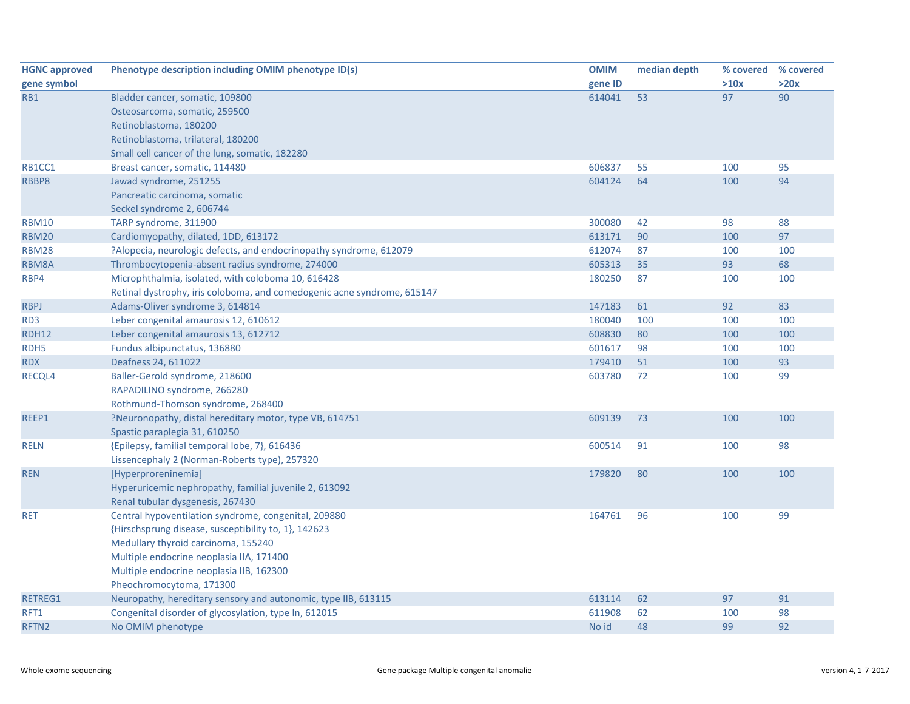| <b>HGNC approved</b> | Phenotype description including OMIM phenotype ID(s)                    | <b>OMIM</b> | median depth | % covered | % covered |
|----------------------|-------------------------------------------------------------------------|-------------|--------------|-----------|-----------|
| gene symbol          |                                                                         | gene ID     |              | >10x      | >20x      |
| RB1                  | Bladder cancer, somatic, 109800                                         | 614041      | 53           | 97        | 90        |
|                      | Osteosarcoma, somatic, 259500                                           |             |              |           |           |
|                      | Retinoblastoma, 180200                                                  |             |              |           |           |
|                      | Retinoblastoma, trilateral, 180200                                      |             |              |           |           |
|                      | Small cell cancer of the lung, somatic, 182280                          |             |              |           |           |
| RB1CC1               | Breast cancer, somatic, 114480                                          | 606837      | 55           | 100       | 95        |
| RBBP8                | Jawad syndrome, 251255                                                  | 604124      | 64           | 100       | 94        |
|                      | Pancreatic carcinoma, somatic                                           |             |              |           |           |
|                      | Seckel syndrome 2, 606744                                               |             |              |           |           |
| <b>RBM10</b>         | TARP syndrome, 311900                                                   | 300080      | 42           | 98        | 88        |
| <b>RBM20</b>         | Cardiomyopathy, dilated, 1DD, 613172                                    | 613171      | 90           | 100       | 97        |
| <b>RBM28</b>         | ?Alopecia, neurologic defects, and endocrinopathy syndrome, 612079      | 612074      | 87           | 100       | 100       |
| RBM8A                | Thrombocytopenia-absent radius syndrome, 274000                         | 605313      | 35           | 93        | 68        |
| RBP4                 | Microphthalmia, isolated, with coloboma 10, 616428                      | 180250      | 87           | 100       | 100       |
|                      | Retinal dystrophy, iris coloboma, and comedogenic acne syndrome, 615147 |             |              |           |           |
| <b>RBPJ</b>          | Adams-Oliver syndrome 3, 614814                                         | 147183      | 61           | 92        | 83        |
| RD3                  | Leber congenital amaurosis 12, 610612                                   | 180040      | 100          | 100       | 100       |
| <b>RDH12</b>         | Leber congenital amaurosis 13, 612712                                   | 608830      | 80           | 100       | 100       |
| RDH5                 | Fundus albipunctatus, 136880                                            | 601617      | 98           | 100       | 100       |
| <b>RDX</b>           | Deafness 24, 611022                                                     | 179410      | 51           | 100       | 93        |
| RECQL4               | Baller-Gerold syndrome, 218600                                          | 603780      | 72           | 100       | 99        |
|                      | RAPADILINO syndrome, 266280                                             |             |              |           |           |
|                      | Rothmund-Thomson syndrome, 268400                                       |             |              |           |           |
| REEP1                | ?Neuronopathy, distal hereditary motor, type VB, 614751                 | 609139      | 73           | 100       | 100       |
|                      | Spastic paraplegia 31, 610250                                           |             |              |           |           |
| <b>RELN</b>          | {Epilepsy, familial temporal lobe, 7}, 616436                           | 600514      | 91           | 100       | 98        |
|                      | Lissencephaly 2 (Norman-Roberts type), 257320                           |             |              |           |           |
| <b>REN</b>           | [Hyperproreninemia]                                                     | 179820      | 80           | 100       | 100       |
|                      | Hyperuricemic nephropathy, familial juvenile 2, 613092                  |             |              |           |           |
|                      | Renal tubular dysgenesis, 267430                                        |             |              |           |           |
| <b>RET</b>           | Central hypoventilation syndrome, congenital, 209880                    | 164761      | 96           | 100       | 99        |
|                      | {Hirschsprung disease, susceptibility to, 1}, 142623                    |             |              |           |           |
|                      | Medullary thyroid carcinoma, 155240                                     |             |              |           |           |
|                      | Multiple endocrine neoplasia IIA, 171400                                |             |              |           |           |
|                      | Multiple endocrine neoplasia IIB, 162300                                |             |              |           |           |
|                      | Pheochromocytoma, 171300                                                |             |              |           |           |
| <b>RETREG1</b>       | Neuropathy, hereditary sensory and autonomic, type IIB, 613115          | 613114      | 62           | 97        | 91        |
| RFT1                 | Congenital disorder of glycosylation, type In, 612015                   | 611908      | 62           | 100       | 98        |
| RFTN <sub>2</sub>    | No OMIM phenotype                                                       | No id       | 48           | 99        | 92        |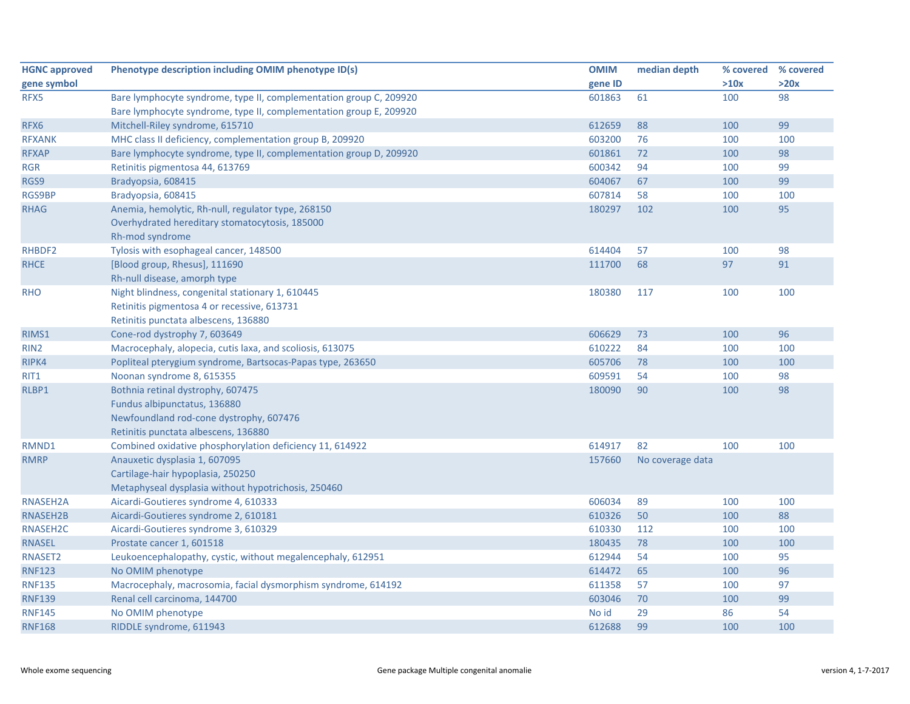| <b>HGNC approved</b> | Phenotype description including OMIM phenotype ID(s)               | <b>OMIM</b> | median depth     | % covered % covered |      |
|----------------------|--------------------------------------------------------------------|-------------|------------------|---------------------|------|
| gene symbol          |                                                                    | gene ID     |                  | >10x                | >20x |
| RFX5                 | Bare lymphocyte syndrome, type II, complementation group C, 209920 | 601863      | 61               | 100                 | 98   |
|                      | Bare lymphocyte syndrome, type II, complementation group E, 209920 |             |                  |                     |      |
| RFX6                 | Mitchell-Riley syndrome, 615710                                    | 612659      | 88               | 100                 | 99   |
| <b>RFXANK</b>        | MHC class II deficiency, complementation group B, 209920           | 603200      | 76               | 100                 | 100  |
| <b>RFXAP</b>         | Bare lymphocyte syndrome, type II, complementation group D, 209920 | 601861      | 72               | 100                 | 98   |
| <b>RGR</b>           | Retinitis pigmentosa 44, 613769                                    | 600342      | 94               | 100                 | 99   |
| RGS9                 | Bradyopsia, 608415                                                 | 604067      | 67               | 100                 | 99   |
| <b>RGS9BP</b>        | Bradyopsia, 608415                                                 | 607814      | 58               | 100                 | 100  |
| <b>RHAG</b>          | Anemia, hemolytic, Rh-null, regulator type, 268150                 | 180297      | 102              | 100                 | 95   |
|                      | Overhydrated hereditary stomatocytosis, 185000                     |             |                  |                     |      |
|                      | Rh-mod syndrome                                                    |             |                  |                     |      |
| RHBDF2               | Tylosis with esophageal cancer, 148500                             | 614404      | 57               | 100                 | 98   |
| <b>RHCE</b>          | [Blood group, Rhesus], 111690                                      | 111700      | 68               | 97                  | 91   |
|                      | Rh-null disease, amorph type                                       |             |                  |                     |      |
| <b>RHO</b>           | Night blindness, congenital stationary 1, 610445                   | 180380      | 117              | 100                 | 100  |
|                      | Retinitis pigmentosa 4 or recessive, 613731                        |             |                  |                     |      |
|                      | Retinitis punctata albescens, 136880                               |             |                  |                     |      |
| RIMS1                | Cone-rod dystrophy 7, 603649                                       | 606629      | 73               | 100                 | 96   |
| RIN <sub>2</sub>     | Macrocephaly, alopecia, cutis laxa, and scoliosis, 613075          | 610222      | 84               | 100                 | 100  |
| RIPK4                | Popliteal pterygium syndrome, Bartsocas-Papas type, 263650         | 605706      | 78               | 100                 | 100  |
| RIT1                 | Noonan syndrome 8, 615355                                          | 609591      | 54               | 100                 | 98   |
| RLBP1                | Bothnia retinal dystrophy, 607475                                  | 180090      | 90               | 100                 | 98   |
|                      | Fundus albipunctatus, 136880                                       |             |                  |                     |      |
|                      | Newfoundland rod-cone dystrophy, 607476                            |             |                  |                     |      |
|                      | Retinitis punctata albescens, 136880                               |             |                  |                     |      |
| RMND1                | Combined oxidative phosphorylation deficiency 11, 614922           | 614917      | 82               | 100                 | 100  |
| <b>RMRP</b>          | Anauxetic dysplasia 1, 607095                                      | 157660      | No coverage data |                     |      |
|                      | Cartilage-hair hypoplasia, 250250                                  |             |                  |                     |      |
|                      | Metaphyseal dysplasia without hypotrichosis, 250460                |             |                  |                     |      |
| RNASEH2A             | Aicardi-Goutieres syndrome 4, 610333                               | 606034      | 89               | 100                 | 100  |
| RNASEH2B             | Aicardi-Goutieres syndrome 2, 610181                               | 610326      | 50               | 100                 | 88   |
| RNASEH2C             | Aicardi-Goutieres syndrome 3, 610329                               | 610330      | 112              | 100                 | 100  |
| <b>RNASEL</b>        | Prostate cancer 1, 601518                                          | 180435      | 78               | 100                 | 100  |
| RNASET2              | Leukoencephalopathy, cystic, without megalencephaly, 612951        | 612944      | 54               | 100                 | 95   |
| <b>RNF123</b>        | No OMIM phenotype                                                  | 614472      | 65               | 100                 | 96   |
| <b>RNF135</b>        | Macrocephaly, macrosomia, facial dysmorphism syndrome, 614192      | 611358      | 57               | 100                 | 97   |
| <b>RNF139</b>        | Renal cell carcinoma, 144700                                       | 603046      | 70               | 100                 | 99   |
| <b>RNF145</b>        | No OMIM phenotype                                                  | No id       | 29               | 86                  | 54   |
| <b>RNF168</b>        | RIDDLE syndrome, 611943                                            | 612688      | 99               | 100                 | 100  |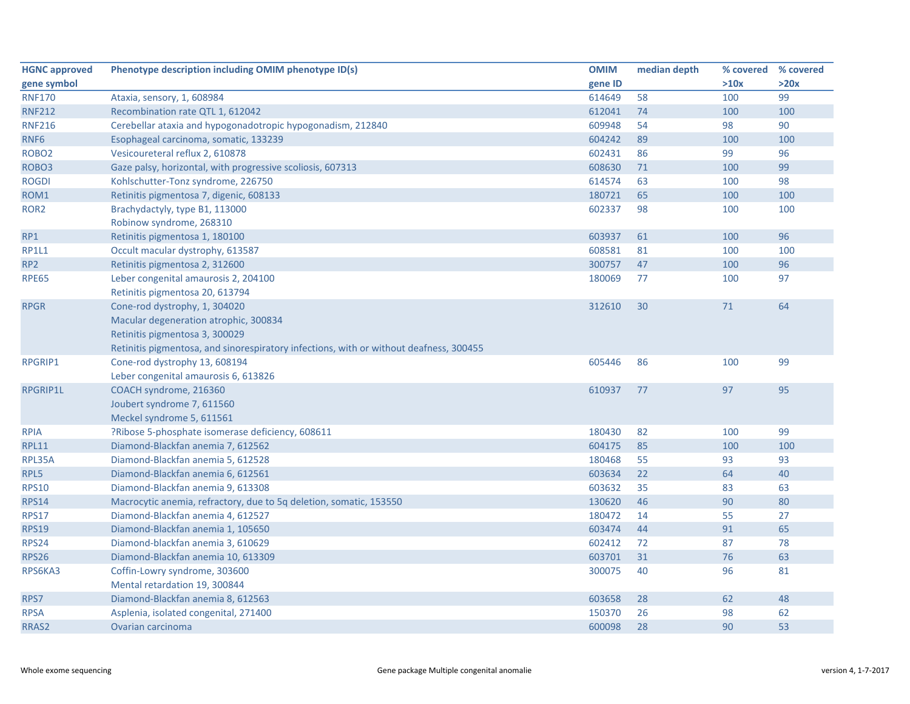| <b>HGNC approved</b> | Phenotype description including OMIM phenotype ID(s)                                   | <b>OMIM</b> | median depth | % covered | % covered |
|----------------------|----------------------------------------------------------------------------------------|-------------|--------------|-----------|-----------|
| gene symbol          |                                                                                        | gene ID     |              | >10x      | >20x      |
| <b>RNF170</b>        | Ataxia, sensory, 1, 608984                                                             | 614649      | 58           | 100       | 99        |
| <b>RNF212</b>        | Recombination rate QTL 1, 612042                                                       | 612041      | 74           | 100       | 100       |
| <b>RNF216</b>        | Cerebellar ataxia and hypogonadotropic hypogonadism, 212840                            | 609948      | 54           | 98        | 90        |
| RNF6                 | Esophageal carcinoma, somatic, 133239                                                  | 604242      | 89           | 100       | 100       |
| ROBO <sub>2</sub>    | Vesicoureteral reflux 2, 610878                                                        | 602431      | 86           | 99        | 96        |
| ROBO <sub>3</sub>    | Gaze palsy, horizontal, with progressive scoliosis, 607313                             | 608630      | 71           | 100       | 99        |
| <b>ROGDI</b>         | Kohlschutter-Tonz syndrome, 226750                                                     | 614574      | 63           | 100       | 98        |
| ROM1                 | Retinitis pigmentosa 7, digenic, 608133                                                | 180721      | 65           | 100       | 100       |
| ROR <sub>2</sub>     | Brachydactyly, type B1, 113000                                                         | 602337      | 98           | 100       | 100       |
|                      | Robinow syndrome, 268310                                                               |             |              |           |           |
| RP1                  | Retinitis pigmentosa 1, 180100                                                         | 603937      | 61           | 100       | 96        |
| <b>RP1L1</b>         | Occult macular dystrophy, 613587                                                       | 608581      | 81           | 100       | 100       |
| RP <sub>2</sub>      | Retinitis pigmentosa 2, 312600                                                         | 300757      | 47           | 100       | 96        |
| <b>RPE65</b>         | Leber congenital amaurosis 2, 204100                                                   | 180069      | 77           | 100       | 97        |
|                      | Retinitis pigmentosa 20, 613794                                                        |             |              |           |           |
| <b>RPGR</b>          | Cone-rod dystrophy, 1, 304020                                                          | 312610      | 30           | 71        | 64        |
|                      | Macular degeneration atrophic, 300834                                                  |             |              |           |           |
|                      | Retinitis pigmentosa 3, 300029                                                         |             |              |           |           |
|                      | Retinitis pigmentosa, and sinorespiratory infections, with or without deafness, 300455 |             |              |           |           |
| RPGRIP1              | Cone-rod dystrophy 13, 608194                                                          | 605446      | 86           | 100       | 99        |
|                      | Leber congenital amaurosis 6, 613826                                                   |             |              |           |           |
| RPGRIP1L             | COACH syndrome, 216360                                                                 | 610937      | 77           | 97        | 95        |
|                      | Joubert syndrome 7, 611560                                                             |             |              |           |           |
|                      | Meckel syndrome 5, 611561                                                              |             |              |           |           |
| <b>RPIA</b>          | ?Ribose 5-phosphate isomerase deficiency, 608611                                       | 180430      | 82           | 100       | 99        |
| <b>RPL11</b>         | Diamond-Blackfan anemia 7, 612562                                                      | 604175      | 85           | 100       | 100       |
| RPL35A               | Diamond-Blackfan anemia 5, 612528                                                      | 180468      | 55           | 93        | 93        |
| RPL5                 | Diamond-Blackfan anemia 6, 612561                                                      | 603634      | 22           | 64        | 40        |
| <b>RPS10</b>         | Diamond-Blackfan anemia 9, 613308                                                      | 603632      | 35           | 83        | 63        |
| <b>RPS14</b>         | Macrocytic anemia, refractory, due to 5q deletion, somatic, 153550                     | 130620      | 46           | 90        | 80        |
| <b>RPS17</b>         | Diamond-Blackfan anemia 4, 612527                                                      | 180472      | 14           | 55        | 27        |
| <b>RPS19</b>         | Diamond-Blackfan anemia 1, 105650                                                      | 603474      | 44           | 91        | 65        |
| <b>RPS24</b>         | Diamond-blackfan anemia 3, 610629                                                      | 602412      | 72           | 87        | 78        |
| <b>RPS26</b>         | Diamond-Blackfan anemia 10, 613309                                                     | 603701      | 31           | 76        | 63        |
| RPS6KA3              | Coffin-Lowry syndrome, 303600                                                          | 300075      | 40           | 96        | 81        |
|                      | Mental retardation 19, 300844                                                          |             |              |           |           |
| RPS7                 | Diamond-Blackfan anemia 8, 612563                                                      | 603658      | 28           | 62        | 48        |
| <b>RPSA</b>          | Asplenia, isolated congenital, 271400                                                  | 150370      | 26           | 98        | 62        |
| RRAS2                | Ovarian carcinoma                                                                      | 600098      | 28           | 90        | 53        |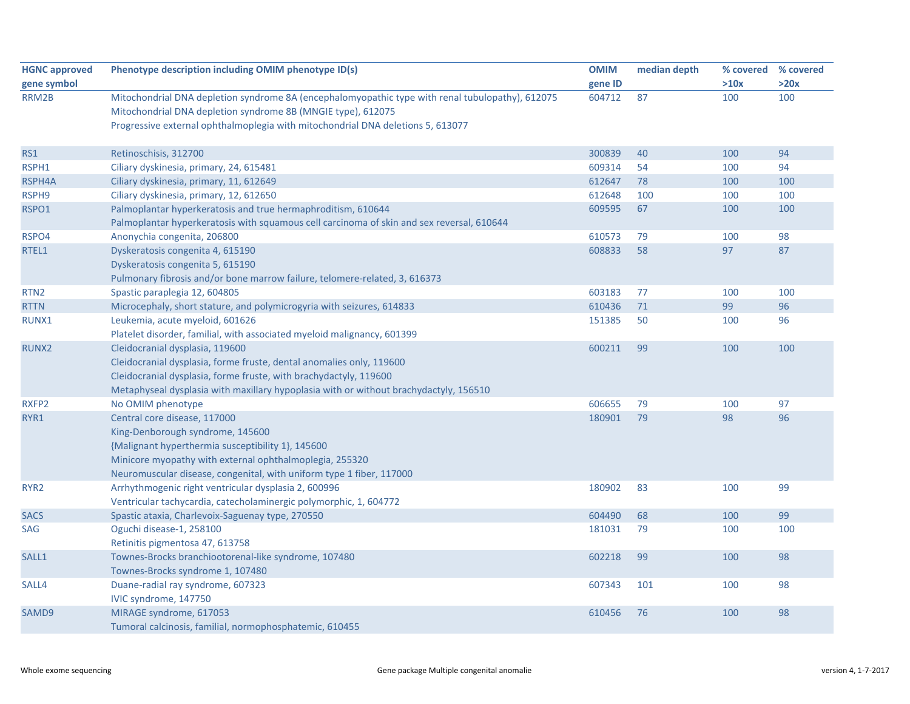| <b>HGNC approved</b> | Phenotype description including OMIM phenotype ID(s)                                                                                                                                                                                                                  | <b>OMIM</b> | median depth | % covered | % covered |
|----------------------|-----------------------------------------------------------------------------------------------------------------------------------------------------------------------------------------------------------------------------------------------------------------------|-------------|--------------|-----------|-----------|
| gene symbol          |                                                                                                                                                                                                                                                                       | gene ID     |              | >10x      | >20x      |
| RRM2B                | Mitochondrial DNA depletion syndrome 8A (encephalomyopathic type with renal tubulopathy), 612075<br>Mitochondrial DNA depletion syndrome 8B (MNGIE type), 612075<br>Progressive external ophthalmoplegia with mitochondrial DNA deletions 5, 613077                   | 604712      | 87           | 100       | 100       |
| RS1                  | Retinoschisis, 312700                                                                                                                                                                                                                                                 | 300839      | 40           | 100       | 94        |
| RSPH1                | Ciliary dyskinesia, primary, 24, 615481                                                                                                                                                                                                                               | 609314      | 54           | 100       | 94        |
| RSPH4A               | Ciliary dyskinesia, primary, 11, 612649                                                                                                                                                                                                                               | 612647      | 78           | 100       | 100       |
| RSPH9                | Ciliary dyskinesia, primary, 12, 612650                                                                                                                                                                                                                               | 612648      | 100          | 100       | 100       |
| RSPO1                | Palmoplantar hyperkeratosis and true hermaphroditism, 610644<br>Palmoplantar hyperkeratosis with squamous cell carcinoma of skin and sex reversal, 610644                                                                                                             | 609595      | 67           | 100       | 100       |
| RSPO4                | Anonychia congenita, 206800                                                                                                                                                                                                                                           | 610573      | 79           | 100       | 98        |
| RTEL1                | Dyskeratosis congenita 4, 615190<br>Dyskeratosis congenita 5, 615190<br>Pulmonary fibrosis and/or bone marrow failure, telomere-related, 3, 616373                                                                                                                    | 608833      | 58           | 97        | 87        |
| RTN <sub>2</sub>     | Spastic paraplegia 12, 604805                                                                                                                                                                                                                                         | 603183      | 77           | 100       | 100       |
| <b>RTTN</b>          | Microcephaly, short stature, and polymicrogyria with seizures, 614833                                                                                                                                                                                                 | 610436      | 71           | 99        | 96        |
| RUNX1                | Leukemia, acute myeloid, 601626<br>Platelet disorder, familial, with associated myeloid malignancy, 601399                                                                                                                                                            | 151385      | 50           | 100       | 96        |
| <b>RUNX2</b>         | Cleidocranial dysplasia, 119600<br>Cleidocranial dysplasia, forme fruste, dental anomalies only, 119600<br>Cleidocranial dysplasia, forme fruste, with brachydactyly, 119600<br>Metaphyseal dysplasia with maxillary hypoplasia with or without brachydactyly, 156510 | 600211      | 99           | 100       | 100       |
| RXFP2                | No OMIM phenotype                                                                                                                                                                                                                                                     | 606655      | 79           | 100       | 97        |
| RYR1                 | Central core disease, 117000<br>King-Denborough syndrome, 145600<br>{Malignant hyperthermia susceptibility 1}, 145600<br>Minicore myopathy with external ophthalmoplegia, 255320<br>Neuromuscular disease, congenital, with uniform type 1 fiber, 117000              | 180901      | 79           | 98        | 96        |
| RYR <sub>2</sub>     | Arrhythmogenic right ventricular dysplasia 2, 600996<br>Ventricular tachycardia, catecholaminergic polymorphic, 1, 604772                                                                                                                                             | 180902      | 83           | 100       | 99        |
| <b>SACS</b>          | Spastic ataxia, Charlevoix-Saguenay type, 270550                                                                                                                                                                                                                      | 604490      | 68           | 100       | 99        |
| <b>SAG</b>           | Oguchi disease-1, 258100<br>Retinitis pigmentosa 47, 613758                                                                                                                                                                                                           | 181031      | 79           | 100       | 100       |
| SALL1                | Townes-Brocks branchiootorenal-like syndrome, 107480<br>Townes-Brocks syndrome 1, 107480                                                                                                                                                                              | 602218      | 99           | 100       | 98        |
| SALL4                | Duane-radial ray syndrome, 607323<br>IVIC syndrome, 147750                                                                                                                                                                                                            | 607343      | 101          | 100       | 98        |
| SAMD9                | MIRAGE syndrome, 617053<br>Tumoral calcinosis, familial, normophosphatemic, 610455                                                                                                                                                                                    | 610456      | 76           | 100       | 98        |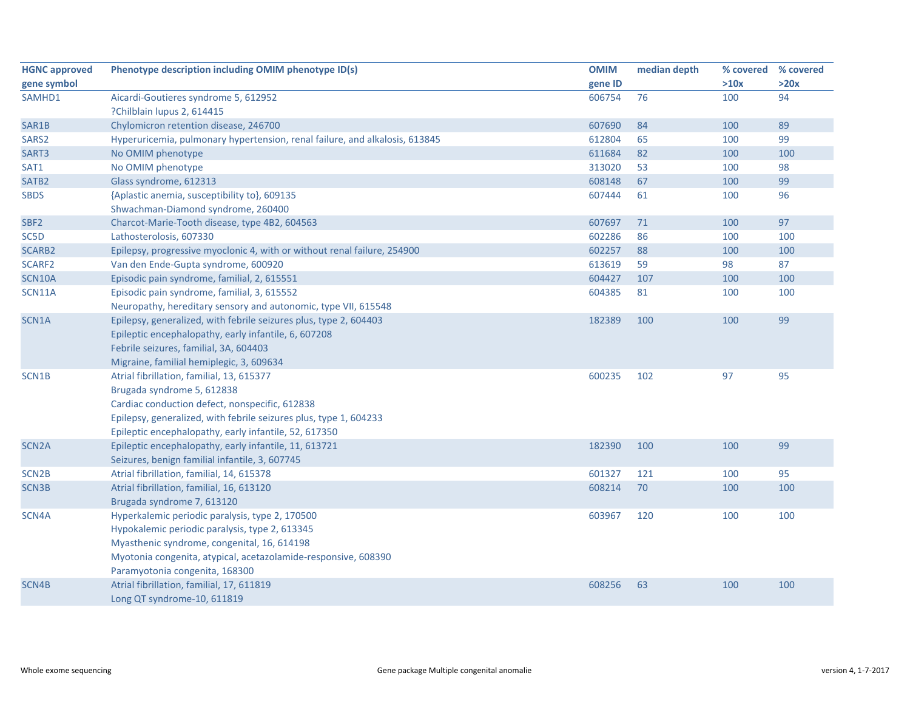| <b>HGNC approved</b> | Phenotype description including OMIM phenotype ID(s)                        | <b>OMIM</b> | median depth | % covered | % covered |
|----------------------|-----------------------------------------------------------------------------|-------------|--------------|-----------|-----------|
| gene symbol          |                                                                             | gene ID     |              | >10x      | >20x      |
| SAMHD1               | Aicardi-Goutieres syndrome 5, 612952                                        | 606754      | 76           | 100       | 94        |
|                      | ?Chilblain lupus 2, 614415                                                  |             |              |           |           |
| SAR1B                | Chylomicron retention disease, 246700                                       | 607690      | 84           | 100       | 89        |
| SARS2                | Hyperuricemia, pulmonary hypertension, renal failure, and alkalosis, 613845 | 612804      | 65           | 100       | 99        |
| SART3                | No OMIM phenotype                                                           | 611684      | 82           | 100       | 100       |
| SAT1                 | No OMIM phenotype                                                           | 313020      | 53           | 100       | 98        |
| SATB <sub>2</sub>    | Glass syndrome, 612313                                                      | 608148      | 67           | 100       | 99        |
| <b>SBDS</b>          | {Aplastic anemia, susceptibility to}, 609135                                | 607444      | 61           | 100       | 96        |
|                      | Shwachman-Diamond syndrome, 260400                                          |             |              |           |           |
| SBF <sub>2</sub>     | Charcot-Marie-Tooth disease, type 4B2, 604563                               | 607697      | 71           | 100       | 97        |
| SC5D                 | Lathosterolosis, 607330                                                     | 602286      | 86           | 100       | 100       |
| SCARB2               | Epilepsy, progressive myoclonic 4, with or without renal failure, 254900    | 602257      | 88           | 100       | 100       |
| SCARF <sub>2</sub>   | Van den Ende-Gupta syndrome, 600920                                         | 613619      | 59           | 98        | 87        |
| <b>SCN10A</b>        | Episodic pain syndrome, familial, 2, 615551                                 | 604427      | 107          | 100       | 100       |
| SCN11A               | Episodic pain syndrome, familial, 3, 615552                                 | 604385      | 81           | 100       | 100       |
|                      | Neuropathy, hereditary sensory and autonomic, type VII, 615548              |             |              |           |           |
| SCN1A                | Epilepsy, generalized, with febrile seizures plus, type 2, 604403           | 182389      | 100          | 100       | 99        |
|                      | Epileptic encephalopathy, early infantile, 6, 607208                        |             |              |           |           |
|                      | Febrile seizures, familial, 3A, 604403                                      |             |              |           |           |
|                      | Migraine, familial hemiplegic, 3, 609634                                    |             |              |           |           |
| SCN1B                | Atrial fibrillation, familial, 13, 615377                                   | 600235      | 102          | 97        | 95        |
|                      | Brugada syndrome 5, 612838                                                  |             |              |           |           |
|                      | Cardiac conduction defect, nonspecific, 612838                              |             |              |           |           |
|                      | Epilepsy, generalized, with febrile seizures plus, type 1, 604233           |             |              |           |           |
|                      | Epileptic encephalopathy, early infantile, 52, 617350                       |             |              |           |           |
| SCN <sub>2</sub> A   | Epileptic encephalopathy, early infantile, 11, 613721                       | 182390      | 100          | 100       | 99        |
|                      | Seizures, benign familial infantile, 3, 607745                              |             |              |           |           |
| SCN <sub>2B</sub>    | Atrial fibrillation, familial, 14, 615378                                   | 601327      | 121          | 100       | 95        |
| SCN3B                | Atrial fibrillation, familial, 16, 613120                                   | 608214      | 70           | 100       | 100       |
|                      | Brugada syndrome 7, 613120                                                  |             |              |           |           |
| SCN4A                | Hyperkalemic periodic paralysis, type 2, 170500                             | 603967      | 120          | 100       | 100       |
|                      | Hypokalemic periodic paralysis, type 2, 613345                              |             |              |           |           |
|                      | Myasthenic syndrome, congenital, 16, 614198                                 |             |              |           |           |
|                      | Myotonia congenita, atypical, acetazolamide-responsive, 608390              |             |              |           |           |
|                      | Paramyotonia congenita, 168300                                              |             |              |           |           |
| SCN4B                | Atrial fibrillation, familial, 17, 611819                                   | 608256      | 63           | 100       | 100       |
|                      | Long QT syndrome-10, 611819                                                 |             |              |           |           |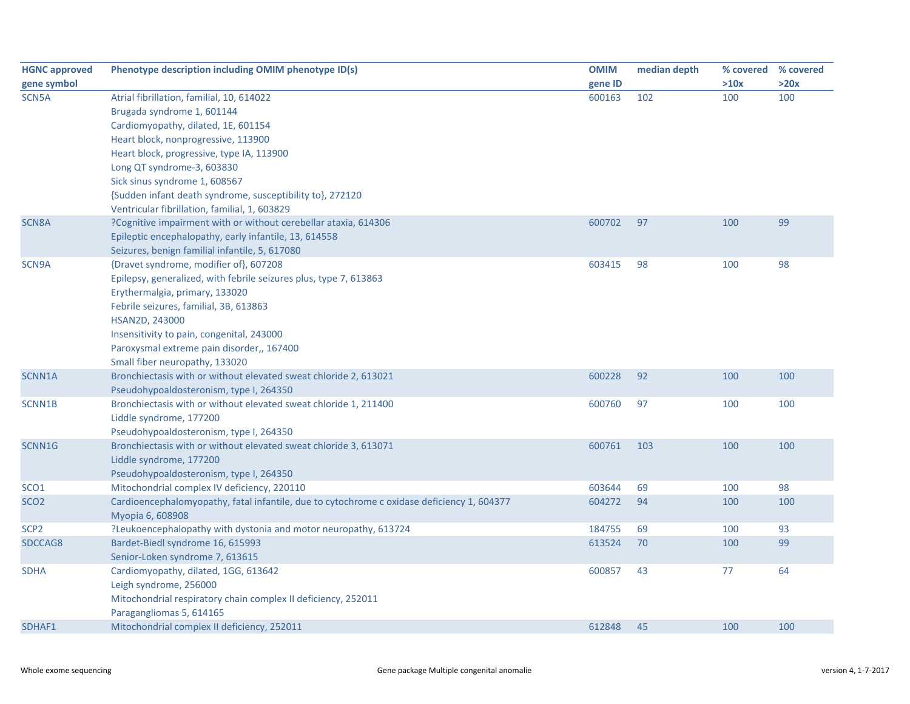| <b>HGNC approved</b> | Phenotype description including OMIM phenotype ID(s)                                       | <b>OMIM</b> | median depth | % covered | % covered |
|----------------------|--------------------------------------------------------------------------------------------|-------------|--------------|-----------|-----------|
| gene symbol          |                                                                                            | gene ID     |              | >10x      | >20x      |
| SCN5A                | Atrial fibrillation, familial, 10, 614022                                                  | 600163      | 102          | 100       | 100       |
|                      | Brugada syndrome 1, 601144                                                                 |             |              |           |           |
|                      | Cardiomyopathy, dilated, 1E, 601154                                                        |             |              |           |           |
|                      | Heart block, nonprogressive, 113900                                                        |             |              |           |           |
|                      | Heart block, progressive, type IA, 113900                                                  |             |              |           |           |
|                      | Long QT syndrome-3, 603830                                                                 |             |              |           |           |
|                      | Sick sinus syndrome 1, 608567                                                              |             |              |           |           |
|                      | {Sudden infant death syndrome, susceptibility to}, 272120                                  |             |              |           |           |
|                      | Ventricular fibrillation, familial, 1, 603829                                              |             |              |           |           |
| <b>SCN8A</b>         | ?Cognitive impairment with or without cerebellar ataxia, 614306                            | 600702      | 97           | 100       | 99        |
|                      | Epileptic encephalopathy, early infantile, 13, 614558                                      |             |              |           |           |
|                      | Seizures, benign familial infantile, 5, 617080                                             |             |              |           |           |
| SCN9A                | {Dravet syndrome, modifier of}, 607208                                                     | 603415      | 98           | 100       | 98        |
|                      | Epilepsy, generalized, with febrile seizures plus, type 7, 613863                          |             |              |           |           |
|                      | Erythermalgia, primary, 133020                                                             |             |              |           |           |
|                      | Febrile seizures, familial, 3B, 613863                                                     |             |              |           |           |
|                      | HSAN2D, 243000                                                                             |             |              |           |           |
|                      | Insensitivity to pain, congenital, 243000                                                  |             |              |           |           |
|                      | Paroxysmal extreme pain disorder,, 167400                                                  |             |              |           |           |
|                      | Small fiber neuropathy, 133020                                                             |             |              |           |           |
| SCNN1A               | Bronchiectasis with or without elevated sweat chloride 2, 613021                           | 600228      | 92           | 100       | 100       |
|                      | Pseudohypoaldosteronism, type I, 264350                                                    |             |              |           |           |
| SCNN1B               | Bronchiectasis with or without elevated sweat chloride 1, 211400                           | 600760      | 97           | 100       | 100       |
|                      | Liddle syndrome, 177200                                                                    |             |              |           |           |
|                      | Pseudohypoaldosteronism, type I, 264350                                                    |             |              |           |           |
| SCNN1G               | Bronchiectasis with or without elevated sweat chloride 3, 613071                           | 600761      | 103          | 100       | 100       |
|                      | Liddle syndrome, 177200                                                                    |             |              |           |           |
|                      | Pseudohypoaldosteronism, type I, 264350                                                    |             |              |           |           |
| SCO <sub>1</sub>     | Mitochondrial complex IV deficiency, 220110                                                | 603644      | 69           | 100       | 98        |
| SCO <sub>2</sub>     | Cardioencephalomyopathy, fatal infantile, due to cytochrome c oxidase deficiency 1, 604377 | 604272      | 94           | 100       | 100       |
|                      | Myopia 6, 608908                                                                           |             |              |           |           |
| SCP <sub>2</sub>     | ?Leukoencephalopathy with dystonia and motor neuropathy, 613724                            | 184755      | 69           | 100       | 93        |
| SDCCAG8              | Bardet-Biedl syndrome 16, 615993                                                           | 613524      | 70           | 100       | 99        |
|                      | Senior-Loken syndrome 7, 613615                                                            |             |              |           |           |
| <b>SDHA</b>          | Cardiomyopathy, dilated, 1GG, 613642                                                       | 600857      | 43           | 77        | 64        |
|                      | Leigh syndrome, 256000                                                                     |             |              |           |           |
|                      | Mitochondrial respiratory chain complex II deficiency, 252011                              |             |              |           |           |
|                      | Paragangliomas 5, 614165                                                                   |             |              |           |           |
| SDHAF1               | Mitochondrial complex II deficiency, 252011                                                | 612848      | 45           | 100       | 100       |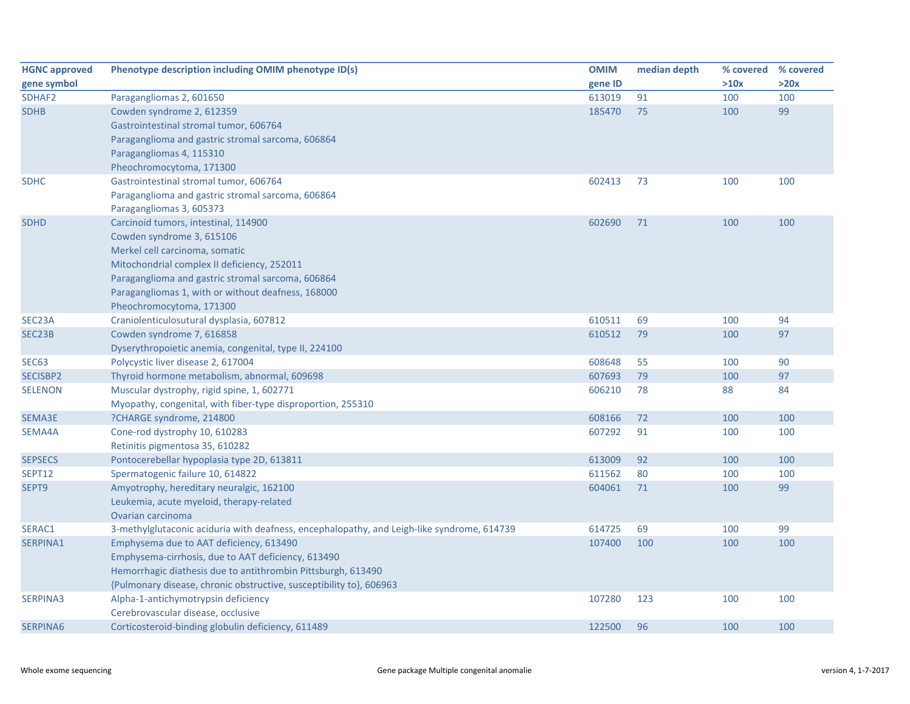| <b>HGNC approved</b> | Phenotype description including OMIM phenotype ID(s)                                                                                                                                                                                                                                      | <b>OMIM</b> | median depth | % covered % covered |      |
|----------------------|-------------------------------------------------------------------------------------------------------------------------------------------------------------------------------------------------------------------------------------------------------------------------------------------|-------------|--------------|---------------------|------|
| gene symbol          |                                                                                                                                                                                                                                                                                           | gene ID     |              | >10x                | >20x |
| SDHAF2               | Paragangliomas 2, 601650                                                                                                                                                                                                                                                                  | 613019      | 91           | 100                 | 100  |
| <b>SDHB</b>          | Cowden syndrome 2, 612359<br>Gastrointestinal stromal tumor, 606764<br>Paraganglioma and gastric stromal sarcoma, 606864<br>Paragangliomas 4, 115310<br>Pheochromocytoma, 171300                                                                                                          | 185470      | 75           | 100                 | 99   |
| <b>SDHC</b>          | Gastrointestinal stromal tumor, 606764<br>Paraganglioma and gastric stromal sarcoma, 606864<br>Paragangliomas 3, 605373                                                                                                                                                                   | 602413      | 73           | 100                 | 100  |
| <b>SDHD</b>          | Carcinoid tumors, intestinal, 114900<br>Cowden syndrome 3, 615106<br>Merkel cell carcinoma, somatic<br>Mitochondrial complex II deficiency, 252011<br>Paraganglioma and gastric stromal sarcoma, 606864<br>Paragangliomas 1, with or without deafness, 168000<br>Pheochromocytoma, 171300 | 602690      | 71           | 100                 | 100  |
| SEC23A               | Craniolenticulosutural dysplasia, 607812                                                                                                                                                                                                                                                  | 610511      | 69           | 100                 | 94   |
| SEC23B               | Cowden syndrome 7, 616858<br>Dyserythropoietic anemia, congenital, type II, 224100                                                                                                                                                                                                        | 610512      | 79           | 100                 | 97   |
| <b>SEC63</b>         | Polycystic liver disease 2, 617004                                                                                                                                                                                                                                                        | 608648      | 55           | 100                 | 90   |
| SECISBP2             | Thyroid hormone metabolism, abnormal, 609698                                                                                                                                                                                                                                              | 607693      | 79           | 100                 | 97   |
| <b>SELENON</b>       | Muscular dystrophy, rigid spine, 1, 602771<br>Myopathy, congenital, with fiber-type disproportion, 255310                                                                                                                                                                                 | 606210      | 78           | 88                  | 84   |
| SEMA3E               | ?CHARGE syndrome, 214800                                                                                                                                                                                                                                                                  | 608166      | 72           | 100                 | 100  |
| SEMA4A               | Cone-rod dystrophy 10, 610283<br>Retinitis pigmentosa 35, 610282                                                                                                                                                                                                                          | 607292      | 91           | 100                 | 100  |
| <b>SEPSECS</b>       | Pontocerebellar hypoplasia type 2D, 613811                                                                                                                                                                                                                                                | 613009      | 92           | 100                 | 100  |
| SEPT12               | Spermatogenic failure 10, 614822                                                                                                                                                                                                                                                          | 611562      | 80           | 100                 | 100  |
| SEPT9                | Amyotrophy, hereditary neuralgic, 162100<br>Leukemia, acute myeloid, therapy-related<br>Ovarian carcinoma                                                                                                                                                                                 | 604061      | 71           | 100                 | 99   |
| SERAC1               | 3-methylglutaconic aciduria with deafness, encephalopathy, and Leigh-like syndrome, 614739                                                                                                                                                                                                | 614725      | 69           | 100                 | 99   |
| SERPINA1             | Emphysema due to AAT deficiency, 613490<br>Emphysema-cirrhosis, due to AAT deficiency, 613490<br>Hemorrhagic diathesis due to antithrombin Pittsburgh, 613490<br>{Pulmonary disease, chronic obstructive, susceptibility to}, 606963                                                      | 107400      | 100          | 100                 | 100  |
| SERPINA3             | Alpha-1-antichymotrypsin deficiency<br>Cerebrovascular disease, occlusive                                                                                                                                                                                                                 | 107280      | 123          | 100                 | 100  |
| SERPINA6             | Corticosteroid-binding globulin deficiency, 611489                                                                                                                                                                                                                                        | 122500      | 96           | 100                 | 100  |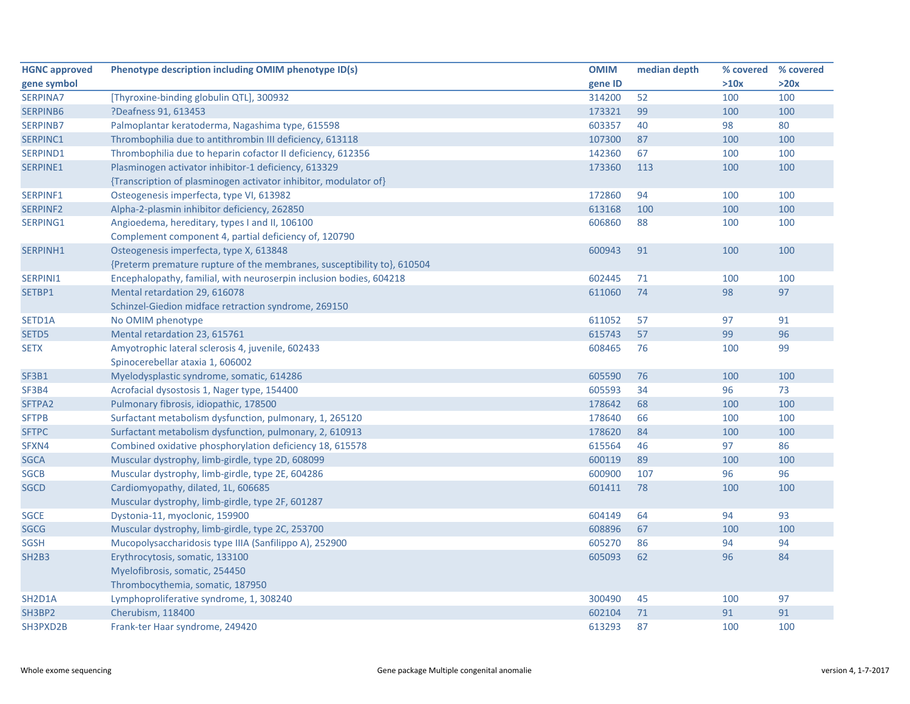| <b>HGNC approved</b>             | Phenotype description including OMIM phenotype ID(s)                    | <b>OMIM</b> | median depth |      | % covered % covered |
|----------------------------------|-------------------------------------------------------------------------|-------------|--------------|------|---------------------|
| gene symbol                      |                                                                         | gene ID     |              | >10x | >20x                |
| SERPINA7                         | [Thyroxine-binding globulin QTL], 300932                                | 314200      | 52           | 100  | 100                 |
| SERPINB6                         | ?Deafness 91, 613453                                                    | 173321      | 99           | 100  | 100                 |
| <b>SERPINB7</b>                  | Palmoplantar keratoderma, Nagashima type, 615598                        | 603357      | 40           | 98   | 80                  |
| SERPINC1                         | Thrombophilia due to antithrombin III deficiency, 613118                | 107300      | 87           | 100  | 100                 |
| SERPIND1                         | Thrombophilia due to heparin cofactor II deficiency, 612356             | 142360      | 67           | 100  | 100                 |
| SERPINE1                         | Plasminogen activator inhibitor-1 deficiency, 613329                    | 173360      | 113          | 100  | 100                 |
|                                  | {Transcription of plasminogen activator inhibitor, modulator of}        |             |              |      |                     |
| SERPINF1                         | Osteogenesis imperfecta, type VI, 613982                                | 172860      | 94           | 100  | 100                 |
| <b>SERPINF2</b>                  | Alpha-2-plasmin inhibitor deficiency, 262850                            | 613168      | 100          | 100  | 100                 |
| SERPING1                         | Angioedema, hereditary, types I and II, 106100                          | 606860      | 88           | 100  | 100                 |
|                                  | Complement component 4, partial deficiency of, 120790                   |             |              |      |                     |
| SERPINH1                         | Osteogenesis imperfecta, type X, 613848                                 | 600943      | 91           | 100  | 100                 |
|                                  | {Preterm premature rupture of the membranes, susceptibility to}, 610504 |             |              |      |                     |
| SERPINI1                         | Encephalopathy, familial, with neuroserpin inclusion bodies, 604218     | 602445      | 71           | 100  | 100                 |
| SETBP1                           | Mental retardation 29, 616078                                           | 611060      | 74           | 98   | 97                  |
|                                  | Schinzel-Giedion midface retraction syndrome, 269150                    |             |              |      |                     |
| SETD1A                           | No OMIM phenotype                                                       | 611052      | 57           | 97   | 91                  |
| SETD5                            | Mental retardation 23, 615761                                           | 615743      | 57           | 99   | 96                  |
| <b>SETX</b>                      | Amyotrophic lateral sclerosis 4, juvenile, 602433                       | 608465      | 76           | 100  | 99                  |
|                                  | Spinocerebellar ataxia 1, 606002                                        |             |              |      |                     |
| <b>SF3B1</b>                     | Myelodysplastic syndrome, somatic, 614286                               | 605590      | 76           | 100  | 100                 |
| SF3B4                            | Acrofacial dysostosis 1, Nager type, 154400                             | 605593      | 34           | 96   | 73                  |
| SFTPA2                           | Pulmonary fibrosis, idiopathic, 178500                                  | 178642      | 68           | 100  | 100                 |
| <b>SFTPB</b>                     | Surfactant metabolism dysfunction, pulmonary, 1, 265120                 | 178640      | 66           | 100  | 100                 |
| <b>SFTPC</b>                     | Surfactant metabolism dysfunction, pulmonary, 2, 610913                 | 178620      | 84           | 100  | 100                 |
| SFXN4                            | Combined oxidative phosphorylation deficiency 18, 615578                | 615564      | 46           | 97   | 86                  |
| <b>SGCA</b>                      | Muscular dystrophy, limb-girdle, type 2D, 608099                        | 600119      | 89           | 100  | 100                 |
| <b>SGCB</b>                      | Muscular dystrophy, limb-girdle, type 2E, 604286                        | 600900      | 107          | 96   | 96                  |
| <b>SGCD</b>                      | Cardiomyopathy, dilated, 1L, 606685                                     | 601411      | 78           | 100  | 100                 |
|                                  | Muscular dystrophy, limb-girdle, type 2F, 601287                        |             |              |      |                     |
| <b>SGCE</b>                      | Dystonia-11, myoclonic, 159900                                          | 604149      | 64           | 94   | 93                  |
| <b>SGCG</b>                      | Muscular dystrophy, limb-girdle, type 2C, 253700                        | 608896      | 67           | 100  | 100                 |
| <b>SGSH</b>                      | Mucopolysaccharidosis type IIIA (Sanfilippo A), 252900                  | 605270      | 86           | 94   | 94                  |
| <b>SH2B3</b>                     | Erythrocytosis, somatic, 133100                                         | 605093      | 62           | 96   | 84                  |
|                                  | Myelofibrosis, somatic, 254450                                          |             |              |      |                     |
|                                  | Thrombocythemia, somatic, 187950                                        |             |              |      |                     |
| SH <sub>2</sub> D <sub>1</sub> A | Lymphoproliferative syndrome, 1, 308240                                 | 300490      | 45           | 100  | 97                  |
| SH3BP2                           | Cherubism, 118400                                                       | 602104      | 71           | 91   | 91                  |
| SH3PXD2B                         | Frank-ter Haar syndrome, 249420                                         | 613293      | 87           | 100  | 100                 |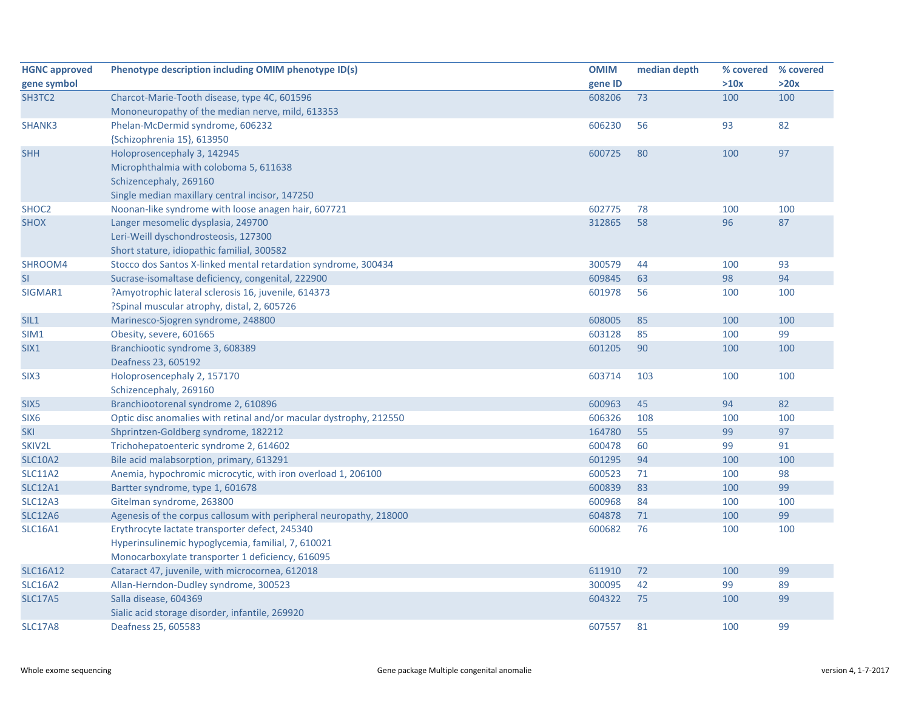| <b>HGNC approved</b> | Phenotype description including OMIM phenotype ID(s)               | <b>OMIM</b> | median depth | % covered | % covered |
|----------------------|--------------------------------------------------------------------|-------------|--------------|-----------|-----------|
| gene symbol          |                                                                    | gene ID     |              | >10x      | >20x      |
| SH3TC2               | Charcot-Marie-Tooth disease, type 4C, 601596                       | 608206      | 73           | 100       | 100       |
|                      | Mononeuropathy of the median nerve, mild, 613353                   |             |              |           |           |
| SHANK3               | Phelan-McDermid syndrome, 606232                                   | 606230      | 56           | 93        | 82        |
|                      | {Schizophrenia 15}, 613950                                         |             |              |           |           |
| <b>SHH</b>           | Holoprosencephaly 3, 142945                                        | 600725      | 80           | 100       | 97        |
|                      | Microphthalmia with coloboma 5, 611638                             |             |              |           |           |
|                      | Schizencephaly, 269160                                             |             |              |           |           |
|                      | Single median maxillary central incisor, 147250                    |             |              |           |           |
| SHOC2                | Noonan-like syndrome with loose anagen hair, 607721                | 602775      | 78           | 100       | 100       |
| <b>SHOX</b>          | Langer mesomelic dysplasia, 249700                                 | 312865      | 58           | 96        | 87        |
|                      | Leri-Weill dyschondrosteosis, 127300                               |             |              |           |           |
|                      | Short stature, idiopathic familial, 300582                         |             |              |           |           |
| SHROOM4              | Stocco dos Santos X-linked mental retardation syndrome, 300434     | 300579      | 44           | 100       | 93        |
| <b>SI</b>            | Sucrase-isomaltase deficiency, congenital, 222900                  | 609845      | 63           | 98        | 94        |
| SIGMAR1              | ?Amyotrophic lateral sclerosis 16, juvenile, 614373                | 601978      | 56           | 100       | 100       |
|                      | ?Spinal muscular atrophy, distal, 2, 605726                        |             |              |           |           |
| SIL1                 | Marinesco-Sjogren syndrome, 248800                                 | 608005      | 85           | 100       | 100       |
| SIM1                 | Obesity, severe, 601665                                            | 603128      | 85           | 100       | 99        |
| SIX1                 | Branchiootic syndrome 3, 608389                                    | 601205      | 90           | 100       | 100       |
|                      | Deafness 23, 605192                                                |             |              |           |           |
| SIX <sub>3</sub>     | Holoprosencephaly 2, 157170                                        | 603714      | 103          | 100       | 100       |
|                      | Schizencephaly, 269160                                             |             |              |           |           |
| SIX <sub>5</sub>     | Branchiootorenal syndrome 2, 610896                                | 600963      | 45           | 94        | 82        |
| SIX <sub>6</sub>     | Optic disc anomalies with retinal and/or macular dystrophy, 212550 | 606326      | 108          | 100       | 100       |
| SKI                  | Shprintzen-Goldberg syndrome, 182212                               | 164780      | 55           | 99        | 97        |
| SKIV2L               | Trichohepatoenteric syndrome 2, 614602                             | 600478      | 60           | 99        | 91        |
| <b>SLC10A2</b>       | Bile acid malabsorption, primary, 613291                           | 601295      | 94           | 100       | 100       |
| <b>SLC11A2</b>       | Anemia, hypochromic microcytic, with iron overload 1, 206100       | 600523      | 71           | 100       | 98        |
| <b>SLC12A1</b>       | Bartter syndrome, type 1, 601678                                   | 600839      | 83           | 100       | 99        |
| <b>SLC12A3</b>       | Gitelman syndrome, 263800                                          | 600968      | 84           | 100       | 100       |
| <b>SLC12A6</b>       | Agenesis of the corpus callosum with peripheral neuropathy, 218000 | 604878      | 71           | 100       | 99        |
| <b>SLC16A1</b>       | Erythrocyte lactate transporter defect, 245340                     | 600682      | 76           | 100       | 100       |
|                      | Hyperinsulinemic hypoglycemia, familial, 7, 610021                 |             |              |           |           |
|                      | Monocarboxylate transporter 1 deficiency, 616095                   |             |              |           |           |
| <b>SLC16A12</b>      | Cataract 47, juvenile, with microcornea, 612018                    | 611910      | 72           | 100       | 99        |
| <b>SLC16A2</b>       | Allan-Herndon-Dudley syndrome, 300523                              | 300095      | 42           | 99        | 89        |
| <b>SLC17A5</b>       | Salla disease, 604369                                              | 604322      | 75           | 100       | 99        |
|                      | Sialic acid storage disorder, infantile, 269920                    |             |              |           |           |
| <b>SLC17A8</b>       | Deafness 25, 605583                                                | 607557      | 81           | 100       | 99        |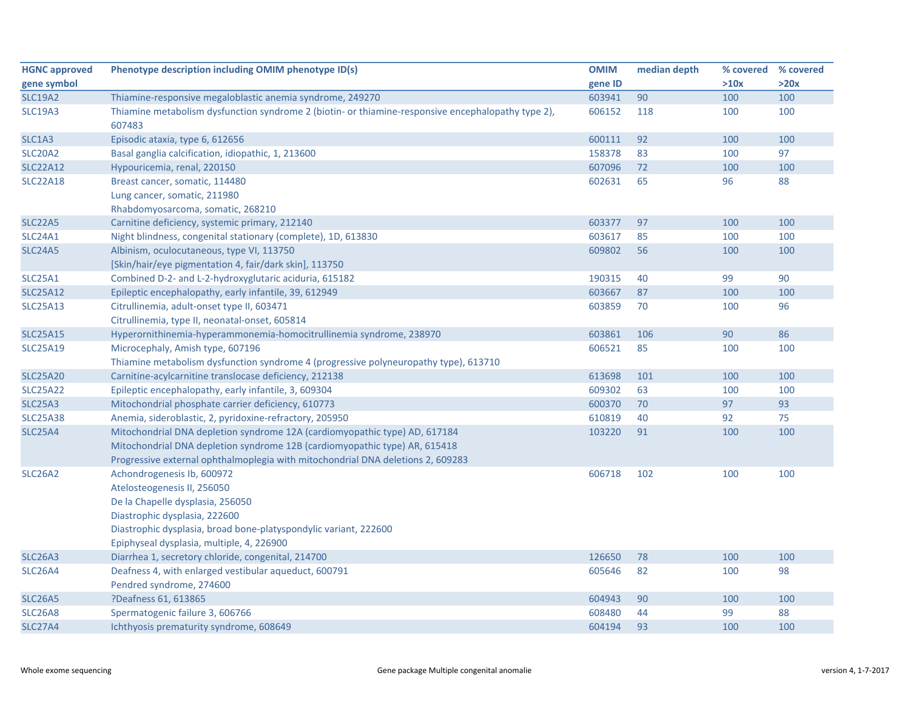| <b>HGNC approved</b> | Phenotype description including OMIM phenotype ID(s)                                                         | <b>OMIM</b> | median depth |      | % covered % covered |
|----------------------|--------------------------------------------------------------------------------------------------------------|-------------|--------------|------|---------------------|
| gene symbol          |                                                                                                              | gene ID     |              | >10x | >20x                |
| <b>SLC19A2</b>       | Thiamine-responsive megaloblastic anemia syndrome, 249270                                                    | 603941      | 90           | 100  | 100                 |
| <b>SLC19A3</b>       | Thiamine metabolism dysfunction syndrome 2 (biotin- or thiamine-responsive encephalopathy type 2),<br>607483 | 606152      | 118          | 100  | 100                 |
| SLC1A3               | Episodic ataxia, type 6, 612656                                                                              | 600111      | 92           | 100  | 100                 |
| <b>SLC20A2</b>       | Basal ganglia calcification, idiopathic, 1, 213600                                                           | 158378      | 83           | 100  | 97                  |
| <b>SLC22A12</b>      | Hypouricemia, renal, 220150                                                                                  | 607096      | 72           | 100  | 100                 |
| <b>SLC22A18</b>      | Breast cancer, somatic, 114480                                                                               | 602631      | 65           | 96   | 88                  |
|                      | Lung cancer, somatic, 211980                                                                                 |             |              |      |                     |
|                      | Rhabdomyosarcoma, somatic, 268210                                                                            |             |              |      |                     |
| <b>SLC22A5</b>       | Carnitine deficiency, systemic primary, 212140                                                               | 603377      | 97           | 100  | 100                 |
| SLC24A1              | Night blindness, congenital stationary (complete), 1D, 613830                                                | 603617      | 85           | 100  | 100                 |
| <b>SLC24A5</b>       | Albinism, oculocutaneous, type VI, 113750                                                                    | 609802      | 56           | 100  | 100                 |
|                      | [Skin/hair/eye pigmentation 4, fair/dark skin], 113750                                                       |             |              |      |                     |
| <b>SLC25A1</b>       | Combined D-2- and L-2-hydroxyglutaric aciduria, 615182                                                       | 190315      | 40           | 99   | 90                  |
| <b>SLC25A12</b>      | Epileptic encephalopathy, early infantile, 39, 612949                                                        | 603667      | 87           | 100  | 100                 |
| <b>SLC25A13</b>      | Citrullinemia, adult-onset type II, 603471                                                                   | 603859      | 70           | 100  | 96                  |
|                      | Citrullinemia, type II, neonatal-onset, 605814                                                               |             |              |      |                     |
| <b>SLC25A15</b>      | Hyperornithinemia-hyperammonemia-homocitrullinemia syndrome, 238970                                          | 603861      | 106          | 90   | 86                  |
| <b>SLC25A19</b>      | Microcephaly, Amish type, 607196                                                                             | 606521      | 85           | 100  | 100                 |
|                      | Thiamine metabolism dysfunction syndrome 4 (progressive polyneuropathy type), 613710                         |             |              |      |                     |
| <b>SLC25A20</b>      | Carnitine-acylcarnitine translocase deficiency, 212138                                                       | 613698      | 101          | 100  | 100                 |
| <b>SLC25A22</b>      | Epileptic encephalopathy, early infantile, 3, 609304                                                         | 609302      | 63           | 100  | 100                 |
| <b>SLC25A3</b>       | Mitochondrial phosphate carrier deficiency, 610773                                                           | 600370      | 70           | 97   | 93                  |
| <b>SLC25A38</b>      | Anemia, sideroblastic, 2, pyridoxine-refractory, 205950                                                      | 610819      | 40           | 92   | 75                  |
| <b>SLC25A4</b>       | Mitochondrial DNA depletion syndrome 12A (cardiomyopathic type) AD, 617184                                   | 103220      | 91           | 100  | 100                 |
|                      | Mitochondrial DNA depletion syndrome 12B (cardiomyopathic type) AR, 615418                                   |             |              |      |                     |
|                      | Progressive external ophthalmoplegia with mitochondrial DNA deletions 2, 609283                              |             |              |      |                     |
| <b>SLC26A2</b>       | Achondrogenesis Ib, 600972                                                                                   | 606718      | 102          | 100  | 100                 |
|                      | Atelosteogenesis II, 256050                                                                                  |             |              |      |                     |
|                      | De la Chapelle dysplasia, 256050                                                                             |             |              |      |                     |
|                      | Diastrophic dysplasia, 222600                                                                                |             |              |      |                     |
|                      | Diastrophic dysplasia, broad bone-platyspondylic variant, 222600                                             |             |              |      |                     |
|                      | Epiphyseal dysplasia, multiple, 4, 226900                                                                    |             |              |      |                     |
| <b>SLC26A3</b>       | Diarrhea 1, secretory chloride, congenital, 214700                                                           | 126650      | 78           | 100  | 100                 |
| <b>SLC26A4</b>       | Deafness 4, with enlarged vestibular aqueduct, 600791                                                        | 605646      | 82           | 100  | 98                  |
|                      | Pendred syndrome, 274600                                                                                     |             |              |      |                     |
| <b>SLC26A5</b>       | ?Deafness 61, 613865                                                                                         | 604943      | 90           | 100  | 100                 |
| <b>SLC26A8</b>       | Spermatogenic failure 3, 606766                                                                              | 608480      | 44           | 99   | 88                  |
| <b>SLC27A4</b>       | Ichthyosis prematurity syndrome, 608649                                                                      | 604194      | 93           | 100  | 100                 |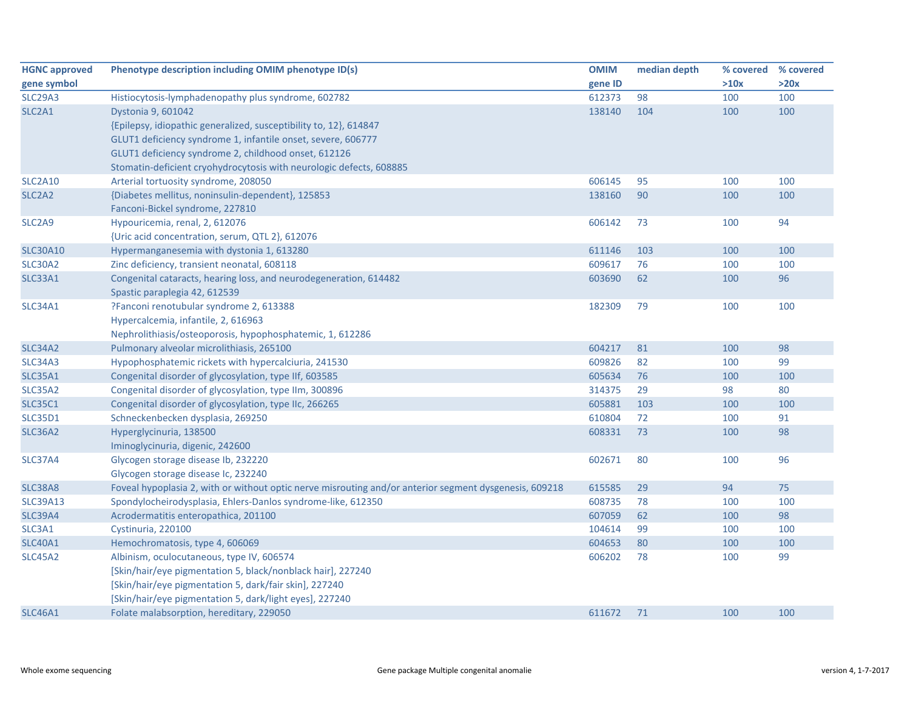| <b>HGNC approved</b>            | Phenotype description including OMIM phenotype ID(s)                                                   | <b>OMIM</b> | median depth |      | % covered % covered |
|---------------------------------|--------------------------------------------------------------------------------------------------------|-------------|--------------|------|---------------------|
| gene symbol                     |                                                                                                        | gene ID     |              | >10x | >20x                |
| <b>SLC29A3</b>                  | Histiocytosis-lymphadenopathy plus syndrome, 602782                                                    | 612373      | 98           | 100  | 100                 |
| SLC <sub>2</sub> A <sub>1</sub> | Dystonia 9, 601042                                                                                     | 138140      | 104          | 100  | 100                 |
|                                 | {Epilepsy, idiopathic generalized, susceptibility to, 12}, 614847                                      |             |              |      |                     |
|                                 | GLUT1 deficiency syndrome 1, infantile onset, severe, 606777                                           |             |              |      |                     |
|                                 | GLUT1 deficiency syndrome 2, childhood onset, 612126                                                   |             |              |      |                     |
|                                 | Stomatin-deficient cryohydrocytosis with neurologic defects, 608885                                    |             |              |      |                     |
| <b>SLC2A10</b>                  | Arterial tortuosity syndrome, 208050                                                                   | 606145      | 95           | 100  | 100                 |
| SLC <sub>2</sub> A <sub>2</sub> | {Diabetes mellitus, noninsulin-dependent}, 125853                                                      | 138160      | 90           | 100  | 100                 |
|                                 | Fanconi-Bickel syndrome, 227810                                                                        |             |              |      |                     |
| SLC <sub>2</sub> A9             | Hypouricemia, renal, 2, 612076                                                                         | 606142      | 73           | 100  | 94                  |
|                                 | {Uric acid concentration, serum, QTL 2}, 612076                                                        |             |              |      |                     |
| <b>SLC30A10</b>                 | Hypermanganesemia with dystonia 1, 613280                                                              | 611146      | 103          | 100  | 100                 |
| <b>SLC30A2</b>                  | Zinc deficiency, transient neonatal, 608118                                                            | 609617      | 76           | 100  | 100                 |
| <b>SLC33A1</b>                  | Congenital cataracts, hearing loss, and neurodegeneration, 614482                                      | 603690      | 62           | 100  | 96                  |
|                                 | Spastic paraplegia 42, 612539                                                                          |             |              |      |                     |
| <b>SLC34A1</b>                  | ?Fanconi renotubular syndrome 2, 613388                                                                | 182309      | 79           | 100  | 100                 |
|                                 | Hypercalcemia, infantile, 2, 616963                                                                    |             |              |      |                     |
|                                 | Nephrolithiasis/osteoporosis, hypophosphatemic, 1, 612286                                              |             |              |      |                     |
| <b>SLC34A2</b>                  | Pulmonary alveolar microlithiasis, 265100                                                              | 604217      | 81           | 100  | 98                  |
| <b>SLC34A3</b>                  | Hypophosphatemic rickets with hypercalciuria, 241530                                                   | 609826      | 82           | 100  | 99                  |
| <b>SLC35A1</b>                  | Congenital disorder of glycosylation, type IIf, 603585                                                 | 605634      | 76           | 100  | 100                 |
| SLC35A2                         | Congenital disorder of glycosylation, type IIm, 300896                                                 | 314375      | 29           | 98   | 80                  |
| <b>SLC35C1</b>                  | Congenital disorder of glycosylation, type IIc, 266265                                                 | 605881      | 103          | 100  | 100                 |
| <b>SLC35D1</b>                  | Schneckenbecken dysplasia, 269250                                                                      | 610804      | 72           | 100  | 91                  |
| <b>SLC36A2</b>                  | Hyperglycinuria, 138500                                                                                | 608331      | 73           | 100  | 98                  |
|                                 | Iminoglycinuria, digenic, 242600                                                                       |             |              |      |                     |
| <b>SLC37A4</b>                  | Glycogen storage disease Ib, 232220                                                                    | 602671      | 80           | 100  | 96                  |
|                                 | Glycogen storage disease Ic, 232240                                                                    |             |              |      |                     |
| <b>SLC38A8</b>                  | Foveal hypoplasia 2, with or without optic nerve misrouting and/or anterior segment dysgenesis, 609218 | 615585      | 29           | 94   | 75                  |
| <b>SLC39A13</b>                 | Spondylocheirodysplasia, Ehlers-Danlos syndrome-like, 612350                                           | 608735      | 78           | 100  | 100                 |
| <b>SLC39A4</b>                  | Acrodermatitis enteropathica, 201100                                                                   | 607059      | 62           | 100  | 98                  |
| SLC3A1                          | Cystinuria, 220100                                                                                     | 104614      | 99           | 100  | 100                 |
| <b>SLC40A1</b>                  | Hemochromatosis, type 4, 606069                                                                        | 604653      | 80           | 100  | 100                 |
| <b>SLC45A2</b>                  | Albinism, oculocutaneous, type IV, 606574                                                              | 606202      | 78           | 100  | 99                  |
|                                 | [Skin/hair/eye pigmentation 5, black/nonblack hair], 227240                                            |             |              |      |                     |
|                                 | [Skin/hair/eye pigmentation 5, dark/fair skin], 227240                                                 |             |              |      |                     |
|                                 | [Skin/hair/eye pigmentation 5, dark/light eyes], 227240                                                |             |              |      |                     |
| <b>SLC46A1</b>                  | Folate malabsorption, hereditary, 229050                                                               | 611672      | 71           | 100  | 100                 |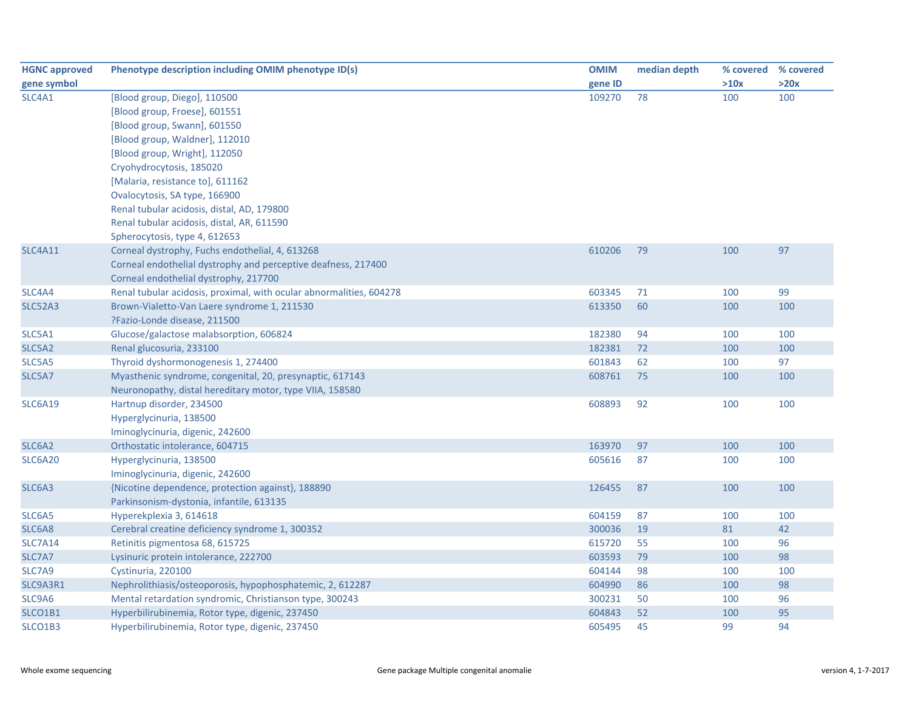| <b>HGNC approved</b> | Phenotype description including OMIM phenotype ID(s)                | <b>OMIM</b> | median depth | % covered % covered |      |
|----------------------|---------------------------------------------------------------------|-------------|--------------|---------------------|------|
| gene symbol          |                                                                     | gene ID     |              | >10x                | >20x |
| SLC4A1               | [Blood group, Diego], 110500                                        | 109270      | 78           | 100                 | 100  |
|                      | [Blood group, Froese], 601551                                       |             |              |                     |      |
|                      | [Blood group, Swann], 601550                                        |             |              |                     |      |
|                      | [Blood group, Waldner], 112010                                      |             |              |                     |      |
|                      | [Blood group, Wright], 112050                                       |             |              |                     |      |
|                      | Cryohydrocytosis, 185020                                            |             |              |                     |      |
|                      | [Malaria, resistance to], 611162                                    |             |              |                     |      |
|                      | Ovalocytosis, SA type, 166900                                       |             |              |                     |      |
|                      | Renal tubular acidosis, distal, AD, 179800                          |             |              |                     |      |
|                      | Renal tubular acidosis, distal, AR, 611590                          |             |              |                     |      |
|                      | Spherocytosis, type 4, 612653                                       |             |              |                     |      |
| <b>SLC4A11</b>       | Corneal dystrophy, Fuchs endothelial, 4, 613268                     | 610206      | 79           | 100                 | 97   |
|                      | Corneal endothelial dystrophy and perceptive deafness, 217400       |             |              |                     |      |
|                      | Corneal endothelial dystrophy, 217700                               |             |              |                     |      |
| SLC4A4               | Renal tubular acidosis, proximal, with ocular abnormalities, 604278 | 603345      | 71           | 100                 | 99   |
| SLC52A3              | Brown-Vialetto-Van Laere syndrome 1, 211530                         | 613350      | 60           | 100                 | 100  |
|                      | ?Fazio-Londe disease, 211500                                        |             |              |                     |      |
| SLC5A1               | Glucose/galactose malabsorption, 606824                             | 182380      | 94           | 100                 | 100  |
| SLC5A2               | Renal glucosuria, 233100                                            | 182381      | 72           | 100                 | 100  |
| SLC5A5               | Thyroid dyshormonogenesis 1, 274400                                 | 601843      | 62           | 100                 | 97   |
| SLC5A7               | Myasthenic syndrome, congenital, 20, presynaptic, 617143            | 608761      | 75           | 100                 | 100  |
|                      | Neuronopathy, distal hereditary motor, type VIIA, 158580            |             |              |                     |      |
| <b>SLC6A19</b>       | Hartnup disorder, 234500                                            | 608893      | 92           | 100                 | 100  |
|                      | Hyperglycinuria, 138500                                             |             |              |                     |      |
|                      | Iminoglycinuria, digenic, 242600                                    |             |              |                     |      |
| SLC6A2               | Orthostatic intolerance, 604715                                     | 163970      | 97           | 100                 | 100  |
| <b>SLC6A20</b>       | Hyperglycinuria, 138500                                             | 605616      | 87           | 100                 | 100  |
|                      | Iminoglycinuria, digenic, 242600                                    |             |              |                     |      |
| SLC6A3               | {Nicotine dependence, protection against}, 188890                   | 126455      | 87           | 100                 | 100  |
|                      | Parkinsonism-dystonia, infantile, 613135                            |             |              |                     |      |
| SLC6A5               | Hyperekplexia 3, 614618                                             | 604159      | 87           | 100                 | 100  |
| SLC6A8               | Cerebral creatine deficiency syndrome 1, 300352                     | 300036      | 19           | 81                  | 42   |
| <b>SLC7A14</b>       | Retinitis pigmentosa 68, 615725                                     | 615720      | 55           | 100                 | 96   |
| SLC7A7               | Lysinuric protein intolerance, 222700                               | 603593      | 79           | 100                 | 98   |
| SLC7A9               | Cystinuria, 220100                                                  | 604144      | 98           | 100                 | 100  |
| SLC9A3R1             | Nephrolithiasis/osteoporosis, hypophosphatemic, 2, 612287           | 604990      | 86           | 100                 | 98   |
| SLC9A6               | Mental retardation syndromic, Christianson type, 300243             | 300231      | 50           | 100                 | 96   |
| SLCO1B1              | Hyperbilirubinemia, Rotor type, digenic, 237450                     | 604843      | 52           | 100                 | 95   |
| SLCO1B3              | Hyperbilirubinemia, Rotor type, digenic, 237450                     | 605495      | 45           | 99                  | 94   |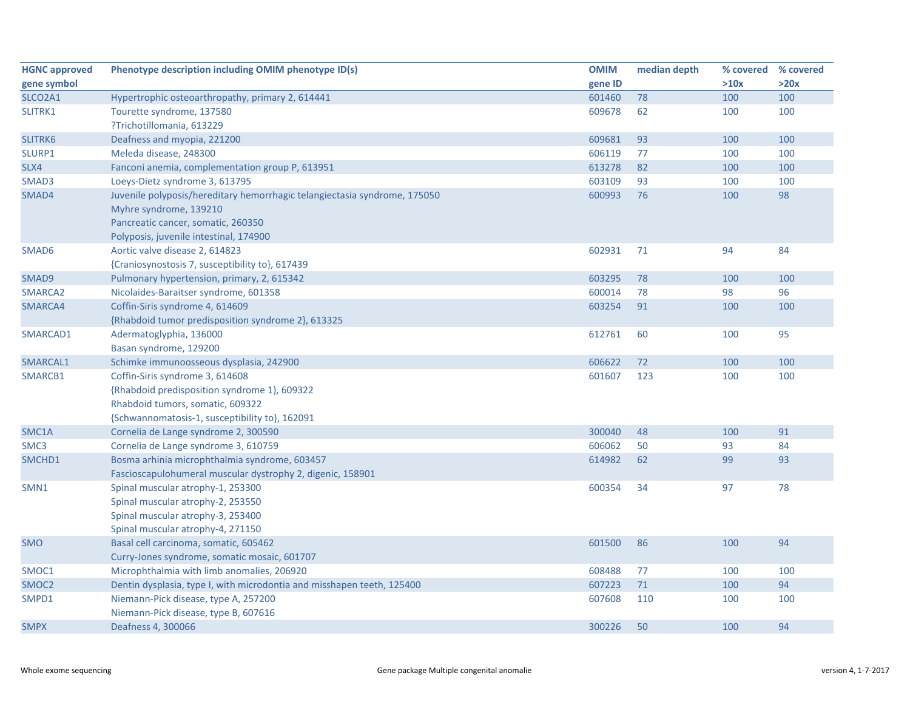| <b>HGNC approved</b> | Phenotype description including OMIM phenotype ID(s)                      | <b>OMIM</b> | median depth | % covered | % covered |
|----------------------|---------------------------------------------------------------------------|-------------|--------------|-----------|-----------|
| gene symbol          |                                                                           | gene ID     |              | >10x      | >20x      |
| SLCO2A1              | Hypertrophic osteoarthropathy, primary 2, 614441                          | 601460      | 78           | 100       | 100       |
| SLITRK1              | Tourette syndrome, 137580                                                 | 609678      | 62           | 100       | 100       |
|                      | ?Trichotillomania, 613229                                                 |             |              |           |           |
| SLITRK6              | Deafness and myopia, 221200                                               | 609681      | 93           | 100       | 100       |
| SLURP1               | Meleda disease, 248300                                                    | 606119      | 77           | 100       | 100       |
| SLX4                 | Fanconi anemia, complementation group P, 613951                           | 613278      | 82           | 100       | 100       |
| SMAD3                | Loeys-Dietz syndrome 3, 613795                                            | 603109      | 93           | 100       | 100       |
| SMAD4                | Juvenile polyposis/hereditary hemorrhagic telangiectasia syndrome, 175050 | 600993      | 76           | 100       | 98        |
|                      | Myhre syndrome, 139210                                                    |             |              |           |           |
|                      | Pancreatic cancer, somatic, 260350                                        |             |              |           |           |
|                      | Polyposis, juvenile intestinal, 174900                                    |             |              |           |           |
| SMAD6                | Aortic valve disease 2, 614823                                            | 602931      | 71           | 94        | 84        |
|                      | {Craniosynostosis 7, susceptibility to}, 617439                           |             |              |           |           |
| SMAD9                | Pulmonary hypertension, primary, 2, 615342                                | 603295      | 78           | 100       | 100       |
| SMARCA2              | Nicolaides-Baraitser syndrome, 601358                                     | 600014      | 78           | 98        | 96        |
| SMARCA4              | Coffin-Siris syndrome 4, 614609                                           | 603254      | 91           | 100       | 100       |
|                      | {Rhabdoid tumor predisposition syndrome 2}, 613325                        |             |              |           |           |
| SMARCAD1             | Adermatoglyphia, 136000                                                   | 612761      | 60           | 100       | 95        |
|                      | Basan syndrome, 129200                                                    |             |              |           |           |
| SMARCAL1             | Schimke immunoosseous dysplasia, 242900                                   | 606622      | 72           | 100       | 100       |
| SMARCB1              | Coffin-Siris syndrome 3, 614608                                           | 601607      | 123          | 100       | 100       |
|                      | {Rhabdoid predisposition syndrome 1}, 609322                              |             |              |           |           |
|                      | Rhabdoid tumors, somatic, 609322                                          |             |              |           |           |
|                      | {Schwannomatosis-1, susceptibility to}, 162091                            |             |              |           |           |
| SMC1A                | Cornelia de Lange syndrome 2, 300590                                      | 300040      | 48           | 100       | 91        |
| SMC <sub>3</sub>     | Cornelia de Lange syndrome 3, 610759                                      | 606062      | 50           | 93        | 84        |
| SMCHD1               | Bosma arhinia microphthalmia syndrome, 603457                             | 614982      | 62           | 99        | 93        |
|                      | Fascioscapulohumeral muscular dystrophy 2, digenic, 158901                |             |              |           |           |
| SMN1                 | Spinal muscular atrophy-1, 253300                                         | 600354      | 34           | 97        | 78        |
|                      | Spinal muscular atrophy-2, 253550                                         |             |              |           |           |
|                      | Spinal muscular atrophy-3, 253400                                         |             |              |           |           |
|                      | Spinal muscular atrophy-4, 271150                                         |             |              |           |           |
| <b>SMO</b>           | Basal cell carcinoma, somatic, 605462                                     | 601500      | 86           | 100       | 94        |
|                      | Curry-Jones syndrome, somatic mosaic, 601707                              |             |              |           |           |
| SMOC1                | Microphthalmia with limb anomalies, 206920                                | 608488      | 77           | 100       | 100       |
| SMOC <sub>2</sub>    | Dentin dysplasia, type I, with microdontia and misshapen teeth, 125400    | 607223      | 71           | 100       | 94        |
| SMPD1                | Niemann-Pick disease, type A, 257200                                      | 607608      | 110          | 100       | 100       |
|                      | Niemann-Pick disease, type B, 607616                                      |             |              |           |           |
| <b>SMPX</b>          | Deafness 4, 300066                                                        | 300226      | 50           | 100       | 94        |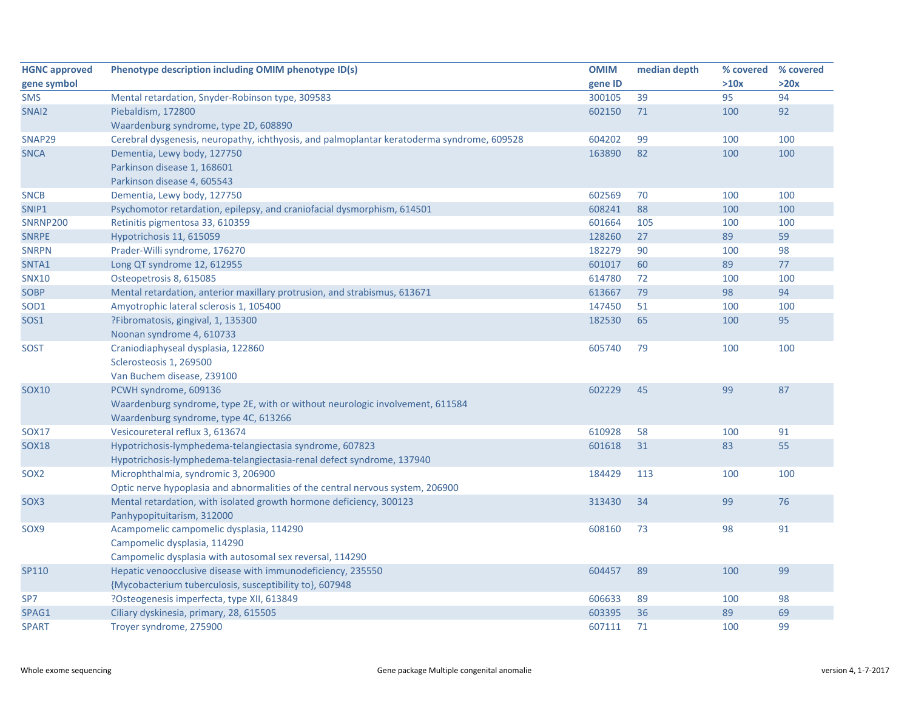| <b>HGNC approved</b> | Phenotype description including OMIM phenotype ID(s)                                       | <b>OMIM</b> | median depth | % covered | % covered |
|----------------------|--------------------------------------------------------------------------------------------|-------------|--------------|-----------|-----------|
| gene symbol          |                                                                                            | gene ID     |              | >10x      | >20x      |
| <b>SMS</b>           | Mental retardation, Snyder-Robinson type, 309583                                           | 300105      | 39           | 95        | 94        |
| SNAI <sub>2</sub>    | Piebaldism, 172800                                                                         | 602150      | 71           | 100       | 92        |
|                      | Waardenburg syndrome, type 2D, 608890                                                      |             |              |           |           |
| SNAP29               | Cerebral dysgenesis, neuropathy, ichthyosis, and palmoplantar keratoderma syndrome, 609528 | 604202      | 99           | 100       | 100       |
| <b>SNCA</b>          | Dementia, Lewy body, 127750                                                                | 163890      | 82           | 100       | 100       |
|                      | Parkinson disease 1, 168601                                                                |             |              |           |           |
|                      | Parkinson disease 4, 605543                                                                |             |              |           |           |
| <b>SNCB</b>          | Dementia, Lewy body, 127750                                                                | 602569      | 70           | 100       | 100       |
| SNIP1                | Psychomotor retardation, epilepsy, and craniofacial dysmorphism, 614501                    | 608241      | 88           | 100       | 100       |
| <b>SNRNP200</b>      | Retinitis pigmentosa 33, 610359                                                            | 601664      | 105          | 100       | 100       |
| <b>SNRPE</b>         | Hypotrichosis 11, 615059                                                                   | 128260      | 27           | 89        | 59        |
| <b>SNRPN</b>         | Prader-Willi syndrome, 176270                                                              | 182279      | 90           | 100       | 98        |
| SNTA1                | Long QT syndrome 12, 612955                                                                | 601017      | 60           | 89        | $77$      |
| <b>SNX10</b>         | Osteopetrosis 8, 615085                                                                    | 614780      | 72           | 100       | 100       |
| SOBP                 | Mental retardation, anterior maxillary protrusion, and strabismus, 613671                  | 613667      | 79           | 98        | 94        |
| SOD <sub>1</sub>     | Amyotrophic lateral sclerosis 1, 105400                                                    | 147450      | 51           | 100       | 100       |
| <b>SOS1</b>          | ?Fibromatosis, gingival, 1, 135300                                                         | 182530      | 65           | 100       | 95        |
|                      | Noonan syndrome 4, 610733                                                                  |             |              |           |           |
| <b>SOST</b>          | Craniodiaphyseal dysplasia, 122860                                                         | 605740      | 79           | 100       | 100       |
|                      | Sclerosteosis 1, 269500                                                                    |             |              |           |           |
|                      | Van Buchem disease, 239100                                                                 |             |              |           |           |
| SOX10                | PCWH syndrome, 609136                                                                      | 602229      | 45           | 99        | 87        |
|                      | Waardenburg syndrome, type 2E, with or without neurologic involvement, 611584              |             |              |           |           |
|                      | Waardenburg syndrome, type 4C, 613266                                                      |             |              |           |           |
| <b>SOX17</b>         | Vesicoureteral reflux 3, 613674                                                            | 610928      | 58           | 100       | 91        |
| <b>SOX18</b>         | Hypotrichosis-lymphedema-telangiectasia syndrome, 607823                                   | 601618      | 31           | 83        | 55        |
|                      | Hypotrichosis-lymphedema-telangiectasia-renal defect syndrome, 137940                      |             |              |           |           |
| SOX <sub>2</sub>     | Microphthalmia, syndromic 3, 206900                                                        | 184429      | 113          | 100       | 100       |
|                      | Optic nerve hypoplasia and abnormalities of the central nervous system, 206900             |             |              |           |           |
| SOX3                 | Mental retardation, with isolated growth hormone deficiency, 300123                        | 313430      | 34           | 99        | 76        |
|                      | Panhypopituitarism, 312000                                                                 |             |              |           |           |
| SOX9                 | Acampomelic campomelic dysplasia, 114290                                                   | 608160      | 73           | 98        | 91        |
|                      | Campomelic dysplasia, 114290                                                               |             |              |           |           |
|                      | Campomelic dysplasia with autosomal sex reversal, 114290                                   |             |              |           |           |
| SP110                | Hepatic venoocclusive disease with immunodeficiency, 235550                                | 604457      | 89           | 100       | 99        |
|                      | {Mycobacterium tuberculosis, susceptibility to}, 607948                                    |             |              |           |           |
| SP7                  | ?Osteogenesis imperfecta, type XII, 613849                                                 | 606633      | 89           | 100       | 98        |
| SPAG1                | Ciliary dyskinesia, primary, 28, 615505                                                    | 603395      | 36           | 89        | 69        |
| <b>SPART</b>         | Troyer syndrome, 275900                                                                    | 607111      | 71           | 100       | 99        |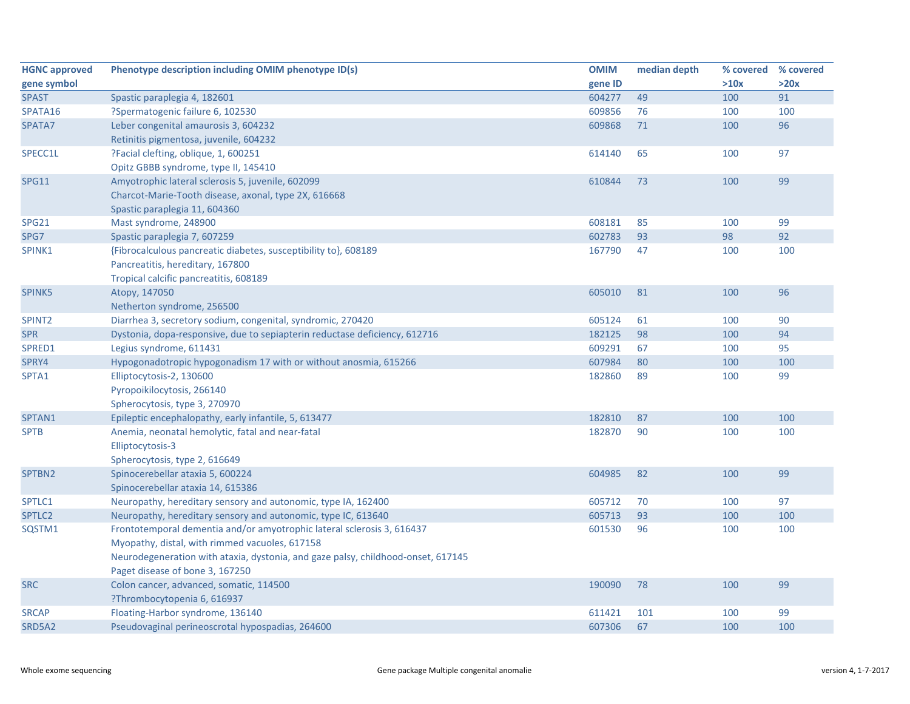| <b>HGNC approved</b> | Phenotype description including OMIM phenotype ID(s)                             | <b>OMIM</b> | median depth | % covered % covered |      |
|----------------------|----------------------------------------------------------------------------------|-------------|--------------|---------------------|------|
| gene symbol          |                                                                                  | gene ID     |              | >10x                | >20x |
| <b>SPAST</b>         | Spastic paraplegia 4, 182601                                                     | 604277      | 49           | 100                 | 91   |
| SPATA16              | ?Spermatogenic failure 6, 102530                                                 | 609856      | 76           | 100                 | 100  |
| SPATA7               | Leber congenital amaurosis 3, 604232                                             | 609868      | 71           | 100                 | 96   |
|                      | Retinitis pigmentosa, juvenile, 604232                                           |             |              |                     |      |
| SPECC1L              | ?Facial clefting, oblique, 1, 600251                                             | 614140      | 65           | 100                 | 97   |
|                      | Opitz GBBB syndrome, type II, 145410                                             |             |              |                     |      |
| SPG11                | Amyotrophic lateral sclerosis 5, juvenile, 602099                                | 610844      | 73           | 100                 | 99   |
|                      | Charcot-Marie-Tooth disease, axonal, type 2X, 616668                             |             |              |                     |      |
|                      | Spastic paraplegia 11, 604360                                                    |             |              |                     |      |
| <b>SPG21</b>         | Mast syndrome, 248900                                                            | 608181      | 85           | 100                 | 99   |
| SPG7                 | Spastic paraplegia 7, 607259                                                     | 602783      | 93           | 98                  | 92   |
| SPINK1               | {Fibrocalculous pancreatic diabetes, susceptibility to}, 608189                  | 167790      | 47           | 100                 | 100  |
|                      | Pancreatitis, hereditary, 167800                                                 |             |              |                     |      |
|                      | Tropical calcific pancreatitis, 608189                                           |             |              |                     |      |
| <b>SPINK5</b>        | Atopy, 147050                                                                    | 605010      | 81           | 100                 | 96   |
|                      | Netherton syndrome, 256500                                                       |             |              |                     |      |
| SPINT <sub>2</sub>   | Diarrhea 3, secretory sodium, congenital, syndromic, 270420                      | 605124      | 61           | 100                 | 90   |
| <b>SPR</b>           | Dystonia, dopa-responsive, due to sepiapterin reductase deficiency, 612716       | 182125      | 98           | 100                 | 94   |
| SPRED1               | Legius syndrome, 611431                                                          | 609291      | 67           | 100                 | 95   |
| SPRY4                | Hypogonadotropic hypogonadism 17 with or without anosmia, 615266                 | 607984      | 80           | 100                 | 100  |
| SPTA1                | Elliptocytosis-2, 130600                                                         | 182860      | 89           | 100                 | 99   |
|                      | Pyropoikilocytosis, 266140                                                       |             |              |                     |      |
|                      | Spherocytosis, type 3, 270970                                                    |             |              |                     |      |
| SPTAN1               | Epileptic encephalopathy, early infantile, 5, 613477                             | 182810      | 87           | 100                 | 100  |
| <b>SPTB</b>          | Anemia, neonatal hemolytic, fatal and near-fatal                                 | 182870      | 90           | 100                 | 100  |
|                      | Elliptocytosis-3                                                                 |             |              |                     |      |
|                      | Spherocytosis, type 2, 616649                                                    |             |              |                     |      |
| SPTBN2               | Spinocerebellar ataxia 5, 600224                                                 | 604985      | 82           | 100                 | 99   |
|                      | Spinocerebellar ataxia 14, 615386                                                |             |              |                     |      |
| SPTLC1               | Neuropathy, hereditary sensory and autonomic, type IA, 162400                    | 605712      | 70           | 100                 | 97   |
| SPTLC2               | Neuropathy, hereditary sensory and autonomic, type IC, 613640                    | 605713      | 93           | 100                 | 100  |
| SQSTM1               | Frontotemporal dementia and/or amyotrophic lateral sclerosis 3, 616437           | 601530      | 96           | 100                 | 100  |
|                      | Myopathy, distal, with rimmed vacuoles, 617158                                   |             |              |                     |      |
|                      | Neurodegeneration with ataxia, dystonia, and gaze palsy, childhood-onset, 617145 |             |              |                     |      |
|                      | Paget disease of bone 3, 167250                                                  |             |              |                     |      |
| <b>SRC</b>           | Colon cancer, advanced, somatic, 114500                                          | 190090      | 78           | 100                 | 99   |
|                      | ?Thrombocytopenia 6, 616937                                                      |             |              |                     |      |
| <b>SRCAP</b>         | Floating-Harbor syndrome, 136140                                                 | 611421      | 101          | 100                 | 99   |
| SRD5A2               | Pseudovaginal perineoscrotal hypospadias, 264600                                 | 607306      | 67           | 100                 | 100  |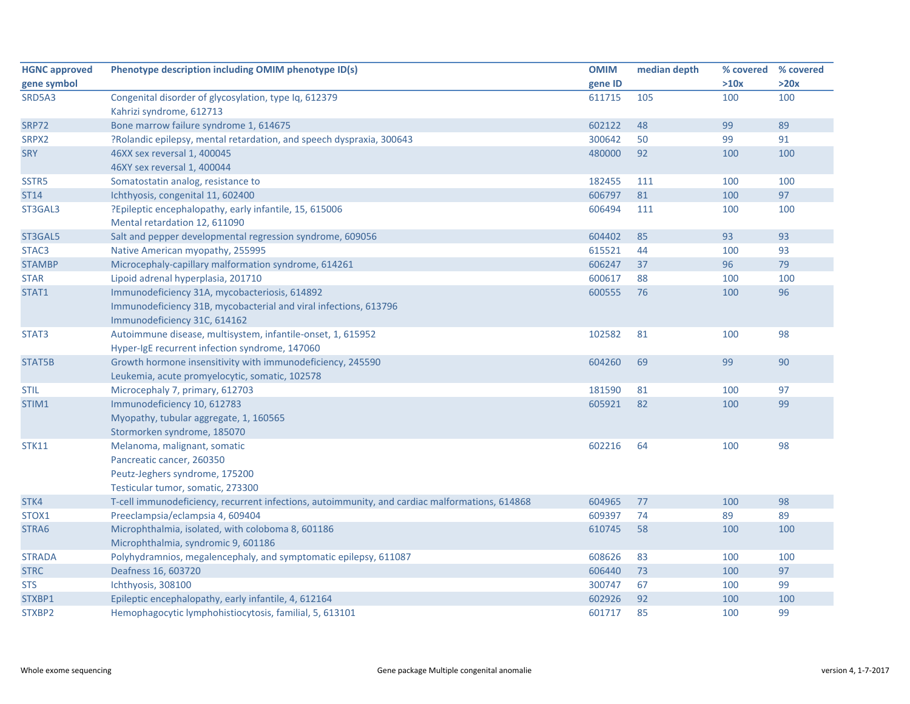| <b>HGNC approved</b> | Phenotype description including OMIM phenotype ID(s)                                           | <b>OMIM</b> | median depth |      | % covered % covered |
|----------------------|------------------------------------------------------------------------------------------------|-------------|--------------|------|---------------------|
| gene symbol          |                                                                                                | gene ID     |              | >10x | >20x                |
| SRD5A3               | Congenital disorder of glycosylation, type Iq, 612379                                          | 611715      | 105          | 100  | 100                 |
|                      | Kahrizi syndrome, 612713                                                                       |             |              |      |                     |
| <b>SRP72</b>         | Bone marrow failure syndrome 1, 614675                                                         | 602122      | 48           | 99   | 89                  |
| SRPX2                | ?Rolandic epilepsy, mental retardation, and speech dyspraxia, 300643                           | 300642      | 50           | 99   | 91                  |
| <b>SRY</b>           | 46XX sex reversal 1, 400045                                                                    | 480000      | 92           | 100  | 100                 |
|                      | 46XY sex reversal 1, 400044                                                                    |             |              |      |                     |
| SSTR5                | Somatostatin analog, resistance to                                                             | 182455      | 111          | 100  | 100                 |
| <b>ST14</b>          | Ichthyosis, congenital 11, 602400                                                              | 606797      | 81           | 100  | 97                  |
| ST3GAL3              | ?Epileptic encephalopathy, early infantile, 15, 615006                                         | 606494      | 111          | 100  | 100                 |
|                      | Mental retardation 12, 611090                                                                  |             |              |      |                     |
| ST3GAL5              | Salt and pepper developmental regression syndrome, 609056                                      | 604402      | 85           | 93   | 93                  |
| STAC <sub>3</sub>    | Native American myopathy, 255995                                                               | 615521      | 44           | 100  | 93                  |
| <b>STAMBP</b>        | Microcephaly-capillary malformation syndrome, 614261                                           | 606247      | 37           | 96   | 79                  |
| <b>STAR</b>          | Lipoid adrenal hyperplasia, 201710                                                             | 600617      | 88           | 100  | 100                 |
| STAT1                | Immunodeficiency 31A, mycobacteriosis, 614892                                                  | 600555      | 76           | 100  | 96                  |
|                      | Immunodeficiency 31B, mycobacterial and viral infections, 613796                               |             |              |      |                     |
|                      | Immunodeficiency 31C, 614162                                                                   |             |              |      |                     |
| STAT3                | Autoimmune disease, multisystem, infantile-onset, 1, 615952                                    | 102582      | 81           | 100  | 98                  |
|                      | Hyper-IgE recurrent infection syndrome, 147060                                                 |             |              |      |                     |
| STAT5B               | Growth hormone insensitivity with immunodeficiency, 245590                                     | 604260      | 69           | 99   | 90                  |
|                      | Leukemia, acute promyelocytic, somatic, 102578                                                 |             |              |      |                     |
| <b>STIL</b>          | Microcephaly 7, primary, 612703                                                                | 181590      | 81           | 100  | 97                  |
| STIM1                | Immunodeficiency 10, 612783                                                                    | 605921      | 82           | 100  | 99                  |
|                      | Myopathy, tubular aggregate, 1, 160565                                                         |             |              |      |                     |
|                      | Stormorken syndrome, 185070                                                                    |             |              |      |                     |
| <b>STK11</b>         | Melanoma, malignant, somatic                                                                   | 602216      | 64           | 100  | 98                  |
|                      | Pancreatic cancer, 260350                                                                      |             |              |      |                     |
|                      | Peutz-Jeghers syndrome, 175200                                                                 |             |              |      |                     |
|                      | Testicular tumor, somatic, 273300                                                              |             |              |      |                     |
| STK4                 | T-cell immunodeficiency, recurrent infections, autoimmunity, and cardiac malformations, 614868 | 604965      | 77           | 100  | 98                  |
| STOX1                | Preeclampsia/eclampsia 4, 609404                                                               | 609397      | 74           | 89   | 89                  |
| STRA6                | Microphthalmia, isolated, with coloboma 8, 601186                                              | 610745      | 58           | 100  | 100                 |
|                      | Microphthalmia, syndromic 9, 601186                                                            |             |              |      |                     |
| <b>STRADA</b>        | Polyhydramnios, megalencephaly, and symptomatic epilepsy, 611087                               | 608626      | 83           | 100  | 100                 |
| <b>STRC</b>          | Deafness 16, 603720                                                                            | 606440      | 73           | 100  | 97                  |
| <b>STS</b>           | Ichthyosis, 308100                                                                             | 300747      | 67           | 100  | 99                  |
| STXBP1               | Epileptic encephalopathy, early infantile, 4, 612164                                           | 602926      | 92           | 100  | 100                 |
| STXBP2               | Hemophagocytic lymphohistiocytosis, familial, 5, 613101                                        | 601717      | 85           | 100  | 99                  |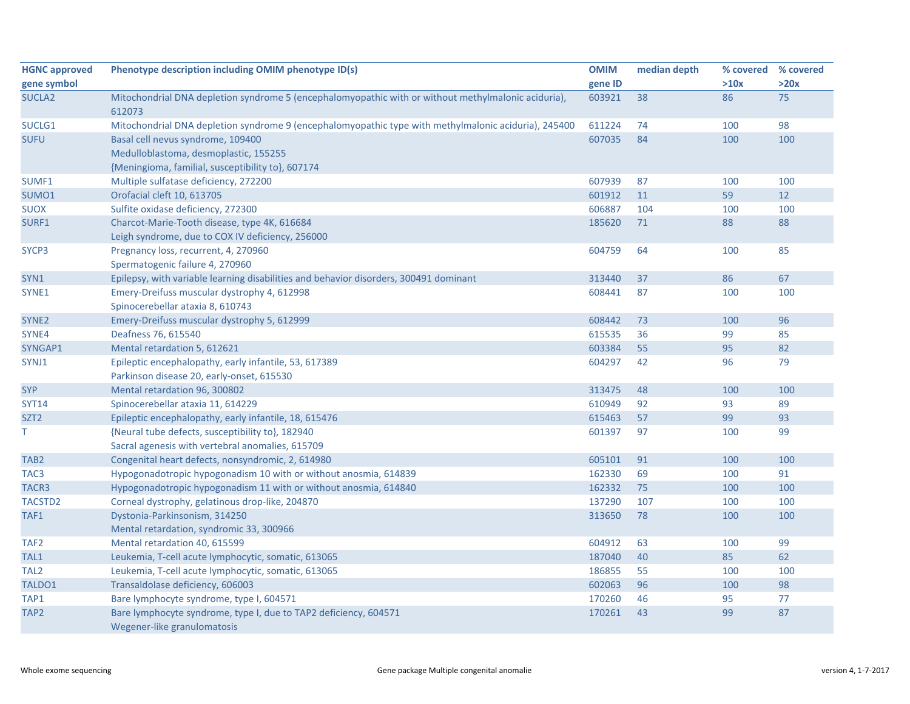| <b>HGNC approved</b> | Phenotype description including OMIM phenotype ID(s)                                                 | <b>OMIM</b> | median depth | % covered | % covered |
|----------------------|------------------------------------------------------------------------------------------------------|-------------|--------------|-----------|-----------|
| gene symbol          |                                                                                                      | gene ID     |              | >10x      | >20x      |
| <b>SUCLA2</b>        | Mitochondrial DNA depletion syndrome 5 (encephalomyopathic with or without methylmalonic aciduria),  | 603921      | 38           | 86        | 75        |
|                      | 612073                                                                                               |             |              |           |           |
| SUCLG1               | Mitochondrial DNA depletion syndrome 9 (encephalomyopathic type with methylmalonic aciduria), 245400 | 611224      | 74           | 100       | 98        |
| <b>SUFU</b>          | Basal cell nevus syndrome, 109400                                                                    | 607035      | 84           | 100       | 100       |
|                      | Medulloblastoma, desmoplastic, 155255                                                                |             |              |           |           |
|                      | {Meningioma, familial, susceptibility to}, 607174                                                    |             |              |           |           |
| SUMF1                | Multiple sulfatase deficiency, 272200                                                                | 607939      | 87           | 100       | 100       |
| SUMO1                | Orofacial cleft 10, 613705                                                                           | 601912      | 11           | 59        | 12        |
| <b>SUOX</b>          | Sulfite oxidase deficiency, 272300                                                                   | 606887      | 104          | 100       | 100       |
| SURF1                | Charcot-Marie-Tooth disease, type 4K, 616684                                                         | 185620      | 71           | 88        | 88        |
|                      | Leigh syndrome, due to COX IV deficiency, 256000                                                     |             |              |           |           |
| SYCP3                | Pregnancy loss, recurrent, 4, 270960                                                                 | 604759      | 64           | 100       | 85        |
|                      | Spermatogenic failure 4, 270960                                                                      |             |              |           |           |
| SYN1                 | Epilepsy, with variable learning disabilities and behavior disorders, 300491 dominant                | 313440      | 37           | 86        | 67        |
| SYNE1                | Emery-Dreifuss muscular dystrophy 4, 612998                                                          | 608441      | 87           | 100       | 100       |
|                      | Spinocerebellar ataxia 8, 610743                                                                     |             |              |           |           |
| SYNE <sub>2</sub>    | Emery-Dreifuss muscular dystrophy 5, 612999                                                          | 608442      | 73           | 100       | 96        |
| SYNE4                | Deafness 76, 615540                                                                                  | 615535      | 36           | 99        | 85        |
| SYNGAP1              | Mental retardation 5, 612621                                                                         | 603384      | 55           | 95        | 82        |
| SYNJ1                | Epileptic encephalopathy, early infantile, 53, 617389                                                | 604297      | 42           | 96        | 79        |
|                      | Parkinson disease 20, early-onset, 615530                                                            |             |              |           |           |
| <b>SYP</b>           | Mental retardation 96, 300802                                                                        | 313475      | 48           | 100       | 100       |
| <b>SYT14</b>         | Spinocerebellar ataxia 11, 614229                                                                    | 610949      | 92           | 93        | 89        |
| SZT <sub>2</sub>     | Epileptic encephalopathy, early infantile, 18, 615476                                                | 615463      | 57           | 99        | 93        |
| Τ                    | {Neural tube defects, susceptibility to}, 182940                                                     | 601397      | 97           | 100       | 99        |
|                      | Sacral agenesis with vertebral anomalies, 615709                                                     |             |              |           |           |
| TAB <sub>2</sub>     | Congenital heart defects, nonsyndromic, 2, 614980                                                    | 605101      | 91           | 100       | 100       |
| TAC <sub>3</sub>     | Hypogonadotropic hypogonadism 10 with or without anosmia, 614839                                     | 162330      | 69           | 100       | 91        |
| TACR3                | Hypogonadotropic hypogonadism 11 with or without anosmia, 614840                                     | 162332      | 75           | 100       | 100       |
| TACSTD <sub>2</sub>  | Corneal dystrophy, gelatinous drop-like, 204870                                                      | 137290      | 107          | 100       | 100       |
| TAF1                 | Dystonia-Parkinsonism, 314250                                                                        | 313650      | 78           | 100       | 100       |
|                      | Mental retardation, syndromic 33, 300966                                                             |             |              |           |           |
| TAF <sub>2</sub>     | Mental retardation 40, 615599                                                                        | 604912      | 63           | 100       | 99        |
| TAL1                 | Leukemia, T-cell acute lymphocytic, somatic, 613065                                                  | 187040      | 40           | 85        | 62        |
| TAL <sub>2</sub>     | Leukemia, T-cell acute lymphocytic, somatic, 613065                                                  | 186855      | 55           | 100       | 100       |
| TALDO1               | Transaldolase deficiency, 606003                                                                     | 602063      | 96           | 100       | 98        |
| TAP1                 | Bare lymphocyte syndrome, type I, 604571                                                             | 170260      | 46           | 95        | 77        |
| TAP <sub>2</sub>     | Bare lymphocyte syndrome, type I, due to TAP2 deficiency, 604571                                     | 170261      | 43           | 99        | 87        |
|                      | Wegener-like granulomatosis                                                                          |             |              |           |           |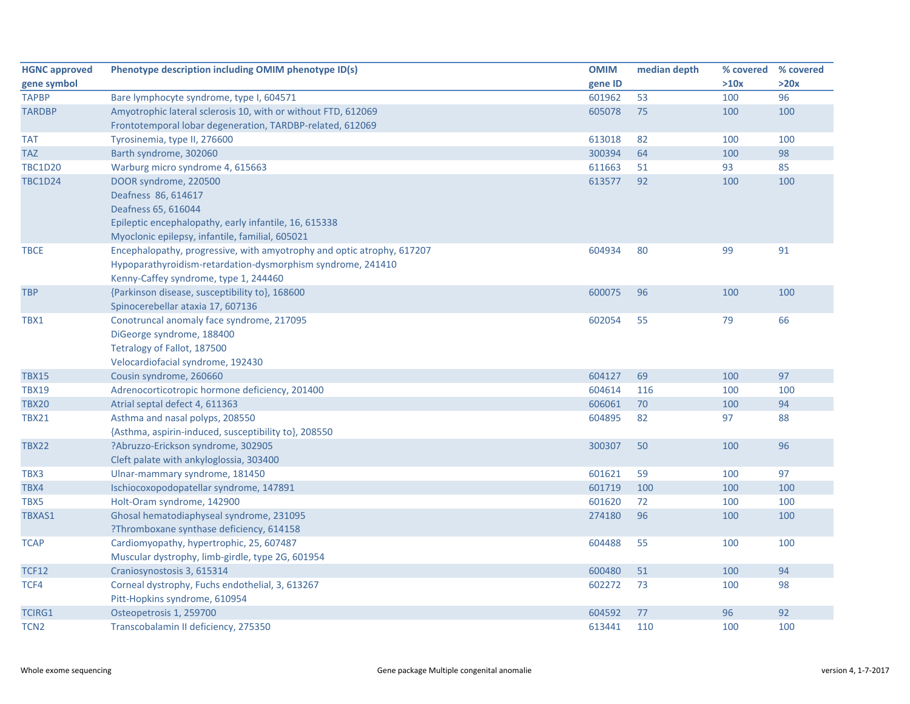| <b>HGNC approved</b> | Phenotype description including OMIM phenotype ID(s)                                       | <b>OMIM</b> | median depth | % covered | % covered |
|----------------------|--------------------------------------------------------------------------------------------|-------------|--------------|-----------|-----------|
| gene symbol          |                                                                                            | gene ID     |              | >10x      | >20x      |
| <b>TAPBP</b>         | Bare lymphocyte syndrome, type I, 604571                                                   | 601962      | 53           | 100       | 96        |
| <b>TARDBP</b>        | Amyotrophic lateral sclerosis 10, with or without FTD, 612069                              | 605078      | 75           | 100       | 100       |
|                      | Frontotemporal lobar degeneration, TARDBP-related, 612069                                  |             |              |           |           |
| <b>TAT</b>           | Tyrosinemia, type II, 276600                                                               | 613018      | 82           | 100       | 100       |
| <b>TAZ</b>           | Barth syndrome, 302060                                                                     | 300394      | 64           | 100       | 98        |
| <b>TBC1D20</b>       | Warburg micro syndrome 4, 615663                                                           | 611663      | 51           | 93        | 85        |
| <b>TBC1D24</b>       | DOOR syndrome, 220500                                                                      | 613577      | 92           | 100       | 100       |
|                      | Deafness 86, 614617                                                                        |             |              |           |           |
|                      | Deafness 65, 616044                                                                        |             |              |           |           |
|                      | Epileptic encephalopathy, early infantile, 16, 615338                                      |             |              |           |           |
|                      | Myoclonic epilepsy, infantile, familial, 605021                                            |             |              |           |           |
| <b>TBCE</b>          | Encephalopathy, progressive, with amyotrophy and optic atrophy, 617207                     | 604934      | 80           | 99        | 91        |
|                      | Hypoparathyroidism-retardation-dysmorphism syndrome, 241410                                |             |              |           |           |
|                      | Kenny-Caffey syndrome, type 1, 244460                                                      |             |              |           |           |
| <b>TBP</b>           | {Parkinson disease, susceptibility to}, 168600                                             | 600075      | 96           | 100       | 100       |
|                      | Spinocerebellar ataxia 17, 607136                                                          |             |              |           |           |
| TBX1                 | Conotruncal anomaly face syndrome, 217095                                                  | 602054      | 55           | 79        | 66        |
|                      | DiGeorge syndrome, 188400                                                                  |             |              |           |           |
|                      | Tetralogy of Fallot, 187500                                                                |             |              |           |           |
|                      | Velocardiofacial syndrome, 192430                                                          |             |              |           |           |
| <b>TBX15</b>         | Cousin syndrome, 260660                                                                    | 604127      | 69           | 100       | 97        |
| <b>TBX19</b>         | Adrenocorticotropic hormone deficiency, 201400                                             | 604614      | 116          | 100       | 100       |
| <b>TBX20</b>         | Atrial septal defect 4, 611363                                                             | 606061      | 70           | 100       | 94        |
| <b>TBX21</b>         | Asthma and nasal polyps, 208550                                                            | 604895      | 82           | 97        | 88        |
| <b>TBX22</b>         | {Asthma, aspirin-induced, susceptibility to}, 208550<br>?Abruzzo-Erickson syndrome, 302905 | 300307      | 50           | 100       | 96        |
|                      | Cleft palate with ankyloglossia, 303400                                                    |             |              |           |           |
| TBX3                 | Ulnar-mammary syndrome, 181450                                                             | 601621      | 59           | 100       | 97        |
| TBX4                 | Ischiocoxopodopatellar syndrome, 147891                                                    | 601719      | 100          | 100       | 100       |
| TBX5                 | Holt-Oram syndrome, 142900                                                                 | 601620      | 72           | 100       | 100       |
| TBXAS1               | Ghosal hematodiaphyseal syndrome, 231095                                                   | 274180      | 96           | 100       | 100       |
|                      | ?Thromboxane synthase deficiency, 614158                                                   |             |              |           |           |
| <b>TCAP</b>          | Cardiomyopathy, hypertrophic, 25, 607487                                                   | 604488      | 55           | 100       | 100       |
|                      | Muscular dystrophy, limb-girdle, type 2G, 601954                                           |             |              |           |           |
| <b>TCF12</b>         | Craniosynostosis 3, 615314                                                                 | 600480      | 51           | 100       | 94        |
| TCF4                 | Corneal dystrophy, Fuchs endothelial, 3, 613267                                            | 602272      | 73           | 100       | 98        |
|                      | Pitt-Hopkins syndrome, 610954                                                              |             |              |           |           |
| <b>TCIRG1</b>        | Osteopetrosis 1, 259700                                                                    | 604592      | 77           | 96        | 92        |
| TCN <sub>2</sub>     | Transcobalamin II deficiency, 275350                                                       | 613441      | 110          | 100       | 100       |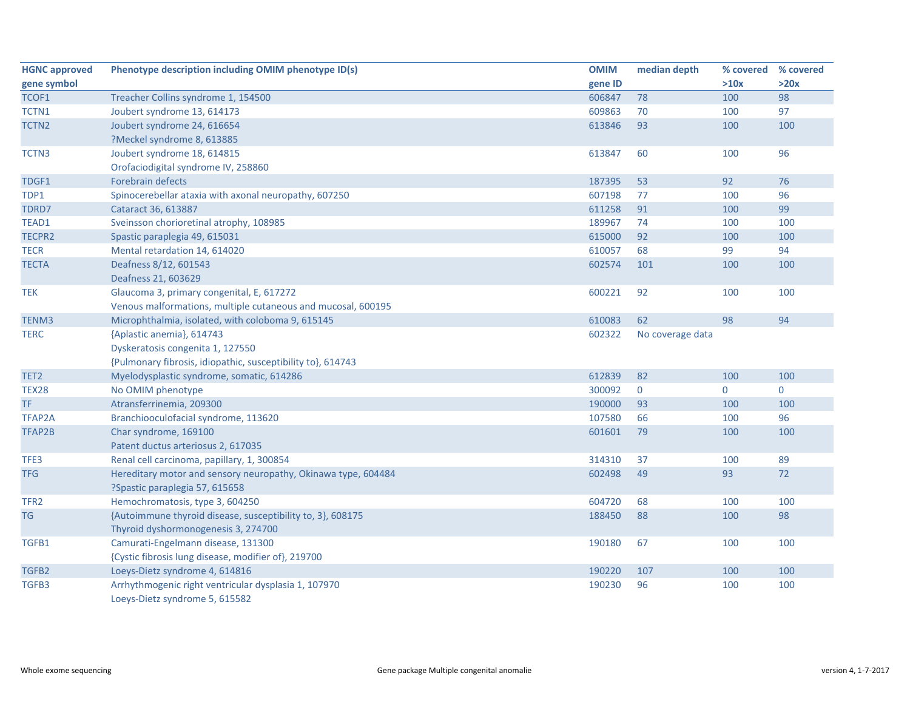| <b>HGNC approved</b> | Phenotype description including OMIM phenotype ID(s)          | <b>OMIM</b> | median depth     | % covered | % covered      |
|----------------------|---------------------------------------------------------------|-------------|------------------|-----------|----------------|
| gene symbol          |                                                               | gene ID     |                  | >10x      | >20x           |
| TCOF1                | Treacher Collins syndrome 1, 154500                           | 606847      | 78               | 100       | 98             |
| TCTN1                | Joubert syndrome 13, 614173                                   | 609863      | 70               | 100       | 97             |
| TCTN <sub>2</sub>    | Joubert syndrome 24, 616654                                   | 613846      | 93               | 100       | 100            |
|                      | ?Meckel syndrome 8, 613885                                    |             |                  |           |                |
| TCTN3                | Joubert syndrome 18, 614815                                   | 613847      | 60               | 100       | 96             |
|                      | Orofaciodigital syndrome IV, 258860                           |             |                  |           |                |
| TDGF1                | Forebrain defects                                             | 187395      | 53               | 92        | 76             |
| TDP1                 | Spinocerebellar ataxia with axonal neuropathy, 607250         | 607198      | 77               | 100       | 96             |
| TDRD7                | Cataract 36, 613887                                           | 611258      | 91               | 100       | 99             |
| TEAD1                | Sveinsson chorioretinal atrophy, 108985                       | 189967      | 74               | 100       | 100            |
| TECPR2               | Spastic paraplegia 49, 615031                                 | 615000      | 92               | 100       | 100            |
| <b>TECR</b>          | Mental retardation 14, 614020                                 | 610057      | 68               | 99        | 94             |
| <b>TECTA</b>         | Deafness 8/12, 601543                                         | 602574      | 101              | 100       | 100            |
|                      | Deafness 21, 603629                                           |             |                  |           |                |
| <b>TEK</b>           | Glaucoma 3, primary congenital, E, 617272                     | 600221      | 92               | 100       | 100            |
|                      | Venous malformations, multiple cutaneous and mucosal, 600195  |             |                  |           |                |
| TENM3                | Microphthalmia, isolated, with coloboma 9, 615145             | 610083      | 62               | 98        | 94             |
| <b>TERC</b>          | {Aplastic anemia}, 614743                                     | 602322      | No coverage data |           |                |
|                      | Dyskeratosis congenita 1, 127550                              |             |                  |           |                |
|                      | {Pulmonary fibrosis, idiopathic, susceptibility to}, 614743   |             |                  |           |                |
| TET <sub>2</sub>     | Myelodysplastic syndrome, somatic, 614286                     | 612839      | 82               | 100       | 100            |
| <b>TEX28</b>         | No OMIM phenotype                                             | 300092      | $\mathbf 0$      | 0         | $\overline{0}$ |
| TF.                  | Atransferrinemia, 209300                                      | 190000      | 93               | 100       | 100            |
| TFAP2A               | Branchiooculofacial syndrome, 113620                          | 107580      | 66               | 100       | 96             |
| TFAP2B               | Char syndrome, 169100                                         | 601601      | 79               | 100       | 100            |
|                      | Patent ductus arteriosus 2, 617035                            |             |                  |           |                |
| TFE3                 | Renal cell carcinoma, papillary, 1, 300854                    | 314310      | 37               | 100       | 89             |
| <b>TFG</b>           | Hereditary motor and sensory neuropathy, Okinawa type, 604484 | 602498      | 49               | 93        | 72             |
|                      | ?Spastic paraplegia 57, 615658                                |             |                  |           |                |
| TFR <sub>2</sub>     | Hemochromatosis, type 3, 604250                               | 604720      | 68               | 100       | 100            |
| <b>TG</b>            | {Autoimmune thyroid disease, susceptibility to, 3}, 608175    | 188450      | 88               | 100       | 98             |
|                      | Thyroid dyshormonogenesis 3, 274700                           |             |                  |           |                |
| TGFB1                | Camurati-Engelmann disease, 131300                            | 190180      | 67               | 100       | 100            |
|                      | {Cystic fibrosis lung disease, modifier of}, 219700           |             |                  |           |                |
| TGFB2                | Loeys-Dietz syndrome 4, 614816                                | 190220      | 107              | 100       | 100            |
| TGFB3                | Arrhythmogenic right ventricular dysplasia 1, 107970          | 190230      | 96               | 100       | 100            |
|                      | Loeys-Dietz syndrome 5, 615582                                |             |                  |           |                |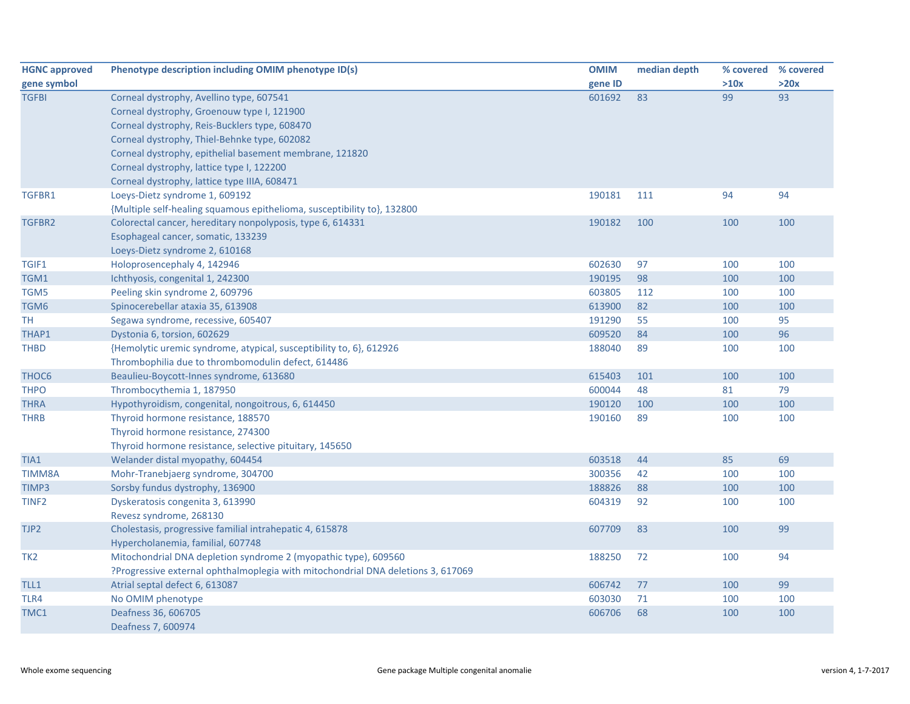| <b>HGNC approved</b> | Phenotype description including OMIM phenotype ID(s)                             | <b>OMIM</b> | median depth |      | % covered % covered |
|----------------------|----------------------------------------------------------------------------------|-------------|--------------|------|---------------------|
| gene symbol          |                                                                                  | gene ID     |              | >10x | >20x                |
| <b>TGFBI</b>         | Corneal dystrophy, Avellino type, 607541                                         | 601692      | 83           | 99   | 93                  |
|                      | Corneal dystrophy, Groenouw type I, 121900                                       |             |              |      |                     |
|                      | Corneal dystrophy, Reis-Bucklers type, 608470                                    |             |              |      |                     |
|                      | Corneal dystrophy, Thiel-Behnke type, 602082                                     |             |              |      |                     |
|                      | Corneal dystrophy, epithelial basement membrane, 121820                          |             |              |      |                     |
|                      | Corneal dystrophy, lattice type I, 122200                                        |             |              |      |                     |
|                      | Corneal dystrophy, lattice type IIIA, 608471                                     |             |              |      |                     |
| TGFBR1               | Loeys-Dietz syndrome 1, 609192                                                   | 190181      | 111          | 94   | 94                  |
|                      | {Multiple self-healing squamous epithelioma, susceptibility to}, 132800          |             |              |      |                     |
| TGFBR2               | Colorectal cancer, hereditary nonpolyposis, type 6, 614331                       | 190182      | 100          | 100  | 100                 |
|                      | Esophageal cancer, somatic, 133239                                               |             |              |      |                     |
|                      | Loeys-Dietz syndrome 2, 610168                                                   |             |              |      |                     |
| TGIF1                | Holoprosencephaly 4, 142946                                                      | 602630      | 97           | 100  | 100                 |
| TGM1                 | Ichthyosis, congenital 1, 242300                                                 | 190195      | 98           | 100  | 100                 |
| TGM5                 | Peeling skin syndrome 2, 609796                                                  | 603805      | 112          | 100  | 100                 |
| TGM6                 | Spinocerebellar ataxia 35, 613908                                                | 613900      | 82           | 100  | 100                 |
| TН                   | Segawa syndrome, recessive, 605407                                               | 191290      | 55           | 100  | 95                  |
| THAP1                | Dystonia 6, torsion, 602629                                                      | 609520      | 84           | 100  | 96                  |
| <b>THBD</b>          | {Hemolytic uremic syndrome, atypical, susceptibility to, 6}, 612926              | 188040      | 89           | 100  | 100                 |
|                      | Thrombophilia due to thrombomodulin defect, 614486                               |             |              |      |                     |
| THOC <sub>6</sub>    | Beaulieu-Boycott-Innes syndrome, 613680                                          | 615403      | 101          | 100  | 100                 |
| <b>THPO</b>          | Thrombocythemia 1, 187950                                                        | 600044      | 48           | 81   | 79                  |
| <b>THRA</b>          | Hypothyroidism, congenital, nongoitrous, 6, 614450                               | 190120      | 100          | 100  | 100                 |
| <b>THRB</b>          | Thyroid hormone resistance, 188570                                               | 190160      | 89           | 100  | 100                 |
|                      | Thyroid hormone resistance, 274300                                               |             |              |      |                     |
|                      | Thyroid hormone resistance, selective pituitary, 145650                          |             |              |      |                     |
| TIA1                 | Welander distal myopathy, 604454                                                 | 603518      | 44           | 85   | 69                  |
| <b>TIMM8A</b>        | Mohr-Tranebjaerg syndrome, 304700                                                | 300356      | 42           | 100  | 100                 |
| TIMP3                | Sorsby fundus dystrophy, 136900                                                  | 188826      | 88           | 100  | 100                 |
| TINF <sub>2</sub>    | Dyskeratosis congenita 3, 613990                                                 | 604319      | 92           | 100  | 100                 |
|                      | Revesz syndrome, 268130                                                          |             |              |      |                     |
| TJP2                 | Cholestasis, progressive familial intrahepatic 4, 615878                         | 607709      | 83           | 100  | 99                  |
|                      | Hypercholanemia, familial, 607748                                                |             |              |      |                     |
| TK <sub>2</sub>      | Mitochondrial DNA depletion syndrome 2 (myopathic type), 609560                  | 188250      | 72           | 100  | 94                  |
|                      | ?Progressive external ophthalmoplegia with mitochondrial DNA deletions 3, 617069 |             |              |      |                     |
| TLL1                 | Atrial septal defect 6, 613087                                                   | 606742      | 77           | 100  | 99                  |
| TLR4                 | No OMIM phenotype                                                                | 603030      | 71           | 100  | 100                 |
| TMC1                 | Deafness 36, 606705                                                              | 606706      | 68           | 100  | 100                 |
|                      | Deafness 7, 600974                                                               |             |              |      |                     |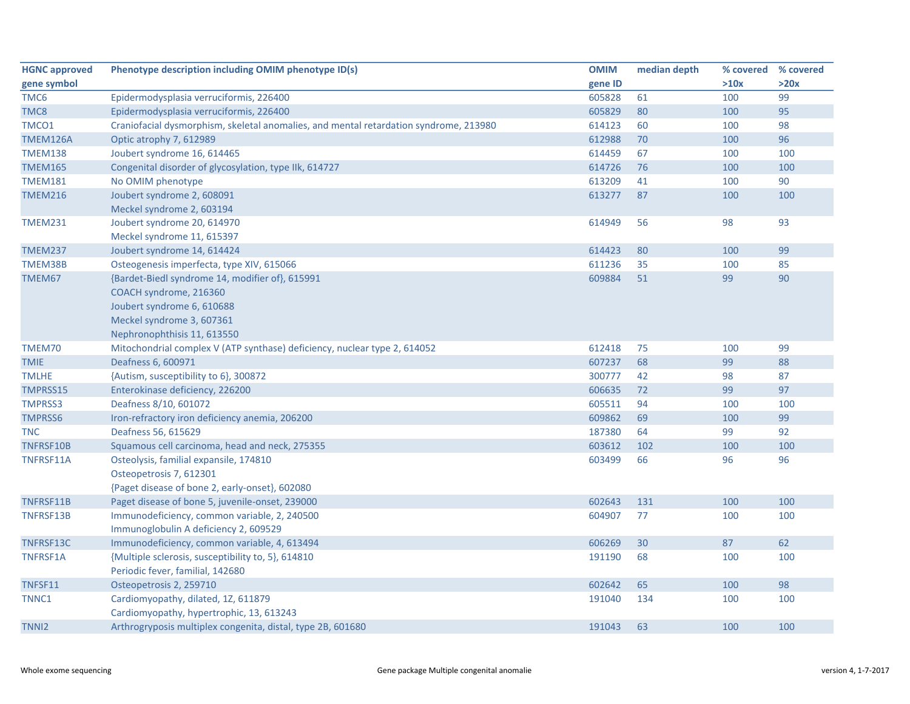| <b>HGNC approved</b> | Phenotype description including OMIM phenotype ID(s)                                  | <b>OMIM</b> | median depth | % covered | % covered |
|----------------------|---------------------------------------------------------------------------------------|-------------|--------------|-----------|-----------|
| gene symbol          |                                                                                       | gene ID     |              | >10x      | >20x      |
| TMC <sub>6</sub>     | Epidermodysplasia verruciformis, 226400                                               | 605828      | 61           | 100       | 99        |
| TMC8                 | Epidermodysplasia verruciformis, 226400                                               | 605829      | 80           | 100       | 95        |
| TMCO1                | Craniofacial dysmorphism, skeletal anomalies, and mental retardation syndrome, 213980 | 614123      | 60           | 100       | 98        |
| TMEM126A             | Optic atrophy 7, 612989                                                               | 612988      | 70           | 100       | 96        |
| <b>TMEM138</b>       | Joubert syndrome 16, 614465                                                           | 614459      | 67           | 100       | 100       |
| <b>TMEM165</b>       | Congenital disorder of glycosylation, type IIk, 614727                                | 614726      | 76           | 100       | 100       |
| <b>TMEM181</b>       | No OMIM phenotype                                                                     | 613209      | 41           | 100       | 90        |
| <b>TMEM216</b>       | Joubert syndrome 2, 608091                                                            | 613277      | 87           | 100       | 100       |
|                      | Meckel syndrome 2, 603194                                                             |             |              |           |           |
| <b>TMEM231</b>       | Joubert syndrome 20, 614970                                                           | 614949      | 56           | 98        | 93        |
|                      | Meckel syndrome 11, 615397                                                            |             |              |           |           |
| <b>TMEM237</b>       | Joubert syndrome 14, 614424                                                           | 614423      | 80           | 100       | 99        |
| TMEM38B              | Osteogenesis imperfecta, type XIV, 615066                                             | 611236      | 35           | 100       | 85        |
| TMEM67               | {Bardet-Biedl syndrome 14, modifier of}, 615991                                       | 609884      | 51           | 99        | 90        |
|                      | COACH syndrome, 216360                                                                |             |              |           |           |
|                      | Joubert syndrome 6, 610688                                                            |             |              |           |           |
|                      | Meckel syndrome 3, 607361                                                             |             |              |           |           |
|                      | Nephronophthisis 11, 613550                                                           |             |              |           |           |
| TMEM70               | Mitochondrial complex V (ATP synthase) deficiency, nuclear type 2, 614052             | 612418      | 75           | 100       | 99        |
| <b>TMIE</b>          | Deafness 6, 600971                                                                    | 607237      | 68           | 99        | 88        |
| <b>TMLHE</b>         | {Autism, susceptibility to 6}, 300872                                                 | 300777      | 42           | 98        | 87        |
| TMPRSS15             | Enterokinase deficiency, 226200                                                       | 606635      | 72           | 99        | 97        |
| <b>TMPRSS3</b>       | Deafness 8/10, 601072                                                                 | 605511      | 94           | 100       | 100       |
| <b>TMPRSS6</b>       | Iron-refractory iron deficiency anemia, 206200                                        | 609862      | 69           | 100       | 99        |
| <b>TNC</b>           | Deafness 56, 615629                                                                   | 187380      | 64           | 99        | 92        |
| TNFRSF10B            | Squamous cell carcinoma, head and neck, 275355                                        | 603612      | 102          | 100       | 100       |
| TNFRSF11A            | Osteolysis, familial expansile, 174810                                                | 603499      | 66           | 96        | 96        |
|                      | Osteopetrosis 7, 612301                                                               |             |              |           |           |
|                      | {Paget disease of bone 2, early-onset}, 602080                                        |             |              |           |           |
| TNFRSF11B            | Paget disease of bone 5, juvenile-onset, 239000                                       | 602643      | 131          | 100       | 100       |
| TNFRSF13B            | Immunodeficiency, common variable, 2, 240500                                          | 604907      | 77           | 100       | 100       |
|                      | Immunoglobulin A deficiency 2, 609529                                                 |             |              |           |           |
| TNFRSF13C            | Immunodeficiency, common variable, 4, 613494                                          | 606269      | 30           | 87        | 62        |
| <b>TNFRSF1A</b>      | {Multiple sclerosis, susceptibility to, 5}, 614810                                    | 191190      | 68           | 100       | 100       |
|                      | Periodic fever, familial, 142680                                                      |             |              |           |           |
| TNFSF11              | Osteopetrosis 2, 259710                                                               | 602642      | 65           | 100       | 98        |
| TNNC1                | Cardiomyopathy, dilated, 1Z, 611879                                                   | 191040      | 134          | 100       | 100       |
|                      | Cardiomyopathy, hypertrophic, 13, 613243                                              |             |              |           |           |
| TNNI <sub>2</sub>    | Arthrogryposis multiplex congenita, distal, type 2B, 601680                           | 191043      | 63           | 100       | 100       |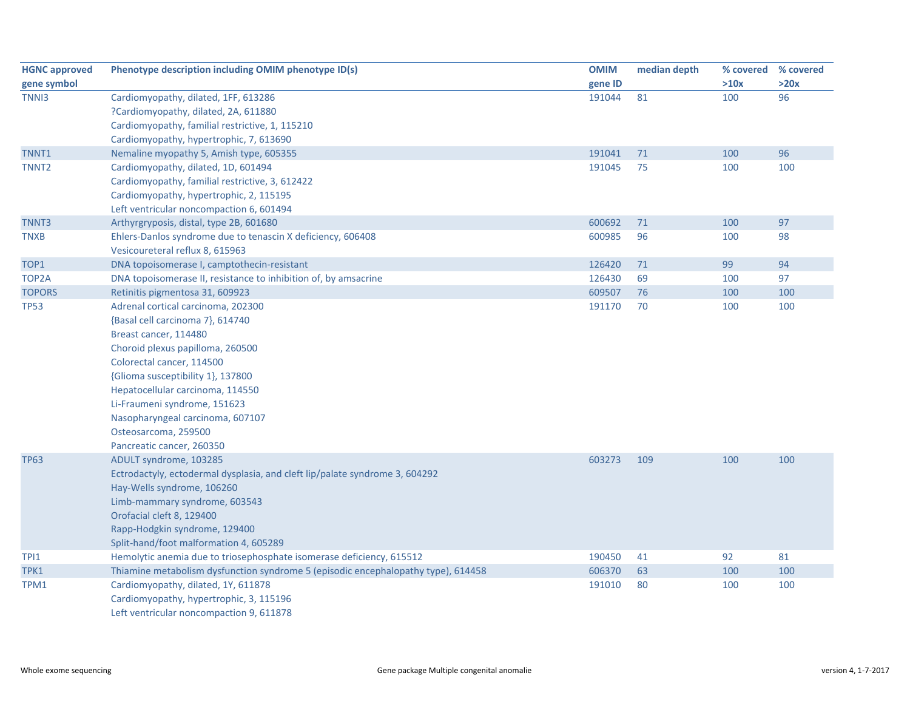| <b>HGNC approved</b> | Phenotype description including OMIM phenotype ID(s)                              | <b>OMIM</b> | median depth | % covered | % covered |
|----------------------|-----------------------------------------------------------------------------------|-------------|--------------|-----------|-----------|
| gene symbol          |                                                                                   | gene ID     |              | >10x      | >20x      |
| TNN <sub>13</sub>    | Cardiomyopathy, dilated, 1FF, 613286                                              | 191044      | 81           | 100       | 96        |
|                      | ?Cardiomyopathy, dilated, 2A, 611880                                              |             |              |           |           |
|                      | Cardiomyopathy, familial restrictive, 1, 115210                                   |             |              |           |           |
|                      | Cardiomyopathy, hypertrophic, 7, 613690                                           |             |              |           |           |
| TNNT1                | Nemaline myopathy 5, Amish type, 605355                                           | 191041      | 71           | 100       | 96        |
| TNNT <sub>2</sub>    | Cardiomyopathy, dilated, 1D, 601494                                               | 191045      | 75           | 100       | 100       |
|                      | Cardiomyopathy, familial restrictive, 3, 612422                                   |             |              |           |           |
|                      | Cardiomyopathy, hypertrophic, 2, 115195                                           |             |              |           |           |
|                      | Left ventricular noncompaction 6, 601494                                          |             |              |           |           |
| TNNT3                | Arthyrgryposis, distal, type 2B, 601680                                           | 600692      | 71           | 100       | 97        |
| <b>TNXB</b>          | Ehlers-Danlos syndrome due to tenascin X deficiency, 606408                       | 600985      | 96           | 100       | 98        |
|                      | Vesicoureteral reflux 8, 615963                                                   |             |              |           |           |
| TOP1                 | DNA topoisomerase I, camptothecin-resistant                                       | 126420      | 71           | 99        | 94        |
| TOP <sub>2</sub> A   | DNA topoisomerase II, resistance to inhibition of, by amsacrine                   | 126430      | 69           | 100       | 97        |
| <b>TOPORS</b>        | Retinitis pigmentosa 31, 609923                                                   | 609507      | 76           | 100       | 100       |
| <b>TP53</b>          | Adrenal cortical carcinoma, 202300                                                | 191170      | 70           | 100       | 100       |
|                      | {Basal cell carcinoma 7}, 614740                                                  |             |              |           |           |
|                      | Breast cancer, 114480                                                             |             |              |           |           |
|                      | Choroid plexus papilloma, 260500                                                  |             |              |           |           |
|                      | Colorectal cancer, 114500                                                         |             |              |           |           |
|                      | {Glioma susceptibility 1}, 137800                                                 |             |              |           |           |
|                      | Hepatocellular carcinoma, 114550                                                  |             |              |           |           |
|                      | Li-Fraumeni syndrome, 151623                                                      |             |              |           |           |
|                      | Nasopharyngeal carcinoma, 607107                                                  |             |              |           |           |
|                      | Osteosarcoma, 259500                                                              |             |              |           |           |
|                      | Pancreatic cancer, 260350                                                         |             |              |           |           |
| <b>TP63</b>          | ADULT syndrome, 103285                                                            | 603273      | 109          | 100       | 100       |
|                      | Ectrodactyly, ectodermal dysplasia, and cleft lip/palate syndrome 3, 604292       |             |              |           |           |
|                      | Hay-Wells syndrome, 106260                                                        |             |              |           |           |
|                      | Limb-mammary syndrome, 603543                                                     |             |              |           |           |
|                      | Orofacial cleft 8, 129400                                                         |             |              |           |           |
|                      | Rapp-Hodgkin syndrome, 129400                                                     |             |              |           |           |
|                      | Split-hand/foot malformation 4, 605289                                            |             |              |           |           |
| TPI1                 | Hemolytic anemia due to triosephosphate isomerase deficiency, 615512              | 190450      | 41           | 92        | 81        |
| TPK1                 | Thiamine metabolism dysfunction syndrome 5 (episodic encephalopathy type), 614458 | 606370      | 63           | 100       | 100       |
| TPM1                 | Cardiomyopathy, dilated, 1Y, 611878                                               | 191010      | 80           | 100       | 100       |
|                      | Cardiomyopathy, hypertrophic, 3, 115196                                           |             |              |           |           |
|                      | Left ventricular noncompaction 9, 611878                                          |             |              |           |           |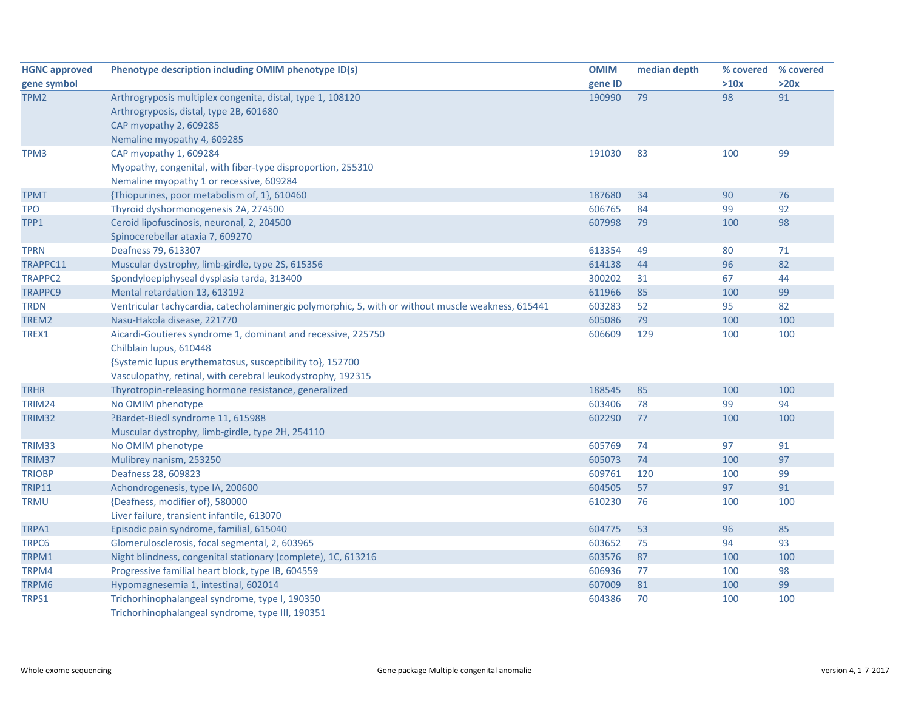| <b>HGNC approved</b> | Phenotype description including OMIM phenotype ID(s)                                               | <b>OMIM</b> | median depth |      | % covered % covered |
|----------------------|----------------------------------------------------------------------------------------------------|-------------|--------------|------|---------------------|
| gene symbol          |                                                                                                    | gene ID     |              | >10x | >20x                |
| TPM2                 | Arthrogryposis multiplex congenita, distal, type 1, 108120                                         | 190990      | 79           | 98   | 91                  |
|                      | Arthrogryposis, distal, type 2B, 601680                                                            |             |              |      |                     |
|                      | CAP myopathy 2, 609285                                                                             |             |              |      |                     |
|                      | Nemaline myopathy 4, 609285                                                                        |             |              |      |                     |
| TPM3                 | CAP myopathy 1, 609284                                                                             | 191030      | 83           | 100  | 99                  |
|                      | Myopathy, congenital, with fiber-type disproportion, 255310                                        |             |              |      |                     |
|                      | Nemaline myopathy 1 or recessive, 609284                                                           |             |              |      |                     |
| <b>TPMT</b>          | {Thiopurines, poor metabolism of, 1}, 610460                                                       | 187680      | 34           | 90   | 76                  |
| <b>TPO</b>           | Thyroid dyshormonogenesis 2A, 274500                                                               | 606765      | 84           | 99   | 92                  |
| TPP1                 | Ceroid lipofuscinosis, neuronal, 2, 204500                                                         | 607998      | 79           | 100  | 98                  |
|                      | Spinocerebellar ataxia 7, 609270                                                                   |             |              |      |                     |
| <b>TPRN</b>          | Deafness 79, 613307                                                                                | 613354      | 49           | 80   | 71                  |
| TRAPPC11             | Muscular dystrophy, limb-girdle, type 2S, 615356                                                   | 614138      | 44           | 96   | 82                  |
| <b>TRAPPC2</b>       | Spondyloepiphyseal dysplasia tarda, 313400                                                         | 300202      | 31           | 67   | 44                  |
| <b>TRAPPC9</b>       | Mental retardation 13, 613192                                                                      | 611966      | 85           | 100  | 99                  |
| <b>TRDN</b>          | Ventricular tachycardia, catecholaminergic polymorphic, 5, with or without muscle weakness, 615441 | 603283      | 52           | 95   | 82                  |
| TREM2                | Nasu-Hakola disease, 221770                                                                        | 605086      | 79           | 100  | 100                 |
| TREX1                | Aicardi-Goutieres syndrome 1, dominant and recessive, 225750                                       | 606609      | 129          | 100  | 100                 |
|                      | Chilblain lupus, 610448                                                                            |             |              |      |                     |
|                      | {Systemic lupus erythematosus, susceptibility to}, 152700                                          |             |              |      |                     |
|                      | Vasculopathy, retinal, with cerebral leukodystrophy, 192315                                        |             |              |      |                     |
| <b>TRHR</b>          | Thyrotropin-releasing hormone resistance, generalized                                              | 188545      | 85           | 100  | 100                 |
| <b>TRIM24</b>        | No OMIM phenotype                                                                                  | 603406      | 78           | 99   | 94                  |
| TRIM32               | ?Bardet-Biedl syndrome 11, 615988                                                                  | 602290      | 77           | 100  | 100                 |
|                      | Muscular dystrophy, limb-girdle, type 2H, 254110                                                   |             |              |      |                     |
| TRIM33               | No OMIM phenotype                                                                                  | 605769      | 74           | 97   | 91                  |
| TRIM37               | Mulibrey nanism, 253250                                                                            | 605073      | 74           | 100  | 97                  |
| <b>TRIOBP</b>        | Deafness 28, 609823                                                                                | 609761      | 120          | 100  | 99                  |
| <b>TRIP11</b>        | Achondrogenesis, type IA, 200600                                                                   | 604505      | 57           | 97   | 91                  |
| <b>TRMU</b>          | {Deafness, modifier of}, 580000                                                                    | 610230      | 76           | 100  | 100                 |
|                      | Liver failure, transient infantile, 613070                                                         |             |              |      |                     |
| TRPA1                | Episodic pain syndrome, familial, 615040                                                           | 604775      | 53           | 96   | 85                  |
| TRPC6                | Glomerulosclerosis, focal segmental, 2, 603965                                                     | 603652      | 75           | 94   | 93                  |
| TRPM1                | Night blindness, congenital stationary (complete), 1C, 613216                                      | 603576      | 87           | 100  | 100                 |
| TRPM4                | Progressive familial heart block, type IB, 604559                                                  | 606936      | 77           | 100  | 98                  |
| TRPM6                | Hypomagnesemia 1, intestinal, 602014                                                               | 607009      | 81           | 100  | 99                  |
| TRPS1                | Trichorhinophalangeal syndrome, type I, 190350                                                     | 604386      | 70           | 100  | 100                 |
|                      | Trichorhinophalangeal syndrome, type III, 190351                                                   |             |              |      |                     |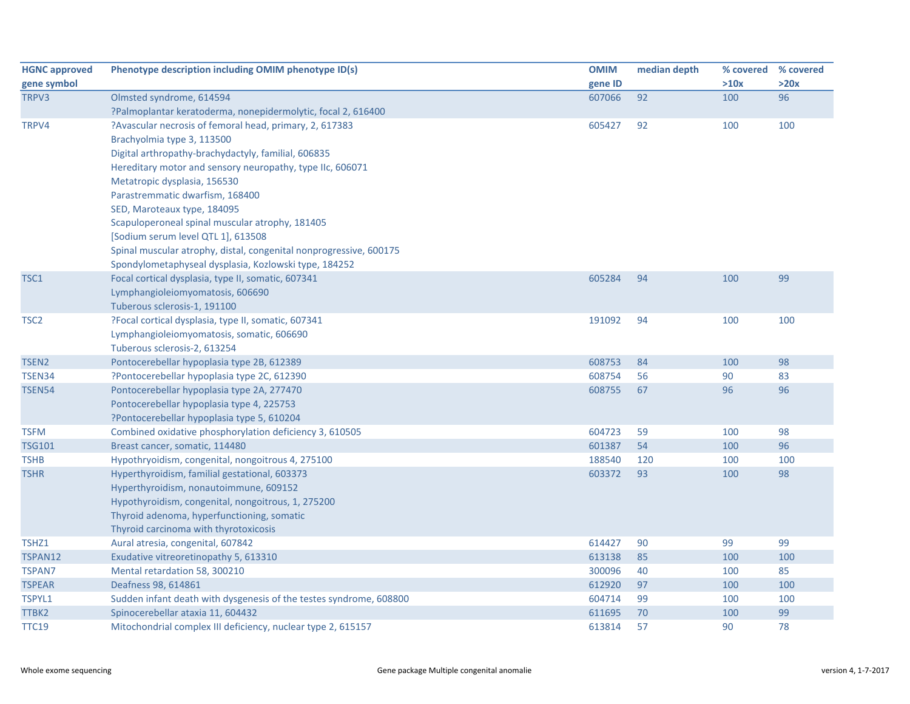| <b>HGNC approved</b> | Phenotype description including OMIM phenotype ID(s)               | <b>OMIM</b> | median depth | % covered % covered |      |
|----------------------|--------------------------------------------------------------------|-------------|--------------|---------------------|------|
| gene symbol          |                                                                    | gene ID     |              | >10x                | >20x |
| TRPV3                | Olmsted syndrome, 614594                                           | 607066      | 92           | 100                 | 96   |
|                      | ?Palmoplantar keratoderma, nonepidermolytic, focal 2, 616400       |             |              |                     |      |
| TRPV4                | ?Avascular necrosis of femoral head, primary, 2, 617383            | 605427      | 92           | 100                 | 100  |
|                      | Brachyolmia type 3, 113500                                         |             |              |                     |      |
|                      | Digital arthropathy-brachydactyly, familial, 606835                |             |              |                     |      |
|                      | Hereditary motor and sensory neuropathy, type IIc, 606071          |             |              |                     |      |
|                      | Metatropic dysplasia, 156530                                       |             |              |                     |      |
|                      | Parastremmatic dwarfism, 168400                                    |             |              |                     |      |
|                      | SED, Maroteaux type, 184095                                        |             |              |                     |      |
|                      | Scapuloperoneal spinal muscular atrophy, 181405                    |             |              |                     |      |
|                      | [Sodium serum level QTL 1], 613508                                 |             |              |                     |      |
|                      | Spinal muscular atrophy, distal, congenital nonprogressive, 600175 |             |              |                     |      |
|                      | Spondylometaphyseal dysplasia, Kozlowski type, 184252              |             |              |                     |      |
| TSC1                 | Focal cortical dysplasia, type II, somatic, 607341                 | 605284      | 94           | 100                 | 99   |
|                      | Lymphangioleiomyomatosis, 606690                                   |             |              |                     |      |
|                      | Tuberous sclerosis-1, 191100                                       |             |              |                     |      |
| TSC <sub>2</sub>     | ?Focal cortical dysplasia, type II, somatic, 607341                | 191092      | 94           | 100                 | 100  |
|                      | Lymphangioleiomyomatosis, somatic, 606690                          |             |              |                     |      |
|                      | Tuberous sclerosis-2, 613254                                       |             |              |                     |      |
| TSEN <sub>2</sub>    | Pontocerebellar hypoplasia type 2B, 612389                         | 608753      | 84           | 100                 | 98   |
| TSEN34               | ?Pontocerebellar hypoplasia type 2C, 612390                        | 608754      | 56           | 90                  | 83   |
| <b>TSEN54</b>        | Pontocerebellar hypoplasia type 2A, 277470                         | 608755      | 67           | 96                  | 96   |
|                      | Pontocerebellar hypoplasia type 4, 225753                          |             |              |                     |      |
|                      | ?Pontocerebellar hypoplasia type 5, 610204                         |             |              |                     |      |
| <b>TSFM</b>          | Combined oxidative phosphorylation deficiency 3, 610505            | 604723      | 59           | 100                 | 98   |
| <b>TSG101</b>        | Breast cancer, somatic, 114480                                     | 601387      | 54           | 100                 | 96   |
| <b>TSHB</b>          | Hypothryoidism, congenital, nongoitrous 4, 275100                  | 188540      | 120          | 100                 | 100  |
| <b>TSHR</b>          | Hyperthyroidism, familial gestational, 603373                      | 603372      | 93           | 100                 | 98   |
|                      | Hyperthyroidism, nonautoimmune, 609152                             |             |              |                     |      |
|                      | Hypothyroidism, congenital, nongoitrous, 1, 275200                 |             |              |                     |      |
|                      | Thyroid adenoma, hyperfunctioning, somatic                         |             |              |                     |      |
|                      | Thyroid carcinoma with thyrotoxicosis                              |             |              |                     |      |
| TSHZ1                | Aural atresia, congenital, 607842                                  | 614427      | 90           | 99                  | 99   |
| TSPAN12              | Exudative vitreoretinopathy 5, 613310                              | 613138      | 85           | 100                 | 100  |
| <b>TSPAN7</b>        | Mental retardation 58, 300210                                      | 300096      | 40           | 100                 | 85   |
| <b>TSPEAR</b>        | Deafness 98, 614861                                                | 612920      | 97           | 100                 | 100  |
| TSPYL1               | Sudden infant death with dysgenesis of the testes syndrome, 608800 | 604714      | 99           | 100                 | 100  |
| TTBK2                | Spinocerebellar ataxia 11, 604432                                  | 611695      | 70           | 100                 | 99   |
| TTC19                | Mitochondrial complex III deficiency, nuclear type 2, 615157       | 613814      | 57           | 90                  | 78   |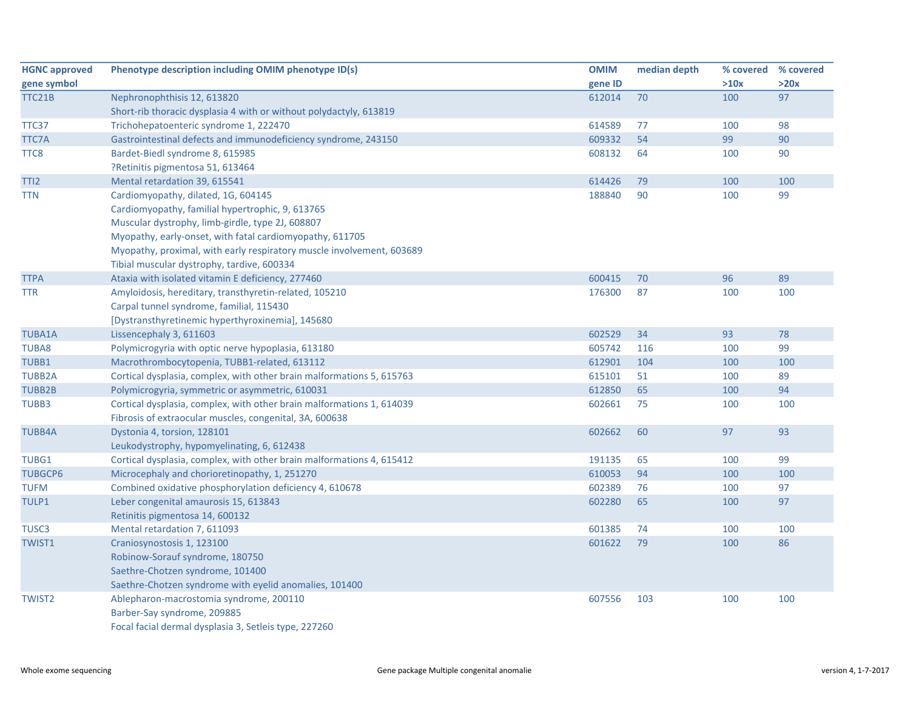| <b>HGNC approved</b> | Phenotype description including OMIM phenotype ID(s)                  | <b>OMIM</b> | median depth | % covered % covered |      |
|----------------------|-----------------------------------------------------------------------|-------------|--------------|---------------------|------|
| gene symbol          |                                                                       | gene ID     |              | >10x                | >20x |
| TTC21B               | Nephronophthisis 12, 613820                                           | 612014      | 70           | 100                 | 97   |
|                      | Short-rib thoracic dysplasia 4 with or without polydactyly, 613819    |             |              |                     |      |
| TTC37                | Trichohepatoenteric syndrome 1, 222470                                | 614589      | 77           | 100                 | 98   |
| TTC7A                | Gastrointestinal defects and immunodeficiency syndrome, 243150        | 609332      | 54           | 99                  | 90   |
| TTC8                 | Bardet-Biedl syndrome 8, 615985                                       | 608132      | 64           | 100                 | 90   |
|                      | ?Retinitis pigmentosa 51, 613464                                      |             |              |                     |      |
| TTI <sub>2</sub>     | Mental retardation 39, 615541                                         | 614426      | 79           | 100                 | 100  |
| <b>TTN</b>           | Cardiomyopathy, dilated, 1G, 604145                                   | 188840      | 90           | 100                 | 99   |
|                      | Cardiomyopathy, familial hypertrophic, 9, 613765                      |             |              |                     |      |
|                      | Muscular dystrophy, limb-girdle, type 2J, 608807                      |             |              |                     |      |
|                      | Myopathy, early-onset, with fatal cardiomyopathy, 611705              |             |              |                     |      |
|                      | Myopathy, proximal, with early respiratory muscle involvement, 603689 |             |              |                     |      |
|                      | Tibial muscular dystrophy, tardive, 600334                            |             |              |                     |      |
| <b>TTPA</b>          | Ataxia with isolated vitamin E deficiency, 277460                     | 600415      | 70           | 96                  | 89   |
| <b>TTR</b>           | Amyloidosis, hereditary, transthyretin-related, 105210                | 176300      | 87           | 100                 | 100  |
|                      | Carpal tunnel syndrome, familial, 115430                              |             |              |                     |      |
|                      | [Dystransthyretinemic hyperthyroxinemia], 145680                      |             |              |                     |      |
| <b>TUBA1A</b>        | Lissencephaly 3, 611603                                               | 602529      | 34           | 93                  | 78   |
| <b>TUBA8</b>         | Polymicrogyria with optic nerve hypoplasia, 613180                    | 605742      | 116          | 100                 | 99   |
| TUBB1                | Macrothrombocytopenia, TUBB1-related, 613112                          | 612901      | 104          | 100                 | 100  |
| <b>TUBB2A</b>        | Cortical dysplasia, complex, with other brain malformations 5, 615763 | 615101      | 51           | 100                 | 89   |
| <b>TUBB2B</b>        | Polymicrogyria, symmetric or asymmetric, 610031                       | 612850      | 65           | 100                 | 94   |
| TUBB3                | Cortical dysplasia, complex, with other brain malformations 1, 614039 | 602661      | 75           | 100                 | 100  |
|                      | Fibrosis of extraocular muscles, congenital, 3A, 600638               |             |              |                     |      |
| <b>TUBB4A</b>        | Dystonia 4, torsion, 128101                                           | 602662      | 60           | 97                  | 93   |
|                      | Leukodystrophy, hypomyelinating, 6, 612438                            |             |              |                     |      |
| TUBG1                | Cortical dysplasia, complex, with other brain malformations 4, 615412 | 191135      | 65           | 100                 | 99   |
| <b>TUBGCP6</b>       | Microcephaly and chorioretinopathy, 1, 251270                         | 610053      | 94           | 100                 | 100  |
| <b>TUFM</b>          | Combined oxidative phosphorylation deficiency 4, 610678               | 602389      | 76           | 100                 | 97   |
| TULP1                | Leber congenital amaurosis 15, 613843                                 | 602280      | 65           | 100                 | 97   |
|                      | Retinitis pigmentosa 14, 600132                                       |             |              |                     |      |
| TUSC3                | Mental retardation 7, 611093                                          | 601385      | 74           | 100                 | 100  |
| TWIST1               | Craniosynostosis 1, 123100                                            | 601622      | 79           | 100                 | 86   |
|                      | Robinow-Sorauf syndrome, 180750                                       |             |              |                     |      |
|                      | Saethre-Chotzen syndrome, 101400                                      |             |              |                     |      |
|                      | Saethre-Chotzen syndrome with eyelid anomalies, 101400                |             |              |                     |      |
| <b>TWIST2</b>        | Ablepharon-macrostomia syndrome, 200110                               | 607556      | 103          | 100                 | 100  |
|                      | Barber-Say syndrome, 209885                                           |             |              |                     |      |
|                      | Focal facial dermal dysplasia 3, Setleis type, 227260                 |             |              |                     |      |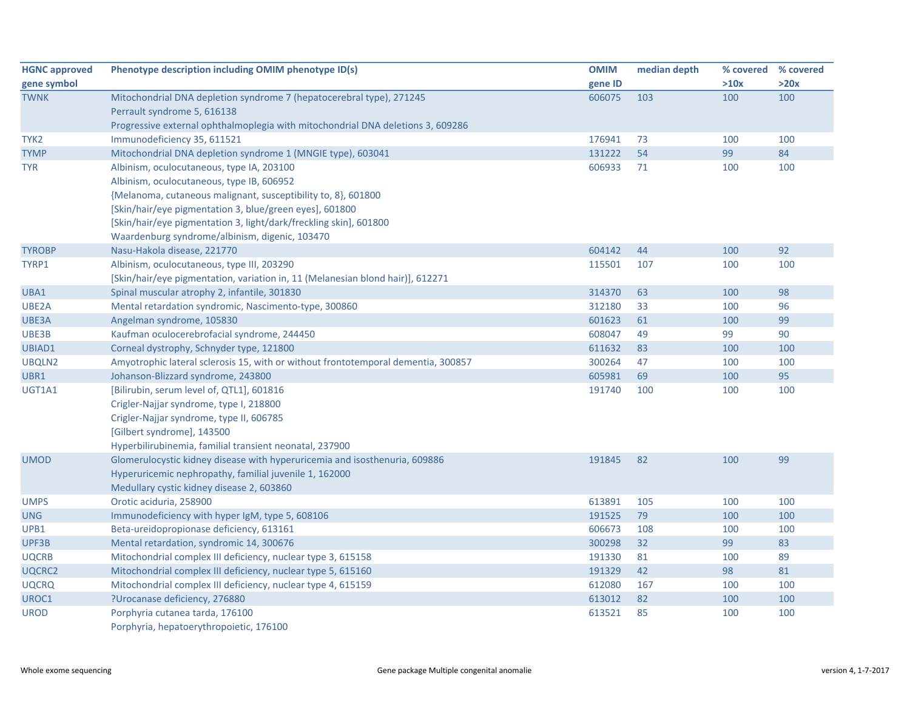| <b>HGNC approved</b> | Phenotype description including OMIM phenotype ID(s)                              | <b>OMIM</b> | median depth |      | % covered % covered |
|----------------------|-----------------------------------------------------------------------------------|-------------|--------------|------|---------------------|
| gene symbol          |                                                                                   | gene ID     |              | >10x | >20x                |
| <b>TWNK</b>          | Mitochondrial DNA depletion syndrome 7 (hepatocerebral type), 271245              | 606075      | 103          | 100  | 100                 |
|                      | Perrault syndrome 5, 616138                                                       |             |              |      |                     |
|                      | Progressive external ophthalmoplegia with mitochondrial DNA deletions 3, 609286   |             |              |      |                     |
| TYK <sub>2</sub>     | Immunodeficiency 35, 611521                                                       | 176941      | 73           | 100  | 100                 |
| <b>TYMP</b>          | Mitochondrial DNA depletion syndrome 1 (MNGIE type), 603041                       | 131222      | 54           | 99   | 84                  |
| <b>TYR</b>           | Albinism, oculocutaneous, type IA, 203100                                         | 606933      | 71           | 100  | 100                 |
|                      | Albinism, oculocutaneous, type IB, 606952                                         |             |              |      |                     |
|                      | {Melanoma, cutaneous malignant, susceptibility to, 8}, 601800                     |             |              |      |                     |
|                      | [Skin/hair/eye pigmentation 3, blue/green eyes], 601800                           |             |              |      |                     |
|                      | [Skin/hair/eye pigmentation 3, light/dark/freckling skin], 601800                 |             |              |      |                     |
|                      | Waardenburg syndrome/albinism, digenic, 103470                                    |             |              |      |                     |
| <b>TYROBP</b>        | Nasu-Hakola disease, 221770                                                       | 604142      | 44           | 100  | 92                  |
| TYRP1                | Albinism, oculocutaneous, type III, 203290                                        | 115501      | 107          | 100  | 100                 |
|                      | [Skin/hair/eye pigmentation, variation in, 11 (Melanesian blond hair)], 612271    |             |              |      |                     |
| UBA1                 | Spinal muscular atrophy 2, infantile, 301830                                      | 314370      | 63           | 100  | 98                  |
| UBE2A                | Mental retardation syndromic, Nascimento-type, 300860                             | 312180      | 33           | 100  | 96                  |
| UBE3A                | Angelman syndrome, 105830                                                         | 601623      | 61           | 100  | 99                  |
| UBE3B                | Kaufman oculocerebrofacial syndrome, 244450                                       | 608047      | 49           | 99   | 90                  |
| UBIAD1               | Corneal dystrophy, Schnyder type, 121800                                          | 611632      | 83           | 100  | 100                 |
| UBQLN2               | Amyotrophic lateral sclerosis 15, with or without frontotemporal dementia, 300857 | 300264      | 47           | 100  | 100                 |
| UBR1                 | Johanson-Blizzard syndrome, 243800                                                | 605981      | 69           | 100  | 95                  |
| UGT1A1               | [Bilirubin, serum level of, QTL1], 601816                                         | 191740      | 100          | 100  | 100                 |
|                      | Crigler-Najjar syndrome, type I, 218800                                           |             |              |      |                     |
|                      | Crigler-Najjar syndrome, type II, 606785                                          |             |              |      |                     |
|                      | [Gilbert syndrome], 143500                                                        |             |              |      |                     |
|                      | Hyperbilirubinemia, familial transient neonatal, 237900                           |             |              |      |                     |
| <b>UMOD</b>          | Glomerulocystic kidney disease with hyperuricemia and isosthenuria, 609886        | 191845      | 82           | 100  | 99                  |
|                      | Hyperuricemic nephropathy, familial juvenile 1, 162000                            |             |              |      |                     |
|                      | Medullary cystic kidney disease 2, 603860                                         |             |              |      |                     |
| <b>UMPS</b>          | Orotic aciduria, 258900                                                           | 613891      | 105          | 100  | 100                 |
| <b>UNG</b>           | Immunodeficiency with hyper IgM, type 5, 608106                                   | 191525      | 79           | 100  | 100                 |
| UPB1                 | Beta-ureidopropionase deficiency, 613161                                          | 606673      | 108          | 100  | 100                 |
| UPF3B                | Mental retardation, syndromic 14, 300676                                          | 300298      | 32           | 99   | 83                  |
| <b>UQCRB</b>         | Mitochondrial complex III deficiency, nuclear type 3, 615158                      | 191330      | 81           | 100  | 89                  |
| UQCRC2               | Mitochondrial complex III deficiency, nuclear type 5, 615160                      | 191329      | 42           | 98   | 81                  |
| <b>UQCRQ</b>         | Mitochondrial complex III deficiency, nuclear type 4, 615159                      | 612080      | 167          | 100  | 100                 |
| UROC1                | ?Urocanase deficiency, 276880                                                     | 613012      | 82           | 100  | 100                 |
| <b>UROD</b>          | Porphyria cutanea tarda, 176100                                                   | 613521      | 85           | 100  | 100                 |
|                      | Porphyria, hepatoerythropoietic, 176100                                           |             |              |      |                     |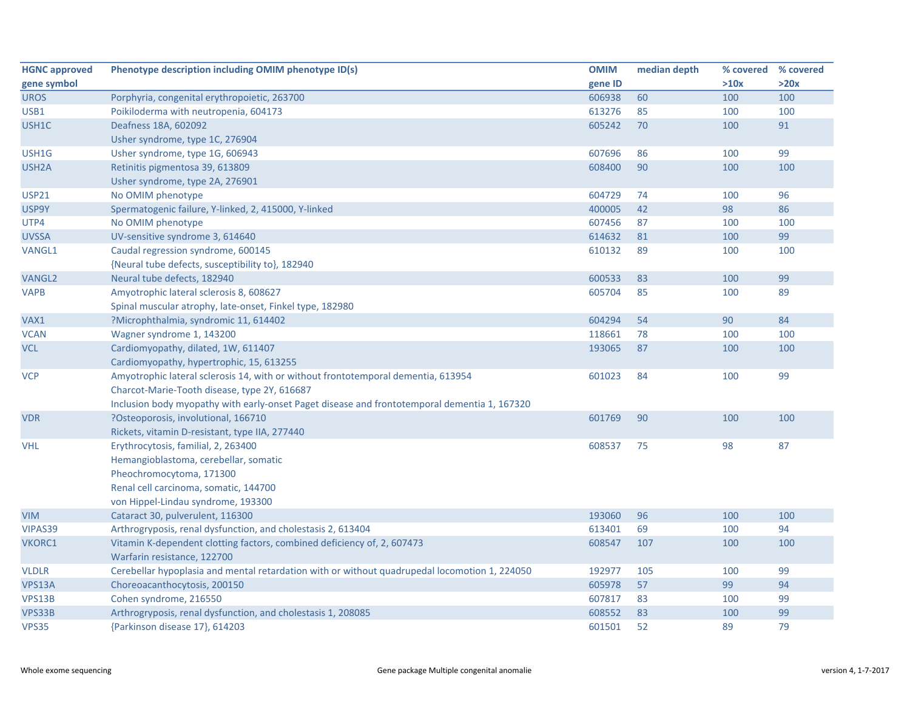| <b>HGNC approved</b> | Phenotype description including OMIM phenotype ID(s)                                          | <b>OMIM</b> | median depth | % covered | % covered |
|----------------------|-----------------------------------------------------------------------------------------------|-------------|--------------|-----------|-----------|
| gene symbol          |                                                                                               | gene ID     |              | >10x      | >20x      |
| <b>UROS</b>          | Porphyria, congenital erythropoietic, 263700                                                  | 606938      | 60           | 100       | 100       |
| USB1                 | Poikiloderma with neutropenia, 604173                                                         | 613276      | 85           | 100       | 100       |
| USH1C                | Deafness 18A, 602092                                                                          | 605242      | 70           | 100       | 91        |
|                      | Usher syndrome, type 1C, 276904                                                               |             |              |           |           |
| USH1G                | Usher syndrome, type 1G, 606943                                                               | 607696      | 86           | 100       | 99        |
| USH <sub>2</sub> A   | Retinitis pigmentosa 39, 613809                                                               | 608400      | 90           | 100       | 100       |
|                      | Usher syndrome, type 2A, 276901                                                               |             |              |           |           |
| <b>USP21</b>         | No OMIM phenotype                                                                             | 604729      | 74           | 100       | 96        |
| USP9Y                | Spermatogenic failure, Y-linked, 2, 415000, Y-linked                                          | 400005      | 42           | 98        | 86        |
| UTP4                 | No OMIM phenotype                                                                             | 607456      | 87           | 100       | 100       |
| <b>UVSSA</b>         | UV-sensitive syndrome 3, 614640                                                               | 614632      | 81           | 100       | 99        |
| <b>VANGL1</b>        | Caudal regression syndrome, 600145                                                            | 610132      | 89           | 100       | 100       |
|                      | {Neural tube defects, susceptibility to}, 182940                                              |             |              |           |           |
| <b>VANGL2</b>        | Neural tube defects, 182940                                                                   | 600533      | 83           | 100       | 99        |
| <b>VAPB</b>          | Amyotrophic lateral sclerosis 8, 608627                                                       | 605704      | 85           | 100       | 89        |
|                      | Spinal muscular atrophy, late-onset, Finkel type, 182980                                      |             |              |           |           |
| VAX1                 | ?Microphthalmia, syndromic 11, 614402                                                         | 604294      | 54           | 90        | 84        |
| <b>VCAN</b>          | Wagner syndrome 1, 143200                                                                     | 118661      | 78           | 100       | 100       |
| <b>VCL</b>           | Cardiomyopathy, dilated, 1W, 611407                                                           | 193065      | 87           | 100       | 100       |
|                      | Cardiomyopathy, hypertrophic, 15, 613255                                                      |             |              |           |           |
| <b>VCP</b>           | Amyotrophic lateral sclerosis 14, with or without frontotemporal dementia, 613954             | 601023      | 84           | 100       | 99        |
|                      | Charcot-Marie-Tooth disease, type 2Y, 616687                                                  |             |              |           |           |
|                      | Inclusion body myopathy with early-onset Paget disease and frontotemporal dementia 1, 167320  |             |              |           |           |
| <b>VDR</b>           | ?Osteoporosis, involutional, 166710                                                           | 601769      | 90           | 100       | 100       |
|                      | Rickets, vitamin D-resistant, type IIA, 277440                                                |             |              |           |           |
| <b>VHL</b>           | Erythrocytosis, familial, 2, 263400                                                           | 608537      | 75           | 98        | 87        |
|                      | Hemangioblastoma, cerebellar, somatic                                                         |             |              |           |           |
|                      | Pheochromocytoma, 171300                                                                      |             |              |           |           |
|                      | Renal cell carcinoma, somatic, 144700                                                         |             |              |           |           |
|                      | von Hippel-Lindau syndrome, 193300                                                            |             |              |           |           |
| <b>VIM</b>           | Cataract 30, pulverulent, 116300                                                              | 193060      | 96           | 100       | 100       |
| VIPAS39              | Arthrogryposis, renal dysfunction, and cholestasis 2, 613404                                  | 613401      | 69           | 100       | 94        |
| <b>VKORC1</b>        | Vitamin K-dependent clotting factors, combined deficiency of, 2, 607473                       | 608547      | 107          | 100       | 100       |
|                      | Warfarin resistance, 122700                                                                   |             |              |           |           |
| <b>VLDLR</b>         | Cerebellar hypoplasia and mental retardation with or without quadrupedal locomotion 1, 224050 | 192977      | 105          | 100       | 99        |
| VPS13A               | Choreoacanthocytosis, 200150                                                                  | 605978      | 57           | 99        | 94        |
| VPS13B               | Cohen syndrome, 216550                                                                        | 607817      | 83           | 100       | 99        |
| VPS33B               | Arthrogryposis, renal dysfunction, and cholestasis 1, 208085                                  | 608552      | 83           | 100       | 99        |
| <b>VPS35</b>         | {Parkinson disease 17}, 614203                                                                | 601501      | 52           | 89        | 79        |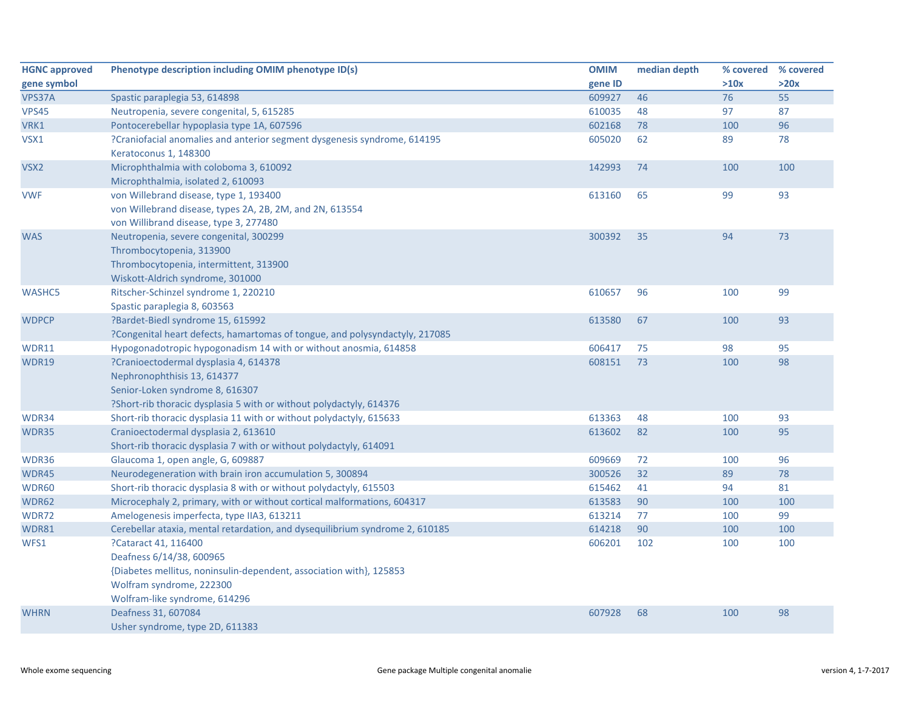| <b>HGNC approved</b> | Phenotype description including OMIM phenotype ID(s)                         | <b>OMIM</b> | median depth | % covered | % covered |
|----------------------|------------------------------------------------------------------------------|-------------|--------------|-----------|-----------|
| gene symbol          |                                                                              | gene ID     |              | >10x      | >20x      |
| VPS37A               | Spastic paraplegia 53, 614898                                                | 609927      | 46           | 76        | 55        |
| <b>VPS45</b>         | Neutropenia, severe congenital, 5, 615285                                    | 610035      | 48           | 97        | 87        |
| VRK1                 | Pontocerebellar hypoplasia type 1A, 607596                                   | 602168      | 78           | 100       | 96        |
| VSX1                 | ?Craniofacial anomalies and anterior segment dysgenesis syndrome, 614195     | 605020      | 62           | 89        | 78        |
|                      | Keratoconus 1, 148300                                                        |             |              |           |           |
| VSX <sub>2</sub>     | Microphthalmia with coloboma 3, 610092                                       | 142993      | 74           | 100       | 100       |
|                      | Microphthalmia, isolated 2, 610093                                           |             |              |           |           |
| <b>VWF</b>           | von Willebrand disease, type 1, 193400                                       | 613160      | 65           | 99        | 93        |
|                      | von Willebrand disease, types 2A, 2B, 2M, and 2N, 613554                     |             |              |           |           |
|                      | von Willibrand disease, type 3, 277480                                       |             |              |           |           |
| <b>WAS</b>           | Neutropenia, severe congenital, 300299                                       | 300392      | 35           | 94        | 73        |
|                      | Thrombocytopenia, 313900                                                     |             |              |           |           |
|                      | Thrombocytopenia, intermittent, 313900                                       |             |              |           |           |
|                      | Wiskott-Aldrich syndrome, 301000                                             |             |              |           |           |
| <b>WASHC5</b>        | Ritscher-Schinzel syndrome 1, 220210                                         | 610657      | 96           | 100       | 99        |
|                      | Spastic paraplegia 8, 603563                                                 |             |              |           |           |
| <b>WDPCP</b>         | ?Bardet-Biedl syndrome 15, 615992                                            | 613580      | 67           | 100       | 93        |
|                      | ?Congenital heart defects, hamartomas of tongue, and polysyndactyly, 217085  |             |              |           |           |
| <b>WDR11</b>         | Hypogonadotropic hypogonadism 14 with or without anosmia, 614858             | 606417      | 75           | 98        | 95        |
| <b>WDR19</b>         | ?Cranioectodermal dysplasia 4, 614378                                        | 608151      | 73           | 100       | 98        |
|                      | Nephronophthisis 13, 614377                                                  |             |              |           |           |
|                      | Senior-Loken syndrome 8, 616307                                              |             |              |           |           |
|                      | ?Short-rib thoracic dysplasia 5 with or without polydactyly, 614376          |             |              |           |           |
| WDR34                | Short-rib thoracic dysplasia 11 with or without polydactyly, 615633          | 613363      | 48           | 100       | 93        |
| WDR35                | Cranioectodermal dysplasia 2, 613610                                         | 613602      | 82           | 100       | 95        |
|                      | Short-rib thoracic dysplasia 7 with or without polydactyly, 614091           |             |              |           |           |
| WDR36                | Glaucoma 1, open angle, G, 609887                                            | 609669      | 72           | 100       | 96        |
| WDR45                | Neurodegeneration with brain iron accumulation 5, 300894                     | 300526      | 32           | 89        | 78        |
| WDR60                | Short-rib thoracic dysplasia 8 with or without polydactyly, 615503           | 615462      | 41           | 94        | 81        |
| <b>WDR62</b>         | Microcephaly 2, primary, with or without cortical malformations, 604317      | 613583      | 90           | 100       | 100       |
| <b>WDR72</b>         | Amelogenesis imperfecta, type IIA3, 613211                                   | 613214      | 77           | 100       | 99        |
| WDR81                | Cerebellar ataxia, mental retardation, and dysequilibrium syndrome 2, 610185 | 614218      | 90           | 100       | 100       |
| WFS1                 | ?Cataract 41, 116400                                                         | 606201      | 102          | 100       | 100       |
|                      | Deafness 6/14/38, 600965                                                     |             |              |           |           |
|                      | {Diabetes mellitus, noninsulin-dependent, association with}, 125853          |             |              |           |           |
|                      | Wolfram syndrome, 222300                                                     |             |              |           |           |
|                      | Wolfram-like syndrome, 614296                                                |             |              |           |           |
| <b>WHRN</b>          | Deafness 31, 607084                                                          | 607928      | 68           | 100       | 98        |
|                      | Usher syndrome, type 2D, 611383                                              |             |              |           |           |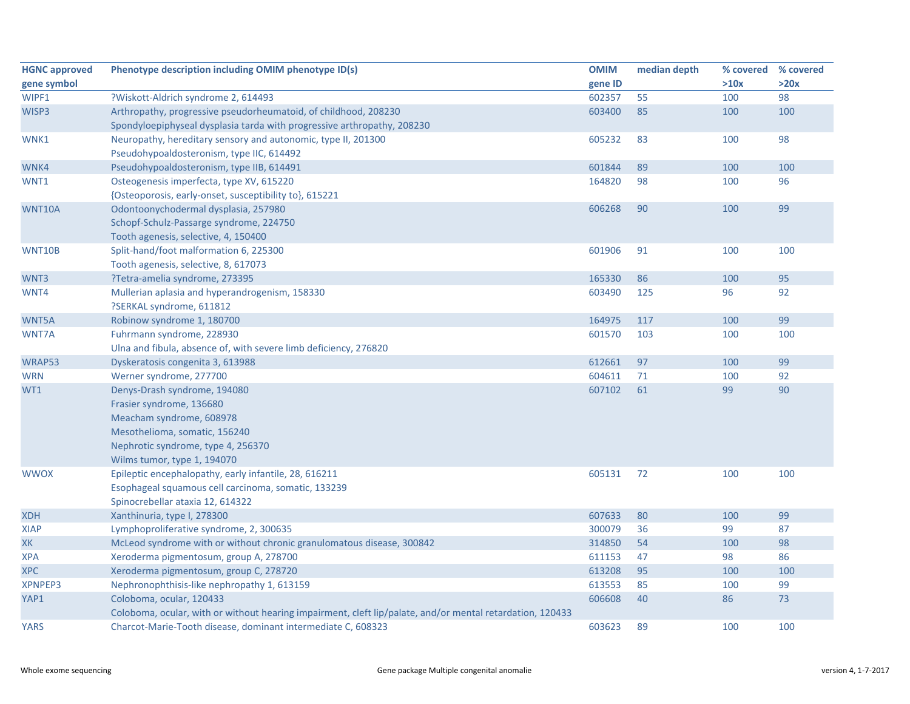| <b>HGNC approved</b> | Phenotype description including OMIM phenotype ID(s)                                                      | <b>OMIM</b> | median depth | % covered % covered |      |
|----------------------|-----------------------------------------------------------------------------------------------------------|-------------|--------------|---------------------|------|
| gene symbol          |                                                                                                           | gene ID     |              | >10x                | >20x |
| WIPF1                | ?Wiskott-Aldrich syndrome 2, 614493                                                                       | 602357      | 55           | 100                 | 98   |
| WISP3                | Arthropathy, progressive pseudorheumatoid, of childhood, 208230                                           | 603400      | 85           | 100                 | 100  |
|                      | Spondyloepiphyseal dysplasia tarda with progressive arthropathy, 208230                                   |             |              |                     |      |
| WNK1                 | Neuropathy, hereditary sensory and autonomic, type II, 201300                                             | 605232      | 83           | 100                 | 98   |
|                      | Pseudohypoaldosteronism, type IIC, 614492                                                                 |             |              |                     |      |
| WNK4                 | Pseudohypoaldosteronism, type IIB, 614491                                                                 | 601844      | 89           | 100                 | 100  |
| WNT1                 | Osteogenesis imperfecta, type XV, 615220                                                                  | 164820      | 98           | 100                 | 96   |
|                      | {Osteoporosis, early-onset, susceptibility to}, 615221                                                    |             |              |                     |      |
| WNT10A               | Odontoonychodermal dysplasia, 257980                                                                      | 606268      | 90           | 100                 | 99   |
|                      | Schopf-Schulz-Passarge syndrome, 224750                                                                   |             |              |                     |      |
|                      | Tooth agenesis, selective, 4, 150400                                                                      |             |              |                     |      |
| WNT10B               | Split-hand/foot malformation 6, 225300                                                                    | 601906      | 91           | 100                 | 100  |
|                      | Tooth agenesis, selective, 8, 617073                                                                      |             |              |                     |      |
| WNT3                 | ?Tetra-amelia syndrome, 273395                                                                            | 165330      | 86           | 100                 | 95   |
| WNT4                 | Mullerian aplasia and hyperandrogenism, 158330                                                            | 603490      | 125          | 96                  | 92   |
|                      | ?SERKAL syndrome, 611812                                                                                  |             |              |                     |      |
| WNT5A                | Robinow syndrome 1, 180700                                                                                | 164975      | 117          | 100                 | 99   |
| WNT7A                | Fuhrmann syndrome, 228930                                                                                 | 601570      | 103          | 100                 | 100  |
|                      | Ulna and fibula, absence of, with severe limb deficiency, 276820                                          |             |              |                     |      |
| WRAP53               | Dyskeratosis congenita 3, 613988                                                                          | 612661      | 97           | 100                 | 99   |
| <b>WRN</b>           | Werner syndrome, 277700                                                                                   | 604611      | 71           | 100                 | 92   |
| WT1                  | Denys-Drash syndrome, 194080                                                                              | 607102      | 61           | 99                  | 90   |
|                      | Frasier syndrome, 136680                                                                                  |             |              |                     |      |
|                      | Meacham syndrome, 608978                                                                                  |             |              |                     |      |
|                      | Mesothelioma, somatic, 156240                                                                             |             |              |                     |      |
|                      | Nephrotic syndrome, type 4, 256370                                                                        |             |              |                     |      |
|                      | Wilms tumor, type 1, 194070                                                                               |             |              |                     |      |
| <b>WWOX</b>          | Epileptic encephalopathy, early infantile, 28, 616211                                                     | 605131      | 72           | 100                 | 100  |
|                      | Esophageal squamous cell carcinoma, somatic, 133239                                                       |             |              |                     |      |
|                      | Spinocrebellar ataxia 12, 614322                                                                          |             |              |                     |      |
| <b>XDH</b>           | Xanthinuria, type I, 278300                                                                               | 607633      | 80           | 100                 | 99   |
| <b>XIAP</b>          | Lymphoproliferative syndrome, 2, 300635                                                                   | 300079      | 36           | 99                  | 87   |
| XK                   | McLeod syndrome with or without chronic granulomatous disease, 300842                                     | 314850      | 54           | 100                 | 98   |
| <b>XPA</b>           | Xeroderma pigmentosum, group A, 278700                                                                    | 611153      | 47           | 98                  | 86   |
| <b>XPC</b>           | Xeroderma pigmentosum, group C, 278720                                                                    | 613208      | 95           | 100                 | 100  |
| XPNPEP3              | Nephronophthisis-like nephropathy 1, 613159                                                               | 613553      | 85           | 100                 | 99   |
| YAP1                 | Coloboma, ocular, 120433                                                                                  | 606608      | 40           | 86                  | 73   |
|                      | Coloboma, ocular, with or without hearing impairment, cleft lip/palate, and/or mental retardation, 120433 |             |              |                     |      |
| <b>YARS</b>          | Charcot-Marie-Tooth disease, dominant intermediate C, 608323                                              | 603623      | 89           | 100                 | 100  |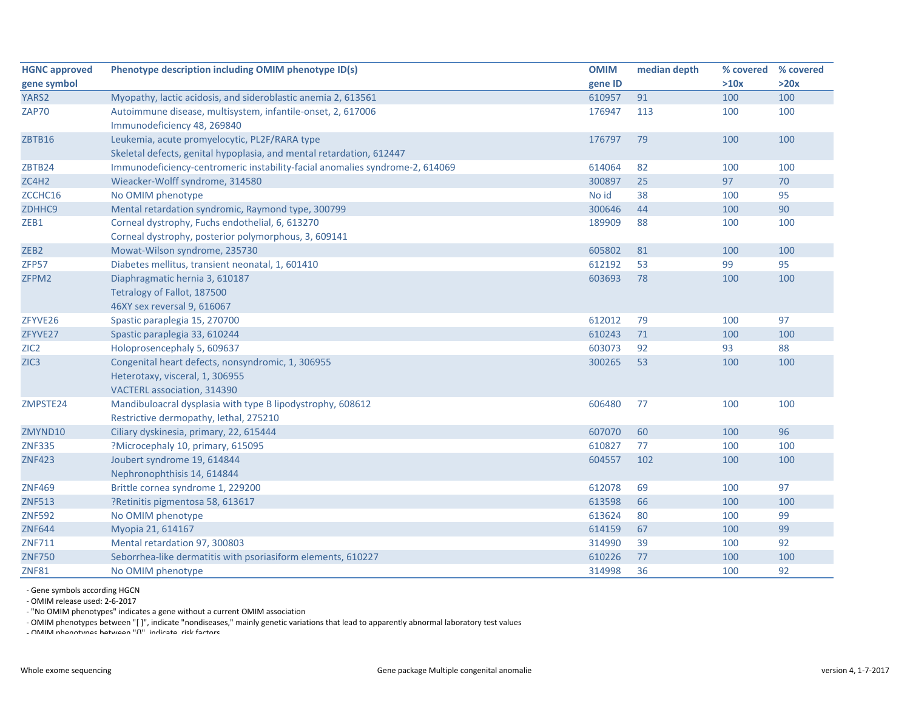| <b>HGNC approved</b> | Phenotype description including OMIM phenotype ID(s)                         | <b>OMIM</b> | median depth | % covered | % covered |
|----------------------|------------------------------------------------------------------------------|-------------|--------------|-----------|-----------|
| gene symbol          |                                                                              | gene ID     |              | >10x      | >20x      |
| YARS2                | Myopathy, lactic acidosis, and sideroblastic anemia 2, 613561                | 610957      | 91           | 100       | 100       |
| <b>ZAP70</b>         | Autoimmune disease, multisystem, infantile-onset, 2, 617006                  | 176947      | 113          | 100       | 100       |
|                      | Immunodeficiency 48, 269840                                                  |             |              |           |           |
| ZBTB16               | Leukemia, acute promyelocytic, PL2F/RARA type                                | 176797      | 79           | 100       | 100       |
|                      | Skeletal defects, genital hypoplasia, and mental retardation, 612447         |             |              |           |           |
| ZBTB24               | Immunodeficiency-centromeric instability-facial anomalies syndrome-2, 614069 | 614064      | 82           | 100       | 100       |
| ZC4H2                | Wieacker-Wolff syndrome, 314580                                              | 300897      | 25           | 97        | 70        |
| ZCCHC16              | No OMIM phenotype                                                            | No id       | 38           | 100       | 95        |
| ZDHHC9               | Mental retardation syndromic, Raymond type, 300799                           | 300646      | 44           | 100       | 90        |
| ZEB1                 | Corneal dystrophy, Fuchs endothelial, 6, 613270                              | 189909      | 88           | 100       | 100       |
|                      | Corneal dystrophy, posterior polymorphous, 3, 609141                         |             |              |           |           |
| ZEB <sub>2</sub>     | Mowat-Wilson syndrome, 235730                                                | 605802      | 81           | 100       | 100       |
| ZFP57                | Diabetes mellitus, transient neonatal, 1, 601410                             | 612192      | 53           | 99        | 95        |
| ZFPM2                | Diaphragmatic hernia 3, 610187                                               | 603693      | 78           | 100       | 100       |
|                      | Tetralogy of Fallot, 187500                                                  |             |              |           |           |
|                      | 46XY sex reversal 9, 616067                                                  |             |              |           |           |
| ZFYVE26              | Spastic paraplegia 15, 270700                                                | 612012      | 79           | 100       | 97        |
| ZFYVE27              | Spastic paraplegia 33, 610244                                                | 610243      | 71           | 100       | 100       |
| ZIC <sub>2</sub>     | Holoprosencephaly 5, 609637                                                  | 603073      | 92           | 93        | 88        |
| ZIC <sub>3</sub>     | Congenital heart defects, nonsyndromic, 1, 306955                            | 300265      | 53           | 100       | 100       |
|                      | Heterotaxy, visceral, 1, 306955                                              |             |              |           |           |
|                      | VACTERL association, 314390                                                  |             |              |           |           |
| ZMPSTE24             | Mandibuloacral dysplasia with type B lipodystrophy, 608612                   | 606480      | 77           | 100       | 100       |
|                      | Restrictive dermopathy, lethal, 275210                                       |             |              |           |           |
| ZMYND10              | Ciliary dyskinesia, primary, 22, 615444                                      | 607070      | 60           | 100       | 96        |
| <b>ZNF335</b>        | ?Microcephaly 10, primary, 615095                                            | 610827      | 77           | 100       | 100       |
| <b>ZNF423</b>        | Joubert syndrome 19, 614844                                                  | 604557      | 102          | 100       | 100       |
|                      | Nephronophthisis 14, 614844                                                  |             |              |           |           |
| <b>ZNF469</b>        | Brittle cornea syndrome 1, 229200                                            | 612078      | 69           | 100       | 97        |
| <b>ZNF513</b>        | ?Retinitis pigmentosa 58, 613617                                             | 613598      | 66           | 100       | 100       |
| <b>ZNF592</b>        | No OMIM phenotype                                                            | 613624      | 80           | 100       | 99        |
| <b>ZNF644</b>        | Myopia 21, 614167                                                            | 614159      | 67           | 100       | 99        |
| <b>ZNF711</b>        | Mental retardation 97, 300803                                                | 314990      | 39           | 100       | 92        |
| <b>ZNF750</b>        | Seborrhea-like dermatitis with psoriasiform elements, 610227                 | 610226      | 77           | 100       | 100       |
| <b>ZNF81</b>         | No OMIM phenotype                                                            | 314998      | 36           | 100       | 92        |

‐ Gene symbols according HGCN

‐ OMIM release used: 2‐6‐2017

‐ "No OMIM phenotypes" indicates <sup>a</sup> gene without <sup>a</sup> current OMIM association

‐ OMIM phenotypes between "[ ]", indicate "nondiseases," mainly genetic variations that lead to apparently abnormal laboratory test values

‐ OMIM phenotypes between "{}" indicate risk factors